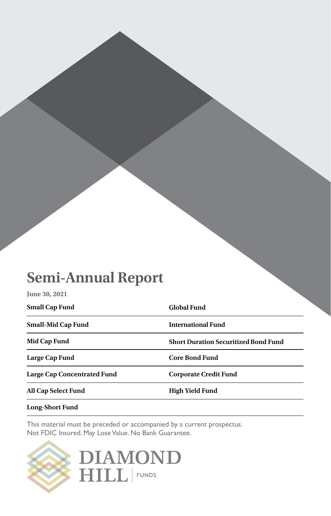# **Semi-Annual Report**

**June 30, 2021**

| <b>Small Cap Fund</b>              | Global Fund                                 |
|------------------------------------|---------------------------------------------|
| <b>Small-Mid Cap Fund</b>          | <b>International Fund</b>                   |
| Mid Cap Fund                       | <b>Short Duration Securitized Bond Fund</b> |
| Large Cap Fund                     | <b>Core Bond Fund</b>                       |
| <b>Large Cap Concentrated Fund</b> | <b>Corporate Credit Fund</b>                |
| <b>All Cap Select Fund</b>         | <b>High Yield Fund</b>                      |
|                                    |                                             |

#### **Long-Short Fund**

This material must be preceded or accompanied by a current prospectus. Not FDIC Insured. May Lose Value. No Bank Guarantee.

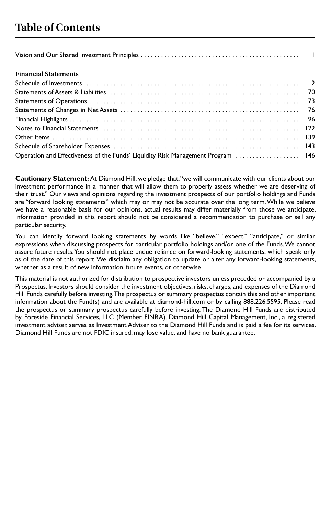## **Table of Contents**

| <b>Financial Statements</b>                                                      |  |
|----------------------------------------------------------------------------------|--|
|                                                                                  |  |
|                                                                                  |  |
|                                                                                  |  |
|                                                                                  |  |
|                                                                                  |  |
|                                                                                  |  |
|                                                                                  |  |
|                                                                                  |  |
| Operation and Effectiveness of the Funds' Liquidity Risk Management Program  146 |  |

Cautionary Statement: At Diamond Hill, we pledge that, "we will communicate with our clients about our investment performance in a manner that will allow them to properly assess whether we are deserving of their trust." Our views and opinions regarding the investment prospects of our portfolio holdings and Funds are "forward looking statements" which may or may not be accurate over the long term. While we believe we have a reasonable basis for our opinions, actual results may differ materially from those we anticipate. Information provided in this report should not be considered a recommendation to purchase or sell any particular security.

You can identify forward looking statements by words like "believe," "expect," "anticipate," or similar expressions when discussing prospects for particular portfolio holdings and/or one of the Funds. We cannot assure future results. You should not place undue reliance on forward-looking statements, which speak only as of the date of this report. We disclaim any obligation to update or alter any forward-looking statements, whether as a result of new information, future events, or otherwise.

This material is not authorized for distribution to prospective investors unless preceded or accompanied by a Prospectus. Investors should consider the investment objectives, risks, charges, and expenses of the Diamond Hill Funds carefully before investing. The prospectus or summary prospectus contain this and other important information about the Fund(s) and are available at diamond-hill.com or by calling 888.226.5595. Please read the prospectus or summary prospectus carefully before investing. The Diamond Hill Funds are distributed by Foreside Financial Services, LLC (Member FINRA). Diamond Hill Capital Management, Inc., a registered investment adviser, serves as Investment Adviser to the Diamond Hill Funds and is paid a fee for its services. Diamond Hill Funds are not FDIC insured, may lose value, and have no bank guarantee.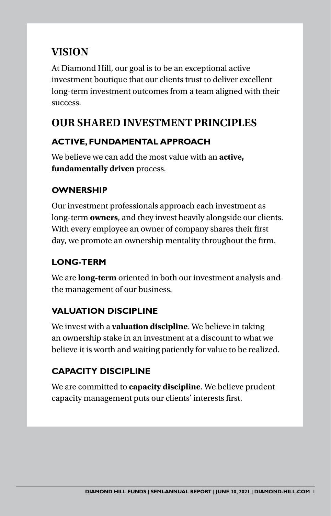## <span id="page-2-0"></span>**VISION**

At Diamond Hill, our goal is to be an exceptional active investment boutique that our clients trust to deliver excellent long-term investment outcomes from a team aligned with their success.

## **OUR SHARED INVESTMENT PRINCIPLES**

## **ACTIVE, FUNDAMENTAL APPROACH**

We believe we can add the most value with an **active, fundamentally driven** process.

## **OWNERSHIP**

Our investment professionals approach each investment as long-term **owners**, and they invest heavily alongside our clients. With every employee an owner of company shares their first day, we promote an ownership mentality throughout the firm.

## **LONG-TERM**

We are **long-term** oriented in both our investment analysis and the management of our business.

## **VALUATION DISCIPLINE**

We invest with a **valuation discipline**. We believe in taking an ownership stake in an investment at a discount to what we believe it is worth and waiting patiently for value to be realized.

## **CAPACITY DISCIPLINE**

We are committed to **capacity discipline**. We believe prudent capacity management puts our clients' interests first.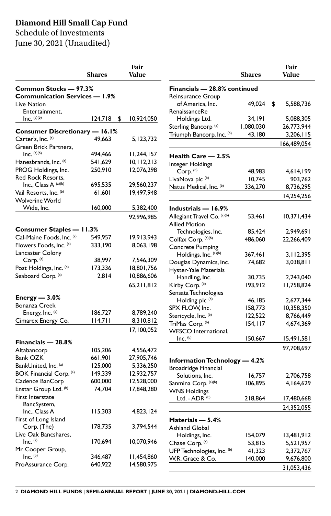### <span id="page-3-0"></span>**Diamond Hill Small Cap Fund**

Schedule of Investments June 30, 2021 (Unaudited)

|                                                       |               | Fair        |
|-------------------------------------------------------|---------------|-------------|
|                                                       | <b>Shares</b> | Value       |
| Common Stocks — 97.3%                                 |               |             |
| <b>Communication Services - 1.9%</b>                  |               |             |
| Live Nation                                           |               |             |
| Entertainment,                                        |               |             |
| Inc. (a)(b)                                           | 124,718<br>\$ | 10,924,050  |
| <b>Consumer Discretionary - 16.1%</b>                 |               |             |
| Carter's, Inc. (a)                                    | 49,663        | 5,123,732   |
| Green Brick Partners,                                 |               |             |
| $Inc.$ $(a)(b)$                                       | 494,466       | I I,244,157 |
| Hanesbrands, Inc. (a)                                 | 541,629       | 10,112,213  |
| PROG Holdings, Inc.                                   | 250,910       | 12,076,298  |
| Red Rock Resorts,                                     |               |             |
| Inc., Class $A^{(a)(b)}$                              | 695,535       | 29,560,237  |
| Vail Resorts, Inc. (b)                                | 61,601        | 19,497,948  |
| <b>Wolverine World</b>                                |               |             |
| Wide, Inc.                                            | 160,000       | 5,382,400   |
|                                                       |               | 92,996,985  |
|                                                       |               |             |
| Consumer Staples — 11.3%<br>Cal-Maine Foods, Inc. (a) | 549,957       | 19,913,943  |
| Flowers Foods, Inc. (a)                               | 333,190       | 8,063,198   |
|                                                       |               |             |
| <b>Lancaster Colony</b><br>Corp. <sup>(a)</sup>       | 38,997        | 7,546,309   |
| Post Holdings, Inc. (b)                               | 173,336       | 18,801,756  |
| Seaboard Corp. (a)                                    | 2,814         | 10,886,606  |
|                                                       |               | 65,211,812  |
|                                                       |               |             |
| Energy $-3.0%$                                        |               |             |
| <b>Bonanza Creek</b>                                  |               |             |
| Energy, Inc. (a)                                      | 186,727       | 8,789,240   |
| Cimarex Energy Co.                                    | 114,711       | 8,310,812   |
|                                                       |               | 17,100,052  |
| Financials - 28.8%                                    |               |             |
| Altabancorp                                           | 105,206       | 4,556,472   |
| <b>Bank OZK</b>                                       | 661,901       | 27,905,746  |
| BankUnited, Inc. (a)                                  | 125,000       | 5,336,250   |
| BOK Financial Corp. (a)                               | 149,339       | 12,932,757  |
| Cadence BanCorp                                       | 600,000       | 12,528,000  |
| Enstar Group Ltd. (b)                                 | 74,704        | 17,848,280  |
| <b>First Interstate</b>                               |               |             |
| BancSystem,                                           |               |             |
| Inc., Class A                                         | 115,303       | 4,823,124   |
| First of Long Island                                  |               |             |
| Corp. (The)                                           | 178,735       | 3,794,544   |
| Live Oak Bancshares,                                  |               |             |
| $Inc.$ $(a)$                                          | 170,694       | 10,070,946  |
| Mr. Cooper Group,                                     |               |             |
| $Inc.$ <sup>(b)</sup>                                 | 346,487       | 11,454,860  |
| ProAssurance Corp.                                    | 640,922       | 14,580,975  |

|                                                  |               | Fair            |
|--------------------------------------------------|---------------|-----------------|
|                                                  | <b>Shares</b> | Value           |
| Financials - 28.8% continued                     |               |                 |
| Reinsurance Group                                |               |                 |
| of America, Inc.                                 | 49,024        | \$<br>5,588,736 |
| RenaissanceRe                                    |               |                 |
| Holdings Ltd.                                    | 34, 19 1      | 5,088,305       |
| Sterling Bancorp <sup>(a)</sup>                  | 1,080,030     | 26,773,944      |
| Triumph Bancorp, Inc. (b)                        | 43,180        | 3,206,115       |
|                                                  |               | 166,489,054     |
| Health Care — 2.5%                               |               |                 |
| Integer Holdings                                 |               |                 |
| Corp. (b)                                        | 48,983        | 4,614,199       |
| LivaNova plc (b)                                 | 10,745        | 903,762         |
| Natus Medical, Inc. (b)                          | 336,270       | 8,736,295       |
|                                                  |               | 14,254,256      |
| Industrials — 16.9%                              |               |                 |
| Allegiant Travel Co. (a)(b)                      | 53,461        | 10,371,434      |
| <b>Allied Motion</b>                             |               |                 |
| Technologies, Inc.                               | 85,424        | 2,949,691       |
| Colfax Corp. (a)(b)                              | 486,060       | 22,266,409      |
| Concrete Pumping                                 |               |                 |
| Holdings, Inc. (a)(b)                            | 367,461       | 3, I 12, 395    |
| Douglas Dynamics, Inc.                           | 74,682        | 3,038,811       |
| Hyster-Yale Materials                            |               |                 |
| Handling, Inc.                                   | 30,735        | 2,243,040       |
| Kirby Corp. (b)                                  | 193,912       | 11,758,824      |
| Sensata Technologies                             |               |                 |
| Holding plc <sup>(b)</sup>                       | 46,185        | 2,677,344       |
| SPX FLOW, Inc.                                   | 158,773       | 10,358,350      |
| Stericycle, Inc. (b)                             | 122,522       | 8,766,449       |
| TriMas Corp. (b)                                 | 154,117       | 4,674,369       |
| <b>WESCO</b> International,                      |               |                 |
| Inc. $(b)$                                       | 150,667       | 15,491,581      |
|                                                  |               | 97,708,697      |
|                                                  |               |                 |
| - Information Technology<br>Broadridge Financial | - 4.2%        |                 |
| Solutions, Inc.                                  | 16,757        | 2,706,758       |
| Sanmina Corp. (a)(b)                             | 106,895       | 4,164,629       |
| <b>WNS Holdings</b>                              |               |                 |
| Ltd. - ADR (b)                                   | 218,864       | 17,480,668      |
|                                                  |               | 24,352,055      |
|                                                  |               |                 |
| Materials — 5.4%                                 |               |                 |
| <b>Ashland Global</b>                            |               |                 |
| Holdings, Inc.                                   | 154,079       | 13,481,912      |
| Chase Corp. (a)                                  | 53,815        | 5,521,957       |
| UFP Technologies, Inc. (b)                       | 41,323        | 2,372,767       |
| W.R. Grace & Co.                                 | 140,000       | 9,676,800       |
|                                                  |               | 31,053,436      |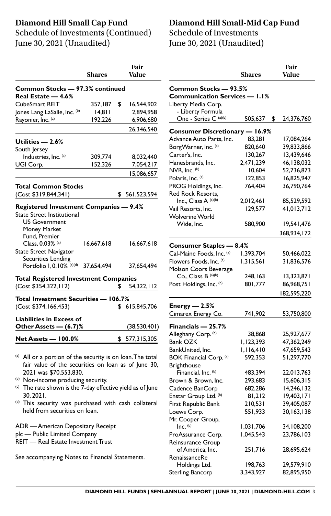### **Diamond Hill Small Cap Fund**

Schedule of Investments (Continued) June 30, 2021 (Unaudited)

|                                                                 |               | Fair             |
|-----------------------------------------------------------------|---------------|------------------|
|                                                                 | <b>Shares</b> | Value            |
| Common Stocks - 97.3% continued                                 |               |                  |
| Real Estate - 4.6%                                              |               |                  |
| CubeSmart REIT                                                  | 357,187       | \$<br>16.544.902 |
| Jones Lang LaSalle, Inc. (b)                                    | 14,811        | 2,894,958        |
| Rayonier, Inc. (a)                                              | 192,226       | 6,906,680        |
|                                                                 |               | 26,346,540       |
| Utilities $-2.6%$                                               |               |                  |
| South Jersey                                                    |               |                  |
| Industries, Inc. (a)                                            | 309,774       | 8,032,440        |
| UGI Corp.                                                       | 152,326       | 7,054,217        |
|                                                                 |               | 15,086,657       |
|                                                                 |               |                  |
| <b>Total Common Stocks</b>                                      |               |                  |
| (Cost \$319,844,341)                                            |               | \$561,523,594    |
| <b>Registered Investment Companies - 9.4%</b>                   |               |                  |
| State Street Institutional                                      |               |                  |
| <b>US Government</b>                                            |               |                  |
| Money Market                                                    |               |                  |
| Fund, Premier                                                   |               |                  |
| Class, 0.03% (c)                                                | 16,667,618    | 16,667,618       |
| <b>State Street Navigator</b>                                   |               |                  |
| Securities Lending                                              |               |                  |
| Portfolio I, 0.10% (c)(d) 37,654,494                            |               | 37,654,494       |
| <b>Total Registered Investment Companies</b>                    |               |                  |
| (Cost \$354,322, 112)                                           |               | \$54,322,112     |
| Total Investment Securities - 106.7%                            |               |                  |
| (Cost \$374,166,453)                                            |               | \$615,845,706    |
| <b>Liabilities in Excess of</b>                                 |               |                  |
| Other Assets - (6.7)%                                           |               | (38,530,401)     |
| <b>Net Assets - 100.0%</b>                                      |               | \$577,315,305    |
|                                                                 |               |                  |
| $\lambda$ All or a portion of the security is on loan The total |               |                  |

- All or a portion of the security is on loan. The  $t$ fair value of the securities on loan as of lune 30, 2021 was \$70,553,830.
- (b) Non-income producing security.
- $\left($ c) The rate shown is the  $7$ -day effective yield as of June 30, 2021.
- (d) This security was purchased with cash collateral held from securities on loan.

ADR — American Depositary Receipt plc — Public Limited Company REIT — Real Estate Investment Trust

See accompanying Notes to Financial Statements.

#### **Diamond Hill Small-Mid Cap Fund**

Schedule of Investments June 30, 2021 (Unaudited)

|                                                      | <b>Shares</b> |      | Fair<br>Value            |
|------------------------------------------------------|---------------|------|--------------------------|
| Common Stocks - 93.5%                                |               |      |                          |
| <b>Communication Services - 1.1%</b>                 |               |      |                          |
| Liberty Media Corp.                                  |               |      |                          |
| - Liberty Formula                                    |               |      |                          |
| One - Series C (a)(b)                                | 505,637       | - \$ | 24,376,760               |
| <b>Consumer Discretionary — 16.9%</b>                |               |      |                          |
| Advance Auto Parts, Inc.                             | 83,281        |      | 17,084,264               |
| BorgWarner, Inc. (a)                                 | 820,640       |      | 39,833,866               |
| Carter's, Inc.                                       | 130,267       |      | 13,439,646               |
| Hanesbrands, Inc.                                    | 2,471,239     |      | 46, 138, 032             |
| NVR, Inc. (b)                                        | 10,604        |      | 52,736,873               |
| Polaris, Inc. (a)                                    | 122,853       |      | 16,825,947               |
|                                                      |               |      |                          |
| PROG Holdings, Inc.                                  | 764,404       |      | 36,790,764               |
| Red Rock Resorts,<br>Inc., Class A (a)(b)            | 2,012,461     |      |                          |
| Vail Resorts, Inc.                                   | 129,577       |      | 85,529,592<br>41,013,712 |
| <b>Wolverine World</b>                               |               |      |                          |
| Wide, Inc.                                           | 580,900       |      | 19,541,476               |
|                                                      |               |      | 368,934,172              |
|                                                      |               |      |                          |
| Consumer Staples - 8.4%<br>Cal-Maine Foods, Inc. (a) |               |      |                          |
|                                                      | 1,393,704     |      | 50,466,022               |
| Flowers Foods, Inc. (a)                              | 1,315,561     |      | 31,836,576               |
| Molson Coors Beverage                                |               |      |                          |
| Co., Class B $(a)(b)$                                | 248,163       |      | 13,323,871               |
| Post Holdings, Inc. (b)                              | 801,777       |      | 86,968,751               |
|                                                      |               |      | 182,595,220              |
| Energy $-2.5%$                                       |               |      |                          |
| Cimarex Energy Co.                                   | 741,902       |      | 53,750,800               |
| Financials - 25.7%                                   |               |      |                          |
| Alleghany Corp. (b)                                  | 38,868        |      | 25,927,677               |
| <b>Bank OZK</b>                                      | I, I 23,393   |      | 47,362,249               |
| BankUnited, Inc.                                     | 1,116,410     |      | 47,659,543               |
| BOK Financial Corp. (a)                              | 592,353       |      | 51,297,770               |
| Brighthouse                                          |               |      |                          |
| Financial, Inc. (b)                                  | 483,394       |      | 22,013,763               |
| Brown & Brown, Inc.                                  | 293,683       |      | 15,606,315               |
| Cadence BanCorp                                      | 682,286       |      | 14,246,132               |
| Enstar Group Ltd. (b)                                | 81,212        |      | 19,403,171               |
| First Republic Bank                                  | 210,531       |      | 39,405,087               |
| Loews Corp.                                          | 551,933       |      | 30,163,138               |
| Mr. Cooper Group,                                    |               |      |                          |
| $Inc.$ <sup>(b)</sup>                                | 1,031,706     |      | 34,108,200               |
| ProAssurance Corp.                                   | 1,045,543     |      | 23,786,103               |
| Reinsurance Group                                    |               |      |                          |
| of America, Inc.                                     | 251,716       |      | 28,695,624               |
| RenaissanceRe                                        |               |      |                          |
| Holdings Ltd.                                        | 198,763       |      | 29,579,910               |
| Sterling Bancorp                                     | 3,343,927     |      | 82,895,950               |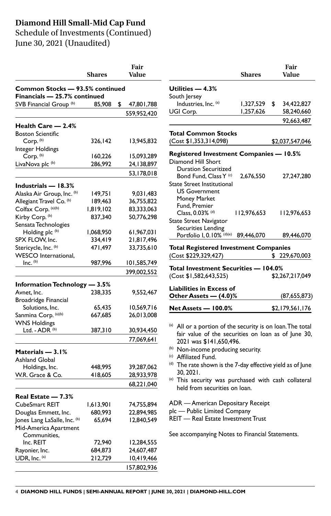## **Diamond Hill Small-Mid Cap Fund**

Schedule of Investments (Continued) June 30, 2021 (Unaudited)

|                                                                 |               | Fair             |  |  |
|-----------------------------------------------------------------|---------------|------------------|--|--|
|                                                                 | <b>Shares</b> | Value            |  |  |
| Common Stocks - 93.5% continued<br>Financials - 25.7% continued |               |                  |  |  |
| SVB Financial Group <sup>(b)</sup>                              | 85,908        | \$<br>47,801,788 |  |  |
|                                                                 |               | 559,952,420      |  |  |
|                                                                 |               |                  |  |  |
| Health Care - 2.4%                                              |               |                  |  |  |
| <b>Boston Scientific</b>                                        |               |                  |  |  |
| Corp. <sup>(b)</sup>                                            | 326,142       | 13,945,832       |  |  |
| Integer Holdings<br>Corp. <sup>(b)</sup>                        | 160.226       | 15,093,289       |  |  |
| LivaNova plc (b)                                                | 286,992       | 24,138,897       |  |  |
|                                                                 |               |                  |  |  |
|                                                                 |               | 53,178,018       |  |  |
| Industrials - 18.3%                                             |               |                  |  |  |
| Alaska Air Group, Inc. (b)                                      | 149,751       | 9,031,483        |  |  |
| Allegiant Travel Co. (b)                                        | 189,463       | 36,755,822       |  |  |
| Colfax Corp. (a)(b)                                             | 1,819,102     | 83,333,063       |  |  |
| Kirby Corp. <sup>(b)</sup>                                      | 837,340       | 50,776,298       |  |  |
| Sensata Technologies                                            |               |                  |  |  |
| Holding plc (b)                                                 | 1,068,950     | 61,967,031       |  |  |
| SPX FLOW, Inc.                                                  | 334,419       | 21,817,496       |  |  |
| Stericycle, Inc. (b)                                            | 471,497       | 33,735,610       |  |  |
| <b>WESCO</b> International,<br>Inc. $(b)$                       |               |                  |  |  |
|                                                                 | 987,996       | 101,585,749      |  |  |
|                                                                 |               | 399,002,552      |  |  |
| <b>Information Technology - 3.5%</b>                            |               |                  |  |  |
| Avnet, Inc.                                                     | 238,335       | 9,552,467        |  |  |
| <b>Broadridge Financial</b>                                     |               |                  |  |  |
| Solutions, Inc.                                                 | 65,435        | 10,569,716       |  |  |
| Sanmina Corp. (a)(b)                                            | 667,685       | 26,013,008       |  |  |
| <b>WNS Holdings</b>                                             |               |                  |  |  |
| Ltd. - ADR (b)                                                  | 387,310       | 30,934,450       |  |  |
|                                                                 |               | 77,069,641       |  |  |
| Materials $-3.1%$                                               |               |                  |  |  |
| Ashland Global                                                  |               |                  |  |  |
| Holdings, Inc.                                                  | 448,995       | 39,287,062       |  |  |
| W.R. Grace & Co.                                                | 418,605       | 28,933,978       |  |  |
|                                                                 |               | 68,221,040       |  |  |
|                                                                 |               |                  |  |  |
| Real Estate - 7.3%                                              |               |                  |  |  |
| CubeSmart REIT                                                  | 1,613,901     | 74,755,894       |  |  |
| Douglas Emmett, Inc.                                            | 680,993       | 22,894,985       |  |  |
| Jones Lang LaSalle, Inc. (b)                                    | 65,694        | 12,840,549       |  |  |
| Mid-America Apartment                                           |               |                  |  |  |
| Communities,<br>Inc. REIT                                       | 72,940        | 12,284,555       |  |  |
| Rayonier, Inc.                                                  | 684,873       | 24,607,487       |  |  |
| UDR, Inc. (a)                                                   | 212,729       | 10,419,466       |  |  |
|                                                                 |               | 157,802,936      |  |  |
|                                                                 |               |                  |  |  |

|                                                                          |               |    | Fair            |
|--------------------------------------------------------------------------|---------------|----|-----------------|
|                                                                          | <b>Shares</b> |    | Value           |
| Utilities $-4.3%$                                                        |               |    |                 |
| South Jersey                                                             |               |    |                 |
| Industries, Inc. (a)                                                     | 1,327,529     | \$ | 34,422,827      |
| UGI Corp.                                                                | 1,257,626     |    | 58,240,660      |
|                                                                          |               |    | 92,663,487      |
| <b>Total Common Stocks</b>                                               |               |    |                 |
| (Cost \$1,353,314,098)                                                   |               |    | \$2,037,547,046 |
| <b>Registered Investment Companies - 10.5%</b>                           |               |    |                 |
| Diamond Hill Short                                                       |               |    |                 |
| Duration Securitized                                                     |               |    |                 |
| Bond Fund, Class Y (c)                                                   | 2,676,550     |    | 27,247,280      |
| <b>State Street Institutional</b>                                        |               |    |                 |
| <b>US Government</b>                                                     |               |    |                 |
| Money Market<br>Fund, Premier                                            |               |    |                 |
| Class, 0.03% (d)                                                         | 112,976,653   |    | 112,976,653     |
| <b>State Street Navigator</b>                                            |               |    |                 |
| Securities Lending                                                       |               |    |                 |
| Portfolio I, 0.10% (d)(e) 89,446,070                                     |               |    | 89,446,070      |
| <b>Total Registered Investment Companies</b>                             |               |    |                 |
| (Cost \$229,329,427)                                                     |               | \$ | 229,670,003     |
| Total Investment Securities - 104.0%                                     |               |    |                 |
| (Cost \$1,582,643,525)                                                   |               |    | \$2,267,217,049 |
|                                                                          |               |    |                 |
| Liabilities in Excess of<br>Other Assets — (4.0)%                        |               |    | (87, 655, 873)  |
|                                                                          |               |    |                 |
| Net Assets - 100.0%                                                      |               |    | \$2,179,561,176 |
|                                                                          |               |    |                 |
| (a)<br>All or a portion of the security is on loan. The total            |               |    |                 |
| fair value of the securities on loan as of June 30,                      |               |    |                 |
| 2021 was \$141,650,496.                                                  |               |    |                 |
| <sup>(b)</sup> Non-income producing security.<br>(c)<br>Affiliated Fund. |               |    |                 |
| (d) The rate shown is the 7-day effective yield as of June               |               |    |                 |
| 30.2021.                                                                 |               |    |                 |

(e) This security was purchased with cash collateral held from securities on loan.

ADR — American Depositary Receipt

plc — Public Limited Company

REIT — Real Estate Investment Trust

See accompanying Notes to Financial Statements.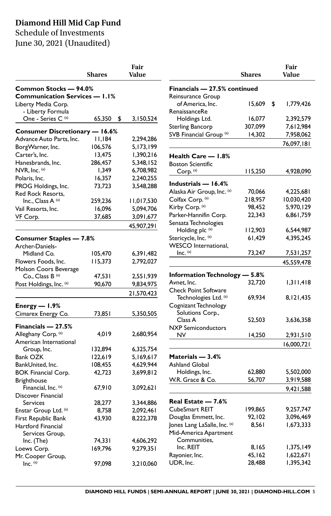### **Diamond Hill Mid Cap Fund**

Schedule of Investments June 30, 2021 (Unaudited)

|                                                   | <b>Shares</b>     | Fair<br>Value          |
|---------------------------------------------------|-------------------|------------------------|
| Common Stocks - 94.0%                             |                   |                        |
| <b>Communication Services - 1.1%</b>              |                   |                        |
| Liberty Media Corp.                               |                   |                        |
| - Liberty Formula                                 |                   |                        |
| One - Series C (a)                                | 65,350<br>\$      | 3,150,524              |
| <b>Consumer Discretionary - 16.6%</b>             |                   |                        |
| Advance Auto Parts, Inc.                          | 11,184            | 2,294,286              |
| BorgWarner, Inc.                                  | 106,576           | 5,173,199              |
| Carter's, Inc.                                    | 13,475            | 1,390,216              |
| Hanesbrands, Inc.                                 | 286,457           | 5,348,152              |
| NVR, Inc. (a)                                     | 1,349             | 6,708,982              |
| Polaris, Inc.                                     | 16,357            | 2,240,255              |
| PROG Holdings, Inc.                               | 73,723            | 3,548,288              |
| Red Rock Resorts,                                 |                   |                        |
| Inc., Class A (a)                                 | 259,236           | 11,017,530             |
| Vail Resorts, Inc.                                | 16,096            | 5,094,706              |
| VF Corp.                                          | 37,685            | 3,091,677              |
|                                                   |                   | 45,907,291             |
|                                                   |                   |                        |
| <b>Consumer Staples - 7.8%</b><br>Archer-Daniels- |                   |                        |
| Midland Co.                                       | 105,470           | 6,391,482              |
| Flowers Foods, Inc.                               | 115,373           | 2,792,027              |
|                                                   |                   |                        |
| Molson Coors Beverage<br>Co., Class B (a)         |                   |                        |
| Post Holdings, Inc. (a)                           | 47,53 I<br>90,670 | 2,551,939<br>9,834,975 |
|                                                   |                   |                        |
|                                                   |                   | 21,570,423             |
| Energy $-1.9%$                                    |                   |                        |
| Cimarex Energy Co.                                | 73,851            | 5,350,505              |
| Financials - 27.5%                                |                   |                        |
| Alleghany Corp. (a)                               | 4,019             | 2,680,954              |
| American International                            |                   |                        |
| Group, Inc.                                       | 132,894           | 6,325,754              |
| <b>Bank OZK</b>                                   | 122,619           | 5,169,617              |
| BankUnited, Inc.                                  | 108,455           | 4,629,944              |
| <b>BOK Financial Corp.</b>                        | 42,723            | 3,699,812              |
| <b>Brighthouse</b>                                |                   |                        |
| Financial, Inc. (a)                               | 67,910            | 3,092,621              |
| Discover Financial                                |                   |                        |
| <b>Services</b>                                   | 28,277            | 3,344,886              |
| Enstar Group Ltd. (a)                             | 8,758             | 2,092,461              |
| First Republic Bank                               | 43,930            | 8,222,378              |
| Hartford Financial                                |                   |                        |
| Services Group,                                   |                   |                        |
| Inc. (The)                                        | 74,331            | 4,606,292              |
| Loews Corp.                                       | 169,796           | 9,279,351              |
| Mr. Cooper Group,                                 |                   |                        |
| $Inc.$ $(a)$                                      | 97,098            | 3,210,060              |

|                                          | <b>Shares</b> |  | Fair<br>Value |  |  |
|------------------------------------------|---------------|--|---------------|--|--|
| Financials - 27.5% continued             |               |  |               |  |  |
| Reinsurance Group                        |               |  |               |  |  |
| of America, Inc.                         | 15,609 \$     |  | 1,779,426     |  |  |
| RenaissanceRe                            |               |  |               |  |  |
| Holdings Ltd.                            | 16,077        |  | 2,392,579     |  |  |
| Sterling Bancorp                         | 307,099       |  | 7,612,984     |  |  |
| SVB Financial Group <sup>(a)</sup>       | 14,302        |  | 7,958,062     |  |  |
|                                          |               |  | 76,097,181    |  |  |
| Health Care — 1.8%                       |               |  |               |  |  |
| <b>Boston Scientific</b>                 |               |  |               |  |  |
| Corp. (a)                                | 115,250       |  | 4,928,090     |  |  |
| Industrials - 16.4%                      |               |  |               |  |  |
| Alaska Air Group, Inc. (a)               | 70.066        |  | 4,225,681     |  |  |
| Colfax Corp. (a)                         | 218,957       |  | 10,030,420    |  |  |
| Kirby Corp. (a)                          | 98,452        |  | 5,970,129     |  |  |
| Parker-Hannifin Corp.                    | 22,343        |  | 6,861,759     |  |  |
| Sensata Technologies                     |               |  |               |  |  |
| Holding plc (a)                          | 112,903       |  | 6,544,987     |  |  |
| Stericycle, Inc. (a)                     | 61,429        |  | 4.395.245     |  |  |
| <b>WESCO</b> International,              |               |  |               |  |  |
| $Inc.$ (a)                               | 73,247        |  | 7,531,257     |  |  |
|                                          |               |  | 45,559,478    |  |  |
|                                          |               |  |               |  |  |
| - Information Technology                 | - 5.8%        |  |               |  |  |
| Avnet, Inc.                              | 32,720        |  | 1,311,418     |  |  |
| <b>Check Point Software</b>              |               |  |               |  |  |
| Technologies Ltd. (a)                    | 69.934        |  | 8,121,435     |  |  |
| Cognizant Technology<br>Solutions Corp., |               |  |               |  |  |
| Class A                                  | 52,503        |  | 3,636,358     |  |  |
| <b>NXP Semiconductors</b>                |               |  |               |  |  |
| NV                                       | 14,250        |  | 2,931,510     |  |  |
|                                          |               |  | 16,000,721    |  |  |
|                                          |               |  |               |  |  |
| Materials - 3.4%                         |               |  |               |  |  |
| Ashland Global                           |               |  |               |  |  |
| Holdings, Inc.                           | 62,880        |  | 5,502,000     |  |  |
| W.R. Grace & Co.                         | 56,707        |  | 3,919,588     |  |  |
|                                          |               |  | 9,421,588     |  |  |
| Real Estate - 7.6%                       |               |  |               |  |  |
| CubeSmart REIT                           | 199,865       |  | 9,257,747     |  |  |
| Douglas Emmett, Inc.                     | 92,102        |  | 3,096,469     |  |  |
| Jones Lang LaSalle, Inc. (a)             | 8,561         |  | 1,673,333     |  |  |
| Mid-America Apartment                    |               |  |               |  |  |
| Communities,                             |               |  |               |  |  |
| Inc. REIT                                | 8,165         |  | 1,375,149     |  |  |
| Rayonier, Inc.                           | 45,162        |  | 1,622,671     |  |  |
| UDR, Inc.                                | 28.488        |  | 1,395,342     |  |  |
|                                          |               |  |               |  |  |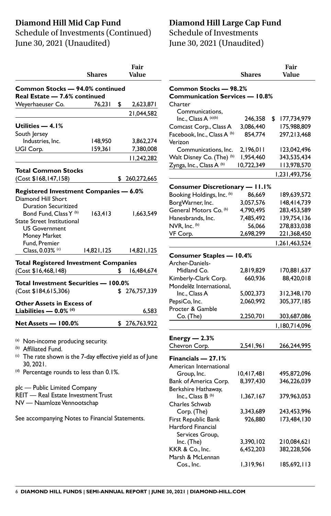#### **Diamond Hill Mid Cap Fund**

Schedule of Investments (Continued) June 30, 2021 (Unaudited)

|                                                                                                                                                                                                                     | <b>Shares</b> |    | Fair<br>Value |
|---------------------------------------------------------------------------------------------------------------------------------------------------------------------------------------------------------------------|---------------|----|---------------|
| Common Stocks - 94.0% continued                                                                                                                                                                                     |               |    |               |
| Real Estate - 7.6% continued                                                                                                                                                                                        |               |    |               |
| Weyerhaeuser Co.                                                                                                                                                                                                    | 76,231        | \$ | 2,623,871     |
|                                                                                                                                                                                                                     |               |    | 21,044,582    |
| Utilities - 4.1%                                                                                                                                                                                                    |               |    |               |
| South Jersey                                                                                                                                                                                                        |               |    |               |
| Industries, Inc.                                                                                                                                                                                                    | 148,950       |    | 3,862,274     |
| UGI Corp.                                                                                                                                                                                                           | 159,361       |    | 7,380,008     |
|                                                                                                                                                                                                                     |               |    | 11,242,282    |
| <b>Total Common Stocks</b>                                                                                                                                                                                          |               |    |               |
| (Cost \$168,147,158)                                                                                                                                                                                                |               |    | \$260,272,665 |
| Registered Investment Companies - 6.0%<br>Diamond Hill Short<br><b>Duration Securitized</b><br>Bond Fund, Class Y (b)<br>State Street Institutional<br><b>US Government</b><br><b>Money Market</b><br>Fund, Premier | 163,413       |    | 1,663,549     |
| Class, 0.03% (c)                                                                                                                                                                                                    | 14,821,125    |    | 14,821,125    |
| <b>Total Registered Investment Companies</b>                                                                                                                                                                        |               |    |               |
| (Cost \$16,468,148)                                                                                                                                                                                                 |               | \$ | 16,484,674    |
| Total Investment Securities - 100.0%<br>(Cost \$184,615,306)<br>\$276,757,339                                                                                                                                       |               |    |               |
| <b>Other Assets in Excess of</b><br>Liabilities $-$ 0.0% $(d)$                                                                                                                                                      |               |    | 6,583         |
| <b>Net Assets — 100.0%</b>                                                                                                                                                                                          |               |    | \$276,763,922 |

(a) Non-income producing security.

(b) Affiliated Fund.

 $(c)$  The rate shown is the 7-day effective yield as of June 30, 2021.

(d) Percentage rounds to less than 0.1%.

plc — Public Limited Company

REIT — Real Estate Investment Trust

NV — Naamloze Vennootschap

See accompanying Notes to Financial Statements.

#### **Diamond Hill Large Cap Fund**

Schedule of Investments June 30, 2021 (Unaudited)

|                                       |               | Fair              |
|---------------------------------------|---------------|-------------------|
|                                       | <b>Shares</b> | Value             |
| Common Stocks - 98.2%                 |               |                   |
| <b>Communication Services - 10.8%</b> |               |                   |
| Charter                               |               |                   |
| Communications,                       |               |                   |
| Inc., Class A (a)(b)                  | 246,358       | 177,734,979<br>\$ |
| Comcast Corp., Class A                | 3,086,440     | 175,988,809       |
| Facebook, Inc., Class A (b)           | 854,774       | 297,213,468       |
| Verizon                               |               |                   |
| Communications, Inc.                  | 2,196,011     | 123,042,496       |
| Walt Disney Co. (The) (b)             | 1,954,460     | 343,535,434       |
| Zynga, Inc., Class A (b)              | 10,722,349    | 113,978,570       |
|                                       |               | 1,231,493,756     |
|                                       |               |                   |
| Consumer Discretionary — 11.1%        |               |                   |
| Booking Holdings, Inc. (b)            | 86,669        | 189,639,572       |
| BorgWarner, Inc.                      | 3,057,576     | 148,414,739       |
| General Motors Co. (b)                | 4,790,495     | 283,453,589       |
| Hanesbrands, Inc.                     | 7,485,492     | 139,754,136       |
| NVR, Inc. (b)                         | 56,066        | 278,833,038       |
| VF Corp.                              | 2,698,299     | 221,368,450       |
|                                       |               | 1,261,463,524     |
|                                       |               |                   |
| <b>Consumer Staples - 10.4%</b>       |               |                   |
| Archer-Daniels-                       |               |                   |
| Midland Co.                           | 2,819,829     | 170,881,637       |
| Kimberly-Clark Corp.                  | 660,936       | 88,420,018        |
| Mondelez International,               |               |                   |
| Inc., Class A                         | 5,002,373     | 312,348,170       |
| PepsiCo, Inc.                         | 2,060,992     | 305,377,185       |
| Procter & Gamble                      |               |                   |
| Co. (The)                             | 2,250,701     | 303,687,086       |
|                                       |               | 1,180,714,096     |
|                                       |               |                   |
| Energy — 2.3%                         |               |                   |
| Chevron Corp.                         | 2,541,961     | 266,244,995       |
| Financials — 27.1%                    |               |                   |
| American International                |               |                   |
| Group, Inc.                           | 10,417,481    | 495,872,096       |
| Bank of America Corp.                 | 8,397,430     | 346,226,039       |
| Berkshire Hathaway,                   |               |                   |
| Inc., Class B <sup>(b)</sup>          | 1,367,167     | 379,963,053       |
| Charles Schwab                        |               |                   |
| Corp. (The)                           | 3,343,689     | 243,453,996       |
| First Republic Bank                   | 926,880       | 173,484,130       |
| Hartford Financial                    |               |                   |
| Services Group,                       |               |                   |
| Inc. (The)                            | 3,390,102     | 210,084,621       |
| KKR & Co., Inc.                       | 6,452,203     | 382,228,506       |
| Marsh & McLennan                      |               |                   |
| Cos., Inc.                            | 1,319,961     | 185,692,113       |
|                                       |               |                   |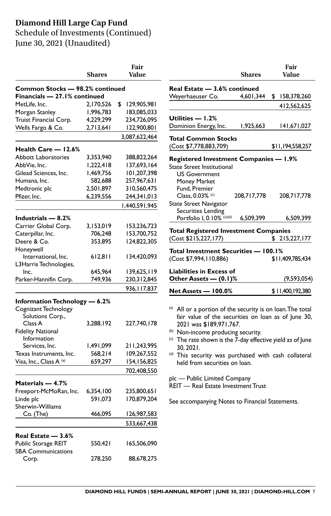### **Diamond Hill Large Cap Fund**

Schedule of Investments (Continued) June 30, 2021 (Unaudited)

|                                 |               | Fair              |
|---------------------------------|---------------|-------------------|
|                                 | <b>Shares</b> | Value             |
| Common Stocks - 98.2% continued |               |                   |
| Financials - 27.1% continued    |               |                   |
| MetLife, Inc.                   | 2,170,526     | 129,905,981<br>\$ |
| Morgan Stanley                  | 1,996,783     | 183,085,033       |
| Truist Financial Corp.          | 4,229,299     | 234,726,095       |
| Wells Fargo & Co.               | 2,713,641     | 122,900,801       |
|                                 |               | 3,087,622,464     |
|                                 |               |                   |
| Health Care — 12.6%             |               |                   |
| <b>Abbott Laboratories</b>      | 3,353,940     | 388,822,264       |
| AbbVie, Inc.                    | 1,222,418     | 137,693,164       |
| Gilead Sciences, Inc.           | 1,469,756     | 101,207,398       |
| Humana, Inc.                    | 582,688       | 257,967,631       |
| Medtronic plc                   | 2,501,897     | 310,560,475       |
| Pfizer, Inc.                    | 6,239,556     | 244,341,013       |
|                                 |               | 1,440,591,945     |
| Industrials — 8.2%              |               |                   |
| Carrier Global Corp.            | 3,153,019     | 153,236,723       |
| Caterpillar, Inc.               | 706,248       | 153,700,752       |
| Deere & Co.                     | 353,895       | 124,822,305       |
| Honeywell                       |               |                   |
| International, Inc.             | 612,811       | 134,420,093       |
| L3 Harris Technologies,         |               |                   |
| Inc.                            | 645,964       | 139,625,119       |
| Parker-Hannifin Corp.           | 749,936       | 230,312,845       |
|                                 |               | 936, II7, 837     |
|                                 |               |                   |
| Information Technology — 6.2%   |               |                   |
| Cognizant Technology            |               |                   |
| Solutions Corp.,<br>Class A     | 3,288,192     | 227,740,178       |
| <b>Fidelity National</b>        |               |                   |
| Information                     |               |                   |
| Services, Inc.                  | 1,491,099     | 211,243,995       |
| Texas Instruments, Inc.         | 568,214       | 109,267,552       |
| Visa, Inc., Class A (a)         | 659,297       | 154,156,825       |
|                                 |               |                   |
|                                 |               | 702,408,550       |
| Materials — 4.7%                |               |                   |
| Freeport-McMoRan, Inc.          | 6,354,100     | 235,800,651       |
| Linde plc                       | 591,073       | 170,879,204       |
| Sherwin-Williams                |               |                   |
| Co. (The)                       | 466,095       | 126,987,583       |
|                                 |               | 533,667,438       |
| Real Estate - 3.6%              |               |                   |
| Public Storage REIT             | 550,421       | 165,506,090       |
| <b>SBA Communications</b>       |               |                   |
| Corp.                           | 278,250       | 88,678,275        |

|                                                            |               | Fair             |
|------------------------------------------------------------|---------------|------------------|
|                                                            | <b>Shares</b> | Value            |
| Real Estate - 3.6% continued                               |               |                  |
| Weyerhaeuser Co.                                           | 4,601,344     | \$158,378,260    |
|                                                            |               | 412,562,625      |
| Utilities — 1.2%                                           |               |                  |
|                                                            |               |                  |
| Dominion Energy, Inc.                                      | 1,925,663     | 141,671,027      |
| <b>Total Common Stocks</b>                                 |               |                  |
| (Cost \$7,778,883,709)                                     |               | \$11,194,558,257 |
| <b>Registered Investment Companies - 1.9%</b>              |               |                  |
| <b>State Street Institutional</b>                          |               |                  |
| <b>US Government</b>                                       |               |                  |
| <b>Money Market</b>                                        |               |                  |
| Fund, Premier                                              |               |                  |
| Class, 0.03% (c)                                           | 208,717,778   | 208,717,778      |
| <b>State Street Navigator</b>                              |               |                  |
| Securities Lending                                         |               |                  |
| Portfolio I, 0.10% (c)(d)                                  | 6,509,399     | 6,509,399        |
| <b>Total Registered Investment Companies</b>               |               |                  |
| (Cost \$215,227,177)                                       |               | \$215,227,177    |
|                                                            |               |                  |
| Total Investment Securities - 100.1%                       |               |                  |
| (Cost \$7,994,110,886)                                     |               | \$11,409,785,434 |
| <b>Liabilities in Excess of</b>                            |               |                  |
| Other Assets — (0.1)%                                      |               | (9,593,054)      |
| <b>Net Assets - 100.0%</b>                                 |               | \$11,400,192,380 |
|                                                            |               |                  |
| (a) All or a portion of the security is on loan. The total |               |                  |
| fair value of the securities on loan as of lune 30,        |               |                  |

- 2021 was \$189,971,767. (b) Non-income producing security.
- $\left($ c) The rate shown is the  $\overline{7}$ -day effective yield as of June 30, 2021.
- (d) This security was purchased with cash collateral held from securities on loan.

plc — Public Limited Company

REIT — Real Estate Investment Trust

See accompanying Notes to Financial Statements.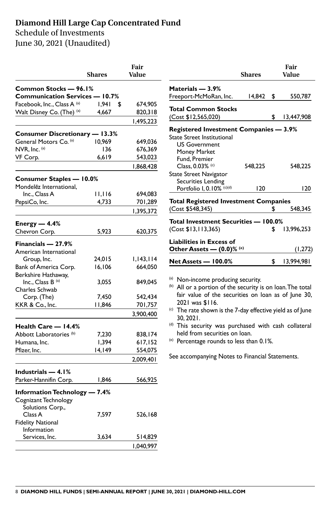#### **Diamond Hill Large Cap Concentrated Fund**

Schedule of Investments June 30, 2021 (Unaudited)

|                                       | Shares      | Fair<br>Value |
|---------------------------------------|-------------|---------------|
| Common Stocks - 96.1%                 |             |               |
| <b>Communication Services — 10.7%</b> |             |               |
| Facebook, Inc., Class A (a)           | 1,941<br>\$ | 674.905       |
| Walt Disney Co. (The) (a)             | 4,667       | 820,318       |
|                                       |             |               |
|                                       |             | 1,495,223     |
| Consumer Discretionary - 13.3%        |             |               |
| General Motors Co. (a)                | 10,969      | 649,036       |
| $NVR$ . Inc. $(a)$                    | 136         | 676,369       |
| VF Corp.                              | 6,619       | 543,023       |
|                                       |             | 1,868,428     |
|                                       |             |               |
| <b>Consumer Staples - 10.0%</b>       |             |               |
| Mondelez International,               |             |               |
| Inc., Class A                         | 11,116      | 694,083       |
| PepsiCo, Inc.                         | 4,733       | 701,289       |
|                                       |             | 1,395,372     |
| Energy $-4.4%$                        |             |               |
| Chevron Corp.                         | 5,923       | 620,375       |
|                                       |             |               |
| Financials — 27.9%                    |             |               |
| American International                |             |               |
| Group, Inc.                           | 24.015      | 1,143,114     |
| Bank of America Corp.                 | 16,106      | 664,050       |
| Berkshire Hathaway,                   |             |               |
| Inc., Class B (a)                     | 3,055       | 849,045       |
| Charles Schwab                        |             |               |
| Corp. (The)                           | 7,450       | 542,434       |
| KKR & Co., Inc.                       | 11,846      | 701,757       |
|                                       |             | 3.900.400     |
| Health Care - 14.4%                   |             |               |
| Abbott Laboratories <sup>(b)</sup>    | 7,230       | 838,174       |
| Humana, Inc.                          | 1.394       | 617,152       |
| Pfizer, Inc.                          | 14,149      | 554,075       |
|                                       |             | 2,009,401     |
|                                       |             |               |
| Industrials - 4.1%                    |             |               |
| Parker-Hannifin Corp.                 | 1,846       | 566,925       |
| <b>Information Technology - 7.4%</b>  |             |               |
| Cognizant Technology                  |             |               |
| Solutions Corp.,                      |             |               |
| Class A                               | 7,597       | 526,168       |
| <b>Fidelity National</b>              |             |               |
| Information                           |             |               |
| Services, Inc.                        | 3,634       | 514,829       |
|                                       |             | 1.040.997     |

|                                               |               | Fair             |
|-----------------------------------------------|---------------|------------------|
|                                               | <b>Shares</b> | Value            |
| Materials - 3.9%                              |               |                  |
| Freeport-McMoRan, Inc.                        | 14,842        | \$<br>550,787    |
| <b>Total Common Stocks</b>                    |               |                  |
| (Cost \$12,565,020)                           |               | \$<br>13,447,908 |
| <b>Registered Investment Companies - 3.9%</b> |               |                  |
| State Street Institutional                    |               |                  |
| <b>US Government</b>                          |               |                  |
| <b>Money Market</b>                           |               |                  |
| Fund, Premier                                 |               |                  |
| Class, 0.03% (c)                              | 548.225       | 548,225          |
| State Street Navigator                        |               |                  |
| Securities Lending                            |               |                  |
| Portfolio I, 0.10% (c)(d)                     | 120           | 120              |
|                                               |               |                  |
| <b>Total Registered Investment Companies</b>  |               |                  |
| (Cost \$548,345)                              |               | \$<br>548.345    |
| Total Investment Securities - 100.0%          |               |                  |
| (Cost \$13,113,365)                           |               | \$<br>13,996,253 |
| <b>Liabilities in Excess of</b>               |               |                  |
| Other Assets — $(0.0)$ % <sup>(e)</sup>       |               | (1,272)          |
| <b>Net Assets — 100.0%</b>                    |               | \$<br>13,994,981 |

(a) Non-income producing security.

(b) All or a portion of the security is on loan. The total fair value of the securities on loan as of June 30, 2021 was \$116.

- $($ c) The rate shown is the 7-day effective yield as of June 30, 2021.
- (d) This security was purchased with cash collateral held from securities on loan.
- (e) Percentage rounds to less than 0.1%.

See accompanying Notes to Financial Statements.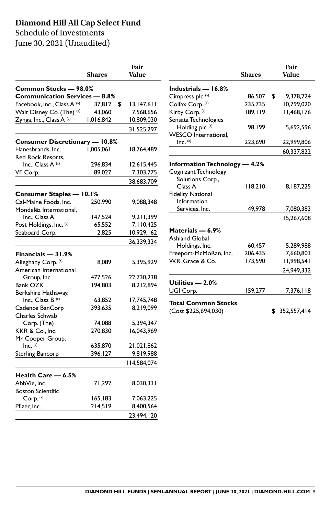## **Diamond Hill All Cap Select Fund**

Schedule of Investments June 30, 2021 (Unaudited)

|                                       | Shares       | Fair<br>Value |
|---------------------------------------|--------------|---------------|
| Common Stocks - 98.0%                 |              |               |
| <b>Communication Services - 8.8%</b>  |              |               |
| Facebook, Inc., Class A (a)           | 37.812<br>\$ | 13,147,611    |
| Walt Disney Co. (The) (a)             | 43,060       | 7,568,656     |
| Zynga, Inc., Class A (a)              | 1,016,842    | 10,809,030    |
|                                       |              | 31,525,297    |
| <b>Consumer Discretionary - 10.8%</b> |              |               |
| Hanesbrands, Inc.                     | 1,005,061    | 18,764,489    |
| Red Rock Resorts,                     |              |               |
| Inc., Class A (a)                     | 296.834      | 12,615,445    |
| VF Corp.                              | 89,027       | 7,303,775     |
|                                       |              | 38,683,709    |
| Consumer Staples - 10.1%              |              |               |
| Cal-Maine Foods, Inc.                 | 250,990      | 9,088,348     |
| Mondelez International,               |              |               |
| Inc., Class A                         | 147,524      | 9,211,399     |
| Post Holdings, Inc. (a)               | 65,552       | 7,110,425     |
| Seaboard Corp.                        | 2,825        | 10,929,162    |
|                                       |              | 36,339,334    |
| Financials - 31.9%                    |              |               |
| Alleghany Corp. (a)                   | 8,089        | 5,395,929     |
| American International                |              |               |
| Group, Inc.                           | 477.526      | 22,730,238    |
| <b>Bank OZK</b>                       | 194,803      | 8,212,894     |
| Berkshire Hathaway,                   |              |               |
| Inc., Class B (a)                     | 63,852       | 17,745,748    |
| Cadence BanCorp                       | 393,635      | 8,219,099     |
| Charles Schwab                        |              |               |
| Corp. (The)                           | 74.088       | 5,394,347     |
| KKR & Co., Inc.                       | 270,830      | 16,043,969    |
| Mr. Cooper Group,                     |              |               |
| $Inc.$ (a)                            | 635,870      | 21,021,862    |
| Sterling Bancorp                      | 396,127      | 9,819,988     |
|                                       |              | 114,584,074   |
| Health Care - 6.5%                    |              |               |
| AbbVie, Inc.                          | 71,292       | 8,030,331     |
| <b>Boston Scientific</b>              |              |               |
| Corp. (a)                             | 165,183      | 7,063,225     |
| Pfizer, Inc.                          | 214,519      | 8,400,564     |
|                                       |              | 23,494,120    |

|                               |               | Fair            |
|-------------------------------|---------------|-----------------|
|                               | <b>Shares</b> | Value           |
| Industrials - 16.8%           |               |                 |
| Cimpress plc (a)              | 86,507        | \$<br>9,378,224 |
| Colfax Corp. (a)              | 235,735       | 10,799,020      |
| Kirby Corp. (a)               | 189,119       | 11,468,176      |
| Sensata Technologies          |               |                 |
| Holding plc (a)               | 98,199        | 5,692,596       |
| <b>WESCO</b> International,   |               |                 |
| $Inc.$ (a)                    | 223,690       | 22,999,806      |
|                               |               | 60,337,822      |
| Information Technology - 4.2% |               |                 |
| Cognizant Technology          |               |                 |
| Solutions Corp.,              |               |                 |
| Class A                       | 118,210       | 8,187,225       |
| <b>Fidelity National</b>      |               |                 |
| Information                   |               |                 |
| Services, Inc.                | 49,978        | 7,080,383       |
|                               |               | 15,267,608      |
| Materials — 6.9%              |               |                 |
| <b>Ashland Global</b>         |               |                 |
| Holdings, Inc.                | 60.457        | 5,289,988       |
| Freeport-McMoRan, Inc.        | 206,435       | 7,660,803       |
| W.R. Grace & Co.              | 173,590       | l I,998,54 I    |
|                               |               | 24,949,332      |
| Utilities $-2.0%$             |               |                 |
| UGI Corp.                     | 159,277       | 7,376,118       |
| Total Common Stocks           |               |                 |
| (Cost \$225,694,030)          |               | \$352,557,414   |
|                               |               |                 |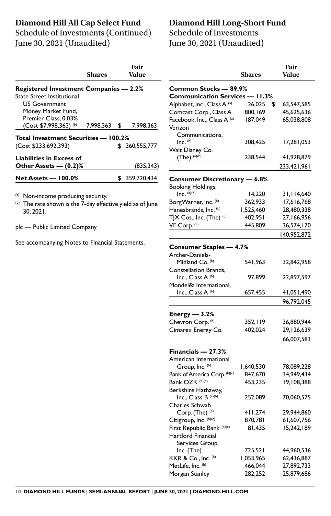## **Diamond Hill All Cap Select Fund**

Schedule of Investments (Continued) June 30, 2021 (Unaudited)

|                                               | Shares    | Fair<br>Value   |
|-----------------------------------------------|-----------|-----------------|
| <b>Registered Investment Companies — 2.2%</b> |           |                 |
| State Street Institutional                    |           |                 |
| <b>US Government</b>                          |           |                 |
| Money Market Fund,                            |           |                 |
| Premier Class, 0.03%                          |           |                 |
| (Cost \$7,998,363) (b)                        | 7.998.363 | \$<br>7.998.363 |
| Total Investment Securities - 100.2%          |           |                 |
| (Cost \$233,692,393)                          |           | \$360,555,777   |
| Liabilities in Excess of                      |           |                 |
| Other Assets — (0.2)%                         |           | (835, 343)      |
| <b>Net Assets — 100.0%</b>                    |           | \$359,720,434   |
|                                               |           |                 |

(a) Non-income producing security.

 $(b)$  The rate shown is the  $7$ -day effective yield as of June 30, 2021.

plc — Public Limited Company

See accompanying Notes to Financial Statements.

#### **Diamond Hill Long-Short Fund**

Schedule of Investments June 30, 2021 (Unaudited)

|                                       |              | Fair        |
|---------------------------------------|--------------|-------------|
|                                       | Shares       | Value       |
| Common Stocks - 89.9%                 |              |             |
| <b>Communication Services - 11.3%</b> |              |             |
| Alphabet, Inc., Class A (a)           | 26,025<br>\$ | 63,547,585  |
| Comcast Corp., Class A                | 800,169      | 45,625,636  |
| Facebook, Inc., Class A (a)           | 187,049      | 65,038,808  |
| Verizon                               |              |             |
| Communications,                       |              |             |
| $Inc.$ $(b)$                          | 308,425      | 17,281,053  |
| Walt Disney Co.                       |              |             |
| $(The )$ <sup>(a)(b)</sup>            | 238,544      | 41,928,879  |
|                                       |              | 233,421,961 |
| <b>Consumer Discretionary - 6.8%</b>  |              |             |
| Booking Holdings,                     |              |             |
| $Inc.$ $(a)(b)$                       | 14,220       | 31,114,640  |
| BorgWarner, Inc. (b)                  | 362,933      | 17,616,768  |
| Hanesbrands, Inc. (b)                 | 1,525,460    | 28,480,338  |
| TJX Cos., Inc. (The) (c)              | 402,951      | 27,166,956  |
| VF Corp. (b)                          | 445,809      | 36,574,170  |
|                                       |              |             |
|                                       |              | 140,952,872 |
| <b>Consumer Staples - 4.7%</b>        |              |             |
| Archer-Daniels-                       |              |             |
| Midland Co. (b)                       | 541,963      | 32,842,958  |
| Constellation Brands,                 |              |             |
| Inc., Class A (b)                     | 97,899       | 22,897,597  |
| Mondelez International,               |              |             |
| Inc., Class A (b)                     | 657,455      | 41,051,490  |
|                                       |              | 96,792,045  |
| Energy $-3.2%$                        |              |             |
| Chevron Corp. (b)                     | 352,119      | 36,880,944  |
| Cimarex Energy Co.                    | 402,024      | 29,126,639  |
|                                       |              | 66,007,583  |
|                                       |              |             |
| Financials - 27.3%                    |              |             |
| American International                |              |             |
| Group, Inc. (b)                       | 1,640,530    | 78,089,228  |
| Bank of America Corp. (b)(c)          | 847,670      | 34,949,434  |
| Bank OZK (b)(c)                       | 453,235      | 19,108,388  |
| Berkshire Hathaway,                   |              |             |
| Inc., Class B (a)(b)                  | 252,089      | 70,060,575  |
| Charles Schwab                        |              |             |
| Corp. (The) (b)                       | 411,274      | 29,944,860  |
| Citigroup, Inc. (b)(c)                | 870,781      | 61,607,756  |
| First Republic Bank (b)(c)            | 81,435       | 15,242,189  |
| Hartford Financial                    |              |             |
| Services Group,                       | 725,521      | 44,960,536  |
| Inc. (The)<br>KKR & Co., Inc. (b)     | 1,053,965    | 62,436,887  |
| MetLife, Inc. (b)                     | 466,044      |             |
|                                       |              | 27,892,733  |
| Morgan Stanley                        | 282,252      | 25,879,686  |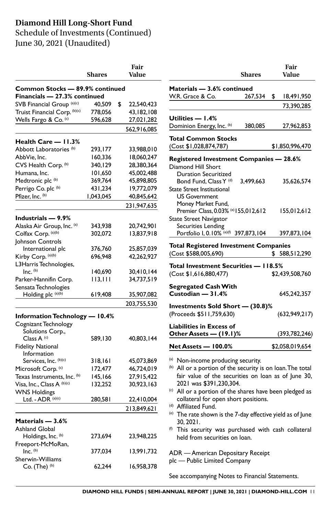#### **Diamond Hill Long-Short Fund**

Schedule of Investments (Continued) June 30, 2021 (Unaudited)

|                                                    |               | Fair             |
|----------------------------------------------------|---------------|------------------|
|                                                    | <b>Shares</b> | Value            |
| Common Stocks - 89.9% continued                    |               |                  |
| Financials - 27.3% continued                       |               |                  |
| SVB Financial Group <sup>(a)(c)</sup>              | 40,509        | \$<br>22,540,423 |
| Truist Financial Corp. (b)(c)                      | 778,056       | 43,182,108       |
| Wells Fargo & Co. (c)                              | 596,628       | 27,021,282       |
|                                                    |               | 562,916,085      |
| Health Care - 11.3%                                |               |                  |
| Abbott Laboratories <sup>(b)</sup>                 | 293,177       | 33,988,010       |
| AbbVie, Inc.                                       | 160,336       | 18,060,247       |
| CVS Health Corp. (b)                               | 340,129       | 28,380,364       |
| Humana, Inc.                                       | 101,650       | 45,002,488       |
| Medtronic plc (b)                                  | 369,764       | 45,898,805       |
| Perrigo Co. plc (b)                                | 431,234       | 19,772,079       |
| Pfizer, Inc. (b)                                   | 1,043,045     | 40,845,642       |
|                                                    |               |                  |
|                                                    |               | 231,947,635      |
| Industrials - 9.9%                                 |               |                  |
| Alaska Air Group, Inc. (a)                         | 343,938       | 20,742,901       |
| Colfax Corp. (a)(b)                                | 302,072       | 13,837,918       |
| Johnson Controls                                   |               |                  |
| International plc                                  | 376.760       | 25,857,039       |
| Kirby Corp. (a)(b)                                 | 696,948       | 42,262,927       |
| L3Harris Technologies,<br>$Inc.$ <sup>(b)</sup>    |               |                  |
|                                                    | 140,690       | 30,410,144       |
| Parker-Hannifin Corp.                              | 113,111       | 34,737,519       |
| Sensata Technologies<br>Holding plc (a)(b)         | 619,408       |                  |
|                                                    |               | 35,907,082       |
|                                                    |               | 203,755,530      |
| <b>Information Technology - 10.4%</b>              |               |                  |
| Cognizant Technology                               |               |                  |
| Solutions Corp.,                                   |               |                  |
| Class $A^{(c)}$                                    | 589,130       | 40,803,144       |
| <b>Fidelity National</b>                           |               |                  |
| Information<br>Services, Inc. (b)(c)               | 318,161       | 45,073,869       |
|                                                    | 172,477       | 46,724,019       |
| Microsoft Corp. (c)<br>Texas Instruments, Inc. (b) | 145,166       | 27,915,422       |
| Visa, Inc., Class A (b)(c)                         |               |                  |
|                                                    | 132,252       | 30,923,163       |
| <b>WNS Holdings</b><br>Ltd. - ADR (a)(c)           |               |                  |
|                                                    | 280,581       | 22,410,004       |
|                                                    |               | 213,849,621      |
| Materials - 3.6%                                   |               |                  |
| Ashland Global                                     |               |                  |
| Holdings, Inc. (b)                                 | 273,694       | 23,948,225       |
| Freeport-McMoRan,                                  |               |                  |
| $Inc.$ $(b)$                                       | 377,034       | 13,991,732       |
| Sherwin-Williams                                   |               |                  |
| $Co.$ (The) $(b)$                                  | 62,244        | 16,958,378       |

|                                                                                                                                          |               | Fair            |
|------------------------------------------------------------------------------------------------------------------------------------------|---------------|-----------------|
|                                                                                                                                          | <b>Shares</b> | Value           |
| Materials - 3.6% continued                                                                                                               |               |                 |
| W.R. Grace & Co.                                                                                                                         | 267,534 \$    | 18,491,950      |
|                                                                                                                                          |               | 73,390,285      |
| Utilities - 1.4%                                                                                                                         |               |                 |
| Dominion Energy, Inc. (b)                                                                                                                | 380,085       | 27,962,853      |
| <b>Total Common Stocks</b><br>(Cost \$1,028,874,787)                                                                                     |               | \$1,850,996,470 |
|                                                                                                                                          |               |                 |
| <b>Registered Investment Companies - 28.6%</b>                                                                                           |               |                 |
| Diamond Hill Short<br><b>Duration Securitized</b><br>Bond Fund, Class Y (d)<br><b>State Street Institutional</b><br><b>US Government</b> | 3.499.663     | 35,626,574      |
| Money Market Fund,<br>Premier Class, 0.03% (e) 155,012,612<br><b>State Street Navigator</b><br>Securities Lending                        |               | 155,012,612     |
| Portfolio I, 0.10% <sup>(e)(f)</sup> 397,873,104                                                                                         |               | 397,873,104     |
| <b>Total Registered Investment Companies</b>                                                                                             |               |                 |
| (Cost \$588,005,690)                                                                                                                     |               | \$588,512,290   |
| Total Investment Securities - 118.5%                                                                                                     |               |                 |
| (Cost \$1,616,880,477)                                                                                                                   |               | \$2,439,508,760 |
| <b>Segregated Cash With</b><br>Custodian - 31.4%                                                                                         |               | 645,242,357     |
| Investments Sold Short - (30.8)%<br>(Proceeds \$511,759,630)                                                                             |               | (632, 949, 217) |
| <b>Liabilities in Excess of</b><br>Other Assets - (19.1)%                                                                                |               | (393, 782, 246) |
| Net Assets - 100.0%                                                                                                                      |               | \$2,058,019,654 |
| (a) Non-income producing security.<br>$\phi$ ). All on a nombian of the convictivity on loop The total                                   |               |                 |

 $(b)$  All or a portion of the security is on loan. The total

fair value of the securities on loan as of June 30, 2021 was \$391,230,304.

- (c) All or a portion of the shares have been pledged as collateral for open short positions.
- (d) Affiliated Fund.
- (e) The rate shown is the 7-day effective yield as of June 30, 2021.
- (f) This security was purchased with cash collateral held from securities on loan.

ADR — American Depositary Receipt plc — Public Limited Company

See accompanying Notes to Financial Statements.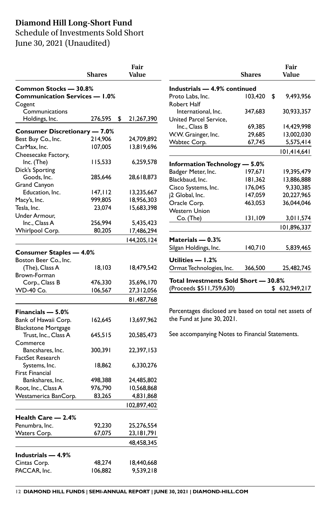### **Diamond Hill Long-Short Fund**

Schedule of Investments Sold Short June 30, 2021 (Unaudited)

|                                      |               | Fair                     |
|--------------------------------------|---------------|--------------------------|
|                                      | <b>Shares</b> | Value                    |
| Common Stocks - 30.8%                |               |                          |
| Communication Services - 1.0%        |               |                          |
| Cogent                               |               |                          |
| Communications                       |               |                          |
| Holdings, Inc.                       | 276,595       | \$<br>21,267,390         |
| <b>Consumer Discretionary - 7.0%</b> |               |                          |
|                                      | 214.906       |                          |
| Best Buy Co., Inc.<br>CarMax, Inc.   | 107,005       | 24,709,892<br>13,819,696 |
|                                      |               |                          |
| Cheesecake Factory,<br>Inc. (The)    | 115,533       | 6,259,578                |
| Dick's Sporting                      |               |                          |
| Goods, Inc.                          | 285,646       | 28,618,873               |
| <b>Grand Canyon</b>                  |               |                          |
| Education, Inc.                      | 147, 112      | 13,235,667               |
| Macy's, Inc.                         | 999,805       | 18,956,303               |
| Tesla, Inc.                          | 23.074        | 15,683,398               |
| Under Armour,                        |               |                          |
| Inc., Class A                        | 256,994       | 5,435,423                |
| Whirlpool Corp.                      | 80,205        | 17,486,294               |
|                                      |               |                          |
|                                      |               | 144,205,124              |
| <b>Consumer Staples - 4.0%</b>       |               |                          |
| Boston Beer Co., Inc.                |               |                          |
| (The), Class A                       | 18,103        | 18,479,542               |
| Brown-Forman                         |               |                          |
| Corp., Class B                       | 476,330       | 35,696,170               |
| WD-40 Co.                            | 106,567       | 27,312,056               |
|                                      |               | 81,487,768               |
| Financials — 5.0%                    |               |                          |
| Bank of Hawaii Corp.                 | 162,645       | 13,697,962               |
| <b>Blackstone Mortgage</b>           |               |                          |
| Trust, Inc., Class A                 | 645,515       | 20,585,473               |
| Commerce                             |               |                          |
| Bancshares, Inc.                     | 300,391       | 22,397,153               |
| FactSet Research                     |               |                          |
| Systems, Inc.                        | 18,862        | 6,330,276                |
| <b>First Financial</b>               |               |                          |
| Bankshares, Inc.                     | 498,388       | 24,485,802               |
| Root, Inc., Class A                  | 976,790       | 10,568,868               |
| Westamerica BanCorp.                 | 83,265        | 4,831,868                |
|                                      |               | 102,897,402              |
|                                      |               |                          |
| Health Care - 2.4%                   |               |                          |
| Penumbra, Inc.                       | 92,230        | 25,276,554               |
| Waters Corp.                         | 67,075        | 23,181,791               |
|                                      |               | 48,458,345               |
|                                      |               |                          |
| Industrials - 4.9%                   |               |                          |
| Cintas Corp.                         | 48.274        | 18,440,668               |
| PACCAR, Inc.                         | 106,882       | 9,539,218                |

|                                      |               | Fair            |
|--------------------------------------|---------------|-----------------|
|                                      | <b>Shares</b> | Value           |
| Industrials - 4.9% continued         |               |                 |
| Proto Labs, Inc.                     | 103.420       | \$<br>9.493.956 |
| Robert Half                          |               |                 |
| International, Inc.                  | 347,683       | 30,933,357      |
| United Parcel Service.               |               |                 |
| Inc., Class B                        | 69,385        | 14,429,998      |
| W.W. Grainger, Inc.                  | 29.685        | 13,002,030      |
| Wabtec Corp.                         | 67,745        | 5,575,414       |
|                                      |               | 101,414,641     |
| Information Technology — 5.0%        |               |                 |
| Badger Meter, Inc.                   | 197.671       | 19,395,479      |
| Blackbaud, Inc.                      | 181,362       | 13,886,888      |
| Cisco Systems, Inc.                  | 176,045       | 9,330,385       |
| i2 Global, Inc.                      | 147.059       | 20.227.965      |
| Oracle Corp.                         | 463.053       | 36.044.046      |
| <b>Western Union</b>                 |               |                 |
| Co. (The)                            | 131,109       | 3,011,574       |
|                                      |               | 101,896,337     |
| Materials - 0.3%                     |               |                 |
| Silgan Holdings, Inc.                | 140,710       | 5,839,465       |
| Utilities $-1.2%$                    |               |                 |
| Ormat Technologies, Inc.             | 366,500       | 25,482,745      |
| Total Investments Sold Short - 30.8% |               |                 |
| (Proceeds \$511,759,630)             |               | \$632,949,217   |

Percentages disclosed are based on total net assets of the Fund at June 30, 2021.

See accompanying Notes to Financial Statements.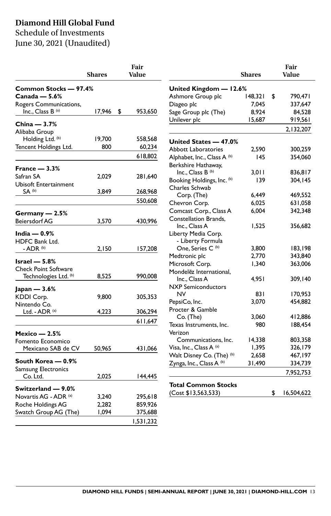## **Diamond Hill Global Fund**

Schedule of Investments June 30, 2021 (Unaudited)

|                             | <b>Shares</b> | Fair<br>Value |
|-----------------------------|---------------|---------------|
| Common Stocks - 97.4%       |               |               |
| $Canada - 5.6%$             |               |               |
| Rogers Communications,      |               |               |
| Inc., Class B (a)           | 17,946        | \$<br>953,650 |
| $China - 3.7%$              |               |               |
| Alibaba Group               |               |               |
| Holding Ltd. (b)            | 19,700        | 558,568       |
| Tencent Holdings Ltd.       | 800           | 60,234        |
|                             |               |               |
|                             |               | 618,802       |
| France — 3.3%               |               |               |
| Safran SA                   | 2,029         | 281,640       |
| Ubisoft Entertainment       |               |               |
| SA <sup>(b)</sup>           | 3,849         | 268,968       |
|                             |               | 550,608       |
| Germany — 2.5%              |               |               |
| <b>Beiersdorf AG</b>        | 3,570         | 430,996       |
|                             |               |               |
| India — 0.9%                |               |               |
| <b>HDFC Bank Ltd.</b>       |               |               |
| - ADR $(b)$                 | 2,150         | 157,208       |
| Israel — 5.8%               |               |               |
| <b>Check Point Software</b> |               |               |
| Technologies Ltd. (b)       | 8,525         | 990,008       |
|                             |               |               |
| Japan - 3.6%<br>KDDI Corp.  |               |               |
| Nintendo Co.                | 9,800         | 305,353       |
| Ltd. - ADR (a)              | 4,223         | 306,294       |
|                             |               | 611,647       |
|                             |               |               |
| Mexico — 2.5%               |               |               |
| Fomento Economico           |               |               |
| Mexicano SAB de CV          | 50,965        | 431,066       |
| South Korea - 0.9%          |               |               |
| <b>Samsung Electronics</b>  |               |               |
| Co. Ltd.                    | 2,025         | 144,445       |
| Switzerland - 9.0%          |               |               |
| Novartis AG - ADR (a)       | 3,240         | 295,618       |
| Roche Holdings AG           | 2,282         | 859,926       |
| Swatch Group AG (The)       | 1,094         | 375,688       |
|                             |               |               |
|                             |               | 1,531,232     |

|                                      |               | Fair             |
|--------------------------------------|---------------|------------------|
|                                      | <b>Shares</b> | Value            |
| United Kingdom - 12.6%               |               |                  |
| Ashmore Group plc                    | 148,321       | \$<br>790,471    |
| Diageo plc                           | 7,045         | 337,647          |
| Sage Group plc (The)                 | 8,924         | 84,528           |
| Unilever plc                         | 15,687        | 919,561          |
|                                      |               | 2,132,207        |
| United States - 47.0%                |               |                  |
| <b>Abbott Laboratories</b>           | 2,590         | 300,259          |
| Alphabet, Inc., Class A (b)          | 145           | 354,060          |
| Berkshire Hathaway,                  |               |                  |
| Inc., Class B (b)                    | 3.0 I I       | 836,817          |
| Booking Holdings, Inc. (b)           | 139           | 304,145          |
| Charles Schwab                       |               |                  |
| Corp. (The)                          | 6,449         | 469,552          |
| Chevron Corp.                        | 6,025         | 631,058          |
| Comcast Corp., Class A               | 6,004         | 342,348          |
| Constellation Brands,                |               |                  |
| Inc., Class A                        | 1,525         | 356,682          |
| Liberty Media Corp.                  |               |                  |
| - Liberty Formula                    |               |                  |
| One, Series C <sup>(b)</sup>         | 3,800         | 183,198          |
| Medtronic plc                        | 2,770         | 343,840          |
| Microsoft Corp.                      | 1,340         | 363,006          |
| Mondelez International,              |               |                  |
| Inc Class A                          | 4,951         | 309,140          |
| <b>NXP Semiconductors</b><br>NV      |               |                  |
|                                      | 831           | 170,953          |
| PepsiCo, Inc.<br>Procter & Gamble    | 3.070         | 454.882          |
|                                      | 3.060         | 412,886          |
| Co. (The)<br>Texas Instruments, Inc. | 980           | 188,454          |
| Verizon                              |               |                  |
| Communications, Inc.                 | 14,338        | 803,358          |
| Visa, Inc., Class A (a)              | 1,395         | 326,179          |
| Walt Disney Co. (The) (b)            | 2,658         | 467,197          |
| Zynga, Inc., Class A (b)             | 31,490        | 334,739          |
|                                      |               |                  |
|                                      |               | 7,952,753        |
| <b>Total Common Stocks</b>           |               |                  |
| (Cost \$13,563,533)                  |               | \$<br>16,504,622 |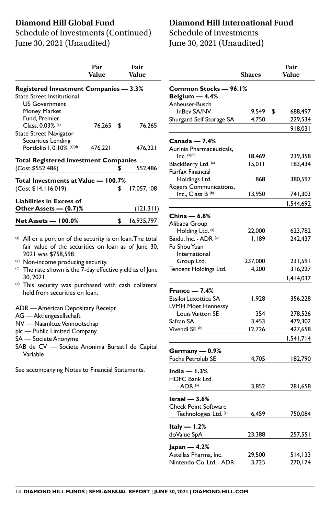#### **Diamond Hill Global Fund**

#### Schedule of Investments (Continued) June 30, 2021 (Unaudited)

|                                                                                     | Par<br>Value | Fair<br>Value    |
|-------------------------------------------------------------------------------------|--------------|------------------|
| <b>Registered Investment Companies - 3.3%</b>                                       |              |                  |
| State Street Institutional<br><b>US Government</b><br>Money Market<br>Fund, Premier |              |                  |
| Class, 0.03% (c)                                                                    | 76.265 \$    | 76,265           |
| <b>State Street Navigator</b><br>Securities Lending<br>Portfolio I, 0.10% (c)(d)    | 476,221      | 476,221          |
| <b>Total Registered Investment Companies</b>                                        |              |                  |
| (Cost \$552,486)                                                                    |              | \$<br>552.486    |
| Total Investments at Value — 100.7%                                                 |              |                  |
| (Cost \$14,116,019)                                                                 |              | \$<br>17.057.108 |
| Liabilities in Excess of                                                            |              |                  |
| Other Assets — (0.7)%                                                               |              | (121,311)        |
| <b>Net Assets — 100.0%</b>                                                          |              | \$<br>16,935,797 |

(a) All or a portion of the security is on loan. The total fair value of the securities on loan as of June 30, 2021 was \$758,598.

- (b) Non-income producing security.
- $\left($ c) The rate shown is the 7-day effective yield as of lune 30, 2021.
- (d) This security was purchased with cash collateral held from securities on loan.

ADR — American Depositary Receipt

- AG Aktiengesellschaft
- NV Naamloze Vennootschap
- plc Public Limited Company
- SA Societe Anonyme
- SAB de CV Societe Anonima Bursatil de Capital Variable

See accompanying Notes to Financial Statements.

#### **Diamond Hill International Fund**

Schedule of Investments June 30, 2021 (Unaudited)

|                             | Shares  | Fair<br><b>Value</b> |
|-----------------------------|---------|----------------------|
| Common Stocks - 96.1%       |         |                      |
| Belgium — 4.4%              |         |                      |
| Anheuser-Busch              |         |                      |
| InBev SA/NV                 | 9,549   | \$<br>688,497        |
| Shurgard Self Storage SA    | 4,750   | 229,534              |
|                             |         | 918,031              |
| Canada - 7.4%               |         |                      |
| Aurinia Pharmaceuticals,    |         |                      |
| $Inc.$ $(a)(b)$             | 18,469  | 239,358              |
| BlackBerry Ltd. (a)         | 15,011  | 183,434              |
|                             |         |                      |
| Fairfax Financial           | 868     |                      |
| Holdings Ltd.               |         | 380,597              |
| Rogers Communications,      |         |                      |
| Inc., Class B (b)           | 13,950  | 741,303              |
|                             |         | 1,544,692            |
| $China - 6.8%$              |         |                      |
| Alibaba Group               |         |                      |
| Holding Ltd. (a)            | 22,000  | 623,782              |
| Baidu, Inc. - ADR (a)       | I, 189  | 242,437              |
| Fu Shou Yuan                |         |                      |
| International               |         |                      |
| Group Ltd.                  | 237,000 | 231,591              |
| Tencent Holdings Ltd.       | 4,200   | 316,227              |
|                             |         | 1,414,037            |
| France $-7.4%$              |         |                      |
| EssilorLuxottica SA         | 1,928   | 356,228              |
| LVMH Moet Hennessy          |         |                      |
| <b>Louis Vuitton SE</b>     | 354     | 278,526              |
| Safran SA                   | 3,453   | 479,302              |
| Vivendi SE <sup>(b)</sup>   | 12,726  | 427,658              |
|                             |         | 1,541,714            |
| Germany - 0.9%              |         |                      |
| Fuchs Petrolub SE           | 4,705   | 182,790              |
| India $-1.3%$               |         |                      |
| HDFC Bank Ltd.              |         |                      |
| - ADR (a)                   | 3,852   | 281,658              |
|                             |         |                      |
| $Israel - 3.6%$             |         |                      |
| <b>Check Point Software</b> |         |                      |
| Technologies Ltd. (a)       | 6,459   | 750,084              |
| Italy $-1.2%$               |         |                      |
| doValue SpA                 | 23,388  | 257,551              |
| Japan — 4.2%                |         |                      |
| Astellas Pharma, Inc.       | 29,500  | 514,133              |
| Nintendo Co. Ltd. - ADR     | 3,725   | 270,174              |
|                             |         |                      |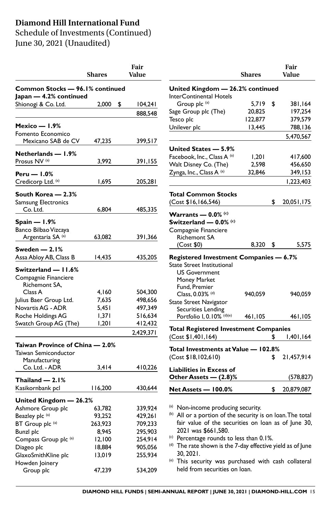#### **Diamond Hill International Fund**

Schedule of Investments (Continued) June 30, 2021 (Unaudited)

|                                                                          | <b>Shares</b> | Fair<br>Value |
|--------------------------------------------------------------------------|---------------|---------------|
| Common Stocks - 96.1% continued<br>Japan — 4.2% continued                |               |               |
| Shionogi & Co. Ltd.                                                      | 2,000         | 104,241<br>\$ |
|                                                                          |               | 888,548       |
| Mexico $-1.9%$<br>Fomento Economico<br>Mexicano SAB de CV                | 47,235        | 399,517       |
|                                                                          |               |               |
| Netherlands - 1.9%<br>Prosus NV <sup>(a)</sup>                           | 3,992         | 391,155       |
| Peru - 1.0%                                                              |               |               |
| Credicorp Ltd. (a)                                                       | 1,695         | 205,281       |
| South Korea - 2.3%<br><b>Samsung Electronics</b>                         |               |               |
| Co. Ltd.                                                                 | 6,804         | 485,335       |
| Spain — 1.9%<br>Banco Bilbao Vizcaya<br>Argentaria SA <sup>(a)</sup>     | 63,082        | 391,366       |
| Sweden $-2.1%$                                                           |               |               |
| Assa Abloy AB, Class B                                                   | 14,435        | 435,205       |
| Switzerland - 11.6%<br>Compagnie Financiere<br>Richemont SA,             |               |               |
| Class A                                                                  | 4,160         | 504,300       |
| Julius Baer Group Ltd.                                                   | 7,635         | 498,656       |
| Novartis AG - ADR                                                        | 5,45 I        | 497,349       |
| Roche Holdings AG                                                        | 1,371         | 516,634       |
| Swatch Group AG (The)                                                    | 1,201         | 412,432       |
|                                                                          |               | 2,429,371     |
| Taiwan Province of China - 2.0%<br>Taiwan Semiconductor<br>Manufacturing |               |               |
| Co. Ltd. - ADR                                                           | 3,414         | 410,226       |
| Thailand $-2.1\%$                                                        |               |               |
| Kasikornbank pcl                                                         | 116,200       | 430,644       |
| United Kingdom — 26.2%                                                   |               |               |
| Ashmore Group plc                                                        | 63,782        | 339,924       |
| Beazley plc (a)                                                          | 93,252        | 429,261       |
| BT Group plc (a)                                                         | 263,923       | 709,233       |
| Bunzl plc                                                                | 8,945         | 295,903       |
| Compass Group plc (a)                                                    | 12,100        | 254,914       |
| Diageo plc                                                               | 18.884        | 905.056       |
| GlaxoSmithKline plc<br>Howden Joinery                                    | 13,019        | 255,934       |
| Group plc                                                                | 47,239        | 534,209       |

|                                                          | <b>Shares</b> | Fair<br>Value    |
|----------------------------------------------------------|---------------|------------------|
| United Kingdom - 26.2% continued                         |               |                  |
| InterContinental Hotels                                  |               |                  |
| Group plc (a)                                            | 5,719         | \$<br>381,164    |
| Sage Group plc (The)                                     | 20,825        | 197,254          |
| Tesco plc                                                | 122.877       | 379.579          |
| Unilever plc                                             | 13,445        | 788,136          |
|                                                          |               | 5,470,567        |
| United States - 5.9%                                     |               |                  |
| Facebook, Inc., Class A (a)                              | 1,201         | 417,600          |
| Walt Disney Co. (The)                                    | 2,598         | 456,650          |
| Zynga, Inc., Class A (a)                                 | 32,846        | 349,153          |
|                                                          |               | 1,223,403        |
|                                                          |               |                  |
| Total Common Stocks<br>(Cost \$16,166,546)               |               | \$               |
|                                                          |               | 20,051,175       |
| Warrants — $0.0\%$ <sup>(c)</sup>                        |               |                  |
| Switzerland — $0.0\%$ (c)                                |               |                  |
| Compagnie Financiere                                     |               |                  |
| Richemont SA                                             |               |                  |
| (Cost \$0)                                               | 8,320 \$      | 5,575            |
| <b>Registered Investment Companies - 6.7%</b>            |               |                  |
| State Street Institutional                               |               |                  |
| <b>US Government</b>                                     |               |                  |
| Money Market                                             |               |                  |
| Fund, Premier                                            |               |                  |
| Class, 0.03% (d)                                         | 940,059       | 940,059          |
| <b>State Street Navigator</b>                            |               |                  |
| Securities Lending                                       |               |                  |
| Portfolio I, 0.10% (d)(e)                                | 461,105       | 461,105          |
| <b>Total Registered Investment Companies</b>             |               |                  |
| (Cost \$1,401,164)                                       |               | \$<br>1,401,164  |
| Total Investments at Value — 102.8%                      |               |                  |
| (Cost \$18,102,610)                                      |               | \$<br>21,457,914 |
|                                                          |               |                  |
| <b>Liabilities in Excess of</b><br>Other Assets - (2.8)% |               | (578, 827)       |
| <b>Net Assets — 100.0%</b>                               |               | \$<br>20,879,087 |
|                                                          |               |                  |
| (a)<br>Non-income producing security.                    |               |                  |

(b) All or a portion of the security is on loan. The total fair value of the securities on loan as of June 30, 2021 was \$661,580.

- $(c)$  Percentage rounds to less than 0.1%.
- $^{(d)}$  The rate shown is the 7-day effective yield as of June 30, 2021.

(e) This security was purchased with cash collateral held from securities on loan.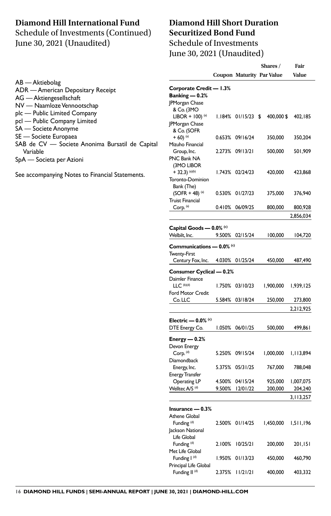#### **Diamond Hill International Fund**

### Schedule of Investments (Continued) June 30, 2021 (Unaudited)

| AB — Aktiebolag                                 |
|-------------------------------------------------|
| ADR — American Depositary Receipt               |
| AG - Aktiengesellschaft                         |
| NV - Naamloze Vennootschap                      |
| plc - Public Limited Company                    |
| pcl - Public Company Limited                    |
| SA - Societe Anonyme                            |
| SE - Societe Europaea                           |
| SAB de CV - Societe Anonima Bursatil de Capital |
| Variable                                        |
| SpA — Societa per Azioni                        |

See accompanying Notes to Financial Statements.

## **Diamond Hill Short Duration Securitized Bond Fund** Schedule of Investments

June 30, 2021 (Unaudited)

|                                             |        |          | Shares /                  | Fair         |
|---------------------------------------------|--------|----------|---------------------------|--------------|
|                                             |        |          | Coupon Maturity Par Value | Value        |
| Corporate Credit - 1.3%                     |        |          |                           |              |
| Banking — 0.2%                              |        |          |                           |              |
| JPMorgan Chase<br>& Co. (3MO                |        |          |                           |              |
| LIBOR + 100) (a)                            | I.184% | 01/15/23 | \$<br>400,000\$           | 402,185      |
| JPMorgan Chase                              |        |          |                           |              |
| & Co. (SOFR                                 |        |          |                           |              |
| $+60)$ (a)                                  | 0.653% | 09/16/24 | 350,000                   | 350,204      |
| Mizuho Financial                            |        |          |                           |              |
| Group, Inc.                                 | 2.273% | 09/13/21 | 500.000                   | 501,909      |
| PNC Bank NA                                 |        |          |                           |              |
| (3MO LIBOR                                  |        |          |                           |              |
| $+32.3)$ (a)(b)                             | 1.743% | 02/24/23 | 420,000                   | 423.868      |
| Toronto-Dominion                            |        |          |                           |              |
| Bank (The)<br>$(SOFR + 48)^{(a)}$           | 0.530% | 01/27/23 | 375,000                   | 376,940      |
| <b>Truist Financial</b>                     |        |          |                           |              |
| Corp. (a)                                   | 0.410% | 06/09/25 | 800,000                   | 800,928      |
|                                             |        |          |                           | 2,856,034    |
|                                             |        |          |                           |              |
| Capital Goods - 0.0% (c)                    |        |          |                           |              |
| Welbilt, Inc.                               | 9.500% | 02/15/24 | 100,000                   | 104,720      |
| Communications - 0.0% (c)                   |        |          |                           |              |
| <b>Twenty-First</b>                         |        |          |                           |              |
| Century Fox, Inc.                           | 4.030% | 01/25/24 | 450,000                   | 487,490      |
|                                             |        |          |                           |              |
| Consumer Cyclical - 0.2%<br>Daimler Finance |        |          |                           |              |
| LLC <sup>(b)(d)</sup>                       | 1.750% | 03/10/23 | 1,900,000                 | 1,939,125    |
| Ford Motor Credit                           |        |          |                           |              |
| Co.LLC                                      | 5.584% | 03/18/24 | 250,000                   | 273,800      |
|                                             |        |          |                           | 2,212,925    |
|                                             |        |          |                           |              |
| Electric - 0.0% (c)                         |        |          |                           |              |
| DTE Energy Co.                              | 1.050% | 06/01/25 | 500,000                   | 499,861      |
| Energy $-0.2%$                              |        |          |                           |              |
| Devon Energy                                |        |          |                           |              |
| Corp. <sup>(d)</sup>                        | 5.250% | 09/15/24 | 1,000,000                 | I, II3,894   |
| Diamondback                                 |        |          |                           |              |
| Energy, Inc.                                | 5.375% | 05/31/25 | 767,000                   | 788,048      |
| <b>Energy Transfer</b>                      |        |          |                           |              |
| <b>Operating LP</b>                         | 4.500% | 04/15/24 | 925.000                   | 1.007.075    |
| Welltec A/S <sup>(d)</sup>                  | 9.500% | 12/01/22 | 200,000                   | 204,240      |
|                                             |        |          |                           | 3, I 13, 257 |
| Insurance — 0.3%                            |        |          |                           |              |
| Athene Global                               |        |          |                           |              |
| Funding <sup>(d)</sup>                      | 2.500% | 01/14/25 | 1,450,000                 | 1,511,196    |
| Jackson National                            |        |          |                           |              |
| Life Global                                 |        |          |                           |              |
| Funding <sup>(d)</sup>                      | 2.100% | 10/25/21 | 200,000                   | 201,151      |
| Met Life Global                             |        |          |                           |              |
| Funding I <sup>(d)</sup>                    | 1.950% | 01/13/23 | 450,000                   | 460,790      |
| Principal Life Global                       |        |          |                           |              |
| Funding II <sup>(d)</sup>                   | 2.375% | 11/21/21 | 400,000                   | 403,332      |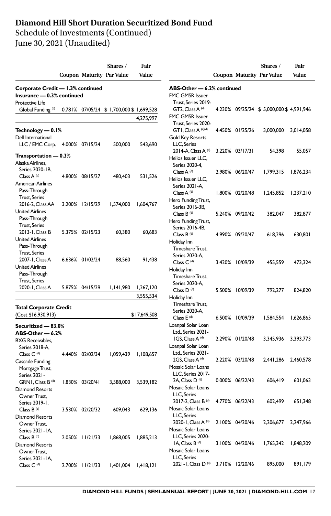|                                              |        | Shares /        |                                           | Fair         |                                       |
|----------------------------------------------|--------|-----------------|-------------------------------------------|--------------|---------------------------------------|
|                                              |        |                 | Coupon Maturity Par Value                 | Value        |                                       |
| Corporate Credit - 1.3% continued            |        |                 |                                           |              | ABS-Other-                            |
| Insurance - 0.3% continued                   |        |                 |                                           |              | <b>FMC GMSR Issue</b>                 |
| Protective Life                              |        |                 |                                           |              | Trust, Series 20                      |
| Global Funding (d)                           |        |                 | 0.781% 07/05/24 \$ 1,700,000 \$ 1,699,528 |              | GT2, Class A (d)                      |
|                                              |        |                 |                                           | 4,275,997    | <b>FMC GMSR Issue</b>                 |
|                                              |        |                 |                                           |              | Trust, Series 20                      |
| Technology — 0.1%                            |        |                 |                                           |              | GT1, Class A (a)                      |
| Dell International                           |        |                 |                                           |              | Gold Key Resort:                      |
| LLC / EMC Corp.                              | 4.000% | 07/15/24        | 500,000                                   | 543,690      | LLC, Series<br>2014-A, Class A        |
| Transportation - 0.3%                        |        |                 |                                           |              | <b>Helios Issuer LLC</b>              |
| Alaska Airlines,                             |        |                 |                                           |              | Series 2020-4,                        |
| Series 2020-1B,                              |        |                 |                                           |              | Class A <sup>(d)</sup>                |
| Class A <sup>(d)</sup>                       | 4.800% | 08/15/27        | 480,403                                   | 531,526      | Helios Issuer LLC                     |
| American Airlines                            |        |                 |                                           |              | Series 2021-A,                        |
| Pass-Through                                 |        |                 |                                           |              | Class A (d)                           |
| <b>Trust, Series</b>                         |        |                 |                                           |              | Hero Funding Tru                      |
| 2016-2, Class AA                             | 3.200% | 12/15/29        | 1,574,000                                 | 1,604,767    | Series 2016-3B,                       |
| <b>United Airlines</b>                       |        |                 |                                           |              | Class B <sup>(d)</sup>                |
| Pass-Through                                 |        |                 |                                           |              | Hero Funding Tru                      |
| <b>Trust, Series</b>                         |        |                 |                                           |              | Series 2016-4B,                       |
| 2013-1, Class B                              |        | 5.375% 02/15/23 | 60,380                                    | 60,683       | Class B <sup>(d)</sup>                |
| <b>United Airlines</b>                       |        |                 |                                           |              | Holiday Inn                           |
| Pass-Through                                 |        |                 |                                           |              | <b>Timeshare Trus</b>                 |
| <b>Trust, Series</b><br>2007-1, Class A      |        | 6.636% 01/02/24 | 88,560                                    | 91,438       | Series 2020-A,                        |
| <b>United Airlines</b>                       |        |                 |                                           |              | Class $C^{(d)}$                       |
| Pass-Through                                 |        |                 |                                           |              | Holiday Inn                           |
| <b>Trust, Series</b>                         |        |                 |                                           |              | <b>Timeshare Trus</b>                 |
| 2020-1, Class A                              |        | 5.875% 04/15/29 | 1,141,980                                 | 1,267,120    | Series 2020-A,                        |
|                                              |        |                 |                                           |              | Class D <sup>(d)</sup>                |
|                                              |        |                 |                                           | 3,555,534    | Holiday Inn                           |
| <b>Total Corporate Credit</b>                |        |                 |                                           |              | <b>Timeshare Trus</b>                 |
| (Cost \$16,930,913)                          |        |                 |                                           | \$17,649,508 | Series 2020-A,                        |
|                                              |        |                 |                                           |              | Class E <sup>(d)</sup>                |
| Securitized - 83.0%                          |        |                 |                                           |              | Loanpal Solar Loa<br>Ltd., Series 202 |
| ABS-Other - 6.2%                             |        |                 |                                           |              | IGS, Class A (d)                      |
| <b>BXG Receivables,</b>                      |        |                 |                                           |              | Loanpal Solar Loa                     |
| Series 2018-A,                               |        |                 |                                           |              | Ltd., Series 202                      |
| Class C <sup>(d)</sup>                       |        | 4.440% 02/02/34 | 1,059,439                                 | 1,108,657    | 2GS, Class A (d)                      |
| Cascade Funding                              |        |                 |                                           |              | Mosaic Solar Loa                      |
| Mortgage Trust,                              |        |                 |                                           |              | LLC, Series 201                       |
| Series 2021-<br>GRN1, Class B <sup>(d)</sup> |        | 1.830% 03/20/41 | 3,588,000                                 | 3,539,182    | 2A, Class D <sup>(d)</sup>            |
|                                              |        |                 |                                           |              | Mosaic Solar Loa                      |
| <b>Diamond Resorts</b>                       |        |                 |                                           |              | LLC, Series                           |
| Owner Trust,<br>Series 2019-1,               |        |                 |                                           |              | 2017-2, Class B                       |
| Class B <sup>(d)</sup>                       |        | 3.530% 02/20/32 | 609,043                                   | 629,136      | Mosaic Solar Loa                      |
| <b>Diamond Resorts</b>                       |        |                 |                                           |              | LLC, Series                           |
| Owner Trust,                                 |        |                 |                                           |              | 2020-1, Class A                       |
| Series 2021-1A,                              |        |                 |                                           |              | Mosaic Solar Loa                      |
| Class B <sup>(d)</sup>                       | 2.050% | 11/21/33        | 1,868,005                                 | 1,885,213    | LLC, Series 202                       |
| <b>Diamond Resorts</b>                       |        |                 |                                           |              | IA, Class B <sup>(d)</sup>            |
| Owner Trust,                                 |        |                 |                                           |              | Mosaic Solar Loa                      |
| Series 2021-1A,                              |        |                 |                                           |              | LLC, Series                           |
| Class C <sup>(d)</sup>                       | 2.700% | 11/21/33        | 1,401,004                                 | 1,418,121    | 2021-1, Class D                       |
|                                              |        |                 |                                           |              |                                       |

|                                |        |          | Shares /                                | Fair      |
|--------------------------------|--------|----------|-----------------------------------------|-----------|
|                                |        |          | Coupon Maturity Par Value               | Value     |
| ABS-Other - 6.2% continued     |        |          |                                         |           |
| <b>FMC GMSR Issuer</b>         |        |          |                                         |           |
| Trust, Series 2019-            |        |          |                                         |           |
| GT2, Class A (d)               |        |          | 4.230% 09/25/24 \$5,000,000 \$4,991,946 |           |
| <b>FMC GMSR Issuer</b>         |        |          |                                         |           |
| Trust, Series 2020-            |        |          |                                         |           |
| GTI, Class A (a)(d)            | 4.450% | 01/25/26 | 3,000,000                               | 3,014,058 |
| Gold Key Resorts               |        |          |                                         |           |
| LLC, Series                    |        |          |                                         |           |
| 2014-A, Class A (d)            | 3.220% | 03/17/31 | 54.398                                  | 55,057    |
| Helios Issuer LLC,             |        |          |                                         |           |
| Series 2020-4,                 |        |          |                                         |           |
| Class $A^{(d)}$                | 2.980% | 06/20/47 | 1.799.315                               | 1.876.234 |
| Helios Issuer LLC,             |        |          |                                         |           |
| Series 2021-A,                 |        |          |                                         |           |
| Class A (d)                    | 1.800% | 02/20/48 | I,245,852                               | 1,237,210 |
| Hero Funding Trust,            |        |          |                                         |           |
| Series 2016-3B,                |        |          |                                         |           |
| Class B <sup>(d)</sup>         | 5.240% | 09/20/42 | 382,047                                 | 382,877   |
| Hero Funding Trust,            |        |          |                                         |           |
| Series 2016-4B,                |        |          |                                         |           |
| Class B <sup>(d)</sup>         | 4.990% | 09/20/47 | 618.296                                 | 630,801   |
| Holiday Inn                    |        |          |                                         |           |
| Timeshare Trust,               |        |          |                                         |           |
| Series 2020-A,                 |        |          |                                         |           |
| Class C <sup>(d)</sup>         | 3.420% | 10/09/39 | 455,559                                 | 473,324   |
| Holiday Inn                    |        |          |                                         |           |
| Timeshare Trust,               |        |          |                                         |           |
| Series 2020-A,                 |        |          |                                         |           |
| Class $D^{(d)}$                | 5.500% | 10/09/39 | 792.277                                 | 824.820   |
| Holiday Inn                    |        |          |                                         |           |
| Timeshare Trust,               |        |          |                                         |           |
| Series 2020-A,                 |        |          |                                         |           |
| Class E <sup>(d)</sup>         | 6.500% | 10/09/39 | 1.584.554                               | 1,626,865 |
| Loanpal Solar Loan             |        |          |                                         |           |
| Ltd., Series 2021-             |        |          |                                         |           |
| IGS, Class A (d)               | 2.290% | 01/20/48 | 3,345,936                               | 3,393,773 |
| Loanpal Solar Loan             |        |          |                                         |           |
| Ltd., Series 2021-             |        |          |                                         |           |
| 2GS, Class A (d)               | 2.220% | 03/20/48 | 2,441,286                               | 2.460.578 |
| Mosaic Solar Loans             |        |          |                                         |           |
| LLC, Series 2017-              |        |          |                                         |           |
| 2A, Class D <sup>(d)</sup>     | 0.000% | 06/22/43 | 606,419                                 | 601,063   |
| Mosaic Solar Loans             |        |          |                                         |           |
| LLC, Series                    |        |          |                                         |           |
| 2017-2, Class B (d)            | 4.770% | 06/22/43 | 602,499                                 | 651,348   |
| Mosaic Solar Loans             |        |          |                                         |           |
| LLC, Series                    |        |          |                                         |           |
| 2020-1, Class A (d)            | 2.100% | 04/20/46 | 2,206,677                               | 2,247,966 |
| Mosaic Solar Loans             |        |          |                                         |           |
| LLC, Series 2020-              |        |          |                                         |           |
| IA, Class B <sup>(d)</sup>     | 3.100% | 04/20/46 | 1,765,342                               | 1,848,209 |
| Mosaic Solar Loans             |        |          |                                         |           |
| LLC, Series                    |        |          |                                         |           |
| 2021-1, Class D <sup>(d)</sup> | 3.710% | 12/20/46 | 895,000                                 | 891,179   |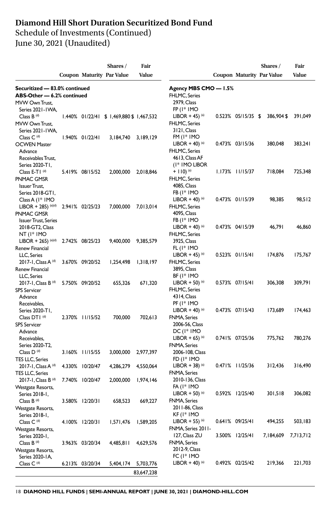|                                                                                       |                  |                      | Shares /                                  | Fair                   |                                                                                     |                    | Shares /                  | Fair      |
|---------------------------------------------------------------------------------------|------------------|----------------------|-------------------------------------------|------------------------|-------------------------------------------------------------------------------------|--------------------|---------------------------|-----------|
|                                                                                       |                  |                      | Coupon Maturity Par Value                 | Value                  |                                                                                     |                    | Coupon Maturity Par Value | Value     |
| Securitized - 83.0% continued<br>ABS-Other - 6.2% continued                           |                  |                      |                                           |                        | Agency MBS CMO - 1.5%<br>FHLMC, Series                                              |                    |                           |           |
| MVW Own Trust.<br>Series 2021-IWA.                                                    |                  |                      |                                           |                        | 2979, Class<br>FP (I* IMO                                                           |                    |                           |           |
| Class $B^{(d)}$<br>MVW Own Trust,                                                     |                  |                      | 1.440% 01/22/41 \$ 1,469,880 \$ 1,467,532 |                        | LIBOR + 45) (a)<br><b>FHLMC, Series</b>                                             | 0.523% 05/15/35 \$ | 386,904\$                 | 391,049   |
| Series 2021-IWA,<br>Class C <sup>(d)</sup>                                            |                  | 1.940% 01/22/41      | 3,184,740                                 | 3,189,129              | 3121, Class<br>FM (I* IMO                                                           |                    |                           |           |
| <b>OCWEN Master</b><br>Advance<br>Receivables Trust,<br>Series 2020-T1,               |                  |                      |                                           |                        | LIBOR + 40) (a)<br><b>FHLMC, Series</b><br>4613, Class AF<br>(I* IMO LIBOR          | 0.473% 03/15/36    | 380,048                   | 383,241   |
| Class E-T1 <sup>(d)</sup><br>PNMAC GMSR<br><b>Issuer Trust,</b><br>Series 2018-GTI,   |                  | 5.419% 08/15/52      | 2,000,000                                 | 2,018,846              | $+$ 110) <sup>(a)</sup><br><b>FHLMC, Series</b><br><b>4085, Class</b><br>FB (I* IMO | 1.173% 11/15/37    | 718,084                   | 725,348   |
| Class A (I* IMO<br>LIBOR + 285) $(a)(d)$<br>PNMAC GMSR<br><b>Issuer Trust, Series</b> |                  | 2.941% 02/25/23      | 7,000,000                                 | 7,013,014              | $LIBOR + 40$ ) (a)<br>FHLMC, Series<br>4095, Class<br>FB (I* IMO                    | 0.473% 01/15/39    | 98,385                    | 98,512    |
| 2018-GT2, Class<br>NT (I* IMO<br>LIBOR + 265) $(a)(d)$                                |                  | 2.742% 08/25/23      | 9,400,000                                 | 9,385,579              | LIBOR + 40) (a)<br><b>FHLMC, Series</b><br>3925, Class                              | 0.473% 04/15/39    | 46,791                    | 46.860    |
| <b>Renew Financial</b><br>LLC, Series<br>2017-1, Class A (d)                          |                  | 3.670% 09/20/52      | 1,254,498                                 | 1,318,197              | FL (I* IMO<br>LIBOR + 45) (a)<br>FHLMC, Series                                      | 0.523% 01/15/41    | 174,876                   | 175,767   |
| <b>Renew Financial</b><br>LLC, Series<br>2017-1, Class B <sup>(d)</sup>               |                  | 5.750% 09/20/52      | 655,326                                   | 671,320                | 3895, Class<br>BF (I* IMO<br>LIBOR + 50) (a)                                        | 0.573% 07/15/41    | 306,308                   | 309,791   |
| <b>SPS Servicer</b><br>Advance<br>Receivables,                                        |                  |                      |                                           |                        | <b>FHLMC, Series</b><br>4314, Class<br>PF (I* IMO                                   |                    |                           |           |
| Series 2020-T1,<br>Class DT1 <sup>(d)</sup><br><b>SPS Servicer</b><br>Advance         |                  | 2.370% 11/15/52      | 700,000                                   | 702,613                | LIBOR + 40) (a)<br>FNMA, Series<br>2006-56, Class<br>DC (I* IMO                     | 0.473% 07/15/43    | 173,689                   | 174,463   |
| Receivables,<br>Series 2020-T2,                                                       |                  |                      |                                           |                        | LIBOR + 65) (a)<br>FNMA, Series                                                     | 0.741% 07/25/36    | 775,762                   | 780,276   |
| Class $D^{(d)}$<br><b>TES LLC, Series</b><br>2017-1, Class A (d)                      | 3.160%<br>4.330% | 11/15/55<br>10/20/47 | 3,000,000                                 | 2,977,397<br>4,550,064 | 2006-108, Class<br>FD (I* IMO<br>LIBOR + 38) $^{(a)}$                               | 0.471% 11/25/36    | 312,436                   | 316,490   |
| <b>TES LLC, Series</b><br>2017-1, Class B (d)                                         | 7.740%           | 10/20/47             | 4,286,279<br>2,000,000                    | 1,974,146              | <b>FNMA, Series</b><br>2010-136, Class                                              |                    |                           |           |
| Westgate Resorts,<br>Series 2018-1,                                                   |                  |                      |                                           |                        | FA (I* IMO<br>LIBOR + 50) (a)                                                       | 0.592% 12/25/40    | 301,518                   | 306,082   |
| Class B <sup>(d)</sup><br>Westgate Resorts,<br>Series 2018-1.                         | 3.580%           | 12/20/31             | 658,523                                   | 669,227                | FNMA, Series<br>2011-86, Class<br>KF (I* IMO                                        |                    |                           |           |
| Class $C^{(d)}$<br>Westgate Resorts,                                                  |                  | 4.100% 12/20/31      | 1,571,476                                 | 1,589,205              | LIBOR + 55) (a)<br>FNMA, Series 2011-                                               | $0.641\%$ 09/25/41 | 494,255                   | 503,183   |
| Series 2020-1,<br>Class B <sup>(d)</sup><br>Westgate Resorts,                         |                  | 3.963% 03/20/34      | 4,485,811                                 | 4,629,576              | 127, Class ZU<br><b>FNMA, Series</b><br>2012-9, Class                               | 3.500% 12/25/41    | 7,184,609                 | 7,713,712 |
| Series 2020-1A,<br>Class C <sup>(d)</sup>                                             |                  | 6.213% 03/20/34      | 5,404,174                                 | 5,703,776              | FC (I* IMO<br>LIBOR + 40) (a)                                                       | 0.492% 02/25/42    | 219,366                   | 221,703   |
|                                                                                       |                  |                      |                                           | 83,647,238             |                                                                                     |                    |                           |           |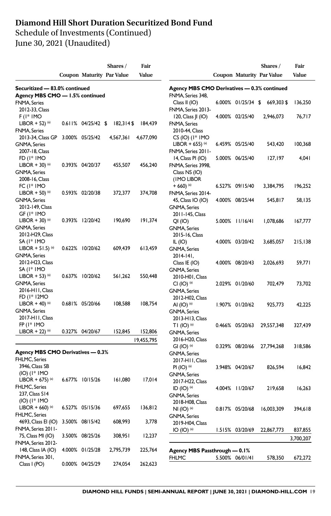|                                        |                    | Shares /                  | Fair       |                                             |                    | Shares /                  | Fair      |
|----------------------------------------|--------------------|---------------------------|------------|---------------------------------------------|--------------------|---------------------------|-----------|
|                                        |                    | Coupon Maturity Par Value | Value      |                                             |                    | Coupon Maturity Par Value | Value     |
| Securitized - 83.0% continued          |                    |                           |            | Agency MBS CMO Derivatives - 0.3% continued |                    |                           |           |
| Agency MBS CMO - 1.5% continued        |                    |                           |            | FNMA, Series 348,                           |                    |                           |           |
| <b>FNMA, Series</b>                    |                    |                           |            | Class II (IO)                               | 6.000% 01/25/34 \$ | 669,303 \$                | 136,250   |
| 2012-33, Class                         |                    |                           |            | FNMA, Series 2013-                          |                    |                           |           |
| $F(I^*IMO)$                            |                    |                           |            | $120$ , Class $ I(IO) $                     | 4.000% 02/25/40    | 2,946,073                 | 76,717    |
| LIBOR + 52) $^{(a)}$                   | 0.611% 04/25/42 \$ | 182,314\$                 | 184,439    | <b>FNMA, Series</b>                         |                    |                           |           |
| <b>FNMA, Series</b>                    |                    |                           |            | 2010-44, Class                              |                    |                           |           |
| 2013-34, Class GP                      | 3.000% 05/25/42    | 4,567,361                 | 4,677,090  | $CS$ (IO) (1 $*$ IMO                        |                    |                           |           |
| <b>GNMA, Series</b>                    |                    |                           |            | LIBOR + 655) <sup>(a)</sup>                 | 6.459% 05/25/40    | 543,420                   | 100,368   |
| 2007-18, Class                         |                    |                           |            | FNMA, Series 2011-                          |                    |                           |           |
| FD (I* IMO<br>LIBOR + 30) (a)          | 0.393% 04/20/37    | 455,507                   | 456,240    | 14, Class PI (IO)                           | 5.000% 06/25/40    | 127,197                   | 4,041     |
|                                        |                    |                           |            | FNMA, Series 3998,                          |                    |                           |           |
| <b>GNMA, Series</b><br>2008-16, Class  |                    |                           |            | Class NS (IO)                               |                    |                           |           |
| FC $(1*$ IMO                           |                    |                           |            | (IMO LIBOR<br>$+660$ ) (a)                  | 6.527% 09/15/40    | 3,384,795                 | 196,252   |
| LIBOR + 50) (a)                        | 0.593% 02/20/38    | 372,377                   | 374,708    |                                             |                    |                           |           |
| <b>GNMA, Series</b>                    |                    |                           |            | FNMA, Series 2014-<br>45, Class IO (IO)     | 4.000% 08/25/44    | 545,817                   | 58,135    |
| 2012-149, Class                        |                    |                           |            | <b>GNMA, Series</b>                         |                    |                           |           |
| GF (I* IMO                             |                    |                           |            | 2011-145, Class                             |                    |                           |           |
| LIBOR + 30) (a)                        | 0.393% 12/20/42    | 190,690                   | 191,374    | QI (IO)                                     | 5.000% 11/16/41    | 1,078,686                 | 167,777   |
| <b>GNMA, Series</b>                    |                    |                           |            | GNMA, Series                                |                    |                           |           |
| 2012-H29, Class                        |                    |                           |            | 2015-16, Class                              |                    |                           |           |
| SA (I* IMO                             |                    |                           |            | IL $(IO)$                                   | 4.000% 03/20/42    | 3,685,057                 | 215,138   |
| LIBOR + 51.5) <sup>(a)</sup>           | 0.622% 10/20/62    | 609,439                   | 613,459    | <b>GNMA, Series</b>                         |                    |                           |           |
| <b>GNMA, Series</b>                    |                    |                           |            | 2014-141,                                   |                    |                           |           |
| 2012-H23, Class                        |                    |                           |            | Class IE (IO)                               | 4.000% 08/20/43    | 2,026,693                 | 59,771    |
| SA (I* IMO                             |                    |                           |            | GNMA, Series                                |                    |                           |           |
| LIBOR + 53) (a)                        | 0.637% 10/20/62    | 561,262                   | 550,448    | 2010-H01, Class                             |                    |                           |           |
| <b>GNMA, Series</b>                    |                    |                           |            | CI (IO) $(a)$                               | 2.029% 01/20/60    | 702,479                   | 73,702    |
| 2016-H11, Class                        |                    |                           |            | <b>GNMA, Series</b>                         |                    |                           |           |
| FD (1* 12MO                            |                    |                           |            | 2012-H02, Class                             |                    |                           |           |
| LIBOR + 40) (a)                        | 0.681% 05/20/66    | 108,588                   | 108,754    | AI (IO) (a)                                 | 1.907% 01/20/62    | 925,773                   | 42,225    |
| <b>GNMA, Series</b>                    |                    |                           |            | GNMA, Series                                |                    |                           |           |
| 2017-H11, Class                        |                    |                           |            | 2013-H13, Class                             |                    |                           |           |
| FP (I* IMO                             |                    |                           |            | TI (IO) (a)                                 | 0.466% 05/20/63    | 29,557,348                | 327,439   |
| LIBOR + 22) (a)                        | 0.327% 04/20/67    | 152,845                   | 152,806    | <b>GNMA, Series</b>                         |                    |                           |           |
|                                        |                    |                           | 19,455,795 | 2016-H20, Class                             |                    |                           |           |
|                                        |                    |                           |            | GI (IO) <sup>(a)</sup>                      | 0.329% 08/20/66    | 27,794,268                | 318,586   |
| Agency MBS CMO Derivatives - 0.3%      |                    |                           |            | <b>GNMA, Series</b>                         |                    |                           |           |
| <b>FHLMC, Series</b><br>3946, Class SB |                    |                           |            | 2017-H11, Class                             |                    |                           |           |
| (IO) (I* IMO                           |                    |                           |            | $PI (IO)$ <sup>(a)</sup>                    | 3.948% 04/20/67    | 826,594                   | 16,842    |
| LIBOR + 675) <sup>(a)</sup>            | 6.677% 10/15/26    | 161,080                   | 17,014     | <b>GNMA, Series</b>                         |                    |                           |           |
| <b>FHLMC, Series</b>                   |                    |                           |            | 2017-H22, Class                             |                    |                           |           |
| 237, Class S14                         |                    |                           |            | ID (IO) $(a)$                               | 4.004% 11/20/67    | 219,658                   | 16,263    |
| (IO) (I* IMO                           |                    |                           |            | <b>GNMA, Series</b><br>2018-H08, Class      |                    |                           |           |
| LIBOR + 660) (a)                       | 6.527% 05/15/36    | 697,655                   | 136,812    | $NI (IO)$ <sup>(a)</sup>                    | 0.817% 05/20/68    | 16,003,309                | 394,618   |
| <b>FHLMC, Series</b>                   |                    |                           |            | GNMA, Series                                |                    |                           |           |
| 4693, Class EI (IO) 3.500% 08/15/42    |                    | 608,993                   | 3,778      | 2019-H04, Class                             |                    |                           |           |
| FNMA, Series 2011-                     |                    |                           |            | $IO$ (IO) $(a)$                             | 1.515% 03/20/69    | 22,867,773                | 837,855   |
| 75, Class MI (IO)                      | 3.500% 08/25/26    | 308,951                   | 12,237     |                                             |                    |                           |           |
| FNMA, Series 2012-                     |                    |                           |            |                                             |                    |                           | 3,700,207 |
| 148, Class IA (IO)                     | 4.000% 01/25/28    | 2,795,739                 | 225,764    | Agency MBS Passthrough - 0.1%               |                    |                           |           |
| FNMA, Series 301,                      |                    |                           |            | <b>FHLMC</b>                                | 5.500% 06/01/41    | 578,350                   | 672,272   |
| Class I (PO)                           | 0.000% 04/25/29    | 274,054                   | 262,623    |                                             |                    |                           |           |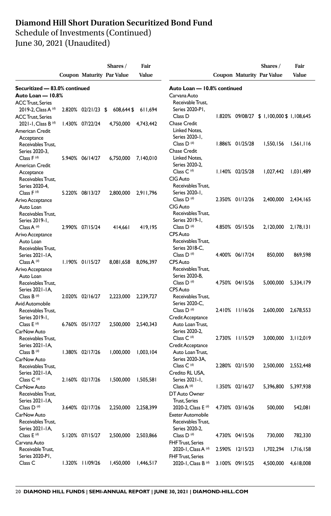|                                       |                    | Shares /                  | Fair      |                                                |        |                 | Shares /                                  | Fair      |
|---------------------------------------|--------------------|---------------------------|-----------|------------------------------------------------|--------|-----------------|-------------------------------------------|-----------|
|                                       |                    | Coupon Maturity Par Value | Value     |                                                |        |                 | Coupon Maturity Par Value                 | Value     |
| Securitized - 83.0% continued         |                    |                           |           | Auto Loan - 10.8% continued                    |        |                 |                                           |           |
| Auto Loan - 10.8%                     |                    |                           |           | Carvana Auto                                   |        |                 |                                           |           |
| <b>ACC Trust, Series</b>              |                    |                           |           | Receivable Trust,                              |        |                 |                                           |           |
| 2019-2, Class A (d)                   | 2.820% 02/21/23 \$ | 608,644 \$                | 611,694   | Series 2020-PI,                                |        |                 |                                           |           |
| <b>ACC Trust, Series</b>              |                    |                           |           | Class D                                        |        |                 | 1.820% 09/08/27 \$ 1,100,000 \$ 1,108,645 |           |
| 2021-1. Class B (d)                   | 1.430% 07/22/24    | 4,750,000                 | 4,743,442 | <b>Chase Credit</b>                            |        |                 |                                           |           |
| American Credit                       |                    |                           |           | Linked Notes,                                  |        |                 |                                           |           |
| Acceptance                            |                    |                           |           | Series 2020-1,                                 |        |                 |                                           |           |
| Receivables Trust,                    |                    |                           |           | Class D <sup>(d)</sup>                         |        | 1.886% 01/25/28 | 1,550,156                                 | 1,561,116 |
| Series 2020-3.                        |                    |                           |           | <b>Chase Credit</b>                            |        |                 |                                           |           |
| Class $F^{(d)}$                       | 5.940% 06/14/27    | 6,750,000                 | 7,140,010 | Linked Notes,<br>Series 2020-2.                |        |                 |                                           |           |
| American Credit                       |                    |                           |           | Class $C^{(d)}$                                |        | 1.140% 02/25/28 | 1,027,442                                 | 1,031,489 |
| Acceptance<br>Receivables Trust,      |                    |                           |           | CIG Auto                                       |        |                 |                                           |           |
| Series 2020-4,                        |                    |                           |           | Receivables Trust,                             |        |                 |                                           |           |
| Class F <sup>(d)</sup>                | 5.220% 08/13/27    | 2,800,000                 | 2,911,796 | Series 2020-1,                                 |        |                 |                                           |           |
| Arivo Acceptance                      |                    |                           |           | Class $D^{(d)}$                                |        | 2.350% 01/12/26 | 2,400,000                                 | 2,434,165 |
| Auto Loan                             |                    |                           |           | CIG Auto                                       |        |                 |                                           |           |
| Receivables Trust,                    |                    |                           |           | Receivables Trust,                             |        |                 |                                           |           |
| Series 2019-1.                        |                    |                           |           | Series 2019-1,                                 |        |                 |                                           |           |
| Class $A^{(d)}$                       | 2.990% 07/15/24    | 414.661                   | 419,195   | Class D <sup>(d)</sup>                         |        | 4.850% 05/15/26 | 2,120,000                                 | 2,178,131 |
| Arivo Acceptance                      |                    |                           |           | CPS Auto                                       |        |                 |                                           |           |
| Auto Loan                             |                    |                           |           | Receivables Trust,                             |        |                 |                                           |           |
| Receivables Trust,                    |                    |                           |           | Series 2018-C,                                 |        |                 |                                           |           |
| Series 2021-1A,                       |                    |                           |           | Class D <sup>(d)</sup>                         |        | 4.400% 06/17/24 | 850,000                                   | 869,598   |
| Class A (d)                           | 1.190% 01/15/27    | 8,081,658                 | 8,096,397 | CPS Auto                                       |        |                 |                                           |           |
| Arivo Acceptance                      |                    |                           |           | Receivables Trust,                             |        |                 |                                           |           |
| Auto Loan                             |                    |                           |           | Series 2020-B.                                 |        |                 |                                           |           |
| Receivables Trust,                    |                    |                           |           | Class D <sup>(d)</sup>                         |        | 4.750% 04/15/26 | 5,000,000                                 | 5,334,179 |
| Series 2021-1A.                       |                    |                           |           | <b>CPS</b> Auto                                |        |                 |                                           |           |
| Class $B^{(d)}$                       | 2.020% 02/16/27    | 2,223,000                 | 2,239,727 | Receivables Trust.<br>Series 2020-C.           |        |                 |                                           |           |
| Avid Automobile<br>Receivables Trust, |                    |                           |           | Class $D^{(d)}$                                |        | 2.410% 11/16/26 | 2.600.000                                 | 2.678.553 |
| Series 2019-1,                        |                    |                           |           | Credit Acceptance                              |        |                 |                                           |           |
| Class E <sup>(d)</sup>                | 6.760% 05/17/27    | 2,500,000                 | 2,540,343 | Auto Loan Trust,                               |        |                 |                                           |           |
| CarNow Auto                           |                    |                           |           | Series 2020-2,                                 |        |                 |                                           |           |
| Receivables Trust,                    |                    |                           |           | Class C <sup>(d)</sup>                         |        | 2.730% 11/15/29 | 3,000,000                                 | 3,112,019 |
| Series 2021-1A.                       |                    |                           |           | Credit Acceptance                              |        |                 |                                           |           |
| Class $B^{(d)}$                       | 1.380% 02/17/26    | 1,000,000                 | 1,003,104 | Auto Loan Trust,                               |        |                 |                                           |           |
| CarNow Auto                           |                    |                           |           | Series 2020-3A,                                |        |                 |                                           |           |
| Receivables Trust,                    |                    |                           |           | Class $C^{(d)}$                                |        | 2.280% 02/15/30 | 2,500,000                                 | 2,552,448 |
| Series 2021-1A,                       |                    |                           |           | Credito RL USA,                                |        |                 |                                           |           |
| Class $C$ <sup>(d)</sup>              | 2.160% 02/17/26    | 1,500,000                 | 1,505,581 | Series 2021-1,                                 |        |                 |                                           |           |
| CarNow Auto                           |                    |                           |           | Class A (d)                                    |        | 1.350% 02/16/27 | 5,396,800                                 | 5,397,938 |
| Receivables Trust,                    |                    |                           |           | DT Auto Owner                                  |        |                 |                                           |           |
| Series 2021-1A,                       |                    |                           |           | Trust, Series                                  |        |                 |                                           |           |
| Class $D^{(d)}$                       | 3.640% 02/17/26    | 2,250,000                 | 2,258,399 | 2020-2, Class E <sup>(d)</sup>                 |        | 4.730% 03/16/26 | 500,000                                   | 542,081   |
| CarNow Auto                           |                    |                           |           | <b>Exeter Automobile</b><br>Receivables Trust, |        |                 |                                           |           |
| Receivables Trust,<br>Series 2021-1A, |                    |                           |           | Series 2020-2,                                 |        |                 |                                           |           |
| Class E <sup>(d)</sup>                | 5.120% 07/15/27    | 2,500,000                 | 2,503,866 | Class D <sup>(d)</sup>                         |        | 4.730% 04/15/26 | 730,000                                   | 782,330   |
| Carvana Auto                          |                    |                           |           | <b>FHF Trust, Series</b>                       |        |                 |                                           |           |
| Receivable Trust,                     |                    |                           |           | 2020-1, Class A (d)                            | 2.590% | 12/15/23        | 1,702,294                                 | 1,716,158 |
| Series 2020-PI.                       |                    |                           |           | <b>FHF Trust, Series</b>                       |        |                 |                                           |           |
| Class <sub>C</sub>                    | 1.320% 11/09/26    | 1,450,000                 | 1,446,517 | 2020-1, Class B (d)                            |        | 3.100% 09/15/25 | 4,500,000                                 | 4,618,008 |
|                                       |                    |                           |           |                                                |        |                 |                                           |           |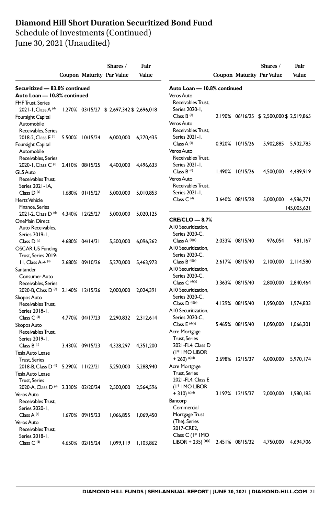|                                                |        |                    | Shares /                                  | Fair      |                                       |        |                 | Shares /                                  | Fair        |
|------------------------------------------------|--------|--------------------|-------------------------------------------|-----------|---------------------------------------|--------|-----------------|-------------------------------------------|-------------|
|                                                |        |                    | Coupon Maturity Par Value                 | Value     |                                       |        |                 | Coupon Maturity Par Value                 | Value       |
| Securitized - 83.0% continued                  |        |                    |                                           |           | Auto Loan - 10.8% continued           |        |                 |                                           |             |
| Auto Loan - 10.8% continued                    |        |                    |                                           |           | Veros Auto                            |        |                 |                                           |             |
| <b>FHF Trust, Series</b>                       |        |                    |                                           |           | Receivables Trust,                    |        |                 |                                           |             |
| 2021-1, Class A (d)                            |        |                    | 1.270% 03/15/27 \$ 2,697,342 \$ 2,696,018 |           | Series 2020-1.                        |        |                 |                                           |             |
| Foursight Capital                              |        |                    |                                           |           | Class $B^{(d)}$                       |        |                 | 2.190% 06/16/25 \$ 2,500,000 \$ 2,519,865 |             |
| Automobile                                     |        |                    |                                           |           | Veros Auto                            |        |                 |                                           |             |
| Receivables, Series                            |        |                    |                                           |           | Receivables Trust,                    |        |                 |                                           |             |
| 2018-2, Class E (d)                            |        | 5.500% 10/15/24    | 6,000,000                                 | 6,270,435 | Series 2021-1,                        |        |                 |                                           |             |
| Foursight Capital                              |        |                    |                                           |           | Class $A^{(d)}$                       | 0.920% | 10/15/26        | 5,902,885                                 | 5,902,785   |
| Automobile                                     |        |                    |                                           |           | Veros Auto                            |        |                 |                                           |             |
| Receivables, Series                            |        |                    |                                           |           | Receivables Trust,                    |        |                 |                                           |             |
| 2020-1, Class C (d)                            |        | 2.410% 08/15/25    | 4,400,000                                 | 4,496,633 | Series 2021-1,                        |        |                 |                                           |             |
| <b>GLS Auto</b>                                |        |                    |                                           |           | Class $B^{(d)}$                       | 1.490% | 10/15/26        | 4,500,000                                 | 4,489,919   |
| Receivables Trust,                             |        |                    |                                           |           | Veros Auto                            |        |                 |                                           |             |
| Series 2021-1A,                                |        |                    |                                           |           | Receivables Trust,                    |        |                 |                                           |             |
| Class $D^{(d)}$                                |        | $1.680\%$ 01/15/27 | 5,000,000                                 | 5,010,853 | Series 2021-1.                        |        |                 |                                           |             |
| <b>Hertz Vehicle</b>                           |        |                    |                                           |           | Class C <sup>(d)</sup>                |        | 3.640% 08/15/28 | 5,000,000                                 | 4,986,771   |
| Finance, Series                                |        |                    |                                           |           |                                       |        |                 |                                           | 145,005,621 |
| 2021-2, Class D <sup>(d)</sup>                 |        | 4.340% 12/25/27    | 5,000,000                                 | 5,020,125 |                                       |        |                 |                                           |             |
| OneMain Direct                                 |        |                    |                                           |           | $CRE/CLO - 8.7%$                      |        |                 |                                           |             |
| Auto Receivables,                              |        |                    |                                           |           | A10 Securitization,                   |        |                 |                                           |             |
| Series 2019-1.                                 |        |                    |                                           |           | Series 2020-C,                        |        |                 |                                           |             |
| Class $D^{(d)}$                                |        | 4.680% 04/14/31    | 5,500,000                                 | 6,096,262 | Class A (d)(e)                        |        | 2.033% 08/15/40 | 976,054                                   | 981,167     |
| <b>OSCAR US Funding</b>                        |        |                    |                                           |           | A10 Securitization,                   |        |                 |                                           |             |
| Trust, Series 2019-                            |        |                    |                                           |           | Series 2020-C,                        |        |                 |                                           |             |
| $II$ , Class A-4 (d)                           |        | 2.680% 09/10/26    | 5,270,000                                 | 5,463,973 | Class $B^{(d)(e)}$                    |        | 2.617% 08/15/40 | 2,100,000                                 | 2,114,580   |
| Santander                                      |        |                    |                                           |           | A10 Securitization,                   |        |                 |                                           |             |
| Consumer Auto                                  |        |                    |                                           |           | Series 2020-C,<br>Class $C^{(d)(e)}$  |        | 3.363% 08/15/40 | 2,800,000                                 | 2,840,464   |
| Receivables, Series                            |        |                    |                                           |           |                                       |        |                 |                                           |             |
| 2020-B, Class D <sup>(d)</sup>                 |        | 2.140% 12/15/26    | 2,000,000                                 | 2,024,391 | A10 Securitization,<br>Series 2020-C, |        |                 |                                           |             |
| Skopos Auto                                    |        |                    |                                           |           | Class D (d)(e)                        |        | 4.129% 08/15/40 | 1,950,000                                 | 1,974,833   |
| Receivables Trust,<br>Series 2018-1,           |        |                    |                                           |           | A10 Securitization,                   |        |                 |                                           |             |
| Class $C^{(d)}$                                |        | 4.770% 04/17/23    | 2.290.832                                 | 2.312.614 | Series 2020-C,                        |        |                 |                                           |             |
| Skopos Auto                                    |        |                    |                                           |           | Class E <sup>(d)(e)</sup>             |        | 5.465% 08/15/40 | 1.050.000                                 | 1,066,301   |
| Receivables Trust,                             |        |                    |                                           |           | Acre Mortgage                         |        |                 |                                           |             |
| Series 2019-1,                                 |        |                    |                                           |           | <b>Trust, Series</b>                  |        |                 |                                           |             |
| Class B <sup>(d)</sup>                         |        | 3.430% 09/15/23    | 4,328,297                                 | 4,351,200 | 2021-FL4, Class D                     |        |                 |                                           |             |
| Tesla Auto Lease                               |        |                    |                                           |           | (I* IMO LIBOR                         |        |                 |                                           |             |
| <b>Trust, Series</b>                           |        |                    |                                           |           | $+ 260$ ) (a)(d)                      | 2.698% | 12/15/37        | 6,000,000                                 | 5,970,174   |
| 2018-B, Class D <sup>(d)</sup>                 | 5.290% | 11/22/21           | 5,250,000                                 | 5,288,940 | Acre Mortgage                         |        |                 |                                           |             |
| Tesla Auto Lease                               |        |                    |                                           |           | <b>Trust, Series</b>                  |        |                 |                                           |             |
| <b>Trust, Series</b>                           |        |                    |                                           |           | 2021-FL4, Class E                     |        |                 |                                           |             |
| 2020-A, Class D <sup>(d)</sup> 2.330% 02/20/24 |        |                    | 2,500,000                                 | 2,564,596 | (I* IMO LIBOR                         |        |                 |                                           |             |
| Veros Auto                                     |        |                    |                                           |           | $+310)^{(a)(d)}$                      | 3.197% | 12/15/37        | 2,000,000                                 | 1,980,185   |
| Receivables Trust,                             |        |                    |                                           |           | Bancorp                               |        |                 |                                           |             |
| Series 2020-1,                                 |        |                    |                                           |           | Commercial                            |        |                 |                                           |             |
| $Class A^{(d)}$                                |        | 1.670% 09/15/23    | 1,066,855                                 | 1,069,450 | Mortgage Trust                        |        |                 |                                           |             |
| Veros Auto                                     |        |                    |                                           |           | (The), Series                         |        |                 |                                           |             |
| Receivables Trust,                             |        |                    |                                           |           | 2017-CRE2,                            |        |                 |                                           |             |
| Series 2018-1,                                 |        |                    |                                           |           | Class C (I* IMO                       |        |                 |                                           |             |
| Class C <sup>(d)</sup>                         |        | 4.650% 02/15/24    | 1,099,119                                 | 1,103,862 | LIBOR + 235) (a)(d)                   |        | 2.451% 08/15/32 | 4,750,000                                 | 4,694,706   |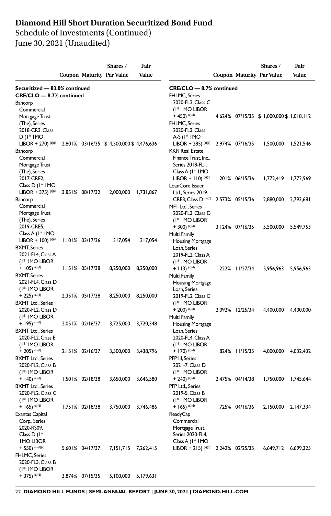|                                                                                      |                 | Shares/                                 | Fair      |                                                                                  |                      | Shares /                                  | Fair      |
|--------------------------------------------------------------------------------------|-----------------|-----------------------------------------|-----------|----------------------------------------------------------------------------------|----------------------|-------------------------------------------|-----------|
|                                                                                      |                 | <b>Coupon Maturity Par Value</b>        | Value     |                                                                                  |                      | Coupon Maturity Par Value                 | Value     |
| Securitized - 83.0% continued<br>CRE/CLO - 8.7% continued                            |                 |                                         |           | CRE/CLO - 8.7% continued<br><b>FHLMC, Series</b>                                 |                      |                                           |           |
| Bancorp<br>Commercial<br>Mortgage Trust                                              |                 |                                         |           | 2020-FL3, Class C<br>(I* IMO LIBOR<br>$+ 450$ ) (a)(d)                           |                      | 4.624% 07/15/35 \$ 1,000,000 \$ 1,018,112 |           |
| (The), Series<br>2018-CR3, Class<br>$D (I*IMO)$                                      |                 |                                         |           | FHLMC, Series<br>2020-FL3, Class<br>A-S (I* IMO                                  |                      |                                           |           |
| LIBOR + 270) $(a)(d)$                                                                |                 | 2.801% 03/16/35 \$4,500,000 \$4,476,636 |           | LIBOR + 285) (a)(d)                                                              | 2.974% 07/16/35      | 1,500,000                                 | 1,521,546 |
| Bancorp<br>Commercial<br>Mortgage Trust                                              |                 |                                         |           | <b>KKR Real Estate</b><br>Finance Trust, Inc.,<br>Series 2018-FL1,               |                      |                                           |           |
| (The), Series<br>2017-CRE2,                                                          |                 |                                         |           | Class A (1* IMO<br>LIBOR + 110) (a)(d)                                           | 1.201% 06/15/36      | 1,772,419                                 | 1,772,969 |
| Class D (1* IMO<br>LIBOR + 375) (a)(d)<br>Bancorp                                    | 3.851% 08/17/32 | 2,000,000                               | 1,731,867 | LoanCore Issuer<br>Ltd., Series 2019-<br>CRE3, Class D <sup>(a)(d)</sup>         | 2.573% 05/15/36      | 2,880,000                                 | 2,793,681 |
| Commercial<br>Mortgage Trust<br>(The), Series                                        |                 |                                         |           | MFI Ltd., Series<br>2020-FL3, Class D<br>(I* IMO LIBOR                           |                      |                                           |           |
| 2019-CRE5,<br>Class A ( I * IMO                                                      |                 |                                         |           | $+300$ ) (a)(d)<br>Multi Family                                                  | 3.124% 07/16/35      | 5,500,000                                 | 5,549,753 |
| LIBOR + 100) $(a)(d)$<br><b>BXMT, Series</b><br>2021-FL4, Class A<br>(I* IMO LIBOR   | 1.101% 03/17/36 | 317,054                                 | 317,054   | <b>Housing Mortgage</b><br>Loan, Series<br>2019-FL2, Class A<br>(I* IMO LIBOR    |                      |                                           |           |
| $+$ 105) (a)(d)<br><b>BXMT, Series</b>                                               | 1.151% 05/17/38 | 8,250,000                               | 8,250,000 | $+$ 113) (a)(d)<br>Multi Family                                                  | 1.222% 11/27/34      | 5,956,963                                 | 5,956,963 |
| 2021-FL4, Class D<br>(I* IMO LIBOR<br>$+$ 225) (a)(d)                                | 2.351% 05/17/38 | 8,250,000                               | 8,250,000 | <b>Housing Mortgage</b><br>Loan, Series<br>2019-FL2, Class C                     |                      |                                           |           |
| <b>BXMT Ltd., Series</b><br>2020-FL2, Class D                                        |                 |                                         |           | (I* IMO LIBOR<br>$+$ 200) (a)(d)                                                 | 2.092% 12/25/34      | 4,400,000                                 | 4,400,000 |
| (I* IMO LIBOR<br>+ 195) (a)(d)<br><b>BXMT Ltd., Series</b>                           | 2.051% 02/16/37 | 3,725,000                               | 3,720,348 | Multi Family<br><b>Housing Mortgage</b><br>Loan, Series                          |                      |                                           |           |
| 2020-FL2, Class E<br>(I* IMO LIBOR                                                   |                 |                                         |           | 2020-FL4, Class A<br>(I* IMO LIBOR                                               |                      |                                           |           |
| $+$ 205) (a)(d)<br><b>BXMT Ltd., Series</b><br>2020-FL2, Class B                     | 2.151% 02/16/37 | 3,500,000                               | 3,438,796 | $+$ 170) (a)(d)<br><b>PFP III, Series</b><br>2021-7, Class D                     | $1.824\%$ $11/15/35$ | 4,000,000                                 | 4,032,432 |
| (I* IMO LIBOR<br>$+$ 140) (a)(d)                                                     | 1.501% 02/18/38 | 3,650,000                               | 3,646,580 | (I* IMO LIBOR<br>$+$ 240) (a)(d)                                                 | 2.475% 04/14/38      | 1,750,000                                 | 1,745,644 |
| <b>BXMT Ltd., Series</b><br>2020-FL2, Class C<br>(I* IMO LIBOR                       |                 |                                         |           | PFP Ltd., Series<br>2019-5, Class B<br>(I* IMO LIBOR                             |                      |                                           |           |
| $+$ 165) (a)(d)                                                                      | 1.751% 02/18/38 | 3,750,000                               | 3,746,486 | $+$ 165) (a)(d)                                                                  | 1.725% 04/16/36      | 2,150,000                                 | 2,147,334 |
| Exantas Capital<br>Corp., Series<br>2020-RS09,<br>Class $D(1^*)$<br><b>IMO LIBOR</b> |                 |                                         |           | ReadyCap<br>Commercial<br>Mortgage Trust,<br>Series 2020-FL4,<br>Class A (1* IMO |                      |                                           |           |
| $+ 550$ ) (a)(d)(e)<br><b>FHLMC, Series</b>                                          | 5.601% 04/17/37 | 7,151,715                               | 7,262,415 | LIBOR + 215) (a)(d)                                                              | 2.242% 02/25/35      | 6,649,712                                 | 6,699,325 |
| 2020-FL3, Class B<br>(I* IMO LIBOR                                                   |                 |                                         |           |                                                                                  |                      |                                           |           |
| $+375)$ (a)(d)                                                                       | 3.874% 07/15/35 | 5,100,000                               | 5,179,631 |                                                                                  |                      |                                           |           |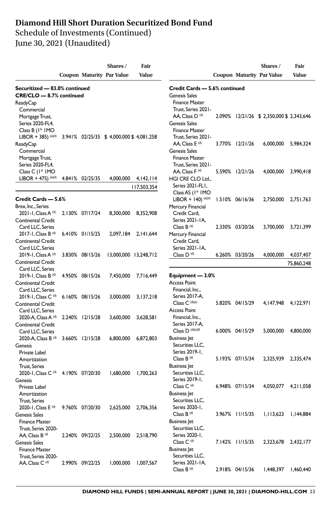|                                                           |                 | Shares /                                | Fair                  |                                                       |                 | Shares /                                | Fair       |
|-----------------------------------------------------------|-----------------|-----------------------------------------|-----------------------|-------------------------------------------------------|-----------------|-----------------------------------------|------------|
|                                                           |                 | <b>Coupon Maturity Par Value</b>        | Value                 |                                                       |                 | <b>Coupon Maturity Par Value</b>        | Value      |
| Securitized - 83.0% continued<br>CRE/CLO - 8.7% continued |                 |                                         |                       | Credit Cards - 5.6% continued<br><b>Genesis Sales</b> |                 |                                         |            |
|                                                           |                 |                                         |                       | <b>Finance Master</b>                                 |                 |                                         |            |
| ReadyCap<br>Commercial                                    |                 |                                         |                       | Trust. Series 2021-                                   |                 |                                         |            |
| Mortgage Trust,                                           |                 |                                         |                       | AA, Class D <sup>(d)</sup>                            |                 | 2.090% 12/21/26 \$2,350,000 \$2,343,646 |            |
| Series 2020-FL4,                                          |                 |                                         |                       | Genesis Sales                                         |                 |                                         |            |
| Class B (I* IMO                                           |                 |                                         |                       | <b>Finance Master</b>                                 |                 |                                         |            |
| LIBOR + 385) $(a)(d)$                                     |                 | 3.941% 02/25/35 \$4,000,000 \$4,081,258 |                       | Trust, Series 2021-                                   |                 |                                         |            |
| <b>ReadyCap</b>                                           |                 |                                         |                       | AA, Class E <sup>(d)</sup>                            | 3.770% 12/21/26 | 6,000,000                               | 5,984,324  |
| Commercial                                                |                 |                                         |                       | Genesis Sales                                         |                 |                                         |            |
| Mortgage Trust,                                           |                 |                                         |                       | <b>Finance Master</b>                                 |                 |                                         |            |
| Series 2020-FL4,                                          |                 |                                         |                       | Trust, Series 2021-                                   |                 |                                         |            |
| Class C (1* IMO                                           |                 |                                         |                       | AA, Class F <sup>(d)</sup>                            | 5.590% 12/21/26 | 4,000,000                               | 3,990,418  |
| $LIBOR + 475$ ) (a)(d)                                    | 4.841% 02/25/35 | 4,000,000                               | 4,142,114             | HGI CRE CLO Ltd.,                                     |                 |                                         |            |
|                                                           |                 |                                         | 117,503,354           | Series 2021-FL1,<br>Class AS (1* IMO                  |                 |                                         |            |
| Credit Cards - 5.6%                                       |                 |                                         |                       | LIBOR + 140) (a)(d)                                   | 1.510% 06/16/36 | 2,750,000                               | 2,751,763  |
| Brex, Inc., Series                                        |                 |                                         |                       | Mercury Financial                                     |                 |                                         |            |
| 2021-1, Class A (d)                                       | 2.130% 07/17/24 | 8,300,000                               | 8,352,908             | Credit Card,                                          |                 |                                         |            |
| <b>Continental Credit</b>                                 |                 |                                         |                       | Series 2021-1A.                                       |                 |                                         |            |
| Card LLC, Series                                          |                 |                                         |                       | Class $B^{(d)}$                                       | 2.330% 03/20/26 | 3,700,000                               | 3,721,399  |
| 2017-1, Class B (d)                                       | 6.410% 01/15/25 | 2,097,184                               | 2,141,644             | Mercury Financial                                     |                 |                                         |            |
| Continental Credit                                        |                 |                                         |                       | Credit Card,                                          |                 |                                         |            |
| Card LLC, Series                                          |                 |                                         |                       | Series 2021-1A,                                       |                 |                                         |            |
| 2019-1, Class A (d)                                       | 3.830% 08/15/26 |                                         | 13,000,000 13,248,712 | Class D <sup>(d)</sup>                                | 6.260% 03/20/26 | 4,000,000                               | 4,037,407  |
| Continental Credit                                        |                 |                                         |                       |                                                       |                 |                                         | 75,860,248 |
| Card LLC, Series                                          |                 |                                         |                       |                                                       |                 |                                         |            |
| 2019-1, Class B $^{(d)}$                                  | 4.950% 08/15/26 | 7,450,000                               | 7,716,449             | Equipment - 3.0%                                      |                 |                                         |            |
| <b>Continental Credit</b>                                 |                 |                                         |                       | <b>Access Point</b>                                   |                 |                                         |            |
| Card LLC, Series                                          |                 |                                         |                       | Financial, Inc.,                                      |                 |                                         |            |
| 2019-1, Class C (d)                                       | 6.160% 08/15/26 | 3,000,000                               | 3,137,218             | Series 2017-A,                                        |                 |                                         |            |
| <b>Continental Credit</b>                                 |                 |                                         |                       | Class C (d)(e)                                        | 5.820% 04/15/29 | 4,147,948                               | 4,122,971  |
| Card LLC, Series                                          |                 |                                         |                       | <b>Access Point</b>                                   |                 |                                         |            |
| 2020-A, Class A (d)                                       | 2.240% 12/15/28 | 3,600,000                               | 3,628,581             | Financial, Inc.,                                      |                 |                                         |            |
| Continental Credit                                        |                 |                                         |                       | Series 2017-A,                                        |                 |                                         |            |
| Card LLC, Series                                          |                 |                                         |                       | Class $D^{(d)(e)(f)}$                                 | 6.000% 04/15/29 | 5.000.000                               | 4.800,000  |
| 2020-A, Class B (d)                                       | 3.660% 12/15/28 | 6,800,000                               | 6,872,803             | <b>Business Jet</b>                                   |                 |                                         |            |
| Genesis                                                   |                 |                                         |                       | Securities LLC,                                       |                 |                                         |            |
| Private Label                                             |                 |                                         |                       | Series 2019-1,                                        |                 |                                         |            |
| Amortization                                              |                 |                                         |                       | Class $B^{(d)}$                                       | 5.193% 07/15/34 | 2,325,939                               | 2,335,474  |
| <b>Trust, Series</b>                                      |                 |                                         |                       | <b>Business Jet</b>                                   |                 |                                         |            |
| 2020-1, Class C (d)                                       | 4.190% 07/20/30 | 1,680,000                               | 1,700,263             | Securities LLC,                                       |                 |                                         |            |
| Genesis                                                   |                 |                                         |                       | Series 2019-1,                                        |                 |                                         |            |
| Private Label                                             |                 |                                         |                       | Class $C^{(d)}$                                       | 6.948% 07/15/34 | 4,050,077                               | 4,211,058  |
| Amortization                                              |                 |                                         |                       | <b>Business</b> Jet                                   |                 |                                         |            |
| <b>Trust, Series</b>                                      |                 |                                         |                       | Securities LLC,                                       |                 |                                         |            |
| 2020-1, Class E <sup>(d)</sup>                            | 9.760% 07/20/30 | 2,625,000                               | 2,706,356             | Series 2020-1,                                        |                 |                                         |            |
| Genesis Sales                                             |                 |                                         |                       | Class $B^{(d)}$                                       | 3.967% 11/15/35 | 1,113,623                               | I, 144,884 |
| <b>Finance Master</b>                                     |                 |                                         |                       | <b>Business Jet</b>                                   |                 |                                         |            |
| Trust, Series 2020-                                       |                 |                                         |                       | Securities LLC,                                       |                 |                                         |            |
| AA. Class B <sup>(d)</sup>                                | 2.240% 09/22/25 | 2,500,000                               | 2,518,790             | Series 2020-1,                                        |                 |                                         |            |
| Genesis Sales                                             |                 |                                         |                       | Class $C^{(d)}$                                       | 7.142% 11/15/35 | 2,323,678                               | 2,432,177  |
| <b>Finance Master</b>                                     |                 |                                         |                       | <b>Business</b> Jet                                   |                 |                                         |            |
| Trust. Series 2020-                                       |                 |                                         |                       | Securities LLC,                                       |                 |                                         |            |
| AA, Class C <sup>(d)</sup>                                | 2.990% 09/22/25 | 1,000,000                               | 1,007,567             | Series 2021-1A,                                       |                 |                                         |            |
|                                                           |                 |                                         |                       | Class $B^{(d)}$                                       | 2.918% 04/15/36 | 1.448.397                               | 1.460,440  |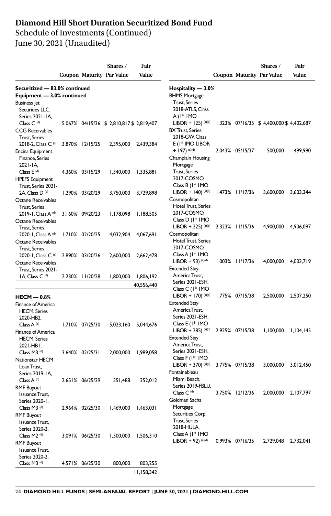|                                                   |                 | Shares /                                | Fair       |                                    |                 | Shares /                                | Fair      |
|---------------------------------------------------|-----------------|-----------------------------------------|------------|------------------------------------|-----------------|-----------------------------------------|-----------|
|                                                   |                 | Coupon Maturity Par Value               | Value      |                                    |                 | Coupon Maturity Par Value               | Value     |
| Securitized - 83.0% continued                     |                 |                                         |            | Hospitality - 3.0%                 |                 |                                         |           |
| Equipment - 3.0% continued                        |                 |                                         |            | <b>BHMS Mortgage</b>               |                 |                                         |           |
| <b>Business</b> Jet                               |                 |                                         |            | <b>Trust, Series</b>               |                 |                                         |           |
| Securities LLC,<br>Series 2021-1A,                |                 |                                         |            | 2018-ATLS, Class<br>$A$ (1* IMO    |                 |                                         |           |
| Class C <sup>(d)</sup>                            |                 | 5.067% 04/15/36 \$2,810,817 \$2,819,407 |            | LIBOR + 125) (a)(d)                |                 | 1.323% 07/16/35 \$4,400,000 \$4,402,687 |           |
| <b>CCG Receivables</b>                            |                 |                                         |            | <b>BX Trust, Series</b>            |                 |                                         |           |
| <b>Trust, Series</b>                              |                 |                                         |            | 2018-GW, Class                     |                 |                                         |           |
| 2018-2, Class C (d)                               | 3.870% 12/15/25 | 2,395,000                               | 2,439,384  | E (I* IMO LIBOR                    |                 |                                         |           |
| Encina Equipment<br>Finance, Series               |                 |                                         |            | + 197) (a)(d)<br>Champlain Housing | 2.043% 05/15/37 | 500,000                                 | 499,990   |
| 2021-IA.                                          |                 |                                         |            | Mortgage                           |                 |                                         |           |
| Class E <sup>(d)</sup>                            | 4.360% 03/15/29 | 1,340,000                               | 1,335,881  | <b>Trust, Series</b>               |                 |                                         |           |
| <b>HPEFS Equipment</b>                            |                 |                                         |            | 2017-COSMO,                        |                 |                                         |           |
| Trust, Series 2021-                               |                 |                                         |            | Class B (1* IMO                    |                 |                                         |           |
| 2A, Class D <sup>(d)</sup>                        | 1.290% 03/20/29 | 3,750,000                               | 3,729,898  | LIBOR + 140) $(a)(d)$              | 1.473% 11/17/36 | 3,600,000                               | 3,603,344 |
| <b>Octane Receivables</b>                         |                 |                                         |            | Cosmopolitan                       |                 |                                         |           |
| <b>Trust. Series</b>                              |                 |                                         |            | Hotel Trust, Series                |                 |                                         |           |
| 2019-1, Class A (d)                               | 3.160% 09/20/23 | 1,178,098                               | 1,188,505  | 2017-COSMO,                        |                 |                                         |           |
| <b>Octane Receivables</b>                         |                 |                                         |            | Class D (I* IMO                    |                 |                                         |           |
| <b>Trust, Series</b>                              |                 |                                         |            | LIBOR + 225) (a)(d)                | 2.323% 11/15/36 | 4,900,000                               | 4,906,097 |
| 2020-1. Class A (d)                               | 1.710% 02/20/25 | 4,032,904                               | 4,067,691  | Cosmopolitan                       |                 |                                         |           |
| <b>Octane Receivables</b>                         |                 |                                         |            | Hotel Trust, Series<br>2017-COSMO, |                 |                                         |           |
| <b>Trust, Series</b>                              |                 |                                         |            | Class A ( I* IMO                   |                 |                                         |           |
| 2020-1, Class C (d)                               | 2.890% 03/20/26 | 2,600,000                               | 2,662,478  | LIBOR + 93) $(a)(d)$               | 1.003% 11/17/36 | 4,000,000                               | 4,003,719 |
| <b>Octane Receivables</b>                         |                 |                                         |            | <b>Extended Stay</b>               |                 |                                         |           |
| Trust, Series 2021-<br>IA, Class C <sup>(d)</sup> | 2.230% 11/20/28 | 1,800,000                               | 1,806,192  | America Trust,                     |                 |                                         |           |
|                                                   |                 |                                         |            | Series 2021-ESH,                   |                 |                                         |           |
|                                                   |                 |                                         | 40,556,440 | Class C (I* IMO                    |                 |                                         |           |
| $HECM = 0.8%$                                     |                 |                                         |            | LIBOR + 170) (a)(d)                | 1.775% 07/15/38 | 2,500,000                               | 2,507,250 |
| Finance of America                                |                 |                                         |            | <b>Extended Stay</b>               |                 |                                         |           |
| <b>HECM, Series</b>                               |                 |                                         |            | America Trust,                     |                 |                                         |           |
| 2020-HB2,                                         |                 |                                         |            | Series 2021-ESH,                   |                 |                                         |           |
| Class $A^{(d)}$                                   | 1.710% 07/25/30 | 5,023,160                               | 5,044,676  | Class E (1* IMO                    |                 |                                         |           |
| Finance of America                                |                 |                                         |            | LIBOR + 285) (a)(d)                | 2.925% 07/15/38 | 1,100,000                               | 1,104,145 |
| <b>HECM, Series</b>                               |                 |                                         |            | <b>Extended Stay</b>               |                 |                                         |           |
| 2021-HBI,                                         |                 |                                         |            | America Trust,                     |                 |                                         |           |
| Class M3 <sup>(d)</sup>                           | 3.640% 02/25/31 | 2,000,000                               | 1,989,058  | Series 2021-ESH,                   |                 |                                         |           |
| Nationstar HECM                                   |                 |                                         |            | Class F (I* IMO                    |                 |                                         |           |
| Loan Trust,                                       |                 |                                         |            | LIBOR + 370) $(a)(d)$              | 3.775% 07/15/38 | 3,000,000                               | 3,012,450 |
| Series 2019-1A,                                   |                 |                                         |            | Fontainebleau                      |                 |                                         |           |
| Class $A^{(d)}$                                   | 2.651% 06/25/29 | 351,488                                 | 352,012    | Miami Beach,<br>Series 2019-FBLU,  |                 |                                         |           |
| <b>RMF Buyout</b>                                 |                 |                                         |            | Class C <sup>(d)</sup>             | 3.750% 12/12/36 | 2,000,000                               |           |
| Issuance Trust,                                   |                 |                                         |            | Goldman Sachs                      |                 |                                         | 2,107,797 |
| Series 2020-1,                                    |                 |                                         |            | Mortgage                           |                 |                                         |           |
| Class M3 <sup>(d)</sup>                           | 2.964% 02/25/30 | 1,469,000                               | 1,463,031  | Securities Corp.                   |                 |                                         |           |
| <b>RMF Buyout</b>                                 |                 |                                         |            | <b>Trust, Series</b>               |                 |                                         |           |
| Issuance Trust,<br>Series 2020-2,                 |                 |                                         |            | 2018-HULA,                         |                 |                                         |           |
| Class M <sub>2</sub> <sup>(d)</sup>               | 3.091% 06/25/30 | 1,500,000                               | 1,506,310  | Class A (1* IMO                    |                 |                                         |           |
| <b>RMF Buyout</b>                                 |                 |                                         |            | LIBOR + 92) $(a)(d)$               | 0.993% 07/16/35 | 2,729,048                               | 2,732,041 |
| Issuance Trust,                                   |                 |                                         |            |                                    |                 |                                         |           |
| Series 2020-2,                                    |                 |                                         |            |                                    |                 |                                         |           |
| Class M3 <sup>(d)</sup>                           | 4.571% 06/25/30 | 800,000                                 | 803,255    |                                    |                 |                                         |           |
|                                                   |                 |                                         |            |                                    |                 |                                         |           |
|                                                   |                 |                                         | 11,158,342 |                                    |                 |                                         |           |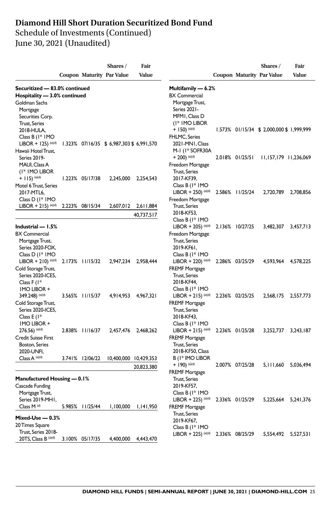|                                              |        |                 | Shares /                                  | Fair       |                                        |                 | Shares /                                  | Fair      |
|----------------------------------------------|--------|-----------------|-------------------------------------------|------------|----------------------------------------|-----------------|-------------------------------------------|-----------|
|                                              |        |                 | Coupon Maturity Par Value                 | Value      |                                        |                 | Coupon Maturity Par Value                 | Value     |
| Securitized - 83.0% continued                |        |                 |                                           |            | Multifamily — 6.2%                     |                 |                                           |           |
| Hospitality - 3.0% continued                 |        |                 |                                           |            | <b>BX Commercial</b>                   |                 |                                           |           |
| Goldman Sachs                                |        |                 |                                           |            | Mortgage Trust,                        |                 |                                           |           |
| Mortgage                                     |        |                 |                                           |            | Series 2021-                           |                 |                                           |           |
| Securities Corp.                             |        |                 |                                           |            | MFM1, Class D                          |                 |                                           |           |
| <b>Trust, Series</b>                         |        |                 |                                           |            | (I* IMO LIBOR                          |                 |                                           |           |
| 2018-HULA,                                   |        |                 |                                           |            | $+$ 150) (a)(d)                        |                 | 1.573% 01/15/34 \$ 2,000,000 \$ 1,999,999 |           |
| Class B (1* IMO                              |        |                 |                                           |            | <b>FHLMC, Series</b>                   |                 |                                           |           |
| LIBOR + 125) $(a)(d)$                        |        |                 | 1.323% 07/16/35 \$ 6,987,303 \$ 6,991,570 |            | 2021-MN1, Class                        |                 |                                           |           |
| Hawaii Hotel Trust,                          |        |                 |                                           |            | M-1 (1* SOFR30A                        |                 |                                           |           |
| Series 2019-                                 |        |                 |                                           |            | $+$ 200) (a)(d)                        | 2.018% 01/25/51 | 11,157,179 11,236,069                     |           |
| MAUI. Class A                                |        |                 |                                           |            | Freedom Mortgage                       |                 |                                           |           |
| (I* IMO LIBOR                                |        |                 |                                           |            | <b>Trust, Series</b>                   |                 |                                           |           |
| $+$ 115) (a)(d)                              |        | 1.223% 05/17/38 | 2,245,000                                 | 2,254,543  | 2017-KF39,                             |                 |                                           |           |
| Motel 6 Trust, Series                        |        |                 |                                           |            | Class B (1* IMO                        |                 |                                           |           |
| 2017-MTL6,                                   |        |                 |                                           |            | LIBOR + 250) (a)(d)                    | 2.586% 11/25/24 | 2,720,789                                 | 2,708,856 |
| Class $D$ (1* $IMO$<br>LIBOR + 215) $(a)(d)$ | 2.223% | 08/15/34        | 2,607,012                                 | 2,611,884  | Freedom Mortgage<br>Trust, Series      |                 |                                           |           |
|                                              |        |                 |                                           |            | 2018-KF53,                             |                 |                                           |           |
|                                              |        |                 |                                           | 40,737,517 | Class B (1* IMO                        |                 |                                           |           |
| Industrial - 1.5%                            |        |                 |                                           |            | LIBOR + 205) (a)(d)                    | 2.136% 10/27/25 | 3,482,307                                 | 3,457,713 |
| <b>BX Commercial</b>                         |        |                 |                                           |            | Freedom Mortgage                       |                 |                                           |           |
| Mortgage Trust,                              |        |                 |                                           |            | <b>Trust, Series</b>                   |                 |                                           |           |
| Series 2020-FOX,                             |        |                 |                                           |            | 2019-KF61,                             |                 |                                           |           |
| Class D (1* IMO                              |        |                 |                                           |            | Class B (1* IMO                        |                 |                                           |           |
| LIBOR + 210) (a)(d)                          |        | 2.173% 11/15/32 | 2,947,234                                 | 2,958,444  | LIBOR + 220) $(a)(d)$                  | 2.286% 03/25/29 | 4,593,964                                 | 4,578,225 |
| Cold Storage Trust,                          |        |                 |                                           |            | <b>FREMF Mortgage</b>                  |                 |                                           |           |
| Series 2020-ICE5,                            |        |                 |                                           |            | <b>Trust. Series</b>                   |                 |                                           |           |
| Class $F(1^*)$                               |        |                 |                                           |            | 2018-KF44,                             |                 |                                           |           |
| IMO LIBOR +                                  |        |                 |                                           |            | Class B (1* IMO                        |                 |                                           |           |
| 349.248) (a)(d)                              |        | 3.565% II/I5/37 | 4,914,953                                 | 4,967,321  | LIBOR + 215) (a)(d)                    | 2.236% 02/25/25 | 2,568,175                                 | 2,557,773 |
| Cold Storage Trust,                          |        |                 |                                           |            | <b>FREMF Mortgage</b>                  |                 |                                           |           |
| Series 2020-ICE5,                            |        |                 |                                           |            | Trust, Series                          |                 |                                           |           |
| Class E $(1^*)$<br><b>IMO LIBOR +</b>        |        |                 |                                           |            | 2018-KF43,                             |                 |                                           |           |
| $276.56$ ) (a)(d)                            |        | 2.838% 11/16/37 | 2,457,476                                 | 2,468,262  | Class B (1* IMO<br>LIBOR + 215) (a)(d) | 2.236% 01/25/28 | 3,252,737                                 | 3,243,187 |
| Credit Suisse First                          |        |                 |                                           |            | <b>FREMF Mortgage</b>                  |                 |                                           |           |
| <b>Boston, Series</b>                        |        |                 |                                           |            | <b>Trust, Series</b>                   |                 |                                           |           |
| 2020-UNFI,                                   |        |                 |                                           |            | 2018-KF50, Class                       |                 |                                           |           |
| Class A (a)(d)                               | 3.741% | 12/06/22        | 10,400,000 10,429,353                     |            | B (I* IMO LIBOR                        |                 |                                           |           |
|                                              |        |                 |                                           | 20,823,380 | $+$ 190) (a)(d)                        | 2.007% 07/25/28 | 5,111,660                                 | 5,036,494 |
|                                              |        |                 |                                           |            | <b>FREMF Mortgage</b>                  |                 |                                           |           |
| Manufactured Housing - 0.1%                  |        |                 |                                           |            | Trust, Series                          |                 |                                           |           |
| Cascade Funding                              |        |                 |                                           |            | 2019-KF57,                             |                 |                                           |           |
| Mortgage Trust,                              |        |                 |                                           |            | Class B (1* IMO                        |                 |                                           |           |
| Series 2019-MHI,                             |        |                 |                                           |            | LIBOR + 225) (a)(d)                    | 2.336% 01/25/29 | 5,225,664                                 | 5,241,376 |
| Class $M^{(d)}$                              |        | 5.985% 11/25/44 | 1,100,000                                 | 1,141,950  | <b>FREMF Mortgage</b>                  |                 |                                           |           |
| Mixed-Use $-$ 0.3%                           |        |                 |                                           |            | <b>Trust, Series</b>                   |                 |                                           |           |
| 20 Times Square                              |        |                 |                                           |            | 2019-KF67,                             |                 |                                           |           |
| Trust, Series 2018-                          |        |                 |                                           |            | Class B (1* IMO<br>LIBOR + 225) (a)(d) | 2.336% 08/25/29 | 5,554,492                                 | 5,527,531 |
| 20TS, Class B (a)(d)                         |        | 3.100% 05/17/35 | 4,400,000                                 | 4,443,470  |                                        |                 |                                           |           |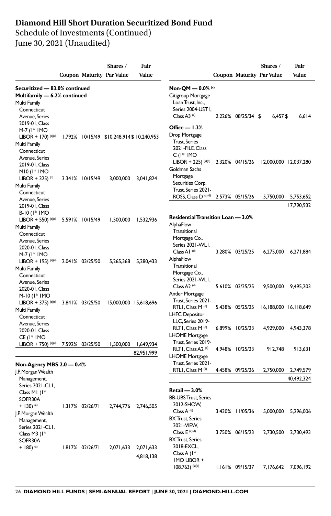|                                  |                    | Shares /                                  | Fair       |                                            |        |                    | Shares /                  | Fair                  |
|----------------------------------|--------------------|-------------------------------------------|------------|--------------------------------------------|--------|--------------------|---------------------------|-----------------------|
|                                  |                    | Coupon Maturity Par Value                 | Value      |                                            |        |                    | Coupon Maturity Par Value | Value                 |
| Securitized - 83.0% continued    |                    |                                           |            | Non-QM - 0.0% <sup>(c)</sup>               |        |                    |                           |                       |
| Multifamily - 6.2% continued     |                    |                                           |            | Citigroup Mortgage                         |        |                    |                           |                       |
| Multi Family                     |                    |                                           |            | Loan Trust, Inc.,                          |        |                    |                           |                       |
| Connecticut                      |                    |                                           |            | Series 2004-UST1,                          |        |                    |                           |                       |
| Avenue, Series                   |                    |                                           |            | Class A3 $(a)$                             | 2.226% | 08/25/34 \$        | $6,457$ \$                | 6,614                 |
| 2019-01, Class                   |                    |                                           |            |                                            |        |                    |                           |                       |
| M-7 (1* IMO                      |                    |                                           |            | Office $-1.3%$                             |        |                    |                           |                       |
| LIBOR + 170) $(a)(d)$            |                    | 1.792% 10/15/49 \$10,248,914\$ 10,240,953 |            | Drop Mortgage<br><b>Trust, Series</b>      |        |                    |                           |                       |
| Multi Family                     |                    |                                           |            | 2021-FILE, Class                           |        |                    |                           |                       |
| Connecticut                      |                    |                                           |            | $C$ (1* IMO                                |        |                    |                           |                       |
| Avenue, Series                   |                    |                                           |            | LIBOR + 225) (a)(d)                        |        | 2.320% 04/15/26    |                           | 12,000,000 12,037,280 |
| 2019-01, Class                   |                    |                                           |            | Goldman Sachs                              |        |                    |                           |                       |
| M10 (1* IMO                      |                    |                                           |            | Mortgage                                   |        |                    |                           |                       |
| LIBOR + 325) (d)                 | 3.341% 10/15/49    | 3,000,000                                 | 3,041,824  | Securities Corp.                           |        |                    |                           |                       |
| Multi Family                     |                    |                                           |            | Trust. Series 2021-                        |        |                    |                           |                       |
| Connecticut                      |                    |                                           |            | ROSS, Class D <sup>(a)(d)</sup>            |        | 2.573% 05/15/26    | 5,750,000                 | 5,753,652             |
| Avenue, Series<br>2019-01, Class |                    |                                           |            |                                            |        |                    |                           | 17,790,932            |
| B-10 (1* IMO                     |                    |                                           |            |                                            |        |                    |                           |                       |
| LIBOR + 550) $(a)(d)$            | 5.591% 10/15/49    | 1,500,000                                 | 1,532,936  | <b>Residential Transition Loan - 3.0%</b>  |        |                    |                           |                       |
| Multi Family                     |                    |                                           |            | AlphaFlow                                  |        |                    |                           |                       |
| Connecticut                      |                    |                                           |            | Transitional                               |        |                    |                           |                       |
| Avenue, Series                   |                    |                                           |            | Mortgage Co.,                              |        |                    |                           |                       |
| 2020-01, Class                   |                    |                                           |            | Series 2021-WLI,                           |        |                    |                           |                       |
| M-7 (1* IMO                      |                    |                                           |            | $Class A1^{(d)}$                           |        | 3.280% 03/25/25    | 6,275,000                 | 6,271,884             |
| LIBOR + 195) $(a)(d)$            | 2.041% 03/25/50    | 5,265,368                                 | 5,280,433  | AlphaFlow                                  |        |                    |                           |                       |
| Multi Family                     |                    |                                           |            | Transitional                               |        |                    |                           |                       |
| Connecticut                      |                    |                                           |            | Mortgage Co.,                              |        |                    |                           |                       |
| Avenue, Series                   |                    |                                           |            | Series 2021-WLI,                           |        |                    |                           |                       |
| 2020-01, Class                   |                    |                                           |            | Class A <sub>2</sub> $(d)$                 |        | 5.610% 03/25/25    | 9.500.000                 | 9.495.203             |
| M-10 (1* IMO                     |                    |                                           |            | <b>Antler Mortgage</b>                     |        |                    |                           |                       |
| LIBOR + 375) (a)(d)              | 3.841% 03/25/50    | 15,000,000 15,618,696                     |            | Trust, Series 2021-<br>RTLI, Class M (d)   |        | 5.438% 05/25/25    |                           | 16,188,000 16,118,649 |
| Multi Family                     |                    |                                           |            |                                            |        |                    |                           |                       |
| Connecticut                      |                    |                                           |            | <b>LHFC Depositor</b><br>LLC, Series 2019- |        |                    |                           |                       |
| Avenue, Series                   |                    |                                           |            | RLT1, Class M <sup>(d)</sup>               | 6.899% | 10/25/23           | 4,929,000                 | 4,943,378             |
| 2020-01, Class                   |                    |                                           |            | <b>LHOME Mortgage</b>                      |        |                    |                           |                       |
| CE (I <sup>*</sup> IMO           |                    |                                           |            | Trust, Series 2019-                        |        |                    |                           |                       |
| LIBOR + 750) $(a)(d)$            | 7.592% 03/25/50    | 1,500,000                                 | 1,649,934  | RLT1, Class A2 <sup>(d)</sup>              |        | 4.948% 10/25/23    | 912,748                   | 913,631               |
|                                  |                    |                                           | 82,951,999 | <b>LHOME Mortgage</b>                      |        |                    |                           |                       |
| Non-Agency MBS 2.0 - 0.4%        |                    |                                           |            | Trust, Series 2021-                        |        |                    |                           |                       |
| J.P. Morgan Wealth               |                    |                                           |            | RTLI, Class M <sup>(d)</sup>               |        | 4.458% 09/25/26    | 2,750,000                 | 2,749,579             |
| Management,                      |                    |                                           |            |                                            |        |                    |                           | 40,492,324            |
| Series 2021-CLI,                 |                    |                                           |            |                                            |        |                    |                           |                       |
| Class MI (1*                     |                    |                                           |            | Retail $-3.0%$                             |        |                    |                           |                       |
| SOFR30A                          |                    |                                           |            | <b>BB-UBS Trust, Series</b>                |        |                    |                           |                       |
| $+$ 130) (a)                     | $1.317\%$ 02/26/71 | 2,744,776                                 | 2,746,505  | 2012-SHOW.                                 |        |                    |                           |                       |
| J.P. Morgan Wealth               |                    |                                           |            | Class A <sup>(d)</sup>                     |        | 3.430% 11/05/36    | 5,000,000                 | 5,296,006             |
| Management,                      |                    |                                           |            | <b>BX Trust, Series</b>                    |        |                    |                           |                       |
| Series 2021-CLI,                 |                    |                                           |            | 2021-VIEW,                                 |        |                    |                           |                       |
| Class M3 $(1^*)$                 |                    |                                           |            | Class E <sup>(a)(d)</sup>                  |        | 3.750% 06/15/23    | 2,730,500                 | 2,730,493             |
| SOFR30A                          |                    |                                           |            | <b>BX Trust, Series</b>                    |        |                    |                           |                       |
| $+$ 180) (a)                     | 1.817% 02/26/71    | 2,071,633                                 | 2,071,633  | 2018-EXCL,                                 |        |                    |                           |                       |
|                                  |                    |                                           | 4,818,138  | Class A $(1^*$                             |        |                    |                           |                       |
|                                  |                    |                                           |            | IMO LIBOR +                                |        |                    |                           |                       |
|                                  |                    |                                           |            | $108.763)$ (a)(d)                          |        | $1.161\%$ 09/15/37 | 7,176,642                 | 7.096.192             |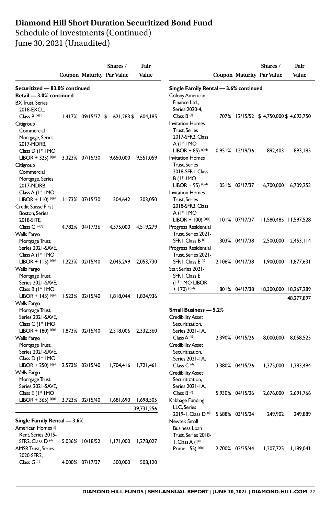|                                                          |        |                       | Shares /                         | Fair       |                                                          |                    | Shares /                                | Fair                  |
|----------------------------------------------------------|--------|-----------------------|----------------------------------|------------|----------------------------------------------------------|--------------------|-----------------------------------------|-----------------------|
|                                                          |        |                       | <b>Coupon Maturity Par Value</b> | Value      |                                                          |                    | Coupon Maturity Par Value               | Value                 |
| Securitized — 83.0% continued<br>Retail - 3.0% continued |        |                       |                                  |            | Single Family Rental - 3.6% continued<br>Colony American |                    |                                         |                       |
| <b>BX Trust, Series</b>                                  |        |                       |                                  |            | Finance Ltd.,                                            |                    |                                         |                       |
| 2018-EXCL,                                               |        |                       |                                  |            | Series 2020-4,                                           |                    |                                         |                       |
| Class B (a)(d)                                           |        | $1.417\%$ 09/15/37 \$ | 621,283 \$                       | 604,185    | Class $B^{(d)}$                                          |                    | 1.707% 12/15/52 \$4,750,000 \$4,693,750 |                       |
| Citigroup                                                |        |                       |                                  |            | <b>Invitation Homes</b>                                  |                    |                                         |                       |
| Commercial<br>Mortgage, Series                           |        |                       |                                  |            | <b>Trust, Series</b><br>2017-SFR2, Class                 |                    |                                         |                       |
| 2017-MDRB,                                               |        |                       |                                  |            | $A (I*IMO)$                                              |                    |                                         |                       |
| Class D (1* IMO                                          |        |                       |                                  |            | LIBOR + 85) $(a)(d)$                                     | 0.951% 12/19/36    | 892,403                                 | 893,185               |
| LIBOR + 325) (a)(d)                                      |        | 3.323% 07/15/30       | 9,650,000                        | 9,551,059  | <b>Invitation Homes</b>                                  |                    |                                         |                       |
| Citigroup                                                |        |                       |                                  |            | <b>Trust. Series</b>                                     |                    |                                         |                       |
| Commercial                                               |        |                       |                                  |            | 2018-SFR1, Class                                         |                    |                                         |                       |
| Mortgage, Series                                         |        |                       |                                  |            | $B(1*IMO)$                                               |                    |                                         |                       |
| 2017-MDRB,                                               |        |                       |                                  |            | LIBOR + 95) $(a)(d)$                                     | 1.051% 03/17/37    | 6,700,000                               | 6,709,253             |
| Class A (1* IMO                                          |        |                       |                                  |            | <b>Invitation Homes</b>                                  |                    |                                         |                       |
| LIBOR + 110) $(a)(d)$                                    |        | 1.173% 07/15/30       | 304,642                          | 303,050    | <b>Trust, Series</b>                                     |                    |                                         |                       |
| <b>Credit Suisse First</b>                               |        |                       |                                  |            | 2018-SFR3, Class                                         |                    |                                         |                       |
| Boston, Series                                           |        |                       |                                  |            | $A (I*IMO)$                                              |                    |                                         |                       |
| 2018-SITE.                                               |        |                       |                                  |            | LIBOR + 100) (a)(d)                                      | $1.101\%$ 07/17/37 |                                         | 11,580,485 11,597,528 |
| Class C (a)(d)                                           |        | 4.782% 04/17/36       | 4,575,000                        | 4,519,279  | Progress Residential                                     |                    |                                         |                       |
| <b>Wells Fargo</b>                                       |        |                       |                                  |            | Trust, Series 2021-                                      |                    |                                         |                       |
| Mortgage Trust,                                          |        |                       |                                  |            | SFRI. Class B <sup>(d)</sup>                             | $1.303\%$ 04/17/38 | 2,500,000                               | 2,453,114             |
| Series 2021-SAVE,                                        |        |                       |                                  |            | Progress Residential                                     |                    |                                         |                       |
| Class A (I* IMO                                          |        |                       |                                  |            | Trust, Series 2021-                                      |                    |                                         |                       |
| LIBOR + 115) $(a)(d)$                                    |        | 1.223% 02/15/40       | 2,045,299                        | 2,053,730  | SFR1, Class E <sup>(d)</sup>                             | 2.106% 04/17/38    | 1,900,000                               | 1,877,631             |
| Wells Fargo                                              |        |                       |                                  |            | Star, Series 2021-                                       |                    |                                         |                       |
| Mortgage Trust,<br>Series 2021-SAVE,                     |        |                       |                                  |            | SFR1, Class E<br>(I* IMO LIBOR                           |                    |                                         |                       |
| Class B (1* IMO                                          |        |                       |                                  |            | $+$ 170) (a)(d)                                          | $1.801\%$ 04/17/38 | 18,300,000                              | 18,267,289            |
| LIBOR + 145) $(a)(d)$                                    |        | 1.523% 02/15/40       | 1,818,044                        | 1,824,936  |                                                          |                    |                                         |                       |
| Wells Fargo                                              |        |                       |                                  |            |                                                          |                    |                                         | 48,277,897            |
| Mortgage Trust,                                          |        |                       |                                  |            | <b>Small Business - 5.2%</b>                             |                    |                                         |                       |
| Series 2021-SAVE,                                        |        |                       |                                  |            | <b>Credibility Asset</b>                                 |                    |                                         |                       |
| Class C (1* IMO                                          |        |                       |                                  |            | Securitization,                                          |                    |                                         |                       |
| LIBOR + 180) $(a)(d)$                                    |        | 1.873% 02/15/40       | 2,318,006                        | 2,332,360  | Series 2021-1A,                                          |                    |                                         |                       |
| Wells Fargo                                              |        |                       |                                  |            | Class A (d)                                              | 2.390% 04/15/26    | 8,000,000                               | 8,058,525             |
| Mortgage Trust,                                          |        |                       |                                  |            | <b>Credibility Asset</b>                                 |                    |                                         |                       |
| Series 2021-SAVE,                                        |        |                       |                                  |            | Securitization,                                          |                    |                                         |                       |
| Class D (1* IMO                                          |        |                       |                                  |            | Series 2021-1A,                                          |                    |                                         |                       |
| LIBOR + 250) (a)(d)                                      |        | 2.573% 02/15/40       | 1,704,416                        | 1,721,461  | Class $C^{(d)}$                                          | 3.380% 04/15/26    | 1,375,000                               | 1,383,494             |
| <b>Wells Fargo</b>                                       |        |                       |                                  |            | <b>Credibility Asset</b>                                 |                    |                                         |                       |
| Mortgage Trust,                                          |        |                       |                                  |            | Securitization,                                          |                    |                                         |                       |
| Series 2021-SAVE,                                        |        |                       |                                  |            | Series 2021-1A,                                          |                    |                                         |                       |
| Class E (I* IMO                                          |        |                       |                                  |            | Class $B^{(d)}$                                          | 5.930% 04/15/26    | 2,676,000                               | 2,691,766             |
| LIBOR + 365) $(a)(d)$                                    |        | 3.723% 02/15/40       | 1,681,690                        | 1,698,505  | Kabbage Funding                                          |                    |                                         |                       |
|                                                          |        |                       |                                  | 39,731,256 | LLC, Series<br>2019-1, Class D <sup>(d)</sup>            | 5.688% 03/15/24    | 249,902                                 | 249,889               |
| Single Family Rental — 3.6%                              |        |                       |                                  |            | Newtek Small                                             |                    |                                         |                       |
| American Homes 4                                         |        |                       |                                  |            | <b>Business Loan</b>                                     |                    |                                         |                       |
| Rent, Series 2015-                                       |        |                       |                                  |            | Trust, Series 2018-                                      |                    |                                         |                       |
| SFR2, Class D <sup>(d)</sup>                             | 5.036% | 10/18/52              | 1,171,000                        | 1,278,027  | I, Class A (I*                                           |                    |                                         |                       |
| <b>AMSR Trust, Series</b>                                |        |                       |                                  |            | Prime - 55) $(a)(d)$                                     | 2.700% 02/25/44    | 1,207,725                               | 1,189,041             |
| 2020-SFR2,                                               |        |                       |                                  |            |                                                          |                    |                                         |                       |
| Class G <sup>(d)</sup>                                   |        | 4.000% 07/17/37       | 500,000                          | 508,120    |                                                          |                    |                                         |                       |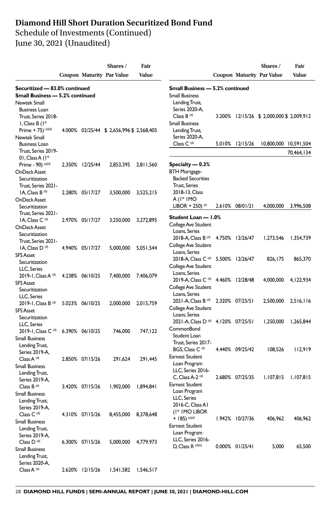|                                                                         |                 | Shares /                                  | Fair      |                                                          |        |                      | Shares /                                | Fair       |
|-------------------------------------------------------------------------|-----------------|-------------------------------------------|-----------|----------------------------------------------------------|--------|----------------------|-----------------------------------------|------------|
|                                                                         |                 | Coupon Maturity Par Value                 | Value     |                                                          |        |                      | Coupon Maturity Par Value               | Value      |
| Securitized - 83.0% continued<br><b>Small Business - 5.2% continued</b> |                 |                                           |           | Small Business - 5.2% continued<br><b>Small Business</b> |        |                      |                                         |            |
| Newtek Small                                                            |                 |                                           |           | Lending Trust,                                           |        |                      |                                         |            |
| <b>Business Loan</b>                                                    |                 |                                           |           | Series 2020-A,                                           |        |                      |                                         |            |
| Trust, Series 2018-                                                     |                 |                                           |           | Class $B^{(d)}$                                          |        |                      | 3.200% 12/15/26 \$2,000,000 \$2,009,912 |            |
| I, Class B (I*                                                          |                 |                                           |           | <b>Small Business</b>                                    |        |                      |                                         |            |
| Prime + 75) $(a)(d)$                                                    |                 | 4.000% 02/25/44 \$ 2,656,996 \$ 2,568,405 |           | Lending Trust,                                           |        |                      |                                         |            |
| Newtek Small                                                            |                 |                                           |           | Series 2020-A,                                           |        |                      |                                         |            |
| <b>Business Loan</b>                                                    |                 |                                           |           | Class C <sup>(d)</sup>                                   | 5.010% | 12/15/26             | 10,800,000                              | 10,591,504 |
| Trust, Series 2019-                                                     |                 |                                           |           |                                                          |        |                      |                                         |            |
| 01, Class A $(1^*)$                                                     |                 |                                           |           |                                                          |        |                      |                                         | 70,464,134 |
| Prime - 90) (a)(d)                                                      | 2.350% 12/25/44 | 2,853,395                                 | 2,811,560 | $Specialty = 0.3\%$                                      |        |                      |                                         |            |
| <b>OnDeck Asset</b>                                                     |                 |                                           |           | <b>BTH Mortgage-</b>                                     |        |                      |                                         |            |
| Securitization                                                          |                 |                                           |           | <b>Backed Securities</b>                                 |        |                      |                                         |            |
| Trust, Series 2021-                                                     |                 |                                           |           | <b>Trust, Series</b>                                     |        |                      |                                         |            |
| IA, Class B <sup>(d)</sup>                                              | 2.280% 05/17/27 | 3,500,000                                 | 3,525,215 | 2018-13, Class                                           |        |                      |                                         |            |
| <b>OnDeck Asset</b>                                                     |                 |                                           |           | $A$ ( $I^*$ IMO                                          |        |                      |                                         |            |
| Securitization                                                          |                 |                                           |           | LIBOR + 250) (a)                                         |        | 2.610% 08/01/21      | 4,000,000                               | 3,996,508  |
| Trust, Series 2021-                                                     |                 |                                           |           |                                                          |        |                      |                                         |            |
| IA, Class C <sup>(d)</sup>                                              | 2.970% 05/17/27 | 3,250,000                                 | 3,272,895 | <b>Student Loan - 1.0%</b>                               |        |                      |                                         |            |
| <b>OnDeck Asset</b>                                                     |                 |                                           |           | College Ave Student                                      |        |                      |                                         |            |
| Securitization                                                          |                 |                                           |           | Loans, Series                                            |        |                      |                                         |            |
| Trust, Series 2021-                                                     |                 |                                           |           | 2018-A, Class B <sup>(d)</sup>                           | 4.750% | 12/26/47             | 1,273,546                               | 1,354,739  |
| IA, Class D <sup>(d)</sup>                                              | 4.940% 05/17/27 | 5,000,000                                 | 5,051,544 | College Ave Student                                      |        |                      |                                         |            |
| <b>SFS Asset</b>                                                        |                 |                                           |           | Loans, Series                                            |        |                      |                                         |            |
| Securitization                                                          |                 |                                           |           | 2018-A, Class C $(d)$                                    |        | 5.500% 12/26/47      | 826,175                                 | 865,370    |
| LLC, Series                                                             |                 |                                           |           | College Ave Student                                      |        |                      |                                         |            |
| 2019-1, Class A (d)                                                     | 4.238% 06/10/25 | 7,400,000                                 | 7,406,079 | Loans, Series                                            |        |                      |                                         |            |
| <b>SFS Asset</b>                                                        |                 |                                           |           | 2019-A, Class C $(d)$                                    | 4.460% | 12/28/48             | 4,000,000                               | 4,122,934  |
| Securitization                                                          |                 |                                           |           | College Ave Student                                      |        |                      |                                         |            |
| LLC, Series                                                             |                 |                                           |           | Loans, Series                                            |        |                      |                                         |            |
| 2019-1, Class B <sup>(d)</sup>                                          | 5.023% 06/10/25 | 2,000,000                                 | 2.015.759 | 2021-A, Class B $(d)$                                    |        | 2.320% 07/25/51      | 2,500,000                               | 2,516,116  |
| <b>SFS Asset</b>                                                        |                 |                                           |           | <b>College Ave Student</b>                               |        |                      |                                         |            |
| Securitization                                                          |                 |                                           |           | Loans, Series                                            |        |                      |                                         |            |
| LLC, Series                                                             |                 |                                           |           | 2021-A, Class D <sup>(d)</sup> 4.120% 07/25/51           |        |                      | 1,250,000                               | 1,265,844  |
| 2019-1, Class C <sup>(d)</sup>                                          | 6.390% 06/10/25 | 746,000                                   | 747,122   | CommonBond                                               |        |                      |                                         |            |
| <b>Small Business</b>                                                   |                 |                                           |           | Student Loan                                             |        |                      |                                         |            |
| Lending Trust,                                                          |                 |                                           |           | Trust, Series 2017-                                      |        |                      |                                         |            |
| Series 2019-A,                                                          |                 |                                           |           | BGS, Class C <sup>(d)</sup>                              |        | 4.440% 09/25/42      | 108,526                                 | 112,919    |
| Class A <sup>(d)</sup>                                                  | 2.850% 07/15/26 | 291,624                                   | 291,445   | Earnest Student                                          |        |                      |                                         |            |
| <b>Small Business</b>                                                   |                 |                                           |           | Loan Program<br>LLC, Series 2016-                        |        |                      |                                         |            |
| Lending Trust,                                                          |                 |                                           |           | C. Class A-2 $(d)$                                       |        | 2.680% 07/25/35      | 1,107,815                               | 1.107.815  |
| Series 2019-A,                                                          |                 |                                           |           | Earnest Student                                          |        |                      |                                         |            |
| Class $B^{(d)}$                                                         | 3.420% 07/15/26 | 1,902,000                                 | 1,894,841 | Loan Program                                             |        |                      |                                         |            |
| <b>Small Business</b>                                                   |                 |                                           |           | LLC, Series                                              |        |                      |                                         |            |
| Lending Trust,                                                          |                 |                                           |           | 2016-C, Class A1                                         |        |                      |                                         |            |
| Series 2019-A,                                                          |                 |                                           |           | (I* IMO LIBOR                                            |        |                      |                                         |            |
| Class $C^{(d)}$                                                         | 4.310% 07/15/26 | 8,455,000                                 | 8,378,648 | $+$ 185) (a)(d)                                          |        | $1.942\%$ $10/27/36$ | 406.962                                 | 406.962    |
| <b>Small Business</b>                                                   |                 |                                           |           | Earnest Student                                          |        |                      |                                         |            |
| Lending Trust,                                                          |                 |                                           |           | Loan Program                                             |        |                      |                                         |            |
| Series 2019-A,                                                          |                 |                                           |           | LLC, Series 2016-                                        |        |                      |                                         |            |
| Class D <sup>(d)</sup>                                                  | 6.300% 07/15/26 | 5,000,000                                 | 4,779,973 | D, Class R (d)(e)                                        |        | 0.000% 01/25/41      | 5,000                                   | 65,500     |
| Small Business                                                          |                 |                                           |           |                                                          |        |                      |                                         |            |
| Lending Trust,                                                          |                 |                                           |           |                                                          |        |                      |                                         |            |
| Series 2020-A,<br>Class A <sup>(d)</sup>                                | 2.620% 12/15/26 |                                           |           |                                                          |        |                      |                                         |            |
|                                                                         |                 | 1,541,582                                 | 1,546,517 |                                                          |        |                      |                                         |            |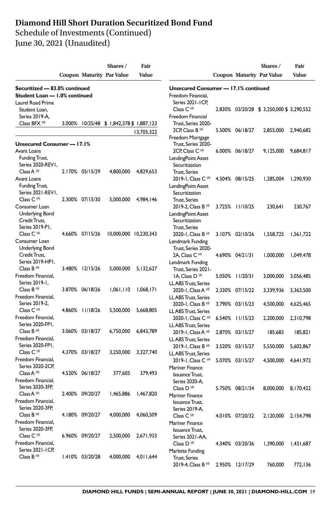| Value<br>Coupon Maturity Par Value<br>Value<br>Coupon Maturity Par Value<br>Securitized - 83.0% continued<br>Unsecured Consumer - 17.1% continued<br>Student Loan - 1.0% continued<br>Freedom Financial.<br>Series 2021-ICP.<br>Laurel Road Prime<br>Class C <sup>(d)</sup><br>2.830% 03/20/28 \$3,250,000 \$3,290,552<br>Student Loan.<br>Series 2019-A,<br>Freedom Financial<br>Class BFX <sup>(d)</sup><br>3.000%<br>10/25/48 \$1,842,378 \$1,887,123<br>Trust, Series 2020-<br>2CP, Class B (d)<br>5.500% 06/18/27<br>2,855,000<br>2,940,682<br>13,705,322<br>Freedom Mortgage<br>Unsecured Consumer - 17.1%<br>Trust, Series 2020-<br>2CP. Class C <sup>(d)</sup><br>6.000% 06/18/27<br>9,125,000<br>Avant Loans<br>9,684,817<br><b>Funding Trust,</b><br>LendingPoint Asset<br>Series 2020-REVI,<br>Securitization<br>Class A <sup>(d)</sup><br>4,800,000<br>4,829,653<br>2.170% 05/15/29<br><b>Trust, Series</b><br>2019-1, Class C (d)<br>Avant Loans<br>4.504% 08/15/25<br>1,285,004<br>1,290,930<br>Funding Trust,<br>LendingPoint Asset<br>Series 2021-REV1,<br>Securitization<br>Class C <sup>(d)</sup><br>2.300% 07/15/30<br>5,000,000<br>4,984,146<br><b>Trust, Series</b><br>230,641<br>Consumer Loan<br>2019-2, Class B (d)<br>3.725% 11/10/25<br>230,767<br><b>Underlying Bond</b><br>LendingPoint Asset<br>Credit Trust,<br>Securitization<br>Series 2019-PI,<br><b>Trust, Series</b><br>Class $C^{(d)}$<br>4.660% 07/15/26<br>10,000,000 10,230,343<br>2020-1, Class B (d)<br>3.107% 02/10/26<br>1,558,725<br>1,561,722<br>Consumer Loan<br>Lendmark Funding<br><b>Underlying Bond</b><br>Trust, Series 2020-<br>Credit Trust,<br>2A, Class C <sup>(d)</sup><br>4.690% 04/21/31<br>1,000,000<br>1,049,478<br>Series 2019-HPI,<br>Lendmark Funding<br>Class $B^{(d)}$<br>3.480% 12/15/26<br>5,000,000<br>5.132.627<br>Trust, Series 2021-<br>Freedom Financial,<br>IA, Class D <sup>(d)</sup><br>5.050%   1/20/31<br>3,000,000<br>3,056,485<br>Series 2019-1,<br>LL ABS Trust, Series<br>Class B <sup>(d)</sup><br>3.870% 06/18/26<br>1,061,110<br>1,068,171<br>2.330% 07/15/22<br>2020-1, Class A (d)<br>3,339,936<br>3,363,500<br>Freedom Financial,<br>LL ABS Trust, Series<br>Series 2019-2,<br>2020-1, Class B (d)<br>3.790% 03/15/23<br>4,500,000<br>4,625,465<br>Class C <sup>(d)</sup><br>4.860%<br>11/18/26<br>5,500,000<br>5,668,805<br>LL ABS Trust, Series<br>Freedom Financial,<br>6.540%<br>11/15/23<br>2020-1, Class C (d)<br>2,200,000<br>2,310,798<br>Series 2020-FPI,<br>LL ABS Trust, Series<br>Class $B^{(d)}$<br>3.060% 03/18/27<br>6,750,000<br>6,843,789<br>2019-1, Class A (d)<br>2.870% 03/15/27<br>185,683<br>185,821<br>Freedom Financial,<br>LL ABS Trust, Series<br>Series 2020-FPI,<br>2019-1, Class B <sup>(d)</sup><br>3.520% 03/15/27<br>5,550,000<br>5,602,867<br>Class C <sup>(d)</sup><br>4.370% 03/18/27<br>3,250,000<br>3,327,740<br>LL ABS Trust, Series<br>Freedom Financial,<br>2019-1. Class C (d)<br>5.070% 03/15/27<br>4,500,000<br>4,641,972<br>Series 2020-2CP.<br><b>Mariner Finance</b><br>Class A <sup>(d)</sup><br>4.520% 06/18/27<br>377,605<br>379.493<br>Issuance Trust,<br>Freedom Financial,<br>Series 2020-A,<br>Series 2020-3FP,<br>Class D <sup>(d)</sup><br>5.750% 08/21/34<br>8,000,000<br>8,170,422<br>Class A <sup>(d)</sup><br>2.400% 09/20/27<br>I,465,886<br>1,467,820<br><b>Mariner Finance</b><br>Freedom Financial,<br><b>Issuance Trust,</b><br>Series 2020-3FP,<br>Series 2019-A,<br>Class B <sup>(d)</sup><br>4.180% 09/20/27<br>4,000,000<br>4,060,509<br>Class $C^{(d)}$<br>4.010% 07/20/32<br>2,120,000<br>2,154,798<br>Freedom Financial.<br><b>Mariner Finance</b><br>Series 2020-3FP.<br>Issuance Trust,<br>Class $C^{(d)}$<br>6.960% 09/20/27<br>2,500,000<br>2,671,933<br>Series 2021-AA,<br>Freedom Financial,<br>Class D <sup>(d)</sup><br>4.340% 03/20/36<br>1,390,000<br>1,431,687<br>Series 2021-ICP.<br>Marlette Funding<br>Class B <sup>(d)</sup><br>1.410% 03/20/28<br>4,000,000<br>4,011,644<br><b>Trust, Series</b><br>12/17/29 |  | Shares / | Fair |                     |        | Shares / | Fair    |
|--------------------------------------------------------------------------------------------------------------------------------------------------------------------------------------------------------------------------------------------------------------------------------------------------------------------------------------------------------------------------------------------------------------------------------------------------------------------------------------------------------------------------------------------------------------------------------------------------------------------------------------------------------------------------------------------------------------------------------------------------------------------------------------------------------------------------------------------------------------------------------------------------------------------------------------------------------------------------------------------------------------------------------------------------------------------------------------------------------------------------------------------------------------------------------------------------------------------------------------------------------------------------------------------------------------------------------------------------------------------------------------------------------------------------------------------------------------------------------------------------------------------------------------------------------------------------------------------------------------------------------------------------------------------------------------------------------------------------------------------------------------------------------------------------------------------------------------------------------------------------------------------------------------------------------------------------------------------------------------------------------------------------------------------------------------------------------------------------------------------------------------------------------------------------------------------------------------------------------------------------------------------------------------------------------------------------------------------------------------------------------------------------------------------------------------------------------------------------------------------------------------------------------------------------------------------------------------------------------------------------------------------------------------------------------------------------------------------------------------------------------------------------------------------------------------------------------------------------------------------------------------------------------------------------------------------------------------------------------------------------------------------------------------------------------------------------------------------------------------------------------------------------------------------------------------------------------------------------------------------------------------------------------------------------------------------------------------------------------------------------------------------------------------------------------------------------------------------------------------------------------------------------------------------------------------------------------------------------------------------------------------------------------------------------------------------------------------------------------------------------------------------------------------------------------------------------------------------------------------------------------------------------------------------------------------------------------------------------------------------------------------------------------------------|--|----------|------|---------------------|--------|----------|---------|
|                                                                                                                                                                                                                                                                                                                                                                                                                                                                                                                                                                                                                                                                                                                                                                                                                                                                                                                                                                                                                                                                                                                                                                                                                                                                                                                                                                                                                                                                                                                                                                                                                                                                                                                                                                                                                                                                                                                                                                                                                                                                                                                                                                                                                                                                                                                                                                                                                                                                                                                                                                                                                                                                                                                                                                                                                                                                                                                                                                                                                                                                                                                                                                                                                                                                                                                                                                                                                                                                                                                                                                                                                                                                                                                                                                                                                                                                                                                                                                                                                                            |  |          |      |                     |        |          |         |
|                                                                                                                                                                                                                                                                                                                                                                                                                                                                                                                                                                                                                                                                                                                                                                                                                                                                                                                                                                                                                                                                                                                                                                                                                                                                                                                                                                                                                                                                                                                                                                                                                                                                                                                                                                                                                                                                                                                                                                                                                                                                                                                                                                                                                                                                                                                                                                                                                                                                                                                                                                                                                                                                                                                                                                                                                                                                                                                                                                                                                                                                                                                                                                                                                                                                                                                                                                                                                                                                                                                                                                                                                                                                                                                                                                                                                                                                                                                                                                                                                                            |  |          |      |                     |        |          |         |
|                                                                                                                                                                                                                                                                                                                                                                                                                                                                                                                                                                                                                                                                                                                                                                                                                                                                                                                                                                                                                                                                                                                                                                                                                                                                                                                                                                                                                                                                                                                                                                                                                                                                                                                                                                                                                                                                                                                                                                                                                                                                                                                                                                                                                                                                                                                                                                                                                                                                                                                                                                                                                                                                                                                                                                                                                                                                                                                                                                                                                                                                                                                                                                                                                                                                                                                                                                                                                                                                                                                                                                                                                                                                                                                                                                                                                                                                                                                                                                                                                                            |  |          |      |                     |        |          |         |
|                                                                                                                                                                                                                                                                                                                                                                                                                                                                                                                                                                                                                                                                                                                                                                                                                                                                                                                                                                                                                                                                                                                                                                                                                                                                                                                                                                                                                                                                                                                                                                                                                                                                                                                                                                                                                                                                                                                                                                                                                                                                                                                                                                                                                                                                                                                                                                                                                                                                                                                                                                                                                                                                                                                                                                                                                                                                                                                                                                                                                                                                                                                                                                                                                                                                                                                                                                                                                                                                                                                                                                                                                                                                                                                                                                                                                                                                                                                                                                                                                                            |  |          |      |                     |        |          |         |
|                                                                                                                                                                                                                                                                                                                                                                                                                                                                                                                                                                                                                                                                                                                                                                                                                                                                                                                                                                                                                                                                                                                                                                                                                                                                                                                                                                                                                                                                                                                                                                                                                                                                                                                                                                                                                                                                                                                                                                                                                                                                                                                                                                                                                                                                                                                                                                                                                                                                                                                                                                                                                                                                                                                                                                                                                                                                                                                                                                                                                                                                                                                                                                                                                                                                                                                                                                                                                                                                                                                                                                                                                                                                                                                                                                                                                                                                                                                                                                                                                                            |  |          |      |                     |        |          |         |
|                                                                                                                                                                                                                                                                                                                                                                                                                                                                                                                                                                                                                                                                                                                                                                                                                                                                                                                                                                                                                                                                                                                                                                                                                                                                                                                                                                                                                                                                                                                                                                                                                                                                                                                                                                                                                                                                                                                                                                                                                                                                                                                                                                                                                                                                                                                                                                                                                                                                                                                                                                                                                                                                                                                                                                                                                                                                                                                                                                                                                                                                                                                                                                                                                                                                                                                                                                                                                                                                                                                                                                                                                                                                                                                                                                                                                                                                                                                                                                                                                                            |  |          |      |                     |        |          |         |
|                                                                                                                                                                                                                                                                                                                                                                                                                                                                                                                                                                                                                                                                                                                                                                                                                                                                                                                                                                                                                                                                                                                                                                                                                                                                                                                                                                                                                                                                                                                                                                                                                                                                                                                                                                                                                                                                                                                                                                                                                                                                                                                                                                                                                                                                                                                                                                                                                                                                                                                                                                                                                                                                                                                                                                                                                                                                                                                                                                                                                                                                                                                                                                                                                                                                                                                                                                                                                                                                                                                                                                                                                                                                                                                                                                                                                                                                                                                                                                                                                                            |  |          |      |                     |        |          |         |
|                                                                                                                                                                                                                                                                                                                                                                                                                                                                                                                                                                                                                                                                                                                                                                                                                                                                                                                                                                                                                                                                                                                                                                                                                                                                                                                                                                                                                                                                                                                                                                                                                                                                                                                                                                                                                                                                                                                                                                                                                                                                                                                                                                                                                                                                                                                                                                                                                                                                                                                                                                                                                                                                                                                                                                                                                                                                                                                                                                                                                                                                                                                                                                                                                                                                                                                                                                                                                                                                                                                                                                                                                                                                                                                                                                                                                                                                                                                                                                                                                                            |  |          |      |                     |        |          |         |
|                                                                                                                                                                                                                                                                                                                                                                                                                                                                                                                                                                                                                                                                                                                                                                                                                                                                                                                                                                                                                                                                                                                                                                                                                                                                                                                                                                                                                                                                                                                                                                                                                                                                                                                                                                                                                                                                                                                                                                                                                                                                                                                                                                                                                                                                                                                                                                                                                                                                                                                                                                                                                                                                                                                                                                                                                                                                                                                                                                                                                                                                                                                                                                                                                                                                                                                                                                                                                                                                                                                                                                                                                                                                                                                                                                                                                                                                                                                                                                                                                                            |  |          |      |                     |        |          |         |
|                                                                                                                                                                                                                                                                                                                                                                                                                                                                                                                                                                                                                                                                                                                                                                                                                                                                                                                                                                                                                                                                                                                                                                                                                                                                                                                                                                                                                                                                                                                                                                                                                                                                                                                                                                                                                                                                                                                                                                                                                                                                                                                                                                                                                                                                                                                                                                                                                                                                                                                                                                                                                                                                                                                                                                                                                                                                                                                                                                                                                                                                                                                                                                                                                                                                                                                                                                                                                                                                                                                                                                                                                                                                                                                                                                                                                                                                                                                                                                                                                                            |  |          |      |                     |        |          |         |
|                                                                                                                                                                                                                                                                                                                                                                                                                                                                                                                                                                                                                                                                                                                                                                                                                                                                                                                                                                                                                                                                                                                                                                                                                                                                                                                                                                                                                                                                                                                                                                                                                                                                                                                                                                                                                                                                                                                                                                                                                                                                                                                                                                                                                                                                                                                                                                                                                                                                                                                                                                                                                                                                                                                                                                                                                                                                                                                                                                                                                                                                                                                                                                                                                                                                                                                                                                                                                                                                                                                                                                                                                                                                                                                                                                                                                                                                                                                                                                                                                                            |  |          |      |                     |        |          |         |
|                                                                                                                                                                                                                                                                                                                                                                                                                                                                                                                                                                                                                                                                                                                                                                                                                                                                                                                                                                                                                                                                                                                                                                                                                                                                                                                                                                                                                                                                                                                                                                                                                                                                                                                                                                                                                                                                                                                                                                                                                                                                                                                                                                                                                                                                                                                                                                                                                                                                                                                                                                                                                                                                                                                                                                                                                                                                                                                                                                                                                                                                                                                                                                                                                                                                                                                                                                                                                                                                                                                                                                                                                                                                                                                                                                                                                                                                                                                                                                                                                                            |  |          |      |                     |        |          |         |
|                                                                                                                                                                                                                                                                                                                                                                                                                                                                                                                                                                                                                                                                                                                                                                                                                                                                                                                                                                                                                                                                                                                                                                                                                                                                                                                                                                                                                                                                                                                                                                                                                                                                                                                                                                                                                                                                                                                                                                                                                                                                                                                                                                                                                                                                                                                                                                                                                                                                                                                                                                                                                                                                                                                                                                                                                                                                                                                                                                                                                                                                                                                                                                                                                                                                                                                                                                                                                                                                                                                                                                                                                                                                                                                                                                                                                                                                                                                                                                                                                                            |  |          |      |                     |        |          |         |
|                                                                                                                                                                                                                                                                                                                                                                                                                                                                                                                                                                                                                                                                                                                                                                                                                                                                                                                                                                                                                                                                                                                                                                                                                                                                                                                                                                                                                                                                                                                                                                                                                                                                                                                                                                                                                                                                                                                                                                                                                                                                                                                                                                                                                                                                                                                                                                                                                                                                                                                                                                                                                                                                                                                                                                                                                                                                                                                                                                                                                                                                                                                                                                                                                                                                                                                                                                                                                                                                                                                                                                                                                                                                                                                                                                                                                                                                                                                                                                                                                                            |  |          |      |                     |        |          |         |
|                                                                                                                                                                                                                                                                                                                                                                                                                                                                                                                                                                                                                                                                                                                                                                                                                                                                                                                                                                                                                                                                                                                                                                                                                                                                                                                                                                                                                                                                                                                                                                                                                                                                                                                                                                                                                                                                                                                                                                                                                                                                                                                                                                                                                                                                                                                                                                                                                                                                                                                                                                                                                                                                                                                                                                                                                                                                                                                                                                                                                                                                                                                                                                                                                                                                                                                                                                                                                                                                                                                                                                                                                                                                                                                                                                                                                                                                                                                                                                                                                                            |  |          |      |                     |        |          |         |
|                                                                                                                                                                                                                                                                                                                                                                                                                                                                                                                                                                                                                                                                                                                                                                                                                                                                                                                                                                                                                                                                                                                                                                                                                                                                                                                                                                                                                                                                                                                                                                                                                                                                                                                                                                                                                                                                                                                                                                                                                                                                                                                                                                                                                                                                                                                                                                                                                                                                                                                                                                                                                                                                                                                                                                                                                                                                                                                                                                                                                                                                                                                                                                                                                                                                                                                                                                                                                                                                                                                                                                                                                                                                                                                                                                                                                                                                                                                                                                                                                                            |  |          |      |                     |        |          |         |
|                                                                                                                                                                                                                                                                                                                                                                                                                                                                                                                                                                                                                                                                                                                                                                                                                                                                                                                                                                                                                                                                                                                                                                                                                                                                                                                                                                                                                                                                                                                                                                                                                                                                                                                                                                                                                                                                                                                                                                                                                                                                                                                                                                                                                                                                                                                                                                                                                                                                                                                                                                                                                                                                                                                                                                                                                                                                                                                                                                                                                                                                                                                                                                                                                                                                                                                                                                                                                                                                                                                                                                                                                                                                                                                                                                                                                                                                                                                                                                                                                                            |  |          |      |                     |        |          |         |
|                                                                                                                                                                                                                                                                                                                                                                                                                                                                                                                                                                                                                                                                                                                                                                                                                                                                                                                                                                                                                                                                                                                                                                                                                                                                                                                                                                                                                                                                                                                                                                                                                                                                                                                                                                                                                                                                                                                                                                                                                                                                                                                                                                                                                                                                                                                                                                                                                                                                                                                                                                                                                                                                                                                                                                                                                                                                                                                                                                                                                                                                                                                                                                                                                                                                                                                                                                                                                                                                                                                                                                                                                                                                                                                                                                                                                                                                                                                                                                                                                                            |  |          |      |                     |        |          |         |
|                                                                                                                                                                                                                                                                                                                                                                                                                                                                                                                                                                                                                                                                                                                                                                                                                                                                                                                                                                                                                                                                                                                                                                                                                                                                                                                                                                                                                                                                                                                                                                                                                                                                                                                                                                                                                                                                                                                                                                                                                                                                                                                                                                                                                                                                                                                                                                                                                                                                                                                                                                                                                                                                                                                                                                                                                                                                                                                                                                                                                                                                                                                                                                                                                                                                                                                                                                                                                                                                                                                                                                                                                                                                                                                                                                                                                                                                                                                                                                                                                                            |  |          |      |                     |        |          |         |
|                                                                                                                                                                                                                                                                                                                                                                                                                                                                                                                                                                                                                                                                                                                                                                                                                                                                                                                                                                                                                                                                                                                                                                                                                                                                                                                                                                                                                                                                                                                                                                                                                                                                                                                                                                                                                                                                                                                                                                                                                                                                                                                                                                                                                                                                                                                                                                                                                                                                                                                                                                                                                                                                                                                                                                                                                                                                                                                                                                                                                                                                                                                                                                                                                                                                                                                                                                                                                                                                                                                                                                                                                                                                                                                                                                                                                                                                                                                                                                                                                                            |  |          |      |                     |        |          |         |
|                                                                                                                                                                                                                                                                                                                                                                                                                                                                                                                                                                                                                                                                                                                                                                                                                                                                                                                                                                                                                                                                                                                                                                                                                                                                                                                                                                                                                                                                                                                                                                                                                                                                                                                                                                                                                                                                                                                                                                                                                                                                                                                                                                                                                                                                                                                                                                                                                                                                                                                                                                                                                                                                                                                                                                                                                                                                                                                                                                                                                                                                                                                                                                                                                                                                                                                                                                                                                                                                                                                                                                                                                                                                                                                                                                                                                                                                                                                                                                                                                                            |  |          |      |                     |        |          |         |
|                                                                                                                                                                                                                                                                                                                                                                                                                                                                                                                                                                                                                                                                                                                                                                                                                                                                                                                                                                                                                                                                                                                                                                                                                                                                                                                                                                                                                                                                                                                                                                                                                                                                                                                                                                                                                                                                                                                                                                                                                                                                                                                                                                                                                                                                                                                                                                                                                                                                                                                                                                                                                                                                                                                                                                                                                                                                                                                                                                                                                                                                                                                                                                                                                                                                                                                                                                                                                                                                                                                                                                                                                                                                                                                                                                                                                                                                                                                                                                                                                                            |  |          |      |                     |        |          |         |
|                                                                                                                                                                                                                                                                                                                                                                                                                                                                                                                                                                                                                                                                                                                                                                                                                                                                                                                                                                                                                                                                                                                                                                                                                                                                                                                                                                                                                                                                                                                                                                                                                                                                                                                                                                                                                                                                                                                                                                                                                                                                                                                                                                                                                                                                                                                                                                                                                                                                                                                                                                                                                                                                                                                                                                                                                                                                                                                                                                                                                                                                                                                                                                                                                                                                                                                                                                                                                                                                                                                                                                                                                                                                                                                                                                                                                                                                                                                                                                                                                                            |  |          |      |                     |        |          |         |
|                                                                                                                                                                                                                                                                                                                                                                                                                                                                                                                                                                                                                                                                                                                                                                                                                                                                                                                                                                                                                                                                                                                                                                                                                                                                                                                                                                                                                                                                                                                                                                                                                                                                                                                                                                                                                                                                                                                                                                                                                                                                                                                                                                                                                                                                                                                                                                                                                                                                                                                                                                                                                                                                                                                                                                                                                                                                                                                                                                                                                                                                                                                                                                                                                                                                                                                                                                                                                                                                                                                                                                                                                                                                                                                                                                                                                                                                                                                                                                                                                                            |  |          |      |                     |        |          |         |
|                                                                                                                                                                                                                                                                                                                                                                                                                                                                                                                                                                                                                                                                                                                                                                                                                                                                                                                                                                                                                                                                                                                                                                                                                                                                                                                                                                                                                                                                                                                                                                                                                                                                                                                                                                                                                                                                                                                                                                                                                                                                                                                                                                                                                                                                                                                                                                                                                                                                                                                                                                                                                                                                                                                                                                                                                                                                                                                                                                                                                                                                                                                                                                                                                                                                                                                                                                                                                                                                                                                                                                                                                                                                                                                                                                                                                                                                                                                                                                                                                                            |  |          |      |                     |        |          |         |
|                                                                                                                                                                                                                                                                                                                                                                                                                                                                                                                                                                                                                                                                                                                                                                                                                                                                                                                                                                                                                                                                                                                                                                                                                                                                                                                                                                                                                                                                                                                                                                                                                                                                                                                                                                                                                                                                                                                                                                                                                                                                                                                                                                                                                                                                                                                                                                                                                                                                                                                                                                                                                                                                                                                                                                                                                                                                                                                                                                                                                                                                                                                                                                                                                                                                                                                                                                                                                                                                                                                                                                                                                                                                                                                                                                                                                                                                                                                                                                                                                                            |  |          |      |                     |        |          |         |
|                                                                                                                                                                                                                                                                                                                                                                                                                                                                                                                                                                                                                                                                                                                                                                                                                                                                                                                                                                                                                                                                                                                                                                                                                                                                                                                                                                                                                                                                                                                                                                                                                                                                                                                                                                                                                                                                                                                                                                                                                                                                                                                                                                                                                                                                                                                                                                                                                                                                                                                                                                                                                                                                                                                                                                                                                                                                                                                                                                                                                                                                                                                                                                                                                                                                                                                                                                                                                                                                                                                                                                                                                                                                                                                                                                                                                                                                                                                                                                                                                                            |  |          |      |                     |        |          |         |
|                                                                                                                                                                                                                                                                                                                                                                                                                                                                                                                                                                                                                                                                                                                                                                                                                                                                                                                                                                                                                                                                                                                                                                                                                                                                                                                                                                                                                                                                                                                                                                                                                                                                                                                                                                                                                                                                                                                                                                                                                                                                                                                                                                                                                                                                                                                                                                                                                                                                                                                                                                                                                                                                                                                                                                                                                                                                                                                                                                                                                                                                                                                                                                                                                                                                                                                                                                                                                                                                                                                                                                                                                                                                                                                                                                                                                                                                                                                                                                                                                                            |  |          |      |                     |        |          |         |
|                                                                                                                                                                                                                                                                                                                                                                                                                                                                                                                                                                                                                                                                                                                                                                                                                                                                                                                                                                                                                                                                                                                                                                                                                                                                                                                                                                                                                                                                                                                                                                                                                                                                                                                                                                                                                                                                                                                                                                                                                                                                                                                                                                                                                                                                                                                                                                                                                                                                                                                                                                                                                                                                                                                                                                                                                                                                                                                                                                                                                                                                                                                                                                                                                                                                                                                                                                                                                                                                                                                                                                                                                                                                                                                                                                                                                                                                                                                                                                                                                                            |  |          |      |                     |        |          |         |
|                                                                                                                                                                                                                                                                                                                                                                                                                                                                                                                                                                                                                                                                                                                                                                                                                                                                                                                                                                                                                                                                                                                                                                                                                                                                                                                                                                                                                                                                                                                                                                                                                                                                                                                                                                                                                                                                                                                                                                                                                                                                                                                                                                                                                                                                                                                                                                                                                                                                                                                                                                                                                                                                                                                                                                                                                                                                                                                                                                                                                                                                                                                                                                                                                                                                                                                                                                                                                                                                                                                                                                                                                                                                                                                                                                                                                                                                                                                                                                                                                                            |  |          |      |                     |        |          |         |
|                                                                                                                                                                                                                                                                                                                                                                                                                                                                                                                                                                                                                                                                                                                                                                                                                                                                                                                                                                                                                                                                                                                                                                                                                                                                                                                                                                                                                                                                                                                                                                                                                                                                                                                                                                                                                                                                                                                                                                                                                                                                                                                                                                                                                                                                                                                                                                                                                                                                                                                                                                                                                                                                                                                                                                                                                                                                                                                                                                                                                                                                                                                                                                                                                                                                                                                                                                                                                                                                                                                                                                                                                                                                                                                                                                                                                                                                                                                                                                                                                                            |  |          |      |                     |        |          |         |
|                                                                                                                                                                                                                                                                                                                                                                                                                                                                                                                                                                                                                                                                                                                                                                                                                                                                                                                                                                                                                                                                                                                                                                                                                                                                                                                                                                                                                                                                                                                                                                                                                                                                                                                                                                                                                                                                                                                                                                                                                                                                                                                                                                                                                                                                                                                                                                                                                                                                                                                                                                                                                                                                                                                                                                                                                                                                                                                                                                                                                                                                                                                                                                                                                                                                                                                                                                                                                                                                                                                                                                                                                                                                                                                                                                                                                                                                                                                                                                                                                                            |  |          |      |                     |        |          |         |
|                                                                                                                                                                                                                                                                                                                                                                                                                                                                                                                                                                                                                                                                                                                                                                                                                                                                                                                                                                                                                                                                                                                                                                                                                                                                                                                                                                                                                                                                                                                                                                                                                                                                                                                                                                                                                                                                                                                                                                                                                                                                                                                                                                                                                                                                                                                                                                                                                                                                                                                                                                                                                                                                                                                                                                                                                                                                                                                                                                                                                                                                                                                                                                                                                                                                                                                                                                                                                                                                                                                                                                                                                                                                                                                                                                                                                                                                                                                                                                                                                                            |  |          |      |                     |        |          |         |
|                                                                                                                                                                                                                                                                                                                                                                                                                                                                                                                                                                                                                                                                                                                                                                                                                                                                                                                                                                                                                                                                                                                                                                                                                                                                                                                                                                                                                                                                                                                                                                                                                                                                                                                                                                                                                                                                                                                                                                                                                                                                                                                                                                                                                                                                                                                                                                                                                                                                                                                                                                                                                                                                                                                                                                                                                                                                                                                                                                                                                                                                                                                                                                                                                                                                                                                                                                                                                                                                                                                                                                                                                                                                                                                                                                                                                                                                                                                                                                                                                                            |  |          |      |                     |        |          |         |
|                                                                                                                                                                                                                                                                                                                                                                                                                                                                                                                                                                                                                                                                                                                                                                                                                                                                                                                                                                                                                                                                                                                                                                                                                                                                                                                                                                                                                                                                                                                                                                                                                                                                                                                                                                                                                                                                                                                                                                                                                                                                                                                                                                                                                                                                                                                                                                                                                                                                                                                                                                                                                                                                                                                                                                                                                                                                                                                                                                                                                                                                                                                                                                                                                                                                                                                                                                                                                                                                                                                                                                                                                                                                                                                                                                                                                                                                                                                                                                                                                                            |  |          |      |                     |        |          |         |
|                                                                                                                                                                                                                                                                                                                                                                                                                                                                                                                                                                                                                                                                                                                                                                                                                                                                                                                                                                                                                                                                                                                                                                                                                                                                                                                                                                                                                                                                                                                                                                                                                                                                                                                                                                                                                                                                                                                                                                                                                                                                                                                                                                                                                                                                                                                                                                                                                                                                                                                                                                                                                                                                                                                                                                                                                                                                                                                                                                                                                                                                                                                                                                                                                                                                                                                                                                                                                                                                                                                                                                                                                                                                                                                                                                                                                                                                                                                                                                                                                                            |  |          |      |                     |        |          |         |
|                                                                                                                                                                                                                                                                                                                                                                                                                                                                                                                                                                                                                                                                                                                                                                                                                                                                                                                                                                                                                                                                                                                                                                                                                                                                                                                                                                                                                                                                                                                                                                                                                                                                                                                                                                                                                                                                                                                                                                                                                                                                                                                                                                                                                                                                                                                                                                                                                                                                                                                                                                                                                                                                                                                                                                                                                                                                                                                                                                                                                                                                                                                                                                                                                                                                                                                                                                                                                                                                                                                                                                                                                                                                                                                                                                                                                                                                                                                                                                                                                                            |  |          |      |                     |        |          |         |
|                                                                                                                                                                                                                                                                                                                                                                                                                                                                                                                                                                                                                                                                                                                                                                                                                                                                                                                                                                                                                                                                                                                                                                                                                                                                                                                                                                                                                                                                                                                                                                                                                                                                                                                                                                                                                                                                                                                                                                                                                                                                                                                                                                                                                                                                                                                                                                                                                                                                                                                                                                                                                                                                                                                                                                                                                                                                                                                                                                                                                                                                                                                                                                                                                                                                                                                                                                                                                                                                                                                                                                                                                                                                                                                                                                                                                                                                                                                                                                                                                                            |  |          |      |                     |        |          |         |
|                                                                                                                                                                                                                                                                                                                                                                                                                                                                                                                                                                                                                                                                                                                                                                                                                                                                                                                                                                                                                                                                                                                                                                                                                                                                                                                                                                                                                                                                                                                                                                                                                                                                                                                                                                                                                                                                                                                                                                                                                                                                                                                                                                                                                                                                                                                                                                                                                                                                                                                                                                                                                                                                                                                                                                                                                                                                                                                                                                                                                                                                                                                                                                                                                                                                                                                                                                                                                                                                                                                                                                                                                                                                                                                                                                                                                                                                                                                                                                                                                                            |  |          |      |                     |        |          |         |
|                                                                                                                                                                                                                                                                                                                                                                                                                                                                                                                                                                                                                                                                                                                                                                                                                                                                                                                                                                                                                                                                                                                                                                                                                                                                                                                                                                                                                                                                                                                                                                                                                                                                                                                                                                                                                                                                                                                                                                                                                                                                                                                                                                                                                                                                                                                                                                                                                                                                                                                                                                                                                                                                                                                                                                                                                                                                                                                                                                                                                                                                                                                                                                                                                                                                                                                                                                                                                                                                                                                                                                                                                                                                                                                                                                                                                                                                                                                                                                                                                                            |  |          |      |                     |        |          |         |
|                                                                                                                                                                                                                                                                                                                                                                                                                                                                                                                                                                                                                                                                                                                                                                                                                                                                                                                                                                                                                                                                                                                                                                                                                                                                                                                                                                                                                                                                                                                                                                                                                                                                                                                                                                                                                                                                                                                                                                                                                                                                                                                                                                                                                                                                                                                                                                                                                                                                                                                                                                                                                                                                                                                                                                                                                                                                                                                                                                                                                                                                                                                                                                                                                                                                                                                                                                                                                                                                                                                                                                                                                                                                                                                                                                                                                                                                                                                                                                                                                                            |  |          |      |                     |        |          |         |
|                                                                                                                                                                                                                                                                                                                                                                                                                                                                                                                                                                                                                                                                                                                                                                                                                                                                                                                                                                                                                                                                                                                                                                                                                                                                                                                                                                                                                                                                                                                                                                                                                                                                                                                                                                                                                                                                                                                                                                                                                                                                                                                                                                                                                                                                                                                                                                                                                                                                                                                                                                                                                                                                                                                                                                                                                                                                                                                                                                                                                                                                                                                                                                                                                                                                                                                                                                                                                                                                                                                                                                                                                                                                                                                                                                                                                                                                                                                                                                                                                                            |  |          |      |                     |        |          |         |
|                                                                                                                                                                                                                                                                                                                                                                                                                                                                                                                                                                                                                                                                                                                                                                                                                                                                                                                                                                                                                                                                                                                                                                                                                                                                                                                                                                                                                                                                                                                                                                                                                                                                                                                                                                                                                                                                                                                                                                                                                                                                                                                                                                                                                                                                                                                                                                                                                                                                                                                                                                                                                                                                                                                                                                                                                                                                                                                                                                                                                                                                                                                                                                                                                                                                                                                                                                                                                                                                                                                                                                                                                                                                                                                                                                                                                                                                                                                                                                                                                                            |  |          |      |                     |        |          |         |
|                                                                                                                                                                                                                                                                                                                                                                                                                                                                                                                                                                                                                                                                                                                                                                                                                                                                                                                                                                                                                                                                                                                                                                                                                                                                                                                                                                                                                                                                                                                                                                                                                                                                                                                                                                                                                                                                                                                                                                                                                                                                                                                                                                                                                                                                                                                                                                                                                                                                                                                                                                                                                                                                                                                                                                                                                                                                                                                                                                                                                                                                                                                                                                                                                                                                                                                                                                                                                                                                                                                                                                                                                                                                                                                                                                                                                                                                                                                                                                                                                                            |  |          |      |                     |        |          |         |
|                                                                                                                                                                                                                                                                                                                                                                                                                                                                                                                                                                                                                                                                                                                                                                                                                                                                                                                                                                                                                                                                                                                                                                                                                                                                                                                                                                                                                                                                                                                                                                                                                                                                                                                                                                                                                                                                                                                                                                                                                                                                                                                                                                                                                                                                                                                                                                                                                                                                                                                                                                                                                                                                                                                                                                                                                                                                                                                                                                                                                                                                                                                                                                                                                                                                                                                                                                                                                                                                                                                                                                                                                                                                                                                                                                                                                                                                                                                                                                                                                                            |  |          |      |                     |        |          |         |
|                                                                                                                                                                                                                                                                                                                                                                                                                                                                                                                                                                                                                                                                                                                                                                                                                                                                                                                                                                                                                                                                                                                                                                                                                                                                                                                                                                                                                                                                                                                                                                                                                                                                                                                                                                                                                                                                                                                                                                                                                                                                                                                                                                                                                                                                                                                                                                                                                                                                                                                                                                                                                                                                                                                                                                                                                                                                                                                                                                                                                                                                                                                                                                                                                                                                                                                                                                                                                                                                                                                                                                                                                                                                                                                                                                                                                                                                                                                                                                                                                                            |  |          |      |                     |        |          |         |
|                                                                                                                                                                                                                                                                                                                                                                                                                                                                                                                                                                                                                                                                                                                                                                                                                                                                                                                                                                                                                                                                                                                                                                                                                                                                                                                                                                                                                                                                                                                                                                                                                                                                                                                                                                                                                                                                                                                                                                                                                                                                                                                                                                                                                                                                                                                                                                                                                                                                                                                                                                                                                                                                                                                                                                                                                                                                                                                                                                                                                                                                                                                                                                                                                                                                                                                                                                                                                                                                                                                                                                                                                                                                                                                                                                                                                                                                                                                                                                                                                                            |  |          |      |                     |        |          |         |
|                                                                                                                                                                                                                                                                                                                                                                                                                                                                                                                                                                                                                                                                                                                                                                                                                                                                                                                                                                                                                                                                                                                                                                                                                                                                                                                                                                                                                                                                                                                                                                                                                                                                                                                                                                                                                                                                                                                                                                                                                                                                                                                                                                                                                                                                                                                                                                                                                                                                                                                                                                                                                                                                                                                                                                                                                                                                                                                                                                                                                                                                                                                                                                                                                                                                                                                                                                                                                                                                                                                                                                                                                                                                                                                                                                                                                                                                                                                                                                                                                                            |  |          |      |                     |        |          |         |
|                                                                                                                                                                                                                                                                                                                                                                                                                                                                                                                                                                                                                                                                                                                                                                                                                                                                                                                                                                                                                                                                                                                                                                                                                                                                                                                                                                                                                                                                                                                                                                                                                                                                                                                                                                                                                                                                                                                                                                                                                                                                                                                                                                                                                                                                                                                                                                                                                                                                                                                                                                                                                                                                                                                                                                                                                                                                                                                                                                                                                                                                                                                                                                                                                                                                                                                                                                                                                                                                                                                                                                                                                                                                                                                                                                                                                                                                                                                                                                                                                                            |  |          |      |                     |        |          |         |
|                                                                                                                                                                                                                                                                                                                                                                                                                                                                                                                                                                                                                                                                                                                                                                                                                                                                                                                                                                                                                                                                                                                                                                                                                                                                                                                                                                                                                                                                                                                                                                                                                                                                                                                                                                                                                                                                                                                                                                                                                                                                                                                                                                                                                                                                                                                                                                                                                                                                                                                                                                                                                                                                                                                                                                                                                                                                                                                                                                                                                                                                                                                                                                                                                                                                                                                                                                                                                                                                                                                                                                                                                                                                                                                                                                                                                                                                                                                                                                                                                                            |  |          |      |                     |        |          |         |
|                                                                                                                                                                                                                                                                                                                                                                                                                                                                                                                                                                                                                                                                                                                                                                                                                                                                                                                                                                                                                                                                                                                                                                                                                                                                                                                                                                                                                                                                                                                                                                                                                                                                                                                                                                                                                                                                                                                                                                                                                                                                                                                                                                                                                                                                                                                                                                                                                                                                                                                                                                                                                                                                                                                                                                                                                                                                                                                                                                                                                                                                                                                                                                                                                                                                                                                                                                                                                                                                                                                                                                                                                                                                                                                                                                                                                                                                                                                                                                                                                                            |  |          |      |                     |        |          |         |
|                                                                                                                                                                                                                                                                                                                                                                                                                                                                                                                                                                                                                                                                                                                                                                                                                                                                                                                                                                                                                                                                                                                                                                                                                                                                                                                                                                                                                                                                                                                                                                                                                                                                                                                                                                                                                                                                                                                                                                                                                                                                                                                                                                                                                                                                                                                                                                                                                                                                                                                                                                                                                                                                                                                                                                                                                                                                                                                                                                                                                                                                                                                                                                                                                                                                                                                                                                                                                                                                                                                                                                                                                                                                                                                                                                                                                                                                                                                                                                                                                                            |  |          |      |                     |        |          |         |
|                                                                                                                                                                                                                                                                                                                                                                                                                                                                                                                                                                                                                                                                                                                                                                                                                                                                                                                                                                                                                                                                                                                                                                                                                                                                                                                                                                                                                                                                                                                                                                                                                                                                                                                                                                                                                                                                                                                                                                                                                                                                                                                                                                                                                                                                                                                                                                                                                                                                                                                                                                                                                                                                                                                                                                                                                                                                                                                                                                                                                                                                                                                                                                                                                                                                                                                                                                                                                                                                                                                                                                                                                                                                                                                                                                                                                                                                                                                                                                                                                                            |  |          |      |                     |        |          |         |
|                                                                                                                                                                                                                                                                                                                                                                                                                                                                                                                                                                                                                                                                                                                                                                                                                                                                                                                                                                                                                                                                                                                                                                                                                                                                                                                                                                                                                                                                                                                                                                                                                                                                                                                                                                                                                                                                                                                                                                                                                                                                                                                                                                                                                                                                                                                                                                                                                                                                                                                                                                                                                                                                                                                                                                                                                                                                                                                                                                                                                                                                                                                                                                                                                                                                                                                                                                                                                                                                                                                                                                                                                                                                                                                                                                                                                                                                                                                                                                                                                                            |  |          |      |                     |        |          |         |
|                                                                                                                                                                                                                                                                                                                                                                                                                                                                                                                                                                                                                                                                                                                                                                                                                                                                                                                                                                                                                                                                                                                                                                                                                                                                                                                                                                                                                                                                                                                                                                                                                                                                                                                                                                                                                                                                                                                                                                                                                                                                                                                                                                                                                                                                                                                                                                                                                                                                                                                                                                                                                                                                                                                                                                                                                                                                                                                                                                                                                                                                                                                                                                                                                                                                                                                                                                                                                                                                                                                                                                                                                                                                                                                                                                                                                                                                                                                                                                                                                                            |  |          |      | 2019-4, Class B (d) | 2.950% | 760,000  | 772,136 |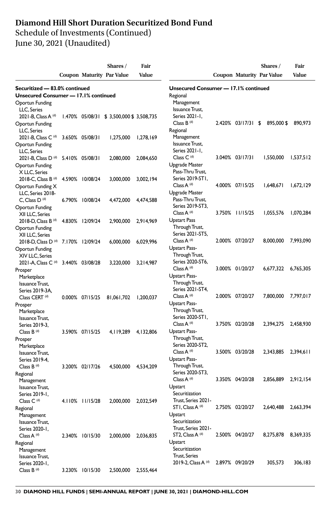|                                                        |        |                 | Shares /                                | Fair      |                                       |                    | Shares /                  | Fair      |
|--------------------------------------------------------|--------|-----------------|-----------------------------------------|-----------|---------------------------------------|--------------------|---------------------------|-----------|
|                                                        |        |                 | Coupon Maturity Par Value               | Value     |                                       |                    | Coupon Maturity Par Value | Value     |
| Securitized - 83.0% continued                          |        |                 |                                         |           | Unsecured Consumer - 17.1% continued  |                    |                           |           |
| <b>Unsecured Consumer - 17.1% continued</b>            |        |                 |                                         |           | Regional                              |                    |                           |           |
| Oportun Funding                                        |        |                 |                                         |           | Management                            |                    |                           |           |
| LLC. Series                                            |        |                 |                                         |           | <b>Issuance Trust,</b>                |                    |                           |           |
| 2021-B, Class A (d)                                    |        |                 | 1.470% 05/08/31 \$3,500,000 \$3,508,735 |           | Series 2021-1,                        |                    |                           |           |
| Oportun Funding                                        |        |                 |                                         |           | Class B <sup>(d)</sup>                | 2.420% 03/17/31 \$ | 895,000\$                 | 890,973   |
| LLC, Series                                            |        |                 |                                         |           | Regional                              |                    |                           |           |
| 2021-B, Class C (d)                                    | 3.650% | 05/08/31        | 1,275,000                               | 1,278,169 | Management                            |                    |                           |           |
| Oportun Funding                                        |        |                 |                                         |           | Issuance Trust,<br>Series 2021-1,     |                    |                           |           |
| LLC, Series<br>2021-B, Class D <sup>(d)</sup>          |        | 5.410% 05/08/31 | 2,080,000                               | 2,084,650 | Class C <sup>(d)</sup>                | 3.040% 03/17/31    | 1,550,000                 | 1,537,512 |
| Oportun Funding                                        |        |                 |                                         |           | Upgrade Master                        |                    |                           |           |
| X LLC, Series                                          |        |                 |                                         |           | Pass-Thru Trust,                      |                    |                           |           |
| 2018-C, Class B <sup>(d)</sup>                         | 4.590% | 10/08/24        | 3,000,000                               | 3,002,194 | Series 2019-ST1.                      |                    |                           |           |
| Oportun Funding X                                      |        |                 |                                         |           | Class $A^{(d)}$                       | 4.000% 07/15/25    | 1,648,671                 | 1,672,129 |
| LLC. Series 2018-                                      |        |                 |                                         |           | <b>Upgrade Master</b>                 |                    |                           |           |
| C, Class D <sup>(d)</sup>                              | 6.790% | 10/08/24        | 4,472,000                               | 4,474,588 | Pass-Thru Trust,                      |                    |                           |           |
| Oportun Funding                                        |        |                 |                                         |           | Series 2019-ST3.                      |                    |                           |           |
| XII LLC, Series                                        |        |                 |                                         |           | $Class A^{(d)}$                       | 3.750% 11/15/25    | 1.055.576                 | 1,070,284 |
| 2018-D, Class B (d)                                    | 4.830% | 12/09/24        | 2,900,000                               | 2,914,969 | <b>Upstart Pass</b>                   |                    |                           |           |
| Oportun Funding                                        |        |                 |                                         |           | Through Trust,                        |                    |                           |           |
| XII LLC, Series                                        |        |                 |                                         |           | Series 2021-ST5,<br>Class $A^{(d)}$   | 2.000% 07/20/27    |                           |           |
| 2018-D, Class D <sup>(d)</sup>                         | 7.170% | 12/09/24        | 6,000,000                               | 6,029,996 | <b>Upstart Pass-</b>                  |                    | 8,000,000                 | 7,993,090 |
| Oportun Funding                                        |        |                 |                                         |           | Through Trust,                        |                    |                           |           |
| XIV LLC, Series<br>2021-A, Class C (d) 3.440% 03/08/28 |        |                 | 3,220,000                               | 3,214,987 | Series 2020-ST6,                      |                    |                           |           |
| Prosper                                                |        |                 |                                         |           | Class A (d)                           | 3.000% 01/20/27    | 6,677,322                 | 6,765,305 |
| Marketplace                                            |        |                 |                                         |           | <b>Upstart Pass-</b>                  |                    |                           |           |
| <b>Issuance Trust,</b>                                 |        |                 |                                         |           | Through Trust,                        |                    |                           |           |
| Series 2019-3A,                                        |        |                 |                                         |           | Series 2021-ST4,                      |                    |                           |           |
| Class CERT <sup>(d)</sup>                              |        | 0.000% 07/15/25 | 81,061,702                              | 1,200,037 | $Class A^{(d)}$                       | 2.000% 07/20/27    | 7,800,000                 | 7,797,017 |
| Prosper                                                |        |                 |                                         |           | <b>Upstart Pass-</b>                  |                    |                           |           |
| Marketplace                                            |        |                 |                                         |           | Through Trust,                        |                    |                           |           |
| Issuance Trust,                                        |        |                 |                                         |           | Series 2020-STI,<br>Class A (d)       | 3.750% 02/20/28    | 2,394,275                 |           |
| Series 2019-3.                                         |        |                 |                                         |           | <b>Upstart Pass-</b>                  |                    |                           | 2,458,930 |
| Class $B^{(d)}$                                        |        | 3.590% 07/15/25 | 4,119,289                               | 4,132,806 | Through Trust,                        |                    |                           |           |
| Prosper<br>Marketplace                                 |        |                 |                                         |           | Series 2020-ST2.                      |                    |                           |           |
| <b>Issuance Trust,</b>                                 |        |                 |                                         |           | $Class A^{(d)}$                       | 3.500% 03/20/28    | 2,343,885                 | 2,394,611 |
| Series 2019-4.                                         |        |                 |                                         |           | <b>Upstart Pass-</b>                  |                    |                           |           |
| Class $B^{(d)}$                                        |        | 3.200% 02/17/26 | 4,500,000                               | 4,534,209 | Through Trust,                        |                    |                           |           |
| Regional                                               |        |                 |                                         |           | Series 2020-ST3.                      |                    |                           |           |
| Management                                             |        |                 |                                         |           | Class A (d)                           | 3.350% 04/20/28    | 2.856.889                 | 2.912.154 |
| <b>Issuance Trust,</b>                                 |        |                 |                                         |           | <b>Upstart</b>                        |                    |                           |           |
| Series 2019-1.                                         |        |                 |                                         |           | Securitization<br>Trust, Series 2021- |                    |                           |           |
| Class $C^{(d)}$                                        | 4.110% | 11/15/28        | 2,000,000                               | 2,032,549 | STI, Class A (d)                      | 2.750% 02/20/27    | 2,640,488                 | 2,663,394 |
| Regional<br>Management                                 |        |                 |                                         |           | <b>Upstart</b>                        |                    |                           |           |
| Issuance Trust,                                        |        |                 |                                         |           | Securitization                        |                    |                           |           |
| Series 2020-1.                                         |        |                 |                                         |           | Trust, Series 2021-                   |                    |                           |           |
| Class $A^{(d)}$                                        |        | 2.340% 10/15/30 | 2,000,000                               | 2,036,835 | ST2, Class A (d)                      | 2.500% 04/20/27    | 8,275,878                 | 8,369,335 |
| Regional                                               |        |                 |                                         |           | Upstart                               |                    |                           |           |
| Management                                             |        |                 |                                         |           | Securitization                        |                    |                           |           |
| Issuance Trust,                                        |        |                 |                                         |           | <b>Trust, Series</b>                  |                    |                           |           |
| Series 2020-1,                                         |        |                 |                                         |           | 2019-2. Class A $^{(d)}$              | 2.897% 09/20/29    | 305.573                   | 306.183   |
| Class B <sup>(d)</sup>                                 |        | 3.230% 10/15/30 | 2.500.000                               | 2,555,464 |                                       |                    |                           |           |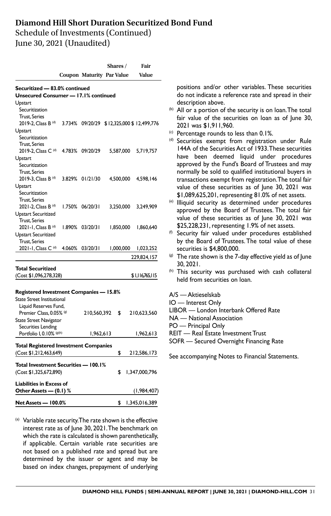Schedule of Investments (Continued) June 30, 2021 (Unaudited)

|                                                |        |                           | Shares /  | Fair                                      |
|------------------------------------------------|--------|---------------------------|-----------|-------------------------------------------|
|                                                |        | Coupon Maturity Par Value |           | Value                                     |
| Securitized - 83.0% continued                  |        |                           |           |                                           |
| Unsecured Consumer - 17.1% continued           |        |                           |           |                                           |
| Upstart                                        |        |                           |           |                                           |
| Securitization                                 |        |                           |           |                                           |
| <b>Trust, Series</b>                           |        |                           |           |                                           |
| 2019-2, Class B (d)                            |        |                           |           | 3.734% 09/20/29 \$12,325,000 \$12,499,776 |
| Upstart                                        |        |                           |           |                                           |
| Securitization                                 |        |                           |           |                                           |
| <b>Trust, Series</b>                           |        |                           |           |                                           |
| 2019-2, Class C (d)                            |        | 4.783% 09/20/29           | 5,587,000 | 5,719,757                                 |
| Upstart                                        |        |                           |           |                                           |
| Securitization<br><b>Trust, Series</b>         |        |                           |           |                                           |
| 2019-3, Class B <sup>(d)</sup>                 | 3.829% | 01/21/30                  | 4.500.000 | 4,598,146                                 |
| Upstart                                        |        |                           |           |                                           |
| Securitization                                 |        |                           |           |                                           |
| <b>Trust, Series</b>                           |        |                           |           |                                           |
| 2021-2, Class B (d)                            |        | 1.750% 06/20/31           | 3,250,000 | 3,249,909                                 |
| <b>Upstart Securitized</b>                     |        |                           |           |                                           |
| <b>Trust, Series</b>                           |        |                           |           |                                           |
| 2021-1, Class B <sup>(d)</sup>                 |        | 1.890% 03/20/31           | 1.850.000 | 1,860,640                                 |
| <b>Upstart Securitized</b>                     |        |                           |           |                                           |
| <b>Trust, Series</b>                           |        |                           |           |                                           |
| 2021-1, Class C (d)                            | 4.060% | 03/20/31                  | 1,000,000 | 1,023,252                                 |
|                                                |        |                           |           | 229,824,157                               |
| <b>Total Securitized</b>                       |        |                           |           |                                           |
| (Cost \$1,096,278,328)                         |        |                           |           | \$1,116,765,115                           |
|                                                |        |                           |           |                                           |
| <b>Registered Investment Companies - 15.8%</b> |        |                           |           |                                           |
| State Street Institutional                     |        |                           |           |                                           |
| Liquid Reserves Fund,                          |        |                           |           |                                           |
| Premier Class, 0.05% ®                         |        | 210,560,392               | \$        | 210,623,560                               |
| State Street Navigator                         |        |                           |           |                                           |
| <b>Securities Lending</b>                      |        |                           |           |                                           |
| Portfolio I, 0.10% ®(h)                        |        | 1,962,613                 |           | 1,962,613                                 |
| <b>Total Registered Investment Companies</b>   |        |                           |           |                                           |
| (Cost \$1,212,463,649)                         |        |                           | \$        | 212,586,173                               |
| Total Investment Securities - 100.1%           |        |                           |           |                                           |
| (Cost \$1,325,672,890)                         |        |                           | \$        | 1,347,000,796                             |
|                                                |        |                           |           |                                           |
| <b>Liabilities in Excess of</b>                |        |                           |           |                                           |
| Other Assets - (0.1) %                         |        |                           |           | (1, 984, 407)                             |
| Net Assets - 100.0%                            |        |                           | \$        | 1,345,016,389                             |

(a) Variable rate security. The rate shown is the effective interest rate as of June 30, 2021. The benchmark on which the rate is calculated is shown parenthetically, if applicable. Certain variable rate securities are not based on a published rate and spread but are determined by the issuer or agent and may be based on index changes, prepayment of underlying positions and/or other variables. These securities do not indicate a reference rate and spread in their description above.

- $(b)$  All or a portion of the security is on loan. The total fair value of the securities on loan as of lune 30, 2021 was \$1,911,960.
- (c) Percentage rounds to less than 0.1%.
- (d) Securities exempt from registration under Rule 144A of the Securities Act of 1933. These securities have been deemed liquid under procedures approved by the Fund's Board of Trustees and may normally be sold to qualified institutional buyers in transactions exempt from registration. The total fair value of these securities as of June 30, 2021 was \$1,089,625,201, representing 81.0% of net assets.
- (e) Illiquid security as determined under procedures approved by the Board of Trustees. The total fair value of these securities as of June 30, 2021 was \$25,228,231, representing 1.9% of net assets.
- (f) Security fair valued under procedures established by the Board of Trustees. The total value of these securities is \$4,800,000.
- $($ g) The rate shown is the 7-day effective yield as of June 30, 2021.
- (h) This security was purchased with cash collateral held from securities on loan.

A/S — Aktieselskab

- IO Interest Only
- LIBOR London Interbank Offered Rate
- NA National Association
- PO Principal Only
- REIT Real Estate Investment Trust
- SOFR Secured Overnight Financing Rate

See accompanying Notes to Financial Statements.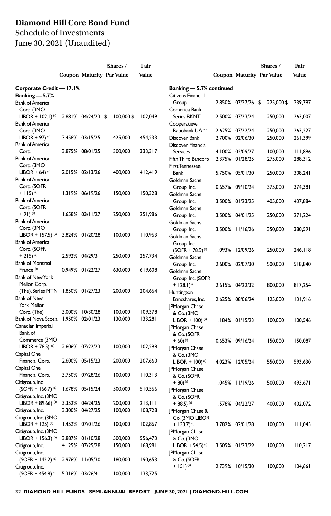### **Diamond Hill Core Bond Fund**

## Schedule of Investments June 30, 2021 (Unaudited)

|                                    |        |                           | Shares /  | Fair    |                                      |        |                 | Shares /                  | Fair     |
|------------------------------------|--------|---------------------------|-----------|---------|--------------------------------------|--------|-----------------|---------------------------|----------|
|                                    |        | Coupon Maturity Par Value |           | Value   |                                      |        |                 | Coupon Maturity Par Value | Value    |
| Corporate Credit - 17.1%           |        |                           |           |         | Banking - 5.7% continued             |        |                 |                           |          |
| Banking — 5.7%                     |        |                           |           |         | Citizens Financial                   |        |                 |                           |          |
| <b>Bank of America</b>             |        |                           |           |         | Group                                | 2.850% | 07/27/26 \$     | 225,000\$                 | 239,797  |
| Corp. (3MO                         |        |                           |           |         | Comerica Bank,                       |        |                 |                           |          |
| LIBOR + 102.1) <sup>(a)</sup>      |        | 2.881% 04/24/23 \$        | 100,000\$ | 102,049 | Series BKNT                          | 2.500% | 07/23/24        | 250,000                   | 263,007  |
| <b>Bank of America</b>             |        |                           |           |         | Cooperatieve                         |        |                 |                           |          |
| Corp. (3MO                         |        |                           |           |         | Rabobank UA <sup>(c)</sup>           | 2.625% | 07/22/24        | 250,000                   | 263,227  |
| LIBOR + 97) (a)                    | 3.458% | 03/15/25                  | 425,000   | 454,233 | Discover Bank                        | 2.700% | 02/06/30        | 250,000                   | 261,399  |
| <b>Bank of America</b>             |        |                           |           |         | <b>Discover Financial</b>            |        |                 |                           |          |
| Corp.                              | 3.875% | 08/01/25                  | 300,000   | 333,317 | Services                             | 4.100% | 02/09/27        | 100,000                   | 111,896  |
| Bank of America                    |        |                           |           |         | Fifth Third Bancorp                  | 2.375% | 01/28/25        | 275,000                   | 288,312  |
| Corp. (3MO<br>$LIBOR + 64$ ) (a)   |        | 2.015% 02/13/26           | 400,000   | 412,419 | <b>First Tennessee</b>               |        |                 |                           |          |
|                                    |        |                           |           |         | <b>Bank</b>                          | 5.750% | 05/01/30        | 250,000                   | 308,241  |
| Bank of America<br>Corp. (SOFR     |        |                           |           |         | Goldman Sachs                        |        |                 |                           |          |
| $+$ 115) <sup>(a)</sup>            |        | 1.319% 06/19/26           | 150,000   | 150,328 | Group, Inc.                          | 0.657% | 09/10/24        | 375,000                   | 374,381  |
| Bank of America                    |        |                           |           |         | Goldman Sachs<br>Group, Inc.         |        | 3.500% 01/23/25 | 405,000                   | 437,884  |
| Corp. (SOFR                        |        |                           |           |         | Goldman Sachs                        |        |                 |                           |          |
| $+91)$ <sup>(a)</sup>              |        | 1.658% 03/11/27           | 250,000   | 251,986 | Group, Inc.                          |        | 3.500% 04/01/25 | 250,000                   | 271,224  |
| Bank of America                    |        |                           |           |         | Goldman Sachs                        |        |                 |                           |          |
| Corp. (3MO                         |        |                           |           |         | Group, Inc.                          | 3.500% | 11/16/26        | 350,000                   | 380,591  |
| LIBOR + 157.5) <sup>(a)</sup>      |        | 3.824% 01/20/28           | 100,000   | 110,963 | Goldman Sachs                        |        |                 |                           |          |
| <b>Bank of America</b>             |        |                           |           |         | Group, Inc.                          |        |                 |                           |          |
| Corp. (SOFR                        |        |                           |           |         | $(SOFF + 78.9)^{(a)}$                | 1.093% | 12/09/26        | 250,000                   | 246, II8 |
| $+ 215$ ) (a)                      |        | 2.592% 04/29/31           | 250,000   | 257,734 | Goldman Sachs                        |        |                 |                           |          |
| <b>Bank of Montreal</b>            |        |                           |           |         | Group, Inc.                          | 2.600% | 02/07/30        | 500,000                   | 518,840  |
| France <sup>(b)</sup>              |        | 0.949% 01/22/27           | 630,000   | 619,608 | Goldman Sachs                        |        |                 |                           |          |
| Bank of New York                   |        |                           |           |         | Group, Inc. (SOFR                    |        |                 |                           |          |
| Mellon Corp.                       |        |                           |           |         | + 128.1) <sup>(a)</sup>              |        | 2.615% 04/22/32 | 800,000                   | 817,254  |
| (The), Series MTN                  | 1.850% | 01/27/23                  | 200,000   | 204,664 | Huntington                           |        |                 |                           |          |
| <b>Bank of New</b>                 |        |                           |           |         | Bancshares, Inc.                     |        | 2.625% 08/06/24 | 125,000                   | 131,916  |
| York Mellon                        | 3.000% | 10/30/28                  | 100,000   | 109,378 | JPMorgan Chase                       |        |                 |                           |          |
| Corp. (The)<br>Bank of Nova Scotia |        | 1.950% 02/01/23           | 130,000   | 133,281 | & Co. (3MO                           |        |                 |                           |          |
| Canadian Imperial                  |        |                           |           |         | LIBOR + 100) (a)                     |        | 1.184% 01/15/23 | 100,000                   | 100,546  |
| Bank of                            |        |                           |           |         | JPMorgan Chase                       |        |                 |                           |          |
| Commerce (3MO                      |        |                           |           |         | & Co. (SOFR<br>$+60)$ <sup>(a)</sup> |        | 0.653% 09/16/24 | 150,000                   | 150,087  |
| LIBOR + 78.5) (a)                  | 2.606% | 07/22/23                  | 100.000   | 102,298 | JPMorgan Chase                       |        |                 |                           |          |
| Capital One                        |        |                           |           |         | & Co. (3MO                           |        |                 |                           |          |
| Financial Corp.                    |        | 2.600% 05/15/23           | 200,000   | 207,660 | LIBOR + 100) <sup>(a)</sup>          | 4.023% | 12/05/24        | 550,000                   | 593,630  |
| Capital One                        |        |                           |           |         | JPMorgan Chase                       |        |                 |                           |          |
| Financial Corp.                    | 3.750% | 07/28/26                  | 100,000   | 110,313 | & Co. (SOFR                          |        |                 |                           |          |
| Citigroup, Inc                     |        |                           |           |         | $+80)$ <sup>(a)</sup>                | 1.045% | 11/19/26        | 500,000                   | 493,671  |
| $(SOFR + 166.7)^{(a)}$             |        | 1.678% 05/15/24           | 500,000   | 510,566 | JPMorgan Chase                       |        |                 |                           |          |
| Citigroup, Inc. (3MO               |        |                           |           |         | & Co. (SOFR                          |        |                 |                           |          |
| LIBOR + 89.66) <sup>(a)</sup>      | 3.352% | 04/24/25                  | 200,000   | 213,111 | $+88.5$ <sup>(a)</sup>               |        | 1.578% 04/22/27 | 400,000                   | 402,072  |
| Citigroup, Inc.                    | 3.300% | 04/27/25                  | 100,000   | 108,728 | JPMorgan Chase &                     |        |                 |                           |          |
| Citigroup, Inc. (3MO               |        |                           |           |         | Co. (3MO LIBOR                       |        |                 |                           |          |
| LIBOR + 125) <sup>(a)</sup>        | l.452% | 07/01/26                  | 100,000   | 102,867 | $+$ 133.7) <sup>(a)</sup>            |        | 3.782% 02/01/28 | 100,000                   | 111,045  |
| Citigroup, Inc. (3MO               |        |                           |           |         | JPMorgan Chase                       |        |                 |                           |          |
| LIBOR + 156.3) (a)                 | 3.887% | 01/10/28                  | 500,000   | 556,473 | & Co. (3MO                           |        |                 |                           |          |
| Citigroup, Inc.                    | 4.125% | 07/25/28                  | 150,000   | 168,981 | LIBOR + 94.5) <sup>(a)</sup>         |        | 3.509% 01/23/29 | 100,000                   | 110,217  |
| Citigroup, Inc.                    |        |                           |           |         | JPMorgan Chase                       |        |                 |                           |          |
| (SOFR + 142.2) (a)                 | 2.976% | 11/05/30                  | 180,000   | 190,653 | & Co. (SOFR                          |        | 2.739% 10/15/30 | 100,000                   | 104,661  |
| Citigroup, Inc.                    |        |                           | 100,000   |         | $+$ 151) <sup>(a)</sup>              |        |                 |                           |          |
| $(SOFR + 454.8)^{(a)}$             |        | 5.316% 03/26/41           |           | 133,725 |                                      |        |                 |                           |          |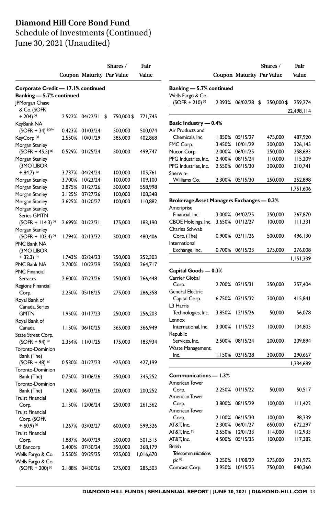#### **Diamond Hill Core Bond Fund**

|                                    |        |                           | Shares /        | Fair      |    |
|------------------------------------|--------|---------------------------|-----------------|-----------|----|
|                                    |        | Coupon Maturity Par Value |                 | Value     |    |
| Corporate Credit - 17.1% continued |        |                           |                 |           | B  |
| Banking - 5.7% continued           |        |                           |                 |           | ٧  |
| <b>JPMorgan Chase</b>              |        |                           |                 |           |    |
| & Co. (SOFR                        |        |                           |                 |           |    |
| $+204)$ <sup>(a)</sup>             | 2.522% | 04/22/31                  | \$<br>750,000\$ | 771,745   |    |
| KeyBank NA                         |        |                           |                 |           | B  |
| $(SOFR + 34)$ <sup>(a)(b)</sup>    | 0.423% | 01/03/24                  | 500,000         | 500,074   | A  |
| KeyCorp <sup>(b)</sup>             | 2.550% | 10/01/29                  | 385,000         | 402,868   |    |
| Morgan Stanley                     |        |                           |                 |           | F  |
| $(SOFF + 45.5)^{(a)}$              | 0.529% | 01/25/24                  | 500,000         | 499.747   | N  |
| Morgan Stanley                     |        |                           |                 |           | P  |
| (3MO LIBOR                         |        |                           |                 |           | P  |
| $+ 84.7$ ) (a)                     | 3.737% | 04/24/24                  | 100,000         | 105,761   | S  |
| Morgan Stanley                     | 3.700% | 10/23/24                  | 100,000         | 109,100   |    |
| Morgan Stanley                     | 3.875% | 01/27/26                  | 500,000         | 558,998   |    |
| Morgan Stanley                     | 3.125% | 07/27/26                  | 100,000         | 108,348   |    |
| Morgan Stanley                     | 3.625% | 01/20/27                  | 100,000         | 110,882   | B  |
| Morgan Stanley,                    |        |                           |                 |           | A  |
| Series GMTN                        |        |                           |                 |           |    |
| $(SOFF + 114.3)^{(a)}$             | 2.699% | 01/22/31                  | 175,000         | 183,190   | C  |
| Morgan Stanley                     |        |                           |                 |           | C  |
| $(SOFF + 103.4)^{(a)}$             | 1.794% | 02/13/32                  | 500,000         | 480,406   |    |
| PNC Bank NA                        |        |                           |                 |           | Ir |
| (3MO LIBOR                         |        |                           |                 |           |    |
| $+32.3)$ <sup>(a)</sup>            | 1.743% | 02/24/23                  | 250,000         | 252,303   |    |
| PNC Bank NA                        | 2.700% | 10/22/29                  | 250,000         | 264,717   | Ć  |
| <b>PNC Financial</b>               | 2.600% | 07/23/26                  |                 |           | C  |
| Services                           |        |                           | 250,000         | 266,448   |    |
| Regions Financial                  | 2.250% | 05/18/25                  | 275,000         | 286,358   | G  |
| Corp.<br>Royal Bank of             |        |                           |                 |           |    |
| Canada, Series                     |        |                           |                 |           | L  |
| <b>GMTN</b>                        | 1.950% | 01/17/23                  | 250,000         | 256,203   |    |
| Royal Bank of                      |        |                           |                 |           | L  |
| Canada                             | I.150% | 06/10/25                  | 365,000         | 366,949   |    |
| State Street Corp.                 |        |                           |                 |           | R  |
| $(SOFR + 94)^{(a)}$                | 2.354% | 11/01/25                  | 175,000         | 183,934   |    |
| <b>Toronto-Dominion</b>            |        |                           |                 |           | ٧  |
| Bank (The)                         |        |                           |                 |           |    |
| $(SOFR + 48)^{(a)}$                | 0.530% | 01/27/23                  | 425,000         | 427,199   |    |
| Toronto-Dominion                   |        |                           |                 |           |    |
| Bank (The)                         | 0.750% | 01/06/26                  | 350,000         | 345,252   | C  |
| Toronto-Dominion                   |        |                           |                 |           | A  |
| Bank (The)                         | 1.200% | 06/03/26                  | 200,000         | 200,252   |    |
| <b>Truist Financial</b>            |        |                           |                 |           | A  |
| Corp.                              | 2.150% | 12/06/24                  | 250,000         | 261,562   |    |
| <b>Truist Financial</b>            |        |                           |                 |           | A  |
| Corp. (SOFR                        |        |                           |                 |           |    |
| $+60.9)$ <sup>(a)</sup>            | 1.267% | 03/02/27                  | 600,000         | 599,326   | A  |
| <b>Truist Financial</b>            |        |                           |                 |           | A  |
| Corp.                              | 1.887% | 06/07/29                  | 500,000         | 501,515   | А  |
| US Bancorp                         | 2.400% | 07/30/24                  | 350,000         | 368,179   | B  |
| Wells Fargo & Co.                  | 3.550% | 09/29/25                  | 925,000         | 1,016,670 |    |
| Wells Fargo & Co.                  |        |                           |                 |           |    |
| $(SOFF + 200)^{(a)}$               | 2.188% | 04/30/26                  | 275,000         | 285,503   | C  |

|                                           |        |          | Shares /                  | Fair       |
|-------------------------------------------|--------|----------|---------------------------|------------|
|                                           |        |          | Coupon Maturity Par Value | Value      |
| Banking - 5.7% continued                  |        |          |                           |            |
| Wells Fargo & Co.                         |        |          |                           |            |
| $(SOFF + 210)^{(a)}$                      | 2.393% | 06/02/28 | 250,000\$<br>\$           | 259,274    |
|                                           |        |          |                           | 22,498,114 |
|                                           |        |          |                           |            |
| Basic Industry - 0.4%                     |        |          |                           |            |
| Air Products and<br>Chemicals, Inc.       | 1.850% | 05/15/27 | 475,000                   | 487,920    |
| FMC Corp.                                 | 3.450% | 10/01/29 | 300,000                   | 326,145    |
| Nucor Corp.                               | 2.000% | 06/01/25 | 250,000                   | 258,693    |
| PPG Industries, Inc.                      | 2.400% | 08/15/24 | 110,000                   | 115,209    |
| PPG Industries, Inc.                      | 2.550% | 06/15/30 | 300,000                   | 310,741    |
| Sherwin-                                  |        |          |                           |            |
| Williams Co.                              | 2.300% | 05/15/30 | 250,000                   | 252,898    |
|                                           |        |          |                           |            |
|                                           |        |          |                           | 1,751,606  |
| Brokerage Asset Managers Exchanges - 0.3% |        |          |                           |            |
| Ameriprise                                |        |          |                           |            |
| Financial, Inc.                           | 3.000% | 04/02/25 | 250,000                   | 267,870    |
| CBOE Holdings, Inc.                       | 3.650% | 01/12/27 | 100.000                   | 111,331    |
| Charles Schwab                            |        |          |                           |            |
| Corp. (The)                               | 0.900% | 03/11/26 | 500,000                   | 496,130    |
| International                             |        |          |                           |            |
| Exchange, Inc.                            | 0.700% | 06/15/23 | 275,000                   | 276,008    |
|                                           |        |          |                           | 1,151,339  |
| Capital Goods - 0.3%                      |        |          |                           |            |
| Carrier Global                            |        |          |                           |            |
| Corp.                                     | 2.700% | 02/15/31 | 250,000                   | 257,404    |
| <b>General Electric</b>                   |        |          |                           |            |
| Capital Corp.                             | 6.750% | 03/15/32 | 300,000                   | 415.841    |
| L3 Harris                                 |        |          |                           |            |
| Technologies, Inc.                        | 3.850% | 12/15/26 | 50,000                    | 56,078     |
| Lennox                                    |        |          |                           |            |
| International, Inc.                       | 3.000% | 11/15/23 | 100.000                   | 104.805    |
| Republic                                  |        |          |                           |            |
| Services, Inc.                            | 2.500% | 08/15/24 | 200,000                   | 209,894    |
| Waste Management,                         |        |          |                           |            |
| Inc.                                      | I.I50% | 03/15/28 | 300,000                   | 290,667    |
|                                           |        |          |                           | 1,334,689  |
| Communications - 1.3%                     |        |          |                           |            |
| American Tower                            |        |          |                           |            |
| Corp.                                     | 2.250% | 01/15/22 | 50,000                    | 50,517     |
| American Tower                            |        |          |                           |            |
| Corp.                                     | 3.800% | 08/15/29 | 100,000                   | 111,422    |
| American Tower                            |        |          |                           |            |
| Corp.                                     | 2.100% | 06/15/30 | 100,000                   | 98,339     |
| AT&T, Inc.                                | 2.300% | 06/01/27 | 650.000                   | 672,297    |
| AT&T, Inc. (c)                            | 2.550% | 12/01/33 | 14,000                    | 112,933    |
| AT&T, Inc.                                | 4.500% | 05/15/35 | 100,000                   | 117,382    |
| <b>British</b>                            |        |          |                           |            |
| Telecommunications                        |        |          |                           |            |
| plc <sup>(c)</sup>                        | 3.250% | 11/08/29 | 275,000                   | 291,972    |
| Comcast Corp.                             | 3.950% | 10/15/25 | 750,000                   | 840,360    |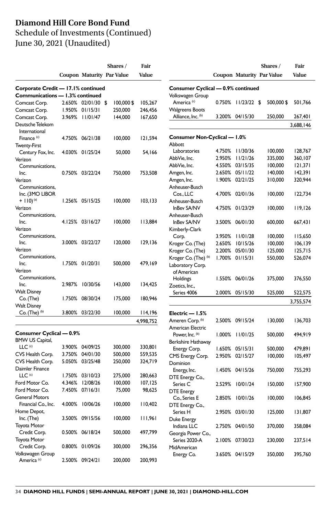#### **Diamond Hill Core Bond Fund**

#### Schedule of Investments (Continued) June 30, 2021 (Unaudited)

|                                                                       |        |                           | Shares /  | Fair      |                                                        |        |                           | Shares /  | Fair      |
|-----------------------------------------------------------------------|--------|---------------------------|-----------|-----------|--------------------------------------------------------|--------|---------------------------|-----------|-----------|
|                                                                       |        | Coupon Maturity Par Value |           | Value     |                                                        |        | Coupon Maturity Par Value |           | Value     |
| Corporate Credit - 17.1% continued<br>Communications - 1.3% continued |        |                           |           |           | Consumer Cyclical - 0.9% continued<br>Volkswagen Group |        |                           |           |           |
| Comcast Corp.                                                         |        | 2.650% 02/01/30 \$        | 100,000\$ | 105,267   | America <sup>(c)</sup>                                 |        | 0.750% 11/23/22 \$        | 500,000\$ | 501,766   |
| Comcast Corp.                                                         |        | 1.950% 01/15/31           | 250,000   | 246,456   | <b>Walgreens Boots</b>                                 |        |                           |           |           |
| Comcast Corp.                                                         |        | 3.969% 11/01/47           | 144,000   | 167,650   | Alliance, Inc. (b)                                     | 3.200% | 04/15/30                  | 250,000   | 267,401   |
| Deutsche Telekom                                                      |        |                           |           |           |                                                        |        |                           |           | 3,688,146 |
| International                                                         |        |                           |           |           |                                                        |        |                           |           |           |
| Finance <sup>(c)</sup>                                                |        | 4.750% 06/21/38           | 100,000   | 121,594   | Consumer Non-Cyclical - 1.0%                           |        |                           |           |           |
| <b>Twenty-First</b>                                                   |        |                           |           |           | Abbott                                                 |        |                           |           |           |
| Century Fox, Inc.                                                     |        | 4.030% 01/25/24           | 50,000    | 54,166    | Laboratories                                           | 4.750% | 11/30/36                  | 100,000   | 128,767   |
| Verizon                                                               |        |                           |           |           | AbbVie, Inc.                                           | 2.950% | 11/21/26                  | 335,000   | 360,107   |
| Communications,                                                       |        |                           |           |           | AbbVie, Inc.                                           |        | 4.550% 03/15/35           | 100,000   | 121,371   |
| Inc.                                                                  |        | 0.750% 03/22/24           | 750,000   | 753,508   | Amgen, Inc.                                            | 2.650% | 05/11/22                  | 140,000   | 142.391   |
| Verizon                                                               |        |                           |           |           | Amgen, Inc.                                            |        | 1.900% 02/21/25           | 310,000   | 320,944   |
| Communications,                                                       |        |                           |           |           | Anheuser-Busch                                         |        |                           |           |           |
| Inc. (3MO LIBOR                                                       |        |                           |           |           | Cos., LLC                                              |        | 4.700% 02/01/36           | 100,000   | 122,734   |
| $+$ 110) <sup>(a)</sup>                                               |        | 1.256% 05/15/25           | 100,000   | 103, 133  | Anheuser-Busch                                         |        |                           |           |           |
| Verizon                                                               |        |                           |           |           | InBev SA/NV                                            |        | 4.750% 01/23/29           | 100,000   | 119,126   |
| Communications,                                                       |        |                           |           |           | Anheuser-Busch                                         |        |                           |           |           |
| Inc.                                                                  |        | 4.125% 03/16/27           | 100,000   | 113,884   | InBev SA/NV                                            |        | 3.500% 06/01/30           | 600,000   | 667,431   |
| Verizon                                                               |        |                           |           |           | Kimberly-Clark                                         |        |                           |           |           |
| Communications,                                                       |        |                           |           |           | Corp.                                                  | 3.950% | 11/01/28                  | 100,000   | 115,650   |
| Inc.                                                                  |        | 3.000% 03/22/27           | 120,000   | 129,136   | Kroger Co. (The)                                       | 2.650% | 10/15/26                  | 100,000   | 106,139   |
| Verizon                                                               |        |                           |           |           | Kroger Co. (The)                                       | 2.200% | 05/01/30                  | 125,000   | 125.715   |
| Communications,                                                       |        |                           |           |           | Kroger Co. (The) (b)                                   |        | 1.700% 01/15/31           | 550,000   | 526,074   |
| Inc.                                                                  |        | 1.750% 01/20/31           | 500,000   | 479,169   | Laboratory Corp.                                       |        |                           |           |           |
| Verizon                                                               |        |                           |           |           | of American                                            |        |                           |           |           |
| Communications,                                                       |        |                           |           |           | Holdings                                               | 1.550% | 06/01/26                  | 375,000   | 376,550   |
| Inc.                                                                  | 2.987% | 10/30/56                  | 143,000   | 134,425   | Zoetics, Inc.,                                         |        |                           |           |           |
| <b>Walt Disney</b>                                                    |        |                           |           |           | Series 4006                                            |        | 2.000% 05/15/30           | 525,000   | 522,575   |
| Co. (The)                                                             | 1.750% | 08/30/24                  | 175,000   | 180,946   |                                                        |        |                           |           | 3,755,574 |
| <b>Walt Disney</b>                                                    |        |                           |           |           |                                                        |        |                           |           |           |
| Co. (The) (b)                                                         | 3.800% | 03/22/30                  | 100,000   | 114,196   | Electric - 1.5%                                        |        |                           |           |           |
|                                                                       |        |                           |           | 4,998,752 | Ameren Corp. (b)                                       |        | 2.500% 09/15/24           | 130,000   | 136,703   |
|                                                                       |        |                           |           |           | American Electric                                      |        |                           |           |           |
| Consumer Cyclical - 0.9%                                              |        |                           |           |           | Power, Inc. (b)                                        | 1.000% | 11/01/25                  | 500,000   | 494,919   |
| <b>BMW US Capital,</b>                                                |        |                           |           |           | Berkshire Hathaway                                     |        |                           |           |           |
| LLC <sup>(c)</sup>                                                    | 3.900% | 04/09/25                  | 300,000   | 330,801   | Energy Corp.                                           | 1.650% | 05/15/31                  | 500,000   | 479,891   |
| CVS Health Corp.                                                      |        | 3.750% 04/01/30           | 500,000   | 559,535   | CMS Energy Corp.                                       |        | 2.950% 02/15/27           | 100,000   | 105,497   |
| CVS Health Corp.                                                      |        | 5.050% 03/25/48           | 250,000   | 324,719   | Dominion                                               |        |                           |           |           |
| Daimler Finance                                                       |        |                           |           |           | Energy, Inc.                                           |        | 1.450% 04/15/26           | 750,000   | 755,293   |
| LLC <sup>(c)</sup>                                                    | 1.750% | 03/10/23                  | 275,000   | 280,663   | DTE Energy Co.,                                        |        |                           |           |           |
| Ford Motor Co.                                                        | 4.346% | 12/08/26                  | 100,000   | 107,125   | Series <sub>C</sub>                                    | 2.529% | 10/01/24                  | 150,000   | 157,900   |
| Ford Motor Co.                                                        | 7.450% | 07/16/31                  | 75,000    | 98,625    | <b>DTE Energy</b>                                      |        |                           |           |           |
| <b>General Motors</b>                                                 |        |                           |           |           | Co., Series E                                          | 2.850% | 10/01/26                  | 100,000   | 106,845   |
| Financial Co., Inc.                                                   | 4.000% | 10/06/26                  | 100,000   | 110,402   | DTE Energy Co.,                                        |        |                           |           |           |
| Home Depot,                                                           |        |                           |           |           | Series H                                               | 2.950% | 03/01/30                  | 125.000   | 131.807   |
| Inc. (The)                                                            |        | 3.500% 09/15/56           | 100,000   | 111,961   | Duke Energy                                            |        |                           |           |           |
| <b>Toyota Motor</b>                                                   |        |                           |           |           | Indiana LLC                                            |        | 2.750% 04/01/50           | 370,000   | 358,084   |
| Credit Corp.                                                          | 0.500% | 06/18/24                  | 500,000   | 497,799   | Georgia Power Co.,                                     |        |                           |           |           |
| Toyota Motor                                                          |        |                           |           |           | Series 2020-A                                          | 2.100% | 07/30/23                  | 230,000   | 237,514   |
| Credit Corp.                                                          |        | 0.800% 01/09/26           | 300,000   | 296,356   | MidAmerican                                            |        |                           |           |           |
| Volkswagen Group                                                      |        |                           |           |           | Energy Co.                                             |        | 3.650% 04/15/29           | 350,000   | 395,760   |
| America <sup>(c)</sup>                                                |        | 2.500% 09/24/21           | 200.000   | 200.993   |                                                        |        |                           |           |           |
|                                                                       |        |                           |           |           |                                                        |        |                           |           |           |

| Abbott                                                                                                                                                                                                                        |        |          |         |                               |
|-------------------------------------------------------------------------------------------------------------------------------------------------------------------------------------------------------------------------------|--------|----------|---------|-------------------------------|
| Laboratories                                                                                                                                                                                                                  | 4.750% | 11/30/36 | 100,000 | 128,767                       |
| AbbVie. Inc.                                                                                                                                                                                                                  | 2.950% | 11/21/26 | 335.000 | 360,107                       |
| AbbVie, Inc.                                                                                                                                                                                                                  | 4.550% | 03/15/35 | 100,000 | 121,371                       |
| Amgen, Inc.                                                                                                                                                                                                                   | 2.650% | 05/11/22 | 140.000 | 142,391                       |
| Amgen, Inc.                                                                                                                                                                                                                   | 1.900% | 02/21/25 | 310.000 | 320,944                       |
| Anheuser-Busch                                                                                                                                                                                                                |        |          |         |                               |
| Cos., LLC                                                                                                                                                                                                                     | 4.700% | 02/01/36 | 100.000 | 122,734                       |
| Anheuser-Busch                                                                                                                                                                                                                |        |          |         |                               |
| <b>InBev SA/NV</b>                                                                                                                                                                                                            | 4.750% | 01/23/29 | 100,000 | 119,126                       |
| Anheuser-Busch                                                                                                                                                                                                                |        |          |         |                               |
| InBev SA/NV                                                                                                                                                                                                                   | 3.500% | 06/01/30 | 600.000 | 667,431                       |
| Kimberly-Clark                                                                                                                                                                                                                |        |          |         |                               |
| Corp.                                                                                                                                                                                                                         | 3.950% | 11/01/28 | 100,000 | 115,650                       |
| Kroger Co. (The)                                                                                                                                                                                                              | 2.650% | 10/15/26 | 100,000 | 106,139                       |
| Kroger Co. (The)                                                                                                                                                                                                              | 2.200% | 05/01/30 | 125,000 | 125,715                       |
| Kroger Co. (The) (b)                                                                                                                                                                                                          | 1.700% | 01/15/31 | 550.000 | 526,074                       |
| Laboratory Corp.                                                                                                                                                                                                              |        |          |         |                               |
| of American                                                                                                                                                                                                                   |        |          |         |                               |
| <b>Holdings</b>                                                                                                                                                                                                               | 1.550% | 06/01/26 | 375,000 | 376,550                       |
|                                                                                                                                                                                                                               |        |          |         |                               |
|                                                                                                                                                                                                                               |        |          |         |                               |
| Zoetics, Inc.,<br>Series 4006                                                                                                                                                                                                 | 2.000% | 05/15/30 | 525.000 | 522,575                       |
|                                                                                                                                                                                                                               |        |          |         | 3,755,574                     |
|                                                                                                                                                                                                                               |        |          |         |                               |
|                                                                                                                                                                                                                               | 2.500% | 09/15/24 |         |                               |
|                                                                                                                                                                                                                               |        |          | 130,000 | 136,703                       |
| Power, Inc. (b)                                                                                                                                                                                                               | 1.000% | 11/01/25 | 500,000 | 494,919                       |
|                                                                                                                                                                                                                               |        |          |         |                               |
| Energy Corp.                                                                                                                                                                                                                  | 1.650% | 05/15/31 | 500,000 | 479,891                       |
|                                                                                                                                                                                                                               | 2.950% | 02/15/27 | 100,000 |                               |
|                                                                                                                                                                                                                               |        |          |         | 105,497                       |
| Energy, Inc.                                                                                                                                                                                                                  | 1.450% | 04/15/26 | 750,000 |                               |
|                                                                                                                                                                                                                               |        |          |         |                               |
| Series <sub>C</sub>                                                                                                                                                                                                           | 2.529% | 10/01/24 | 150,000 |                               |
|                                                                                                                                                                                                                               |        |          |         |                               |
| Co., Series E                                                                                                                                                                                                                 | 2.850% | 10/01/26 | 100,000 | 755,293<br>157,900<br>106,845 |
|                                                                                                                                                                                                                               |        |          |         |                               |
| Series <sub>H</sub>                                                                                                                                                                                                           | 2.950% | 03/01/30 | 125,000 |                               |
|                                                                                                                                                                                                                               |        |          |         | 131,807                       |
| Indiana LLC                                                                                                                                                                                                                   | 2.750% | 04/01/50 | 370.000 | 358,084                       |
|                                                                                                                                                                                                                               |        |          |         |                               |
| Series 2020-A                                                                                                                                                                                                                 | 2.100% | 07/30/23 | 230,000 | 237,514                       |
| Electric - 1.5%<br>Ameren Corp. (b)<br>American Electric<br>Berkshire Hathaway<br>CMS Energy Corp.<br>Dominion<br>DTE Energy Co.,<br><b>DTE Energy</b><br>DTE Energy Co.,<br>Duke Energy<br>Georgia Power Co.,<br>MidAmerican |        |          |         |                               |

**Shares /** 

**Fair Value**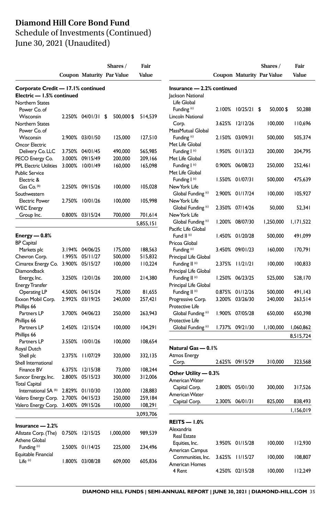|                                              |        |          | Shares /                  | Fair      |  |
|----------------------------------------------|--------|----------|---------------------------|-----------|--|
|                                              |        |          | Coupon Maturity Par Value | Value     |  |
|                                              |        |          |                           |           |  |
| Corporate Credit - 17.1% continued           |        |          |                           |           |  |
| Electric - 1.5% continued<br>Northern States |        |          |                           |           |  |
| Power Co. of                                 |        |          |                           |           |  |
| Wisconsin                                    | 2.250% | 04/01/31 | \$<br>500,000\$           | 514,539   |  |
| Northern States                              |        |          |                           |           |  |
| Power Co. of                                 |        |          |                           |           |  |
| Wisconsin                                    | 2.900% | 03/01/50 | 125,000                   | 127,510   |  |
| <b>Oncor Electric</b>                        |        |          |                           |           |  |
| Delivery Co. LLC                             | 3.750% | 04/01/45 | 490,000                   | 565,985   |  |
| PECO Energy Co.                              | 3.000% | 09/15/49 | 200.000                   | 209,166   |  |
| <b>PPL Electric Utilities</b>                | 3.000% | 10/01/49 | 160,000                   | 165,098   |  |
| <b>Public Service</b>                        |        |          |                           |           |  |
| Electric &                                   |        |          |                           |           |  |
| Gas Co. (b)                                  | 2.250% | 09/15/26 | 100,000                   | 105,028   |  |
| Southwestern                                 |        |          |                           |           |  |
| <b>Electric Power</b>                        | 2.750% | 10/01/26 | 100,000                   | 105,998   |  |
| <b>WEC Energy</b>                            |        |          |                           |           |  |
| Group Inc.                                   | 0.800% | 03/15/24 | 700,000                   | 701,614   |  |
|                                              |        |          |                           | 5,855,151 |  |
|                                              |        |          |                           |           |  |
| Energy $-0.8%$                               |        |          |                           |           |  |
| <b>BP</b> Capital                            |        |          |                           |           |  |
| Markets plc                                  | 3.194% | 04/06/25 | 175,000                   | 188,563   |  |
| Chevron Corp.                                | 1.995% | 05/11/27 | 500.000                   | 515.832   |  |
| Cimarex Energy Co.                           | 3.900% | 05/15/27 | 100,000                   | 110,224   |  |
| Diamondback                                  |        |          |                           |           |  |
| Energy, Inc.                                 | 3.250% | 12/01/26 | 200,000                   | 214,380   |  |
| <b>Energy Transfer</b>                       |        |          |                           |           |  |
| <b>Operating LP</b>                          | 4.500% | 04/15/24 | 75,000                    | 81,655    |  |
| Exxon Mobil Corp.                            | 2.992% | 03/19/25 | 240,000                   | 257,421   |  |
| Phillips 66                                  |        |          |                           |           |  |
| Partners LP                                  | 3.700% | 04/06/23 | 250,000                   | 263,943   |  |
| Phillips 66                                  |        |          |                           |           |  |
| Partners LP                                  | 2.450% | 12/15/24 | 100.000                   | 104,291   |  |
| Phillips 66                                  |        |          |                           |           |  |
| Partners LP                                  | 3.550% | 10/01/26 | 100,000                   | 108,654   |  |
| Royal Dutch                                  |        |          |                           |           |  |
| Shell plc                                    | 2.375% | 11/07/29 | 320,000                   | 332,135   |  |
| Shell International                          |        |          |                           |           |  |
| Finance BV                                   | 6.375% | 12/15/38 | 73.000                    | 108,244   |  |
| Suncor Energy, Inc.                          | 2.800% | 05/15/23 | 300,000                   | 312,006   |  |
| <b>Total Capital</b>                         |        |          |                           |           |  |
| International SA <sup>(b)</sup>              | 2.829% | 01/10/30 | 120,000                   | 128,883   |  |
| Valero Energy Corp.                          | 2.700% | 04/15/23 | 250,000                   | 259,184   |  |
| Valero Energy Corp.                          | 3.400% | 09/15/26 | 100,000                   | 108,291   |  |
|                                              |        |          |                           | 3,093,706 |  |
|                                              |        |          |                           |           |  |
| $Insurance - 2.2%$                           |        |          |                           |           |  |
| Allstate Corp. (The)                         | 0.750% | 12/15/25 | 1,000,000                 | 989,539   |  |
| Athene Global                                |        |          |                           |           |  |
| Funding <sup>(c)</sup>                       | 2.500% | 01/14/25 | 225,000                   | 234,496   |  |
| Equitable Financial                          |        |          |                           |           |  |
| Life <sup>(c)</sup>                          | 1.800% | 03/08/28 | 609,000                   | 605,836   |  |
|                                              |        |          |                           |           |  |

|                                               |        |          | Shares /                  | Fair      |
|-----------------------------------------------|--------|----------|---------------------------|-----------|
|                                               |        |          | Coupon Maturity Par Value | Value     |
| Insurance - 2.2% continued                    |        |          |                           |           |
| Jackson National                              |        |          |                           |           |
| Life Global                                   |        |          |                           |           |
| Funding <sup>(c)</sup>                        | 2.100% | 10/25/21 | 50,000\$<br>\$            | 50,288    |
| Lincoln National                              |        |          |                           |           |
| Corp.                                         | 3.625% | 12/12/26 | 100,000                   | 110,696   |
| MassMutual Global                             |        |          |                           |           |
| Funding <sup>(c)</sup>                        | 2.150% | 03/09/31 | 500.000                   | 505,374   |
| Met Life Global                               |        |          |                           |           |
| Funding I (c)                                 | 1.950% | 01/13/23 | 200,000                   | 204,795   |
| Met Life Global                               |        |          |                           |           |
| Funding I <sup>(c)</sup>                      | 0.900% | 06/08/23 | 250,000                   | 252,461   |
| Met Life Global                               |        |          |                           |           |
| Funding I <sup>(c)</sup>                      | 1.550% | 01/07/31 | 500,000                   | 475,639   |
| New York Life                                 |        |          |                           |           |
| Global Funding <sup>(c)</sup>                 | 2.900% | 01/17/24 | 100,000                   | 105,927   |
| New York Life                                 |        |          |                           |           |
| Global Funding <sup>(c)</sup>                 | 2.350% | 07/14/26 | 50,000                    | 52,341    |
| New York Life                                 |        |          |                           |           |
| Global Funding (c)                            | 1.200% | 08/07/30 | 1,250,000                 | 1,171,522 |
|                                               |        |          |                           |           |
| Pacific Life Global<br>Fund II <sup>(c)</sup> | 1.450% | 01/20/28 | 500,000                   | 491,099   |
|                                               |        |          |                           |           |
| Pricoa Global                                 | 3.450% | 09/01/23 | 160,000                   | 170,791   |
| Funding <sup>(c)</sup>                        |        |          |                           |           |
| Principal Life Global                         |        |          |                           |           |
| Funding II (c)                                | 2.375% | 11/21/21 | 100,000                   | 100,833   |
| Principal Life Global                         |        |          |                           |           |
| Funding II <sup>(c)</sup>                     | 1.250% | 06/23/25 | 525.000                   | 528.170   |
| Principal Life Global                         |        |          |                           |           |
| Funding II (c)                                | 0.875% | 01/12/26 | 500,000                   | 491,143   |
| Progressive Corp.                             | 3.200% | 03/26/30 | 240,000                   | 263,514   |
| Protective Life                               |        |          |                           |           |
| Global Funding <sup>(c)</sup>                 | 1.900% | 07/05/28 | 650,000                   | 650,398   |
| Protective Life                               |        |          |                           |           |
| Global Funding (c)                            | 1.737% | 09/21/30 | 1,100,000                 | 1,060,862 |
|                                               |        |          |                           | 8,515,724 |
|                                               |        |          |                           |           |
| Natural Gas - 0.1%                            |        |          |                           |           |
| Atmos Energy                                  |        |          |                           |           |
| Corp.                                         | 2.625% | 09/15/29 | 310,000                   | 323,568   |
| Other Utility - 0.3%                          |        |          |                           |           |
| American Water                                |        |          |                           |           |
| Capital Corp.                                 | 2.800% | 05/01/30 | 300,000                   | 317,526   |
| American Water                                |        |          |                           |           |
| Capital Corp.                                 | 2.300% | 06/01/31 | 825,000                   | 838,493   |
|                                               |        |          |                           |           |
|                                               |        |          |                           | 1,156,019 |
| REITS - 1.0%                                  |        |          |                           |           |
| Alexandria                                    |        |          |                           |           |
| Real Estate                                   |        |          |                           |           |
| Equities, Inc.                                | 3.950% | 01/15/28 | 100,000                   | 112,930   |
| American Campus                               |        |          |                           |           |
| Communities, Inc.                             | 3.625% | 11/15/27 | 100,000                   | 108,807   |
| American Homes                                |        |          |                           |           |
| 4 Rent                                        | 4.250% | 02/15/28 | 100,000                   | 112,249   |
|                                               |        |          |                           |           |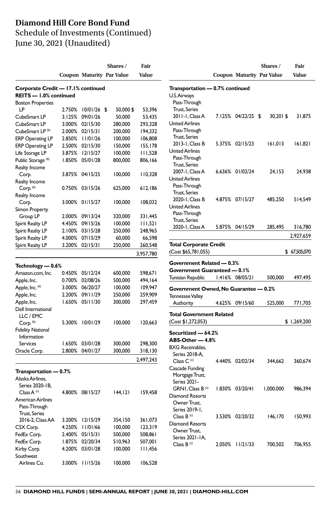|                                    |        |          | Shares /                  | Fair      |
|------------------------------------|--------|----------|---------------------------|-----------|
|                                    |        |          | Coupon Maturity Par Value | Value     |
| Corporate Credit - 17.1% continued |        |          |                           |           |
| REITS-I.0% continued               |        |          |                           |           |
| <b>Boston Properties</b>           |        |          |                           |           |
| LP                                 | 2.750% | 10/01/26 | 50,000\$<br>\$            | 53,396    |
| CubeSmart LP                       | 3.125% | 09/01/26 | 50,000                    | 53,435    |
| CubeSmart LP                       | 3.000% | 02/15/30 | 280,000                   | 293,328   |
| CubeSmart LP <sup>(b)</sup>        | 2.000% | 02/15/31 | 200,000                   | 194,332   |
| <b>ERP Operating LP</b>            | 2.850% | 11/01/26 | 100.000                   | 106.808   |
| <b>ERP Operating LP</b>            | 2.500% | 02/15/30 | 150,000                   | 155,178   |
| Life Storage LP                    | 3.875% | 12/15/27 | 100,000                   | 111,528   |
| Public Storage (b)                 | 1.850% | 05/01/28 | 800,000                   | 806,166   |
| Realty Income                      |        |          |                           |           |
| Corp.                              | 3.875% | 04/15/25 | 100,000                   | 110,328   |
| Realty Income                      |        |          |                           |           |
| Corp. <sup>(b)</sup>               | 0.750% | 03/15/26 | 625,000                   | 612,186   |
| Realty Income                      |        |          |                           |           |
| Corp.                              | 3.000% | 01/15/27 | 100,000                   | 108,032   |
| Simon Property                     |        |          |                           |           |
| Group LP                           | 2.000% | 09/13/24 | 320,000                   | 331,445   |
| Spirit Realty LP                   | 4.450% | 09/15/26 | 100,000                   | 111,521   |
| Spirit Realty LP                   | 2.100% | 03/15/28 | 250,000                   | 248,965   |
| Spirit Realty LP                   | 4.000% | 07/15/29 | 60,000                    | 66,598    |
| Spirit Realty LP                   | 3.200% | 02/15/31 | 250,000                   | 260,548   |
|                                    |        |          |                           | 3,957,780 |
| Technology - 0.6%                  |        |          |                           |           |
| Amazon.com, Inc.                   | 0.450% | 05/12/24 | 600,000                   | 598,671   |
| Apple, Inc.                        | 0.700% | 02/08/26 | 500.000                   | 494.164   |
| Apple, Inc. (b)                    | 3.000% | 06/20/27 | 100,000                   | 109,947   |
| Apple, Inc.                        | 2.200% | 09/11/29 | 250,000                   | 259,909   |
| Apple, Inc.                        | 1.650% | 05/11/30 | 300,000                   | 297,459   |
| Dell International                 |        |          |                           |           |
| LLC / EMC                          |        |          |                           |           |
| Corp. <sup>(b)</sup>               | 5.300% | 10/01/29 | 100,000                   | 120,663   |
| <b>Fidelity National</b>           |        |          |                           |           |
| Information                        |        |          |                           |           |
| Services                           | 1.650% | 03/01/28 | 300,000                   | 298,300   |
| Oracle Corp.                       | 2.800% | 04/01/27 | 300,000                   | 318,130   |
|                                    |        |          |                           | 2,497,243 |
|                                    |        |          |                           |           |
| Transportation - 0.7%              |        |          |                           |           |
| Alaska Airlines.                   |        |          |                           |           |
| Series 2020-1B,                    |        |          |                           |           |
| Class A (c)                        | 4.800% | 08/15/27 | 144,121                   | 159,458   |
| <b>American Airlines</b>           |        |          |                           |           |
| Pass-Through                       |        |          |                           |           |
| <b>Trust, Series</b>               |        |          |                           |           |
| 2016-2, Class AA                   | 3.200% | 12/15/29 | 354,150                   | 361,073   |
| CSX Corp.                          | 4.250% | 11/01/66 | 100.000                   | 123,319   |
| FedEx Corp.                        | 2.400% | 05/15/31 | 500,000                   | 508,861   |
| FedEx Corp.                        | 1.875% | 02/20/34 | 510,963                   | 507,001   |
| Kirby Corp.                        | 4.200% | 03/01/28 | 100,000                   | 111,456   |
| Southwest                          |        |          |                           |           |
| Airlines Co.                       | 3.000% | 11/15/26 | 100,000                   | 106,528   |

|                                                 |        |                    | Shares /                  | Fair          |
|-------------------------------------------------|--------|--------------------|---------------------------|---------------|
|                                                 |        |                    | Coupon Maturity Par Value | Value         |
|                                                 |        |                    |                           |               |
| Transportation - 0.7% continued<br>U.S. Airways |        |                    |                           |               |
| Pass-Through                                    |        |                    |                           |               |
| <b>Trust, Series</b>                            |        |                    |                           |               |
| 2011-1, Class A                                 |        | 7.125% 04/22/25    | 30,201\$<br>\$            | 31,875        |
| <b>United Airlines</b>                          |        |                    |                           |               |
| Pass-Through                                    |        |                    |                           |               |
| <b>Trust, Series</b>                            |        |                    |                           |               |
| 2013-1, Class B                                 |        | 5.375% 02/15/23    | 161,013                   | 161,821       |
| <b>United Airlines</b>                          |        |                    |                           |               |
| Pass-Through                                    |        |                    |                           |               |
| <b>Trust, Series</b>                            |        |                    |                           |               |
| 2007-1, Class A                                 |        | 6.636% 01/02/24    | 24,153                    | 24,938        |
| <b>United Airlines</b>                          |        |                    |                           |               |
| Pass-Through                                    |        |                    |                           |               |
| <b>Trust, Series</b>                            |        |                    |                           |               |
| 2020-1, Class B                                 |        | 4.875% 07/15/27    | 485,250                   | 514,549       |
| <b>United Airlines</b>                          |        |                    |                           |               |
| Pass-Through                                    |        |                    |                           |               |
| <b>Trust, Series</b>                            |        |                    |                           |               |
| 2020-1, Class A                                 |        | 5.875% 04/15/29    | 285,495                   | 316,780       |
|                                                 |        |                    |                           |               |
|                                                 |        |                    |                           | 2,927,659     |
| <b>Total Corporate Credit</b>                   |        |                    |                           |               |
| (Cost \$65,781,055)                             |        |                    |                           | \$ 67,505,070 |
| Government Related - 0.3%                       |        |                    |                           |               |
| Government Guaranteed - 0.1%                    |        |                    |                           |               |
| Tunisian Republic                               |        | $1.416\%$ 08/05/21 | 500,000                   | 497,495       |
|                                                 |        |                    |                           |               |
| Government Owned, No Guarantee — 0.2%           |        |                    |                           |               |
| <b>Tennessee Valley</b>                         |        |                    |                           |               |
| Authority                                       | 4.625% | 09/15/60           | 525,000                   | 771,705       |
| <b>Total Government Related</b>                 |        |                    |                           |               |
| (Cost \$1,272,053)                              |        |                    |                           | \$1,269,200   |
|                                                 |        |                    |                           |               |
| Securitized - 64.2%                             |        |                    |                           |               |
| ABS-Other - 4.8%                                |        |                    |                           |               |
| <b>BXG</b> Receivables,                         |        |                    |                           |               |
| Series 2018-A,                                  |        |                    |                           |               |
|                                                 |        |                    |                           |               |
| Class $C^{(c)}$                                 |        | 4.440% 02/02/34    | 344,662                   | 360,674       |
| Cascade Funding                                 |        |                    |                           |               |
| Mortgage Trust,                                 |        |                    |                           |               |
| Series 2021-                                    |        |                    |                           |               |
| GRN1, Class B <sup>(c)</sup>                    |        | 1.830% 03/20/41    | 1,000,000                 | 986,394       |
| Diamond Resorts                                 |        |                    |                           |               |
| Owner Trust,                                    |        |                    |                           |               |
| Series 2019-1.                                  |        |                    |                           |               |
| Class $B^{(c)}$                                 |        | 3.530% 02/20/32    | 146,170                   | 150,993       |
| <b>Diamond Resorts</b>                          |        |                    |                           |               |
| Owner Trust,                                    |        |                    |                           |               |
| Series 2021-1A.<br>Class $B^{(c)}$              |        | 2.050% 11/21/33    | 700,502                   | 706.955       |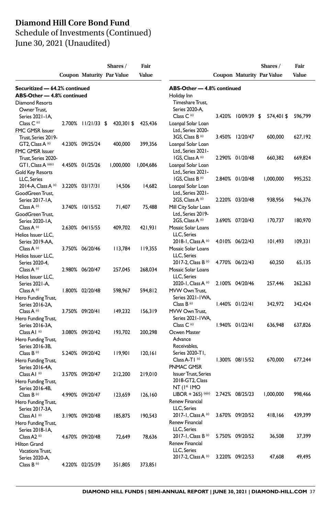|                                                                               |        |                 | Shares /                  | Fair      |                                                                         |        |                 | Shares /                  | Fair    |
|-------------------------------------------------------------------------------|--------|-----------------|---------------------------|-----------|-------------------------------------------------------------------------|--------|-----------------|---------------------------|---------|
|                                                                               |        |                 | Coupon Maturity Par Value | Value     |                                                                         |        |                 | Coupon Maturity Par Value | Value   |
| Securitized - 64.2% continued<br>ABS-Other - 4.8% continued                   |        |                 |                           |           | ABS-Other - 4.8% continued<br>Holiday Inn                               |        |                 |                           |         |
| <b>Diamond Resorts</b><br>Owner Trust.<br>Series 2021-1A,                     |        |                 |                           |           | Timeshare Trust,<br>Series 2020-A,<br>Class $C^{(c)}$                   | 3.420% | 10/09/39 \$     | 574,401\$                 | 596,799 |
| Class $C^{(c)}$<br>FMC GMSR Issuer<br>Trust, Series 2019-                     | 2.700% | $11/21/33$ \$   | 420,301\$                 | 425,436   | Loanpal Solar Loan<br>Ltd., Series 2020-<br>3GS, Class B <sup>(c)</sup> |        | 3.450% 12/20/47 | 600,000                   | 627,192 |
| GT2, Class A (c)<br>FMC GMSR Issuer                                           |        | 4.230% 09/25/24 | 400,000                   | 399,356   | Loanpal Solar Loan<br>Ltd., Series 2021-                                |        |                 |                           |         |
| Trust. Series 2020-<br>GTI, Class A (a)(c)<br>Gold Key Resorts                |        | 4.450% 01/25/26 | 1,000,000                 | 1,004,686 | IGS, Class A (c)<br>Loanpal Solar Loan<br>Ltd., Series 2021-            |        | 2.290% 01/20/48 | 660,382                   | 669,824 |
| LLC, Series<br>2014-A, Class A $\circ$                                        |        | 3.220% 03/17/31 | 14,506                    | 14,682    | IGS, Class B <sup>(c)</sup><br>Loanpal Solar Loan                       |        | 2.840% 01/20/48 | 1,000,000                 | 995,252 |
| GoodGreen Trust,<br>Series 2017-1A,<br>Class A (c)                            |        | 3.740% 10/15/52 | 71,407                    | 75,488    | Ltd., Series 2021-<br>2GS, Class A (c)<br>Mill City Solar Loan          |        | 2.220% 03/20/48 | 938,956                   | 946,376 |
| GoodGreen Trust,<br>Series 2020-1A.                                           |        |                 |                           |           | Ltd., Series 2019-<br>2GS, Class A (c)                                  |        | 3.690% 07/20/43 | 170,737                   | 180,970 |
| Class $A^{(c)}$<br>Helios Issuer LLC,<br>Series 2019-AA,                      |        | 2.630% 04/15/55 | 409.702                   | 421.931   | Mosaic Solar Loans<br>LLC, Series<br>2018-1, Class A (c)                |        | 4.010% 06/22/43 | 101,493                   | 109,331 |
| Class $A^{(c)}$<br>Helios Issuer LLC,                                         |        | 3.750% 06/20/46 | 113,784                   | 119,355   | Mosaic Solar Loans<br>LLC, Series                                       |        |                 |                           |         |
| Series 2020-4,<br>Class $A^{(c)}$<br>Helios Issuer LLC,                       | 2.980% | 06/20/47        | 257,045                   | 268,034   | 2017-2, Class B <sup>(c)</sup><br>Mosaic Solar Loans<br>LLC, Series     |        | 4.770% 06/22/43 | 60,250                    | 65,135  |
| Series 2021-A,<br>Class A (c)                                                 |        | 1.800% 02/20/48 | 598.967                   | 594.812   | 2020-1, Class A (c)<br>MVW Own Trust.                                   |        | 2.100% 04/20/46 | 257,446                   | 262,263 |
| Hero Funding Trust,<br>Series 2016-2A,<br>Class A (c)                         |        | 3.750% 09/20/41 | 149,232                   | 156,319   | Series 2021-IWA,<br>Class $B^{(c)}$<br>MVW Own Trust,                   |        | 1.440% 01/22/41 | 342,972                   | 342,424 |
| Hero Funding Trust,<br>Series 2016-3A,                                        |        |                 |                           |           | Series 2021-IWA,<br>Class $C^{(c)}$                                     |        | 1.940% 01/22/41 | 636.948                   | 637,826 |
| Class A $I^{(c)}$<br>Hero Funding Trust,<br>Series 2016-3B,                   |        | 3.080% 09/20/42 | 193,702                   | 200,298   | Ocwen Master<br>Advance<br>Receivables,                                 |        |                 |                           |         |
| Class $B^{(c)}$<br>Hero Funding Trust,<br>Series 2016-4A,                     |        | 5.240% 09/20/42 | 119,901                   | 120, 161  | Series 2020-T1,<br>Class A-T1 <sup>(c)</sup><br>PNMAC GMSR              |        | 1.300% 08/15/52 | 670,000                   | 677,244 |
| Class A1 <sup>(c)</sup><br>Hero Funding Trust,<br>Series 2016-4B.             |        | 3.570% 09/20/47 | 212,200                   | 219,010   | <b>Issuer Trust, Series</b><br>2018-GT2, Class<br>NT (I* IMO            |        |                 |                           |         |
| Class $B^{(c)}$<br>Hero Funding Trust,                                        |        | 4.990% 09/20/47 | 123,659                   | 126, 160  | LIBOR + 265) (a)(c)<br>Renew Financial<br>LLC, Series                   |        | 2.742% 08/25/23 | 1,000,000                 | 998,466 |
| Series 2017-3A,<br>Class A1 <sup>(c)</sup><br>Hero Funding Trust,             |        | 3.190% 09/20/48 | 185,875                   | 190,543   | 2017-1, Class A (c)<br><b>Renew Financial</b>                           |        | 3.670% 09/20/52 | 418,166                   | 439,399 |
| Series 2018-1A,<br>Class A <sub>2</sub> <sup>(c)</sup><br><b>Hilton Grand</b> |        | 4.670% 09/20/48 | 72,649                    | 78,636    | LLC, Series<br>2017-1, Class B <sup>(c)</sup><br>Renew Financial        |        | 5.750% 09/20/52 | 36,508                    | 37,399  |
| <b>Vacations Trust,</b><br>Series 2020-A,                                     |        |                 |                           |           | LLC, Series<br>2017-2, Class A (c)                                      |        | 3.220% 09/22/53 | 47.608                    | 49,495  |
| Class $B^{(c)}$                                                               |        | 4.220% 02/25/39 | 351,805                   | 373,851   |                                                                         |        |                 |                           |         |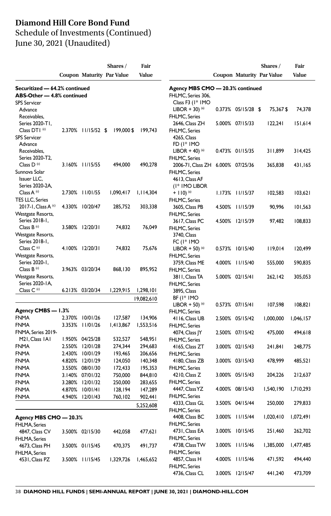|                               |        |                    | Shares /                  | Fair       |                                  |        |                    | Shares /                  | Fair      |
|-------------------------------|--------|--------------------|---------------------------|------------|----------------------------------|--------|--------------------|---------------------------|-----------|
|                               |        |                    | Coupon Maturity Par Value | Value      |                                  |        |                    | Coupon Maturity Par Value | Value     |
| Securitized - 64.2% continued |        |                    |                           |            | Agency MBS CMO - 20.3% continued |        |                    |                           |           |
| ABS-Other - 4.8% continued    |        |                    |                           |            | FHLMC, Series 306,               |        |                    |                           |           |
| <b>SPS Servicer</b>           |        |                    |                           |            | Class F3 (1* IMO                 |        |                    |                           |           |
| Advance                       |        |                    |                           |            | LIBOR + 30) $^{(a)}$             |        | 0.373% 05/15/28 \$ | 75,367\$                  | 74,378    |
| Receivables,                  |        |                    |                           |            | <b>FHLMC, Series</b>             |        |                    |                           |           |
| Series 2020-T1,               |        |                    |                           |            | 2646, Class ZH                   |        | 5.000% 07/15/33    | 122,241                   | 151,614   |
| Class DT1 <sup>(c)</sup>      |        | 2.370% 11/15/52 \$ | 199,000\$                 | 199,743    | FHLMC, Series                    |        |                    |                           |           |
| <b>SPS Servicer</b>           |        |                    |                           |            | 4265, Class                      |        |                    |                           |           |
| Advance                       |        |                    |                           |            | FD (I* IMO                       |        |                    |                           |           |
| Receivables,                  |        |                    |                           |            | LIBOR + 40) (a)                  |        | 0.473% 01/15/35    | 311,899                   | 314,425   |
| Series 2020-T2,               |        |                    |                           |            | FHLMC, Series                    |        |                    |                           |           |
| Class $D^{(c)}$               |        | 3.160% 11/15/55    | 494,000                   | 490,278    | 2006-71, Class ZH                |        | 6.000% 07/25/36    | 365,838                   | 431,165   |
| Sunnova Solar                 |        |                    |                           |            | FHLMC, Series                    |        |                    |                           |           |
| Issuer LLC,                   |        |                    |                           |            | 4613, Class AF                   |        |                    |                           |           |
| Series 2020-2A,               |        |                    |                           |            | (I* IMO LIBOR                    |        |                    |                           |           |
| Class $A^{(c)}$               | 2.730% | 11/01/55           | 1,090,417                 | 1,114,304  | $+$ 110) (a)                     |        | 1.173% 11/15/37    | 102,583                   | 103,621   |
| <b>TES LLC, Series</b>        |        |                    |                           |            |                                  |        |                    |                           |           |
| 2017-1, Class A (c)           | 4.330% | 10/20/47           | 285,752                   | 303,338    | <b>FHLMC, Series</b>             | 4.500% | 11/15/39           | 90,996                    | 101,563   |
|                               |        |                    |                           |            | 3605, Class PB                   |        |                    |                           |           |
| Westgate Resorts,             |        |                    |                           |            | FHLMC, Series                    |        |                    |                           |           |
| Series 2018-1,                |        |                    |                           |            | 3617, Class PC                   |        | 4.500% 12/15/39    | 97,482                    | 108,833   |
| Class $B^{(c)}$               | 3.580% | 12/20/31           | 74,832                    | 76,049     | FHLMC, Series                    |        |                    |                           |           |
| Westgate Resorts,             |        |                    |                           |            | 3740, Class                      |        |                    |                           |           |
| Series 2018-1,                |        |                    |                           |            | FC (I* IMO                       |        |                    |                           |           |
| Class C <sup>(c)</sup>        | 4.100% | 12/20/31           | 74,832                    | 75,676     | LIBOR + 50) (a)                  | 0.573% | 10/15/40           | 119.014                   | 120,499   |
| Westgate Resorts,             |        |                    |                           |            | FHLMC, Series                    |        |                    |                           |           |
| Series 2020-1,                |        |                    |                           |            | 3759, Class ME                   | 4.000% | 11/15/40           | 555,000                   | 590.835   |
| Class $B^{(c)}$               |        | 3.963% 03/20/34    | 868,130                   | 895,952    | FHLMC, Series                    |        |                    |                           |           |
| Westgate Resorts,             |        |                    |                           |            | 381 I, Class TA                  |        | 5.000% 02/15/41    | 262,142                   | 305,053   |
| Series 2020-1A,               |        |                    |                           |            | FHLMC, Series                    |        |                    |                           |           |
| Class C <sup>(c)</sup>        | 6.213% | 03/20/34           | 1,229,915                 | 1,298,101  | 3895, Class                      |        |                    |                           |           |
|                               |        |                    |                           | 19,082,610 | BF (I* IMO                       |        |                    |                           |           |
|                               |        |                    |                           |            | LIBOR + 50) (a)                  |        | 0.573% 07/15/41    | 107,598                   | 108,821   |
| Agency CMBS - 1.3%            |        |                    |                           |            | FHLMC, Series                    |        |                    |                           |           |
| FNMA                          | 2.370% | 10/01/26           | 127,587                   | 134,906    | 4116, Class UB                   |        | 2.500% 05/15/42    | 1,000,000                 | 1,046,157 |
| <b>FNMA</b>                   | 3.353% | 11/01/26           | 1,413,867                 | 1,553,516  | FHLMC, Series                    |        |                    |                           |           |
| FNMA, Series 2019-            |        |                    |                           |            | 4074, Class JY                   |        | 2.500% 07/15/42    | 475,000                   | 494,618   |
| M <sub>21</sub> , Class 1A1   |        | 1.950% 04/25/28    | 532,527                   | 548,951    | FHLMC, Series                    |        |                    |                           |           |
| FNMA                          | 2.550% | 12/01/28           | 274,344                   | 294,683    | 4165, Class ZT                   |        | 3.000% 02/15/43    | 241,841                   | 248,775   |
| <b>FNMA</b>                   |        | 2.430% 10/01/29    | 193,465                   | 206,656    | FHLMC, Series                    |        |                    |                           |           |
| <b>FNMA</b>                   | 4.820% | 12/01/29           | 124,050                   | 140,348    | 4180, Class ZB                   | 3.000% | 03/15/43           | 478,999                   | 485,521   |
| FNMA                          | 3.550% | 08/01/30           | 172,433                   | 195,353    | FHLMC, Series                    |        |                    |                           |           |
| FNMA                          |        | 3.140% 07/01/32    | 750,000                   | 844,810    | 4210, Class Z                    |        | 3.000% 05/15/43    | 204,226                   | 212,637   |
| FNMA                          | 3.280% | 12/01/32           | 250,000                   | 283,655    | <b>FHLMC, Series</b>             |        |                    |                           |           |
| <b>FNMA</b>                   | 4.870% | 10/01/41           | 128,194                   | 147,289    | 4447, Class YZ                   | 4.000% | 08/15/43           | 1,540,190                 | 1,710,293 |
| <b>FNMA</b>                   | 4.940% | 12/01/43           | 760,102                   | 902,441    | <b>FHLMC, Series</b>             |        |                    |                           |           |
|                               |        |                    |                           |            | 4333, Class GL                   |        | 3.500% 04/15/44    | 250,000                   | 279,833   |
|                               |        |                    |                           | 5,252,608  | <b>FHLMC, Series</b>             |        |                    |                           |           |
| Agency MBS CMO - 20.3%        |        |                    |                           |            | 4408, Class BC                   | 3.000% | 1/15/44            | 1,020,410                 | 1,072,491 |
| FHLMA, Series                 |        |                    |                           |            | <b>FHLMC, Series</b>             |        |                    |                           |           |
| 4847, Class CV                | 3.500% | 02/15/30           | 442,058                   | 477,621    | 4731, Class EA                   | 3.000% | 10/15/45           | 251,460                   | 262,702   |
|                               |        |                    |                           |            | <b>FHLMC, Series</b>             |        |                    |                           |           |
| <b>FHLMA, Series</b>          |        | 01/15/45           | 470,375                   | 491,737    | 4738, Class TW                   | 3.000% | 11/15/46           | 1,385,000                 | 1,477,485 |
| 4673, Class PH                | 3.500% |                    |                           |            | FHLMC, Series                    |        |                    |                           |           |
| <b>FHLMA, Series</b>          |        |                    |                           |            |                                  | 4.000% | 11/15/46           | 471,592                   | 494,440   |
| 4531, Class PZ                | 3.500% | 11/15/45           | 1,329,726                 | 1,465,652  | 4857, Class H                    |        |                    |                           |           |
|                               |        |                    |                           |            | <b>FHLMC, Series</b>             |        |                    |                           |           |
|                               |        |                    |                           |            | 4736, Class CL                   |        | 3.000% 12/15/47    | 441,240                   | 473,709   |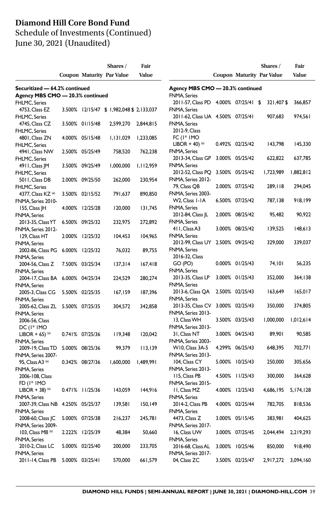|                                   |        |                 | Shares /                                  | Fair      |                                      |        |                 | Shares /                  | Fair      |
|-----------------------------------|--------|-----------------|-------------------------------------------|-----------|--------------------------------------|--------|-----------------|---------------------------|-----------|
|                                   |        |                 | Coupon Maturity Par Value                 | Value     |                                      |        |                 | Coupon Maturity Par Value | Value     |
| Securitized - 64.2% continued     |        |                 |                                           |           | Agency MBS CMO - 20.3% continued     |        |                 |                           |           |
| Agency MBS CMO - 20.3% continued  |        |                 |                                           |           | <b>FNMA, Series</b>                  |        |                 |                           |           |
| FHLMC, Series                     |        |                 |                                           |           | 2011-57, Class PD 4.000% 07/25/41 \$ |        |                 | 321,407\$                 | 366,857   |
| 4753, Class EZ                    |        |                 | 3.500% 12/15/47 \$ 1,982,048 \$ 2,133,037 |           | <b>FNMA, Series</b>                  |        |                 |                           |           |
| <b>FHLMC, Series</b>              |        |                 |                                           |           | 2011-62, Class UA 4.500% 07/25/41    |        |                 | 907,683                   | 974,561   |
| 4745, Class CZ                    | 3.500% | 01/15/48        | 2.599.270                                 | 2,844,815 | <b>FNMA, Series</b>                  |        |                 |                           |           |
| FHLMC, Series                     |        |                 |                                           |           | 2012-9, Class                        |        |                 |                           |           |
| 4801, Class ZN                    |        | 4.000% 05/15/48 | 1,131,029                                 | 1,233,085 | FC (I* IMO                           |        |                 |                           |           |
| <b>FHLMC, Series</b>              |        |                 |                                           |           | LIBOR + 40) (a)                      |        | 0.492% 02/25/42 | 143.798                   | 145,330   |
| 4941, Class NW                    |        | 2.500% 05/25/49 | 758,520                                   | 762,238   | <b>FNMA, Series</b>                  |        |                 |                           |           |
| <b>FHLMC, Series</b>              |        |                 |                                           |           | 2013-34, Class GP                    |        | 3.000% 05/25/42 | 622,822                   | 637,785   |
| 4911, Class JM                    | 3.500% | 09/25/49        | 1.000.000                                 | 1,112,959 | <b>FNMA, Series</b>                  |        |                 |                           |           |
| <b>FHLMC, Series</b>              |        |                 |                                           |           | 2012-52, Class PQ                    | 3.500% | 05/25/42        | 1,723,989                 | 1,882,812 |
| 5011, Class DB                    |        | 2.000% 09/25/50 | 262,000                                   | 230,954   | FNMA, Series 2012-                   |        |                 |                           |           |
| <b>FHLMC, Series</b>              |        |                 |                                           |           | 79, Class QB                         |        | 2.000% 07/25/42 | 289, 118                  | 294,045   |
| 4377, Class KZ <sup>(a)</sup>     | 3.500% | 02/15/52        | 791.637                                   | 890,850   | FNMA, Series 2003-                   |        |                 |                           |           |
| FNMA, Series 2010-                |        |                 |                                           |           | W2, Class 1-1A                       |        | 6.500% 07/25/42 | 787.138                   | 918.199   |
| 155, Class JH                     | 4.000% | 12/25/28        | 120,000                                   | 131,745   | <b>FNMA, Series</b>                  |        |                 |                           |           |
| <b>FNMA, Series</b>               |        |                 |                                           |           | 2012-84, Class JL                    |        | 2.000% 08/25/42 | 95,482                    | 90,922    |
| 2013-35, Class YT                 |        | 6.500% 09/25/32 | 232.975                                   | 272,892   | <b>FNMA, Series</b>                  |        |                 |                           |           |
| FNMA, Series 2012-                |        |                 |                                           |           | 411, Class A3                        | 3.000% | 08/25/42        | 139,525                   | 148,613   |
| 129, Class HT                     | 2.000% | 12/25/32        | 104,453                                   | 104,965   | FNMA, Series                         |        |                 |                           |           |
| <b>FNMA, Series</b>               |        |                 |                                           |           | 2012-99, Class UY 2.500% 09/25/42    |        |                 | 329,000                   | 339,037   |
| 2002-86, Class PG                 | 6.000% | 12/25/32        | 76,032                                    | 89.755    | <b>FNMA, Series</b>                  |        |                 |                           |           |
| <b>FNMA, Series</b>               |        |                 |                                           |           | 2016-32, Class                       |        |                 |                           |           |
| 2004-56, Class Z                  | 7.500% | 03/25/34        | 137,314                                   | 167,418   | GO (PO)                              |        | 0.000% 01/25/43 | 74,101                    | 56,235    |
| <b>FNMA, Series</b>               |        |                 |                                           |           | <b>FNMA, Series</b>                  |        |                 |                           |           |
| 2004-17, Class BA                 | 6.000% | 04/25/34        | 224.529                                   | 280,274   | 2013-35, Class LP                    |        | 3.000% 01/25/43 | 352,000                   | 364,138   |
| <b>FNMA, Series</b>               |        |                 |                                           |           | <b>FNMA, Series</b>                  |        |                 |                           |           |
| 2005-3, Class CG                  |        | 5.500% 02/25/35 | 167,159                                   | 187,396   | 2013-6, Class QA                     |        | 2.500% 02/25/43 | 163,649                   | 165,017   |
| <b>FNMA, Series</b>               |        |                 |                                           |           | <b>FNMA, Series</b>                  |        |                 |                           |           |
| 2005-62, Class ZL                 |        | 5.500% 07/25/35 | 304,572                                   | 342,858   | 2013-35, Class CV                    |        | 3.000% 02/25/43 | 350.000                   | 374,805   |
| <b>FNMA, Series</b>               |        |                 |                                           |           | FNMA, Series 2013-                   |        |                 |                           |           |
| 2006-56, Class                    |        |                 |                                           |           | 13, Class WH                         |        | 3.500% 03/25/43 | 1,000,000                 | 1,012,614 |
| DC (I* IMO                        |        |                 |                                           |           | FNMA, Series 2013-                   |        |                 |                           |           |
| LIBOR + 65) <sup>(a)</sup>        |        | 0.741% 07/25/36 | 119,348                                   | 120,042   | 31, Class NT                         |        | 3.000% 04/25/43 | 89,901                    | 90,585    |
| <b>FNMA, Series</b>               |        |                 |                                           |           | FNMA, Series 2003-                   |        |                 |                           |           |
| 2009-19, Class TD                 | 5.000% | 08/25/36        | 99.379                                    | 113,139   | W10, Class 3A-5                      |        | 4.299% 06/25/43 | 648,395                   | 702,771   |
| FNMA, Series 2007-                |        |                 |                                           |           | FNMA, Series 2013-                   |        |                 |                           |           |
| 95, Class A3 (a)                  |        | 0.342% 08/27/36 | 1,600,000                                 | 1,489,991 | 104, Class CY                        |        | 5.000% 10/25/43 | 250,000                   | 305,656   |
| <b>FNMA, Series</b>               |        |                 |                                           |           | FNMA, Series 2013-                   |        |                 |                           |           |
| 2006-108, Class                   |        |                 |                                           |           | 115, Class PB                        | 4.500% | 1/25/43         | 300,000                   | 364,628   |
| FD (I* IMO                        |        |                 |                                           |           | FNMA, Series 2015-                   |        |                 |                           |           |
| LIBOR + 38) (a)                   | 0.471% | 11/25/36        | 143,059                                   | 144,916   | II, Class MZ                         | 4.000% | 12/25/43        | 4,686,195                 | 5,174,128 |
| <b>FNMA, Series</b>               |        |                 |                                           |           | <b>FNMA, Series</b>                  |        |                 |                           |           |
| 2007-39, Class NB 4.250% 05/25/37 |        |                 | 139,581                                   | 150,149   | 2014-2, Class PB                     |        | 4.000% 02/25/44 | 782,705                   | 818,536   |
| <b>FNMA, Series</b>               |        |                 |                                           |           | FNMA, Series                         |        |                 |                           |           |
| 2008-60, Class JC                 | 5.000% | 07/25/38        | 216,237                                   | 245,781   | 4473, Class Z                        | 3.000% | 05/15/45        | 383,981                   | 404,625   |
| FNMA, Series 2009-                |        |                 |                                           |           | FNMA, Series 2017-                   |        |                 |                           |           |
| 103, Class MB <sup>(a)</sup>      |        | 2.222% 12/25/39 | 48,384                                    | 50,660    | 16, Class UW                         |        | 3.000% 07/25/45 | 2,044,494                 | 2,219,293 |
| <b>FNMA, Series</b>               |        |                 |                                           |           | <b>FNMA, Series</b>                  |        |                 |                           |           |
| 2010-2, Class LC                  | 5.000% | 02/25/40        | 200,000                                   | 233,705   | 2016-68, Class AL                    | 3.000% | 10/25/46        | 850,000                   | 918,490   |
| <b>FNMA, Series</b>               |        | 5.000% 03/25/41 | 570,000                                   |           | FNMA, Series 2017-                   |        |                 |                           |           |
| 2011-14, Class PB                 |        |                 |                                           | 661,579   | 04, Class ZC                         |        | 3.500% 02/25/47 | 2,917,272                 | 3,094,160 |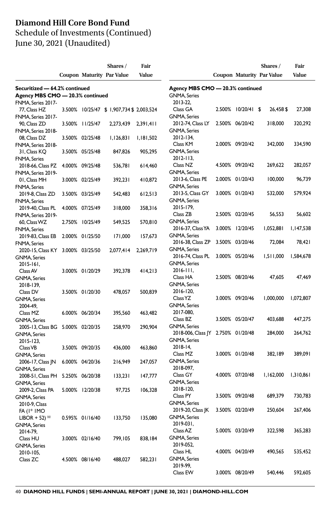|                                                                   |                 | Shares /                                  | Fair      |                                                         |        |                 | Shares /                  | Fair      |
|-------------------------------------------------------------------|-----------------|-------------------------------------------|-----------|---------------------------------------------------------|--------|-----------------|---------------------------|-----------|
|                                                                   |                 | Coupon Maturity Par Value                 | Value     |                                                         |        |                 | Coupon Maturity Par Value | Value     |
|                                                                   |                 |                                           |           |                                                         |        |                 |                           |           |
| Securitized - 64.2% continued<br>Agency MBS CMO - 20.3% continued |                 |                                           |           | Agency MBS CMO - 20.3% continued<br><b>GNMA, Series</b> |        |                 |                           |           |
| FNMA, Series 2017-                                                |                 |                                           |           | 2013-22,                                                |        |                 |                           |           |
| 77, Class HZ                                                      |                 | 3.500% 10/25/47 \$ 1,907,734 \$ 2,003,524 |           | Class GA                                                | 2.500% | 10/20/41 \$     | 26,458 \$                 | 27,308    |
| FNMA, Series 2017-                                                |                 |                                           |           | <b>GNMA, Series</b>                                     |        |                 |                           |           |
|                                                                   | 3.500% 11/25/47 |                                           | 2,391,411 | 2012-74, Class LY                                       |        | 2.500% 06/20/42 | 318,000                   | 320,292   |
| 90, Class ZD<br>FNMA, Series 2018-                                |                 | 2,273,439                                 |           | <b>GNMA, Series</b>                                     |        |                 |                           |           |
|                                                                   | 3.500% 02/25/48 |                                           |           | $2012 - 134$ ,                                          |        |                 |                           |           |
| 08, Class DZ<br>FNMA, Series 2018-                                |                 | 1,126,831                                 | 1,181,502 | Class KM                                                |        | 2.000% 09/20/42 | 342,000                   | 334,590   |
|                                                                   | 3.500% 05/25/48 | 847,826                                   | 905,295   | GNMA, Series                                            |        |                 |                           |           |
| 31, Class KQ                                                      |                 |                                           |           | $2012 - 113$                                            |        |                 |                           |           |
| <b>FNMA, Series</b>                                               | 4.000% 09/25/48 | 536,781                                   | 614,460   | Class NZ                                                |        | 4.500% 09/20/42 | 269,622                   | 282,057   |
| 2018-66, Class PZ                                                 |                 |                                           |           | <b>GNMA, Series</b>                                     |        |                 |                           |           |
| FNMA, Series 2019-                                                |                 | 392.231                                   |           | 2013-6, Class PE                                        |        | 2.000% 01/20/43 | 100,000                   | 96,739    |
| 01, Class MH                                                      | 3.000% 02/25/49 |                                           | 410,872   | <b>GNMA, Series</b>                                     |        |                 |                           |           |
| FNMA, Series                                                      |                 |                                           |           | 2013-5, Class GY                                        |        | 3.000% 01/20/43 | 532,000                   | 579,924   |
| 2019-8, Class ZD                                                  | 3.500% 03/25/49 | 542,483                                   | 612,513   | <b>GNMA, Series</b>                                     |        |                 |                           |           |
| FNMA, Series                                                      |                 |                                           |           | 2015-179,                                               |        |                 |                           |           |
| 2019-40, Class PL                                                 | 4.000% 07/25/49 | 318,000                                   | 358,316   | Class ZB                                                |        | 2.500% 02/20/45 | 56,553                    | 56,602    |
| FNMA, Series 2019-                                                |                 |                                           |           | <b>GNMA, Series</b>                                     |        |                 |                           |           |
| 60, Class WZ                                                      | 2.750% 10/25/49 | 549,525                                   | 570,810   |                                                         |        | 3.000% 12/20/45 |                           |           |
| <b>FNMA, Series</b>                                               |                 |                                           |           | 2016-37, Class YA                                       |        |                 | 1,052,881                 | 1,147,538 |
| 2019-83, Class EB                                                 | 2.000% 01/25/50 | 171,000                                   | 157,673   | <b>GNMA, Series</b>                                     |        | 3.500% 03/20/46 | 72,084                    | 78,421    |
| <b>FNMA, Series</b>                                               |                 |                                           |           | 2016-38, Class ZP                                       |        |                 |                           |           |
| 2020-15, Class KY                                                 | 3.000% 03/25/50 | 2,077,414                                 | 2,269,719 | GNMA, Series                                            |        |                 |                           |           |
| <b>GNMA, Series</b>                                               |                 |                                           |           | 2016-74, Class PL                                       |        | 3.000% 05/20/46 | 1,511,000                 | 1,584,678 |
| $2015 - 161,$                                                     |                 |                                           |           | <b>GNMA, Series</b>                                     |        |                 |                           |           |
| Class AV                                                          | 3.000% 01/20/29 | 392,378                                   | 414,213   | $2016 - 111$ ,                                          |        |                 |                           |           |
| <b>GNMA, Series</b>                                               |                 |                                           |           | Class HA                                                |        | 2.500% 08/20/46 | 47,605                    | 47,469    |
| 2018-139,                                                         |                 |                                           |           | GNMA, Series                                            |        |                 |                           |           |
| Class DV                                                          | 3.500% 01/20/30 | 478,057                                   | 500,839   | 2016-120,                                               |        |                 |                           |           |
| <b>GNMA, Series</b>                                               |                 |                                           |           | Class YZ                                                |        | 3.000% 09/20/46 | 1,000,000                 | 1,072,807 |
| 2004-49.                                                          |                 |                                           |           | <b>GNMA, Series</b>                                     |        |                 |                           |           |
| Class MZ                                                          | 6.000% 06/20/34 | 395,560                                   | 463,482   | 2017-080,                                               |        |                 |                           |           |
| <b>GNMA, Series</b>                                               |                 |                                           |           | Class BZ                                                |        | 3.500% 05/20/47 | 403,688                   | 447,275   |
| 2005-13, Class BG 5.000% 02/20/35                                 |                 | 258,970                                   | 290,904   | <b>GNMA, Series</b>                                     |        |                 |                           |           |
| <b>GNMA, Series</b>                                               |                 |                                           |           | 2018-006, Class IY 2.750% 01/20/48                      |        |                 | 284,000                   | 264.762   |
| 2015-123,                                                         |                 |                                           |           | <b>GNMA, Series</b>                                     |        |                 |                           |           |
| Class VB                                                          | 3.500% 09/20/35 | 436,000                                   | 463,860   | 2018-14,                                                |        |                 |                           |           |
| <b>GNMA, Series</b>                                               |                 |                                           |           | Class MZ                                                |        | 3.000% 01/20/48 | 382,189                   | 389,091   |
| 2006-17, Class JN                                                 | 6.000% 04/20/36 | 216,949                                   | 247,057   | GNMA, Series                                            |        |                 |                           |           |
| <b>GNMA, Series</b>                                               |                 |                                           |           | 2018-097,<br>Class GY                                   |        | 4.000% 07/20/48 |                           |           |
| 2008-51, Class PH                                                 | 5.250% 06/20/38 | 133,231                                   | 147,777   | <b>GNMA, Series</b>                                     |        |                 | 1,162,000                 | 1,310,861 |
| <b>GNMA, Series</b>                                               |                 |                                           |           |                                                         |        |                 |                           |           |
| 2009-2, Class PA                                                  | 5.000% 12/20/38 | 97,725                                    | 106.328   | 2018-120,<br>Class PY                                   |        | 3.500% 09/20/48 | 689,379                   | 730.783   |
| <b>GNMA, Series</b>                                               |                 |                                           |           | <b>GNMA, Series</b>                                     |        |                 |                           |           |
| 2010-9, Class                                                     |                 |                                           |           | 2019-20, Class JK                                       |        | 3.500% 02/20/49 | 250,604                   | 267,406   |
| FA (1* IMO                                                        |                 |                                           |           |                                                         |        |                 |                           |           |
| LIBOR + 52) $^{(a)}$                                              | 0.595% 01/16/40 | 133.750                                   | 135,080   | <b>GNMA, Series</b><br>2019-031,                        |        |                 |                           |           |
| <b>GNMA, Series</b>                                               |                 |                                           |           | Class AZ                                                |        | 5.000% 03/20/49 | 322,598                   | 365,283   |
| 2014-79,                                                          |                 |                                           |           |                                                         |        |                 |                           |           |
| Class HU                                                          | 3.000% 02/16/40 | 799,105                                   | 838,184   | <b>GNMA, Series</b>                                     |        |                 |                           |           |
| <b>GNMA, Series</b>                                               |                 |                                           |           | 2019-052,                                               |        |                 |                           |           |
| 2010-105,                                                         |                 |                                           |           | Class HL                                                |        | 4.000% 04/20/49 | 490,565                   | 535,452   |
| Class ZC                                                          | 4.500% 08/16/40 | 488,027                                   | 582,231   | <b>GNMA, Series</b>                                     |        |                 |                           |           |
|                                                                   |                 |                                           |           | 2019-99,                                                |        |                 |                           |           |
|                                                                   |                 |                                           |           | Class EW                                                |        | 3.000% 08/20/49 | 540,446                   | 592,605   |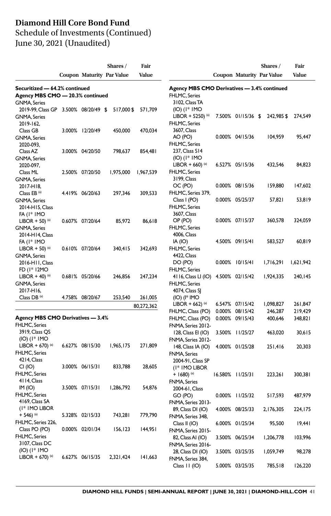|                                      |        |                 | Shares /                  | Fair       |                                             |        |                    | Shares /                  | Fair      |
|--------------------------------------|--------|-----------------|---------------------------|------------|---------------------------------------------|--------|--------------------|---------------------------|-----------|
|                                      |        |                 | Coupon Maturity Par Value | Value      |                                             |        |                    | Coupon Maturity Par Value | Value     |
| Securitized - 64.2% continued        |        |                 |                           |            | Agency MBS CMO Derivatives - 3.4% continued |        |                    |                           |           |
| Agency MBS CMO - 20.3% continued     |        |                 |                           |            | FHLMC, Series                               |        |                    |                           |           |
| <b>GNMA, Series</b>                  |        |                 |                           |            | 3102, Class TA                              |        |                    |                           |           |
| 2019-99, Class GP 3.500% 08/20/49 \$ |        |                 | 517,000\$                 | 571,709    | (IO) (I* IMO                                |        |                    |                           |           |
| <b>GNMA, Series</b>                  |        |                 |                           |            | LIBOR + 5250) (a)                           |        | 7.500% 01/15/36 \$ | 242,985 \$                | 274,549   |
| 2019-162,                            |        |                 |                           |            | <b>FHLMC, Series</b>                        |        |                    |                           |           |
| Class GB                             |        | 3.000% 12/20/49 | 450,000                   | 470,034    | 3607, Class                                 |        |                    |                           |           |
| <b>GNMA, Series</b>                  |        |                 |                           |            | AO (PO)                                     |        | 0.000% 04/15/36    | 104,959                   | 95,447    |
| 2020-093,                            |        |                 |                           |            | FHLMC, Series                               |        |                    |                           |           |
| Class AZ                             |        | 3.000% 04/20/50 | 798,637                   | 854,481    | 237, Class S14                              |        |                    |                           |           |
| <b>GNMA, Series</b>                  |        |                 |                           |            | (IO) (I* IMO                                |        |                    |                           |           |
| 2020-097,                            |        |                 |                           |            | LIBOR + 660) (a)                            |        | 6.527% 05/15/36    | 432,546                   | 84,823    |
| Class ML                             |        | 2.500% 07/20/50 | 1,975,000                 | 1,967,539  | <b>FHLMC, Series</b>                        |        |                    |                           |           |
| <b>GNMA, Series</b>                  |        |                 |                           |            | 3199, Class                                 |        |                    |                           |           |
| 2017-H18,                            |        |                 |                           |            | OC (PO)                                     |        | 0.000% 08/15/36    | 159,880                   | 147,602   |
| Class EB $(4)$                       |        | 4.419% 06/20/63 | 297,346                   | 309,533    | FHLMC, Series 379,                          |        |                    |                           |           |
| <b>GNMA, Series</b>                  |        |                 |                           |            | Class I (PO)                                |        | 0.000% 05/25/37    | 57,821                    | 53,819    |
| 2014-H15, Class                      |        |                 |                           |            | FHLMC, Series                               |        |                    |                           |           |
| FA (I* IMO                           |        |                 |                           |            | 3607, Class                                 |        |                    |                           |           |
| LIBOR + 50) (a)                      |        | 0.607% 07/20/64 | 85,972                    | 86,618     | OP (PO)                                     |        | 0.000% 07/15/37    | 360,578                   | 324,059   |
| <b>GNMA, Series</b>                  |        |                 |                           |            | <b>FHLMC, Series</b>                        |        |                    |                           |           |
| 2014-H14, Class                      |        |                 |                           |            | 4006, Class                                 |        |                    |                           |           |
| FA (I* IMO                           |        |                 |                           |            | IA (IO)                                     |        | 4.500% 09/15/41    | 583,527                   | 60,819    |
| LIBOR + 50) $(a)$                    |        | 0.610% 07/20/64 | 340,415                   | 342,693    | FHLMC, Series                               |        |                    |                           |           |
| <b>GNMA, Series</b>                  |        |                 |                           |            | 4422, Class                                 |        |                    |                           |           |
| 2016-H11, Class                      |        |                 |                           |            | DO (PO)                                     | 0.000% | 10/15/41           | 1,716,291                 | 1,621,942 |
| FD (1* 12MO                          |        |                 |                           |            | FHLMC, Series                               |        |                    |                           |           |
| LIBOR + 40) (a)                      |        | 0.681% 05/20/66 | 246,856                   | 247,234    | 4116, Class LI (IO)                         |        | 4.500% 02/15/42    | 1,924,335                 | 240,145   |
| <b>GNMA, Series</b>                  |        |                 |                           |            | <b>FHLMC, Series</b>                        |        |                    |                           |           |
| 2017-H16,                            |        |                 |                           |            | 4074, Class SJ                              |        |                    |                           |           |
| Class DB <sup>(a)</sup>              | 4.758% | 08/20/67        | 253,540                   | 261,005    | (IO) (I* IMO                                |        |                    |                           |           |
|                                      |        |                 |                           | 80,272,362 | LIBOR + 662) (a)                            |        | 6.547% 07/15/42    | 1,098,827                 | 261,847   |
|                                      |        |                 |                           |            | FHLMC, Class (PO)                           |        | 0.000% 08/15/42    | 246,287                   | 219,429   |
| Agency MBS CMO Derivatives - 3.4%    |        |                 |                           |            | FHLMC, Class (PO)                           |        | 0.000% 09/15/43    | 400,646                   | 348,821   |
| FHLMC, Series                        |        |                 |                           |            | FNMA, Series 2012-                          |        |                    |                           |           |
| 3919, Class QS                       |        |                 |                           |            | $128$ , Class EI (IO)                       |        | 3.500% 11/25/27    | 463,020                   | 30,615    |
| $(IO)$ $(1*$ $IMO$                   |        |                 |                           |            | FNMA, Series 2012-                          |        |                    |                           |           |
| LIBOR + 670) (a)                     |        | 6.627% 08/15/30 | 1,965,175                 | 271,809    | 148, Class IA (IO)                          |        | 4.000% 01/25/28    | 251.416                   | 20.303    |
| <b>FHLMC, Series</b>                 |        |                 |                           |            | FNMA, Series                                |        |                    |                           |           |
| 4214, Class                          |        |                 |                           |            | 2004-91, Class SP                           |        |                    |                           |           |
| CI (IO)                              |        | 3.000% 06/15/31 | 833,788                   | 28,605     | (I* IMO LIBOR                               |        |                    |                           |           |
| <b>FHLMC, Series</b>                 |        |                 |                           |            | $+$ 1680) (a)                               |        | 16.580% 11/25/31   | 223,261                   | 300,381   |
| 4114, Class                          |        |                 |                           |            | <b>FNMA, Series</b>                         |        |                    |                           |           |
| IM (IO)                              |        | 3.500% 07/15/31 | 1,286,792                 | 54,876     | 2004-61, Class                              |        |                    |                           |           |
| <b>FHLMC, Series</b>                 |        |                 |                           |            | GO (PO)                                     | 0.000% | 1/25/32            | 517,593                   | 487,979   |
| 4169, Class SA<br>(I* IMO LIBOR      |        |                 |                           |            | FNMA, Series 2013-                          |        |                    |                           |           |
| $+ 546$ ) (a)                        |        | 5.328% 02/15/33 | 743,281                   | 779,790    | 89, Class DI (IO)                           |        | 4.000% 08/25/33    | 2,176,305                 | 224,175   |
|                                      |        |                 |                           |            | FNMA, Series 348,                           |        |                    |                           |           |
| FHLMC, Series 226,<br>Class PO (PO)  |        | 0.000% 02/01/34 | 156,123                   | 144,951    | Class II (IO)                               |        | 6.000% 01/25/34    | 95,500                    | 19,441    |
| FHLMC, Series                        |        |                 |                           |            | FNMA, Series 2015-                          |        |                    |                           |           |
| 3107, Class DC                       |        |                 |                           |            | 82, Class AI (IO)                           |        | 3.500% 06/25/34    | 1,206,778                 | 103,996   |
| $(IO)$ $(1*$ $IMO$                   |        |                 |                           |            | FNMA, Series 2016-                          |        |                    |                           |           |
| LIBOR + 670) (a)                     |        | 6.627% 06/15/35 | 2,321,424                 | 141,663    | 28, Class DI (IO)                           |        | 3.500% 03/25/35    | 1,059,749                 | 98,278    |
|                                      |        |                 |                           |            | FNMA, Series 384,                           |        | 5.000% 03/25/35    | 785,518                   | 126,220   |
|                                      |        |                 |                           |            | Class $   $ $ $ $ $ $ $                     |        |                    |                           |           |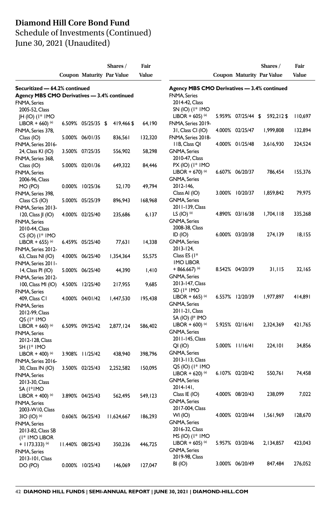|                                             |          |                 | Shares /                  | Fair    |                                                    |        |                    | Shares /                  | Fair    |
|---------------------------------------------|----------|-----------------|---------------------------|---------|----------------------------------------------------|--------|--------------------|---------------------------|---------|
|                                             |          |                 | Coupon Maturity Par Value | Value   |                                                    |        |                    | Coupon Maturity Par Value | Value   |
| Securitized - 64.2% continued               |          |                 |                           |         | Agency MBS CMO Derivatives - 3.4% continued        |        |                    |                           |         |
| Agency MBS CMO Derivatives - 3.4% continued |          |                 |                           |         | <b>FNMA, Series</b>                                |        |                    |                           |         |
| <b>FNMA, Series</b>                         |          |                 |                           |         | 2014-42, Class                                     |        |                    |                           |         |
| 2005-52, Class                              |          |                 |                           |         | SN (IO) (1* IMO                                    |        |                    |                           |         |
| JH (IO) (1* IMO                             |          |                 |                           |         | LIBOR + 605) (a)                                   |        | 5.959% 07/25/44 \$ | 592,212\$                 | 110,697 |
| LIBOR + 660) <sup>(a)</sup>                 | 6.509%   | 05/25/35 \$     | 419,466\$                 | 64,190  | FNMA, Series 2019-                                 |        |                    |                           |         |
| FNMA, Series 378,                           |          |                 |                           |         | 31, Class CI (IO)                                  |        | 4.000% 02/25/47    | 1,999,808                 | 132,894 |
| Class (IO)                                  |          | 5.000% 06/01/35 | 836,561                   | 132,320 | FNMA, Series 2018-                                 |        |                    |                           |         |
| FNMA, Series 2016-                          |          |                 |                           |         | I I B, Class QI                                    |        | 4.000% 01/25/48    | 3,616,930                 | 324.524 |
| 24, Class KI (IO)                           |          | 3.500% 07/25/35 | 556,902                   | 58,298  | <b>GNMA, Series</b>                                |        |                    |                           |         |
| FNMA, Series 368,                           |          |                 |                           |         | 2010-47, Class                                     |        |                    |                           |         |
| Class (IO)                                  |          | 5.000% 02/01/36 | 649,322                   | 84,446  | PX (IO) (1* IMO                                    |        |                    |                           |         |
| <b>FNMA, Series</b>                         |          |                 |                           |         | LIBOR + 670) (a)                                   |        | 6.607% 06/20/37    | 786,454                   | 155.376 |
| 2006-96, Class                              |          |                 |                           |         | <b>GNMA, Series</b>                                |        |                    |                           |         |
| MO (PO)                                     | 0.000%   | 10/25/36        | 52,170                    | 49,794  | 2012-146,                                          | 3.000% | 10/20/37           | 1,859,842                 | 79,975  |
| FNMA, Series 398,                           |          |                 |                           |         | Class AI (IO)                                      |        |                    |                           |         |
| Class C5 (IO)                               |          | 5.000% 05/25/39 | 896,943                   | 168,968 | <b>GNMA, Series</b><br>2011-139, Class             |        |                    |                           |         |
| FNMA, Series 2013-                          |          |                 |                           |         |                                                    |        | 4.890% 03/16/38    | 1,704,118                 | 335,268 |
| 120, Class JI (IO)                          |          | 4.000% 02/25/40 | 235,686                   | 6,137   | LS (IO) $(a)$<br><b>GNMA, Series</b>               |        |                    |                           |         |
| <b>FNMA, Series</b>                         |          |                 |                           |         | 2008-38, Class                                     |        |                    |                           |         |
| 2010-44, Class                              |          |                 |                           |         | ID (IO)                                            |        | 6.000% 03/20/38    | 274,139                   | 18,155  |
| CS (IO) (I* IMO<br>LIBOR + 655) (a)         |          | 6.459% 05/25/40 | 77,631                    | 14,338  | <b>GNMA, Series</b>                                |        |                    |                           |         |
| FNMA, Series 2012-                          |          |                 |                           |         | 2013-124,                                          |        |                    |                           |         |
| 63, Class NI (IO)                           |          | 4.000% 06/25/40 | 1,354,364                 | 55,575  | Class ES $(1^*)$                                   |        |                    |                           |         |
| FNMA, Series 2011-                          |          |                 |                           |         | <b>IMO LIBOR</b>                                   |        |                    |                           |         |
| 14, Class PI (IO)                           |          | 5.000% 06/25/40 | 44,390                    | 1,410   | $+866.667$ <sup>(a)</sup>                          |        | 8.542% 04/20/39    | 31,115                    | 32,165  |
| FNMA, Series 2012-                          |          |                 |                           |         | <b>GNMA, Series</b>                                |        |                    |                           |         |
| 100, Class MI (IO)                          | 4.500%   | 12/25/40        | 217,955                   | 9,685   | 2013-147, Class                                    |        |                    |                           |         |
| <b>FNMA, Series</b>                         |          |                 |                           |         | SD (I* IMO                                         |        |                    |                           |         |
| 409, Class C1                               |          | 4.000% 04/01/42 | 1,447,530                 | 195,438 | LIBOR + 665) (a)                                   |        | 6.557% 12/20/39    | 1,977,897                 | 414,891 |
| <b>FNMA, Series</b>                         |          |                 |                           |         | <b>GNMA, Series</b>                                |        |                    |                           |         |
| 2012-99, Class                              |          |                 |                           |         | 2011-21, Class                                     |        |                    |                           |         |
| QS (I* IMO                                  |          |                 |                           |         | SA (IO) (I <sup>*</sup> IMO                        |        |                    |                           |         |
| LIBOR + 660) (a)                            |          | 6.509% 09/25/42 | 2,877,124                 | 586,402 | LIBOR + 600) (a)                                   |        | 5.925% 02/16/41    | 2,324,369                 | 421,765 |
| <b>FNMA, Series</b>                         |          |                 |                           |         | <b>GNMA, Series</b>                                |        |                    |                           |         |
| 2012-128, Class                             |          |                 |                           |         | 2011-145, Class                                    |        |                    |                           |         |
| SH (I* IMO                                  |          |                 |                           |         | QI (IO)                                            |        | 5.000% 11/16/41    | 224,101                   | 34,856  |
| LIBOR + 400) (a)                            | 3.908%   | 11/25/42        | 438,940                   | 398,796 | <b>GNMA, Series</b>                                |        |                    |                           |         |
| FNMA, Series 2016-                          |          |                 |                           |         | 2013-113, Class                                    |        |                    |                           |         |
| 30, Class IN (IO)                           |          | 3.500% 02/25/43 | 2,252,582                 | 150.095 | QS (IO) (1* IMO                                    |        |                    |                           |         |
| <b>FNMA, Series</b>                         |          |                 |                           |         | LIBOR + 620) (a)                                   |        | 6.107% 02/20/42    | 550,761                   | 74,458  |
| 2013-30, Class                              |          |                 |                           |         | GNMA, Series                                       |        |                    |                           |         |
| SA (I*IMO                                   |          |                 |                           |         | $2014 - 141$ ,                                     |        |                    |                           |         |
| LIBOR + 400) (a)                            |          | 3.890% 04/25/43 | 562,495                   | 549,123 | Class IE (IO)                                      |        | 4.000% 08/20/43    | 238,099                   | 7.022   |
| <b>FNMA, Series</b>                         |          |                 |                           |         | <b>GNMA, Series</b>                                |        |                    |                           |         |
| 2003-W10, Class                             |          |                 |                           |         | 2017-004, Class                                    |        |                    |                           |         |
| $3IO$ (IO) $^{(a)}$                         |          | 0.606% 06/25/43 | 11,624,667                | 186,293 | WI (IO)                                            |        | 4.000% 02/20/44    | 1,561,969                 | 128,670 |
| <b>FNMA, Series</b>                         |          |                 |                           |         | <b>GNMA, Series</b>                                |        |                    |                           |         |
| 2013-82, Class SB                           |          |                 |                           |         | 2016-32, Class                                     |        |                    |                           |         |
| (I* IMO LIBOR                               |          |                 |                           |         | $MS (IO) (I*IMO)$                                  |        | 5.957% 03/20/46    | 2,134,857                 | 423,043 |
| $+$ 1173.333) (a)                           | l I.440% | 08/25/43        | 350,236                   | 446,725 | LIBOR + 605) <sup>(a)</sup><br><b>GNMA, Series</b> |        |                    |                           |         |
| <b>FNMA, Series</b>                         |          |                 |                           |         | 2019-98, Class                                     |        |                    |                           |         |
| 2013-101, Class                             |          |                 |                           |         | BI (IO)                                            |        | 3.000% 06/20/49    | 847,484                   | 276,052 |
| DO (PO)                                     |          | 0.000% 10/25/43 | 146,069                   | 127,047 |                                                    |        |                    |                           |         |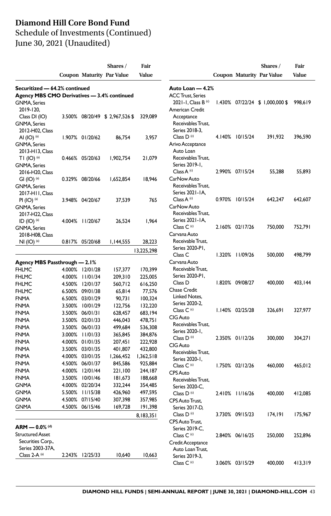|                                             |        |          | Shares /                         | Fair       |
|---------------------------------------------|--------|----------|----------------------------------|------------|
|                                             |        |          | <b>Coupon Maturity Par Value</b> | Value      |
|                                             |        |          |                                  |            |
| Securitized - 64.2% continued               |        |          |                                  |            |
| Agency MBS CMO Derivatives - 3.4% continued |        |          |                                  |            |
| <b>GNMA, Series</b><br>2019-120,            |        |          |                                  |            |
| Class DI (IO)                               | 3.500% | 08/20/49 | \$2,967,526                      | 329,089    |
| <b>GNMA, Series</b>                         |        |          |                                  |            |
| 2012-H02, Class                             |        |          |                                  |            |
| AI (IO) (a)                                 | 1.907% | 01/20/62 | 86,754                           | 3,957      |
| <b>GNMA, Series</b>                         |        |          |                                  |            |
| 2013-H13, Class                             |        |          |                                  |            |
| TI (IO) $^{(a)}$                            | 0.466% | 05/20/63 | 1,902,754                        | 21,079     |
| <b>GNMA, Series</b>                         |        |          |                                  |            |
| 2016-H20, Class                             |        |          |                                  |            |
| $GI (IO)^{(a)}$                             | 0.329% | 08/20/66 | 1,652,854                        | 18,946     |
| GNMA, Series                                |        |          |                                  |            |
| 2017-H11, Class                             |        |          |                                  |            |
| $PI (IO)^{(a)}$                             | 3.948% | 04/20/67 | 37,539                           | 765        |
| <b>GNMA, Series</b>                         |        |          |                                  |            |
| 2017-H22, Class                             |        |          |                                  |            |
| ID (IO) $(a)$                               | 4.004% | II/20/67 | 26,524                           | 1,964      |
| <b>GNMA, Series</b>                         |        |          |                                  |            |
| 2018-H08, Class                             |        |          |                                  |            |
| NI (IO) <sup>(a)</sup>                      | 0.817% | 05/20/68 | I, 144, 555                      | 28,223     |
|                                             |        |          |                                  | 13,225,298 |
| Agency MBS Passthrough -                    |        | - 2. I % |                                  |            |
| <b>FHLMC</b>                                | 4.000% | 12/01/28 | 157,377                          | 170,399    |
| <b>FHLMC</b>                                | 4.000% | 11/01/34 | 209,310                          | 225,005    |
| <b>FHLMC</b>                                | 4.500% | 12/01/37 | 560.712                          | 616,250    |
| FHLMC                                       | 6.500% | 09/01/38 | 65,814                           | 77,576     |
| <b>FNMA</b>                                 | 6.500% | 03/01/29 | 90,731                           | 100,324    |
| <b>FNMA</b>                                 | 3.500% | 10/01/29 | 122,756                          | 132,220    |
| <b>FNMA</b>                                 | 3.500% | 06/01/31 | 628,457                          | 683,194    |
| <b>FNMA</b>                                 | 3.500% | 02/01/33 | 446,043                          | 478,751    |
| <b>FNMA</b>                                 | 3.500% | 06/01/33 | 499,684                          | 536,308    |
| <b>FNMA</b>                                 | 3.000% | 11/01/33 | 365,845                          | 384,876    |
| <b>FNMA</b>                                 | 4.000% | 01/01/35 | 207,451                          | 222,928    |
| <b>FNMA</b>                                 | 3.500% | 03/01/35 | 401,807                          | 432,800    |
| <b>FNMA</b>                                 | 4.000% | 03/01/35 | 1,266,452                        | 1,362,518  |
| <b>FNMA</b>                                 | 4.500% | 06/01/37 | 845,586                          | 925,884    |
| <b>FNMA</b>                                 | 4.000% | 12/01/44 | 221,100                          | 244,187    |
| <b>FNMA</b>                                 | 3.500% | 10/01/46 | 181,673                          | 188,668    |
| <b>GNMA</b>                                 | 4.000% | 02/20/34 | 332,244                          | 354,485    |
| <b>GNMA</b>                                 | 5.500% | 11/15/38 | 426,960                          | 497,595    |
| <b>GNMA</b>                                 | 4.500% | 07/15/40 | 307,398                          | 357,985    |
| <b>GNMA</b>                                 | 4.500% | 06/15/46 | 169,728                          | 191,398    |
|                                             |        |          |                                  |            |
|                                             |        |          |                                  | 8,183,351  |
| ARM - 0.0% (d)                              |        |          |                                  |            |
| <b>Structured Asset</b>                     |        |          |                                  |            |
| Securities Corp.,                           |        |          |                                  |            |
| Series 2003-37A,                            |        |          |                                  |            |
| Class $2-A$ <sup>(a)</sup>                  | 2.243% | 12/25/33 | 10,640                           | 10,663     |

|                          |        |                 | Shares /                        | Fair    |
|--------------------------|--------|-----------------|---------------------------------|---------|
|                          |        |                 | Coupon Maturity Par Value       | Value   |
|                          |        |                 |                                 |         |
| Auto Loan - 4.2%         |        |                 |                                 |         |
| <b>ACC Trust, Series</b> |        |                 |                                 |         |
| 2021-1, Class B (c)      |        |                 | 1.430% 07/22/24 \$ 1,000,000 \$ | 998,619 |
| American Credit          |        |                 |                                 |         |
| Acceptance               |        |                 |                                 |         |
| Receivables Trust,       |        |                 |                                 |         |
| Series 2018-3,           |        |                 |                                 |         |
| Class D <sup>(c)</sup>   | 4.140% | 10/15/24        | 391,932                         | 396,590 |
| Arivo Acceptance         |        |                 |                                 |         |
| Auto Loan                |        |                 |                                 |         |
| Receivables Trust,       |        |                 |                                 |         |
| Series 2019-1,           |        |                 |                                 |         |
| Class $A^{(c)}$          |        | 2.990% 07/15/24 | 55,288                          | 55,893  |
| CarNow Auto              |        |                 |                                 |         |
| Receivables Trust,       |        |                 |                                 |         |
| Series 2021-IA,          |        |                 |                                 |         |
| Class A (c)              | 0.970% | 10/15/24        | 642,247                         | 642,607 |
| CarNow Auto              |        |                 |                                 |         |
| Receivables Trust,       |        |                 |                                 |         |
| Series 2021-IA,          |        |                 |                                 |         |
| Class $C^{(c)}$          |        | 2.160% 02/17/26 | 750,000                         | 752,791 |
| Carvana Auto             |        |                 |                                 |         |
| Receivable Trust,        |        |                 |                                 |         |
| Series 2020-PI,          |        |                 |                                 |         |
| Class <sub>C</sub>       | 1.320% | 11/09/26        | 500,000                         | 498,799 |
| Carvana Auto             |        |                 |                                 |         |
| Receivable Trust,        |        |                 |                                 |         |
| Series 2020-PI,          |        |                 |                                 |         |
| Class D                  |        | 1.820% 09/08/27 | 400,000                         | 403,144 |
| <b>Chase Credit</b>      |        |                 |                                 |         |
| Linked Notes,            |        |                 |                                 |         |
| Series 2020-2,           |        |                 |                                 |         |
| Class C <sup>(c)</sup>   |        | 1.140% 02/25/28 | 326,691                         | 327,977 |
| CIG Auto                 |        |                 |                                 |         |
| Receivables Trust,       |        |                 |                                 |         |
| Series 2020-1,           |        |                 |                                 |         |
| Class $D^{(c)}$          |        | 2.350% 01/12/26 | 300,000                         | 304,271 |
| CIG Auto                 |        |                 |                                 |         |
| Receivables Trust,       |        |                 |                                 |         |
| Series 2020-1,           |        |                 |                                 |         |
| Class $C^{(c)}$          |        | 1.750% 02/12/26 | 460,000                         | 465,012 |
| CPS Auto                 |        |                 |                                 |         |
| Receivables Trust,       |        |                 |                                 |         |
| Series 2020-C,           |        |                 |                                 |         |
| Class D <sup>(c)</sup>   | 2.410% | 11/16/26        | 400,000                         | 412,085 |
| <b>CPS Auto Trust.</b>   |        |                 |                                 |         |
| Series 2017-D,           |        |                 |                                 |         |
| Class $D^{(c)}$          | 3.730% | 09/15/23        | 174.191                         | 175,967 |
| CPS Auto Trust,          |        |                 |                                 |         |
| Series 2019-C,           |        |                 |                                 |         |
| Class $C^{(c)}$          | 2.840% | 06/16/25        | 250,000                         | 252,896 |
| Credit Acceptance        |        |                 |                                 |         |
| Auto Loan Trust,         |        |                 |                                 |         |
| Series 2019-3.           |        |                 |                                 |         |
| Class $C^{(c)}$          | 3.060% | 03/15/29        | 400,000                         | 413,319 |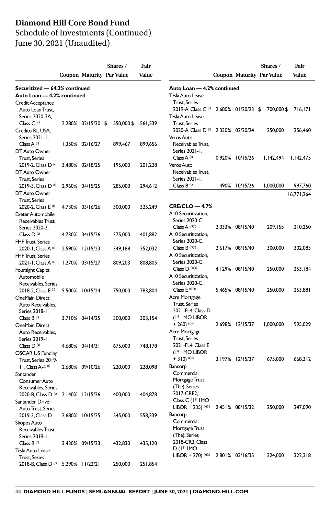|                                |        |                    | Shares /                  | Fair    |                                                   |        |                 | Shares /                  | Fair        |
|--------------------------------|--------|--------------------|---------------------------|---------|---------------------------------------------------|--------|-----------------|---------------------------|-------------|
|                                |        |                    | Coupon Maturity Par Value | Value   |                                                   |        |                 | Coupon Maturity Par Value | Value       |
| Securitized - 64.2% continued  |        |                    |                           |         | Auto Loan - 4.2% continued                        |        |                 |                           |             |
| Auto Loan - 4.2% continued     |        |                    |                           |         | Tesla Auto Lease                                  |        |                 |                           |             |
| Credit Acceptance              |        |                    |                           |         | <b>Trust, Series</b>                              |        |                 |                           |             |
| Auto Loan Trust,               |        |                    |                           |         | 2019-A, Class C <sup>(c)</sup> 2.680% 01/20/23 \$ |        |                 | 700,000 \$                | 716,171     |
| Series 2020-3A,                |        |                    |                           |         | Tesla Auto Lease                                  |        |                 |                           |             |
| Class $C^{(c)}$                |        | 2.280% 02/15/30 \$ | 550,000\$                 | 561,539 | <b>Trust, Series</b>                              |        |                 |                           |             |
| Credito RL USA,                |        |                    |                           |         | 2020-A, Class D <sup>(c)</sup> 2.330% 02/20/24    |        |                 | 250,000                   | 256,460     |
| Series 2021-1,                 |        |                    |                           |         | <b>Veros Auto</b>                                 |        |                 |                           |             |
| Class $A^{(c)}$                |        | 1.350% 02/16/27    | 899,467                   | 899,656 | Receivables Trust,                                |        |                 |                           |             |
| DT Auto Owner                  |        |                    |                           |         | Series 2021-1.                                    |        |                 |                           |             |
| <b>Trust. Series</b>           |        |                    |                           |         | Class A <sup>(c)</sup>                            |        | 0.920% 10/15/26 | I, 142, 494               | I, I42, 475 |
| 2019-2, Class D <sup>(c)</sup> |        | 3.480% 02/18/25    | 195,000                   | 201,228 | Veros Auto                                        |        |                 |                           |             |
| DT Auto Owner                  |        |                    |                           |         | Receivables Trust,                                |        |                 |                           |             |
| <b>Trust, Series</b>           |        |                    |                           |         | Series 2021-1,                                    |        |                 |                           |             |
| 2019-3, Class D <sup>(c)</sup> |        | 2.960% 04/15/25    | 285,000                   | 294,612 | Class B <sup>(c)</sup>                            | 1.490% | 10/15/26        | 1,000,000                 | 997,760     |
| DT Auto Owner                  |        |                    |                           |         |                                                   |        |                 |                           | 16,771,264  |
| <b>Trust. Series</b>           |        |                    |                           |         |                                                   |        |                 |                           |             |
| 2020-2, Class E <sup>(c)</sup> |        | 4.730% 03/16/26    | 300,000                   | 325,249 | <b>CRE/CLO — 4.7%</b>                             |        |                 |                           |             |
| <b>Exeter Automobile</b>       |        |                    |                           |         | A10 Securitization,                               |        |                 |                           |             |
| Receivables Trust,             |        |                    |                           |         | Series 2020-C,                                    |        |                 |                           |             |
| Series 2020-2,                 |        |                    |                           |         | Class A (c)(e)                                    |        | 2.033% 08/15/40 | 209,155                   | 210,250     |
| Class $D^{(c)}$                |        | 4.730% 04/15/26    | 375,000                   | 401,882 | A10 Securitization,                               |        |                 |                           |             |
| <b>FHF Trust, Series</b>       |        |                    |                           |         | Series 2020-C,                                    |        |                 |                           |             |
| 2020-1, Class A (c)            | 2.590% | 12/15/23           | 349,188                   | 352,032 | Class B (c)(e)                                    |        | 2.617% 08/15/40 | 300,000                   | 302,083     |
| <b>FHF Trust, Series</b>       |        |                    |                           |         | A10 Securitization,                               |        |                 |                           |             |
| 2021-1, Class A (c)            |        | 1.270% 03/15/27    | 809,203                   | 808,805 | Series 2020-C,                                    |        |                 |                           |             |
| Foursight Capital              |        |                    |                           |         | Class $D^{(c)(e)}$                                |        | 4.129% 08/15/40 | 250,000                   | 253.184     |
| Automobile                     |        |                    |                           |         | A10 Securitization,                               |        |                 |                           |             |
| Receivables, Series            |        |                    |                           |         | Series 2020-C,                                    |        |                 |                           |             |
| 2018-2, Class E <sup>(c)</sup> |        | 5.500% 10/15/24    | 750,000                   | 783,804 | Class $E^{(c)(e)}$                                |        | 5.465% 08/15/40 | 250,000                   | 253,881     |
| OneMain Direct                 |        |                    |                           |         | Acre Mortgage                                     |        |                 |                           |             |
| Auto Receivables.              |        |                    |                           |         | <b>Trust, Series</b>                              |        |                 |                           |             |
| Series 2018-1,                 |        |                    |                           |         | 2021-FL4, Class D                                 |        |                 |                           |             |
| Class $B$ <sup>(c)</sup>       |        | 3.710% 04/14/25    | 300,000                   | 303,154 | (I* IMO LIBOR                                     |        |                 |                           |             |
| OneMain Direct                 |        |                    |                           |         | $+ 260$ ) (a)(c)                                  |        | 2.698% 12/15/37 | 1,000,000                 | 995,029     |
| Auto Receivables,              |        |                    |                           |         | Acre Mortgage                                     |        |                 |                           |             |
| Series 2019-1.                 |        |                    |                           |         | Trust, Series                                     |        |                 |                           |             |
| Class $D^{(c)}$                |        | 4.680% 04/14/31    | 675,000                   | 748,178 | 2021-FL4. Class E                                 |        |                 |                           |             |
| <b>OSCAR US Funding</b>        |        |                    |                           |         | (I* IMO LIBOR                                     |        |                 |                           |             |
| Trust, Series 2019-            |        |                    |                           |         | $+310$ ) (a)(c)                                   |        | 3.197% 12/15/37 | 675,000                   | 668,312     |
| $II. Class A-4(c)$             |        | 2.680% 09/10/26    | 220,000                   | 228,098 | Bancorp                                           |        |                 |                           |             |
| Santander                      |        |                    |                           |         | Commercial                                        |        |                 |                           |             |
| Consumer Auto                  |        |                    |                           |         | Mortgage Trust                                    |        |                 |                           |             |
| Receivables, Series            |        |                    |                           |         | (The), Series                                     |        |                 |                           |             |
| 2020-B, Class D <sup>(c)</sup> | 2.140% | 12/15/26           | 400,000                   | 404,878 | 2017-CRE2,                                        |        |                 |                           |             |
| Santander Drive                |        |                    |                           |         | Class C (I* IMO                                   |        |                 |                           |             |
| Auto Trust, Series             |        |                    |                           |         | LIBOR + 235) $(a)(c)$                             |        | 2.451% 08/15/32 | 250,000                   | 247,090     |
| 2019-3, Class D                | 2.680% | 10/15/25           | 545,000                   | 558,339 | Bancorp                                           |        |                 |                           |             |
| Skopos Auto                    |        |                    |                           |         | Commercial                                        |        |                 |                           |             |
| Receivables Trust,             |        |                    |                           |         | Mortgage Trust                                    |        |                 |                           |             |
| Series 2019-1,                 |        |                    |                           |         | (The), Series                                     |        |                 |                           |             |
| Class B <sup>(c)</sup>         |        | 3.430% 09/15/23    | 432.830                   | 435,120 | 2018-CR3, Class                                   |        |                 |                           |             |
| Tesla Auto Lease               |        |                    |                           |         | D (I* IMO                                         |        |                 |                           |             |
| <b>Trust, Series</b>           |        |                    |                           |         | LIBOR + 270) (a)(c)                               |        | 2.801% 03/16/35 | 324.000                   | 322.318     |
| 2018-B, Class D (c)            |        | 5.290%   1/22/21   | 250,000                   | 251,854 |                                                   |        |                 |                           |             |
|                                |        |                    |                           |         |                                                   |        |                 |                           |             |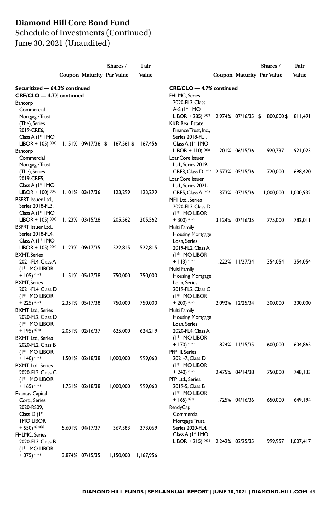|                                    |                    | Shares /                  | Fair      |                                         |                    | Shares /                  | Fair      |
|------------------------------------|--------------------|---------------------------|-----------|-----------------------------------------|--------------------|---------------------------|-----------|
|                                    |                    | Coupon Maturity Par Value | Value     |                                         |                    | Coupon Maturity Par Value | Value     |
| Securitized - 64.2% continued      |                    |                           |           | CRE/CLO - 4.7% continued                |                    |                           |           |
| CRE/CLO - 4.7% continued           |                    |                           |           | FHLMC, Series                           |                    |                           |           |
| Bancorp                            |                    |                           |           | 2020-FL3, Class                         |                    |                           |           |
| Commercial                         |                    |                           |           | A-S (I* IMO                             |                    |                           |           |
| Mortgage Trust                     |                    |                           |           | LIBOR + 285) $(a)(c)$                   | 2.974% 07/16/35 \$ | 800,000\$                 | 811,491   |
| (The), Series                      |                    |                           |           | <b>KKR Real Estate</b>                  |                    |                           |           |
| 2019-CRE6,                         |                    |                           |           | Finance Trust, Inc.,                    |                    |                           |           |
| Class A (I* IMO                    |                    |                           |           | Series 2018-FL1,                        |                    |                           |           |
| LIBOR + 105) $(a)(c)$              | 1.151% 09/17/36 \$ | 167,561 \$                | 167,456   | Class A (1* IMO                         |                    |                           |           |
| Bancorp                            |                    |                           |           | LIBOR + 110) (a)(c)                     | 1.201% 06/15/36    | 920,737                   | 921,023   |
| Commercial                         |                    |                           |           | LoanCore Issuer                         |                    |                           |           |
| Mortgage Trust                     |                    |                           |           | Ltd., Series 2019-                      |                    |                           |           |
| (The), Series                      |                    |                           |           | CRE3, Class D <sup>(a)(c)</sup>         | 2.573% 05/15/36    | 720,000                   | 698,420   |
| 2019-CRE5,                         |                    |                           |           | LoanCore Issuer                         |                    |                           |           |
| Class A (1* IMO                    |                    |                           |           | Ltd., Series 2021-                      |                    |                           |           |
| LIBOR + 100) $(a)(c)$              | $1.101\%$ 03/17/36 | 123,299                   | 123,299   | CRE5, Class A (a)(c)                    | 1.373% 07/15/36    | 1,000,000                 | 1,000,932 |
| BSPRT Issuer Ltd.,                 |                    |                           |           | MFI Ltd., Series                        |                    |                           |           |
| Series 2018-FL3,                   |                    |                           |           | 2020-FL3, Class D                       |                    |                           |           |
| Class A (1* IMO                    |                    |                           |           | (I* IMO LIBOR                           |                    |                           |           |
| LIBOR + 105) $(a)(c)$              | 1.123% 03/15/28    | 205,562                   | 205,562   | $+300$ ) (a)(c)                         | 3.124% 07/16/35    | 775,000                   | 782,011   |
| <b>BSPRT Issuer Ltd.,</b>          |                    |                           |           | Multi Family                            |                    |                           |           |
| Series 2018-FL4,                   |                    |                           |           | Housing Mortgage                        |                    |                           |           |
| Class A (1* IMO                    | 1.123% 09/17/35    | 522,815                   | 522,815   | Loan, Series                            |                    |                           |           |
| LIBOR + 105) (a)(c)                |                    |                           |           | 2019-FL2, Class A                       |                    |                           |           |
| <b>BXMT, Series</b>                |                    |                           |           | (I* IMO LIBOR<br>$+$ 113) (a)(c)        | 1.222% 11/27/34    | 354,054                   | 354,054   |
| 2021-FL4, Class A<br>(I* IMO LIBOR |                    |                           |           |                                         |                    |                           |           |
| $+$ 105) (a)(c)                    | $1.151\%$ 05/17/38 | 750,000                   | 750,000   | Multi Family                            |                    |                           |           |
| <b>BXMT, Series</b>                |                    |                           |           | <b>Housing Mortgage</b><br>Loan, Series |                    |                           |           |
| 2021-FL4, Class D                  |                    |                           |           | 2019-FL2, Class C                       |                    |                           |           |
| (I* IMO LIBOR                      |                    |                           |           | (I* IMO LIBOR                           |                    |                           |           |
| $+$ 225) (a)(c)                    | 2.351% 05/17/38    | 750,000                   | 750,000   | $+$ 200) (a)(c)                         | 2.092% 12/25/34    | 300,000                   | 300,000   |
| <b>BXMT Ltd., Series</b>           |                    |                           |           | Multi Family                            |                    |                           |           |
| 2020-FL2, Class D                  |                    |                           |           | Housing Mortgage                        |                    |                           |           |
| (I* IMO LIBOR                      |                    |                           |           | Loan, Series                            |                    |                           |           |
| $+$ 195) (a)(c)                    | 2.051% 02/16/37    | 625,000                   | 624,219   | 2020-FL4, Class A                       |                    |                           |           |
| <b>BXMT Ltd., Series</b>           |                    |                           |           | (I* IMO LIBOR                           |                    |                           |           |
| 2020-FL2, Class B                  |                    |                           |           | $+$ 170) (a)(c)                         | 1.824% 11/15/35    | 600,000                   | 604,865   |
| (I* IMO LIBOR                      |                    |                           |           | PFP III, Series                         |                    |                           |           |
| $+$ 140) (a)(c)                    | 1.501% 02/18/38    | 1,000,000                 | 999,063   | 2021-7, Class D                         |                    |                           |           |
| <b>BXMT Ltd., Series</b>           |                    |                           |           | (I* IMO LIBOR                           |                    |                           |           |
| 2020-FL2, Class C                  |                    |                           |           | $+$ 240) (a)(c)                         | 2.475% 04/14/38    | 750,000                   | 748.133   |
| (I* IMO LIBOR                      |                    |                           |           | PFP Ltd., Series                        |                    |                           |           |
| $+$ 165) (a)(c)                    | 1.751% 02/18/38    | 1,000,000                 | 999,063   | 2019-5, Class B                         |                    |                           |           |
| Exantas Capital                    |                    |                           |           | (I* IMO LIBOR                           |                    |                           |           |
| Corp., Series                      |                    |                           |           | $+$ 165) (a)(c)                         | 1.725% 04/16/36    | 650,000                   | 649,194   |
| 2020-RS09,                         |                    |                           |           | <b>ReadyCap</b>                         |                    |                           |           |
| Class $D(1^*)$                     |                    |                           |           | Commercial                              |                    |                           |           |
| <b>IMO LIBOR</b>                   |                    |                           |           | Mortgage Trust,                         |                    |                           |           |
| $+ 550$ ) (a)(c)(e)                | 5.601% 04/17/37    | 367,383                   | 373,069   | Series 2020-FL4,                        |                    |                           |           |
| <b>FHLMC, Series</b>               |                    |                           |           | Class A (1* IMO                         |                    |                           |           |
| 2020-FL3, Class B                  |                    |                           |           | LIBOR + 215) (a)(c)                     | 2.242% 02/25/35    | 999,957                   | 1,007,417 |
| (1* IMO LIBOR                      |                    |                           |           |                                         |                    |                           |           |
| $+375)$ (a)(c)                     | 3.874% 07/15/35    | 1,150,000                 | 1,167,956 |                                         |                    |                           |           |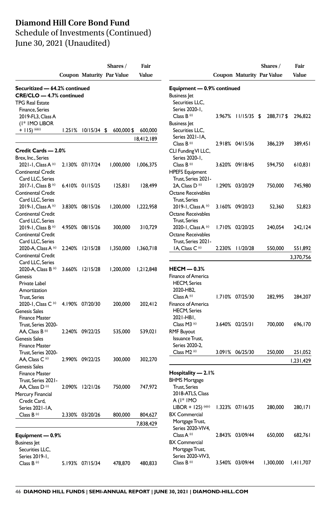|                                             |        |                    | Shares /                  | Fair       |                                           |        |                    | Shares /                  | Fair      |
|---------------------------------------------|--------|--------------------|---------------------------|------------|-------------------------------------------|--------|--------------------|---------------------------|-----------|
|                                             |        |                    | Coupon Maturity Par Value | Value      |                                           |        |                    | Coupon Maturity Par Value | Value     |
| Securitized - 64.2% continued               |        |                    |                           |            | Equipment - 0.9% continued                |        |                    |                           |           |
| CRE/CLO - 4.7% continued                    |        |                    |                           |            | <b>Business let</b>                       |        |                    |                           |           |
| <b>TPG Real Estate</b>                      |        |                    |                           |            | Securities LLC,                           |        |                    |                           |           |
| Finance, Series                             |        |                    |                           |            | Series 2020-1,                            |        |                    |                           |           |
| 2019-FL3, Class A                           |        |                    |                           |            | Class B <sup>(c)</sup>                    |        | 3.967% 11/15/35 \$ | 288,717\$                 | 296,822   |
| (I* IMO LIBOR                               |        |                    |                           |            | <b>Business</b> Jet                       |        |                    |                           |           |
| $+$ 115) (a)(c)                             |        | 1.251% 10/15/34 \$ | 600,000\$                 | 600,000    | Securities LLC,                           |        |                    |                           |           |
|                                             |        |                    |                           | 18,412,189 | Series 2021-1A,                           |        |                    |                           |           |
|                                             |        |                    |                           |            | Class $B^{(c)}$                           |        | 2.918% 04/15/36    | 386,239                   | 389,451   |
| Credit Cards - 2.0%                         |        |                    |                           |            | CLI Funding VI LLC,                       |        |                    |                           |           |
| Brex, Inc., Series                          |        |                    |                           |            | Series 2020-1,                            |        |                    |                           |           |
| 2021-1, Class A (c)                         |        | 2.130% 07/17/24    | 1,000,000                 | 1,006,375  | Class $B^{(c)}$                           |        | 3.620% 09/18/45    | 594.750                   | 610,831   |
| Continental Credit                          |        |                    |                           |            | <b>HPEFS Equipment</b>                    |        |                    |                           |           |
| Card LLC, Series                            |        |                    |                           |            | Trust, Series 2021-                       |        |                    |                           |           |
| 2017-1, Class B (c)                         |        | 6.410% 01/15/25    | 125,831                   | 128,499    | 2A, Class D <sup>(c)</sup>                |        | 1.290% 03/20/29    | 750,000                   | 745,980   |
| Continental Credit                          |        |                    |                           |            | <b>Octane Receivables</b>                 |        |                    |                           |           |
| Card LLC, Series                            |        |                    |                           |            | <b>Trust, Series</b>                      |        |                    |                           |           |
| 2019-1, Class A (c)                         |        | 3.830% 08/15/26    | 1,200,000                 | 1,222,958  | 2019-1, Class A (c)                       |        | 3.160% 09/20/23    | 52,360                    | 52,823    |
| Continental Credit                          |        |                    |                           |            | <b>Octane Receivables</b>                 |        |                    |                           |           |
| Card LLC, Series                            |        |                    |                           |            | <b>Trust, Series</b>                      |        |                    |                           |           |
| 2019-1, Class B (c)                         |        | 4.950% 08/15/26    | 300,000                   | 310,729    | 2020-1, Class A (c)                       |        | 1.710% 02/20/25    | 240.054                   | 242,124   |
| Continental Credit                          |        |                    |                           |            | <b>Octane Receivables</b>                 |        |                    |                           |           |
| Card LLC, Series                            |        |                    |                           |            | Trust. Series 2021-                       |        |                    |                           |           |
| 2020-A. Class A (c)                         |        | 2.240% 12/15/28    | 1,350,000                 | 1,360,718  | IA, Class C <sup>(c)</sup>                | 2.230% | 11/20/28           | 550,000                   | 551,892   |
| Continental Credit                          |        |                    |                           |            |                                           |        |                    |                           | 3,370,756 |
| Card LLC, Series                            |        |                    |                           |            |                                           |        |                    |                           |           |
| 2020-A, Class B (c)                         |        | 3.660% 12/15/28    | 1,200,000                 | 1,212,848  | $HECM = 0.3%$                             |        |                    |                           |           |
| Genesis                                     |        |                    |                           |            | Finance of America                        |        |                    |                           |           |
| Private Label                               |        |                    |                           |            | <b>HECM, Series</b>                       |        |                    |                           |           |
| Amortization                                |        |                    |                           |            | 2020-HB2,<br>Class $A^{(c)}$              |        | 1.710% 07/25/30    | 282,995                   | 284,207   |
| <b>Trust, Series</b><br>2020-1, Class C (c) |        |                    |                           |            |                                           |        |                    |                           |           |
| Genesis Sales                               |        | 4.190% 07/20/30    | 200,000                   | 202,412    | Finance of America<br><b>HECM, Series</b> |        |                    |                           |           |
| <b>Finance Master</b>                       |        |                    |                           |            | 2021-HBI,                                 |        |                    |                           |           |
| Trust. Series 2020-                         |        |                    |                           |            | Class M3 <sup>(c)</sup>                   |        | 3.640% 02/25/31    | 700.000                   | 696,170   |
| AA, Class B <sup>(c)</sup>                  |        | 2.240% 09/22/25    | 535,000                   | 539,021    | <b>RMF Buyout</b>                         |        |                    |                           |           |
| Genesis Sales                               |        |                    |                           |            | Issuance Trust,                           |        |                    |                           |           |
| <b>Finance Master</b>                       |        |                    |                           |            | Series 2020-2,                            |        |                    |                           |           |
| Trust. Series 2020-                         |        |                    |                           |            | Class M <sub>2</sub> <sup>(c)</sup>       |        | 3.091% 06/25/30    | 250,000                   | 251,052   |
| AA. Class C <sup>(c)</sup>                  |        | 2.990% 09/22/25    | 300,000                   | 302,270    |                                           |        |                    |                           | 1,231,429 |
| Genesis Sales                               |        |                    |                           |            |                                           |        |                    |                           |           |
| <b>Finance Master</b>                       |        |                    |                           |            | Hospitality - 2.1%                        |        |                    |                           |           |
| Trust. Series 2021-                         |        |                    |                           |            | <b>BHMS Mortgage</b>                      |        |                    |                           |           |
| AA, Class D <sup>(c)</sup>                  |        | 2.090% 12/21/26    | 750,000                   | 747,972    | <b>Trust, Series</b>                      |        |                    |                           |           |
| Mercury Financial                           |        |                    |                           |            | 2018-ATLS, Class                          |        |                    |                           |           |
| Credit Card,                                |        |                    |                           |            | A (I* IMO                                 |        |                    |                           |           |
| Series 2021-1A,                             |        |                    |                           |            | LIBOR + 125) $(a)(c)$                     |        | 1.323% 07/16/35    | 280,000                   | 280,171   |
| Class $B^{(c)}$                             | 2.330% | 03/20/26           | 800,000                   | 804,627    | <b>BX Commercial</b>                      |        |                    |                           |           |
|                                             |        |                    |                           | 7,838,429  | Mortgage Trust,                           |        |                    |                           |           |
|                                             |        |                    |                           |            | Series 2020-VIV4,                         |        |                    |                           |           |
| Equipment — 0.9%                            |        |                    |                           |            | Class $A^{(c)}$                           |        | 2.843% 03/09/44    | 650,000                   | 682,761   |
| Business Jet                                |        |                    |                           |            | <b>BX Commercial</b>                      |        |                    |                           |           |
| Securities LLC,                             |        |                    |                           |            | Mortgage Trust,                           |        |                    |                           |           |
| Series 2019-1.                              |        |                    |                           |            | Series 2020-VIV3.                         |        |                    |                           |           |
| Class $B^{(c)}$                             |        | 5.193% 07/15/34    | 478,870                   | 480,833    | Class $B^{(c)}$                           |        | 3.540% 03/09/44    | 1,300,000                 | 1,411,707 |
|                                             |        |                    |                           |            |                                           |        |                    |                           |           |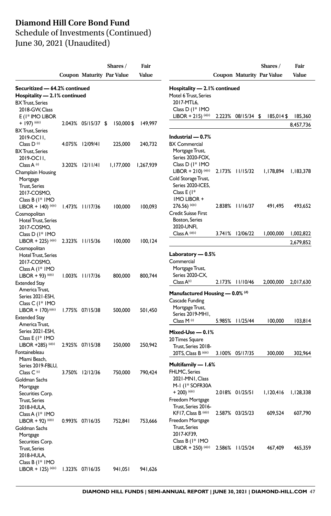|                                          |                    | Shares/                   | Fair      |                                       |        |                 | Shares /                  | Fair      |
|------------------------------------------|--------------------|---------------------------|-----------|---------------------------------------|--------|-----------------|---------------------------|-----------|
|                                          |                    | Coupon Maturity Par Value | Value     |                                       |        |                 | Coupon Maturity Par Value | Value     |
| Securitized - 64.2% continued            |                    |                           |           | Hospitality - 2.1% continued          |        |                 |                           |           |
| Hospitality - 2.1% continued             |                    |                           |           | Motel 6 Trust, Series                 |        |                 |                           |           |
| <b>BX Trust, Series</b>                  |                    |                           |           | 2017-MTL6,                            |        |                 |                           |           |
| 2018-GW, Class                           |                    |                           |           | Class D (1* IMO                       |        |                 |                           |           |
| E (I* IMO LIBOR                          |                    |                           |           | LIBOR + 215) (a)(c)                   | 2.223% | 08/15/34 \$     | 185,014\$                 | 185,360   |
| $+$ 197) (a)(c)                          | 2.043% 05/15/37 \$ | 150,000\$                 | 149,997   |                                       |        |                 |                           | 8,457,736 |
| <b>BX Trust, Series</b>                  |                    |                           |           |                                       |        |                 |                           |           |
| 2019-OCII,                               |                    |                           |           | Industrial - 0.7%                     |        |                 |                           |           |
| Class $D^{(c)}$                          | 4.075% 12/09/41    | 225,000                   | 240,732   | <b>BX Commercial</b>                  |        |                 |                           |           |
| <b>BX Trust, Series</b>                  |                    |                           |           | Mortgage Trust,                       |        |                 |                           |           |
| 2019-OCII,                               |                    |                           |           | Series 2020-FOX,                      |        |                 |                           |           |
| Class $A^{(c)}$                          | 3.202% 12/11/41    | 1,177,000                 | 1,267,939 | Class D (I* IMO                       |        |                 |                           |           |
| Champlain Housing                        |                    |                           |           | LIBOR + 210) (a)(c)                   |        | 2.173% 11/15/32 | 1,178,894                 | 1,183,378 |
| Mortgage                                 |                    |                           |           | Cold Storage Trust,                   |        |                 |                           |           |
| <b>Trust, Series</b>                     |                    |                           |           | Series 2020-ICE5,<br>Class E $(1^*)$  |        |                 |                           |           |
| 2017-COSMO,                              |                    |                           |           | IMO LIBOR +                           |        |                 |                           |           |
| Class B (1* IMO<br>LIBOR + 140) $(a)(c)$ | 1.473% 11/17/36    | 100,000                   | 100,093   | $276.56$ ) (a)(c)                     |        | 2.838% 11/16/37 | 491,495                   | 493,652   |
|                                          |                    |                           |           | Credit Suisse First                   |        |                 |                           |           |
| Cosmopolitan<br>Hotel Trust, Series      |                    |                           |           | Boston, Series                        |        |                 |                           |           |
| 2017-COSMO,                              |                    |                           |           | 2020-UNFI,                            |        |                 |                           |           |
| Class D (I* IMO                          |                    |                           |           | Class A (a)(c)                        | 3.741% | 12/06/22        | 1,000,000                 | 1,002,822 |
| LIBOR + 225) $(a)(c)$                    | 2.323% 11/15/36    | 100,000                   | 100, 124  |                                       |        |                 |                           | 2,679,852 |
| Cosmopolitan                             |                    |                           |           |                                       |        |                 |                           |           |
| Hotel Trust, Series                      |                    |                           |           | Laboratory — 0.5%                     |        |                 |                           |           |
| 2017-COSMO.                              |                    |                           |           | Commercial                            |        |                 |                           |           |
| Class A (1* IMO                          |                    |                           |           | Mortgage Trust,                       |        |                 |                           |           |
| LIBOR + 93) $(a)(c)$                     | 1.003% 11/17/36    | 800,000                   | 800,744   | Series 2020-CX,                       |        |                 |                           |           |
| <b>Extended Stay</b>                     |                    |                           |           | Class $A^{(c)}$                       |        | 2.173% 11/10/46 | 2,000,000                 | 2,017,630 |
| America Trust,                           |                    |                           |           | Manufactured Housing $-$ 0.0% $\circ$ |        |                 |                           |           |
| Series 2021-ESH,                         |                    |                           |           | Cascade Funding                       |        |                 |                           |           |
| Class C (1* IMO                          |                    |                           |           | Mortgage Trust,                       |        |                 |                           |           |
| LIBOR + 170) (a)(c)                      | 1.775% 07/15/38    | 500,000                   | 501,450   | Series 2019-MH1,                      |        |                 |                           |           |
| <b>Extended Stay</b>                     |                    |                           |           | Class $M^{(c)}$                       | 5.985% | 1/25/44         | 100,000                   | 103,814   |
| America Trust,                           |                    |                           |           |                                       |        |                 |                           |           |
| Series 2021-ESH,                         |                    |                           |           | Mixed-Use - 0.1%                      |        |                 |                           |           |
| Class E (1* IMO<br>LIBOR +285) (a)(c)    | 2.925% 07/15/38    | 250,000                   | 250,942   | 20 Times Square                       |        |                 |                           |           |
| Fontainebleau                            |                    |                           |           | Trust, Series 2018-                   |        |                 |                           |           |
| Miami Beach,                             |                    |                           |           | 20TS, Class B (a)(c)                  |        | 3.100% 05/17/35 | 300,000                   | 302,964   |
| Series 2019-FBLU,                        |                    |                           |           | Multifamily — 1.6%                    |        |                 |                           |           |
| Class $C^{(c)}$                          | 3.750% 12/12/36    | 750,000                   | 790,424   | FHLMC, Series                         |        |                 |                           |           |
| Goldman Sachs                            |                    |                           |           | 2021-MN1, Class                       |        |                 |                           |           |
| Mortgage                                 |                    |                           |           | M-1 (1* SOFR30A                       |        |                 |                           |           |
| Securities Corp.                         |                    |                           |           | $+$ 200) (a)(c)                       |        | 2.018% 01/25/51 | 1,120,416                 | 1,128,338 |
| <b>Trust, Series</b>                     |                    |                           |           | Freedom Mortgage                      |        |                 |                           |           |
| 2018-HULA,                               |                    |                           |           | Trust, Series 2016-                   |        |                 |                           |           |
| Class A (1* IMO                          |                    |                           |           | $KF17, Class B^{(a)(c)}$              |        | 2.587% 03/25/23 | 609,524                   | 607,790   |
| LIBOR + 92) $(a)(c)$                     | 0.993% 07/16/35    | 752,841                   | 753,666   | Freedom Mortgage                      |        |                 |                           |           |
| Goldman Sachs                            |                    |                           |           | <b>Trust, Series</b>                  |        |                 |                           |           |
| Mortgage                                 |                    |                           |           | 2017-KF39,                            |        |                 |                           |           |
| Securities Corp.                         |                    |                           |           | Class B (1* IMO                       |        |                 |                           |           |
| <b>Trust, Series</b>                     |                    |                           |           | LIBOR + 250) (a)(c)                   |        | 2.586% 11/25/24 | 467,409                   | 465,359   |
| 2018-HULA,                               |                    |                           |           |                                       |        |                 |                           |           |
| Class B (1* IMO<br>LIBOR + 125) $(a)(c)$ | 1.323% 07/16/35    | 941,051                   | 941,626   |                                       |        |                 |                           |           |
|                                          |                    |                           |           |                                       |        |                 |                           |           |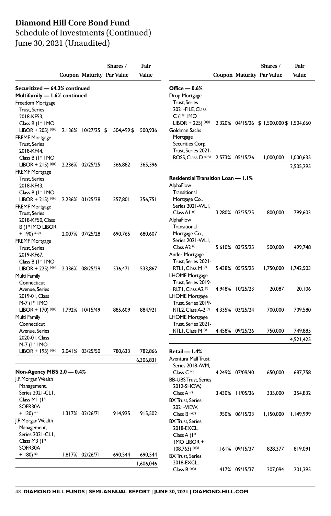|                                          |        |                    | Shares /                  | Fair      |                                                    |                    | Shares /                                | Fair        |
|------------------------------------------|--------|--------------------|---------------------------|-----------|----------------------------------------------------|--------------------|-----------------------------------------|-------------|
|                                          |        |                    | Coupon Maturity Par Value | Value     |                                                    |                    | Coupon Maturity Par Value               | Value       |
| Securitized - 64.2% continued            |        |                    |                           |           | Office — 0.6%                                      |                    |                                         |             |
| Multifamily - 1.6% continued             |        |                    |                           |           | Drop Mortgage                                      |                    |                                         |             |
| Freedom Mortgage                         |        |                    |                           |           | <b>Trust, Series</b>                               |                    |                                         |             |
| <b>Trust, Series</b>                     |        |                    |                           |           | 2021-FILE, Class                                   |                    |                                         |             |
| 2018-KF53,                               |        |                    |                           |           | $C(1*1MO)$                                         |                    |                                         |             |
| Class B (I* IMO                          |        |                    |                           |           | $LIBOR + 225)$ (a)(c)                              |                    | 2.320% 04/15/26 \$1,500,000 \$1,504,660 |             |
| LIBOR + 205) $(a)(c)$                    |        | 2.136% 10/27/25 \$ | 504,499 \$                | 500,936   | Goldman Sachs                                      |                    |                                         |             |
| <b>FREMF Mortgage</b>                    |        |                    |                           |           | Mortgage                                           |                    |                                         |             |
| <b>Trust, Series</b>                     |        |                    |                           |           | Securities Corp.                                   |                    |                                         |             |
| 2018-KF44.                               |        |                    |                           |           | Trust, Series 2021-                                |                    |                                         |             |
| Class B (1* IMO                          |        |                    |                           |           | ROSS, Class D <sup>(a)(c)</sup>                    | 2.573% 05/15/26    | 1,000,000                               | 1,000,635   |
| LIBOR + 215) $(a)(c)$                    |        | 2.236% 02/25/25    | 366.882                   | 365.396   |                                                    |                    |                                         | 2,505,295   |
| <b>FREMF Mortgage</b>                    |        |                    |                           |           |                                                    |                    |                                         |             |
| <b>Trust, Series</b>                     |        |                    |                           |           | <b>Residential Transition Loan - 1.1%</b>          |                    |                                         |             |
| 2018-KF43,                               |        |                    |                           |           | AlphaFlow                                          |                    |                                         |             |
| Class B (1* IMO                          |        |                    |                           |           | Transitional                                       |                    |                                         |             |
| LIBOR + 215) $(a)(c)$                    |        | 2.236% 01/25/28    | 357,801                   | 356,751   | Mortgage Co.,<br>Series 2021-WLI,                  |                    |                                         |             |
| <b>FREMF Mortgage</b>                    |        |                    |                           |           | Class A $I(c)$                                     | 3.280% 03/25/25    | 800,000                                 | 799,603     |
| <b>Trust, Series</b><br>2018-KF50, Class |        |                    |                           |           | AlphaFlow                                          |                    |                                         |             |
| <b>B</b> (I* IMO LIBOR                   |        |                    |                           |           | Transitional                                       |                    |                                         |             |
| $+$ 190) (a)(c)                          |        | 2.007% 07/25/28    | 690,765                   | 680,607   | Mortgage Co.,                                      |                    |                                         |             |
| <b>FREMF Mortgage</b>                    |        |                    |                           |           | Series 2021-WLI,                                   |                    |                                         |             |
| <b>Trust, Series</b>                     |        |                    |                           |           | Class A <sub>2</sub> $(c)$                         | 5.610% 03/25/25    | 500,000                                 | 499,748     |
| 2019-KF67,                               |        |                    |                           |           | Antler Mortgage                                    |                    |                                         |             |
| Class B (1* IMO                          |        |                    |                           |           | Trust, Series 2021-                                |                    |                                         |             |
| $LIBOR + 225)$ <sup>(a)(c)</sup>         |        | 2.336% 08/25/29    | 536,471                   | 533,867   | RTLI, Class M (c)                                  | 5.438% 05/25/25    | 1,750,000                               | 1,742,503   |
| Multi Family                             |        |                    |                           |           | <b>LHOME Mortgage</b>                              |                    |                                         |             |
| Connecticut                              |        |                    |                           |           | Trust, Series 2019-                                |                    |                                         |             |
| Avenue, Series                           |        |                    |                           |           | RLT1, Class A2 (c)                                 | 4.948% 10/25/23    | 20,087                                  | 20,106      |
| 2019-01, Class                           |        |                    |                           |           | <b>LHOME Mortgage</b>                              |                    |                                         |             |
| M-7 (1* IMO                              |        |                    |                           |           | Trust, Series 2019-                                |                    |                                         |             |
| $LIBOR + 170)$ (a)(c)                    | 1.792% | 10/15/49           | 885.609                   | 884.921   | RTL2, Class A-2 <sup>(c)</sup>                     | 4.335% 03/25/24    | 700,000                                 | 709,580     |
| Multi Family                             |        |                    |                           |           | <b>LHOME Mortgage</b>                              |                    |                                         |             |
| Connecticut                              |        |                    |                           |           | Trust, Series 2021-                                |                    |                                         |             |
| Avenue, Series                           |        |                    |                           |           | RTLI, Class M (c)                                  | 4.458% 09/25/26    | 750,000                                 | 749,885     |
| 2020-01, Class                           |        |                    |                           |           |                                                    |                    |                                         | 4,521,425   |
| M-7 (1* IMO<br>LIBOR + 195) $(a)(c)$     |        | 2.041% 03/25/50    | 780,633                   | 782,866   | Retail — 1.4%                                      |                    |                                         |             |
|                                          |        |                    |                           | 6,306,831 | Aventura Mall Trust,                               |                    |                                         |             |
|                                          |        |                    |                           |           | Series 2018-AVM,                                   |                    |                                         |             |
| <b>Non-Agency MBS 2.0 - 0.4%</b>         |        |                    |                           |           | Class $C^{(c)}$                                    | 4.249% 07/09/40    | 650,000                                 | 687,758     |
| J.P. Morgan Wealth                       |        |                    |                           |           | <b>BB-UBS Trust, Series</b>                        |                    |                                         |             |
| Management,                              |        |                    |                           |           | 2012-SHOW,                                         |                    |                                         |             |
| Series 2021-CLI,                         |        |                    |                           |           | Class $A^{(c)}$                                    | 3.430% 11/05/36    | 335,000                                 | 354,832     |
| Class MI $(1^*)$                         |        |                    |                           |           | <b>BX Trust, Series</b>                            |                    |                                         |             |
| SOFR30A                                  |        |                    |                           |           | 2021-VIEW,                                         |                    |                                         |             |
| $+$ 130) (a)                             |        | 1.317% 02/26/71    | 914,925                   | 915,502   | Class B (a)(c)                                     | 1.950% 06/15/23    | 1,150,000                               | I, 149, 999 |
| J.P. Morgan Wealth                       |        |                    |                           |           | <b>BX Trust, Series</b>                            |                    |                                         |             |
| Management,<br>Series 2021-CLI,          |        |                    |                           |           | 2018-EXCL                                          |                    |                                         |             |
| Class M3 $(1^*)$                         |        |                    |                           |           | Class A $(1^*$                                     |                    |                                         |             |
| SOFR30A                                  |        |                    |                           |           | <b>IMO LIBOR +</b><br>$108.763)$ <sup>(a)(c)</sup> | $1.161\%$ 09/15/37 | 828,377                                 | 819,091     |
| $+$ 180) (a)                             |        | 1.817% 02/26/71    | 690,544                   | 690,544   | BX Trust. Series                                   |                    |                                         |             |
|                                          |        |                    |                           | 1,606,046 | 2018-EXCL                                          |                    |                                         |             |
|                                          |        |                    |                           |           | Class B (a)(c)                                     | 1.417% 09/15/37    | 207,094                                 | 201,395     |
|                                          |        |                    |                           |           |                                                    |                    |                                         |             |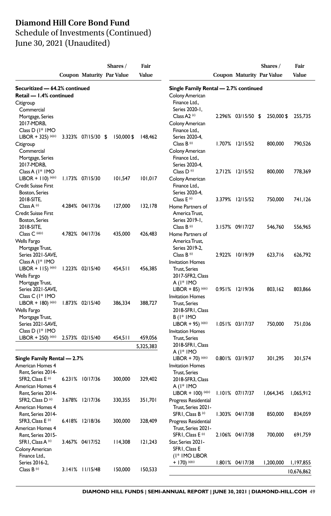| Value<br>Value<br>Coupon Maturity Par Value<br>Coupon Maturity Par Value<br>Securitized - 64.2% continued<br>Single Family Rental - 2.7% continued<br>Retail - 1.4% continued<br>Colony American<br>Finance Ltd.,<br>Citigroup<br>Series 2020-1.<br>Commercial<br>Class A <sub>2</sub> <sup>(c)</sup><br>2.296% 03/15/50 \$<br>250,000 \$<br>255,735<br>Mortgage, Series<br>2017-MDRB,<br>Colony American<br>Class D (1* IMO<br>Finance Ltd.,<br>LIBOR + 325) $(a)(c)$<br>3.323% 07/15/30 \$<br>150,000\$<br>148,462<br>Series 2020-4,<br>Class B <sup>(c)</sup><br>1.707% 12/15/52<br>800,000<br>790,526<br>Citigroup<br>Commercial<br>Colony American<br>Mortgage, Series<br>Finance Ltd.,<br>Series 2020-4,<br>2017-MDRB,<br>Class A (I* IMO<br>Class $D^{(c)}$<br>2.712% 12/15/52<br>800,000<br>778,369<br>LIBOR + 110) (a)(c)<br>1.173% 07/15/30<br>101,547<br>101,017<br>Colony American<br><b>Credit Suisse First</b><br>Finance Ltd<br>Series 2020-4,<br>Boston, Series<br>Class E <sup>(c)</sup><br>2018-SITE,<br>3.379% 12/15/52<br>750,000<br>741,126<br>Class A <sup>(c)</sup><br>4.284% 04/17/36<br>127,000<br>132,178<br>Home Partners of<br><b>Credit Suisse First</b><br>America Trust,<br>Series 2019-1,<br>Boston, Series<br>Class $B^{(c)}$<br>3.157% 09/17/27<br>2018-SITE,<br>546,760<br>556,965<br>Class C (a)(c)<br>4.782% 04/17/36<br>435,000<br>426,483<br>Home Partners of<br><b>Wells Fargo</b><br>America Trust,<br>Series 2019-2,<br>Mortgage Trust,<br>Class $B^{(c)}$<br>2.922%<br>626,792<br>Series 2021-SAVE,<br>10/19/39<br>623,716<br>Class A (I* IMO<br><b>Invitation Homes</b><br>LIBOR + 115) $(a)(c)$<br>1.223% 02/15/40<br>454,511<br>456,385<br><b>Trust, Series</b><br>2017-SFR2, Class<br>Wells Fargo<br>Mortgage Trust,<br>$A (I*IMO)$<br>LIBOR + 85) (a)(c)<br>0.951% 12/19/36<br>803,162<br>803,866<br>Series 2021-SAVE,<br>Class C (I* IMO<br><b>Invitation Homes</b><br>LIBOR + 180) $(a)(c)$<br>1.873% 02/15/40<br>386,334<br>388,727<br><b>Trust, Series</b><br>2018-SFR1, Class<br><b>Wells Fargo</b><br>$B(1*1MO)$<br>Mortgage Trust,<br>LIBOR + 95) $(a)(c)$<br>1.051% 03/17/37<br>750,000<br>751,036<br>Series 2021-SAVE,<br>Class D (1* IMO<br><b>Invitation Homes</b><br>LIBOR + 250) $(a)(c)$<br>2.573% 02/15/40<br>454,511<br>459,056<br><b>Trust. Series</b><br>2018-SFR1, Class<br>5,325,383<br>$A$ (1* IMO<br>Single Family Rental — 2.7%<br>$LIBOR + 70$ ) (a)(c)<br>0.801% 03/19/37<br>301,295<br>301,574<br>American Homes 4<br><b>Invitation Homes</b><br>Rent, Series 2014-<br><b>Trust. Series</b><br>SFR2, Class E <sup>(c)</sup><br>6.231% 10/17/36<br>300,000<br>329,402<br>2018-SFR3, Class<br>$A$ (1* IMO<br>American Homes 4<br>Rent, Series 2014-<br>LIBOR + 100) (a)(c)<br>$1.101\%$ 07/17/37<br>1,064,345<br>1,065,912<br>SFR2, Class D <sup>(c)</sup><br>3.678%<br>12/17/36<br>330,355<br>351,701<br>Progress Residential<br>American Homes 4<br>Trust, Series 2021-<br>Rent. Series 2014-<br>SFR1, Class B <sup>(c)</sup><br>1.303% 04/17/38<br>850,000<br>834,059<br>SFR3, Class E <sup>(c)</sup><br>6.418% 12/18/36<br>300,000<br>328,409<br>Progress Residential<br>American Homes 4<br>Trust, Series 2021-<br>Rent. Series 2015-<br>2.106% 04/17/38<br>700,000<br>691,759<br>SFRI, Class E <sup>(c)</sup><br>SFR1, Class A (c)<br>3.467% 04/17/52<br>114,308<br>121,243<br>Star, Series 2021-<br>Colony American<br>SFR1, Class E<br>(I* IMO LIBOR<br>Finance Ltd.,<br>$+$ 170) (a)(c)<br>Series 2016-2,<br>1.801% 04/17/38<br>1,200,000<br>1,197,855<br>Class $B^{(c)}$<br>150,000<br>150,533<br>3.141% 11/15/48<br>10,676,862 |  | Shares / | Fair |  | Shares / | Fair |
|-------------------------------------------------------------------------------------------------------------------------------------------------------------------------------------------------------------------------------------------------------------------------------------------------------------------------------------------------------------------------------------------------------------------------------------------------------------------------------------------------------------------------------------------------------------------------------------------------------------------------------------------------------------------------------------------------------------------------------------------------------------------------------------------------------------------------------------------------------------------------------------------------------------------------------------------------------------------------------------------------------------------------------------------------------------------------------------------------------------------------------------------------------------------------------------------------------------------------------------------------------------------------------------------------------------------------------------------------------------------------------------------------------------------------------------------------------------------------------------------------------------------------------------------------------------------------------------------------------------------------------------------------------------------------------------------------------------------------------------------------------------------------------------------------------------------------------------------------------------------------------------------------------------------------------------------------------------------------------------------------------------------------------------------------------------------------------------------------------------------------------------------------------------------------------------------------------------------------------------------------------------------------------------------------------------------------------------------------------------------------------------------------------------------------------------------------------------------------------------------------------------------------------------------------------------------------------------------------------------------------------------------------------------------------------------------------------------------------------------------------------------------------------------------------------------------------------------------------------------------------------------------------------------------------------------------------------------------------------------------------------------------------------------------------------------------------------------------------------------------------------------------------------------------------------------------------------------------------------------------------------------------------------------------------------------------------------------------------------------------------------------------------------------------------------------------------------------------------------------------------------------------------------------------------------------------------------------------------------------------|--|----------|------|--|----------|------|
|                                                                                                                                                                                                                                                                                                                                                                                                                                                                                                                                                                                                                                                                                                                                                                                                                                                                                                                                                                                                                                                                                                                                                                                                                                                                                                                                                                                                                                                                                                                                                                                                                                                                                                                                                                                                                                                                                                                                                                                                                                                                                                                                                                                                                                                                                                                                                                                                                                                                                                                                                                                                                                                                                                                                                                                                                                                                                                                                                                                                                                                                                                                                                                                                                                                                                                                                                                                                                                                                                                                                                                                                                   |  |          |      |  |          |      |
|                                                                                                                                                                                                                                                                                                                                                                                                                                                                                                                                                                                                                                                                                                                                                                                                                                                                                                                                                                                                                                                                                                                                                                                                                                                                                                                                                                                                                                                                                                                                                                                                                                                                                                                                                                                                                                                                                                                                                                                                                                                                                                                                                                                                                                                                                                                                                                                                                                                                                                                                                                                                                                                                                                                                                                                                                                                                                                                                                                                                                                                                                                                                                                                                                                                                                                                                                                                                                                                                                                                                                                                                                   |  |          |      |  |          |      |
|                                                                                                                                                                                                                                                                                                                                                                                                                                                                                                                                                                                                                                                                                                                                                                                                                                                                                                                                                                                                                                                                                                                                                                                                                                                                                                                                                                                                                                                                                                                                                                                                                                                                                                                                                                                                                                                                                                                                                                                                                                                                                                                                                                                                                                                                                                                                                                                                                                                                                                                                                                                                                                                                                                                                                                                                                                                                                                                                                                                                                                                                                                                                                                                                                                                                                                                                                                                                                                                                                                                                                                                                                   |  |          |      |  |          |      |
|                                                                                                                                                                                                                                                                                                                                                                                                                                                                                                                                                                                                                                                                                                                                                                                                                                                                                                                                                                                                                                                                                                                                                                                                                                                                                                                                                                                                                                                                                                                                                                                                                                                                                                                                                                                                                                                                                                                                                                                                                                                                                                                                                                                                                                                                                                                                                                                                                                                                                                                                                                                                                                                                                                                                                                                                                                                                                                                                                                                                                                                                                                                                                                                                                                                                                                                                                                                                                                                                                                                                                                                                                   |  |          |      |  |          |      |
|                                                                                                                                                                                                                                                                                                                                                                                                                                                                                                                                                                                                                                                                                                                                                                                                                                                                                                                                                                                                                                                                                                                                                                                                                                                                                                                                                                                                                                                                                                                                                                                                                                                                                                                                                                                                                                                                                                                                                                                                                                                                                                                                                                                                                                                                                                                                                                                                                                                                                                                                                                                                                                                                                                                                                                                                                                                                                                                                                                                                                                                                                                                                                                                                                                                                                                                                                                                                                                                                                                                                                                                                                   |  |          |      |  |          |      |
|                                                                                                                                                                                                                                                                                                                                                                                                                                                                                                                                                                                                                                                                                                                                                                                                                                                                                                                                                                                                                                                                                                                                                                                                                                                                                                                                                                                                                                                                                                                                                                                                                                                                                                                                                                                                                                                                                                                                                                                                                                                                                                                                                                                                                                                                                                                                                                                                                                                                                                                                                                                                                                                                                                                                                                                                                                                                                                                                                                                                                                                                                                                                                                                                                                                                                                                                                                                                                                                                                                                                                                                                                   |  |          |      |  |          |      |
|                                                                                                                                                                                                                                                                                                                                                                                                                                                                                                                                                                                                                                                                                                                                                                                                                                                                                                                                                                                                                                                                                                                                                                                                                                                                                                                                                                                                                                                                                                                                                                                                                                                                                                                                                                                                                                                                                                                                                                                                                                                                                                                                                                                                                                                                                                                                                                                                                                                                                                                                                                                                                                                                                                                                                                                                                                                                                                                                                                                                                                                                                                                                                                                                                                                                                                                                                                                                                                                                                                                                                                                                                   |  |          |      |  |          |      |
|                                                                                                                                                                                                                                                                                                                                                                                                                                                                                                                                                                                                                                                                                                                                                                                                                                                                                                                                                                                                                                                                                                                                                                                                                                                                                                                                                                                                                                                                                                                                                                                                                                                                                                                                                                                                                                                                                                                                                                                                                                                                                                                                                                                                                                                                                                                                                                                                                                                                                                                                                                                                                                                                                                                                                                                                                                                                                                                                                                                                                                                                                                                                                                                                                                                                                                                                                                                                                                                                                                                                                                                                                   |  |          |      |  |          |      |
|                                                                                                                                                                                                                                                                                                                                                                                                                                                                                                                                                                                                                                                                                                                                                                                                                                                                                                                                                                                                                                                                                                                                                                                                                                                                                                                                                                                                                                                                                                                                                                                                                                                                                                                                                                                                                                                                                                                                                                                                                                                                                                                                                                                                                                                                                                                                                                                                                                                                                                                                                                                                                                                                                                                                                                                                                                                                                                                                                                                                                                                                                                                                                                                                                                                                                                                                                                                                                                                                                                                                                                                                                   |  |          |      |  |          |      |
|                                                                                                                                                                                                                                                                                                                                                                                                                                                                                                                                                                                                                                                                                                                                                                                                                                                                                                                                                                                                                                                                                                                                                                                                                                                                                                                                                                                                                                                                                                                                                                                                                                                                                                                                                                                                                                                                                                                                                                                                                                                                                                                                                                                                                                                                                                                                                                                                                                                                                                                                                                                                                                                                                                                                                                                                                                                                                                                                                                                                                                                                                                                                                                                                                                                                                                                                                                                                                                                                                                                                                                                                                   |  |          |      |  |          |      |
|                                                                                                                                                                                                                                                                                                                                                                                                                                                                                                                                                                                                                                                                                                                                                                                                                                                                                                                                                                                                                                                                                                                                                                                                                                                                                                                                                                                                                                                                                                                                                                                                                                                                                                                                                                                                                                                                                                                                                                                                                                                                                                                                                                                                                                                                                                                                                                                                                                                                                                                                                                                                                                                                                                                                                                                                                                                                                                                                                                                                                                                                                                                                                                                                                                                                                                                                                                                                                                                                                                                                                                                                                   |  |          |      |  |          |      |
|                                                                                                                                                                                                                                                                                                                                                                                                                                                                                                                                                                                                                                                                                                                                                                                                                                                                                                                                                                                                                                                                                                                                                                                                                                                                                                                                                                                                                                                                                                                                                                                                                                                                                                                                                                                                                                                                                                                                                                                                                                                                                                                                                                                                                                                                                                                                                                                                                                                                                                                                                                                                                                                                                                                                                                                                                                                                                                                                                                                                                                                                                                                                                                                                                                                                                                                                                                                                                                                                                                                                                                                                                   |  |          |      |  |          |      |
|                                                                                                                                                                                                                                                                                                                                                                                                                                                                                                                                                                                                                                                                                                                                                                                                                                                                                                                                                                                                                                                                                                                                                                                                                                                                                                                                                                                                                                                                                                                                                                                                                                                                                                                                                                                                                                                                                                                                                                                                                                                                                                                                                                                                                                                                                                                                                                                                                                                                                                                                                                                                                                                                                                                                                                                                                                                                                                                                                                                                                                                                                                                                                                                                                                                                                                                                                                                                                                                                                                                                                                                                                   |  |          |      |  |          |      |
|                                                                                                                                                                                                                                                                                                                                                                                                                                                                                                                                                                                                                                                                                                                                                                                                                                                                                                                                                                                                                                                                                                                                                                                                                                                                                                                                                                                                                                                                                                                                                                                                                                                                                                                                                                                                                                                                                                                                                                                                                                                                                                                                                                                                                                                                                                                                                                                                                                                                                                                                                                                                                                                                                                                                                                                                                                                                                                                                                                                                                                                                                                                                                                                                                                                                                                                                                                                                                                                                                                                                                                                                                   |  |          |      |  |          |      |
|                                                                                                                                                                                                                                                                                                                                                                                                                                                                                                                                                                                                                                                                                                                                                                                                                                                                                                                                                                                                                                                                                                                                                                                                                                                                                                                                                                                                                                                                                                                                                                                                                                                                                                                                                                                                                                                                                                                                                                                                                                                                                                                                                                                                                                                                                                                                                                                                                                                                                                                                                                                                                                                                                                                                                                                                                                                                                                                                                                                                                                                                                                                                                                                                                                                                                                                                                                                                                                                                                                                                                                                                                   |  |          |      |  |          |      |
|                                                                                                                                                                                                                                                                                                                                                                                                                                                                                                                                                                                                                                                                                                                                                                                                                                                                                                                                                                                                                                                                                                                                                                                                                                                                                                                                                                                                                                                                                                                                                                                                                                                                                                                                                                                                                                                                                                                                                                                                                                                                                                                                                                                                                                                                                                                                                                                                                                                                                                                                                                                                                                                                                                                                                                                                                                                                                                                                                                                                                                                                                                                                                                                                                                                                                                                                                                                                                                                                                                                                                                                                                   |  |          |      |  |          |      |
|                                                                                                                                                                                                                                                                                                                                                                                                                                                                                                                                                                                                                                                                                                                                                                                                                                                                                                                                                                                                                                                                                                                                                                                                                                                                                                                                                                                                                                                                                                                                                                                                                                                                                                                                                                                                                                                                                                                                                                                                                                                                                                                                                                                                                                                                                                                                                                                                                                                                                                                                                                                                                                                                                                                                                                                                                                                                                                                                                                                                                                                                                                                                                                                                                                                                                                                                                                                                                                                                                                                                                                                                                   |  |          |      |  |          |      |
|                                                                                                                                                                                                                                                                                                                                                                                                                                                                                                                                                                                                                                                                                                                                                                                                                                                                                                                                                                                                                                                                                                                                                                                                                                                                                                                                                                                                                                                                                                                                                                                                                                                                                                                                                                                                                                                                                                                                                                                                                                                                                                                                                                                                                                                                                                                                                                                                                                                                                                                                                                                                                                                                                                                                                                                                                                                                                                                                                                                                                                                                                                                                                                                                                                                                                                                                                                                                                                                                                                                                                                                                                   |  |          |      |  |          |      |
|                                                                                                                                                                                                                                                                                                                                                                                                                                                                                                                                                                                                                                                                                                                                                                                                                                                                                                                                                                                                                                                                                                                                                                                                                                                                                                                                                                                                                                                                                                                                                                                                                                                                                                                                                                                                                                                                                                                                                                                                                                                                                                                                                                                                                                                                                                                                                                                                                                                                                                                                                                                                                                                                                                                                                                                                                                                                                                                                                                                                                                                                                                                                                                                                                                                                                                                                                                                                                                                                                                                                                                                                                   |  |          |      |  |          |      |
|                                                                                                                                                                                                                                                                                                                                                                                                                                                                                                                                                                                                                                                                                                                                                                                                                                                                                                                                                                                                                                                                                                                                                                                                                                                                                                                                                                                                                                                                                                                                                                                                                                                                                                                                                                                                                                                                                                                                                                                                                                                                                                                                                                                                                                                                                                                                                                                                                                                                                                                                                                                                                                                                                                                                                                                                                                                                                                                                                                                                                                                                                                                                                                                                                                                                                                                                                                                                                                                                                                                                                                                                                   |  |          |      |  |          |      |
|                                                                                                                                                                                                                                                                                                                                                                                                                                                                                                                                                                                                                                                                                                                                                                                                                                                                                                                                                                                                                                                                                                                                                                                                                                                                                                                                                                                                                                                                                                                                                                                                                                                                                                                                                                                                                                                                                                                                                                                                                                                                                                                                                                                                                                                                                                                                                                                                                                                                                                                                                                                                                                                                                                                                                                                                                                                                                                                                                                                                                                                                                                                                                                                                                                                                                                                                                                                                                                                                                                                                                                                                                   |  |          |      |  |          |      |
|                                                                                                                                                                                                                                                                                                                                                                                                                                                                                                                                                                                                                                                                                                                                                                                                                                                                                                                                                                                                                                                                                                                                                                                                                                                                                                                                                                                                                                                                                                                                                                                                                                                                                                                                                                                                                                                                                                                                                                                                                                                                                                                                                                                                                                                                                                                                                                                                                                                                                                                                                                                                                                                                                                                                                                                                                                                                                                                                                                                                                                                                                                                                                                                                                                                                                                                                                                                                                                                                                                                                                                                                                   |  |          |      |  |          |      |
|                                                                                                                                                                                                                                                                                                                                                                                                                                                                                                                                                                                                                                                                                                                                                                                                                                                                                                                                                                                                                                                                                                                                                                                                                                                                                                                                                                                                                                                                                                                                                                                                                                                                                                                                                                                                                                                                                                                                                                                                                                                                                                                                                                                                                                                                                                                                                                                                                                                                                                                                                                                                                                                                                                                                                                                                                                                                                                                                                                                                                                                                                                                                                                                                                                                                                                                                                                                                                                                                                                                                                                                                                   |  |          |      |  |          |      |
|                                                                                                                                                                                                                                                                                                                                                                                                                                                                                                                                                                                                                                                                                                                                                                                                                                                                                                                                                                                                                                                                                                                                                                                                                                                                                                                                                                                                                                                                                                                                                                                                                                                                                                                                                                                                                                                                                                                                                                                                                                                                                                                                                                                                                                                                                                                                                                                                                                                                                                                                                                                                                                                                                                                                                                                                                                                                                                                                                                                                                                                                                                                                                                                                                                                                                                                                                                                                                                                                                                                                                                                                                   |  |          |      |  |          |      |
|                                                                                                                                                                                                                                                                                                                                                                                                                                                                                                                                                                                                                                                                                                                                                                                                                                                                                                                                                                                                                                                                                                                                                                                                                                                                                                                                                                                                                                                                                                                                                                                                                                                                                                                                                                                                                                                                                                                                                                                                                                                                                                                                                                                                                                                                                                                                                                                                                                                                                                                                                                                                                                                                                                                                                                                                                                                                                                                                                                                                                                                                                                                                                                                                                                                                                                                                                                                                                                                                                                                                                                                                                   |  |          |      |  |          |      |
|                                                                                                                                                                                                                                                                                                                                                                                                                                                                                                                                                                                                                                                                                                                                                                                                                                                                                                                                                                                                                                                                                                                                                                                                                                                                                                                                                                                                                                                                                                                                                                                                                                                                                                                                                                                                                                                                                                                                                                                                                                                                                                                                                                                                                                                                                                                                                                                                                                                                                                                                                                                                                                                                                                                                                                                                                                                                                                                                                                                                                                                                                                                                                                                                                                                                                                                                                                                                                                                                                                                                                                                                                   |  |          |      |  |          |      |
|                                                                                                                                                                                                                                                                                                                                                                                                                                                                                                                                                                                                                                                                                                                                                                                                                                                                                                                                                                                                                                                                                                                                                                                                                                                                                                                                                                                                                                                                                                                                                                                                                                                                                                                                                                                                                                                                                                                                                                                                                                                                                                                                                                                                                                                                                                                                                                                                                                                                                                                                                                                                                                                                                                                                                                                                                                                                                                                                                                                                                                                                                                                                                                                                                                                                                                                                                                                                                                                                                                                                                                                                                   |  |          |      |  |          |      |
|                                                                                                                                                                                                                                                                                                                                                                                                                                                                                                                                                                                                                                                                                                                                                                                                                                                                                                                                                                                                                                                                                                                                                                                                                                                                                                                                                                                                                                                                                                                                                                                                                                                                                                                                                                                                                                                                                                                                                                                                                                                                                                                                                                                                                                                                                                                                                                                                                                                                                                                                                                                                                                                                                                                                                                                                                                                                                                                                                                                                                                                                                                                                                                                                                                                                                                                                                                                                                                                                                                                                                                                                                   |  |          |      |  |          |      |
|                                                                                                                                                                                                                                                                                                                                                                                                                                                                                                                                                                                                                                                                                                                                                                                                                                                                                                                                                                                                                                                                                                                                                                                                                                                                                                                                                                                                                                                                                                                                                                                                                                                                                                                                                                                                                                                                                                                                                                                                                                                                                                                                                                                                                                                                                                                                                                                                                                                                                                                                                                                                                                                                                                                                                                                                                                                                                                                                                                                                                                                                                                                                                                                                                                                                                                                                                                                                                                                                                                                                                                                                                   |  |          |      |  |          |      |
|                                                                                                                                                                                                                                                                                                                                                                                                                                                                                                                                                                                                                                                                                                                                                                                                                                                                                                                                                                                                                                                                                                                                                                                                                                                                                                                                                                                                                                                                                                                                                                                                                                                                                                                                                                                                                                                                                                                                                                                                                                                                                                                                                                                                                                                                                                                                                                                                                                                                                                                                                                                                                                                                                                                                                                                                                                                                                                                                                                                                                                                                                                                                                                                                                                                                                                                                                                                                                                                                                                                                                                                                                   |  |          |      |  |          |      |
|                                                                                                                                                                                                                                                                                                                                                                                                                                                                                                                                                                                                                                                                                                                                                                                                                                                                                                                                                                                                                                                                                                                                                                                                                                                                                                                                                                                                                                                                                                                                                                                                                                                                                                                                                                                                                                                                                                                                                                                                                                                                                                                                                                                                                                                                                                                                                                                                                                                                                                                                                                                                                                                                                                                                                                                                                                                                                                                                                                                                                                                                                                                                                                                                                                                                                                                                                                                                                                                                                                                                                                                                                   |  |          |      |  |          |      |
|                                                                                                                                                                                                                                                                                                                                                                                                                                                                                                                                                                                                                                                                                                                                                                                                                                                                                                                                                                                                                                                                                                                                                                                                                                                                                                                                                                                                                                                                                                                                                                                                                                                                                                                                                                                                                                                                                                                                                                                                                                                                                                                                                                                                                                                                                                                                                                                                                                                                                                                                                                                                                                                                                                                                                                                                                                                                                                                                                                                                                                                                                                                                                                                                                                                                                                                                                                                                                                                                                                                                                                                                                   |  |          |      |  |          |      |
|                                                                                                                                                                                                                                                                                                                                                                                                                                                                                                                                                                                                                                                                                                                                                                                                                                                                                                                                                                                                                                                                                                                                                                                                                                                                                                                                                                                                                                                                                                                                                                                                                                                                                                                                                                                                                                                                                                                                                                                                                                                                                                                                                                                                                                                                                                                                                                                                                                                                                                                                                                                                                                                                                                                                                                                                                                                                                                                                                                                                                                                                                                                                                                                                                                                                                                                                                                                                                                                                                                                                                                                                                   |  |          |      |  |          |      |
|                                                                                                                                                                                                                                                                                                                                                                                                                                                                                                                                                                                                                                                                                                                                                                                                                                                                                                                                                                                                                                                                                                                                                                                                                                                                                                                                                                                                                                                                                                                                                                                                                                                                                                                                                                                                                                                                                                                                                                                                                                                                                                                                                                                                                                                                                                                                                                                                                                                                                                                                                                                                                                                                                                                                                                                                                                                                                                                                                                                                                                                                                                                                                                                                                                                                                                                                                                                                                                                                                                                                                                                                                   |  |          |      |  |          |      |
|                                                                                                                                                                                                                                                                                                                                                                                                                                                                                                                                                                                                                                                                                                                                                                                                                                                                                                                                                                                                                                                                                                                                                                                                                                                                                                                                                                                                                                                                                                                                                                                                                                                                                                                                                                                                                                                                                                                                                                                                                                                                                                                                                                                                                                                                                                                                                                                                                                                                                                                                                                                                                                                                                                                                                                                                                                                                                                                                                                                                                                                                                                                                                                                                                                                                                                                                                                                                                                                                                                                                                                                                                   |  |          |      |  |          |      |
|                                                                                                                                                                                                                                                                                                                                                                                                                                                                                                                                                                                                                                                                                                                                                                                                                                                                                                                                                                                                                                                                                                                                                                                                                                                                                                                                                                                                                                                                                                                                                                                                                                                                                                                                                                                                                                                                                                                                                                                                                                                                                                                                                                                                                                                                                                                                                                                                                                                                                                                                                                                                                                                                                                                                                                                                                                                                                                                                                                                                                                                                                                                                                                                                                                                                                                                                                                                                                                                                                                                                                                                                                   |  |          |      |  |          |      |
|                                                                                                                                                                                                                                                                                                                                                                                                                                                                                                                                                                                                                                                                                                                                                                                                                                                                                                                                                                                                                                                                                                                                                                                                                                                                                                                                                                                                                                                                                                                                                                                                                                                                                                                                                                                                                                                                                                                                                                                                                                                                                                                                                                                                                                                                                                                                                                                                                                                                                                                                                                                                                                                                                                                                                                                                                                                                                                                                                                                                                                                                                                                                                                                                                                                                                                                                                                                                                                                                                                                                                                                                                   |  |          |      |  |          |      |
|                                                                                                                                                                                                                                                                                                                                                                                                                                                                                                                                                                                                                                                                                                                                                                                                                                                                                                                                                                                                                                                                                                                                                                                                                                                                                                                                                                                                                                                                                                                                                                                                                                                                                                                                                                                                                                                                                                                                                                                                                                                                                                                                                                                                                                                                                                                                                                                                                                                                                                                                                                                                                                                                                                                                                                                                                                                                                                                                                                                                                                                                                                                                                                                                                                                                                                                                                                                                                                                                                                                                                                                                                   |  |          |      |  |          |      |
|                                                                                                                                                                                                                                                                                                                                                                                                                                                                                                                                                                                                                                                                                                                                                                                                                                                                                                                                                                                                                                                                                                                                                                                                                                                                                                                                                                                                                                                                                                                                                                                                                                                                                                                                                                                                                                                                                                                                                                                                                                                                                                                                                                                                                                                                                                                                                                                                                                                                                                                                                                                                                                                                                                                                                                                                                                                                                                                                                                                                                                                                                                                                                                                                                                                                                                                                                                                                                                                                                                                                                                                                                   |  |          |      |  |          |      |
|                                                                                                                                                                                                                                                                                                                                                                                                                                                                                                                                                                                                                                                                                                                                                                                                                                                                                                                                                                                                                                                                                                                                                                                                                                                                                                                                                                                                                                                                                                                                                                                                                                                                                                                                                                                                                                                                                                                                                                                                                                                                                                                                                                                                                                                                                                                                                                                                                                                                                                                                                                                                                                                                                                                                                                                                                                                                                                                                                                                                                                                                                                                                                                                                                                                                                                                                                                                                                                                                                                                                                                                                                   |  |          |      |  |          |      |
|                                                                                                                                                                                                                                                                                                                                                                                                                                                                                                                                                                                                                                                                                                                                                                                                                                                                                                                                                                                                                                                                                                                                                                                                                                                                                                                                                                                                                                                                                                                                                                                                                                                                                                                                                                                                                                                                                                                                                                                                                                                                                                                                                                                                                                                                                                                                                                                                                                                                                                                                                                                                                                                                                                                                                                                                                                                                                                                                                                                                                                                                                                                                                                                                                                                                                                                                                                                                                                                                                                                                                                                                                   |  |          |      |  |          |      |
|                                                                                                                                                                                                                                                                                                                                                                                                                                                                                                                                                                                                                                                                                                                                                                                                                                                                                                                                                                                                                                                                                                                                                                                                                                                                                                                                                                                                                                                                                                                                                                                                                                                                                                                                                                                                                                                                                                                                                                                                                                                                                                                                                                                                                                                                                                                                                                                                                                                                                                                                                                                                                                                                                                                                                                                                                                                                                                                                                                                                                                                                                                                                                                                                                                                                                                                                                                                                                                                                                                                                                                                                                   |  |          |      |  |          |      |
|                                                                                                                                                                                                                                                                                                                                                                                                                                                                                                                                                                                                                                                                                                                                                                                                                                                                                                                                                                                                                                                                                                                                                                                                                                                                                                                                                                                                                                                                                                                                                                                                                                                                                                                                                                                                                                                                                                                                                                                                                                                                                                                                                                                                                                                                                                                                                                                                                                                                                                                                                                                                                                                                                                                                                                                                                                                                                                                                                                                                                                                                                                                                                                                                                                                                                                                                                                                                                                                                                                                                                                                                                   |  |          |      |  |          |      |
|                                                                                                                                                                                                                                                                                                                                                                                                                                                                                                                                                                                                                                                                                                                                                                                                                                                                                                                                                                                                                                                                                                                                                                                                                                                                                                                                                                                                                                                                                                                                                                                                                                                                                                                                                                                                                                                                                                                                                                                                                                                                                                                                                                                                                                                                                                                                                                                                                                                                                                                                                                                                                                                                                                                                                                                                                                                                                                                                                                                                                                                                                                                                                                                                                                                                                                                                                                                                                                                                                                                                                                                                                   |  |          |      |  |          |      |
|                                                                                                                                                                                                                                                                                                                                                                                                                                                                                                                                                                                                                                                                                                                                                                                                                                                                                                                                                                                                                                                                                                                                                                                                                                                                                                                                                                                                                                                                                                                                                                                                                                                                                                                                                                                                                                                                                                                                                                                                                                                                                                                                                                                                                                                                                                                                                                                                                                                                                                                                                                                                                                                                                                                                                                                                                                                                                                                                                                                                                                                                                                                                                                                                                                                                                                                                                                                                                                                                                                                                                                                                                   |  |          |      |  |          |      |
|                                                                                                                                                                                                                                                                                                                                                                                                                                                                                                                                                                                                                                                                                                                                                                                                                                                                                                                                                                                                                                                                                                                                                                                                                                                                                                                                                                                                                                                                                                                                                                                                                                                                                                                                                                                                                                                                                                                                                                                                                                                                                                                                                                                                                                                                                                                                                                                                                                                                                                                                                                                                                                                                                                                                                                                                                                                                                                                                                                                                                                                                                                                                                                                                                                                                                                                                                                                                                                                                                                                                                                                                                   |  |          |      |  |          |      |
|                                                                                                                                                                                                                                                                                                                                                                                                                                                                                                                                                                                                                                                                                                                                                                                                                                                                                                                                                                                                                                                                                                                                                                                                                                                                                                                                                                                                                                                                                                                                                                                                                                                                                                                                                                                                                                                                                                                                                                                                                                                                                                                                                                                                                                                                                                                                                                                                                                                                                                                                                                                                                                                                                                                                                                                                                                                                                                                                                                                                                                                                                                                                                                                                                                                                                                                                                                                                                                                                                                                                                                                                                   |  |          |      |  |          |      |
|                                                                                                                                                                                                                                                                                                                                                                                                                                                                                                                                                                                                                                                                                                                                                                                                                                                                                                                                                                                                                                                                                                                                                                                                                                                                                                                                                                                                                                                                                                                                                                                                                                                                                                                                                                                                                                                                                                                                                                                                                                                                                                                                                                                                                                                                                                                                                                                                                                                                                                                                                                                                                                                                                                                                                                                                                                                                                                                                                                                                                                                                                                                                                                                                                                                                                                                                                                                                                                                                                                                                                                                                                   |  |          |      |  |          |      |
|                                                                                                                                                                                                                                                                                                                                                                                                                                                                                                                                                                                                                                                                                                                                                                                                                                                                                                                                                                                                                                                                                                                                                                                                                                                                                                                                                                                                                                                                                                                                                                                                                                                                                                                                                                                                                                                                                                                                                                                                                                                                                                                                                                                                                                                                                                                                                                                                                                                                                                                                                                                                                                                                                                                                                                                                                                                                                                                                                                                                                                                                                                                                                                                                                                                                                                                                                                                                                                                                                                                                                                                                                   |  |          |      |  |          |      |
|                                                                                                                                                                                                                                                                                                                                                                                                                                                                                                                                                                                                                                                                                                                                                                                                                                                                                                                                                                                                                                                                                                                                                                                                                                                                                                                                                                                                                                                                                                                                                                                                                                                                                                                                                                                                                                                                                                                                                                                                                                                                                                                                                                                                                                                                                                                                                                                                                                                                                                                                                                                                                                                                                                                                                                                                                                                                                                                                                                                                                                                                                                                                                                                                                                                                                                                                                                                                                                                                                                                                                                                                                   |  |          |      |  |          |      |
|                                                                                                                                                                                                                                                                                                                                                                                                                                                                                                                                                                                                                                                                                                                                                                                                                                                                                                                                                                                                                                                                                                                                                                                                                                                                                                                                                                                                                                                                                                                                                                                                                                                                                                                                                                                                                                                                                                                                                                                                                                                                                                                                                                                                                                                                                                                                                                                                                                                                                                                                                                                                                                                                                                                                                                                                                                                                                                                                                                                                                                                                                                                                                                                                                                                                                                                                                                                                                                                                                                                                                                                                                   |  |          |      |  |          |      |
|                                                                                                                                                                                                                                                                                                                                                                                                                                                                                                                                                                                                                                                                                                                                                                                                                                                                                                                                                                                                                                                                                                                                                                                                                                                                                                                                                                                                                                                                                                                                                                                                                                                                                                                                                                                                                                                                                                                                                                                                                                                                                                                                                                                                                                                                                                                                                                                                                                                                                                                                                                                                                                                                                                                                                                                                                                                                                                                                                                                                                                                                                                                                                                                                                                                                                                                                                                                                                                                                                                                                                                                                                   |  |          |      |  |          |      |
|                                                                                                                                                                                                                                                                                                                                                                                                                                                                                                                                                                                                                                                                                                                                                                                                                                                                                                                                                                                                                                                                                                                                                                                                                                                                                                                                                                                                                                                                                                                                                                                                                                                                                                                                                                                                                                                                                                                                                                                                                                                                                                                                                                                                                                                                                                                                                                                                                                                                                                                                                                                                                                                                                                                                                                                                                                                                                                                                                                                                                                                                                                                                                                                                                                                                                                                                                                                                                                                                                                                                                                                                                   |  |          |      |  |          |      |
|                                                                                                                                                                                                                                                                                                                                                                                                                                                                                                                                                                                                                                                                                                                                                                                                                                                                                                                                                                                                                                                                                                                                                                                                                                                                                                                                                                                                                                                                                                                                                                                                                                                                                                                                                                                                                                                                                                                                                                                                                                                                                                                                                                                                                                                                                                                                                                                                                                                                                                                                                                                                                                                                                                                                                                                                                                                                                                                                                                                                                                                                                                                                                                                                                                                                                                                                                                                                                                                                                                                                                                                                                   |  |          |      |  |          |      |
|                                                                                                                                                                                                                                                                                                                                                                                                                                                                                                                                                                                                                                                                                                                                                                                                                                                                                                                                                                                                                                                                                                                                                                                                                                                                                                                                                                                                                                                                                                                                                                                                                                                                                                                                                                                                                                                                                                                                                                                                                                                                                                                                                                                                                                                                                                                                                                                                                                                                                                                                                                                                                                                                                                                                                                                                                                                                                                                                                                                                                                                                                                                                                                                                                                                                                                                                                                                                                                                                                                                                                                                                                   |  |          |      |  |          |      |
|                                                                                                                                                                                                                                                                                                                                                                                                                                                                                                                                                                                                                                                                                                                                                                                                                                                                                                                                                                                                                                                                                                                                                                                                                                                                                                                                                                                                                                                                                                                                                                                                                                                                                                                                                                                                                                                                                                                                                                                                                                                                                                                                                                                                                                                                                                                                                                                                                                                                                                                                                                                                                                                                                                                                                                                                                                                                                                                                                                                                                                                                                                                                                                                                                                                                                                                                                                                                                                                                                                                                                                                                                   |  |          |      |  |          |      |
|                                                                                                                                                                                                                                                                                                                                                                                                                                                                                                                                                                                                                                                                                                                                                                                                                                                                                                                                                                                                                                                                                                                                                                                                                                                                                                                                                                                                                                                                                                                                                                                                                                                                                                                                                                                                                                                                                                                                                                                                                                                                                                                                                                                                                                                                                                                                                                                                                                                                                                                                                                                                                                                                                                                                                                                                                                                                                                                                                                                                                                                                                                                                                                                                                                                                                                                                                                                                                                                                                                                                                                                                                   |  |          |      |  |          |      |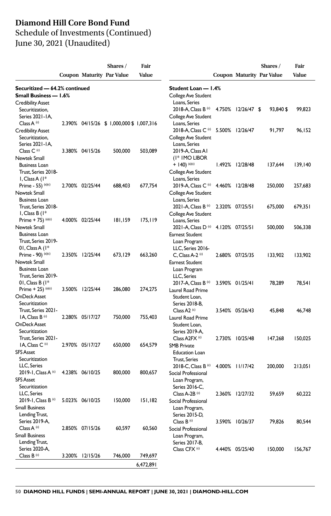|                                             |        |                 | Shares /                                  | Fair      |                                             |                    | Shares /                  | Fair    |
|---------------------------------------------|--------|-----------------|-------------------------------------------|-----------|---------------------------------------------|--------------------|---------------------------|---------|
|                                             |        |                 | Coupon Maturity Par Value                 | Value     |                                             |                    | Coupon Maturity Par Value | Value   |
| Securitized - 64.2% continued               |        |                 |                                           |           | Student Loan - 1.4%                         |                    |                           |         |
| <b>Small Business - 1.6%</b>                |        |                 |                                           |           | <b>College Ave Student</b>                  |                    |                           |         |
| <b>Credibility Asset</b>                    |        |                 |                                           |           | Loans, Series                               |                    |                           |         |
| Securitization,                             |        |                 |                                           |           | 2018-A, Class B <sup>(c)</sup>              | 4.750% 12/26/47 \$ | 93,840\$                  | 99,823  |
| Series 2021-1A,                             |        |                 |                                           |           | College Ave Student                         |                    |                           |         |
| Class A <sup>(c)</sup>                      |        |                 | 2.390% 04/15/26 \$ 1,000,000 \$ 1,007,316 |           | Loans, Series                               |                    |                           |         |
| <b>Credibility Asset</b>                    |        |                 |                                           |           | 2018-A, Class C <sup>(c)</sup>              | 5.500% 12/26/47    | 91,797                    | 96,152  |
| Securitization,                             |        |                 |                                           |           | College Ave Student                         |                    |                           |         |
| Series 2021-1A.                             |        |                 |                                           |           | Loans, Series                               |                    |                           |         |
| Class $C^{(c)}$                             |        | 3.380% 04/15/26 | 500,000                                   | 503,089   | 2019-A, Class A1                            |                    |                           |         |
| Newtek Small                                |        |                 |                                           |           | (I* IMO LIBOR                               |                    |                           |         |
| <b>Business Loan</b>                        |        |                 |                                           |           | $+$ 140) (a)(c)                             | 1.492% 12/28/48    | 137,644                   | 139,140 |
| Trust, Series 2018-                         |        |                 |                                           |           | College Ave Student                         |                    |                           |         |
| I, Class A (I*<br>Prime - 55) $(a)(c)$      |        | 2.700% 02/25/44 | 688.403                                   | 677,754   | Loans, Series<br>2019-A, Class C (c)        | 4.460% 12/28/48    | 250,000                   | 257,683 |
| Newtek Small                                |        |                 |                                           |           | College Ave Student                         |                    |                           |         |
| <b>Business Loan</b>                        |        |                 |                                           |           | Loans, Series                               |                    |                           |         |
| Trust, Series 2018-                         |        |                 |                                           |           | 2021-A, Class B <sup>(c)</sup>              | 2.320% 07/25/51    | 675,000                   | 679,351 |
| I, Class B (I*                              |        |                 |                                           |           | College Ave Student                         |                    |                           |         |
| Prime + 75) $(a)(c)$                        |        | 4.000% 02/25/44 | 181,159                                   | 175,119   | Loans, Series                               |                    |                           |         |
| Newtek Small                                |        |                 |                                           |           | 2021-A, Class D <sup>(c)</sup>              | 4.120% 07/25/51    | 500,000                   | 506,338 |
| <b>Business Loan</b>                        |        |                 |                                           |           | <b>Earnest Student</b>                      |                    |                           |         |
| Trust, Series 2019-                         |        |                 |                                           |           | Loan Program                                |                    |                           |         |
| 01, Class A $(1^*)$                         |        |                 |                                           |           | LLC, Series 2016-                           |                    |                           |         |
| Prime - 90) (a)(c)                          |        | 2.350% 12/25/44 | 673,129                                   | 663,260   | C. Class A-2 $(c)$                          | 2.680% 07/25/35    | 133.902                   | 133,902 |
| Newtek Small                                |        |                 |                                           |           | Earnest Student                             |                    |                           |         |
| <b>Business Loan</b>                        |        |                 |                                           |           | Loan Program                                |                    |                           |         |
| Trust, Series 2019-                         |        |                 |                                           |           | LLC, Series                                 |                    |                           |         |
| 01, Class B (1*                             |        | 3.500% 12/25/44 | 286,080                                   | 274,275   | 2017-A, Class B (c)                         | 3.590% 01/25/41    | 78,289                    | 78,541  |
| Prime + 25) $(a)(c)$<br><b>OnDeck Asset</b> |        |                 |                                           |           | Laurel Road Prime                           |                    |                           |         |
| Securitization                              |        |                 |                                           |           | Student Loan,<br>Series 2018-B,             |                    |                           |         |
| Trust. Series 2021-                         |        |                 |                                           |           | Class $A2^{(c)}$                            | 3.540% 05/26/43    | 45.848                    | 46.748  |
| IA. Class B <sup>(c)</sup>                  |        | 2.280% 05/17/27 | 750,000                                   | 755,403   | Laurel Road Prime                           |                    |                           |         |
| <b>OnDeck Asset</b>                         |        |                 |                                           |           | Student Loan,                               |                    |                           |         |
| Securitization                              |        |                 |                                           |           | Series 2019-A,                              |                    |                           |         |
| Trust. Series 2021-                         |        |                 |                                           |           | Class A2FX <sup>(c)</sup>                   | 2.730% 10/25/48    | 147,268                   | 150,025 |
| IA, Class C (c)                             |        | 2.970% 05/17/27 | 650.000                                   | 654,579   | <b>SMB Private</b>                          |                    |                           |         |
| <b>SFS Asset</b>                            |        |                 |                                           |           | <b>Education Loan</b>                       |                    |                           |         |
| Securitization                              |        |                 |                                           |           | <b>Trust, Series</b>                        |                    |                           |         |
| LLC, Series                                 |        |                 |                                           |           | 2018-C, Class B (c)                         | 4.000% 11/17/42    | 200,000                   | 213,051 |
| 2019-1, Class A (c)                         |        | 4.238% 06/10/25 | 800,000                                   | 800,657   | Social Professional                         |                    |                           |         |
| <b>SFS Asset</b>                            |        |                 |                                           |           | Loan Program,                               |                    |                           |         |
| Securitization<br>LLC. Series               |        |                 |                                           |           | Series 2016-C,<br>Class A-2B <sup>(c)</sup> | 2.360% 12/27/32    |                           |         |
| 2019-1, Class B (c)                         |        | 5.023% 06/10/25 | 150,000                                   | 151,182   |                                             |                    | 59.659                    | 60,222  |
| <b>Small Business</b>                       |        |                 |                                           |           | Social Professional<br>Loan Program,        |                    |                           |         |
| Lending Trust,                              |        |                 |                                           |           | Series 2015-D,                              |                    |                           |         |
| Series 2019-A,                              |        |                 |                                           |           | Class $B^{(c)}$                             | 3.590% 10/26/37    | 79,826                    | 80,544  |
| Class A (c)                                 |        | 2.850% 07/15/26 | 60,597                                    | 60,560    | Social Professional                         |                    |                           |         |
| <b>Small Business</b>                       |        |                 |                                           |           | Loan Program,                               |                    |                           |         |
| Lending Trust,                              |        |                 |                                           |           | Series 2017-B,                              |                    |                           |         |
| Series 2020-A.                              |        |                 |                                           |           | Class CFX <sup>(c)</sup>                    | 4.440% 05/25/40    | 150,000                   | 156.767 |
| Class B <sup>(c)</sup>                      | 3.200% | 12/15/26        | 746,000                                   | 749,697   |                                             |                    |                           |         |
|                                             |        |                 |                                           | 6,472,891 |                                             |                    |                           |         |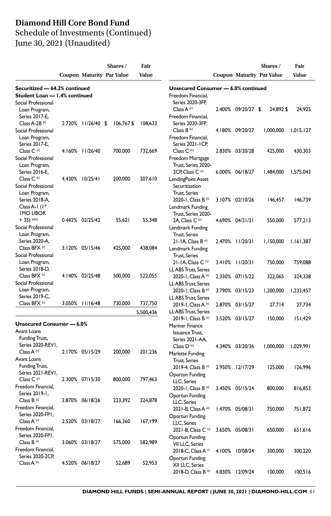|                               |                    | Shares /<br>Coupon Maturity Par Value | Fair<br>Value |                                     |        |                    | Shares /<br>Coupon Maturity Par Value | Fair<br>Value |
|-------------------------------|--------------------|---------------------------------------|---------------|-------------------------------------|--------|--------------------|---------------------------------------|---------------|
|                               |                    |                                       |               |                                     |        |                    |                                       |               |
| Securitized - 64.2% continued |                    |                                       |               | Unsecured Consumer - 6.0% continued |        |                    |                                       |               |
| Student Loan - 1.4% continued |                    |                                       |               | Freedom Financial,                  |        |                    |                                       |               |
| Social Professional           |                    |                                       |               | Series 2020-3FP,                    |        |                    |                                       |               |
| Loan Program,                 |                    |                                       |               | Class A (c)                         |        | 2.400% 09/20/27 \$ | 24,892\$                              | 24,925        |
| Series 2017-E,                |                    |                                       |               | Freedom Financial.                  |        |                    |                                       |               |
| Class A-2B <sup>(c)</sup>     | 2.720% 11/26/40 \$ | 106,767\$                             | 108,633       | Series 2020-3FP,                    |        |                    |                                       |               |
| Social Professional           |                    |                                       |               | Class $B^{(c)}$                     |        | 4.180% 09/20/27    | 1,000,000                             | 1,015,127     |
| Loan Program,                 |                    |                                       |               | Freedom Financial,                  |        |                    |                                       |               |
| Series 2017-E,                |                    |                                       |               | Series 2021-ICP.                    |        |                    |                                       |               |
| Class $C^{(c)}$               | 4.160% 11/26/40    | 700,000                               | 732,669       | Class $C^{(c)}$                     |        | 2.830% 03/20/28    | 425,000                               | 430,303       |
| Social Professional           |                    |                                       |               | Freedom Mortgage                    |        |                    |                                       |               |
| Loan Program,                 |                    |                                       |               | Trust, Series 2020-                 |        |                    |                                       |               |
| Series 2016-E,                |                    |                                       |               | 2CP, Class C <sup>(c)</sup>         |        | 6.000% 06/18/27    | 1,484,000                             | 1,575,043     |
| Class $C^{(c)}$               | 4.430% 10/25/41    | 200,000                               | 207.610       | LendingPoint Asset                  |        |                    |                                       |               |
| Social Professional           |                    |                                       |               | Securitization                      |        |                    |                                       |               |
| Loan Program,                 |                    |                                       |               | <b>Trust, Series</b>                |        |                    |                                       |               |
| Series 2018-A,                |                    |                                       |               | 2020-1, Class B <sup>(c)</sup>      |        | 3.107% 02/10/26    | 146,457                               | 146,739       |
| Class A-1 $(1^*)$             |                    |                                       |               | Lendmark Funding                    |        |                    |                                       |               |
| <b>IMO LIBOR</b>              |                    |                                       |               | Trust, Series 2020-                 |        |                    |                                       |               |
| $+35)$ (a)(c)                 | 0.442% 02/25/42    | 55,621                                | 55,348        | 2A, Class C <sup>(c)</sup>          |        | 4.690% 04/21/31    | 550,000                               | 577,213       |
| Social Professional           |                    |                                       |               | Lendmark Funding                    |        |                    |                                       |               |
| Loan Program,                 |                    |                                       |               | <b>Trust, Series</b>                |        |                    |                                       |               |
| Series 2020-A,                |                    |                                       |               | 21-1A, Class B $\circ$              | 2.470% | 1/20/31            | 1,150,000                             | 1,161,387     |
| Class BFX <sup>(c)</sup>      | 3.120% 05/15/46    | 425,000                               | 438,084       | Lendmark Funding                    |        |                    |                                       |               |
| Social Professional           |                    |                                       |               | Trust, Series                       |        |                    |                                       |               |
| Loan Program,                 |                    |                                       |               | 21-1A, Class $C^{(c)}$              | 3.410% | 11/20/31           | 750,000                               | 759,088       |
| Series 2018-D,                |                    |                                       |               | LL ABS Trust, Series                |        |                    |                                       |               |
| Class BFX <sup>(c)</sup>      | 4.140% 02/25/48    | 500,000                               | 522,055       | 2020-1, Class A (c)                 |        | 2.330% 07/15/22    | 322,065                               | 324,338       |
| Social Professional           |                    |                                       |               | LL ABS Trust, Series                |        |                    |                                       |               |
| Loan Program,                 |                    |                                       |               | 2020-1, Class B <sup>(c)</sup>      |        | 3.790% 03/15/23    | 1,200,000                             | 1,233,457     |
| Series 2019-C,                |                    |                                       |               | LL ABS Trust, Series                |        |                    |                                       |               |
| Class BFX <sup>(c)</sup>      | 3.050% II/I6/48    | 730,000                               | 737,750       | 2019-1, Class A (c)                 |        | 2.870% 03/15/27    | 27,714                                | 27,734        |
|                               |                    |                                       | 5,500,436     | <b>LL ABS Trust. Series</b>         |        |                    |                                       |               |
| Unsecured Consumer - 6.0%     |                    |                                       |               | 2019-1. Class B <sup>(c)</sup>      |        | 3.520% 03/15/27    | 150,000                               | 151,429       |
| Avant Loans                   |                    |                                       |               | Mariner Finance                     |        |                    |                                       |               |
| Funding Trust,                |                    |                                       |               | Issuance Trust,                     |        |                    |                                       |               |
| Series 2020-REVI.             |                    |                                       |               | Series 2021-AA.                     |        |                    |                                       |               |
| Class A (c)                   | 2.170% 05/15/29    | 200,000                               | 201,236       | Class $D^{(c)}$                     |        | 4.340% 03/20/36    | 1,000,000                             | 1,029,991     |
| Avant Loans                   |                    |                                       |               | Marlette Funding                    |        |                    |                                       |               |
| Funding Trust,                |                    |                                       |               | <b>Trust, Series</b>                |        |                    |                                       |               |
| Series 2021-REVI,             |                    |                                       |               | 2019-4, Class B <sup>(c)</sup>      | 2.950% | 12/17/29           | 125,000                               | 126,996       |
| Class $C^{(c)}$               | 2.300% 07/15/30    | 800,000                               | 797,463       | Oportun Funding                     |        |                    |                                       |               |
| Freedom Financial,            |                    |                                       |               | LLC, Series                         |        |                    |                                       |               |
| Series 2019-1,                |                    |                                       |               | 2020-1, Class B (c)                 |        | 3.450% 05/15/24    | 800,000                               | 816,853       |
| Class B <sup>(c)</sup>        | 3.870% 06/18/26    | 223,392                               | 224,878       | Oportun Funding                     |        |                    |                                       |               |
| Freedom Financial,            |                    |                                       |               | LLC, Series                         |        |                    |                                       |               |
| Series 2020-FPI,              |                    |                                       |               | 2021-B, Class A (c)                 |        | 1.470% 05/08/31    | 750,000                               | 751,872       |
| Class $A^{(c)}$               | 2.520% 03/18/27    | 166,360                               | 167,199       | Oportun Funding                     |        |                    |                                       |               |
| Freedom Financial,            |                    |                                       |               | LLC, Series                         |        |                    |                                       |               |
| Series 2020-FPI,              |                    |                                       |               | 2021-B, Class C (c)                 |        | 3.650% 05/08/31    | 650.000                               | 651,616       |
| Class $B^{(c)}$               | 3.060% 03/18/27    | 575,000                               | 582,989       | Oportun Funding                     |        |                    |                                       |               |
| Freedom Financial.            |                    |                                       |               | VII LLC, Series                     |        |                    |                                       |               |
| <b>Series 2020-2CP,</b>       |                    |                                       |               | 2018-C, Class A <sup>c)</sup>       | 4.100% | 10/08/24           | 300,000                               | 300,220       |
| Class $A^{(c)}$               | 4.520% 06/18/27    | 52.689                                | 52.953        | Oportun Funding                     |        |                    |                                       |               |
|                               |                    |                                       |               | XII LLC, Series                     |        | 12/09/24           | 100.000                               | 100.516       |
|                               |                    |                                       |               | 2018-D, Class B (c)                 | 4.830% |                    |                                       |               |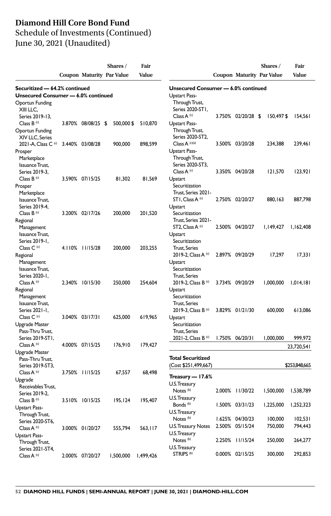|                                     |        |                 | Shares /                         | Fair      |                                     |        |                    | Shares /                  | Fair          |
|-------------------------------------|--------|-----------------|----------------------------------|-----------|-------------------------------------|--------|--------------------|---------------------------|---------------|
|                                     |        |                 | <b>Coupon Maturity Par Value</b> | Value     |                                     |        |                    | Coupon Maturity Par Value | Value         |
| Securitized - 64.2% continued       |        |                 |                                  |           | Unsecured Consumer - 6.0% continued |        |                    |                           |               |
| Unsecured Consumer - 6.0% continued |        |                 |                                  |           | <b>Upstart Pass-</b>                |        |                    |                           |               |
| Oportun Funding                     |        |                 |                                  |           | Through Trust,                      |        |                    |                           |               |
| XIII LLC,                           |        |                 |                                  |           | Series 2020-STI,                    |        |                    |                           |               |
| Series 2019-13,                     |        |                 |                                  |           | Class $A^{(c)}$                     |        | 3.750% 02/20/28 \$ | 150,497\$                 | 154.561       |
| Class B <sup>(c)</sup>              | 3.870% | 08/08/25 \$     | 500,000\$                        | 510,870   | <b>Upstart Pass-</b>                |        |                    |                           |               |
| Oportun Funding                     |        |                 |                                  |           | Through Trust,                      |        |                    |                           |               |
| XIV LLC, Series                     |        |                 |                                  |           | Series 2020-ST2,                    |        |                    |                           |               |
| 2021-A, Class C (c)                 |        | 3.440% 03/08/28 | 900,000                          | 898,599   | Class $A^{(c)(a)}$                  |        | 3.500% 03/20/28    | 234.388                   | 239.461       |
| Prosper                             |        |                 |                                  |           | <b>Upstart Pass-</b>                |        |                    |                           |               |
| Marketplace                         |        |                 |                                  |           | Through Trust,                      |        |                    |                           |               |
| Issuance Trust,                     |        |                 |                                  |           | Series 2020-ST3.                    |        |                    |                           |               |
| Series 2019-3.                      |        |                 |                                  |           | Class $A^{(c)}$                     |        | 3.350% 04/20/28    | 121,570                   | 123.921       |
| Class B <sup>(c)</sup>              |        | 3.590% 07/15/25 | 81,302                           | 81,569    | Upstart                             |        |                    |                           |               |
| Prosper                             |        |                 |                                  |           | Securitization                      |        |                    |                           |               |
| Marketplace                         |        |                 |                                  |           | Trust. Series 2021-                 |        |                    |                           |               |
| <b>Issuance Trust,</b>              |        |                 |                                  |           | STI. Class A (c)                    |        | 2.750% 02/20/27    | 880.163                   | 887,798       |
| Series 2019-4,                      |        |                 |                                  |           | Upstart                             |        |                    |                           |               |
| Class B <sup>(c)</sup>              |        | 3.200% 02/17/26 | 200,000                          | 201,520   | Securitization                      |        |                    |                           |               |
| Regional                            |        |                 |                                  |           | Trust. Series 2021-                 |        |                    |                           |               |
| Management                          |        |                 |                                  |           | ST2, Class A (c)                    |        | 2.500% 04/20/27    | I, 149, 427               | I, 162, 408   |
| Issuance Trust,                     |        |                 |                                  |           | Upstart                             |        |                    |                           |               |
| Series 2019-1,                      |        |                 |                                  |           | Securitization                      |        |                    |                           |               |
| Class $C^{(c)}$                     |        | 4.110% 11/15/28 | 200.000                          | 203,255   | <b>Trust, Series</b>                |        |                    |                           |               |
| Regional                            |        |                 |                                  |           | 2019-2, Class A (c)                 |        | 2.897% 09/20/29    | 17,297                    | 17,331        |
| Management                          |        |                 |                                  |           | Upstart                             |        |                    |                           |               |
| <b>Issuance Trust,</b>              |        |                 |                                  |           | Securitization                      |        |                    |                           |               |
| Series 2020-1,                      |        |                 |                                  |           | <b>Trust, Series</b>                |        |                    |                           |               |
| Class A (c)                         | 2.340% | 10/15/30        | 250,000                          | 254,604   | 2019-2, Class B (c)                 |        | 3.734% 09/20/29    | 1,000,000                 | 1,014,181     |
| Regional                            |        |                 |                                  |           | Upstart                             |        |                    |                           |               |
| Management                          |        |                 |                                  |           | Securitization                      |        |                    |                           |               |
| <b>Issuance Trust,</b>              |        |                 |                                  |           | <b>Trust, Series</b>                |        |                    |                           |               |
| Series 2021-1,                      |        |                 |                                  |           | 2019-3, Class B <sup>(c)</sup>      |        | 3.829% 01/21/30    | 600,000                   | 613,086       |
| Class $C^{(c)}$                     |        | 3.040% 03/17/31 | 625,000                          | 619,965   | Upstart                             |        |                    |                           |               |
| Upgrade Master                      |        |                 |                                  |           | Securitization                      |        |                    |                           |               |
| Pass-Thru Trust,                    |        |                 |                                  |           | <b>Trust, Series</b>                |        |                    |                           |               |
| Series 2019-ST1,                    |        |                 |                                  |           | 2021-2, Class B (c)                 | 1.750% | 06/20/31           | 1,000,000                 | 999,972       |
| Class A <sup>(c)</sup>              |        | 4.000% 07/15/25 | 176.910                          | 179.427   |                                     |        |                    |                           | 23,720,541    |
| Upgrade Master                      |        |                 |                                  |           |                                     |        |                    |                           |               |
| Pass-Thru Trust.                    |        |                 |                                  |           | <b>Total Securitized</b>            |        |                    |                           |               |
| Series 2019-ST3,                    |        |                 |                                  |           | (Cost \$251,499,667)                |        |                    |                           | \$253,848,665 |
| Class $A^{(c)}$                     |        | 3.750% 11/15/25 | 67,557                           | 68.498    | Treasury - 17.6%                    |        |                    |                           |               |
| Upgrade                             |        |                 |                                  |           | U.S. Treasury                       |        |                    |                           |               |
| Receivables Trust,                  |        |                 |                                  |           | Notes <sup>(b)</sup>                | 2.000% | 11/30/22           | 1,500,000                 | 1,538,789     |
| Series 2019-2.                      |        |                 |                                  |           | U.S. Treasury                       |        |                    |                           |               |
| Class B <sup>(c)</sup>              |        | 3.510% 10/15/25 | 195.124                          | 195.407   | Bonds <sup>(b)</sup>                | 1.500% | 03/31/23           | 1,225,000                 | 1,252,323     |
| <b>Upstart Pass-</b>                |        |                 |                                  |           | U.S. Treasury                       |        |                    |                           |               |
| Through Trust,                      |        |                 |                                  |           | Notes <sup>(b)</sup>                | 1.625% | 04/30/23           | 100.000                   | 102.531       |
| Series 2020-ST6,<br>Class $A^{(c)}$ |        | 3.000% 01/20/27 |                                  |           | U.S. Treasury Notes                 |        | 2.500% 05/15/24    | 750,000                   | 794,443       |
|                                     |        |                 | 555,794                          | 563, 117  | U.S. Treasury                       |        |                    |                           |               |
| <b>Upstart Pass-</b>                |        |                 |                                  |           | Notes <sup>(b)</sup>                | 2.250% | 11/15/24           | 250,000                   | 264,277       |
| Through Trust,<br>Series 2021-ST4.  |        |                 |                                  |           | U.S. Treasury                       |        |                    |                           |               |
| Class $A^{(c)}$                     |        | 2.000% 07/20/27 | 1.500.000                        | 1.499.426 | <b>STRIPS (b)</b>                   |        | 0.000% 02/15/25    | 300,000                   | 292,853       |
|                                     |        |                 |                                  |           |                                     |        |                    |                           |               |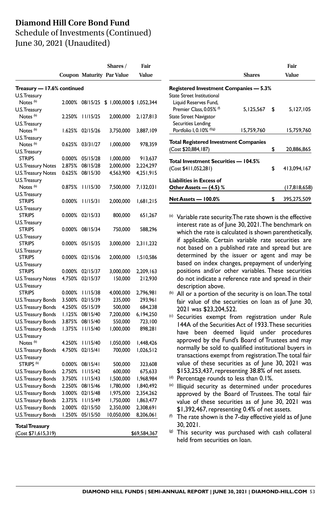|                                       |        |          | Shares /                  | Fair         |
|---------------------------------------|--------|----------|---------------------------|--------------|
|                                       |        |          | Coupon Maturity Par Value | Value        |
|                                       |        |          |                           |              |
| Treasury - 17.6% continued            |        |          |                           |              |
| U.S. Treasury<br>Notes <sup>(b)</sup> | 2.000% | 08/15/25 | \$1,000,000 \$1,052,344   |              |
|                                       |        |          |                           |              |
| U.S. Treasury<br>Notes <sup>(b)</sup> | 2.250% | 11/15/25 | 2,000,000                 | 2,127,813    |
| U.S. Treasury                         |        |          |                           |              |
| Notes <sup>(b)</sup>                  | 1.625% | 02/15/26 | 3.750.000                 | 3,887,109    |
| U.S. Treasury                         |        |          |                           |              |
| Notes <sup>(b)</sup>                  | 0.625% | 03/31/27 | 1,000,000                 | 978,359      |
| U.S. Treasury                         |        |          |                           |              |
| <b>STRIPS</b>                         | 0.000% | 05/15/28 | 1,000,000                 | 913,637      |
| <b>U.S. Treasury Notes</b>            | 2.875% | 08/15/28 | 2,000,000                 | 2,224,297    |
| <b>U.S. Treasury Notes</b>            | 0.625% | 08/15/30 | 4,563,900                 | 4,251,915    |
| U.S. Treasury                         |        |          |                           |              |
| Notes <sup>(b)</sup>                  | 0.875% | 11/15/30 | 7.500.000                 | 7,132,031    |
| U.S. Treasury                         |        |          |                           |              |
| <b>STRIPS</b>                         | 0.000% | 11/15/31 | 2,000,000                 | 1,681,215    |
| U.S. Treasury                         |        |          |                           |              |
| <b>STRIPS</b>                         | 0.000% | 02/15/33 | 800,000                   | 651,267      |
| U.S. Treasury                         |        |          |                           |              |
| <b>STRIPS</b>                         | 0.000% | 08/15/34 | 750,000                   | 588,296      |
| U.S. Treasury                         |        |          |                           |              |
| <b>STRIPS</b>                         | 0.000% | 05/15/35 | 3,000,000                 | 2,311,232    |
| U.S. Treasury                         |        |          |                           |              |
| <b>STRIPS</b>                         | 0.000% | 02/15/36 | 2,000,000                 | 1,510,586    |
| U.S. Treasury                         |        |          |                           |              |
| <b>STRIPS</b>                         | 0.000% | 02/15/37 | 3,000,000                 | 2,209,163    |
| <b>U.S. Treasury Notes</b>            | 4.750% | 02/15/37 | 150,000                   | 212,930      |
| U.S. Treasury                         |        |          |                           |              |
| <b>STRIPS</b>                         | 0.000% | 11/15/38 | 4,000,000                 | 2,796,981    |
| <b>U.S. Treasury Bonds</b>            | 3.500% | 02/15/39 | 235,000                   | 293,961      |
| <b>U.S. Treasury Bonds</b>            | 4.250% | 05/15/39 | 500,000                   | 684,238      |
| <b>U.S. Treasury Bonds</b>            | I.125% | 08/15/40 | 7,200,000                 | 6,194,250    |
| <b>U.S. Treasury Bonds</b>            | 3.875% | 08/15/40 | 550,000                   | 723,100      |
| <b>U.S.Treasury Bonds</b>             | 1.375% | 11/15/40 | 1,000,000                 | 898,281      |
| U.S. Treasury                         |        |          |                           |              |
| Notes <sup>(b)</sup>                  | 4.250% | 11/15/40 | 1,050,000                 | 1,448,426    |
| <b>U.S. Treasury Bonds</b>            | 4.750% | 02/15/41 | 700,000                   | 1,026,512    |
| U.S. Treasury                         |        |          |                           |              |
| STRIPS <sup>(b)</sup>                 | 0.000% | 08/15/41 | 500,000                   | 323,608      |
| <b>U.S. Treasury Bonds</b>            | 2.750% | 11/15/42 | 600,000                   | 675,633      |
| <b>U.S. Treasury Bonds</b>            | 3.750% | 11/15/43 | 1.500.000                 | 1.968.984    |
| <b>U.S. Treasury Bonds</b>            | 2.250% | 08/15/46 | 1,780,000                 | 1,840,492    |
| <b>U.S.Treasury Bonds</b>             | 3.000% | 02/15/48 | 1,975,000                 | 2,354,262    |
| <b>U.S. Treasury Bonds</b>            | 2.375% | 11/15/49 | 1,750,000                 | 1,863,477    |
| <b>U.S.Treasury Bonds</b>             | 2.000% | 02/15/50 | 2,350,000                 | 2,308,691    |
| U.S. Treasury Bonds                   | 1.250% | 05/15/50 | 10,050,000                | 8,206,061    |
| <b>Total Treasury</b>                 |        |          |                           |              |
| (Cost \$71,615,319)                   |        |          |                           | \$69,584,367 |
|                                       |        |          |                           |              |

|                                               |               | Fair              |
|-----------------------------------------------|---------------|-------------------|
|                                               | <b>Shares</b> | Value             |
| <b>Registered Investment Companies — 5.3%</b> |               |                   |
| State Street Institutional                    |               |                   |
| Liquid Reserves Fund,                         |               |                   |
| Premier Class, 0.05% (f)                      | 5.125.567     | \$<br>5.127.105   |
| <b>State Street Navigator</b>                 |               |                   |
| Securities Lending                            |               |                   |
| Portfolio I. 0.10% (f)(g)                     | 15.759.760    | 15,759,760        |
| <b>Total Registered Investment Companies</b>  |               |                   |
| (Cost \$20,884,187)                           |               | \$<br>20,886,865  |
| Total Investment Securities - 104.5%          |               |                   |
| (Cost \$411,052,281)                          |               | \$<br>413.094.167 |
| <b>Liabilities in Excess of</b>               |               |                   |
| Other Assets — (4.5) %                        |               | (17,818,658)      |
| <b>Net Assets — 100.0%</b>                    |               | \$<br>395.275.509 |

- (a) Variable rate security. The rate shown is the effective interest rate as of June 30, 2021. The benchmark on which the rate is calculated is shown parenthetically, if applicable. Certain variable rate securities are not based on a published rate and spread but are determined by the issuer or agent and may be based on index changes, prepayment of underlying positions and/or other variables. These securities do not indicate a reference rate and spread in their description above.
- (b) All or a portion of the security is on loan. The total fair value of the securities on loan as of June 30, 2021 was \$23,204,522.
- (c) Securities exempt from registration under Rule 144A of the Securities Act of 1933. These securities have been deemed liquid under procedures approved by the Fund's Board of Trustees and may normally be sold to qualified institutional buyers in transactions exempt from registration. The total fair value of these securities as of June 30, 2021 was \$153,253,437, representing 38.8% of net assets.
- (d) Percentage rounds to less than 0.1%.
- (e) Illiquid security as determined under procedures approved by the Board of Trustees. The total fair value of these securities as of June 30, 2021 was \$1,392,467, representing 0.4% of net assets.
- $(6)$  The rate shown is the 7-day effective yield as of June 30, 2021.
- (g) This security was purchased with cash collateral held from securities on loan.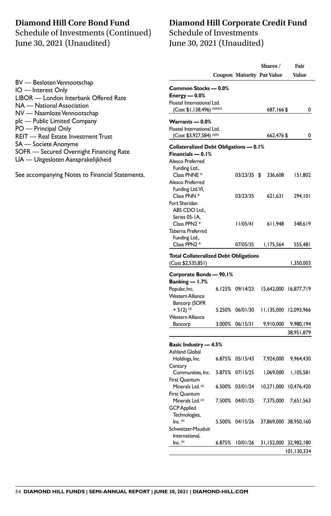#### **Diamond Hill Core Bond Fund** Schedule of Investments (Continued)

# June 30, 2021 (Unaudited)

## **Diamond Hill Corporate Credit Fund**

Schedule of Investments June 30, 2021 (Unaudited)

|                                                                                                      |        |          | Shares /                  | Fair                  |
|------------------------------------------------------------------------------------------------------|--------|----------|---------------------------|-----------------------|
|                                                                                                      |        |          | Coupon Maturity Par Value | Value                 |
| Common Stocks - 0.0%<br>Energy $-0.0%$<br>Floatel International Ltd.<br>(Cost \$1,138,496) (a)(b)(c) |        |          | 687,166\$                 | 0                     |
|                                                                                                      |        |          |                           |                       |
| Warrants - 0.0%<br>Floatel International Ltd.<br>(Cost \$3,927,584) (a)(b)                           |        |          | 662,476 \$                | 0                     |
| Collateralized Debt Obligations - 0.1%                                                               |        |          |                           |                       |
| Financials - 0.1%<br>Alesco Preferred<br>Funding Ltd.,                                               |        |          |                           |                       |
| Class PNNE *<br>Alesco Preferred                                                                     |        | 03/23/35 | \$<br>336,608             | 151,802               |
| Funding Ltd.VI,<br>Class PNN *<br>Fort Sheridan                                                      |        | 03/23/35 | 621,631                   | 294,101               |
| ABS CDO Ltd.,<br>Series 05-1A.<br>Class PPN2 *                                                       |        | 11/05/41 | 611,948                   | 348,619               |
| Taberna Preferred<br>Funding Ltd.,<br>Class PPN2 *                                                   |        | 07/05/35 | I, I75, 564               | 555,481               |
|                                                                                                      |        |          |                           |                       |
| <b>Total Collateralized Debt Obligations</b>                                                         |        |          |                           |                       |
| (Cost \$2,535,851)                                                                                   |        |          |                           | 1,350,003             |
| Corporate Bonds - 90.1%                                                                              |        |          |                           |                       |
| Banking $-1.7%$                                                                                      | 6.125% | 09/14/23 |                           |                       |
| Popular, Inc.<br><b>Western Alliance</b><br>Bancorp (SOFR                                            |        |          | 15,642,000                | 16,877,719            |
| + 512) <sup>(d)</sup><br><b>Western Alliance</b>                                                     | 5.250% | 06/01/30 | I I, I 35,000             | 12,093,966            |
| Bancorp                                                                                              | 3.000% | 06/15/31 | 9,910,000                 | 9,980,194             |
|                                                                                                      |        |          |                           | 38,951,879            |
| Basic Industry - 4.5%                                                                                |        |          |                           |                       |
| <b>Ashland Global</b><br>Holdings, Inc.                                                              | 6.875% | 05/15/43 | 7,924,000                 | 9,964,430             |
| Century<br>Communities, Inc.                                                                         | 5.875% | 07/15/25 | 1,069,000                 | 1,105,581             |
| First Quantum<br>Minerals Ltd. (e)                                                                   | 6.500% | 03/01/24 | 10,271,000                | 10,476,420            |
| First Quantum<br>Minerals Ltd. (e)                                                                   | 7.500% | 04/01/25 | 7,375,000                 | 7,651,563             |
| <b>GCP</b> Applied<br>Technologies,<br>Inc. (e)                                                      | 5.500% | 04/15/26 |                           | 37,869,000 38,950,160 |
| Schweitzer-Mauduit<br>International,                                                                 |        |          |                           |                       |
| $Inc.$ <sup>(e)</sup>                                                                                | 6.875% | 10/01/26 |                           | 31,152,000 32,982,180 |
|                                                                                                      |        |          |                           | 101,130,334           |

| BV - Besloten Vennootschap                 |
|--------------------------------------------|
| IO - Interest Only                         |
| LIBOR — London Interbank Offered Rate      |
| NA — National Association                  |
| NV - Naamloze Vennootschap                 |
| plc - Public Limited Company               |
| PO - Principal Only                        |
| <b>REIT</b> - Real Estate Investment Trust |
| SA - Societe Anonyme                       |
| SOFR - Secured Overnight Financing Rate    |
| UA — Uitgesloten Aansprakelijkheid         |
|                                            |

See accompanying Notes to Financial Statements.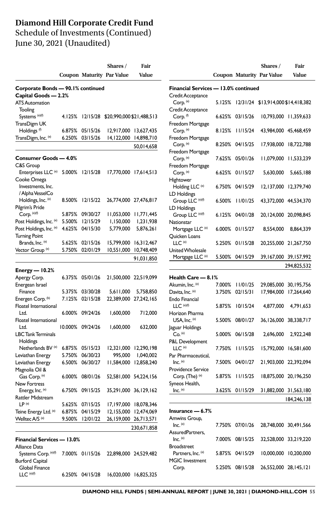## **Diamond Hill Corporate Credit Fund**

|                                                           |         |          | Shares /                  | Fair                  |
|-----------------------------------------------------------|---------|----------|---------------------------|-----------------------|
|                                                           |         |          | Coupon Maturity Par Value | Value                 |
|                                                           |         |          |                           |                       |
| Corporate Bonds - 90.1% continued<br>Capital Goods - 2.2% |         |          |                           |                       |
| <b>ATS Automation</b>                                     |         |          |                           |                       |
| <b>Tooling</b>                                            |         |          |                           |                       |
| Systems <sup>(e)(f)</sup>                                 | 4.125%  | 12/15/28 | \$20,990,000 \$21,488,513 |                       |
| TransDigm UK                                              |         |          |                           |                       |
| Holdings <sup>(f)</sup>                                   | 6.875%  | 05/15/26 | 12,917,000                | 13,627,435            |
| TransDigm, Inc. (e)                                       | 6.250%  | 03/15/26 | 14,122,000                | 14,898,710            |
|                                                           |         |          |                           | 50,014,658            |
| Consumer Goods - 4.0%                                     |         |          |                           |                       |
| C&S Group                                                 |         |          |                           |                       |
| Enterprises LLC <sup>(e)</sup>                            | 5.000%  | 12/15/28 | 17,770,000                | 17,614,513            |
| Cooke Omega                                               |         |          |                           |                       |
| Investments, Inc.                                         |         |          |                           |                       |
| / Alpha VesselCo                                          |         |          |                           |                       |
| Holdings, Inc. (e)                                        | 8.500%  | 12/15/22 | 26,774,000                | 27,476,817            |
| Pilgrim's Pride                                           |         |          |                           |                       |
| Corp. (e)(f)                                              | 5.875%  | 09/30/27 | 11,053,000                | 11,771,445            |
| Post Holdings, Inc. (e)                                   | 5.500%  | 12/15/29 | 1,150,000                 | 1,231,938             |
| Post Holdings, Inc. (e)                                   | 4.625%  | 04/15/30 | 5,779,000                 | 5,876,261             |
| <b>Turning Point</b>                                      |         |          |                           |                       |
| Brands, Inc. (e)                                          | 5.625%  | 02/15/26 | 15,799,000                | 16,312,467            |
| Vector Group (e)                                          | 5.750%  | 02/01/29 | 10,551,000                | 10,748,409            |
|                                                           |         |          |                           | 91,031,850            |
| Energy $-10.2%$                                           |         |          |                           |                       |
| Apergy Corp.                                              | 6.375%  | 05/01/26 | 21,500,000                | 22,519,099            |
| Energean Israel                                           |         |          |                           |                       |
| Finance                                                   | 5.375%  | 03/30/28 | 5,611,000                 | 5,758,850             |
| Energen Corp. (b)                                         | 7.125%  | 02/15/28 | 22,389,000                | 27,242,165            |
| Floatel International                                     |         |          |                           |                       |
| Ltd.                                                      | 6.000%  | 09/24/26 | 1,600,000                 | 712,000               |
| Floatel International                                     |         |          |                           |                       |
| Ltd.<br><b>LBC Tank Terminals</b>                         | 10.000% | 09/24/26 | 1,600,000                 | 632,000               |
| Holdings                                                  |         |          |                           |                       |
| Netherlands BV <sup>(e)</sup>                             | 6.875%  | 05/15/23 | 12,321,000                | 12,290,198            |
| Leviathan Energy                                          | 5.750%  | 06/30/23 | 995.000                   | 1,040,002             |
| Leviathan Energy                                          | 6.500%  | 06/30/27 | 11,584,000                | 12,858,240            |
| Magnolia Oil &                                            |         |          |                           |                       |
| Gas Corp. <sup>(e)</sup>                                  | 6.000%  | 08/01/26 | 52,581,000                | 54,224,156            |
| New Fortress                                              |         |          |                           |                       |
| Energy, Inc. (e)                                          | 6.750%  | 09/15/25 | 35,291,000                | 36, 129, 162          |
| Rattler Midstream                                         |         |          |                           |                       |
| $LP$ <sup>(e)</sup>                                       | 5.625%  | 07/15/25 | 17,197,000                | 18,078,346            |
| Teine Energy Ltd. (e)                                     | 6.875%  | 04/15/29 | 12,155,000                | 12,474,069            |
| Welltec A/S <sup>(e)</sup>                                | 9.500%  | 12/01/22 | 26,159,000                | 26,713,571            |
|                                                           |         |          |                           | 230,671,858           |
| Financial Services - 13.0%                                |         |          |                           |                       |
| Alliance Data                                             |         |          |                           |                       |
| Systems Corp. (e)(f)                                      | 7.000%  | 01/15/26 |                           | 22,898,000 24,529,482 |
| <b>Burford Capital</b>                                    |         |          |                           |                       |
| <b>Global Finance</b>                                     |         |          |                           |                       |
| $LLC$ <sup>(e)(f)</sup>                                   | 6.250%  | 04/15/28 | 16,020,000                | 16,825,325            |

|                                                            |        |          | Shares /                  | Fair         |
|------------------------------------------------------------|--------|----------|---------------------------|--------------|
|                                                            |        |          | Coupon Maturity Par Value | Value        |
| Financial Services - 13.0% continued                       |        |          |                           |              |
| Credit Acceptance<br>Corp. <sup>(e)</sup>                  | 5.125% | 12/31/24 | \$13,914,000\$14,418,382  |              |
| Credit Acceptance<br>Corp. <sup>(f)</sup>                  | 6.625% | 03/15/26 | 10,793,000                | 11,359,633   |
| Freedom Mortgage<br>Corp. <sup>(e)</sup>                   | 8.125% | 11/15/24 | 43,984,000 45,468,459     |              |
| Freedom Mortgage<br>Corp. <sup>(e)</sup>                   | 8.250% | 04/15/25 | 17,938,000                | 18,722,788   |
| Freedom Mortgage<br>Corp. <sup>(e)</sup>                   | 7.625% | 05/01/26 | 11,079,000                | 11,533,239   |
| Freedom Mortgage                                           |        |          |                           |              |
| Corp. <sup>(e)</sup><br>Hightower                          | 6.625% | 01/15/27 | 5,630,000                 | 5,665,188    |
| Holding LLC <sup>(e)</sup><br>LD Holdings                  | 6.750% | 04/15/29 | 12,137,000                | 12,379,740   |
| Group LLC <sup>(e)(f)</sup><br>LD Holdings                 | 6.500% | 11/01/25 | 43,372,000                | 44,534,370   |
| Group LLC <sup>(e)(f)</sup>                                | 6.125% | 04/01/28 | 20,124,000                | 20,098,845   |
| Nationstar<br>Mortgage LLC <sup>(e)</sup><br>Quicken Loans | 6.000% | 01/15/27 | 8,554,000                 | 8,864,339    |
| LLC <sup>(e)</sup>                                         | 5.250% | 01/15/28 | 20,255,000                | 21,267,750   |
| United Wholesale<br>Mortgage LLC <sup>(e)</sup>            | 5.500% | 04/15/29 | 39,167,000                | 39,157,992   |
|                                                            |        |          |                           | 294,825,532  |
| Health Care - 8.1%                                         |        |          |                           |              |
| Akumin, Inc. (e)                                           | 7.000% | 11/01/25 | 29,085,000                | 30, 195, 756 |
| Davita, Inc. (e)                                           | 3.750% | 02/15/31 | 17,984,000                | 17,264,640   |
| Endo Financial<br>$LLC$ (e)(f)                             |        |          |                           |              |
| Horizon Pharma                                             | 5.875% | 10/15/24 | 4,877,000                 | 4,791,653    |
| USA, Inc. (e)<br>Jaguar Holdings                           | 5.500% | 08/01/27 | 36.126.000                | 38.338.717   |
| Co. <sub>(e)</sub>                                         | 5.000% | 06/15/28 | 2,696,000                 | 2,922,248    |
| P&L Development<br>LLC <sup>(e)</sup>                      | 7.750% | 11/15/25 | 15,792,000                | 16,581,600   |
| Par Pharmaceutical,<br>$Inc.$ $(e)$                        | 7.500% | 04/01/27 | 21,903,000                | 22,392,094   |
| Providence Service<br>Corp. (The) (e)                      | 5.875% | 11/15/25 | 18,875,000                | 20,196,250   |
| Syneos Health,<br>$Inc.$ <sup>(e)</sup>                    | 3.625% | 01/15/29 | 31,882,000                | 31,563,180   |
|                                                            |        |          |                           | 184,246,138  |
|                                                            |        |          |                           |              |
| Insurance - 6.7%<br>Amwins Group,                          |        |          |                           |              |
| $Inc.$ <sup>(e)</sup>                                      | 7.750% | 07/01/26 | 28,748,000                | 30,491,566   |
| AssuredPartners,<br>$Inc.$ <sup>(e)</sup>                  | 7.000% | 08/15/25 | 32,528,000                | 33,219,220   |
| <b>Broadstreet</b><br>Partners, Inc. (e)                   | 5.875% | 04/15/29 | 10,000,000                | 10,200,000   |
| <b>MGIC Investment</b><br>Corp.                            | 5.250% | 08/15/28 | 26,552,000                | 28, 145, 121 |
|                                                            |        |          |                           |              |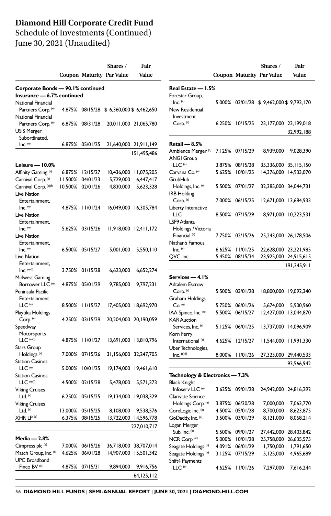## **Diamond Hill Corporate Credit Fund**

Schedule of Investments (Continued) June 30, 2021 (Unaudited)

|                                         |         |          | Shares /                  | Fair                  |
|-----------------------------------------|---------|----------|---------------------------|-----------------------|
|                                         |         |          | Coupon Maturity Par Value | Value                 |
| Corporate Bonds - 90.1% continued       |         |          |                           |                       |
| Insurance - 6.7% continued              |         |          |                           |                       |
| National Financial                      |         |          |                           |                       |
| Partners Corp. <sup>(e)</sup>           | 4.875%  | 08/15/28 | \$6,360,000 \$6,462,650   |                       |
| National Financial                      |         |          |                           |                       |
| Partners Corp. <sup>(e)</sup>           | 6.875%  | 08/31/28 |                           | 20,011,000 21,065,780 |
| <b>USIS Merger</b>                      |         |          |                           |                       |
| Subordinated,                           |         |          |                           |                       |
| Inc. (e)                                | 6.875%  | 05/01/25 |                           | 21,640,000 21,911,149 |
|                                         |         |          |                           | 151,495,486           |
|                                         |         |          |                           |                       |
| Leisure - 10.0%                         |         |          |                           |                       |
| Affinity Gaming <sup>(e)</sup>          | 6.875%  | 12/15/27 | 10,436,000                | 11,075,205            |
| Carnival Corp. <sup>(e)</sup>           | 11.500% | 04/01/23 | 5,729,000                 | 6,447,417             |
| Carnival Corp. (e)(f)                   | 10.500% | 02/01/26 | 4,830,000                 | 5,623,328             |
| Live Nation                             |         |          |                           |                       |
| Entertainment,                          |         |          |                           |                       |
| $Inc.$ <sup>(e)</sup>                   | 4.875%  | 11/01/24 | 16,049,000                | 16,305,784            |
| Live Nation                             |         |          |                           |                       |
| Entertainment,                          |         |          |                           |                       |
| $Inc.$ <sup>(e)</sup>                   | 5.625%  | 03/15/26 | 11,918,000                | 12,411,172            |
| Live Nation                             |         |          |                           |                       |
| Entertainment,<br>$Inc.$ <sup>(e)</sup> | 6.500%  | 05/15/27 | 5,001,000                 | 5,550,110             |
| Live Nation                             |         |          |                           |                       |
| Entertainment,                          |         |          |                           |                       |
| $Inc.$ <sup>(e)(f)</sup>                | 3.750%  | 01/15/28 | 6,623,000                 | 6,652,274             |
| <b>Midwest Gaming</b>                   |         |          |                           |                       |
| Borrower LLC <sup>(e)</sup>             | 4.875%  | 05/01/29 | 9.785.000                 | 9,797,231             |
| Peninsula Pacific                       |         |          |                           |                       |
| Entertainment                           |         |          |                           |                       |
| LLC <sup>(e)</sup>                      | 8.500%  | 11/15/27 | 17,405,000                | 18,692,970            |
| Playtika Holdings                       |         |          |                           |                       |
| Corp. <sup>(e)</sup>                    | 4.250%  | 03/15/29 | 20,204,000                | 20,190,059            |
| Speedway                                |         |          |                           |                       |
| Motorsports                             |         |          |                           |                       |
| $LLC$ <sup>(e)(f)</sup>                 | 4.875%  | 11/01/27 | 13,691,000                | 13,810,796            |
| <b>Stars Group</b>                      |         |          |                           |                       |
| Holdings <sup>(e)</sup>                 | 7.000%  | 07/15/26 | 31,156,000                | 32,247,705            |
| <b>Station Casinos</b>                  |         |          |                           |                       |
| LLC <sup>(e)</sup>                      | 5.000%  | 10/01/25 | 19,174,000                | 19,461,610            |
| <b>Station Casinos</b>                  |         |          |                           |                       |
| $LLC$ <sup>(e)(f)</sup>                 | 4.500%  | 02/15/28 | 5,478,000                 | 5,571,373             |
| <b>Viking Cruises</b>                   |         |          |                           |                       |
| Ltd. $(e)$                              | 6.250%  | 05/15/25 | 19.134.000                | 19,038,329            |
| <b>Viking Cruises</b>                   |         |          |                           |                       |
| Ltd. (e)                                | 13.000% | 05/15/25 | 8,108,000                 | 9,538,576             |
| XHR LP <sup>(e)</sup>                   | 6.375%  | 08/15/25 | 13,722,000                | 14,596,778            |
|                                         |         |          |                           | 227,010,717           |
| Media - 2.8%                            |         |          |                           |                       |
| Cimpress plc (e)                        | 7.000%  | 06/15/26 | 36,718,000                | 38,707,014            |
| Match Group, Inc. (e)                   | 4.625%  | 06/01/28 | 14,907,000                | 15,501,342            |
| <b>UPC Broadband</b>                    |         |          |                           |                       |
| Finco BV <sup>(e)</sup>                 | 4.875%  | 07/15/31 | 9,894,000                 | 9,916,756             |
|                                         |         |          |                           | 64, 125, 112          |
|                                         |         |          |                           |                       |

|                                 |        |          | Shares /                  | Fair                  |
|---------------------------------|--------|----------|---------------------------|-----------------------|
|                                 |        |          | Coupon Maturity Par Value | Value                 |
| Real Estate - 1.5%              |        |          |                           |                       |
| Forestar Group,                 |        |          |                           |                       |
| Inc. (e)                        | 5.000% | 03/01/28 | \$9,462,000 \$9,793,170   |                       |
| New Residential                 |        |          |                           |                       |
| Investment                      |        |          |                           |                       |
| Corp. <sup>(e)</sup>            | 6.250% | 10/15/25 | 23, 177,000               | 23,199,018            |
|                                 |        |          |                           | 32,992,188            |
| Retail - 8.5%                   |        |          |                           |                       |
| Ambience Merger <sup>(e)</sup>  | 7.125% | 07/15/29 | 8,939,000                 | 9,028,390             |
| <b>ANGI Group</b>               |        |          |                           |                       |
| LLC <sup>(e)</sup>              | 3.875% | 08/15/28 | 35,336,000                | 35, 115, 150          |
| Carvana Co. (e)                 | 5.625% | 10/01/25 | 14,376,000                | 14,933,070            |
| GrubHub                         |        |          |                           |                       |
| Holdings, Inc. (e)              | 5.500% | 07/01/27 | 32,385,000                | 34,044,731            |
| <b>IRB Holding</b>              |        |          |                           |                       |
| Corp. <sup>(e)</sup>            | 7.000% | 06/15/25 | 12,671,000                | 13,684,933            |
| Liberty Interactive             |        |          |                           |                       |
| LLC                             | 8.500% | 07/15/29 | 8,971,000                 | 10,223,531            |
| LSF9 Atlanta                    |        |          |                           |                       |
| Holdings / Victoria             |        |          |                           |                       |
| Financial <sup>(e)</sup>        | 7.750% | 02/15/26 |                           | 25.243.000 26.178.506 |
| Nathan's Famous.                |        |          |                           |                       |
| Inc. (e)                        | 6.625% | 11/01/25 | 22,628,000                | 23,221,985            |
| QVC, Inc.                       | 5.450% | 08/15/34 | 23,925,000                | 24,915,615            |
|                                 |        |          |                           | 191,345,911           |
| Services - 4.1%                 |        |          |                           |                       |
| Adtalem Escrow                  |        |          |                           |                       |
| Corp. <sup>(e)</sup>            | 5.500% | 03/01/28 | 18,800,000                | 19,092,340            |
| <b>Graham Holdings</b>          |        |          |                           |                       |
| Co. (e)                         | 5.750% | 06/01/26 | 5,674,000                 | 5,900,960             |
| IAA Spinco, Inc. (e)            | 5.500% | 06/15/27 | 12,427,000                | 13,044,870            |
| <b>KAR Auction</b>              |        |          |                           |                       |
| Services, Inc. (e)              | 5.125% | 06/01/25 | 13,737,000                | 14,096,909            |
| Korn Ferry                      |        |          |                           |                       |
| International <sup>(e)</sup>    | 4.625% | 12/15/27 | 11,544,000                | 11,991,330            |
| Uber Technologies,              |        |          |                           |                       |
| Inc. (e)(f)                     | 8.000% | 11/01/26 | 27,323,000                | 29,440,533            |
|                                 |        |          |                           | 93,566,942            |
| Technology & Electronics - 7.3% |        |          |                           |                       |
| <b>Black Knight</b>             |        |          |                           |                       |
| Infoserv LLC <sup>(e)</sup>     | 3.625% | 09/01/28 |                           | 24,942,000 24,816,292 |
| <b>Clarivate Science</b>        |        |          |                           |                       |
| Holdings Corp. (e)              | 3.875% | 06/30/28 | 7,000,000                 | 7,063,770             |
| CoreLogic Inc. (e)              | 4.500% | 05/01/28 | 8,700,000                 | 8,623,875             |
| GoDaddy, Inc. (e)               | 3.500% | 03/01/29 | 8,121,000                 | 8,068,214             |
| Logan Merger                    |        |          |                           |                       |
| Sub, Inc. (e)                   | 5.500% | 09/01/27 | 27,442,000                | 28,403,842            |
| NCR Corp. <sup>(e)</sup>        | 5.000% | 10/01/28 | 25,758,000                | 26,635,575            |
| Seagate Holdings <sup>(e)</sup> | 4.091% | 06/01/29 | 1,750,000                 | 1,791,650             |
| Seagate Holdings <sup>(e)</sup> | 3.125% | 07/15/29 | 5,125,000                 | 4,965,689             |
| Shift4 Payments                 |        |          |                           |                       |
| LLC <sup>(e)</sup>              | 4.625% | 11/01/26 | 7,297,000                 | 7,616,244             |
|                                 |        |          |                           |                       |

**56 DIAMOND HILL FUNDS | SEMI-ANNUAL REPORT | JUNE 30, 2021 | DIAMOND-HILL.COM**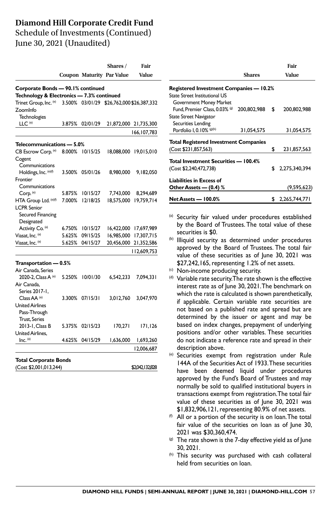#### **Diamond Hill Corporate Credit Fund**

Schedule of Investments (Continued) June 30, 2021 (Unaudited)

|                                                                  |        |          | Shares /                  | Fair                  |
|------------------------------------------------------------------|--------|----------|---------------------------|-----------------------|
|                                                                  |        |          | Coupon Maturity Par Value | Value                 |
| Corporate Bonds - 90.1% continued                                |        |          |                           |                       |
| Technology & Electronics - 7.3% continued                        |        |          |                           |                       |
| Trinet Group, Inc. (e) 3.500% 03/01/29 \$26,762,000 \$26,387,332 |        |          |                           |                       |
| ZoomInfo                                                         |        |          |                           |                       |
| <b>Technologies</b>                                              |        |          |                           |                       |
| $LLC$ <sup>(e)</sup>                                             | 3.875% | 02/01/29 |                           | 21,872,000 21,735,300 |
|                                                                  |        |          |                           | 166, 107, 783         |
| Telecommunications - 5.0%                                        |        |          |                           |                       |
| CB Escrow Corp. (e)                                              | 8.000% | 10/15/25 | 18.088.000                | 19,015,010            |
| Cogent                                                           |        |          |                           |                       |
| Communications                                                   |        |          |                           |                       |
| Holdings, Inc. (e)(f)                                            | 3.500% | 05/01/26 | 8,980,000                 | 9,182,050             |
| Frontier                                                         |        |          |                           |                       |
| Communications                                                   |        |          |                           |                       |
| Corp. <sup>(e)</sup>                                             | 5.875% | 10/15/27 | 7.743.000                 | 8,294,689             |
| HTA Group Ltd. (e)(f)                                            | 7.000% | 12/18/25 | 18.575.000                | 19,759,714            |
| <b>LCPR Senior</b>                                               |        |          |                           |                       |
| <b>Secured Financing</b>                                         |        |          |                           |                       |
| Designated                                                       |        |          |                           |                       |
| Activity Co. (e)                                                 | 6.750% | 10/15/27 | 16,422,000                | 17,697,989            |
| Viasat, Inc. (e)                                                 | 5.625% | 09/15/25 | 16,985,000                | 17,307,715            |
| Viasat, Inc. (e)                                                 | 5.625% | 04/15/27 | 20,456,000                |                       |
|                                                                  |        |          |                           | 21,352,586            |
|                                                                  |        |          |                           | 112,609,753           |
| Transportation - 0.5%                                            |        |          |                           |                       |
| Air Canada, Series                                               |        |          |                           |                       |
| 2020-2, Class A (e)                                              | 5.250% | 10/01/30 | 6,542,233                 | 7,094,331             |
| Air Canada.                                                      |        |          |                           |                       |
| Series 2017-1,                                                   |        |          |                           |                       |
| Class AA <sup>(e)</sup>                                          | 3.300% | 07/15/31 | 3,012,760                 | 3,047,970             |
| <b>United Airlines</b>                                           |        |          |                           |                       |
| Pass-Through                                                     |        |          |                           |                       |
| <b>Trust, Series</b>                                             |        |          |                           |                       |
| 2013-1, Class B                                                  | 5.375% | 02/15/23 | 170,271                   | 171,126               |
| United Airlines.                                                 |        |          |                           |                       |
| $Inc.$ <sup>(e)</sup>                                            | 4.625% | 04/15/29 | 1,636,000                 | 1,693,260             |
|                                                                  |        |          |                           | 12,006,687            |
|                                                                  |        |          |                           |                       |
| <b>Total Corporate Bonds</b>                                     |        |          |                           |                       |
| (Cost \$2,001,013,244)                                           |        |          |                           | \$2042.132828         |

|                                                |               |    | Fair             |
|------------------------------------------------|---------------|----|------------------|
|                                                | <b>Shares</b> |    | Value            |
| <b>Registered Investment Companies — 10.2%</b> |               |    |                  |
| State Street Institutional US                  |               |    |                  |
| Government Money Market                        |               |    |                  |
| Fund, Premier Class, 0.03% ®                   | 200.802.988   | \$ | 200,802,988      |
| State Street Navigator                         |               |    |                  |
| Securities Lending                             |               |    |                  |
| Portfolio I. 0.10% (g)(h)                      | 31,054,575    |    | 31,054,575       |
| <b>Total Registered Investment Companies</b>   |               |    |                  |
| (Cost \$231,857,563)                           |               | \$ | 231,857,563      |
| Total Investment Securities - 100.4%           |               |    |                  |
| (Cost \$2,240,472,738)                         |               |    | \$ 2.275.340.394 |
| <b>Liabilities in Excess of</b>                |               |    |                  |
|                                                |               |    |                  |
| Other Assets — (0.4) %                         |               |    | (9,595,623)      |
| <b>Net Assets - 100.0%</b>                     |               | S. | 2.265.744.771    |

(a) Security fair valued under procedures established by the Board of Trustees. The total value of these securities is \$0.

(b) Illiquid security as determined under procedures approved by the Board of Trustees. The total fair value of these securities as of June 30, 2021 was \$27,242,165, representing 1.2% of net assets.

- (c) Non-income producing security.
- (d) Variable rate security. The rate shown is the effective interest rate as of June 30, 2021. The benchmark on which the rate is calculated is shown parenthetically, if applicable. Certain variable rate securities are not based on a published rate and spread but are determined by the issuer or agent and may be based on index changes, prepayment of underlying positions and/or other variables. These securities do not indicate a reference rate and spread in their description above.
- (e) Securities exempt from registration under Rule 144A of the Securities Act of 1933. These securities have been deemed liquid under procedures approved by the Fund's Board of Trustees and may normally be sold to qualified institutional buyers in transactions exempt from registration. The total fair value of these securities as of June 30, 2021 was \$1,832,906,121, representing 80.9% of net assets.
- $(6)$  All or a portion of the security is on loan. The total fair value of the securities on loan as of June 30, 2021 was \$30,360,474.
- $($ g) The rate shown is the 7-day effective yield as of June 30, 2021.
- (h) This security was purchased with cash collateral held from securities on loan.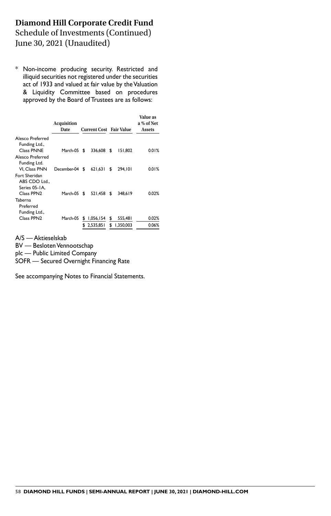## **Diamond Hill Corporate Credit Fund** Schedule of Investments (Continued) June 30, 2021 (Unaudited)

\* Non-income producing security. Restricted and illiquid securities not registered under the securities act of 1933 and valued at fair value by the Valuation & Liquidity Committee based on procedures approved by the Board of Trustees are as follows:

|                                                          | Acquisition<br><b>Date</b> | <b>Current Cost Fair Value</b> |                 | Value as<br>a % of Net<br>Assets |
|----------------------------------------------------------|----------------------------|--------------------------------|-----------------|----------------------------------|
| Alesco Preferred<br>Funding Ltd.,<br><b>Class PNNE</b>   | March-05 \$                | 336,608                        | \$<br>151.802   | 0.01%                            |
| Alesco Preferred<br>Funding Ltd.<br><b>VI. Class PNN</b> | December-04 \$             | 621.631                        | \$<br>294.101   | 0.01%                            |
| Fort Sheridan<br>ABS CDO Ltd.,<br>Series 05-1A.          |                            |                                |                 |                                  |
| Class PPN <sub>2</sub><br>Taberna                        | March-05 \$                | 521.458                        | \$<br>348.619   | 0.02%                            |
| Preferred<br>Funding Ltd.,                               |                            |                                |                 |                                  |
| Class PPN <sub>2</sub>                                   | March-05                   | \$<br>1,056,154                | \$<br>555,481   | 0.02%                            |
|                                                          |                            | \$<br>2.535.851                | \$<br>1.350.003 | 0.06%                            |

A/S — Aktieselskab

BV — Besloten Vennootschap

plc — Public Limited Company

SOFR — Secured Overnight Financing Rate

See accompanying Notes to Financial Statements.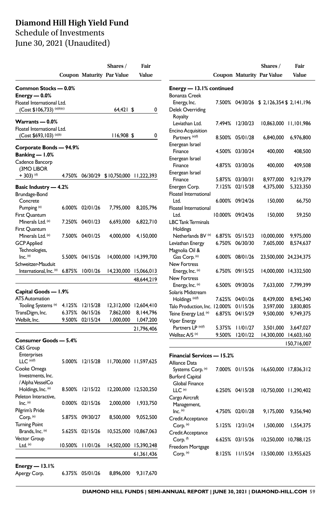## **Diamond Hill High Yield Fund**

## Schedule of Investments June 30, 2021 (Unaudited)

|                                               |         |          | Shares /                  | Fair       |
|-----------------------------------------------|---------|----------|---------------------------|------------|
|                                               |         |          | Coupon Maturity Par Value | Value      |
|                                               |         |          |                           |            |
| Common Stocks - 0.0%<br>Energy $-0.0%$        |         |          |                           |            |
| Floatel International Ltd.                    |         |          |                           |            |
| (Cost \$106,733) (a)(b)(c)                    |         |          | 64,421 \$                 | 0          |
|                                               |         |          |                           |            |
| Warrants — 0.0%                               |         |          |                           |            |
| Floatel International Ltd.                    |         |          |                           |            |
| (Cost \$693,103) (a)(b)                       |         |          | 116,908 \$                | 0          |
| Corporate Bonds - 94.9%<br>Banking — 1.0%     |         |          |                           |            |
| Cadence Bancorp                               |         |          |                           |            |
| (3MO LIBOR                                    |         |          |                           |            |
| $+303$ ) (d)                                  | 4.750%  | 06/30/29 | \$10,750,000              | 11,222,393 |
| Basic Industry - 4.2%                         |         |          |                           |            |
| Brundage-Bond                                 |         |          |                           |            |
| Concrete                                      |         |          |                           |            |
| Pumping <sup>(e)</sup>                        | 6.000%  | 02/01/26 | 7,795,000                 | 8,205,796  |
| First Quantum                                 |         |          |                           |            |
| Minerals Ltd. (e)                             | 7.250%  | 04/01/23 | 6,693,000                 | 6,822,710  |
| First Quantum                                 |         |          |                           |            |
| Minerals Ltd. (e)                             | 7.500%  | 04/01/25 | 4,000,000                 | 4,150,000  |
| <b>GCP</b> Applied                            |         |          |                           |            |
| Technologies,<br>Inc. (e)                     | 5.500%  | 04/15/26 | 14,000,000                | 14,399,700 |
| Schweitzer-Mauduit                            |         |          |                           |            |
| International, Inc. (e)                       | 6.875%  | 10/01/26 | 14,230,000                | 15,066,013 |
|                                               |         |          |                           | 48,644,219 |
|                                               |         |          |                           |            |
| Capital Goods - 1.9%                          |         |          |                           |            |
| <b>ATS Automation</b><br>Tooling Systems (e)  | 4.125%  | 12/15/28 | 12,312,000                | 12,604,410 |
| TransDigm, Inc.                               | 6.375%  | 06/15/26 | 7,862,000                 | 8,144,796  |
| Welbilt, Inc.                                 | 9.500%  | 02/15/24 | 1,000,000                 | 1,047,200  |
|                                               |         |          |                           | 21,796,406 |
|                                               |         |          |                           |            |
| Consumer Goods - 5.4%                         |         |          |                           |            |
| C&S Group                                     |         |          |                           |            |
| <b>Enterprises</b><br>$LLC$ <sup>(e)(f)</sup> | 5.000%  | 12/15/28 | 11.700.000                |            |
| Cooke Omega                                   |         |          |                           | 11,597,625 |
| Investments, Inc.                             |         |          |                           |            |
| / Alpha VesselCo                              |         |          |                           |            |
| Holdings, Inc. (e)                            | 8.500%  | 12/15/22 | 12,200,000                | 12,520,250 |
| Peleton Interactive,                          |         |          |                           |            |
| $Inc.$ <sup>(e)</sup>                         | 0.000%  | 02/15/26 | 2,000,000                 | 1,933,750  |
| Pilgrim's Pride                               |         |          |                           |            |
| Corp. <sup>(e)</sup>                          | 5.875%  | 09/30/27 | 8,500,000                 | 9,052,500  |
| <b>Turning Point</b><br>Brands, Inc. (e)      | 5.625%  | 02/15/26 | 10,525,000                | 10,867,063 |
| Vector Group                                  |         |          |                           |            |
| Ltd. $(e)$                                    | 10.500% | 11/01/26 | 14,502,000                | 15,390,248 |
|                                               |         |          |                           | 61,361,436 |
|                                               |         |          |                           |            |
| Energy - 13.1%                                |         |          |                           |            |

| Apergy Corp. | 6.375% 05/01/26 | 8,896,000 9,317,670 |  |
|--------------|-----------------|---------------------|--|

|                                          |         |          | Shares /                           | Fair                  |
|------------------------------------------|---------|----------|------------------------------------|-----------------------|
|                                          |         |          | Coupon Maturity Par Value          | Value                 |
| Energy - 13.1% continued                 |         |          |                                    |                       |
| <b>Bonanza Creek</b>                     |         |          |                                    |                       |
| Energy, Inc.                             | 7.500%  |          | 04/30/26 \$ 2,126,354 \$ 2,141,196 |                       |
| <b>Delek Overriding</b>                  |         |          |                                    |                       |
| Royalty                                  |         |          |                                    |                       |
| Leviathan Ltd.                           | 7.494%  | 12/30/23 | 10,863,000                         | 11,101,986            |
| <b>Encino Acquisition</b>                |         |          |                                    |                       |
| Partners <sup>(e)(f)</sup>               | 8.500%  | 05/01/28 | 6,840,000                          | 6,976,800             |
| Energean Israel                          |         |          |                                    |                       |
| Finance                                  | 4.500%  | 03/30/24 | 400,000                            | 408,500               |
| Energean Israel                          | 4.875%  | 03/30/26 |                                    |                       |
| Finance                                  |         |          | 400,000                            | 409,508               |
| Energean Israel<br>Finance               | 5.875%  | 03/30/31 | 8,977,000                          | 9,219,379             |
| Energen Corp.                            | 7.125%  | 02/15/28 | 4,375,000                          | 5,323,350             |
| Floatel International                    |         |          |                                    |                       |
| Ltd.                                     | 6.000%  | 09/24/26 | 150,000                            | 66,750                |
| Floatel International                    |         |          |                                    |                       |
| Ltd.                                     | 10.000% | 09/24/26 | 150,000                            | 59,250                |
| <b>LBC Tank Terminals</b>                |         |          |                                    |                       |
| Holdings                                 |         |          |                                    |                       |
| Netherlands BV <sup>(e)</sup>            | 6.875%  | 05/15/23 | 10,000,000                         | 9,975,000             |
| Leviathan Energy                         | 6.750%  | 06/30/30 | 7,605,000                          | 8,574,637             |
| Magnolia Oil &                           |         |          |                                    |                       |
| Gas Corp. <sup>(e)</sup>                 | 6.000%  | 08/01/26 |                                    | 23,500,000 24,234,375 |
| New Fortress                             |         |          |                                    |                       |
| Energy, Inc. (e)                         | 6.750%  | 09/15/25 | 14,000,000                         | 14,332,500            |
| <b>New Fortress</b>                      |         |          |                                    |                       |
| Energy, Inc. (e)                         | 6.500%  | 09/30/26 | 7,633,000                          | 7,799,399             |
| Solaris Midstream                        |         |          |                                    |                       |
| Holdings <sup>(e)(f)</sup>               | 7.625%  | 04/01/26 | 8,439,000                          | 8,945,340             |
| Talo Production, Inc.                    | 12.000% | 01/15/26 | 3,597,000                          | 3,830,805             |
| Teine Energy Ltd. (e)                    | 6.875%  | 04/15/29 | 9,500,000                          | 9,749,375             |
| Viper Energy                             |         |          |                                    |                       |
| Partners LP (e)(f)                       | 5.375%  | 11/01/27 | 3,501,000                          | 3,647,027             |
| Welltec A/S (e)                          | 9.500%  | 12/01/22 | 14,300,000                         | 14,603,160            |
|                                          |         |          |                                    | 150,716,007           |
|                                          |         |          |                                    |                       |
| <b>Financial Services - 15.2%</b>        |         |          |                                    |                       |
| Alliance Data                            |         |          |                                    |                       |
| Systems Corp. (e)                        | 7.000%  | 01/15/26 | 16,650,000                         | 17,836,312            |
| <b>Burford Capital</b>                   |         |          |                                    |                       |
| <b>Global Finance</b>                    |         |          |                                    |                       |
| LLC <sup>(e)</sup>                       | 6.250%  | 04/15/28 | 10,750,000                         | 11,290,402            |
| Cargo Aircraft                           |         |          |                                    |                       |
| Management,                              |         |          |                                    |                       |
| $Inc.$ <sup>(e)</sup>                    | 4.750%  | 02/01/28 | 9,175,000                          | 9,356,940             |
| Credit Acceptance                        |         |          |                                    |                       |
| Corp. <sup>(e)</sup>                     | 5.125%  | 12/31/24 | 1,500,000                          | 1,554,375             |
| Credit Acceptance                        | 6.625%  | 03/15/26 |                                    |                       |
| Corp. (f)                                |         |          | 10.250.000                         | 10,788,125            |
| Freedom Mortgage<br>Corp. <sup>(e)</sup> | 8.125%  | 11/15/24 | 13,500,000                         | 13,955,625            |
|                                          |         |          |                                    |                       |
|                                          |         |          |                                    |                       |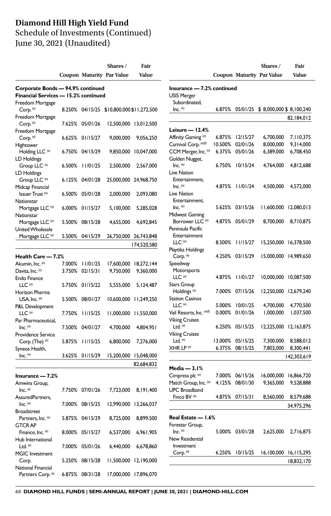## **Diamond Hill High Yield Fund**

## Schedule of Investments (Continued) June 30, 2021 (Unaudited)

|                                                           |        |          | Shares/                   | Fair        |
|-----------------------------------------------------------|--------|----------|---------------------------|-------------|
|                                                           |        |          | Coupon Maturity Par Value | Value       |
| Corporate Bonds - 94.9% continued                         |        |          |                           |             |
| Financial Services - 15.2% continued                      |        |          |                           |             |
| Freedom Mortgage                                          |        |          |                           |             |
| Corp. <sup>(e)</sup>                                      | 8.250% | 04/15/25 | \$10,800,000\$11,272,500  |             |
| Freedom Mortgage<br>Corp. <sup>(e)</sup>                  | 7.625% | 05/01/26 | 12,500,000                | 13,012,500  |
| Freedom Mortgage<br>Corp. <sup>(e)</sup>                  | 6.625% | 01/15/27 | 9,000,000                 | 9,056,250   |
| Hightower<br>Holding LLC <sup>(e)</sup>                   | 6.750% | 04/15/29 | 9,850,000                 | 10,047,000  |
| LD Holdings<br>Group LLC <sup>(e)</sup>                   | 6.500% | 11/01/25 | 2,500,000                 | 2,567,000   |
| LD Holdings                                               | 6.125% | 04/01/28 | 25,000,000                | 24,968,750  |
| Group LLC <sup>(e)</sup><br>Midcap Financial              |        |          |                           |             |
| Issuer Trust <sup>(e)</sup><br>Nationstar                 | 6.500% | 05/01/28 | 2,000,000                 | 2,093,080   |
| Mortgage LLC <sup>(e)</sup><br>Nationstar                 | 6.000% | 01/15/27 | 5,100,000                 | 5,285,028   |
| Mortgage LLC <sup>(e)</sup>                               | 5.500% | 08/15/28 | 4,655,000                 | 4,692,845   |
| United Wholesale<br>Mortgage LLC <sup>(e)</sup>           | 5.500% | 04/15/29 | 26,750,000                | 26,743,848  |
|                                                           |        |          |                           | 174,520,580 |
| Health Care - 7.2%                                        |        |          |                           |             |
| Akumin, Inc. (e)                                          | 7.000% | 11/01/25 | 17,600,000                | 18,272,144  |
| Davita, Inc. (e)                                          | 3.750% | 02/15/31 | 9,750,000                 | 9,360,000   |
| <b>Endo Finance</b>                                       |        |          |                           |             |
| $LLC$ <sup>(e)</sup>                                      | 5.750% | 01/15/22 | 5,555,000                 | 5,124,487   |
| Horizon Pharma<br>USA, Inc. (e)                           | 5.500% | 08/01/27 | 10,600,000                | 11,249,250  |
| P&L Development<br>$LLC$ <sup>(e)</sup>                   | 7.750% | 11/15/25 | 11,000,000                | 11,550,000  |
| Par Pharmaceutical,<br>$Inc.$ <sup>(e)</sup>              | 7.500% | 04/01/27 | 4,700,000                 | 4,804,951   |
| Providence Service                                        |        |          |                           |             |
| Corp. (The) <sup>(e)</sup><br>Syneos Health,              | 5.875% | 11/15/25 | 6.800.000                 | 7.276.000   |
| $Inc.$ <sup>(e)</sup>                                     | 3.625% | 01/15/29 | 15,200,000                | 15,048,000  |
|                                                           |        |          |                           | 82,684,832  |
| Insurance - 7.2%<br>Amwins Group,                         |        |          |                           |             |
| $Inc.$ <sup>(e)</sup>                                     | 7.750% | 07/01/26 | 7,723,000                 | 8,191,400   |
| AssuredPartners,<br>$Inc.$ <sup>(e)</sup>                 | 7.000% | 08/15/25 | 12,990,000                | 13,266,037  |
| <b>Broadstreet</b><br>Partners, Inc. (e)<br><b>GTCRAP</b> | 5.875% | 04/15/29 | 8,725,000                 | 8,899,500   |
| Finance, Inc. (e)                                         | 8.000% | 05/15/27 | 6,537,000                 | 6,961,905   |
| Hub International<br>Ltd. $(e)$                           | 7.000% | 05/01/26 | 6,440,000                 | 6,678,860   |
| <b>MGIC</b> Investment<br>Corp.                           | 5.250% | 08/15/28 | 11,500,000                | 12,190,000  |
| National Financial<br>Partners Corp. (e)                  | 6.875% | 08/31/28 | 17,000,000                | 17,896,070  |

|                                                  |         |          | Coupon Maturity Par Value | Value       |
|--------------------------------------------------|---------|----------|---------------------------|-------------|
| Insurance - 7.2% continued<br><b>USIS Merger</b> |         |          |                           |             |
| Subordinated,                                    |         |          |                           |             |
| Inc. (e)                                         | 6.875%  | 05/01/25 | \$8,000,000 \$8,100,240   |             |
|                                                  |         |          |                           | 82,184,012  |
| Leisure $-12.4%$                                 |         |          |                           |             |
| Affinity Gaming (e)                              | 6.875%  | 12/15/27 | 6,700,000                 | 7,110,375   |
| Carnival Corp. (e)(f)                            | 10.500% | 02/01/26 | 8.000.000                 | 9,314,000   |
| CCM Merger, Inc. (e)                             | 6.375%  | 05/01/26 | 6,389,000                 | 6,708,450   |
| Golden Nugget,                                   |         |          |                           |             |
| $Inc.$ <sup>(e)</sup>                            | 6.750%  | 10/15/24 | 4.764.000                 | 4.812.688   |
| Live Nation                                      |         |          |                           |             |
| Entertainment,                                   |         |          |                           |             |
| $Inc.$ <sup>(e)</sup>                            | 4.875%  | 11/01/24 | 4,500,000                 | 4,572,000   |
| Live Nation                                      |         |          |                           |             |
| Entertainment,                                   |         |          |                           |             |
| $Inc.$ <sup>(e)</sup>                            | 5.625%  | 03/15/26 | 11,600,000                | 12,080,013  |
| Midwest Gaming                                   |         |          |                           |             |
| Borrower LLC <sup>(e)</sup>                      | 4.875%  | 05/01/29 | 8,700,000                 | 8,710,875   |
| Peninsula Pacific                                |         |          |                           |             |
| Entertainment                                    |         |          |                           |             |
| LLC <sup>(e)</sup>                               | 8.500%  | 11/15/27 | 15,250,000                | 16,378,500  |
| Playtika Holdings                                |         |          |                           |             |
| Corp. <sup>(e)</sup>                             | 4.250%  | 03/15/29 | 15.000.000                | 14.989.650  |
| Speedway                                         |         |          |                           |             |
| Motorsports                                      |         |          |                           |             |
| LLC <sup>(e)</sup>                               | 4.875%  | 11/01/27 | 10,000,000                | 10,087,500  |
| <b>Stars Group</b>                               |         |          |                           |             |
| Holdings <sup>(e)</sup>                          | 7.000%  | 07/15/26 | 12,250,000                | 12,679,240  |
| <b>Station Casinos</b>                           |         |          |                           |             |
| $LLC$ <sup>(e)</sup>                             | 5.000%  | 10/01/25 | 4,700,000                 | 4,770,500   |
| Vail Resorts, Inc. (e)(f)                        | 0.000%  | 01/01/26 | 1,000,000                 | 1,037,500   |
| <b>Viking Cruises</b>                            |         |          |                           |             |
| Ltd. <sup>(e)</sup>                              | 6.250%  | 05/15/25 | 12,225,000                | 12,163,875  |
| <b>Viking Cruises</b>                            |         |          |                           |             |
| Ltd. (e)                                         | 13.000% | 05/15/25 | 7,300,000                 | 8,588,012   |
| XHR LP <sup>(e)</sup>                            | 6.375%  | 08/15/25 | 7,803,000                 | 8,300,441   |
|                                                  |         |          |                           |             |
|                                                  |         |          |                           | 142,303,619 |
| Media - 3.1%                                     |         |          |                           |             |
| Cimpress plc (e)                                 | 7.000%  | 06/15/26 | 16,000,000                | 16,866,720  |
| Match Group, Inc. (e)                            | 4.125%  | 08/01/30 | 9,365,000                 | 9,528,888   |
| <b>UPC Broadband</b>                             |         |          |                           |             |
| Finco BV <sup>(e)</sup>                          | 4.875%  | 07/15/31 | 8,560,000                 | 8,579,688   |
|                                                  |         |          |                           | 34,975,296  |
| Real Estate - 1.6%                               |         |          |                           |             |
|                                                  |         |          |                           |             |
| Forestar Group,                                  |         |          |                           |             |
| $Inc.$ <sup>(e)</sup>                            | 5.000%  | 03/01/28 | 2,625,000                 | 2,716,875   |
| New Residential                                  |         |          |                           |             |
| Investment                                       |         |          |                           |             |
| Corp. <sup>(e)</sup>                             | 6.250%  | 10/15/25 | 16,100,000                | 16,115,295  |
|                                                  |         |          |                           | 18,832,170  |

**Shares /** 

**Fair**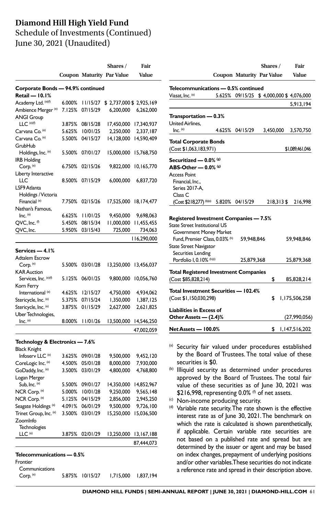#### **Diamond Hill High Yield Fund**

#### Schedule of Investments (Continued) June 30, 2021 (Unaudited)

|                                   |        |                 | Shares/                   | Fair        |
|-----------------------------------|--------|-----------------|---------------------------|-------------|
|                                   |        |                 | Coupon Maturity Par Value | Value       |
| Corporate Bonds - 94.9% continued |        |                 |                           |             |
| Retail - 10.1%                    |        |                 |                           |             |
| Academy Ltd. (e)(f)               | 6.000% | 11/15/27        | \$2,737,000 \$2,925,169   |             |
| Ambience Merger <sup>(e)</sup>    | 7.125% | 07/15/29        | 6,200,000                 | 6,262,000   |
| <b>ANGI Group</b>                 |        |                 |                           |             |
| $LLC$ <sup>(e)(f)</sup>           | 3.875% | 08/15/28        | 17,450,000                | 17,340,937  |
| Carvana Co. (e)                   | 5.625% | 10/01/25        | 2,250,000                 | 2,337,187   |
| Carvana Co. (e)                   | 5.500% | 04/15/27        | 14,128,000                | 14,590,409  |
| GrubHub                           |        |                 |                           |             |
| Holdings, Inc. (e)                | 5.500% | 07/01/27        | 15,000,000                | 15,768,750  |
| <b>IRB Holding</b>                |        |                 |                           |             |
| Corp. <sup>(e)</sup>              | 6.750% | 02/15/26        | 9.822.000                 | 10,165,770  |
| Liberty Interactive               |        |                 |                           |             |
| LLC                               | 8.500% | 07/15/29        | 6,000,000                 | 6,837,720   |
| LSF9 Atlanta                      |        |                 |                           |             |
| Holdings / Victoria               |        |                 |                           |             |
| Financial <sup>(e)</sup>          | 7.750% | 02/15/26        | 17,525,000                | 18,174,477  |
| Nathan's Famous,                  |        |                 |                           |             |
| Inc. (e)                          | 6.625% | 11/01/25        | 9,450,000                 | 9,698,063   |
| QVC, Inc. (f)                     | 5.450% | 08/15/34        | 11,000,000                | 11,455,455  |
| QVC, Inc.                         | 5.950% | 03/15/43        | 725,000                   | 734,063     |
|                                   |        |                 |                           | 116,290,000 |
|                                   |        |                 |                           |             |
| Services - 4.1%                   |        |                 |                           |             |
| Adtalem Escrow                    |        |                 |                           |             |
| Corp. <sup>(e)</sup>              | 5.500% | 03/01/28        | 13,250,000                | 13,456,037  |
| <b>KAR Auction</b>                |        |                 |                           |             |
| Services, Inc. (e)(f)             | 5.125% | 06/01/25        | 9,800,000                 | 10,056,760  |
| Korn Ferry                        |        |                 |                           |             |
| International <sup>(e)</sup>      | 4.625% | 12/15/27        | 4,750,000                 | 4,934,062   |
| Stericycle, Inc. (e)              | 5.375% | 07/15/24        | 1,350,000                 | 1,387,125   |
| Stericycle, Inc. (e)              | 3.875% | 01/15/29        | 2,627,000                 | 2,621,825   |
| Uber Technologies,                |        |                 |                           |             |
| $Inc.$ <sup>(e)</sup>             | 8.000% | 11/01/26        | 13,500,000                | 14,546,250  |
|                                   |        |                 |                           | 47,002,059  |
|                                   |        |                 |                           |             |
| Technology & Electronics - 7.6%   |        |                 |                           |             |
| <b>Black Knight</b>               | 3.625% | 09/01/28        |                           |             |
| Infoserv LLC <sup>(e)</sup>       |        |                 | 9,500,000                 | 9,452,120   |
| CoreLogic Inc. (e)                | 4.500% | 05/01/28        | 8,000,000                 | 7,930,000   |
| GoDaddy, Inc. (e)                 | 3.500% | 03/01/29        | 4,800,000                 | 4,768,800   |
| Logan Merger                      |        |                 |                           |             |
| Sub, Inc. (e)                     | 5.500% | 09/01/27        | 14,350,000                | 14,852,967  |
| NCR Corp. <sup>(e)</sup>          | 5.000% | 10/01/28        | 9,250,000                 | 9,565,148   |
| NCR Corp. <sup>(e)</sup>          | 5.125% | 04/15/29        | 2,856,000                 | 2,945,250   |
| Seagate Holdings <sup>(e)</sup>   | 4.091% | 06/01/29        | 9,500,000                 | 9,726,100   |
| Trinet Group, Inc. (e)            | 3.500% | 03/01/29        | 15,250,000                | 15,036,500  |
| ZoomInfo                          |        |                 |                           |             |
| <b>Technologies</b>               |        |                 |                           |             |
| LLC <sup>(e)</sup>                |        | 3.875% 02/01/29 | 13,250,000                | 13,167,188  |
|                                   |        |                 |                           | 87,444,073  |
| Telecommunications - 0.5%         |        |                 |                           |             |

| Frontier |                |
|----------|----------------|
|          | `ommunications |

| <b>CUTHININGUOIS</b> |                 |                     |  |
|----------------------|-----------------|---------------------|--|
| Corp. <sup>(e)</sup> | 5.875% 10/15/27 | 1,715,000 1,837,194 |  |

|                                                                                                                  |                                         | энагсэ /  |                    |
|------------------------------------------------------------------------------------------------------------------|-----------------------------------------|-----------|--------------------|
|                                                                                                                  | Coupon Maturity Par Value               |           | Value              |
| Telecommunications - 0.5% continued                                                                              |                                         |           |                    |
| Viasat, Inc. (e)                                                                                                 | 5.625% 09/15/25 \$4,000,000 \$4,076,000 |           |                    |
|                                                                                                                  |                                         |           |                    |
|                                                                                                                  |                                         |           | 5,913,194          |
| Transportation - 0.3%                                                                                            |                                         |           |                    |
| United Airlines.                                                                                                 |                                         |           |                    |
| $Inc.$ <sup>(e)</sup>                                                                                            | 4.625% 04/15/29                         | 3,450,000 | 3,570,750          |
| <b>Total Corporate Bonds</b>                                                                                     |                                         |           |                    |
| (Cost \$1,063,183,971)                                                                                           |                                         |           | \$1,089,461,046    |
|                                                                                                                  |                                         |           |                    |
| Securitized $-$ 0.0% $(8)$                                                                                       |                                         |           |                    |
| $\mathsf{ABS}\text{-}\mathsf{Other}\boldsymbol{\mathop{=}}0.0\%$ (g)                                             |                                         |           |                    |
| <b>Access Point</b>                                                                                              |                                         |           |                    |
| Financial, Inc.,                                                                                                 |                                         |           |                    |
| Series 2017-A,                                                                                                   |                                         |           |                    |
| Class <sub>C</sub>                                                                                               |                                         |           |                    |
| (Cost \$218,277) (b)(e) 5.820% 04/15/29                                                                          |                                         |           | 218,313 \$ 216,998 |
| <b>Registered Investment Companies - 7.5%</b><br>State Street Institutional US<br><b>Government Money Market</b> |                                         |           |                    |
| Fund, Premier Class, 0.03% (h) 59,948,846                                                                        |                                         |           | 59,948,846         |
| <b>State Street Navigator</b>                                                                                    |                                         |           |                    |
| Securities Lending                                                                                               |                                         |           |                    |
| Portfolio I, 0.10% (h)(i)                                                                                        | 25,879,368                              |           | 25,879,368         |
| <b>Total Registered Investment Companies</b>                                                                     |                                         |           |                    |
| (Cost \$85,828,214)                                                                                              |                                         | \$        | 85,828,214         |
| Total Investment Securities — 102.4%                                                                             |                                         |           |                    |
| (Cost \$1,150,030,298)                                                                                           |                                         | \$        | 1,175,506,258      |
| <b>Liabilities in Excess of</b>                                                                                  |                                         |           |                    |
| Other Assets - (2.4)%                                                                                            |                                         |           | (27,990,056)       |
| Net Assets - 100.0%                                                                                              |                                         | \$        | 1,147,516,202      |

**Shares /** 

**Fair**

(a) Security fair valued under procedures established by the Board of Trustees. The total value of these securities is \$0.

- (b) Illiquid security as determined under procedures approved by the Board of Trustees. The total fair value of these securities as of June 30, 2021 was \$216,998, representing 0.0% <sup>(f)</sup> of net assets.
- (c) Non-income producing security.
- (d) Variable rate security. The rate shown is the effective interest rate as of June 30, 2021. The benchmark on which the rate is calculated is shown parenthetically, if applicable. Certain variable rate securities are not based on a published rate and spread but are determined by the issuer or agent and may be based on index changes, prepayment of underlying positions and/or other variables. These securities do not indicate a reference rate and spread in their description above.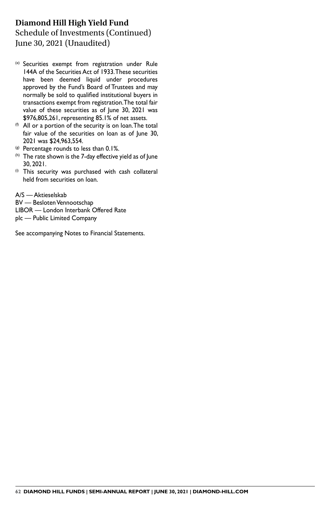#### **Diamond Hill High Yield Fund** Schedule of Investments (Continued) June 30, 2021 (Unaudited)

- (e) Securities exempt from registration under Rule 144A of the Securities Act of 1933. These securities have been deemed liquid under procedures approved by the Fund's Board of Trustees and may normally be sold to qualified institutional buyers in transactions exempt from registration. The total fair value of these securities as of June 30, 2021 was \$976,805,261, representing 85.1% of net assets.
- $<sup>(f)</sup>$  All or a portion of the security is on loan. The total</sup> fair value of the securities on loan as of June 30, 2021 was \$24,963,554.
- (g) Percentage rounds to less than 0.1%.
- (h) The rate shown is the 7-day effective yield as of June 30, 2021.
- (i) This security was purchased with cash collateral held from securities on loan.
- A/S Aktieselskab
- BV Besloten Vennootschap
- LIBOR London Interbank Offered Rate
- plc Public Limited Company

See accompanying Notes to Financial Statements.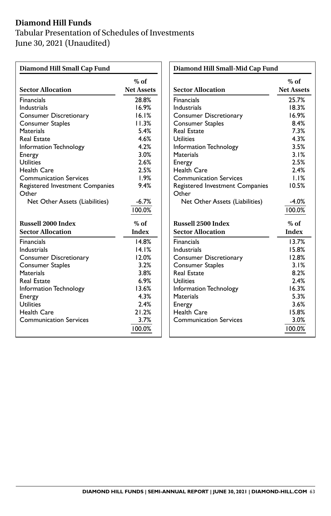$\blacksquare$ 

## Tabular Presentation of Schedules of Investments June 30, 2021 (Unaudited)

| Diamond Hill Small Cap Fund              |                             | Diamond Hill Small-Mid Cap Fund          |                             |
|------------------------------------------|-----------------------------|------------------------------------------|-----------------------------|
| <b>Sector Allocation</b>                 | $%$ of<br><b>Net Assets</b> | <b>Sector Allocation</b>                 | $%$ of<br><b>Net Assets</b> |
| <b>Financials</b>                        | 28.8%                       | <b>Financials</b>                        | 25.7%                       |
| Industrials                              | 16.9%                       | <b>Industrials</b>                       | 18.3%                       |
| <b>Consumer Discretionary</b>            | 16.1%                       | <b>Consumer Discretionary</b>            | 16.9%                       |
| <b>Consumer Staples</b>                  | 11.3%                       | <b>Consumer Staples</b>                  | 8.4%                        |
| <b>Materials</b>                         | 5.4%                        | Real Estate                              | 7.3%                        |
| <b>Real Estate</b>                       | 4.6%                        | <b>Utilities</b>                         | 4.3%                        |
| Information Technology                   | 4.2%                        | Information Technology                   | 3.5%                        |
| Energy                                   | 3.0%                        | <b>Materials</b>                         | 3.1%                        |
| <b>Utilities</b>                         | 2.6%                        | Energy                                   | 2.5%                        |
| <b>Health Care</b>                       | 2.5%                        | <b>Health Care</b>                       | 2.4%                        |
| <b>Communication Services</b>            | 1.9%                        | <b>Communication Services</b>            | 1.1%                        |
| Registered Investment Companies<br>Other | 9.4%                        | Registered Investment Companies<br>Other | 10.5%                       |
| Net Other Assets (Liabilities)           | $-6.7%$                     | Net Other Assets (Liabilities)           | $-4.0%$                     |
|                                          | 100.0%                      |                                          | 100.0%                      |
| <b>Russell 2000 Index</b>                | $%$ of                      | Russell 2500 Index                       | $%$ of                      |
| <b>Sector Allocation</b>                 | <b>Index</b>                | <b>Sector Allocation</b>                 | <b>Index</b>                |
| <b>Financials</b>                        | 14.8%                       | <b>Financials</b>                        | 13.7%                       |
| Industrials                              | 14.1%                       | <b>Industrials</b>                       | 15.8%                       |
| <b>Consumer Discretionary</b>            | 12.0%                       | <b>Consumer Discretionary</b>            | 12.8%                       |
| <b>Consumer Staples</b>                  | 3.2%                        | <b>Consumer Staples</b>                  | 3.1%                        |
| <b>Materials</b>                         | 3.8%                        | Real Estate                              | 8.2%                        |
| <b>Real Estate</b>                       | 6.9%                        | <b>Utilities</b>                         | 2.4%                        |
| Information Technology                   | 13.6%                       | Information Technology                   | 16.3%                       |
| Energy                                   | 4.3%                        | Materials                                | 5.3%                        |
| <b>Utilities</b>                         | 2.4%                        | Energy                                   | 3.6%                        |
| Health Care                              | 21.2%                       | <b>Health Care</b>                       | 15.8%                       |
| <b>Communication Services</b>            | 3.7%                        | <b>Communication Services</b>            | 3.0%                        |
|                                          | 100.0%                      |                                          | 100.0%                      |

 $\overline{1}$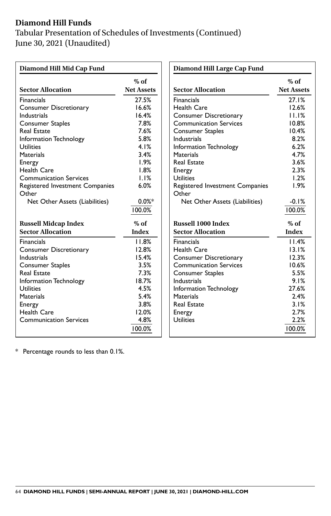Tabular Presentation of Schedules of Investments (Continued) June 30, 2021 (Unaudited)

| Diamond Hill Mid Cap Fund       |                             | Diamond Hill Large Cap Fund     |                             |
|---------------------------------|-----------------------------|---------------------------------|-----------------------------|
| <b>Sector Allocation</b>        | $%$ of<br><b>Net Assets</b> | <b>Sector Allocation</b>        | $%$ of<br><b>Net Assets</b> |
| <b>Financials</b>               | 27.5%                       | <b>Financials</b>               | 27.1%                       |
| <b>Consumer Discretionary</b>   | 16.6%                       | Health Care                     | 12.6%                       |
| Industrials                     | 16.4%                       | <b>Consumer Discretionary</b>   | 11.1%                       |
| <b>Consumer Staples</b>         | 7.8%                        | <b>Communication Services</b>   | 10.8%                       |
| <b>Real Estate</b>              | 7.6%                        | <b>Consumer Staples</b>         | 10.4%                       |
| Information Technology          | 5.8%                        | Industrials                     | 8.2%                        |
| <b>Utilities</b>                | 4.1%                        | Information Technology          | 6.2%                        |
| <b>Materials</b>                | 3.4%                        | <b>Materials</b>                | 4.7%                        |
| Energy                          | 1.9%                        | Real Estate                     | 3.6%                        |
| Health Care                     | 1.8%                        | Energy                          | 2.3%                        |
| <b>Communication Services</b>   | 1.1%                        | <b>Utilities</b>                | 1.2%                        |
| Registered Investment Companies | 6.0%                        | Registered Investment Companies | 1.9%                        |
| Other                           |                             | Other                           |                             |
| Net Other Assets (Liabilities)  | $0.0%$ *                    | Net Other Assets (Liabilities)  | $-0.1%$                     |
|                                 | 100.0%                      |                                 | 100.0%                      |
| <b>Russell Midcap Index</b>     | $%$ of                      | <b>Russell 1000 Index</b>       | $%$ of                      |
| <b>Sector Allocation</b>        | <b>Index</b>                | <b>Sector Allocation</b>        | <b>Index</b>                |
| <b>Financials</b>               | 11.8%                       | <b>Financials</b>               | 11.4%                       |
| <b>Consumer Discretionary</b>   | 12.8%                       | Health Care                     | 13.1%                       |
| Industrials                     | 15.4%                       | <b>Consumer Discretionary</b>   | 12.3%                       |
| <b>Consumer Staples</b>         | 3.5%                        | <b>Communication Services</b>   | 10.6%                       |
| <b>Real Estate</b>              | 7.3%                        | <b>Consumer Staples</b>         | 5.5%                        |
| Information Technology          | 18.7%                       | <b>Industrials</b>              | 9.1%                        |
| <b>Utilities</b>                | 4.5%                        | Information Technology          | 27.6%                       |
| <b>Materials</b>                | 5.4%                        | <b>Materials</b>                | 2.4%                        |
| Energy                          | 3.8%                        | Real Estate                     | 3.1%                        |
| Health Care                     | 12.0%                       | Energy                          | 2.7%                        |
| <b>Communication Services</b>   | 4.8%                        | Utilities                       | 2.2%                        |
|                                 | 100.0%                      |                                 | 100.0%                      |
|                                 |                             |                                 |                             |

\* Percentage rounds to less than 0.1%.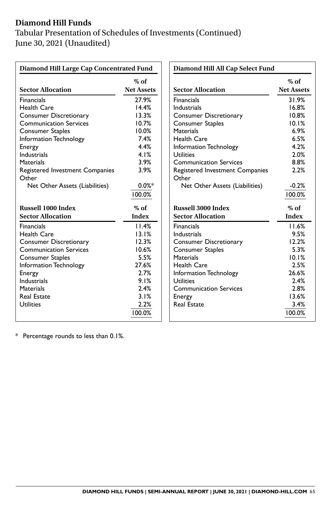Tabular Presentation of Schedules of Investments (Continued) June 30, 2021 (Unaudited)

| Diamond Hill Large Cap Concentrated Fund |                             | Diamond Hill All Cap Select Fund         |                   |
|------------------------------------------|-----------------------------|------------------------------------------|-------------------|
| <b>Sector Allocation</b>                 | $%$ of<br><b>Net Assets</b> | <b>Sector Allocation</b>                 | <b>Net Assets</b> |
| <b>Financials</b>                        | 27.9%                       | <b>Financials</b>                        |                   |
| Health Care                              | 14.4%                       | <b>Industrials</b>                       |                   |
| <b>Consumer Discretionary</b>            | 13.3%                       | <b>Consumer Discretionary</b>            |                   |
| <b>Communication Services</b>            | 10.7%                       | <b>Consumer Staples</b>                  |                   |
| <b>Consumer Staples</b>                  | 10.0%                       | <b>Materials</b>                         |                   |
| Information Technology                   | 7.4%                        | Health Care                              |                   |
| Energy                                   | 4.4%                        | Information Technology                   |                   |
| Industrials                              | 4.1%                        | <b>Utilities</b>                         |                   |
| Materials                                | 3.9%                        | <b>Communication Services</b>            |                   |
| Registered Investment Companies<br>Other | 3.9%                        | Registered Investment Companies<br>Other |                   |
| Net Other Assets (Liabilities)           | $0.0%$ *                    | Net Other Assets (Liabilities)           |                   |
|                                          | 100.0%                      |                                          | 100.0%            |
| <b>Russell 1000 Index</b>                | $%$ of                      | <b>Russell 3000 Index</b>                | $%$ of            |
| <b>Sector Allocation</b>                 | <b>Index</b>                | <b>Sector Allocation</b>                 | <b>Index</b>      |
| <b>Financials</b>                        | 11.4%                       | <b>Financials</b>                        |                   |
| <b>Health Care</b>                       | 13.1%                       | Industrials                              |                   |
| <b>Consumer Discretionary</b>            | 12.3%                       | <b>Consumer Discretionary</b>            | 12.2%             |
| <b>Communication Services</b>            | 10.6%                       | <b>Consumer Staples</b>                  |                   |
| <b>Consumer Staples</b>                  | 5.5%                        | <b>Materials</b>                         | 10.1%             |
| Information Technology                   | 27.6%                       | Health Care                              |                   |
| Energy                                   | 2.7%                        | Information Technology                   | 26.6%             |
| Industrials                              | 9.1%                        | <b>Utilities</b>                         |                   |
| Materials                                | 2.4%                        | <b>Communication Services</b>            |                   |
| <b>Real Estate</b>                       | 3.1%                        | Energy                                   | 13.6%             |
| <b>Utilities</b>                         | 2.2%                        | <b>Real Estate</b>                       |                   |
|                                          | 100.0%                      |                                          | 100.0%            |

\* Percentage rounds to less than 0.1%.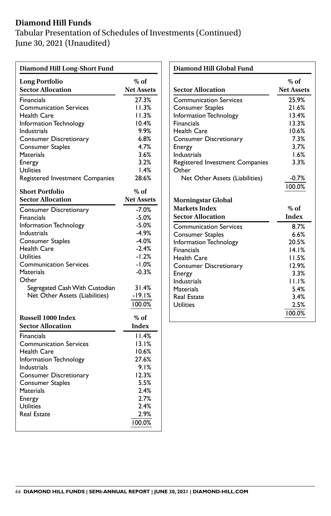Tabular Presentation of Schedules of Investments (Continued) June 30, 2021 (Unaudited)

| <b>Diamond Hill Long-Short Fund</b>         |                    |
|---------------------------------------------|--------------------|
| <b>Long Portfolio</b>                       | $%$ of             |
| <b>Sector Allocation</b>                    | <b>Net Assets</b>  |
| <b>Financials</b>                           | 27.3%              |
| <b>Communication Services</b>               | 11.3%              |
| <b>Health Care</b>                          | 11.3%              |
| Information Technology                      | 10.4%              |
| Industrials                                 | 9.9%               |
| <b>Consumer Discretionary</b>               | 6.8%               |
| <b>Consumer Staples</b>                     | 4.7%               |
| Materials                                   | 3.6%<br>3.2%       |
| Energy<br><b>Utilities</b>                  | 1.4%               |
| Registered Investment Companies             | 28.6%              |
|                                             |                    |
| <b>Short Portfolio</b>                      | % of               |
| <b>Sector Allocation</b>                    | <b>Net Assets</b>  |
| <b>Consumer Discretionary</b>               | $-7.0%$            |
| <b>Financials</b>                           | -5.0%              |
| Information Technology                      | -5.0%              |
| Industrials                                 | $-4.9%$            |
| <b>Consumer Staples</b>                     | $-4.0%$            |
| Health Care                                 | $-2.4%$<br>$-1.2%$ |
| Utilities<br><b>Communication Services</b>  | $-1.0%$            |
| Materials                                   | $-0.3%$            |
| Other                                       |                    |
| Segregated Cash With Custodian              | 31.4%              |
| Net Other Assets (Liabilities)              | -19.1%             |
|                                             | 100.0%             |
|                                             |                    |
| <b>Russell 1000 Index</b>                   | $%$ of             |
| <b>Sector Allocation</b>                    | <b>Index</b>       |
| <b>Financials</b>                           | 11.4%              |
| <b>Communication Services</b>               | 13.1%              |
| Health Care                                 | 10.6%              |
| Information Technology                      | 27.6%              |
| Industrials                                 | 9.I%               |
| <b>Consumer Discretionary</b>               | 12.3%<br>5.5%      |
| <b>Consumer Staples</b><br><b>Materials</b> | 2.4%               |
| Energy                                      | 2.7%               |
| Utilities                                   | 2.4%               |
| Real Estate                                 | 2.9%               |
|                                             | 100.0%             |
|                                             |                    |

| Diamond Hill Global Fund                        |                             |
|-------------------------------------------------|-----------------------------|
| <b>Sector Allocation</b>                        | $%$ of<br><b>Net Assets</b> |
| <b>Communication Services</b>                   | 25.9%                       |
| <b>Consumer Staples</b>                         | 21.6%                       |
| Information Technology                          | 13.4%                       |
| <b>Financials</b>                               | 13.3%                       |
| Health Care                                     | 10.6%                       |
| <b>Consumer Discretionary</b>                   | 7.3%                        |
| Energy                                          | 3.7%                        |
| Industrials                                     | 1.6%                        |
| <b>Registered Investment Companies</b><br>Other | 3.3%                        |
| Net Other Assets (Liabilities)                  | $-0.7%$                     |
|                                                 | 100.0%                      |
| <b>Morningstar Global</b>                       |                             |
| <b>Markets Index</b>                            | $%$ of                      |
| <b>Sector Allocation</b>                        | <b>Index</b>                |
| <b>Communication Services</b>                   | 8.7%                        |
| <b>Consumer Staples</b>                         | 6.6%                        |
| Information Technology                          | 20.5%                       |
| <b>Financials</b>                               | 14.1%                       |
| Health Care                                     | 11.5%                       |
| <b>Consumer Discretionary</b>                   | 12.9%                       |
| Energy                                          | 3.3%                        |
| Industrials                                     | 11.1%                       |
| Materials                                       | 5.4%                        |
| <b>Real Estate</b>                              | 3.4%                        |
| <b>Utilities</b>                                | 2.5%                        |
|                                                 | 100.0%                      |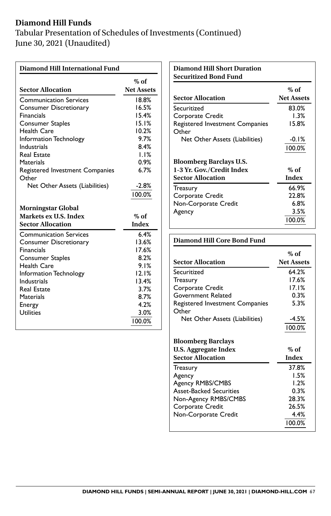Tabular Presentation of Schedules of Investments (Continued) June 30, 2021 (Unaudited)

| <b>Sector Allocation</b><br><b>Communication Services</b><br>Consumer Discretionary<br><b>Financials</b><br>Consumer Staples<br><b>Health Care</b><br>Information Technology<br>Industrials<br>Real Estate<br>Materials<br>Registered Investment Companies<br>Other<br>Net Other Assets (Liabilities) | % of<br><b>Net Assets</b><br>18.8%<br>16.5%<br>15.4%<br>15.1%<br>10.2%<br>9.7%<br>8.4%<br>1.1%<br>0.9%<br>6.7% |
|-------------------------------------------------------------------------------------------------------------------------------------------------------------------------------------------------------------------------------------------------------------------------------------------------------|----------------------------------------------------------------------------------------------------------------|
|                                                                                                                                                                                                                                                                                                       |                                                                                                                |
|                                                                                                                                                                                                                                                                                                       |                                                                                                                |
|                                                                                                                                                                                                                                                                                                       |                                                                                                                |
|                                                                                                                                                                                                                                                                                                       |                                                                                                                |
|                                                                                                                                                                                                                                                                                                       |                                                                                                                |
|                                                                                                                                                                                                                                                                                                       |                                                                                                                |
|                                                                                                                                                                                                                                                                                                       |                                                                                                                |
|                                                                                                                                                                                                                                                                                                       |                                                                                                                |
|                                                                                                                                                                                                                                                                                                       |                                                                                                                |
|                                                                                                                                                                                                                                                                                                       |                                                                                                                |
|                                                                                                                                                                                                                                                                                                       |                                                                                                                |
|                                                                                                                                                                                                                                                                                                       |                                                                                                                |
|                                                                                                                                                                                                                                                                                                       | $-2.8%$                                                                                                        |
|                                                                                                                                                                                                                                                                                                       | 100.0%                                                                                                         |
|                                                                                                                                                                                                                                                                                                       |                                                                                                                |
| <b>Morningstar Global</b>                                                                                                                                                                                                                                                                             |                                                                                                                |
| Markets ex U.S. Index                                                                                                                                                                                                                                                                                 | $%$ of                                                                                                         |
| <b>Sector Allocation</b>                                                                                                                                                                                                                                                                              | <b>Index</b>                                                                                                   |
| <b>Communication Services</b>                                                                                                                                                                                                                                                                         | 6.4%                                                                                                           |
| <b>Consumer Discretionary</b>                                                                                                                                                                                                                                                                         | 13.6%                                                                                                          |
| <b>Financials</b>                                                                                                                                                                                                                                                                                     | 17.6%                                                                                                          |
| <b>Consumer Staples</b>                                                                                                                                                                                                                                                                               | 8.2%                                                                                                           |
| Health Care                                                                                                                                                                                                                                                                                           | 9.1%                                                                                                           |
| Information Technology                                                                                                                                                                                                                                                                                | 12.1%                                                                                                          |
| Industrials                                                                                                                                                                                                                                                                                           | 13.4%                                                                                                          |
| Real Estate                                                                                                                                                                                                                                                                                           | 3.7%                                                                                                           |
| Materials                                                                                                                                                                                                                                                                                             | 8.7%                                                                                                           |
|                                                                                                                                                                                                                                                                                                       |                                                                                                                |
| Energy                                                                                                                                                                                                                                                                                                | 4.2%                                                                                                           |
| <b>Utilities</b>                                                                                                                                                                                                                                                                                      | 3.0%<br>100.0%                                                                                                 |

| <b>Diamond Hill Short Duration</b><br>Securitized Bond Fund |                           |
|-------------------------------------------------------------|---------------------------|
| <b>Sector Allocation</b>                                    | % of<br><b>Net Assets</b> |
| Securitized                                                 | 83.0%                     |
| Corporate Credit                                            | 1.3%                      |
| Registered Investment Companies<br>Other                    | 15.8%                     |
| Net Other Assets (Liabilities)                              | $-0.1%$<br>100.0%         |
| <b>Bloomberg Barclays U.S.</b>                              |                           |
| 1-3 Yr. Gov./Credit Index                                   | % of                      |
| <b>Sector Allocation</b>                                    | <b>Index</b>              |
| Treasury                                                    | 66.9%                     |
| Corporate Credit                                            | 22.8%                     |
| Non-Corporate Credit                                        | 6.8%                      |
| Agency                                                      | 3.5%                      |
|                                                             | 100.0%                    |

| <b>Diamond Hill Core Bond Fund</b>       |                           |
|------------------------------------------|---------------------------|
| <b>Sector Allocation</b>                 | % of<br><b>Net Assets</b> |
| Securitized                              | 64.2%                     |
| Treasury                                 | 17.6%                     |
| Corporate Credit                         | 17.1%                     |
| Government Related                       | 0.3%                      |
| Registered Investment Companies<br>Other | 5.3%                      |
| Net Other Assets (Liabilities)           | -4.5%<br>100.0%           |
| <b>Bloomberg Barclays</b>                |                           |
| <b>U.S. Aggregate Index</b>              | % of                      |
| <b>Sector Allocation</b>                 | Index                     |
| Treasury                                 | 37.8%                     |
| Agency                                   | 1.5%                      |
| Agency RMBS/CMBS                         | 1.2%                      |
| <b>Asset-Backed Securities</b>           | 0.3%                      |
| Non-Agency RMBS/CMBS                     | 28.3%                     |
| Corporate Credit                         | 26.5%                     |
| Non-Corporate Credit                     | 4.4%                      |
|                                          | 100.0%                    |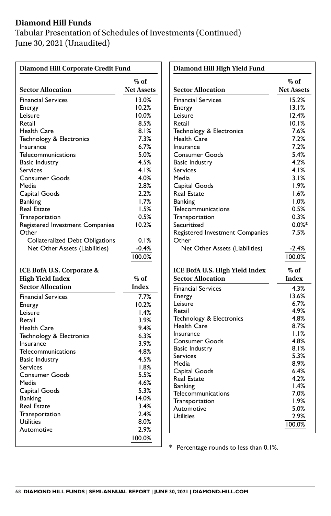Tabular Presentation of Schedules of Investments (Continued) June 30, 2021 (Unaudited)

| $%$ of<br><b>Sector Allocation</b><br><b>Net Assets</b><br><b>Financial Services</b><br>13.0%<br>10.2%<br>Energy<br>10.0%<br>Leisure<br>$8.5\%$<br>Retail<br>8.1%<br>Health Care<br>7.3%<br>Technology & Electronics<br>6.7%<br>Insurance<br>5.0%<br>Telecommunications<br>4.5%<br><b>Basic Industry</b><br>4.1%<br>Services<br><b>Consumer Goods</b><br>4.0%<br>2.8%<br>Media<br>2.2%<br>Capital Goods<br>1.7%<br>Banking<br>1.5%<br><b>Real Estate</b><br>0.5%<br>Transportation<br>10.2%<br>Registered Investment Companies<br>Other<br>Collateralized Debt Obligations<br>0.I%<br>Net Other Assets (Liabilities)<br>$-0.4%$<br>100.0%<br>ICE BofA U.S. Corporate &<br>$%$ of<br><b>High Yield Index</b><br><b>Sector Allocation</b><br><b>Index</b><br><b>Financial Services</b><br>7.7%<br>10.2%<br>Energy<br>1.4%<br>Leisure<br>3.9%<br>Retail<br>9.4%<br>Health Care<br>6.3%<br>Technology & Electronics<br>3.9%<br>Insurance<br>Telecommunications<br>4.8%<br>4.5%<br>Basic Industry<br>Services<br>1.8%<br>5.5%<br>Consumer Goods<br>4.6%<br>Media<br>5.3%<br>Capital Goods<br>Banking<br>14.0%<br>3.4%<br>Real Estate<br>2.4%<br>Transportation<br><b>Utilities</b><br>$8.0\%$<br>2.9%<br>Automotive<br>100.0% | Diamond Hill Corporate Credit Fund |  |
|--------------------------------------------------------------------------------------------------------------------------------------------------------------------------------------------------------------------------------------------------------------------------------------------------------------------------------------------------------------------------------------------------------------------------------------------------------------------------------------------------------------------------------------------------------------------------------------------------------------------------------------------------------------------------------------------------------------------------------------------------------------------------------------------------------------------------------------------------------------------------------------------------------------------------------------------------------------------------------------------------------------------------------------------------------------------------------------------------------------------------------------------------------------------------------------------------------------------------|------------------------------------|--|
|                                                                                                                                                                                                                                                                                                                                                                                                                                                                                                                                                                                                                                                                                                                                                                                                                                                                                                                                                                                                                                                                                                                                                                                                                          |                                    |  |
|                                                                                                                                                                                                                                                                                                                                                                                                                                                                                                                                                                                                                                                                                                                                                                                                                                                                                                                                                                                                                                                                                                                                                                                                                          |                                    |  |
|                                                                                                                                                                                                                                                                                                                                                                                                                                                                                                                                                                                                                                                                                                                                                                                                                                                                                                                                                                                                                                                                                                                                                                                                                          |                                    |  |
|                                                                                                                                                                                                                                                                                                                                                                                                                                                                                                                                                                                                                                                                                                                                                                                                                                                                                                                                                                                                                                                                                                                                                                                                                          |                                    |  |
|                                                                                                                                                                                                                                                                                                                                                                                                                                                                                                                                                                                                                                                                                                                                                                                                                                                                                                                                                                                                                                                                                                                                                                                                                          |                                    |  |
|                                                                                                                                                                                                                                                                                                                                                                                                                                                                                                                                                                                                                                                                                                                                                                                                                                                                                                                                                                                                                                                                                                                                                                                                                          |                                    |  |
|                                                                                                                                                                                                                                                                                                                                                                                                                                                                                                                                                                                                                                                                                                                                                                                                                                                                                                                                                                                                                                                                                                                                                                                                                          |                                    |  |
|                                                                                                                                                                                                                                                                                                                                                                                                                                                                                                                                                                                                                                                                                                                                                                                                                                                                                                                                                                                                                                                                                                                                                                                                                          |                                    |  |
|                                                                                                                                                                                                                                                                                                                                                                                                                                                                                                                                                                                                                                                                                                                                                                                                                                                                                                                                                                                                                                                                                                                                                                                                                          |                                    |  |
|                                                                                                                                                                                                                                                                                                                                                                                                                                                                                                                                                                                                                                                                                                                                                                                                                                                                                                                                                                                                                                                                                                                                                                                                                          |                                    |  |
|                                                                                                                                                                                                                                                                                                                                                                                                                                                                                                                                                                                                                                                                                                                                                                                                                                                                                                                                                                                                                                                                                                                                                                                                                          |                                    |  |
|                                                                                                                                                                                                                                                                                                                                                                                                                                                                                                                                                                                                                                                                                                                                                                                                                                                                                                                                                                                                                                                                                                                                                                                                                          |                                    |  |
|                                                                                                                                                                                                                                                                                                                                                                                                                                                                                                                                                                                                                                                                                                                                                                                                                                                                                                                                                                                                                                                                                                                                                                                                                          |                                    |  |
|                                                                                                                                                                                                                                                                                                                                                                                                                                                                                                                                                                                                                                                                                                                                                                                                                                                                                                                                                                                                                                                                                                                                                                                                                          |                                    |  |
|                                                                                                                                                                                                                                                                                                                                                                                                                                                                                                                                                                                                                                                                                                                                                                                                                                                                                                                                                                                                                                                                                                                                                                                                                          |                                    |  |
|                                                                                                                                                                                                                                                                                                                                                                                                                                                                                                                                                                                                                                                                                                                                                                                                                                                                                                                                                                                                                                                                                                                                                                                                                          |                                    |  |
|                                                                                                                                                                                                                                                                                                                                                                                                                                                                                                                                                                                                                                                                                                                                                                                                                                                                                                                                                                                                                                                                                                                                                                                                                          |                                    |  |
|                                                                                                                                                                                                                                                                                                                                                                                                                                                                                                                                                                                                                                                                                                                                                                                                                                                                                                                                                                                                                                                                                                                                                                                                                          |                                    |  |
|                                                                                                                                                                                                                                                                                                                                                                                                                                                                                                                                                                                                                                                                                                                                                                                                                                                                                                                                                                                                                                                                                                                                                                                                                          |                                    |  |
|                                                                                                                                                                                                                                                                                                                                                                                                                                                                                                                                                                                                                                                                                                                                                                                                                                                                                                                                                                                                                                                                                                                                                                                                                          |                                    |  |
|                                                                                                                                                                                                                                                                                                                                                                                                                                                                                                                                                                                                                                                                                                                                                                                                                                                                                                                                                                                                                                                                                                                                                                                                                          |                                    |  |
|                                                                                                                                                                                                                                                                                                                                                                                                                                                                                                                                                                                                                                                                                                                                                                                                                                                                                                                                                                                                                                                                                                                                                                                                                          |                                    |  |
|                                                                                                                                                                                                                                                                                                                                                                                                                                                                                                                                                                                                                                                                                                                                                                                                                                                                                                                                                                                                                                                                                                                                                                                                                          |                                    |  |
|                                                                                                                                                                                                                                                                                                                                                                                                                                                                                                                                                                                                                                                                                                                                                                                                                                                                                                                                                                                                                                                                                                                                                                                                                          |                                    |  |
|                                                                                                                                                                                                                                                                                                                                                                                                                                                                                                                                                                                                                                                                                                                                                                                                                                                                                                                                                                                                                                                                                                                                                                                                                          |                                    |  |
|                                                                                                                                                                                                                                                                                                                                                                                                                                                                                                                                                                                                                                                                                                                                                                                                                                                                                                                                                                                                                                                                                                                                                                                                                          |                                    |  |
|                                                                                                                                                                                                                                                                                                                                                                                                                                                                                                                                                                                                                                                                                                                                                                                                                                                                                                                                                                                                                                                                                                                                                                                                                          |                                    |  |
|                                                                                                                                                                                                                                                                                                                                                                                                                                                                                                                                                                                                                                                                                                                                                                                                                                                                                                                                                                                                                                                                                                                                                                                                                          |                                    |  |
|                                                                                                                                                                                                                                                                                                                                                                                                                                                                                                                                                                                                                                                                                                                                                                                                                                                                                                                                                                                                                                                                                                                                                                                                                          |                                    |  |
|                                                                                                                                                                                                                                                                                                                                                                                                                                                                                                                                                                                                                                                                                                                                                                                                                                                                                                                                                                                                                                                                                                                                                                                                                          |                                    |  |
|                                                                                                                                                                                                                                                                                                                                                                                                                                                                                                                                                                                                                                                                                                                                                                                                                                                                                                                                                                                                                                                                                                                                                                                                                          |                                    |  |
|                                                                                                                                                                                                                                                                                                                                                                                                                                                                                                                                                                                                                                                                                                                                                                                                                                                                                                                                                                                                                                                                                                                                                                                                                          |                                    |  |
|                                                                                                                                                                                                                                                                                                                                                                                                                                                                                                                                                                                                                                                                                                                                                                                                                                                                                                                                                                                                                                                                                                                                                                                                                          |                                    |  |
|                                                                                                                                                                                                                                                                                                                                                                                                                                                                                                                                                                                                                                                                                                                                                                                                                                                                                                                                                                                                                                                                                                                                                                                                                          |                                    |  |
|                                                                                                                                                                                                                                                                                                                                                                                                                                                                                                                                                                                                                                                                                                                                                                                                                                                                                                                                                                                                                                                                                                                                                                                                                          |                                    |  |
|                                                                                                                                                                                                                                                                                                                                                                                                                                                                                                                                                                                                                                                                                                                                                                                                                                                                                                                                                                                                                                                                                                                                                                                                                          |                                    |  |
|                                                                                                                                                                                                                                                                                                                                                                                                                                                                                                                                                                                                                                                                                                                                                                                                                                                                                                                                                                                                                                                                                                                                                                                                                          |                                    |  |
|                                                                                                                                                                                                                                                                                                                                                                                                                                                                                                                                                                                                                                                                                                                                                                                                                                                                                                                                                                                                                                                                                                                                                                                                                          |                                    |  |
|                                                                                                                                                                                                                                                                                                                                                                                                                                                                                                                                                                                                                                                                                                                                                                                                                                                                                                                                                                                                                                                                                                                                                                                                                          |                                    |  |
|                                                                                                                                                                                                                                                                                                                                                                                                                                                                                                                                                                                                                                                                                                                                                                                                                                                                                                                                                                                                                                                                                                                                                                                                                          |                                    |  |
|                                                                                                                                                                                                                                                                                                                                                                                                                                                                                                                                                                                                                                                                                                                                                                                                                                                                                                                                                                                                                                                                                                                                                                                                                          |                                    |  |
|                                                                                                                                                                                                                                                                                                                                                                                                                                                                                                                                                                                                                                                                                                                                                                                                                                                                                                                                                                                                                                                                                                                                                                                                                          |                                    |  |
|                                                                                                                                                                                                                                                                                                                                                                                                                                                                                                                                                                                                                                                                                                                                                                                                                                                                                                                                                                                                                                                                                                                                                                                                                          |                                    |  |
|                                                                                                                                                                                                                                                                                                                                                                                                                                                                                                                                                                                                                                                                                                                                                                                                                                                                                                                                                                                                                                                                                                                                                                                                                          |                                    |  |
|                                                                                                                                                                                                                                                                                                                                                                                                                                                                                                                                                                                                                                                                                                                                                                                                                                                                                                                                                                                                                                                                                                                                                                                                                          |                                    |  |
|                                                                                                                                                                                                                                                                                                                                                                                                                                                                                                                                                                                                                                                                                                                                                                                                                                                                                                                                                                                                                                                                                                                                                                                                                          |                                    |  |

| <b>Financial Services</b><br>15.2%<br>13.1%<br>12.4%<br>10.1%<br>Technology & Electronics<br>7.6%<br>7.2%<br>7.2%<br>Insurance<br><b>Consumer Goods</b><br>5.4%<br>4.2%<br><b>Basic Industry</b><br>4.1%<br>Services<br>Media<br>3.1%<br>1.9%<br>Capital Goods<br><b>Real Estate</b><br>1.6%<br>1.0%<br><b>Banking</b><br>0.5%<br>Telecommunications<br>0.3%<br>Transportation<br>0.0%<br>Securitized<br>7.5%<br>Registered Investment Companies<br>Other<br>$-2.4%$<br>Net Other Assets (Liabilities)<br>100.0%<br>$%$ of<br>ICE BofA U.S. High Yield Index<br><b>Sector Allocation</b><br>Index<br>4.3%<br><b>Financial Services</b><br>13.6%<br>Energy<br>6.7%<br>Leisure<br>4.9%<br>Retail<br>Technology & Electronics<br>4.8%<br>8.7%<br>Health Care<br>1.1%<br>Insurance<br>4.8%<br><b>Consumer Goods</b><br>8.1%<br><b>Basic Industry</b><br>5.3%<br>Services<br>Media<br>8.9%<br>Capital Goods<br>6.4%<br>4.2%<br><b>Real Estate</b><br>1.4%<br><b>Banking</b><br>Telecommunications<br>7.0%<br>1.9%<br>Transportation<br>5.0%<br>Automotive<br>Utilities<br>2.9%<br>100.0% | <b>Sector Allocation</b> | $%$ of<br><b>Net Assets</b> |
|-------------------------------------------------------------------------------------------------------------------------------------------------------------------------------------------------------------------------------------------------------------------------------------------------------------------------------------------------------------------------------------------------------------------------------------------------------------------------------------------------------------------------------------------------------------------------------------------------------------------------------------------------------------------------------------------------------------------------------------------------------------------------------------------------------------------------------------------------------------------------------------------------------------------------------------------------------------------------------------------------------------------------------------------------------------------------------------|--------------------------|-----------------------------|
|                                                                                                                                                                                                                                                                                                                                                                                                                                                                                                                                                                                                                                                                                                                                                                                                                                                                                                                                                                                                                                                                                     |                          |                             |
|                                                                                                                                                                                                                                                                                                                                                                                                                                                                                                                                                                                                                                                                                                                                                                                                                                                                                                                                                                                                                                                                                     | Energy                   |                             |
|                                                                                                                                                                                                                                                                                                                                                                                                                                                                                                                                                                                                                                                                                                                                                                                                                                                                                                                                                                                                                                                                                     | Leisure                  |                             |
|                                                                                                                                                                                                                                                                                                                                                                                                                                                                                                                                                                                                                                                                                                                                                                                                                                                                                                                                                                                                                                                                                     | Retail                   |                             |
|                                                                                                                                                                                                                                                                                                                                                                                                                                                                                                                                                                                                                                                                                                                                                                                                                                                                                                                                                                                                                                                                                     |                          |                             |
|                                                                                                                                                                                                                                                                                                                                                                                                                                                                                                                                                                                                                                                                                                                                                                                                                                                                                                                                                                                                                                                                                     | Health Care              |                             |
|                                                                                                                                                                                                                                                                                                                                                                                                                                                                                                                                                                                                                                                                                                                                                                                                                                                                                                                                                                                                                                                                                     |                          |                             |
|                                                                                                                                                                                                                                                                                                                                                                                                                                                                                                                                                                                                                                                                                                                                                                                                                                                                                                                                                                                                                                                                                     |                          |                             |
|                                                                                                                                                                                                                                                                                                                                                                                                                                                                                                                                                                                                                                                                                                                                                                                                                                                                                                                                                                                                                                                                                     |                          |                             |
|                                                                                                                                                                                                                                                                                                                                                                                                                                                                                                                                                                                                                                                                                                                                                                                                                                                                                                                                                                                                                                                                                     |                          |                             |
|                                                                                                                                                                                                                                                                                                                                                                                                                                                                                                                                                                                                                                                                                                                                                                                                                                                                                                                                                                                                                                                                                     |                          |                             |
|                                                                                                                                                                                                                                                                                                                                                                                                                                                                                                                                                                                                                                                                                                                                                                                                                                                                                                                                                                                                                                                                                     |                          |                             |
|                                                                                                                                                                                                                                                                                                                                                                                                                                                                                                                                                                                                                                                                                                                                                                                                                                                                                                                                                                                                                                                                                     |                          |                             |
|                                                                                                                                                                                                                                                                                                                                                                                                                                                                                                                                                                                                                                                                                                                                                                                                                                                                                                                                                                                                                                                                                     |                          |                             |
|                                                                                                                                                                                                                                                                                                                                                                                                                                                                                                                                                                                                                                                                                                                                                                                                                                                                                                                                                                                                                                                                                     |                          |                             |
|                                                                                                                                                                                                                                                                                                                                                                                                                                                                                                                                                                                                                                                                                                                                                                                                                                                                                                                                                                                                                                                                                     |                          |                             |
|                                                                                                                                                                                                                                                                                                                                                                                                                                                                                                                                                                                                                                                                                                                                                                                                                                                                                                                                                                                                                                                                                     |                          |                             |
|                                                                                                                                                                                                                                                                                                                                                                                                                                                                                                                                                                                                                                                                                                                                                                                                                                                                                                                                                                                                                                                                                     |                          |                             |
|                                                                                                                                                                                                                                                                                                                                                                                                                                                                                                                                                                                                                                                                                                                                                                                                                                                                                                                                                                                                                                                                                     |                          |                             |
|                                                                                                                                                                                                                                                                                                                                                                                                                                                                                                                                                                                                                                                                                                                                                                                                                                                                                                                                                                                                                                                                                     |                          |                             |
|                                                                                                                                                                                                                                                                                                                                                                                                                                                                                                                                                                                                                                                                                                                                                                                                                                                                                                                                                                                                                                                                                     |                          |                             |
|                                                                                                                                                                                                                                                                                                                                                                                                                                                                                                                                                                                                                                                                                                                                                                                                                                                                                                                                                                                                                                                                                     |                          |                             |
|                                                                                                                                                                                                                                                                                                                                                                                                                                                                                                                                                                                                                                                                                                                                                                                                                                                                                                                                                                                                                                                                                     |                          |                             |
|                                                                                                                                                                                                                                                                                                                                                                                                                                                                                                                                                                                                                                                                                                                                                                                                                                                                                                                                                                                                                                                                                     |                          |                             |
|                                                                                                                                                                                                                                                                                                                                                                                                                                                                                                                                                                                                                                                                                                                                                                                                                                                                                                                                                                                                                                                                                     |                          |                             |
|                                                                                                                                                                                                                                                                                                                                                                                                                                                                                                                                                                                                                                                                                                                                                                                                                                                                                                                                                                                                                                                                                     |                          |                             |
|                                                                                                                                                                                                                                                                                                                                                                                                                                                                                                                                                                                                                                                                                                                                                                                                                                                                                                                                                                                                                                                                                     |                          |                             |
|                                                                                                                                                                                                                                                                                                                                                                                                                                                                                                                                                                                                                                                                                                                                                                                                                                                                                                                                                                                                                                                                                     |                          |                             |
|                                                                                                                                                                                                                                                                                                                                                                                                                                                                                                                                                                                                                                                                                                                                                                                                                                                                                                                                                                                                                                                                                     |                          |                             |
|                                                                                                                                                                                                                                                                                                                                                                                                                                                                                                                                                                                                                                                                                                                                                                                                                                                                                                                                                                                                                                                                                     |                          |                             |
|                                                                                                                                                                                                                                                                                                                                                                                                                                                                                                                                                                                                                                                                                                                                                                                                                                                                                                                                                                                                                                                                                     |                          |                             |
|                                                                                                                                                                                                                                                                                                                                                                                                                                                                                                                                                                                                                                                                                                                                                                                                                                                                                                                                                                                                                                                                                     |                          |                             |
|                                                                                                                                                                                                                                                                                                                                                                                                                                                                                                                                                                                                                                                                                                                                                                                                                                                                                                                                                                                                                                                                                     |                          |                             |
|                                                                                                                                                                                                                                                                                                                                                                                                                                                                                                                                                                                                                                                                                                                                                                                                                                                                                                                                                                                                                                                                                     |                          |                             |
|                                                                                                                                                                                                                                                                                                                                                                                                                                                                                                                                                                                                                                                                                                                                                                                                                                                                                                                                                                                                                                                                                     |                          |                             |
|                                                                                                                                                                                                                                                                                                                                                                                                                                                                                                                                                                                                                                                                                                                                                                                                                                                                                                                                                                                                                                                                                     |                          |                             |
|                                                                                                                                                                                                                                                                                                                                                                                                                                                                                                                                                                                                                                                                                                                                                                                                                                                                                                                                                                                                                                                                                     |                          |                             |
|                                                                                                                                                                                                                                                                                                                                                                                                                                                                                                                                                                                                                                                                                                                                                                                                                                                                                                                                                                                                                                                                                     |                          |                             |
|                                                                                                                                                                                                                                                                                                                                                                                                                                                                                                                                                                                                                                                                                                                                                                                                                                                                                                                                                                                                                                                                                     |                          |                             |
|                                                                                                                                                                                                                                                                                                                                                                                                                                                                                                                                                                                                                                                                                                                                                                                                                                                                                                                                                                                                                                                                                     |                          |                             |
|                                                                                                                                                                                                                                                                                                                                                                                                                                                                                                                                                                                                                                                                                                                                                                                                                                                                                                                                                                                                                                                                                     |                          |                             |

\* Percentage rounds to less than 0.1%.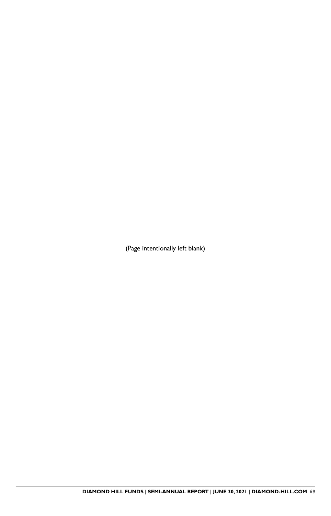(Page intentionally left blank)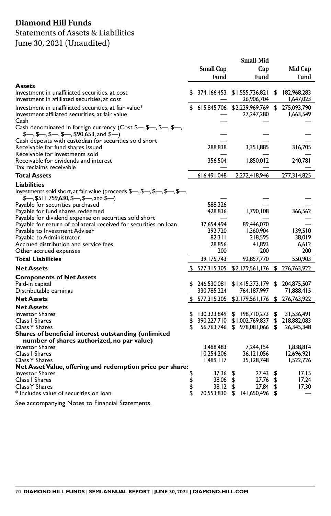## Statements of Assets & Liabilities

June 30, 2021 (Unaudited)

|                                                                                                          |                          | <b>Small-Mid</b>                                            |              |
|----------------------------------------------------------------------------------------------------------|--------------------------|-------------------------------------------------------------|--------------|
|                                                                                                          | <b>Small Cap</b>         | Cap                                                         | Mid Cap      |
|                                                                                                          | Fund                     | Fund                                                        | Fund         |
| <b>Assets</b>                                                                                            |                          |                                                             |              |
| Investment in unaffiliated securities, at cost<br>Investment in affiliated securities, at cost           | $\overline{\phantom{0}}$ | \$ 374,166,453 \$1,555,736,821 \$ 182,968,283<br>26,906,704 | 1,647,023    |
| Investment in unaffiliated securities, at fair value*<br>Investment affiliated securities, at fair value |                          | \$ 615,845,706 \$2,239,969,769 \$ 275,093,790<br>27,247,280 | 1,663,549    |
| Cash<br>Cash denominated in foreign currency (Cost \$-,\$-,\$-,\$-,                                      |                          |                                                             |              |
| \$—, \$—, \$—, \$—, \$—, \$90,653, and \$—)                                                              |                          |                                                             |              |
| Cash deposits with custodian for securities sold short<br>Receivable for fund shares issued              | 288,838                  | 3.351.885                                                   | 316,705      |
| Receivable for investments sold                                                                          |                          |                                                             |              |
| Receivable for dividends and interest                                                                    | 356,504                  | 1,850,012                                                   | 240,781      |
| Tax reclaims receivable                                                                                  |                          |                                                             |              |
| <b>Total Assets</b>                                                                                      | 616,491,048              | 2.272.418.946                                               | 277,314,825  |
|                                                                                                          |                          |                                                             |              |
| <b>Liabilities</b><br>Investments sold short, at fair value (proceeds \$—, \$—, \$—, \$—, \$—,           |                          |                                                             |              |
| $$, $511,759,630, $-, $-, and $-$                                                                        |                          |                                                             |              |
| Payable for securities purchased                                                                         | 588,326                  |                                                             |              |
| Payable for fund shares redeemed                                                                         | 428,836                  | 1.790.108                                                   | 366.562      |
| Payable for dividend expense on securities sold short                                                    |                          |                                                             |              |
| Payable for return of collateral received for securities on loan                                         | 37,654,494               | 89,446.070                                                  |              |
| Payable to Investment Adviser                                                                            | 392.720                  | 1.360,904                                                   | 139.510      |
| Payable to Administrator                                                                                 | 82,311                   | 218,595                                                     | 38,019       |
| Accrued distribution and service fees                                                                    | 28.856                   | 41,893                                                      | 6,612        |
| Other accrued expenses                                                                                   | 200                      | 200                                                         | 200          |
| <b>Total Liabilities</b>                                                                                 | 39,175,743               | 92,857,770                                                  | 550,903      |
| <b>Net Assets</b>                                                                                        |                          | 577,315,305 \$2,179,561,176 \$ 276,763,922                  |              |
| <b>Components of Net Assets</b>                                                                          |                          |                                                             |              |
| Paid-in capital                                                                                          |                          | \$ 246,530,081 \$1,415,373,179 \$ 204,875,507               |              |
| Distributable earnings                                                                                   | 330.785.224              | 764,187,997                                                 | 71,888,415   |
| <b>Net Assets</b>                                                                                        |                          | 577,315,305 \$2,179,561,176 \$ 276,763,922                  |              |
| <b>Net Assets</b>                                                                                        |                          |                                                             |              |
| <b>Investor Shares</b>                                                                                   |                          | 130,323,849 \$ 198,710,273 \$                               | 31.536.491   |
| Class I Shares                                                                                           |                          | 390,227,710 \$1,002,769,837 \$218,882,083                   |              |
| Class Y Shares                                                                                           | \$.                      | 56,763,746 \$ 978,081,066 \$                                | 26,345,348   |
| Shares of beneficial interest outstanding (unlimited                                                     |                          |                                                             |              |
| number of shares authorized, no par value)                                                               |                          |                                                             |              |
| <b>Investor Shares</b>                                                                                   | 3.488.483                | 7.244.154                                                   | 1.838.814    |
| Class I Shares                                                                                           | 10,254,206               | 36, 121, 056                                                | 12,696,921   |
| Class Y Shares                                                                                           | 1,489,117                | 35,128,748                                                  | 1,522,726    |
| Net Asset Value, offering and redemption price per share:                                                |                          |                                                             |              |
| <b>Investor Shares</b>                                                                                   | 37.36 \$<br>-SS          | $27.43$ \$                                                  | 17.15        |
| Class I Shares                                                                                           | 38.06                    | $27.76$ \$<br>\$                                            | 17.24        |
| Class Y Shares                                                                                           | 38.12                    | \$<br>27.84                                                 | -\$<br>17.30 |
| * Includes value of securities on loan                                                                   | 70,553,830               | 141,650,496<br>\$                                           | -\$          |
| See accompanying Notes to Financial Statements.                                                          |                          |                                                             |              |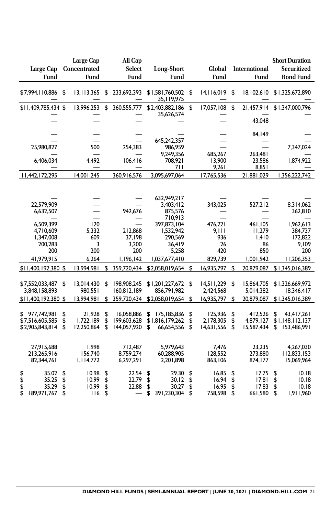|                          | Large Cap                | All Cap                             |                                                            |                          |                          | <b>Short Duration</b>        |
|--------------------------|--------------------------|-------------------------------------|------------------------------------------------------------|--------------------------|--------------------------|------------------------------|
| Large Cap Concentrated   |                          | <b>Select</b>                       | Long-Short                                                 | Global                   | International            | Securitized                  |
| Fund                     | Fund                     | Fund                                | Fund                                                       | Fund                     | Fund                     | <b>Bond Fund</b>             |
|                          |                          |                                     |                                                            |                          |                          |                              |
| \$7,994,110,886 \$       |                          |                                     | 13,113,365 \$ 233,692,393 \$1,581,760,502 \$ 14,116,019 \$ |                          |                          | 18,102,610 \$1,325,672,890   |
|                          |                          |                                     | 35, 119, 975                                               |                          |                          |                              |
| \$11,409,785,434 \$      |                          |                                     | 13,996,253 \$ 360,555,777 \$2,403,882,186 \$<br>35,626,574 | 17,057,108 \$            |                          | 21,457,914 \$1,347,000,796   |
|                          |                          |                                     |                                                            |                          | 43,048                   |                              |
|                          |                          |                                     |                                                            |                          | 84,149                   |                              |
|                          |                          |                                     | 645.242.357                                                |                          | $\hspace{0.05cm}$        |                              |
| 25,980,827               | 500                      | 254,383                             | 986,959                                                    | $\overline{\phantom{0}}$ |                          | 7,347,024                    |
| 6,406,034                | 4,492                    | $\overline{\phantom{m}}$<br>106,416 | 9,249,356<br>708,921                                       | 685,267<br>13,900        | 263,481<br>23,586        | 1,874,922                    |
|                          | $\overline{\phantom{0}}$ |                                     | 711                                                        | 9,261                    | 8,851                    |                              |
| 11,442,172,295           | 14,001,245               | 360,916,576                         | 3,095,697,064                                              | 17,765,536               | 21,881,029               | 1,356,222,742                |
|                          |                          |                                     |                                                            |                          |                          |                              |
|                          |                          |                                     | 632,949,217                                                |                          |                          |                              |
| 22,579,909               |                          |                                     | 3,403,412                                                  | 343,025                  | 527,212                  | 8,314,062                    |
| 6,632,507                | $\qquad \qquad -$        | 942,676                             | 875.576                                                    | $\hspace{0.05cm}$        | $\hspace{0.05cm}$        | 362,810                      |
|                          |                          |                                     | 710,913                                                    | $\qquad \qquad -$        | $\overline{\phantom{m}}$ |                              |
| 6,509,399                | 120                      | $\equiv$                            | 397,873,104                                                | 476,221                  | 461.105                  | 1,962,613                    |
| 4,710,609                | 5,332                    | 212,868                             | 1,532,942                                                  | 9,111                    | 11,279                   | 384,737                      |
| 1,347,008                | 609                      | 37,198                              | 290,569                                                    | 936                      | 1,410                    | 172,822<br>9,109             |
| 200,283<br>200           | -3<br>200                | 3,200<br>200                        | 36,419<br>5,258                                            | 26<br>420                | 86<br>850                | 200                          |
| 41,979,915               | 6,264                    | 1,196,142                           | 1,037,677,410                                              | 829,739                  | 1,001,942                | 11,206,353                   |
| \$11,400,192,380 \$      |                          |                                     | 13,994,981 \$ 359,720,434 \$2,058,019,654 \$               | 16,935,797 \$            |                          | 20,879,087 \$1,345,016,389   |
|                          |                          |                                     |                                                            |                          |                          |                              |
| \$7,552,033,487 \$       |                          |                                     | 13,014,430 \$ 198,908,245 \$1,201,227,672 \$ 14,511,229 \$ |                          |                          | 15,864,705 \$1,326,669,972   |
| 3.848.158.893            | 980.551                  | 160.812.189                         | 856.791.982                                                | 2.424.568                | 5.014.382                | 18.346.417                   |
| \$11,400,192,380 \$      |                          |                                     | 13,994,981 \$ 359,720,434 \$2,058,019,654 \$               | 16,935,797 \$            |                          | 20,879,087 \$1,345,016,389   |
|                          |                          |                                     |                                                            |                          |                          |                              |
| \$977,742,981 \$         | 21,928<br>\$             |                                     | 16,058,886 \$ 175,185,836 \$                               | 125,936 \$               |                          | 412,526 \$ 43,417,261        |
| \$7,516,605,585<br>\$    | 1.722.189                |                                     | \$ 199,603,628 \$1,816,179,262 \$                          | 2,178,305 \$             |                          | 4,879,127 \$1,148,112,137    |
| \$2,905,843,814 \$       |                          |                                     | 12,250,864 \$ 144,057,920 \$ 66,654,556 \$                 | 14,631,556 \$            |                          | 15,587,434 \$ 153,486,991    |
|                          |                          |                                     |                                                            |                          |                          |                              |
| 27,915,688               | 1,998                    | 712,487                             | 5,979,643                                                  | 7,476                    | 23,235                   | 4,267,030                    |
| 213,265,916              | 156,740                  | 8,759,274                           | 60,288,905                                                 | 128,552                  | 273,880                  | 112,833,153                  |
| 82,344,761               | 1,114,772                | 6,297,291                           | 2,201,898                                                  | 863,106                  | 874,177                  | 15,069,964                   |
| 35.02 \$                 | 10.98 \$                 | $22.54$ \$                          | $29.30$ \$                                                 | $16.85$ \$               | $17.75$ \$               | 10.18                        |
| $35.25$ \$               | 10.99 S                  | $22.79$ \$                          | $30.12$ \$                                                 | $16.94$ \$               | $17.81$ \$               |                              |
| 35.29<br>\$              | $10.99$ \$               | 22.88                               | $30.27$ \$<br>\$                                           | $16.95$ \$               | 17.83                    | $\frac{10.18}{10.18}$<br>-\$ |
| 189,971,767<br>-\$<br>\$ | 116S                     |                                     | $-$ \$ 391,230,304 \$                                      | 758,598 \$               | 661,580 \$               | 1,911,960                    |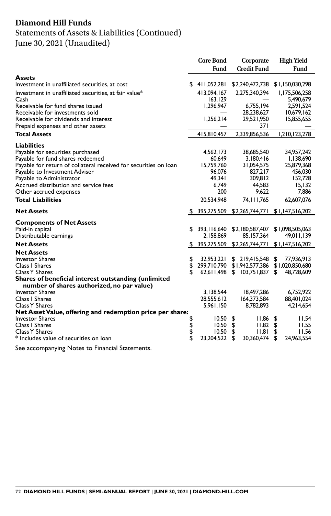# Statements of Assets & Liabilities (Continued)

June 30, 2021 (Unaudited)

|                                                                  |    | <b>Core Bond</b> | Corporate                                      | High Yield                      |
|------------------------------------------------------------------|----|------------------|------------------------------------------------|---------------------------------|
|                                                                  |    | Fund             | <b>Credit Fund</b>                             | Fund                            |
| <b>Assets</b>                                                    |    |                  |                                                |                                 |
| Investment in unaffiliated securities, at cost                   |    | \$411,052,281    |                                                | \$2,240,472,738 \$1,150,030,298 |
| Investment in unaffiliated securities, at fair value*            |    | 413,094,167      | 2,275,340,394                                  | I, I75, 506, 258                |
| Cash                                                             |    | 163, 129         |                                                | 5,490,679                       |
| Receivable for fund shares issued                                |    | 1,296,947        | 6,755,194                                      | 2,591,524                       |
| Receivable for investments sold                                  |    |                  | 28,238,627                                     | 10,679,162                      |
| Receivable for dividends and interest                            |    | 1,256,214        | 29,521,950                                     | 15,855,655                      |
| Prepaid expenses and other assets                                |    |                  | 37 I                                           |                                 |
| <b>Total Assets</b>                                              |    | 415,810,457      | 2,339,856,536                                  | 1,210,123,278                   |
| <b>Liabilities</b>                                               |    |                  |                                                |                                 |
| Payable for securities purchased                                 |    | 4,562,173        | 38,685,540                                     | 34,957,242                      |
| Payable for fund shares redeemed                                 |    | 60.649           | 3,180,416                                      | 1,138,690                       |
| Payable for return of collateral received for securities on loan |    | 15,759,760       | 31,054,575                                     | 25,879,368                      |
| Payable to Investment Adviser                                    |    | 96.076           | 827.217                                        | 456.030                         |
| Payable to Administrator                                         |    | 49,341           | 309,812                                        | 152,728                         |
| Accrued distribution and service fees                            |    | 6,749            | 44,583                                         | 15,132                          |
| Other accrued expenses                                           |    | 200              | 9,622                                          | 7,886                           |
| <b>Total Liabilities</b>                                         |    | 20,534,948       | 74, 111, 765                                   | 62,607,076                      |
| <b>Net Assets</b>                                                |    |                  | \$ 395,275,509 \$2,265,744,771 \$1,147,516,202 |                                 |
| <b>Components of Net Assets</b>                                  |    |                  |                                                |                                 |
| Paid-in capital                                                  |    | 393, 116, 640    | \$2,180,587,407                                | \$1,098,505,063                 |
| Distributable earnings                                           |    | 2,158,869        | 85,157,364                                     | 49,011,139                      |
| <b>Net Assets</b>                                                | S. | 395,275,509      | \$2,265,744,771                                | \$1,147,516,202                 |
| <b>Net Assets</b>                                                |    |                  |                                                |                                 |
| <b>Investor Shares</b>                                           | \$ | 32,953,221       | \$219,415,548                                  | \$<br>77,936,913                |
| Class I Shares                                                   | \$ | 299,710,790      | \$1,942,577,386 \$1,020,850,680                |                                 |
| Class Y Shares                                                   | \$ | 62.611.498       | \$ 103,751,837                                 | \$<br>48.728.609                |
| Shares of beneficial interest outstanding (unlimited             |    |                  |                                                |                                 |
| number of shares authorized, no par value)                       |    |                  |                                                |                                 |
| <b>Investor Shares</b>                                           |    | 3,138,544        | 18,497,286                                     | 6,752,922                       |
| Class I Shares                                                   |    | 28,555,612       | 164.373.584                                    | 88,401,024                      |
| Class Y Shares                                                   |    | 5,961,150        | 8,782,893                                      | 4,214,654                       |
| Net Asset Value, offering and redemption price per share:        |    |                  |                                                |                                 |
| <b>Investor Shares</b><br>Class I Shares                         | \$ | 10.50<br>10.50   | 11.86<br>\$<br>\$<br>11.82                     | 11.54<br>\$<br>\$<br>11.55      |
| Class Y Shares                                                   | \$ | 10.50            | \$<br>11.81                                    | \$<br>11.56                     |
| * Includes value of securities on loan                           | \$ | 23,204,522       | - \$<br>30,360,474                             | \$<br>24,963,554                |
|                                                                  |    |                  |                                                |                                 |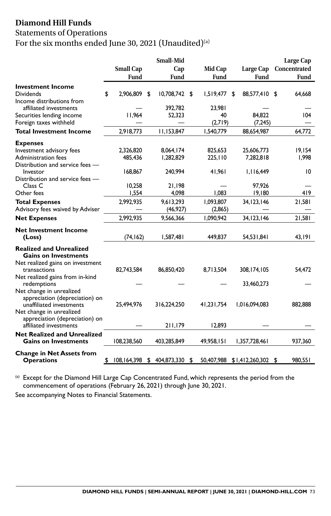## Statements of Operations

For the six months ended June 30, 2021 (Unaudited)<sup>(a)</sup>

|                                                            |                  | Small-Mid                     |                |                               | Large Cap    |
|------------------------------------------------------------|------------------|-------------------------------|----------------|-------------------------------|--------------|
|                                                            | <b>Small Cap</b> | Cap                           | Mid Cap        | Large Cap                     | Concentrated |
|                                                            | Fund             | Fund                          | Fund           | Fund                          | Fund         |
| <b>Investment Income</b>                                   |                  |                               |                |                               |              |
| <b>Dividends</b>                                           | 2,906,809<br>\$  | 10,708,742 \$<br>\$           | $1,519,477$ \$ | 88,577,410 \$                 | 64.668       |
| Income distributions from<br>affiliated investments        |                  | 392.782                       | 23,981         |                               |              |
| Securities lending income<br>Foreign taxes withheld        | 11.964           | 52.323                        | 40<br>(2,719)  | 84.822<br>(7,245)             | 104          |
| <b>Total Investment Income</b>                             | 2,918,773        | 11,153,847                    | 1,540,779      | 88,654,987                    | 64,772       |
| <b>Expenses</b>                                            |                  |                               |                |                               |              |
| Investment advisory fees                                   | 2,326,820        | 8,064,174                     | 825,653        | 25,606,773                    | 19,154       |
| Administration fees                                        | 485,436          | 1,282,829                     | 225,110        | 7,282,818                     | 1,998        |
| Distribution and service fees -                            |                  |                               |                |                               |              |
| Investor                                                   | 168,867          | 240,994                       | 41,961         | 1,116,449                     | 10           |
| Distribution and service fees -<br>Class <sub>C</sub>      | 10,258           | 21,198                        |                | 97.926                        |              |
| Other fees                                                 | 1,554            | 4,098                         | 1,083          | 19,180                        | 419          |
| <b>Total Expenses</b>                                      | 2,992,935        | 9,613,293                     | 1,093,807      | 34, 123, 146                  | 21,581       |
| Advisory fees waived by Adviser                            |                  | (46, 927)                     | (2,865)        |                               |              |
| <b>Net Expenses</b>                                        | 2,992,935        | 9,566,366                     | 1,090,942      | 34, 123, 146                  | 21,581       |
|                                                            |                  |                               |                |                               |              |
| <b>Net Investment Income</b><br>(Loss)                     | (74, 162)        | 1,587,481                     | 449,837        | 54,531,841                    | 43,191       |
| <b>Realized and Unrealized</b>                             |                  |                               |                |                               |              |
| <b>Gains on Investments</b>                                |                  |                               |                |                               |              |
| Net realized gains on investment<br>transactions           | 82,743,584       | 86,850,420                    | 8,713,504      | 308, 174, 105                 | 54.472       |
| Net realized gains from in-kind                            |                  |                               |                |                               |              |
| redemptions                                                |                  |                               |                | 33,460,273                    |              |
| Net change in unrealized                                   |                  |                               |                |                               |              |
| appreciation (depreciation) on                             |                  |                               |                |                               |              |
| unaffiliated investments                                   | 25,494,976       | 316,224,250                   | 41,231,754     | 1,016,094,083                 | 882,888      |
| Net change in unrealized<br>appreciation (depreciation) on |                  |                               |                |                               |              |
| affiliated investments                                     |                  | 211,179                       | 12,893         |                               |              |
| <b>Net Realized and Unrealized</b>                         |                  |                               |                |                               |              |
| <b>Gains on Investments</b>                                | 108,238,560      | 403,285,849                   | 49,958,151     | 1,357,728,461                 | 937,360      |
| <b>Change in Net Assets from</b>                           |                  |                               |                |                               |              |
| <b>Operations</b>                                          | \$               | 108,164,398 \$ 404,873,330 \$ |                | 50,407,988 \$1,412,260,302 \$ | 980,551      |

(a) Except for the Diamond Hill Large Cap Concentrated Fund, which represents the period from the commencement of operations (February 26, 2021) through June 30, 2021.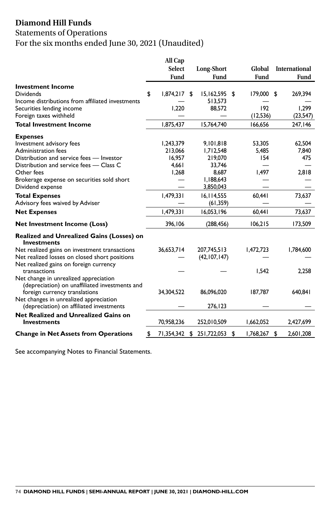# Statements of Operations

### For the six months ended June 30, 2021 (Unaudited)

|                                                                                                                          | All Cap              |                          |                  |                      |
|--------------------------------------------------------------------------------------------------------------------------|----------------------|--------------------------|------------------|----------------------|
|                                                                                                                          | <b>Select</b>        | Long-Short               | Global           | <b>International</b> |
|                                                                                                                          | Fund                 | Fund                     | Fund             | Fund                 |
| <b>Investment Income</b>                                                                                                 |                      |                          |                  |                      |
| <b>Dividends</b><br>Income distributions from affiliated investments                                                     | \$<br>$1,874,217$ \$ | 15,162,595 \$<br>513,573 | 179,000 \$       | 269,394              |
| Securities lending income<br>Foreign taxes withheld                                                                      | 1.220                | 88,572                   | 192<br>(12, 536) | 1.299<br>(23, 547)   |
| <b>Total Investment Income</b>                                                                                           | 1,875,437            | 15,764,740               | 166,656          | 247,146              |
| <b>Expenses</b>                                                                                                          |                      |                          |                  |                      |
| Investment advisory fees                                                                                                 | 1,243,379            | 9,101,818                | 53,305           | 62.504               |
| Administration fees                                                                                                      | 213,066              | 1,712,548                | 5,485            | 7,840                |
| Distribution and service fees - Investor                                                                                 | 16,957               | 219,070                  | 154              | 475                  |
| Distribution and service fees - Class C                                                                                  | 4,661                | 33,746                   |                  |                      |
| Other fees                                                                                                               | 1,268                | 8,687                    | 1,497            | 2,818                |
| Brokerage expense on securities sold short                                                                               |                      | 1,188,643                |                  |                      |
| Dividend expense                                                                                                         |                      | 3,850,043                |                  |                      |
| <b>Total Expenses</b>                                                                                                    | 1,479,331            | 16,114,555               | 60.441           | 73,637               |
| Advisory fees waived by Adviser                                                                                          |                      | (61, 359)                |                  |                      |
| <b>Net Expenses</b>                                                                                                      | 1,479,331            | 16,053,196               | 60,441           | 73,637               |
| Net Investment Income (Loss)                                                                                             | 396,106              | (288, 456)               | 106,215          | 173,509              |
| Realized and Unrealized Gains (Losses) on<br><b>Investments</b>                                                          |                      |                          |                  |                      |
| Net realized gains on investment transactions                                                                            | 36,653,714           | 207,745,513              | 1,472,723        | 1,784,600            |
| Net realized losses on closed short positions                                                                            |                      | (42, 107, 147)           |                  |                      |
| Net realized gains on foreign currency<br>transactions                                                                   |                      |                          | 1,542            | 2,258                |
| Net change in unrealized appreciation<br>(depreciation) on unaffiliated investments and<br>foreign currency translations | 34,304,522           | 86,096,020               | 187,787          | 640,841              |
| Net changes in unrealized appreciation<br>(depreciation) on affiliated investments                                       |                      | 276,123                  |                  |                      |
| Net Realized and Unrealized Gains on<br><b>Investments</b>                                                               | 70,958,236           | 252,010,509              | 1,662,052        | 2,427,699            |
| <b>Change in Net Assets from Operations</b>                                                                              | \$<br>71,354,342 \$  | 251,722,053              | \$<br>1,768,267  | \$<br>2,601,208      |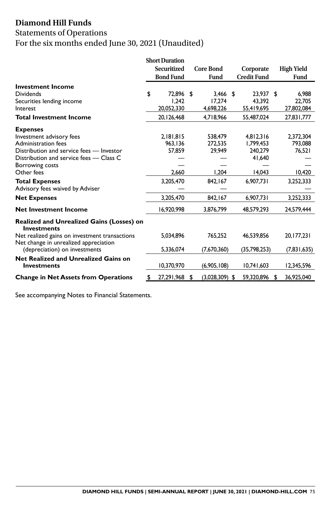### Statements of Operations For the six months ended June 30, 2021 (Unaudited)

|                                                                                        | <b>Short Duration</b> |                        |                    |                   |
|----------------------------------------------------------------------------------------|-----------------------|------------------------|--------------------|-------------------|
|                                                                                        | Securitized           | <b>Core Bond</b>       | Corporate          | <b>High Yield</b> |
|                                                                                        | <b>Bond Fund</b>      | Fund                   | <b>Credit Fund</b> | Fund              |
| <b>Investment Income</b>                                                               |                       |                        |                    |                   |
| <b>Dividends</b>                                                                       | \$<br>72.896 \$       | 3,466 \$               | 23.937 \$          | 6,988             |
| Securities lending income                                                              | 1.242                 | 17.274                 | 43.392             | 22,705            |
| Interest                                                                               | 20,052,330            | 4,698,226              | 55,419,695         | 27,802,084        |
| <b>Total Investment Income</b>                                                         | 20,126,468            | 4,718,966              | 55,487,024         | 27,831,777        |
| <b>Expenses</b>                                                                        |                       |                        |                    |                   |
| Investment advisory fees                                                               | 2,181,815             | 538.479                | 4,812,316          | 2,372,304         |
| Administration fees                                                                    | 963.136               | 272.535                | 1.799.453          | 793.088           |
| Distribution and service fees - Investor                                               | 57,859                | 29,949                 | 240,279            | 76,521            |
| Distribution and service fees - Class C                                                |                       |                        | 41,640             |                   |
| Borrowing costs                                                                        |                       |                        |                    |                   |
| Other fees                                                                             | 2,660                 | 1,204                  | 14,043             | 10,420            |
| <b>Total Expenses</b>                                                                  | 3,205,470             | 842,167                | 6.907.731          | 3,252,333         |
| Advisory fees waived by Adviser                                                        |                       |                        |                    |                   |
| <b>Net Expenses</b>                                                                    | 3,205,470             | 842,167                | 6,907,731          | 3,252,333         |
| <b>Net Investment Income</b>                                                           | 16.920.998            | 3,876,799              | 48,579,293         | 24.579.444        |
| <b>Realized and Unrealized Gains (Losses) on</b><br><b>Investments</b>                 |                       |                        |                    |                   |
| Net realized gains on investment transactions<br>Net change in unrealized appreciation | 5,034,896             | 765,252                | 46,539,856         | 20, 177, 231      |
| (depreciation) on investments                                                          | 5,336,074             | (7,670,360)            | (35,798,253)       | (7, 831, 635)     |
| <b>Net Realized and Unrealized Gains on</b><br><b>Investments</b>                      | 10,370,970            | (6,905,108)            | 10,741,603         | 12,345,596        |
| <b>Change in Net Assets from Operations</b>                                            | \$<br>27,291,968      | \$<br>$(3,028,309)$ \$ | 59,320,896         | \$<br>36,925,040  |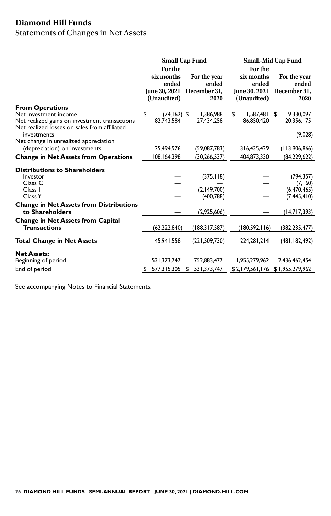### Statements of Changes in Net Assets

|                                                                                                                        | <b>Small Cap Fund</b>              |                         | <b>Small-Mid Cap Fund</b> |                                |  |                         |
|------------------------------------------------------------------------------------------------------------------------|------------------------------------|-------------------------|---------------------------|--------------------------------|--|-------------------------|
|                                                                                                                        | For the<br>six months<br>ended     | For the year<br>ended   |                           | For the<br>six months<br>ended |  | For the year<br>ended   |
|                                                                                                                        | June 30, 2021<br>(Unaudited)       | December 31,<br>2020    |                           | June 30, 2021<br>(Unaudited)   |  | December 31,<br>2020    |
| <b>From Operations</b>                                                                                                 |                                    |                         |                           |                                |  |                         |
| Net investment income<br>Net realized gains on investment transactions<br>Net realized losses on sales from affiliated | \$<br>$(74, 162)$ \$<br>82,743,584 | 1.386.988<br>27.434.258 | \$                        | $1.587.481$ \$<br>86.850.420   |  | 9.330.097<br>20,356,175 |
| investments                                                                                                            |                                    |                         |                           |                                |  | (9,028)                 |
| Net change in unrealized appreciation                                                                                  |                                    |                         |                           |                                |  |                         |
| (depreciation) on investments                                                                                          | 25,494,976                         | (59,087,783)            |                           | 316,435,429                    |  | (113,906,866)           |
| <b>Change in Net Assets from Operations</b>                                                                            | 108,164,398                        | (30, 266, 537)          |                           | 404,873,330                    |  | (84, 229, 622)          |
| <b>Distributions to Shareholders</b>                                                                                   |                                    |                         |                           |                                |  |                         |
| Investor<br>Class <sub>C</sub>                                                                                         |                                    | (375, 118)              |                           |                                |  | (794, 357)<br>(7,160)   |
| Class I                                                                                                                |                                    | (2,149,700)             |                           |                                |  | (6,470,465)             |
| Class Y                                                                                                                |                                    | (400,788)               |                           |                                |  | (7,445,410)             |
| <b>Change in Net Assets from Distributions</b><br>to Shareholders                                                      |                                    | (2,925,606)             |                           |                                |  | (14,717,393)            |
| <b>Change in Net Assets from Capital</b>                                                                               |                                    |                         |                           |                                |  |                         |
| <b>Transactions</b>                                                                                                    | (62,222,840)                       | (188,317,587)           |                           | (180,592,116)                  |  | (382, 235, 477)         |
| <b>Total Change in Net Assets</b>                                                                                      | 45,941,558                         | (221, 509, 730)         |                           | 224, 281, 214                  |  | (481, 182, 492)         |
| <b>Net Assets:</b><br>Beginning of period                                                                              | 531,373,747                        | 752,883,477             |                           | 1,955,279,962                  |  | 2,436,462,454           |
| End of period                                                                                                          | \$<br>577,315,305                  | 531,373,747             |                           | \$2,179,561,176                |  | \$1,955,279,962         |
|                                                                                                                        |                                    |                         |                           |                                |  |                         |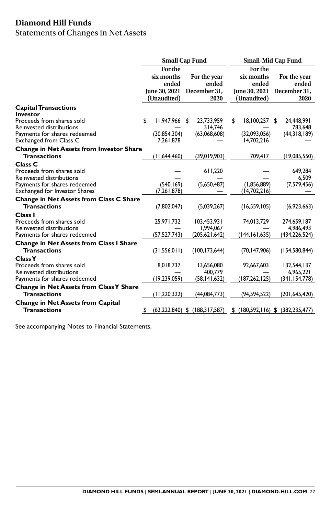Statements of Changes in Net Assets

|                                                                       |    | <b>Small Cap Fund</b><br><b>Small-Mid Cap Fund</b> |  |                                       |    |                                     |  |                       |
|-----------------------------------------------------------------------|----|----------------------------------------------------|--|---------------------------------------|----|-------------------------------------|--|-----------------------|
|                                                                       |    | For the                                            |  |                                       |    | For the                             |  |                       |
|                                                                       |    | six months                                         |  | For the year                          |    | six months                          |  | For the year          |
|                                                                       |    | ended                                              |  | ended                                 |    | ended                               |  | ended                 |
|                                                                       |    | June 30, 2021                                      |  | December 31.                          |    | June 30, 2021 December 31,          |  |                       |
|                                                                       |    | (Unaudited)                                        |  | 2020                                  |    | (Unaudited)                         |  | 2020                  |
| <b>Capital Transactions</b><br><b>Investor</b>                        |    |                                                    |  |                                       |    |                                     |  |                       |
| Proceeds from shares sold<br>Reinvested distributions                 | \$ | 11,947,966 \$                                      |  | 23,733,959<br>314,746                 | \$ | 18,100,257 \$                       |  | 24,448,991<br>783.648 |
| Payments for shares redeemed                                          |    | (30, 854, 304)                                     |  | (63,068,608)                          |    | (32,093,056)                        |  | (44,318,189)          |
| Exchanged from Class C                                                |    | 7,261,878                                          |  |                                       |    | 14.702.216                          |  |                       |
| <b>Change in Net Assets from Investor Share</b>                       |    |                                                    |  |                                       |    |                                     |  |                       |
| <b>Transactions</b>                                                   |    | (11,644,460)                                       |  | (39,019,903)                          |    | 709.417                             |  | (19,085,550)          |
| Class <sub>C</sub>                                                    |    |                                                    |  |                                       |    |                                     |  |                       |
| Proceeds from shares sold                                             |    |                                                    |  | 611,220                               |    |                                     |  | 649,284               |
| Reinvested distributions                                              |    |                                                    |  |                                       |    |                                     |  | 6,509                 |
| Payments for shares redeemed<br>Exchanged for Investor Shares         |    | (540, 169)<br>(7,261,878)                          |  | (5,650,487)                           |    | (1,856,889)<br>(14,702,216)         |  | (7,579,456)           |
| Change in Net Assets from Class C Share                               |    |                                                    |  |                                       |    |                                     |  |                       |
| <b>Transactions</b>                                                   |    | (7,802,047)                                        |  | (5,039,267)                           |    | (16, 559, 105)                      |  | (6,923,663)           |
| Class I                                                               |    |                                                    |  |                                       |    |                                     |  |                       |
| Proceeds from shares sold                                             |    | 25,971,732                                         |  | 103,453,931                           |    | 74,013,729                          |  | 274,659,187           |
| Reinvested distributions                                              |    |                                                    |  | 1,994,067                             |    |                                     |  | 4,986,493             |
| Payments for shares redeemed                                          |    | (57,527,743)                                       |  | (205, 621, 642)                       |    | (144,161,635)                       |  | (434,226,524)         |
| <b>Change in Net Assets from Class I Share</b><br><b>Transactions</b> |    |                                                    |  |                                       |    |                                     |  |                       |
|                                                                       |    | (31,556,011)                                       |  | (100,173,644)                         |    | (70, 147, 906)                      |  | (154,580,844)         |
| <b>Class Y</b><br>Proceeds from shares sold                           |    | 8,018,737                                          |  | 13,656,080                            |    | 92,667,603                          |  | 132,544,137           |
| Reinvested distributions                                              |    |                                                    |  | 400,779                               |    |                                     |  | 6,965,221             |
| Payments for shares redeemed                                          |    | (19, 239, 059)                                     |  | (58, 141, 632)                        |    | (187, 262, 125)                     |  | (341,154,778)         |
| <b>Change in Net Assets from Class Y Share</b>                        |    |                                                    |  |                                       |    |                                     |  |                       |
| <b>Transactions</b>                                                   |    | (11, 220, 322)                                     |  | (44, 084, 773)                        |    | (94, 594, 522)                      |  | (201,645,420)         |
| <b>Change in Net Assets from Capital</b>                              |    |                                                    |  |                                       |    |                                     |  |                       |
| <b>Transactions</b>                                                   | S  |                                                    |  | $(62, 222, 840)$ \$ $(188, 317, 587)$ |    | $$$ (180,592,116) $$$ (382,235,477) |  |                       |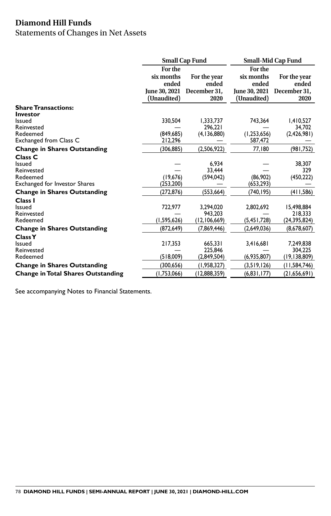Statements of Changes in Net Assets

|                                           |                      | <b>Small Cap Fund</b> | <b>Small-Mid Cap Fund</b> |               |  |  |  |
|-------------------------------------------|----------------------|-----------------------|---------------------------|---------------|--|--|--|
|                                           | For the              |                       | For the                   |               |  |  |  |
|                                           | six months           | For the year          | six months                | For the year  |  |  |  |
|                                           | ended                | ended                 | ended                     | ended         |  |  |  |
|                                           | <b>June 30, 2021</b> | December 31.          | June 30, 2021             | December 31,  |  |  |  |
|                                           | (Unaudited)          | 2020                  | (Unaudited)               | 2020          |  |  |  |
| <b>Share Transactions:</b>                |                      |                       |                           |               |  |  |  |
| Investor                                  |                      |                       |                           |               |  |  |  |
| <b>Issued</b>                             | 330,504              | 1,333,737             | 743,364                   | 1,410,527     |  |  |  |
| Reinvested                                |                      | 296.221               |                           | 34.702        |  |  |  |
| Redeemed                                  | (849.685)            | (4, 136, 880)         | (1, 253, 656)             | (2, 426, 981) |  |  |  |
| <b>Exchanged from Class C</b>             | 212,296              |                       | 587,472                   |               |  |  |  |
| <b>Change in Shares Outstanding</b>       | (306, 885)           | (2,506,922)           | 77,180                    | (981,752)     |  |  |  |
| Class C                                   |                      |                       |                           |               |  |  |  |
| <b>Issued</b>                             |                      | 6.934                 |                           | 38,307        |  |  |  |
| Reinvested                                |                      | 33.444                |                           | 329           |  |  |  |
| Redeemed                                  | (19,676)             | (594, 042)            | (86,902)                  | (450, 222)    |  |  |  |
| <b>Exchanged for Investor Shares</b>      | (253, 200)           |                       | (653, 293)                |               |  |  |  |
| <b>Change in Shares Outstanding</b>       | (272, 876)           | (553, 664)            | (740,195)                 | (411,586)     |  |  |  |
| Class I                                   |                      |                       |                           |               |  |  |  |
| Issued                                    | 722,977              | 3.294.020             | 2,802,692                 | 15,498,884    |  |  |  |
| Reinvested                                |                      | 943.203               |                           | 218.333       |  |  |  |
| Redeemed                                  | (1,595,626)          | (12,106,669)          | (5, 451, 728)             | (24,395,824)  |  |  |  |
| <b>Change in Shares Outstanding</b>       | (872, 649)           | (7,869,446)           | (2,649,036)               | (8,678,607)   |  |  |  |
| Class Y                                   |                      |                       |                           |               |  |  |  |
| <b>Issued</b>                             | 217,353              | 665.331               | 3,416,681                 | 7.249.838     |  |  |  |
| Reinvested                                |                      | 225,846               |                           | 304,225       |  |  |  |
| Redeemed                                  | (518,009)            | (2,849,504)           | (6,935,807)               | (19,138,809)  |  |  |  |
| <b>Change in Shares Outstanding</b>       | (300, 656)           | (1,958,327)           | (3,519,126)               | (11,584,746)  |  |  |  |
| <b>Change in Total Shares Outstanding</b> | (1,753,066)          | (12,888,359)          | (6,831,177)               | (21,656,691)  |  |  |  |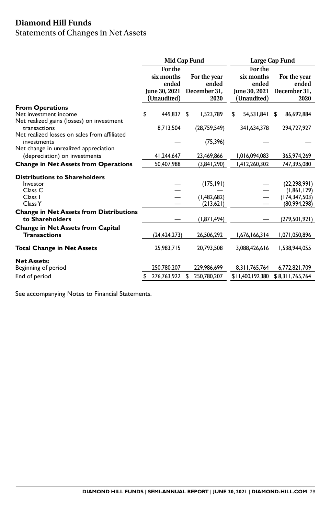### Statements of Changes in Net Assets

|                                                | Mid Cap Fund      |      |              | Large Cap Fund |                    |              |                 |
|------------------------------------------------|-------------------|------|--------------|----------------|--------------------|--------------|-----------------|
|                                                | For the           |      |              |                | For the            |              |                 |
|                                                | six months        |      | For the year |                | six months         |              | For the year    |
|                                                | ended             |      | ended        |                | ended              | ended        |                 |
|                                                | June 30, 2021     |      | December 31, | June 30, 2021  |                    | December 31, |                 |
|                                                | (Unaudited)       | 2020 |              | (Unaudited)    |                    |              | 2020            |
| <b>From Operations</b>                         |                   |      |              |                |                    |              |                 |
| Net investment income                          | \$<br>449.837 \$  |      | 1,523,789    | \$             | 54,531,841         | \$           | 86,692,884      |
| Net realized gains (losses) on investment      |                   |      |              |                |                    |              |                 |
| transactions                                   | 8,713,504         |      | (28,759,549) |                | 341,634,378        |              | 294,727,927     |
| Net realized losses on sales from affiliated   |                   |      |              |                |                    |              |                 |
| investments                                    |                   |      | (75, 396)    |                |                    |              |                 |
| Net change in unrealized appreciation          |                   |      |              |                |                    |              |                 |
| (depreciation) on investments                  | 41,244,647        |      | 23,469,866   |                | 1,016,094,083      |              | 365,974,269     |
| <b>Change in Net Assets from Operations</b>    | 50,407,988        |      | (3,841,290)  |                | 1,412,260,302      |              | 747,395,080     |
| <b>Distributions to Shareholders</b>           |                   |      |              |                |                    |              |                 |
| Investor                                       |                   |      | (175, 191)   |                |                    |              | (22, 298, 991)  |
| Class <sub>C</sub>                             |                   |      |              |                |                    |              | (1,861,129)     |
| Class I                                        |                   |      | (1,482,682)  |                |                    |              | (174, 347, 503) |
| Class <sub>Y</sub>                             |                   |      | (213,621)    |                |                    |              | (80,994,298)    |
| <b>Change in Net Assets from Distributions</b> |                   |      |              |                |                    |              |                 |
| to Shareholders                                |                   |      | (1,871,494)  |                |                    |              | (279,501,921)   |
| <b>Change in Net Assets from Capital</b>       |                   |      |              |                |                    |              |                 |
| <b>Transactions</b>                            | (24, 424, 273)    |      | 26,506,292   |                | 1,676,166,314      |              | 1,071,050,896   |
| <b>Total Change in Net Assets</b>              | 25,983,715        |      | 20,793,508   |                | 3,088,426,616      |              | 1,538,944,055   |
|                                                |                   |      |              |                |                    |              |                 |
| <b>Net Assets:</b>                             |                   |      |              |                |                    |              |                 |
| Beginning of period                            | 250,780,207       |      | 229,986,699  |                | 8, 3   1, 765, 764 |              | 6,772,821,709   |
| End of period                                  | \$<br>276,763,922 | \$   | 250,780,207  |                | \$11,400,192,380   |              | \$8,311,765,764 |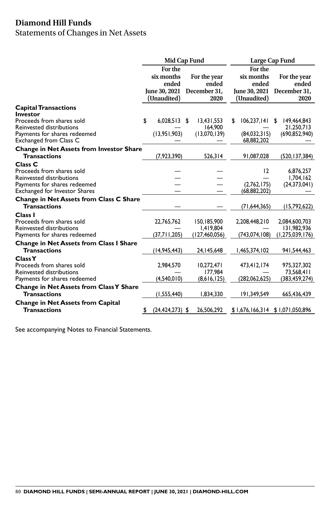Statements of Changes in Net Assets

|                                                                       |    | Mid Cap Fund        |                          | Large Cap Fund             |                                 |  |  |
|-----------------------------------------------------------------------|----|---------------------|--------------------------|----------------------------|---------------------------------|--|--|
|                                                                       |    | For the             |                          | For the                    |                                 |  |  |
|                                                                       |    | six months          | For the year             | six months                 | For the year                    |  |  |
|                                                                       |    | ended               | ended                    | ended                      | ended                           |  |  |
|                                                                       |    | June 30, 2021       | December 31.             |                            | June 30, 2021 December 31,      |  |  |
|                                                                       |    | (Unaudited)         | 2020                     | (Unaudited)                | 2020                            |  |  |
| <b>Capital Transactions</b><br>Investor                               |    |                     |                          |                            |                                 |  |  |
| Proceeds from shares sold                                             | \$ | 6,028,513           | \$<br>13,431,553         | \$<br>106, 237, 141        | \$<br>149,464,843               |  |  |
| Reinvested distributions                                              |    |                     | 164.900                  |                            | 21,250,713                      |  |  |
| Payments for shares redeemed<br><b>Exchanged from Class C</b>         |    | (13,951,903)        | (13,070,139)             | (84,032,315)<br>68.882.202 | (690, 852, 940)                 |  |  |
| <b>Change in Net Assets from Investor Share</b>                       |    |                     |                          |                            |                                 |  |  |
| <b>Transactions</b>                                                   |    | (7,923,390)         | 526,314                  | 91,087,028                 | (520, 137, 384)                 |  |  |
| Class <sub>C</sub>                                                    |    |                     |                          |                            |                                 |  |  |
| Proceeds from shares sold                                             |    |                     |                          | 12                         | 6,876,257                       |  |  |
| Reinvested distributions                                              |    |                     |                          |                            | 1,704,162                       |  |  |
| Payments for shares redeemed                                          |    |                     |                          | (2,762,175)                | (24,373,041)                    |  |  |
| Exchanged for Investor Shares                                         |    |                     |                          | (68, 882, 202)             |                                 |  |  |
| Change in Net Assets from Class C Share                               |    |                     |                          |                            |                                 |  |  |
| <b>Transactions</b>                                                   |    |                     |                          | (71, 644, 365)             | (15,792,622)                    |  |  |
| Class I                                                               |    |                     |                          |                            |                                 |  |  |
| Proceeds from shares sold<br>Reinvested distributions                 |    | 22,765,762          | 150.185.900<br>1,419,804 | 2,208,448,210              | 2.084.600.703<br>131,982,936    |  |  |
| Payments for shares redeemed                                          |    | (37,711,205)        | (127,460,056)            | (743,074,108)              | (1, 275, 039, 176)              |  |  |
| <b>Change in Net Assets from Class I Share</b>                        |    |                     |                          |                            |                                 |  |  |
| <b>Transactions</b>                                                   |    | (14, 945, 443)      | 24,145,648               | 1,465,374,102              | 941, 544, 463                   |  |  |
| <b>Class Y</b>                                                        |    |                     |                          |                            |                                 |  |  |
| Proceeds from shares sold                                             |    | 2,984,570           | 10,272,471               | 473,412,174                | 975,327,302                     |  |  |
| Reinvested distributions<br>Payments for shares redeemed              |    | (4,540,010)         | 177,984<br>(8,616,125)   | (282,062,625)              | 73,568,411<br>(383,459,274)     |  |  |
|                                                                       |    |                     |                          |                            |                                 |  |  |
| <b>Change in Net Assets from Class Y Share</b><br><b>Transactions</b> |    | (1, 555, 440)       | 1,834,330                | 191,349,549                | 665,436,439                     |  |  |
|                                                                       |    |                     |                          |                            |                                 |  |  |
| <b>Change in Net Assets from Capital</b><br><b>Transactions</b>       | S  | $(24, 424, 273)$ \$ | 26,506,292               |                            | \$1,676,166,314 \$1,071,050,896 |  |  |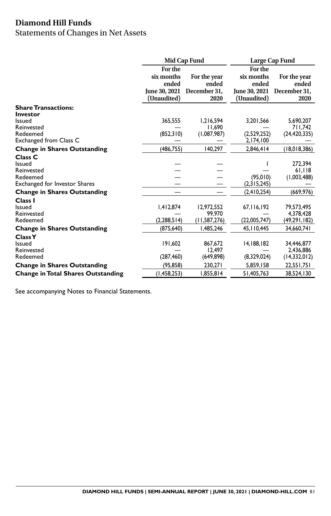Statements of Changes in Net Assets

|                                           |               | Mid Cap Fund   | Large Cap Fund |                |  |  |  |
|-------------------------------------------|---------------|----------------|----------------|----------------|--|--|--|
|                                           | For the       |                | For the        |                |  |  |  |
|                                           | six months    | For the year   | six months     | For the year   |  |  |  |
|                                           | ended         | ended          | ended          | ended          |  |  |  |
|                                           | June 30, 2021 | December 31,   | June 30, 2021  | December 31,   |  |  |  |
|                                           | (Unaudited)   | 2020           | (Unaudited)    | 2020           |  |  |  |
| <b>Share Transactions:</b>                |               |                |                |                |  |  |  |
| Investor                                  |               |                |                |                |  |  |  |
| <b>Issued</b>                             | 365,555       | 1,216,594      | 3,201,566      | 5,690,207      |  |  |  |
| Reinvested                                |               | 11.690         |                | 711.742        |  |  |  |
| Redeemed                                  | (852,310)     | (1,087,987)    | (2,529,252)    | (24, 420, 335) |  |  |  |
| <b>Exchanged from Class C</b>             |               |                | 2,174,100      |                |  |  |  |
| <b>Change in Shares Outstanding</b>       | (486,755)     | 140,297        | 2,846,414      | (18,018,386)   |  |  |  |
| Class C                                   |               |                |                |                |  |  |  |
| Issued                                    |               |                |                | 272.394        |  |  |  |
| Reinvested                                |               |                |                | 61,118         |  |  |  |
| Redeemed                                  |               |                | (95, 010)      | (1,003,488)    |  |  |  |
| Exchanged for Investor Shares             |               |                | (2,315,245)    |                |  |  |  |
| <b>Change in Shares Outstanding</b>       |               |                | (2,410,254)    | (669,976)      |  |  |  |
| Class <sub>1</sub>                        |               |                |                |                |  |  |  |
| <b>Issued</b>                             | 1,412,874     | 12,972,552     | 67,116,192     | 79,573,495     |  |  |  |
| Reinvested                                |               | 99,970         |                | 4.378.428      |  |  |  |
| Redeemed                                  | (2, 288, 514) | (11, 587, 276) | (22,005,747)   | (49,291,182)   |  |  |  |
| <b>Change in Shares Outstanding</b>       | (875, 640)    | 1,485,246      | 45,110,445     | 34,660,741     |  |  |  |
| <b>Class Y</b>                            |               |                |                |                |  |  |  |
| Issued                                    | 191,602       | 867,672        | 14,188,182     | 34,446,877     |  |  |  |
| Reinvested                                |               | 12.497         |                | 2,436,886      |  |  |  |
| Redeemed                                  | (287, 460)    | (649, 898)     | (8,329,024)    | (14,332,012)   |  |  |  |
| <b>Change in Shares Outstanding</b>       | (95, 858)     | 230,271        | 5,859,158      | 22,551,751     |  |  |  |
| <b>Change in Total Shares Outstanding</b> | (1,458,253)   | 1,855,814      | 51,405,763     | 38,524,130     |  |  |  |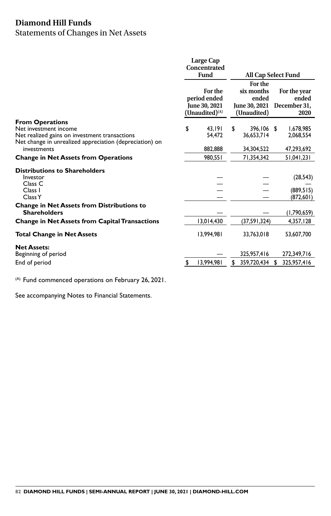### Statements of Changes in Net Assets

|                                                                                                          | Large Cap<br>Concentrated            |                               |              |                     |                      |  |
|----------------------------------------------------------------------------------------------------------|--------------------------------------|-------------------------------|--------------|---------------------|----------------------|--|
|                                                                                                          | Fund                                 |                               |              | All Cap Select Fund |                      |  |
|                                                                                                          |                                      |                               | For the      |                     |                      |  |
|                                                                                                          | For the                              | six months                    |              | For the year        |                      |  |
|                                                                                                          | period ended                         | ended<br><b>June 30, 2021</b> |              |                     | ended                |  |
|                                                                                                          | June 30, 2021<br>$(Unaudited)^{(A)}$ | (Unaudited)                   |              |                     | December 31,<br>2020 |  |
| <b>From Operations</b>                                                                                   |                                      |                               |              |                     |                      |  |
| Net investment income                                                                                    | \$<br>43.191                         | \$                            | 396.106 \$   |                     | 1,678,985            |  |
| Net realized gains on investment transactions<br>Net change in unrealized appreciation (depreciation) on | 54.472                               |                               | 36,653,714   |                     | 2.068.554            |  |
| investments                                                                                              | 882,888                              |                               | 34,304,522   |                     | 47,293,692           |  |
| <b>Change in Net Assets from Operations</b>                                                              | 980,551                              |                               | 71,354,342   |                     | 51,041,231           |  |
| <b>Distributions to Shareholders</b>                                                                     |                                      |                               |              |                     |                      |  |
| Investor                                                                                                 |                                      |                               |              |                     | (28, 543)            |  |
| Class <sub>C</sub><br>Class I                                                                            |                                      |                               |              |                     | (889, 515)           |  |
| Class Y                                                                                                  |                                      |                               |              |                     | (872,601)            |  |
| <b>Change in Net Assets from Distributions to</b>                                                        |                                      |                               |              |                     |                      |  |
| <b>Shareholders</b>                                                                                      |                                      |                               |              |                     | (1,790,659)          |  |
| <b>Change in Net Assets from Capital Transactions</b>                                                    | 13,014,430                           |                               | (37,591,324) |                     | 4,357,128            |  |
| <b>Total Change in Net Assets</b>                                                                        | 13,994,981                           |                               | 33,763,018   |                     | 53,607,700           |  |
| <b>Net Assets:</b><br>Beginning of period                                                                |                                      |                               | 325,957,416  |                     | 272,349,716          |  |
| End of period                                                                                            | \$<br>13,994,981                     | \$                            | 359,720,434  | S                   | 325,957,416          |  |
|                                                                                                          |                                      |                               |              |                     |                      |  |

(A) Fund commenced operations on February 26, 2021.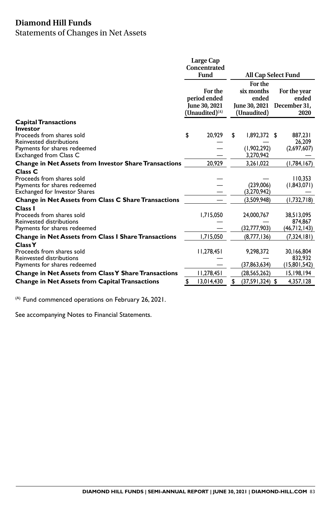### Statements of Changes in Net Assets

|                                                                                                              | Large Cap<br>Concentrated<br>Fund | All Cap Select Fund         |                                       |
|--------------------------------------------------------------------------------------------------------------|-----------------------------------|-----------------------------|---------------------------------------|
|                                                                                                              |                                   | For the                     |                                       |
|                                                                                                              | For the                           | six months                  | For the year                          |
|                                                                                                              | period ended                      | ended                       | ended                                 |
|                                                                                                              | June 30, 2021                     | June 30, 2021               | December 31,                          |
|                                                                                                              | (Unaudited) <sup>(A)</sup>        | (Unaudited)                 | 2020                                  |
| <b>Capital Transactions</b><br>Investor                                                                      |                                   |                             |                                       |
| Proceeds from shares sold<br>Reinvested distributions                                                        | \$<br>20,929                      | \$<br>$1.892.372$ \$        | 887.231<br>26,209                     |
| Payments for shares redeemed<br><b>Exchanged from Class C</b>                                                |                                   | (1,902,292)<br>3,270,942    | (2,697,607)                           |
| <b>Change in Net Assets from Investor Share Transactions</b>                                                 | 20,929                            | 3,261,022                   | (1,784,167)                           |
| Class C<br>Proceeds from shares sold<br>Payments for shares redeemed<br><b>Exchanged for Investor Shares</b> |                                   | (239,006)<br>(3,270,942)    | 110,353<br>(1,843,071)                |
| <b>Change in Net Assets from Class C Share Transactions</b>                                                  |                                   | (3,509,948)                 | (1,732,718)                           |
| Class I<br>Proceeds from shares sold<br>Reinvested distributions<br>Payments for shares redeemed             | 1,715,050                         | 24,000,767<br>(32,777,903)  | 38.513.095<br>874.867<br>(46,712,143) |
| <b>Change in Net Assets from Class I Share Transactions</b>                                                  | 1.715.050                         | (8,777,136)                 | (7,324,181)                           |
| Class Y<br>Proceeds from shares sold<br>Reinvested distributions<br>Payments for shares redeemed             | 11,278,451                        | 9,298,372<br>(37, 863, 634) | 30,166,804<br>832.932<br>(15,801,542) |
| <b>Change in Net Assets from Class Y Share Transactions</b>                                                  | 11,278,451                        | (28, 565, 262)              | 15,198,194                            |
| <b>Change in Net Assets from Capital Transactions</b>                                                        | \$<br>13,014,430                  | \$<br>$(37,591,324)$ \$     | 4,357,128                             |

(A) Fund commenced operations on February 26, 2021.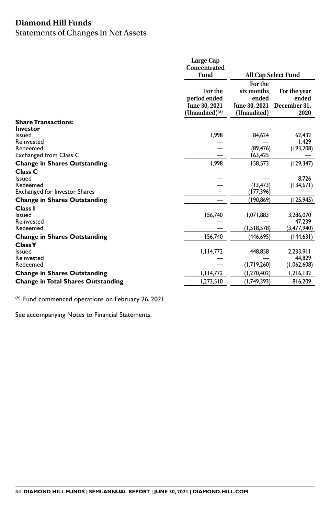### Statements of Changes in Net Assets

|                                           | Large Cap           |               |                     |
|-------------------------------------------|---------------------|---------------|---------------------|
|                                           | Concentrated        |               |                     |
|                                           | Fund                |               | All Cap Select Fund |
|                                           |                     | For the       |                     |
|                                           | For the             | six months    | For the year        |
|                                           | period ended        | ended         | ended               |
|                                           | June 30, 2021       | June 30, 2021 | December 31,        |
|                                           | $(Unaudited)^{(A)}$ | (Unaudited)   | 2020                |
| <b>Share Transactions:</b>                |                     |               |                     |
| Investor                                  |                     |               |                     |
| Issued                                    | 1,998               | 84,624        | 62,432              |
| Reinvested                                |                     |               | 1.429               |
| Redeemed                                  |                     | (89, 476)     | (193, 208)          |
| Exchanged from Class C                    |                     | 163,425       |                     |
| <b>Change in Shares Outstanding</b>       | 1.998               | 158,573       | (129,347)           |
| Class C                                   |                     |               |                     |
| <b>Issued</b>                             |                     |               | 8.726               |
| Redeemed                                  |                     | (13, 473)     | (134, 671)          |
| <b>Exchanged for Investor Shares</b>      |                     | (177, 396)    |                     |
| <b>Change in Shares Outstanding</b>       |                     | (190.869)     | (125,945)           |
| Class I                                   |                     |               |                     |
| Issued                                    | 156,740             | 1,071,883     | 3,286,070           |
| Reinvested                                |                     |               | 47,239              |
| Redeemed                                  |                     | (1.518, 578)  | (3,477,940)         |
| <b>Change in Shares Outstanding</b>       | 156.740             | (446, 695)    | (144, 631)          |
| <b>Class Y</b>                            |                     |               |                     |
| <b>Issued</b>                             | 1,114,772           | 448,858       | 2,233,911           |
| Reinvested                                |                     |               | 44.829              |
| Redeemed                                  |                     | (1,719,260)   | (1,062,608)         |
| <b>Change in Shares Outstanding</b>       | 1,114,772           | (1,270,402)   | 1,216,132           |
| <b>Change in Total Shares Outstanding</b> | 1,273,510           | (1,749,393)   | 816,209             |

(A) Fund commenced operations on February 26, 2021.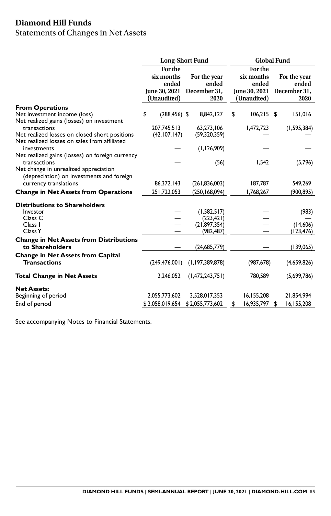# Statements of Changes in Net Assets

|                                                                   |                                                                | <b>Long-Short Fund</b>                        | <b>Global Fund</b>                                             |                                               |  |  |
|-------------------------------------------------------------------|----------------------------------------------------------------|-----------------------------------------------|----------------------------------------------------------------|-----------------------------------------------|--|--|
|                                                                   | For the<br>six months<br>ended<br>June 30, 2021<br>(Unaudited) | For the year<br>ended<br>December 31.<br>2020 | For the<br>six months<br>ended<br>June 30, 2021<br>(Unaudited) | For the year<br>ended<br>December 31,<br>2020 |  |  |
| <b>From Operations</b>                                            |                                                                |                                               |                                                                |                                               |  |  |
| Net investment income (loss)                                      | $(288, 456)$ \$<br>\$                                          | 8,842,127                                     | $106,215$ \$<br>\$                                             | 151,016                                       |  |  |
| Net realized gains (losses) on investment                         |                                                                |                                               |                                                                |                                               |  |  |
| transactions<br>Net realized losses on closed short positions     | 207.745.513<br>(42, 107, 147)                                  | 63.273.106                                    | 1,472,723                                                      | (1, 595, 384)                                 |  |  |
| Net realized losses on sales from affiliated                      |                                                                | (59,320,359)                                  |                                                                |                                               |  |  |
| investments                                                       |                                                                | (1, 126, 909)                                 |                                                                |                                               |  |  |
| Net realized gains (losses) on foreign currency                   |                                                                |                                               |                                                                |                                               |  |  |
| transactions                                                      |                                                                | (56)                                          | 1,542                                                          | (5,796)                                       |  |  |
| Net change in unrealized appreciation                             |                                                                |                                               |                                                                |                                               |  |  |
| (depreciation) on investments and foreign                         |                                                                |                                               |                                                                |                                               |  |  |
| currency translations                                             | 86,372,143                                                     | (261, 836, 003)                               | 187,787                                                        | 549,269                                       |  |  |
| <b>Change in Net Assets from Operations</b>                       | 251,722,053                                                    | (250, 168, 094)                               | 1,768,267                                                      | (900, 895)                                    |  |  |
| <b>Distributions to Shareholders</b>                              |                                                                |                                               |                                                                |                                               |  |  |
| Investor                                                          |                                                                | (1,582,517)                                   |                                                                | (983)                                         |  |  |
| Class <sub>C</sub>                                                |                                                                | (223, 421)                                    |                                                                |                                               |  |  |
| Class I<br>Class Y                                                |                                                                | (21, 897, 354)                                |                                                                | (14,606)                                      |  |  |
|                                                                   |                                                                | (982, 487)                                    |                                                                | (123, 476)                                    |  |  |
| <b>Change in Net Assets from Distributions</b><br>to Shareholders |                                                                | (24,685,779)                                  |                                                                | (139,065)                                     |  |  |
| Change in Net Assets from Capital                                 |                                                                |                                               |                                                                |                                               |  |  |
| <b>Transactions</b>                                               | (249, 476, 001)                                                | (1, 197, 389, 878)                            | (987, 678)                                                     | (4,659,826)                                   |  |  |
| <b>Total Change in Net Assets</b>                                 | 2,246,052                                                      | (1,472,243,751)                               | 780,589                                                        | (5,699,786)                                   |  |  |
| <b>Net Assets:</b>                                                |                                                                |                                               |                                                                |                                               |  |  |
| Beginning of period                                               | 2,055,773,602                                                  | 3,528,017,353                                 | 16,155,208                                                     | 21,854,994                                    |  |  |
| End of period                                                     | \$2,058,019,654                                                | \$2,055,773,602                               | 16,935,797<br>\$                                               | 16,155,208<br>S                               |  |  |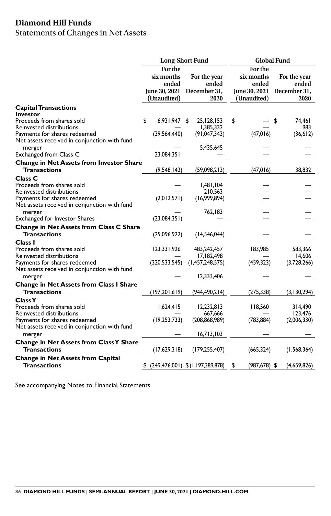Statements of Changes in Net Assets

|                                                                                                                                                         |                                                                | <b>Long-Short Fund</b>                                     | <b>Global Fund</b>                                                          |                                  |  |  |
|---------------------------------------------------------------------------------------------------------------------------------------------------------|----------------------------------------------------------------|------------------------------------------------------------|-----------------------------------------------------------------------------|----------------------------------|--|--|
|                                                                                                                                                         | For the<br>six months<br>ended<br>June 30, 2021<br>(Unaudited) | For the year<br>ended<br>December 31.<br>2020              | For the<br>six months<br>ended<br>June 30, 2021 December 31,<br>(Unaudited) | For the year<br>ended<br>2020    |  |  |
| <b>Capital Transactions</b><br>Investor                                                                                                                 |                                                                |                                                            |                                                                             |                                  |  |  |
| Proceeds from shares sold<br>Reinvested distributions<br>Payments for shares redeemed<br>Net assets received in conjunction with fund                   | \$<br>6,931,947 \$<br>(39, 564, 440)                           | 25, 128, 153<br>1,385,332<br>(91, 047, 343)                | \$<br>(47,016)                                                              | \$<br>74,461<br>983<br>(36, 612) |  |  |
| merger<br>Exchanged from Class C                                                                                                                        | 23,084,351                                                     | 5,435,645                                                  |                                                                             |                                  |  |  |
| <b>Change in Net Assets from Investor Share</b>                                                                                                         |                                                                |                                                            |                                                                             |                                  |  |  |
| <b>Transactions</b>                                                                                                                                     | (9,548,142)                                                    | (59,098,213)                                               | (47,016)                                                                    | 38,832                           |  |  |
| Class C<br>Proceeds from shares sold<br><b>Reinvested distributions</b><br>Payments for shares redeemed<br>Net assets received in conjunction with fund | (2,012,571)                                                    | 1,481,104<br>210.563<br>(16,999,894)                       |                                                                             |                                  |  |  |
| merger<br>Exchanged for Investor Shares                                                                                                                 | (23,084,351)                                                   | 762,183                                                    |                                                                             |                                  |  |  |
| Change in Net Assets from Class C Share<br><b>Transactions</b>                                                                                          | (25,096,922)                                                   | (14,546,044)                                               |                                                                             |                                  |  |  |
| Class I<br>Proceeds from shares sold<br>Reinvested distributions<br>Payments for shares redeemed<br>Net assets received in conjunction with fund        | 123,331,926<br>(320, 533, 545)                                 | 483,242,457<br>17,182,498<br>(1,457,248,575)<br>12,333,406 | 183,985<br>(459, 323)                                                       | 583.366<br>14,606<br>(3,728,266) |  |  |
| merger<br><b>Change in Net Assets from Class I Share</b><br><b>Transactions</b>                                                                         | (197, 201, 619)                                                | (944, 490, 214)                                            | (275, 338)                                                                  | (3,130,294)                      |  |  |
| Class Y                                                                                                                                                 |                                                                |                                                            |                                                                             |                                  |  |  |
| Proceeds from shares sold<br>Reinvested distributions                                                                                                   | 1,624,415                                                      | 12,232,813<br>667.666                                      | 118,560                                                                     | 314.490<br>123,476               |  |  |
| Payments for shares redeemed<br>Net assets received in conjunction with fund                                                                            | (19, 253, 733)                                                 | (208, 868, 989)                                            | (783, 884)                                                                  | (2,006,330)                      |  |  |
| merger                                                                                                                                                  |                                                                | 16,713,103                                                 |                                                                             |                                  |  |  |
| Change in Net Assets from Class Y Share<br><b>Transactions</b>                                                                                          | (17,629,318)                                                   | (179, 255, 407)                                            | (665, 324)                                                                  | (1,568,364)                      |  |  |
| <b>Change in Net Assets from Capital</b><br><b>Transactions</b>                                                                                         |                                                                | $$$ (249,476,001) $$$ (1,197,389,878)                      | -\$<br>$(987, 678)$ \$                                                      | (4,659,826)                      |  |  |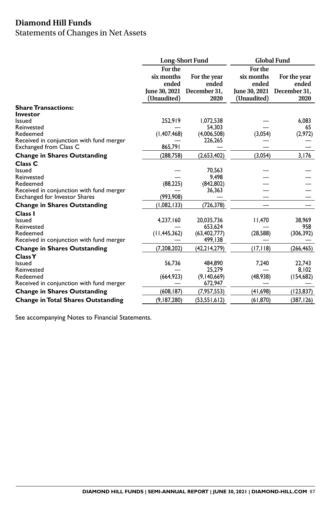Statements of Changes in Net Assets

|                                                                    |                | <b>Long-Short Fund</b> | <b>Global Fund</b> |              |  |  |
|--------------------------------------------------------------------|----------------|------------------------|--------------------|--------------|--|--|
|                                                                    | For the        |                        | For the            |              |  |  |
|                                                                    | six months     | For the year           | six months         | For the year |  |  |
|                                                                    | ended          | ended                  | ended              | ended        |  |  |
|                                                                    | June 30, 2021  | December 31,           | June 30, 2021      | December 31, |  |  |
|                                                                    | (Unaudited)    | 2020                   | (Unaudited)        | 2020         |  |  |
| <b>Share Transactions:</b>                                         |                |                        |                    |              |  |  |
| Investor                                                           |                |                        |                    |              |  |  |
| <b>Issued</b>                                                      | 252,919        | 1.072.538              |                    | 6.083        |  |  |
| Reinvested                                                         |                | 54.303                 |                    | 65           |  |  |
| Redeemed                                                           | (1,407,468)    | (4,006,508)            | (3,054)            | (2,972)      |  |  |
| Received in conjunction with fund merger<br>Exchanged from Class C | 865,791        | 226,265                |                    |              |  |  |
| <b>Change in Shares Outstanding</b>                                | (288, 758)     | (2,653,402)            | (3,054)            | 3,176        |  |  |
| Class <sub>C</sub>                                                 |                |                        |                    |              |  |  |
| Issued                                                             |                | 70,563                 |                    |              |  |  |
| Reinvested                                                         |                | 9.498                  |                    |              |  |  |
| Redeemed                                                           | (88, 225)      | (842, 802)             |                    |              |  |  |
| Received in conjunction with fund merger                           |                | 36,363                 |                    |              |  |  |
| Exchanged for Investor Shares                                      | (993,908)      |                        |                    |              |  |  |
| <b>Change in Shares Outstanding</b>                                | (1,082,133)    | (726,378)              |                    |              |  |  |
| Class I                                                            |                |                        |                    |              |  |  |
| Issued                                                             | 4,237,160      | 20,035,736             | 11,470             | 38.969       |  |  |
| Reinvested                                                         |                | 653.624                |                    | 958          |  |  |
| Redeemed                                                           | (11, 445, 362) | (63, 402, 777)         | (28, 588)          | (306, 392)   |  |  |
| Received in conjunction with fund merger                           |                | 499,138                |                    |              |  |  |
| <b>Change in Shares Outstanding</b>                                | (7,208,202)    | (42, 214, 279)         | (17, 118)          | (266, 465)   |  |  |
| <b>Class Y</b>                                                     |                |                        |                    |              |  |  |
| Issued                                                             | 56,736         | 484.890                | 7,240              | 22.743       |  |  |
| Reinvested<br>Redeemed                                             |                | 25.279                 |                    | 8.102        |  |  |
| Received in conjunction with fund merger                           | (664, 923)     | (9,140,669)<br>672,947 | (48,938)           | (154,682)    |  |  |
| <b>Change in Shares Outstanding</b>                                | (608, 187)     | (7, 957, 553)          | (41, 698)          | (123, 837)   |  |  |
| <b>Change in Total Shares Outstanding</b>                          | (9,187,280)    | (53,551,612)           | (61, 870)          | (387, 126)   |  |  |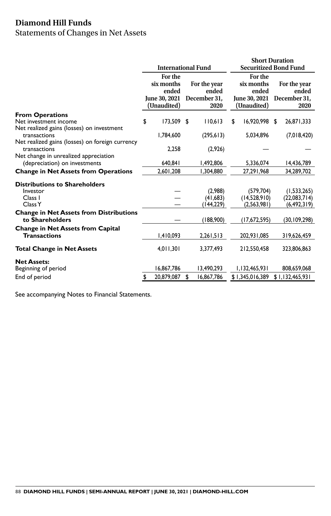### Statements of Changes in Net Assets

| For the<br>six months<br>For the year<br>ended<br>ended<br>June 30, 2021<br>December 31.<br>(Unaudited)<br>2020 |            | For the<br>six months<br>ended<br>June 30, 2021<br>(Unaudited) |            |                                                                            | For the year<br>ended<br>December 31.<br>2020 |                                                                         |                                                                                        |  |
|-----------------------------------------------------------------------------------------------------------------|------------|----------------------------------------------------------------|------------|----------------------------------------------------------------------------|-----------------------------------------------|-------------------------------------------------------------------------|----------------------------------------------------------------------------------------|--|
|                                                                                                                 |            |                                                                |            |                                                                            |                                               |                                                                         |                                                                                        |  |
| \$                                                                                                              |            |                                                                | 110,613    | \$                                                                         |                                               |                                                                         | 26,871,333                                                                             |  |
|                                                                                                                 |            |                                                                |            |                                                                            |                                               |                                                                         |                                                                                        |  |
|                                                                                                                 |            |                                                                |            |                                                                            |                                               |                                                                         | (7,018,420)                                                                            |  |
|                                                                                                                 |            |                                                                |            |                                                                            |                                               |                                                                         |                                                                                        |  |
|                                                                                                                 |            |                                                                |            |                                                                            |                                               |                                                                         |                                                                                        |  |
|                                                                                                                 |            |                                                                |            |                                                                            |                                               |                                                                         | 14,436,789                                                                             |  |
|                                                                                                                 | 2,601,208  |                                                                | 1,304,880  |                                                                            | 27,291,968                                    |                                                                         | 34,289,702                                                                             |  |
|                                                                                                                 |            |                                                                |            |                                                                            |                                               |                                                                         |                                                                                        |  |
|                                                                                                                 |            |                                                                |            |                                                                            |                                               |                                                                         | (1,533,265)                                                                            |  |
|                                                                                                                 |            |                                                                | (41,683)   |                                                                            |                                               |                                                                         | (22,083,714)                                                                           |  |
|                                                                                                                 |            |                                                                | (144,229)  |                                                                            | (2,563,981)                                   |                                                                         | (6, 492, 319)                                                                          |  |
|                                                                                                                 |            |                                                                |            |                                                                            |                                               |                                                                         |                                                                                        |  |
|                                                                                                                 |            |                                                                | (188,900)  |                                                                            | (17,672,595)                                  |                                                                         | (30, 109, 298)                                                                         |  |
|                                                                                                                 |            |                                                                |            |                                                                            |                                               |                                                                         |                                                                                        |  |
|                                                                                                                 | 1,410,093  |                                                                | 2,261,513  |                                                                            | 202,931,085                                   |                                                                         | 319,626,459                                                                            |  |
|                                                                                                                 | 4,011,301  |                                                                | 3,377,493  |                                                                            | 212,550,458                                   |                                                                         | 323,806,863                                                                            |  |
|                                                                                                                 |            |                                                                |            |                                                                            |                                               |                                                                         |                                                                                        |  |
|                                                                                                                 | 16,867,786 |                                                                | 13,490,293 |                                                                            |                                               |                                                                         | 808,659,068                                                                            |  |
| \$                                                                                                              | 20,879,087 | \$                                                             | 16,867,786 |                                                                            |                                               |                                                                         | \$1,132,465,931                                                                        |  |
|                                                                                                                 |            | 1.784.600<br>2,258<br>640.841                                  | 173.509 \$ | <b>International Fund</b><br>(295, 613)<br>(2,926)<br>1,492,806<br>(2,988) |                                               | 5,034,896<br>5,336,074<br>(579.704)<br>1,132,465,931<br>\$1,345,016,389 | <b>Short Duration</b><br><b>Securitized Bond Fund</b><br>16,920,998 \$<br>(14,528,910) |  |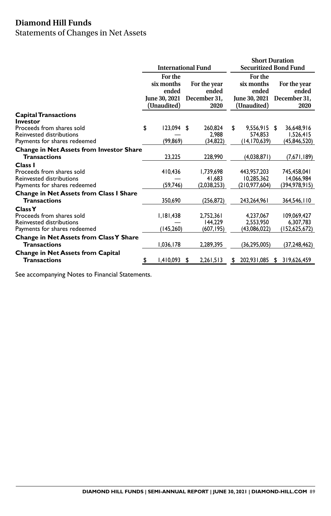Statements of Changes in Net Assets

|                                                 |    |                           |              |              |                              | <b>Short Duration</b> |   |                |  |
|-------------------------------------------------|----|---------------------------|--------------|--------------|------------------------------|-----------------------|---|----------------|--|
|                                                 |    | <b>International Fund</b> |              |              | <b>Securitized Bond Fund</b> |                       |   |                |  |
|                                                 |    | For the                   |              |              |                              | For the               |   |                |  |
|                                                 |    | six months                | For the year |              |                              | six months            |   | For the year   |  |
|                                                 |    | ended                     |              | ended        |                              | ended                 |   | ended          |  |
|                                                 |    | June 30, 2021             |              | December 31, |                              | June 30, 2021         |   | December 31,   |  |
|                                                 |    | (Unaudited)               |              | 2020         |                              | (Unaudited)           |   | 2020           |  |
| <b>Capital Transactions</b>                     |    |                           |              |              |                              |                       |   |                |  |
| Investor                                        |    |                           |              |              |                              |                       |   |                |  |
| Proceeds from shares sold                       | \$ | 123,094 \$                |              | 260.824      | \$                           | 9,556,915 \$          |   | 36,648,916     |  |
| Reinvested distributions                        |    |                           |              | 2,988        |                              | 574.853               |   | 1,526,415      |  |
| Payments for shares redeemed                    |    | (99, 869)                 |              | (34,822)     |                              | (14,170,639)          |   | (45, 846, 520) |  |
| <b>Change in Net Assets from Investor Share</b> |    |                           |              |              |                              |                       |   |                |  |
| <b>Transactions</b>                             |    | 23,225                    |              | 228,990      |                              | (4,038,871)           |   | (7,671,189)    |  |
| Class I                                         |    |                           |              |              |                              |                       |   |                |  |
| Proceeds from shares sold                       |    | 410,436                   |              | 1.739.698    |                              | 443.957.203           |   | 745.458.041    |  |
| Reinvested distributions                        |    |                           |              | 41,683       |                              | 10,285,362            |   | 14,066,984     |  |
| Payments for shares redeemed                    |    | (59,746)                  |              | (2,038,253)  |                              | (210,977,604)         |   | (394,978,915)  |  |
| <b>Change in Net Assets from Class I Share</b>  |    |                           |              |              |                              |                       |   |                |  |
| <b>Transactions</b>                             |    | 350,690                   |              | (256, 872)   |                              | 243.264.961           |   | 364,546,110    |  |
| <b>Class Y</b>                                  |    |                           |              |              |                              |                       |   |                |  |
| Proceeds from shares sold                       |    | 1,181,438                 |              | 2,752,361    |                              | 4,237,067             |   | 109.069.427    |  |
| Reinvested distributions                        |    |                           |              | 144.229      |                              | 2.553.950             |   | 6.307.783      |  |
| Payments for shares redeemed                    |    | (145, 260)                |              | (607,195)    |                              | (43,086,022)          |   | (152,625,672)  |  |
| <b>Change in Net Assets from Class Y Share</b>  |    |                           |              |              |                              |                       |   |                |  |
| <b>Transactions</b>                             |    | 1,036,178                 |              | 2,289,395    |                              | (36, 295, 005)        |   | (37, 248, 462) |  |
| <b>Change in Net Assets from Capital</b>        |    |                           |              |              |                              |                       |   |                |  |
| <b>Transactions</b>                             | \$ | $1,410,093$ \$            |              | 2,261,513    | \$                           | 202,931,085           | S | 319,626,459    |  |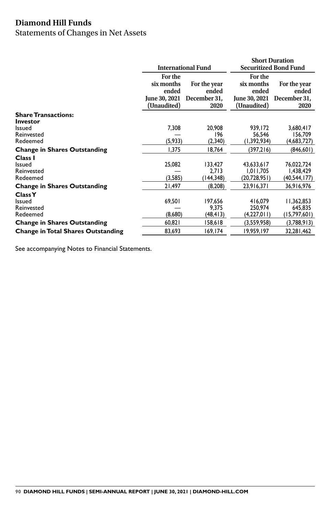Statements of Changes in Net Assets

|                                           |               |                           | <b>Short Duration</b>        |                |  |  |
|-------------------------------------------|---------------|---------------------------|------------------------------|----------------|--|--|
|                                           |               | <b>International Fund</b> | <b>Securitized Bond Fund</b> |                |  |  |
|                                           | For the       |                           | For the                      |                |  |  |
|                                           | six months    | For the year              | six months                   | For the year   |  |  |
|                                           | ended         | ended                     | ended                        | ended          |  |  |
|                                           | June 30, 2021 | December 31,              | June 30, 2021                | December 31,   |  |  |
|                                           | (Unaudited)   | 2020                      | (Unaudited)                  | 2020           |  |  |
| <b>Share Transactions:</b>                |               |                           |                              |                |  |  |
| Investor                                  |               |                           |                              |                |  |  |
| <b>Issued</b>                             | 7,308         | 20.908                    | 939.172                      | 3,680,417      |  |  |
| Reinvested                                |               | 196                       | 56,546                       | 156,709        |  |  |
| Redeemed                                  | (5, 933)      | (2,340)                   | (1,392,934)                  | (4,683,727)    |  |  |
| <b>Change in Shares Outstanding</b>       | 1.375         | 18,764                    | (397,216)                    | (846, 601)     |  |  |
| Class I                                   |               |                           |                              |                |  |  |
| Issued                                    | 25,082        | 133.427                   | 43.633.617                   | 76.022.724     |  |  |
| Reinvested                                |               | 2.713                     | 1.011.705                    | 1.438.429      |  |  |
| Redeemed                                  | (3,585)       | (144,348)                 | (20,728,951)                 | (40, 544, 177) |  |  |
| <b>Change in Shares Outstanding</b>       | 21,497        | (8, 208)                  | 23,916,371                   | 36,916,976     |  |  |
| <b>Class Y</b>                            |               |                           |                              |                |  |  |
| <b>Issued</b>                             | 69,501        | 197,656                   | 416.079                      | 11,362,853     |  |  |
| Reinvested                                |               | 9,375                     | 250,974                      | 645,835        |  |  |
| Redeemed                                  | (8,680)       | (48,413)                  | (4,227,011)                  | (15,797,601)   |  |  |
| <b>Change in Shares Outstanding</b>       | 60,821        | 158,618                   | (3,559,958)                  | (3,788,913)    |  |  |
| <b>Change in Total Shares Outstanding</b> | 83,693        | 169,174                   | 19,959,197                   | 32,281,462     |  |  |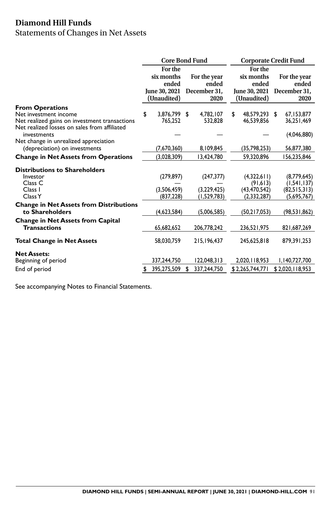# Statements of Changes in Net Assets

|                                                                                                                        | <b>Core Bond Fund</b>                                          |                         |                                               |                      |    | <b>Corporate Credit Fund</b>                                   |  |                                               |
|------------------------------------------------------------------------------------------------------------------------|----------------------------------------------------------------|-------------------------|-----------------------------------------------|----------------------|----|----------------------------------------------------------------|--|-----------------------------------------------|
|                                                                                                                        | For the<br>six months<br>ended<br>June 30, 2021<br>(Unaudited) |                         | For the year<br>ended<br>December 31.<br>2020 |                      |    | For the<br>six months<br>ended<br>June 30, 2021<br>(Unaudited) |  | For the year<br>ended<br>December 31.<br>2020 |
| <b>From Operations</b>                                                                                                 |                                                                |                         |                                               |                      |    |                                                                |  |                                               |
| Net investment income<br>Net realized gains on investment transactions<br>Net realized losses on sales from affiliated | \$                                                             | 3,876,799 \$<br>765.252 |                                               | 4.782.107<br>532.828 | \$ | 48.579.293 \$<br>46.539.856                                    |  | 67.153.877<br>36,251,469                      |
| investments                                                                                                            |                                                                |                         |                                               |                      |    |                                                                |  | (4,046,880)                                   |
| Net change in unrealized appreciation                                                                                  |                                                                |                         |                                               |                      |    |                                                                |  |                                               |
| (depreciation) on investments                                                                                          |                                                                | (7,670,360)             |                                               | 8,109,845            |    | (35,798,253)                                                   |  | 56,877,380                                    |
| <b>Change in Net Assets from Operations</b>                                                                            |                                                                | (3,028,309)             |                                               | 13,424,780           |    | 59.320.896                                                     |  | 156,235,846                                   |
| <b>Distributions to Shareholders</b><br>Investor<br>Class <sub>C</sub>                                                 |                                                                | (279, 897)              |                                               | (247, 377)           |    | (4,322,611)<br>(91, 613)                                       |  | (8,779,645)<br>(1, 541, 137)                  |
| Class I                                                                                                                |                                                                | (3,506,459)             |                                               | (3,229,425)          |    | (43, 470, 542)                                                 |  | (82, 515, 313)                                |
| Class Y                                                                                                                |                                                                | (837,228)               |                                               | (1,529,783)          |    | (2,332,287)                                                    |  | (5,695,767)                                   |
| <b>Change in Net Assets from Distributions</b><br>to Shareholders                                                      |                                                                | (4,623,584)             |                                               | (5,006,585)          |    | (50, 217, 053)                                                 |  | (98,531,862)                                  |
| <b>Change in Net Assets from Capital</b><br><b>Transactions</b>                                                        |                                                                | 65,682,652              |                                               | 206,778,242          |    | 236,521,975                                                    |  | 821,687,269                                   |
| <b>Total Change in Net Assets</b>                                                                                      |                                                                | 58,030,759              |                                               | 215.196.437          |    | 245,625,818                                                    |  | 879,391,253                                   |
| <b>Net Assets:</b><br>Beginning of period                                                                              |                                                                | 337,244,750             |                                               | 122,048,313          |    | 2,020,118,953                                                  |  | 1,140,727,700                                 |
| End of period                                                                                                          | \$                                                             | 395,275,509             | \$                                            | 337,244,750          |    | \$2,265,744,771                                                |  | \$2,020, 118,953                              |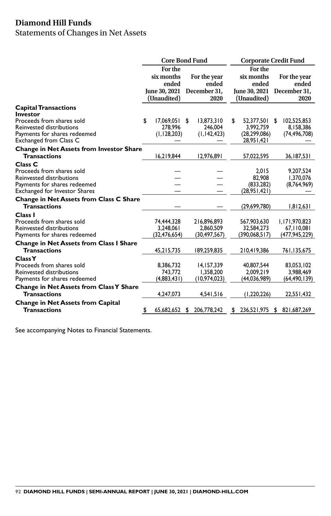Statements of Changes in Net Assets

|                                                                                                                                              | <b>Core Bond Fund</b>                                          |                                               | <b>Corporate Credit Fund</b>                                                |    |                                              |  |
|----------------------------------------------------------------------------------------------------------------------------------------------|----------------------------------------------------------------|-----------------------------------------------|-----------------------------------------------------------------------------|----|----------------------------------------------|--|
|                                                                                                                                              | For the<br>six months<br>ended<br>June 30, 2021<br>(Unaudited) | For the year<br>ended<br>December 31.<br>2020 | For the<br>six months<br>ended<br>June 30, 2021 December 31,<br>(Unaudited) |    | For the year<br>ended<br>2020                |  |
| <b>Capital Transactions</b><br><b>Investor</b>                                                                                               |                                                                |                                               |                                                                             |    |                                              |  |
| Proceeds from shares sold<br>Reinvested distributions<br>Payments for shares redeemed<br><b>Exchanged from Class C</b>                       | \$<br>17,069,051 \$<br>278.996<br>(1, 128, 203)                | 13,873,310<br>246.004<br>(1, 142, 423)        | \$<br>52,377,501<br>3.992.759<br>(28, 299, 086)<br>28.951.421               | \$ | 102,525,853<br>8.158.386<br>(74, 496, 708)   |  |
| <b>Change in Net Assets from Investor Share</b>                                                                                              |                                                                |                                               |                                                                             |    |                                              |  |
| <b>Transactions</b>                                                                                                                          | 16,219,844                                                     | 12,976,891                                    | 57,022,595                                                                  |    | 36,187,531                                   |  |
| Class <sub>C</sub><br>Proceeds from shares sold<br>Reinvested distributions<br>Payments for shares redeemed<br>Exchanged for Investor Shares |                                                                |                                               | 2.015<br>82,908<br>(833, 282)<br>(28,951,421)                               |    | 9,207,524<br>1,370,076<br>(8,764,969)        |  |
| Change in Net Assets from Class C Share                                                                                                      |                                                                |                                               |                                                                             |    |                                              |  |
| <b>Transactions</b>                                                                                                                          |                                                                |                                               | (29,699,780)                                                                |    | 1,812,631                                    |  |
| Class I<br>Proceeds from shares sold<br>Reinvested distributions<br>Payments for shares redeemed                                             | 74.444.328<br>3,248,061<br>(32,476,654)                        | 216.896.893<br>2,860,509<br>(30, 497, 567)    | 567,903,630<br>32,584,273<br>(390,068,517)                                  |    | 1.171.970.823<br>67,110,081<br>(477,945,229) |  |
| <b>Change in Net Assets from Class I Share</b><br><b>Transactions</b>                                                                        | 45,215,735                                                     | 189,259,835                                   | 210,419,386                                                                 |    | 761,135,675                                  |  |
| <b>Class Y</b><br>Proceeds from shares sold<br>Reinvested distributions<br>Payments for shares redeemed                                      | 8,386,732<br>743.772<br>(4,883,431)                            | 14,157,339<br>1,358,200<br>(10, 974, 023)     | 40,807,544<br>2.009.219<br>(44, 036, 989)                                   |    | 83,053,102<br>3,988,469<br>(64, 490, 139)    |  |
| <b>Change in Net Assets from Class Y Share</b><br><b>Transactions</b>                                                                        | 4,247,073                                                      | 4,541,516                                     | (1,220,226)                                                                 |    | 22,551,432                                   |  |
| <b>Change in Net Assets from Capital</b><br><b>Transactions</b>                                                                              | \$<br>65,682,652 \$                                            | 206,778,242                                   | \$<br>236,521,975 \$                                                        |    | 821,687,269                                  |  |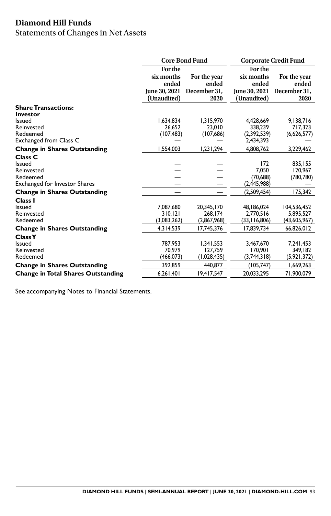Statements of Changes in Net Assets

|                                           |               | <b>Core Bond Fund</b> | <b>Corporate Credit Fund</b> |              |  |  |
|-------------------------------------------|---------------|-----------------------|------------------------------|--------------|--|--|
|                                           | For the       |                       | For the                      |              |  |  |
|                                           | six months    | For the year          | six months                   | For the year |  |  |
|                                           | ended         | ended                 | ended                        | ended        |  |  |
|                                           | June 30, 2021 | December 31,          | June 30, 2021                | December 31, |  |  |
|                                           | (Unaudited)   | 2020                  | (Unaudited)                  | 2020         |  |  |
| <b>Share Transactions:</b>                |               |                       |                              |              |  |  |
| Investor                                  |               |                       |                              |              |  |  |
| <b>Issued</b>                             | 1.634.834     | 1.315.970             | 4.428.669                    | 9,138,716    |  |  |
| Reinvested                                | 26.652        | 23.010                | 338.239                      | 717,323      |  |  |
| Redeemed                                  | (107, 483)    | (107,686)             | (2,392,539)                  | (6,626,577)  |  |  |
| Exchanged from Class C                    |               |                       | 2,434,393                    |              |  |  |
| <b>Change in Shares Outstanding</b>       | 1,554,003     | 1,231,294             | 4.808.762                    | 3,229,462    |  |  |
| Class <sub>C</sub>                        |               |                       |                              |              |  |  |
| Issued                                    |               |                       | 172                          | 835.155      |  |  |
| Reinvested                                |               |                       | 7.050                        | 120.967      |  |  |
| Redeemed                                  |               |                       | (70, 688)                    | (780, 780)   |  |  |
| <b>Exchanged for Investor Shares</b>      |               |                       | (2,445,988)                  |              |  |  |
| <b>Change in Shares Outstanding</b>       |               |                       | (2,509,454)                  | 175,342      |  |  |
| Class <sub>1</sub>                        |               |                       |                              |              |  |  |
| <b>Issued</b>                             | 7,087,680     | 20,345,170            | 48, 186, 024                 | 104,536,452  |  |  |
| Reinvested                                | 310.121       | 268.174               | 2.770.516                    | 5.895.527    |  |  |
| Redeemed                                  | (3,083,262)   | (2,867,968)           | (33,116,806)                 | (43,605,967) |  |  |
| <b>Change in Shares Outstanding</b>       | 4,314,539     | 17,745,376            | 17.839.734                   | 66,826,012   |  |  |
| Class Y                                   |               |                       |                              |              |  |  |
| <b>Issued</b>                             | 787.953       | 1.341.553             | 3.467.670                    | 7.241.453    |  |  |
| Reinvested                                | 70,979        | 127.759               | 170.901                      | 349.182      |  |  |
| Redeemed                                  | (466,073)     | (1,028,435)           | (3,744,318)                  | (5,921,372)  |  |  |
| <b>Change in Shares Outstanding</b>       | 392.859       | 440,877               | (105, 747)                   | 1,669,263    |  |  |
| <b>Change in Total Shares Outstanding</b> | 6,261,401     | 19.417.547            | 20.033.295                   | 71.900.079   |  |  |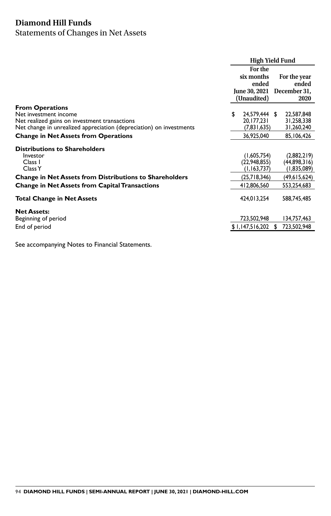# Statements of Changes in Net Assets

|                                                                     | <b>High Yield Fund</b>        |                             |  |
|---------------------------------------------------------------------|-------------------------------|-----------------------------|--|
|                                                                     | For the                       |                             |  |
|                                                                     | six months                    | For the year                |  |
|                                                                     | ended                         | ended                       |  |
|                                                                     |                               | June 30, 2021 December 31,  |  |
|                                                                     | (Unaudited)                   | 2020                        |  |
| <b>From Operations</b>                                              |                               |                             |  |
| Net investment income                                               | \$<br>24,579,444 \$           | 22,587,848                  |  |
| Net realized gains on investment transactions                       | 20.177.231                    | 31,258,338                  |  |
| Net change in unrealized appreciation (depreciation) on investments | (7,831,635)                   | 31,260,240                  |  |
| <b>Change in Net Assets from Operations</b>                         | 36,925,040                    | 85,106,426                  |  |
|                                                                     |                               |                             |  |
| <b>Distributions to Shareholders</b>                                |                               |                             |  |
| Investor                                                            | (1,605,754)                   | (2,882,219)                 |  |
| Class I<br>Class Y                                                  | (22,948,855)<br>(1, 163, 737) | (44,898,316)<br>(1,835,089) |  |
|                                                                     |                               |                             |  |
| <b>Change in Net Assets from Distributions to Shareholders</b>      | (25,718,346)                  | (49,615,624)                |  |
| <b>Change in Net Assets from Capital Transactions</b>               | 412,806,560                   | 553,254,683                 |  |
| <b>Total Change in Net Assets</b>                                   | 424,013,254                   | 588,745,485                 |  |
| <b>Net Assets:</b>                                                  |                               |                             |  |
| Beginning of period                                                 | 723,502,948                   | 134,757,463                 |  |
| End of period                                                       | \$1,147,516,202               | 723,502,948<br>\$.          |  |
|                                                                     |                               |                             |  |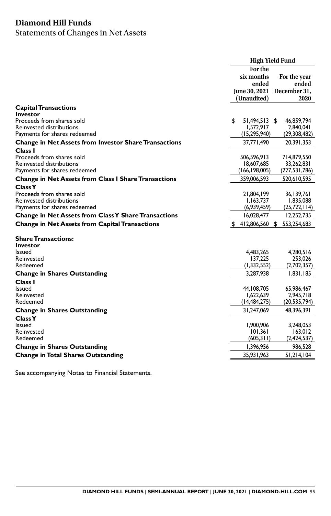Statements of Changes in Net Assets

|                                                              |                       | <b>High Yield Fund</b>     |
|--------------------------------------------------------------|-----------------------|----------------------------|
|                                                              | For the               |                            |
|                                                              | six months            | For the year               |
|                                                              | ended                 | ended                      |
|                                                              |                       | June 30, 2021 December 31, |
|                                                              | (Unaudited)           | 2020                       |
| <b>Capital Transactions</b><br>Investor                      |                       |                            |
| Proceeds from shares sold                                    | \$<br>$51,494,513$ \$ | 46,859,794                 |
| <b>Reinvested distributions</b>                              | 1,572,917             | 2,840,041                  |
| Payments for shares redeemed                                 | (15, 295, 940)        | (29,308,482)               |
| <b>Change in Net Assets from Investor Share Transactions</b> | 37,771,490            | 20,391,353                 |
| Class I                                                      |                       |                            |
| Proceeds from shares sold                                    | 506,596,913           | 714,879,550                |
| Reinvested distributions                                     | 18,607,685            | 33,262,831                 |
| Payments for shares redeemed                                 | (166, 198, 005)       | (227, 531, 786)            |
| <b>Change in Net Assets from Class I Share Transactions</b>  | 359.006.593           | 520,610,595                |
| Class Y                                                      |                       |                            |
| Proceeds from shares sold                                    | 21,804,199            | 36,139,761                 |
| <b>Reinvested distributions</b>                              | 1,163,737             | 1,835,088                  |
| Payments for shares redeemed                                 | (6,939,459)           | (25,722,114)               |
| Change in Net Assets from Class Y Share Transactions         | 16,028,477            | 12,252,735                 |
| <b>Change in Net Assets from Capital Transactions</b>        | \$412,806,560         | 553,254,683<br>\$          |
| <b>Share Transactions:</b>                                   |                       |                            |
| Investor                                                     |                       |                            |
| <b>Issued</b>                                                | 4,483,265             | 4,280,516                  |
| Reinvested                                                   | 137.225               | 253.026                    |
| Redeemed                                                     | (1, 332, 552)         | (2,702,357)                |
| <b>Change in Shares Outstanding</b>                          | 3,287,938             | 1,831,185                  |
| Class I                                                      |                       |                            |
| <b>Issued</b>                                                | 44.108.705            | 65,986,467                 |
| Reinvested                                                   | 1,622,639             | 2,945,718                  |
| Redeemed                                                     | (14, 484, 275)        | (20,535,794)               |
| <b>Change in Shares Outstanding</b>                          | 31,247,069            | 48,396,391                 |
| Class Y                                                      |                       |                            |
| Issued                                                       | 1,900,906             | 3,248,053                  |
| Reinvested                                                   | 101,361               | 163,012                    |
| Redeemed                                                     | (605, 311)            | (2, 424, 537)              |
| <b>Change in Shares Outstanding</b>                          | 1,396,956             | 986,528                    |
| <b>Change in Total Shares Outstanding</b>                    | 35,931,963            | 51,214,104                 |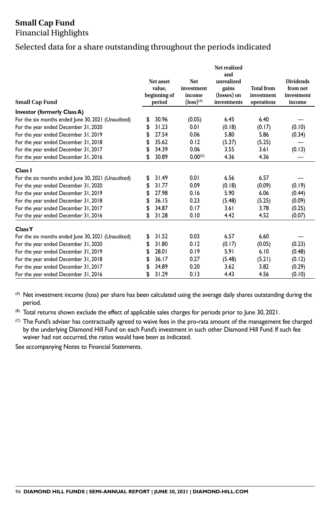### **Small Cap Fund** Financial Highlights

### Selected data for a share outstanding throughout the periods indicated

|                                                    |                        |                                   | Net realized               |                          |                              |
|----------------------------------------------------|------------------------|-----------------------------------|----------------------------|--------------------------|------------------------------|
|                                                    | Net asset<br>value,    | <b>Net</b><br>investment          | and<br>unrealized<br>gains | <b>Total from</b>        | <b>Dividends</b><br>from net |
| <b>Small Cap Fund</b>                              | beginning of<br>period | income<br>$(logs)$ <sup>(A)</sup> | (losses) on<br>investments | investment<br>operations | investment<br>income         |
| <b>Investor (formerly Class A)</b>                 |                        |                                   |                            |                          |                              |
| For the six months ended June 30, 2021 (Unaudited) | 30.96                  | (0.05)                            | 6.45                       | 6.40                     |                              |
| For the year ended December 31, 2020               | 31.23                  | 0.01                              | (0.18)                     | (0.17)                   | (0.10)                       |
| For the year ended December 31, 2019               | 27.54                  | 0.06                              | 5.80                       | 5.86                     | (0.34)                       |
| For the year ended December 31, 2018               | 35.62                  | 0.12                              | (5.37)                     | (5.25)                   | $\overline{\phantom{0}}$     |
| For the year ended December 31, 2017               | 34.39                  | 0.06                              | 3.55                       | 3.61                     | (0.13)                       |
| For the year ended December 31, 2016               | 30.89                  | $0.00^{(G)}$                      | 4.36                       | 4.36                     | $\overline{\phantom{m}}$     |
|                                                    |                        |                                   |                            |                          |                              |
| Class I                                            |                        |                                   |                            |                          |                              |
| For the six months ended June 30, 2021 (Unaudited) | \$31.49                | 0.01                              | 6.56                       | 6.57                     |                              |
| For the year ended December 31, 2020               | 31.77                  | 0.09                              | (0.18)                     | (0.09)                   | (0.19)                       |
| For the year ended December 31, 2019               | 27.98                  | 0.16                              | 5.90                       | 6.06                     | (0.44)                       |
| For the year ended December 31, 2018               | 36.15                  | 0.23                              | (5.48)                     | (5.25)                   | (0.09)                       |
| For the year ended December 31, 2017               | 34.87                  | 0.17                              | 3.61                       | 3.78                     | (0.25)                       |
| For the year ended December 31, 2016               | \$31.28                | 0.10                              | 4.42                       | 4.52                     | (0.07)                       |
| Class Y                                            |                        |                                   |                            |                          |                              |
| For the six months ended June 30, 2021 (Unaudited) | \$31.52                | 0.03                              | 6.57                       | 6.60                     |                              |
| For the year ended December 31, 2020               | 31.80                  | 0.12                              | (0.17)                     | (0.05)                   | (0.23)                       |
| For the year ended December 31, 2019               | 28.01                  | 0.19                              | 5.91                       | 6.10                     | (0.48)                       |
| For the year ended December 31, 2018               | 36.17                  | 0.27                              | (5.48)                     | (5.21)                   | (0.12)                       |
| For the year ended December 31, 2017               | 34.89                  | 0.20                              | 3.62                       | 3.82                     | (0.29)                       |
| For the year ended December 31, 2016               | 31.29                  | 0.13                              | 4.43                       | 4.56                     | (0.10)                       |

(A) Net investment income (loss) per share has been calculated using the average daily shares outstanding during the period.

(B) Total returns shown exclude the effect of applicable sales charges for periods prior to June 30, 2021.

(C) The Fund's adviser has contractually agreed to waive fees in the pro-rata amount of the management fee charged by the underlying Diamond Hill Fund on each Fund's investment in such other Diamond Hill Fund. If such fee waiver had not occurred, the ratios would have been as indicated.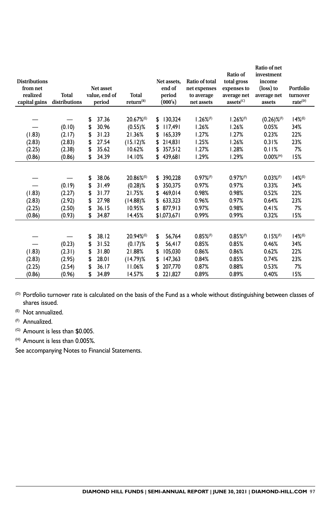| <b>Distributions</b><br>from net<br>realized<br>capital gains distributions | <b>Total</b> | <b>Net asset</b><br>value, end of<br>period | Total<br>return <sup>(B)</sup> | Net assets,<br>end of<br>period<br>(000's) | Ratio of total<br>net expenses<br>to average<br>net assets | Ratio of<br>total gross<br>expenses to<br>average net<br>assets ${}^{(C)}$ | Ratio of net<br>investment<br>income<br>(loss) to<br>average net<br>assets | Portfolio<br>turnover<br>rate <sup>(D)</sup> |
|-----------------------------------------------------------------------------|--------------|---------------------------------------------|--------------------------------|--------------------------------------------|------------------------------------------------------------|----------------------------------------------------------------------------|----------------------------------------------------------------------------|----------------------------------------------|
|                                                                             |              |                                             |                                |                                            |                                                            |                                                                            |                                                                            |                                              |
|                                                                             | —            | 37.36                                       | 20.67%(E)                      | \$130,324                                  | $1.26%$ <sup>(F)</sup>                                     | $1.26%$ <sup>(F)</sup>                                                     | $(0.26) \%$ <sup>(F)</sup>                                                 | $14%$ <sup>(E)</sup>                         |
|                                                                             | (0.10)       | 30.96                                       | $(0.55)$ %                     | \$117,491                                  | 1.26%                                                      | 1.26%                                                                      | 0.05%                                                                      | 34%                                          |
| (1.83)                                                                      | (2.17)       | 31.23                                       | 21.36%                         | \$165,339                                  | 1.27%                                                      | 1.27%                                                                      | 0.23%                                                                      | 22%                                          |
| (2.83)                                                                      | (2.83)       | 27.54                                       | $(15.12)\%$                    | \$214,831                                  | 1.25%                                                      | 1.26%                                                                      | 0.31%                                                                      | 23%                                          |
| (2.25)                                                                      | (2.38)       | 35.62                                       | 10.62%                         | \$357,512                                  | 1.27%                                                      | 1.28%                                                                      | 0.11%                                                                      | 7%                                           |
| (0.86)                                                                      | (0.86)       | 34.39                                       | 14.10%                         | 439,681                                    | 1.29%                                                      | 1.29%                                                                      | $0.00\%$ <sup>(H)</sup>                                                    | 15%                                          |
|                                                                             |              |                                             |                                |                                            |                                                            |                                                                            |                                                                            |                                              |
|                                                                             |              | \$<br>38.06                                 | 20.86% <sup>(E)</sup>          | 390,228                                    | $0.97\%$ <sup>(F)</sup>                                    | $0.97\%$ <sup>(F)</sup>                                                    | $0.03\%$ <sup>(F)</sup>                                                    | $14%^{(E)}$                                  |
| —                                                                           | (0.19)       | \$31.49                                     | $(0.28)$ %                     | 350,375                                    | 0.97%                                                      | 0.97%                                                                      | 0.33%                                                                      | 34%                                          |
| (1.83)                                                                      | (2.27)       | \$31.77                                     | 21.75%                         | 469,014                                    | 0.98%                                                      | 0.98%                                                                      | 0.52%                                                                      | 22%                                          |
| (2.83)                                                                      | (2.92)       | 27.98                                       | (14.88)%                       | 633,323                                    | 0.96%                                                      | 0.97%                                                                      | 0.64%                                                                      | 23%                                          |
| (2.25)                                                                      | (2.50)       | 36.15                                       | 10.95%                         | 877,913                                    | 0.97%                                                      | 0.98%                                                                      | 0.41%                                                                      | 7%                                           |
| (0.86)                                                                      | (0.93)       | 34.87                                       | 14.45%                         | \$1,073,671                                | 0.99%                                                      | 0.99%                                                                      | 0.32%                                                                      | 15%                                          |
|                                                                             |              |                                             |                                |                                            |                                                            |                                                                            |                                                                            |                                              |
|                                                                             | –            | \$38.12                                     | 20.94% <sup>(E)</sup>          | 56,764<br>S                                | $0.85\%$ <sup>(F)</sup>                                    | $0.85\%$ <sup>(F)</sup>                                                    | $0.15%$ <sup>(F)</sup>                                                     | $14%$ <sup>(E)</sup>                         |
|                                                                             | (0.23)       | \$31.52                                     | $(0.17)$ %                     | 56,417                                     | 0.85%                                                      | 0.85%                                                                      | 0.46%                                                                      | 34%                                          |
| (1.83)                                                                      | (2.31)       | \$31.80                                     | 21.88%                         | 105,030                                    | 0.86%                                                      | 0.86%                                                                      | 0.62%                                                                      | 22%                                          |
| (2.83)                                                                      | (2.95)       | 28.01                                       | $(14.79)$ %                    | \$147,363                                  | 0.84%                                                      | 0.85%                                                                      | 0.74%                                                                      | 23%                                          |
| (2.25)                                                                      | (2.54)       | 36.17                                       | 11.06%                         | 207,770                                    | 0.87%                                                      | 0.88%                                                                      | 0.53%                                                                      | 7%                                           |
| (0.86)                                                                      | (0.96)       | 34.89                                       | 14.57%                         | 221,827                                    | 0.89%                                                      | 0.89%                                                                      | 0.40%                                                                      | 15%                                          |

(D) Portfolio turnover rate is calculated on the basis of the Fund as a whole without distinguishing between classes of shares issued.

- (E) Not annualized.
- (F) Annualized.
- (G) Amount is less than \$0.005.
- $(H)$  Amount is less than 0.005%.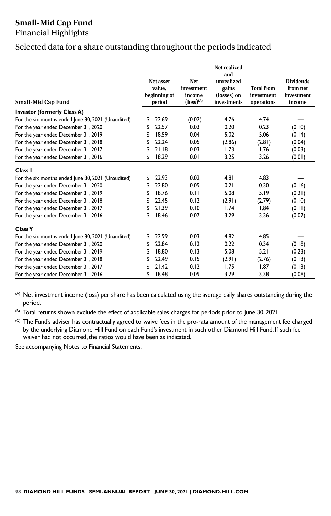### **Small-Mid Cap Fund**

### Financial Highlights

### Selected data for a share outstanding throughout the periods indicated

|                                                    |                                            |                             | Net realized<br>and                |                                 |                                            |
|----------------------------------------------------|--------------------------------------------|-----------------------------|------------------------------------|---------------------------------|--------------------------------------------|
|                                                    | <b>Net asset</b><br>value,<br>beginning of | Net<br>investment<br>income | unrealized<br>gains<br>(losses) on | <b>Total from</b><br>investment | <b>Dividends</b><br>from net<br>investment |
| <b>Small-Mid Cap Fund</b>                          | period                                     | $(logs)^{(A)}$              | investments                        | operations                      | income                                     |
| <b>Investor (formerly Class A)</b>                 |                                            |                             |                                    |                                 |                                            |
| For the six months ended June 30, 2021 (Unaudited) | 22.69                                      | (0.02)                      | 4.76                               | 4.74                            |                                            |
| For the year ended December 31, 2020               | 22.57                                      | 0.03                        | 0.20                               | 0.23                            | (0.10)                                     |
| For the year ended December 31, 2019               | 18.59                                      | 0.04                        | 5.02                               | 5.06                            | (0.14)                                     |
| For the year ended December 31, 2018               | 22.24                                      | 0.05                        | (2.86)                             | (2.81)                          | (0.04)                                     |
| For the year ended December 31, 2017               | 21.18                                      | 0.03                        | 1.73                               | 1.76                            | (0.03)                                     |
| For the year ended December 31, 2016               | 18.29                                      | 0.01                        | 3.25                               | 3.26                            | (0.01)                                     |
| Class I                                            |                                            |                             |                                    |                                 |                                            |
|                                                    |                                            |                             |                                    |                                 |                                            |
| For the six months ended June 30, 2021 (Unaudited) | 22.93                                      | 0.02                        | 4.81                               | 4.83                            |                                            |
| For the year ended December 31, 2020               | 22.80                                      | 0.09                        | 0.21                               | 0.30                            | (0.16)                                     |
| For the year ended December 31, 2019               | 18.76                                      | 0.11                        | 5.08                               | 5.19                            | (0.21)                                     |
| For the year ended December 31, 2018               | 22.45                                      | 0.12                        | (2.91)                             | (2.79)                          | (0.10)                                     |
| For the year ended December 31, 2017               | 21.39                                      | 0.10                        | 1.74                               | 1.84                            | (0.11)                                     |
| For the year ended December 31, 2016               | 18.46                                      | 0.07                        | 3.29                               | 3.36                            | (0.07)                                     |
| Class Y                                            |                                            |                             |                                    |                                 |                                            |
| For the six months ended June 30, 2021 (Unaudited) | \$22.99                                    | 0.03                        | 4.82                               | 4.85                            |                                            |
| For the year ended December 31, 2020               | 22.84                                      | 0.12                        | 0.22                               | 0.34                            | (0.18)                                     |
| For the year ended December 31, 2019               | 18.80                                      | 0.13                        | 5.08                               | 5.21                            | (0.23)                                     |
| For the year ended December 31, 2018               | 22.49                                      | 0.15                        | (2.91)                             | (2.76)                          | (0.13)                                     |
| For the year ended December 31, 2017               | 21.42                                      | 0.12                        | 1.75                               | 1.87                            | (0.13)                                     |
| For the year ended December 31, 2016               | 18.48                                      | 0.09                        | 3.29                               | 3.38                            | (0.08)                                     |

(A) Net investment income (loss) per share has been calculated using the average daily shares outstanding during the period.

(B) Total returns shown exclude the effect of applicable sales charges for periods prior to June 30, 2021.

(C) The Fund's adviser has contractually agreed to waive fees in the pro-rata amount of the management fee charged by the underlying Diamond Hill Fund on each Fund's investment in such other Diamond Hill Fund. If such fee waiver had not occurred, the ratios would have been as indicated.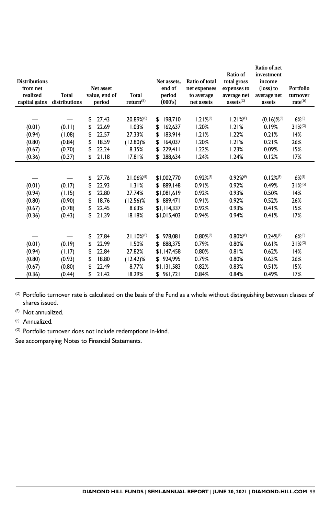| 20.89%(E)<br>$1.21%$ <sup>(F)</sup><br>$1.21%$ <sup>(F)</sup><br>$(0.16)\%$ <sup>(F)</sup><br>27.43<br>198,710<br>$6%^{(E)}$<br>S.<br>—<br>$31\%$ <sup>(G)</sup><br>(0.11)<br>22.69<br>1.03%<br>1.20%<br>1.21%<br>(0.01)<br>\$162,637<br>0.19%<br>1.22%<br>14%<br>27.33%<br>183,914<br>1.21%<br>0.21%<br>(0.94)<br>(1.08)<br>22.57<br>$(12.80)\%$<br>1.20%<br>1.21%<br>0.21%<br>26%<br>(0.80)<br>(0.84)<br>18.59<br>\$164,037<br>1.23%<br>15%<br>(0.67)<br>8.35%<br>1.22%<br>0.09%<br>(0.70)<br>22.24<br>229,411<br>17%<br>21.18<br>17.81%<br>1.24%<br>1.24%<br>0.12%<br>(0.36)<br>(0.37)<br>288,634<br>$0.92%$ <sup>(F)</sup><br>$0.12%$ <sup>(F)</sup><br>$21.06\%$ <sup>(E)</sup><br>$0.92%$ <sup>(F)</sup><br>$6\%^{(E)}$<br>27.76<br>\$1,002,770<br>—<br>0.49%<br>(0.17)<br>22.93<br>1.31%<br>\$ 889,148<br>0.91%<br>0.92%<br>$31\%$ <sup>(G)</sup><br>(0.01)<br>0.92%<br>0.93%<br>0.50%<br>14%<br>22.80<br>27.74%<br>\$1,081,619<br>(0.94)<br>(1.15)<br>26%<br>18.76<br>$(12.56)\%$<br>\$ 889,471<br>0.91%<br>0.92%<br>0.52%<br>(0.80)<br>(0.90)<br>0.93%<br>(0.78)<br>22.45<br>8.63%<br>0.92%<br>0.41%<br>15%<br>(0.67)<br>\$1,114,337<br>17%<br>\$21.39<br>18.18%<br>0.94%<br>0.94%<br>0.41%<br>(0.36)<br>(0.43)<br>\$1,015,403<br>$21.10%$ <sup>(E)</sup><br>$0.80\%$ <sup>(F)</sup><br>$0.80\%$ <sup>(F)</sup><br>$0.24%$ <sup>(F)</sup><br>27.84<br>978,081<br>$6\%^{(E)}$<br>S<br>(0.19)<br>0.61%<br>$31\%$ <sup>(G)</sup><br>(0.01)<br>22.99<br>1.50%<br>888,375<br>0.79%<br>0.80%<br>27.82%<br>0.81%<br>0.62%<br>14%<br>22.84<br>\$1,147,458<br>0.80%<br>(0.94)<br>(1.17)<br>0.80%<br>0.63%<br>26%<br>(0.93)<br>18.80<br>$(12.42)\%$<br>0.79%<br>(0.80)<br>\$924,995<br>15%<br>(0.67)<br>8.77%<br>0.82%<br>0.83%<br>0.51%<br>(0.80)<br>22.49<br>\$1,131,583<br>0.49%<br>17%<br>(0.36)<br>21.42<br>18.29%<br>\$961,721<br>0.84%<br>0.84%<br>(0.44) | <b>Distributions</b><br>from net<br>realized<br>capital gains |  | Total<br>distributions | Net asset<br>value, end of<br>period | <b>Total</b><br>return <sup>(B)</sup> | Net assets,<br>end of<br>period<br>(000's) | Ratio of total<br>net expenses<br>to average<br>net assets | Ratio of<br>total gross<br>expenses to<br>average net<br>assets ${}^{(C)}$ | Ratio of net<br>investment<br>income<br>(loss) to<br>average net<br>assets | Portfolio<br>turnover<br>rate <sup>(D)</sup> |
|-----------------------------------------------------------------------------------------------------------------------------------------------------------------------------------------------------------------------------------------------------------------------------------------------------------------------------------------------------------------------------------------------------------------------------------------------------------------------------------------------------------------------------------------------------------------------------------------------------------------------------------------------------------------------------------------------------------------------------------------------------------------------------------------------------------------------------------------------------------------------------------------------------------------------------------------------------------------------------------------------------------------------------------------------------------------------------------------------------------------------------------------------------------------------------------------------------------------------------------------------------------------------------------------------------------------------------------------------------------------------------------------------------------------------------------------------------------------------------------------------------------------------------------------------------------------------------------------------------------------------------------------------------------------------------------------------------------------------------------------------------------------------------------------------------------------------------------------------------------------|---------------------------------------------------------------|--|------------------------|--------------------------------------|---------------------------------------|--------------------------------------------|------------------------------------------------------------|----------------------------------------------------------------------------|----------------------------------------------------------------------------|----------------------------------------------|
|                                                                                                                                                                                                                                                                                                                                                                                                                                                                                                                                                                                                                                                                                                                                                                                                                                                                                                                                                                                                                                                                                                                                                                                                                                                                                                                                                                                                                                                                                                                                                                                                                                                                                                                                                                                                                                                                 |                                                               |  |                        |                                      |                                       |                                            |                                                            |                                                                            |                                                                            |                                              |
|                                                                                                                                                                                                                                                                                                                                                                                                                                                                                                                                                                                                                                                                                                                                                                                                                                                                                                                                                                                                                                                                                                                                                                                                                                                                                                                                                                                                                                                                                                                                                                                                                                                                                                                                                                                                                                                                 |                                                               |  |                        |                                      |                                       |                                            |                                                            |                                                                            |                                                                            |                                              |
|                                                                                                                                                                                                                                                                                                                                                                                                                                                                                                                                                                                                                                                                                                                                                                                                                                                                                                                                                                                                                                                                                                                                                                                                                                                                                                                                                                                                                                                                                                                                                                                                                                                                                                                                                                                                                                                                 |                                                               |  |                        |                                      |                                       |                                            |                                                            |                                                                            |                                                                            |                                              |
|                                                                                                                                                                                                                                                                                                                                                                                                                                                                                                                                                                                                                                                                                                                                                                                                                                                                                                                                                                                                                                                                                                                                                                                                                                                                                                                                                                                                                                                                                                                                                                                                                                                                                                                                                                                                                                                                 |                                                               |  |                        |                                      |                                       |                                            |                                                            |                                                                            |                                                                            |                                              |
|                                                                                                                                                                                                                                                                                                                                                                                                                                                                                                                                                                                                                                                                                                                                                                                                                                                                                                                                                                                                                                                                                                                                                                                                                                                                                                                                                                                                                                                                                                                                                                                                                                                                                                                                                                                                                                                                 |                                                               |  |                        |                                      |                                       |                                            |                                                            |                                                                            |                                                                            |                                              |
|                                                                                                                                                                                                                                                                                                                                                                                                                                                                                                                                                                                                                                                                                                                                                                                                                                                                                                                                                                                                                                                                                                                                                                                                                                                                                                                                                                                                                                                                                                                                                                                                                                                                                                                                                                                                                                                                 |                                                               |  |                        |                                      |                                       |                                            |                                                            |                                                                            |                                                                            |                                              |
|                                                                                                                                                                                                                                                                                                                                                                                                                                                                                                                                                                                                                                                                                                                                                                                                                                                                                                                                                                                                                                                                                                                                                                                                                                                                                                                                                                                                                                                                                                                                                                                                                                                                                                                                                                                                                                                                 |                                                               |  |                        |                                      |                                       |                                            |                                                            |                                                                            |                                                                            |                                              |
|                                                                                                                                                                                                                                                                                                                                                                                                                                                                                                                                                                                                                                                                                                                                                                                                                                                                                                                                                                                                                                                                                                                                                                                                                                                                                                                                                                                                                                                                                                                                                                                                                                                                                                                                                                                                                                                                 |                                                               |  |                        |                                      |                                       |                                            |                                                            |                                                                            |                                                                            |                                              |
|                                                                                                                                                                                                                                                                                                                                                                                                                                                                                                                                                                                                                                                                                                                                                                                                                                                                                                                                                                                                                                                                                                                                                                                                                                                                                                                                                                                                                                                                                                                                                                                                                                                                                                                                                                                                                                                                 |                                                               |  |                        |                                      |                                       |                                            |                                                            |                                                                            |                                                                            |                                              |
|                                                                                                                                                                                                                                                                                                                                                                                                                                                                                                                                                                                                                                                                                                                                                                                                                                                                                                                                                                                                                                                                                                                                                                                                                                                                                                                                                                                                                                                                                                                                                                                                                                                                                                                                                                                                                                                                 |                                                               |  |                        |                                      |                                       |                                            |                                                            |                                                                            |                                                                            |                                              |
|                                                                                                                                                                                                                                                                                                                                                                                                                                                                                                                                                                                                                                                                                                                                                                                                                                                                                                                                                                                                                                                                                                                                                                                                                                                                                                                                                                                                                                                                                                                                                                                                                                                                                                                                                                                                                                                                 |                                                               |  |                        |                                      |                                       |                                            |                                                            |                                                                            |                                                                            |                                              |
|                                                                                                                                                                                                                                                                                                                                                                                                                                                                                                                                                                                                                                                                                                                                                                                                                                                                                                                                                                                                                                                                                                                                                                                                                                                                                                                                                                                                                                                                                                                                                                                                                                                                                                                                                                                                                                                                 |                                                               |  |                        |                                      |                                       |                                            |                                                            |                                                                            |                                                                            |                                              |
|                                                                                                                                                                                                                                                                                                                                                                                                                                                                                                                                                                                                                                                                                                                                                                                                                                                                                                                                                                                                                                                                                                                                                                                                                                                                                                                                                                                                                                                                                                                                                                                                                                                                                                                                                                                                                                                                 |                                                               |  |                        |                                      |                                       |                                            |                                                            |                                                                            |                                                                            |                                              |
|                                                                                                                                                                                                                                                                                                                                                                                                                                                                                                                                                                                                                                                                                                                                                                                                                                                                                                                                                                                                                                                                                                                                                                                                                                                                                                                                                                                                                                                                                                                                                                                                                                                                                                                                                                                                                                                                 |                                                               |  |                        |                                      |                                       |                                            |                                                            |                                                                            |                                                                            |                                              |

 $^{(D)}$  Portfolio turnover rate is calculated on the basis of the Fund as a whole without distinguishing between classes of shares issued.

(E) Not annualized.

(F) Annualized.

(G) Portfolio turnover does not include redemptions in-kind.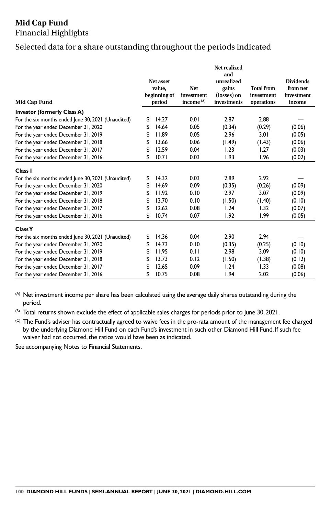### **Mid Cap Fund**  Financial Highlights

### Selected data for a share outstanding throughout the periods indicated

|                                                    |              |                       | Net realized      |                   |                  |
|----------------------------------------------------|--------------|-----------------------|-------------------|-------------------|------------------|
|                                                    | Net asset    |                       | and<br>unrealized |                   | <b>Dividends</b> |
|                                                    | value.       | Net                   | gains             | <b>Total from</b> | from net         |
|                                                    | beginning of | investment            | (losses) on       | investment        | investment       |
| Mid Cap Fund                                       | period       | income <sup>(A)</sup> | investments       | operations        | income           |
| <b>Investor (formerly Class A)</b>                 |              |                       |                   |                   |                  |
| For the six months ended June 30, 2021 (Unaudited) | \$14.27      | 0.01                  | 2.87              | 2.88              |                  |
| For the year ended December 31, 2020               | 14.64        | 0.05                  | (0.34)            | (0.29)            | (0.06)           |
| For the year ended December 31, 2019               | 11.89        | 0.05                  | 2.96              | 3.01              | (0.05)           |
| For the year ended December 31, 2018               | 13.66        | 0.06                  | (1.49)            | (1.43)            | (0.06)           |
| For the year ended December 31, 2017               | 12.59        | 0.04                  | 1.23              | 1.27              | (0.03)           |
| For the year ended December 31, 2016               | 10.71        | 0.03                  | 1.93              | 1.96              | (0.02)           |
|                                                    |              |                       |                   |                   |                  |
| Class I                                            |              |                       |                   |                   |                  |
| For the six months ended June 30, 2021 (Unaudited) | \$14.32      | 0.03                  | 2.89              | 2.92              |                  |
| For the year ended December 31, 2020               | 14.69        | 0.09                  | (0.35)            | (0.26)            | (0.09)           |
| For the year ended December 31, 2019               | 11.92        | 0.10                  | 2.97              | 3.07              | (0.09)           |
| For the year ended December 31, 2018               | 13.70        | 0.10                  | (1.50)            | (1.40)            | (0.10)           |
| For the year ended December 31, 2017               | 12.62        | 0.08                  | 1.24              | 1.32              | (0.07)           |
| For the year ended December 31, 2016               | 10.74        | 0.07                  | 1.92              | 1.99              | (0.05)           |
| Class Y                                            |              |                       |                   |                   |                  |
| For the six months ended June 30, 2021 (Unaudited) | \$14.36      | 0.04                  | 2.90              | 2.94              |                  |
| For the year ended December 31, 2020               | 14.73        | 0.10                  | (0.35)            | (0.25)            | (0.10)           |
| For the year ended December 31, 2019               | 11.95        | 0.11                  | 2.98              | 3.09              | (0.10)           |
| For the year ended December 31, 2018               | 13.73        | 0.12                  | (1.50)            | (1.38)            | (0.12)           |
| For the year ended December 31, 2017               | 12.65        | 0.09                  | 1.24              | 1.33              | (0.08)           |
| For the year ended December 31, 2016               | 10.75        | 0.08                  | 1.94              | 2.02              | (0.06)           |

(A) Net investment income per share has been calculated using the average daily shares outstanding during the period.

(B) Total returns shown exclude the effect of applicable sales charges for periods prior to June 30, 2021.

(C) The Fund's adviser has contractually agreed to waive fees in the pro-rata amount of the management fee charged by the underlying Diamond Hill Fund on each Fund's investment in such other Diamond Hill Fund. If such fee waiver had not occurred, the ratios would have been as indicated.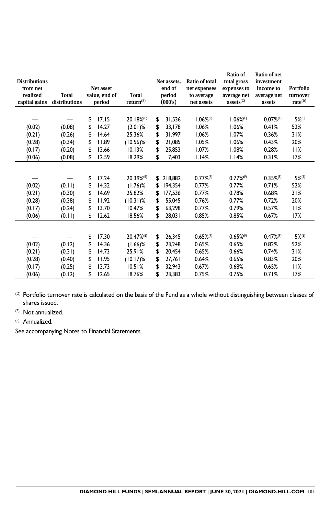|                             |              |               |                       |             |                         | Ratio of                | Ratio of net            |                     |
|-----------------------------|--------------|---------------|-----------------------|-------------|-------------------------|-------------------------|-------------------------|---------------------|
| <b>Distributions</b>        |              |               |                       | Net assets, | Ratio of total          | total gross             | investment              |                     |
| from net                    |              | Net asset     |                       | end of      | net expenses            | expenses to             | income to               | Portfolio           |
| realized                    | <b>Total</b> | value, end of | Total                 | period      | to average              | average net             | average net             | turnover            |
| capital gains distributions |              | period        | return <sup>(B)</sup> | (000's)     | net assets              | assets ${}^{(C)}$       | assets                  | $rate^{(D)}$        |
|                             |              |               |                       |             |                         |                         |                         |                     |
|                             | –            | 17.15         | 20.18% <sup>(E)</sup> | 31,536      | $1.06\%$ <sup>(F)</sup> | $1.06\%$ <sup>(F)</sup> | $0.07\%$ <sup>(F)</sup> | $5%$ <sup>(E)</sup> |
| (0.02)                      | (0.08)       | 14.27         | $(2.01)$ %            | 33,178      | 1.06%                   | 1.06%                   | 0.41%                   | 52%                 |
| (0.21)                      | (0.26)       | 14.64         | 25.36%                | 31,997      | 1.06%                   | 1.07%                   | 0.36%                   | 31%                 |
| (0.28)                      | (0.34)       | 11.89         | $(10.56)\%$           | 21,085      | 1.05%                   | 1.06%                   | 0.43%                   | 20%                 |
| (0.17)                      | (0.20)       | 13.66         | 10.13%                | 25,853      | 1.07%                   | 1.08%                   | 0.28%                   | 11%                 |
|                             |              |               |                       |             |                         |                         |                         | 17%                 |
| (0.06)                      | (0.08)       | \$12.59       | 18.29%                | 7,403       | 1.14%                   | 1.14%                   | 0.31%                   |                     |
|                             |              |               |                       |             |                         |                         |                         |                     |
|                             | –            | \$<br>17.24   | 20.39%(E)             | \$ 218,882  | $0.77\%$ <sup>(F)</sup> | $0.77\%$ <sup>(F)</sup> | $0.35\%$ <sup>(F)</sup> | $5%$ <sup>(E)</sup> |
| (0.02)                      | (0.11)       | 14.32         | $(1.76)$ %            | 194,354     | 0.77%                   | 0.77%                   | 0.71%                   | 52%                 |
| (0.21)                      | (0.30)       | \$<br>14.69   | 25.82%                | \$177,536   | 0.77%                   | 0.78%                   | 0.68%                   | 31%                 |
| (0.28)                      | (0.38)       | 11.92         | $(10.31)\%$           | 55,045      | 0.76%                   | 0.77%                   | 0.72%                   | 20%                 |
|                             | (0.24)       | 13.70         | 10.47%                | 63,298      | 0.77%                   | 0.79%                   | 0.57%                   | 11%                 |
| (0.17)                      |              | 12.62         | 18.56%                |             | 0.85%                   | 0.85%                   | 0.67%                   | 17%                 |
| (0.06)                      | (0.11)       |               |                       | 28,031      |                         |                         |                         |                     |
|                             |              |               |                       |             |                         |                         |                         |                     |
|                             | –            | \$17.30       | 20.47% <sup>(E)</sup> | 26,345      | $0.65\%$ <sup>(F)</sup> | $0.65\%$ <sup>(F)</sup> | $0.47\%$ <sup>(F)</sup> | $5%^{(E)}$          |
| (0.02)                      | (0.12)       | 14.36         | $(1.66)\%$            | 23,248      | 0.65%                   | 0.65%                   | 0.82%                   | 52%                 |
| (0.21)                      | (0.31)       | \$<br>14.73   | 25.91%                | 20,454      | 0.65%                   | 0.66%                   | 0.74%                   | 31%                 |
| (0.28)                      | (0.40)       | \$11.95       | $(10.17)\%$           | 27,761      | 0.64%                   | 0.65%                   | 0.83%                   | 20%                 |
|                             |              |               |                       |             | 0.67%                   | 0.68%                   |                         | 11%                 |
| (0.17)                      | (0.25)       | \$13.73       | 10.51%                | 32,943      |                         |                         | 0.65%                   |                     |
| (0.06)                      | (0.12)       | 12.65         | 18.76%                | 23,383      | 0.75%                   | 0.75%                   | 0.71%                   | 17%                 |

(D) Portfolio turnover rate is calculated on the basis of the Fund as a whole without distinguishing between classes of shares issued.

(E) Not annualized.

(F) Annualized.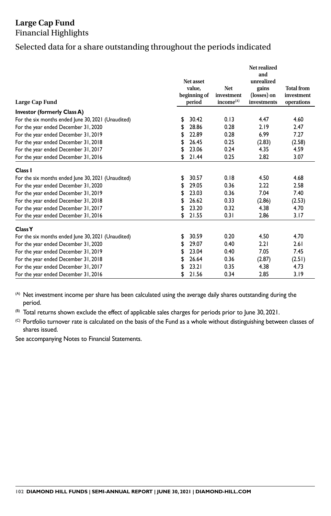### **Large Cap Fund**  Financial Highlights

### Selected data for a share outstanding throughout the periods indicated

|                                                    | Net asset<br>value,    | Net                                 | Net realized<br>and<br>unrealized<br>gains | <b>Total from</b>        |
|----------------------------------------------------|------------------------|-------------------------------------|--------------------------------------------|--------------------------|
| Large Cap Fund                                     | beginning of<br>period | investment<br>income <sup>(A)</sup> | (losses) on<br>investments                 | investment<br>operations |
| <b>Investor (formerly Class A)</b>                 |                        |                                     |                                            |                          |
| For the six months ended June 30, 2021 (Unaudited) | 30.42                  | 0.13                                | 4.47                                       | 4.60                     |
| For the year ended December 31, 2020               | 28.86                  | 0.28                                | 2.19                                       | 2.47                     |
| For the year ended December 31, 2019               | 22.89                  | 0.28                                | 6.99                                       | 7.27                     |
| For the year ended December 31, 2018               | 26.45                  | 0.25                                | (2.83)                                     | (2.58)                   |
| For the year ended December 31, 2017               | 23.06                  | 0.24                                | 4.35                                       | 4.59                     |
| For the year ended December 31, 2016               | \$21.44                | 0.25                                | 2.82                                       | 3.07                     |
|                                                    |                        |                                     |                                            |                          |
| Class I                                            |                        |                                     |                                            |                          |
| For the six months ended June 30, 2021 (Unaudited) | 30.57                  | 0.18                                | 4.50                                       | 4.68                     |
| For the year ended December 31, 2020               | 29.05                  | 0.36                                | 2.22                                       | 2.58                     |
| For the year ended December 31, 2019               | 23.03                  | 0.36                                | 7.04                                       | 7.40                     |
| For the year ended December 31, 2018               | 26.62                  | 0.33                                | (2.86)                                     | (2.53)                   |
| For the year ended December 31, 2017               | 23.20                  | 0.32                                | 4.38                                       | 4.70                     |
| For the year ended December 31, 2016               | \$21.55                | 0.31                                | 2.86                                       | 3.17                     |
|                                                    |                        |                                     |                                            |                          |
| <b>Class Y</b>                                     |                        |                                     |                                            |                          |
| For the six months ended June 30, 2021 (Unaudited) | 30.59                  | 0.20                                | 4.50                                       | 4.70                     |
| For the year ended December 31, 2020               | 29.07                  | 0.40                                | 2.21                                       | 2.61                     |
| For the year ended December 31, 2019               | 23.04                  | 0.40                                | 7.05                                       | 7.45                     |
| For the year ended December 31, 2018               | 26.64                  | 0.36                                | (2.87)                                     | (2.51)                   |
| For the year ended December 31, 2017               | 23.21                  | 0.35                                | 4.38                                       | 4.73                     |
| For the year ended December 31, 2016               | 21.56                  | 0.34                                | 2.85                                       | 3.19                     |

(A) Net investment income per share has been calculated using the average daily shares outstanding during the period.

(B) Total returns shown exclude the effect of applicable sales charges for periods prior to June 30, 2021.

(C) Portfolio turnover rate is calculated on the basis of the Fund as a whole without distinguishing between classes of shares issued.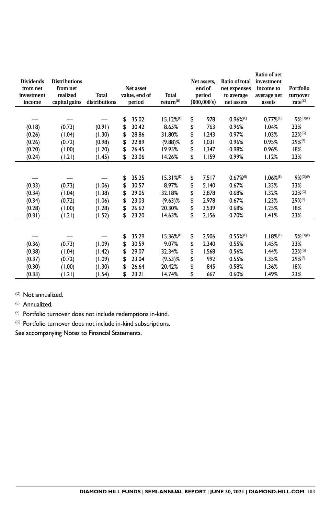|                  |                             |        |               |                          |     |             |                         | Ratio of net            |                       |
|------------------|-----------------------------|--------|---------------|--------------------------|-----|-------------|-------------------------|-------------------------|-----------------------|
| <b>Dividends</b> | <b>Distributions</b>        |        |               |                          |     | Net assets, | Ratio of total          | investment              |                       |
| from net         | from net                    |        | Net asset     |                          |     | end of      | net expenses income to  |                         | Portfolio             |
| investment       | realized                    | Total  | value, end of | Total                    |     | period      | to average              | average net             | turnover              |
| income           | capital gains distributions |        | period        | return <sup>(B)</sup>    |     | (000,000's) | net assets              | assets                  | rate <sup>(C)</sup>   |
|                  |                             |        |               |                          |     |             |                         |                         |                       |
|                  | –                           |        | 35.02         | $15.12%^{(D)}$           |     | 978         | $0.96\%$ <sup>(E)</sup> | $0.77\%$ <sup>(E)</sup> | $9\%^{(D)(F)}$        |
| (0.18)           | (0.73)                      | (0.91) | 30.42         | 8.65%                    |     | 763         | 0.96%                   | 1.04%                   | 33%                   |
| (0.26)           | (1.04)                      | (1.30) | 28.86         | 31.80%                   |     | 1,243       | 0.97%                   | 1.03%                   | $22\%$ <sup>(G)</sup> |
| (0.26)           | (0.72)                      | (0.98) | 22.89         | $(9.88)\%$               |     | 1,031       | 0.96%                   | 0.95%                   | 29%(F)                |
| (0.20)           | (1.00)                      | (1.20) | 26.45         | 19.95%                   |     | 1,347       | 0.98%                   | 0.96%                   | 18%                   |
| (0.24)           | (1.21)                      | (1.45) | 23.06         | 14.26%                   |     | 1,159       | 0.99%                   | 1.12%                   | 23%                   |
|                  |                             |        |               |                          |     |             |                         |                         |                       |
|                  |                             |        |               |                          |     |             |                         |                         |                       |
|                  | –                           |        | 35.25<br>\$   | $15.31\%^{(D)}$          | -\$ | 7,517       | $0.67\%$ <sup>(E)</sup> | $1.06%$ <sup>(E)</sup>  | $9\%^{(D)(F)}$        |
| (0.33)           | (0.73)                      | (1.06) | 30.57         | 8.97%                    |     | 5,140       | 0.67%                   | 1.33%                   | 33%                   |
| (0.34)           | (1.04)                      | (1.38) | 29.05         | 32.18%                   |     | 3,878       | 0.68%                   | 1.32%                   | $22\%$ <sup>(G)</sup> |
| (0.34)           | (0.72)                      | (1.06) | 23.03         | $(9.63)$ %               |     | 2,978       | 0.67%                   | 1.23%                   | 29%(F)                |
| (0.28)           | (1.00)                      | (1.28) | 26.62         | 20.30%                   |     | 3,539       | 0.68%                   | 1.25%                   | 18%                   |
| (0.31)           |                             |        | 23.20         | 14.63%                   |     | 2,156       | 0.70%                   | 1.41%                   | 23%                   |
|                  | (1.21)                      | (1.52) |               |                          |     |             |                         |                         |                       |
|                  |                             |        |               |                          |     |             |                         |                         |                       |
|                  |                             |        | 35.29<br>\$   | $15.36\%$ <sup>(D)</sup> | £   | 2,906       | $0.55\%$ <sup>(E)</sup> | $1.18%$ <sup>(E)</sup>  | $9\%^{(D)(F)}$        |
| (0.36)           | (0.73)                      | (1.09) | 30.59         | 9.07%                    |     | 2,340       | 0.55%                   | 1.45%                   | 33%                   |
| (0.38)           | (1.04)                      | (1.42) | 29.07         | 32.34%                   |     | 1,568       | 0.56%                   | 1.44%                   | $22\%$ <sup>(G)</sup> |
| (0.37)           | (0.72)                      | (1.09) | 23.04         | $(9.53)$ %               |     | 992         | 0.55%                   | 1.35%                   | 29%(F)                |
| (0.30)           | (1.00)                      | (1.30) | 26.64         | 20.42%                   |     | 845         | 0.58%                   | 1.36%                   | 18%                   |
| (0.33)           | (1.21)                      | (1.54) | 23.21         | 14.74%                   |     | 667         | 0.60%                   | 1.49%                   | 23%                   |
|                  |                             |        |               |                          |     |             |                         |                         |                       |

(D) Not annualized.

(E) Annualized.

(F) Portfolio turnover does not include redemptions in-kind.

(G) Portfolio turnover does not include in-kind subscriptions.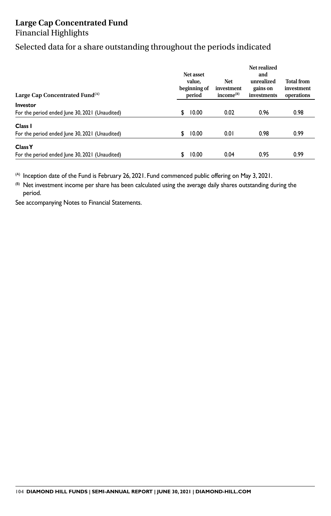#### **Large Cap Concentrated Fund**  Financial Highlights

### Selected data for a share outstanding throughout the periods indicated

| Large Cap Concentrated Fund <sup>(A)</sup>     | Net asset<br>value,<br>beginning of<br>period | <b>Net</b><br>investment<br>income <sup>(B)</sup> | Net realized<br>and<br>unrealized<br>gains on<br>investments | <b>Total from</b><br>investment<br>operations |
|------------------------------------------------|-----------------------------------------------|---------------------------------------------------|--------------------------------------------------------------|-----------------------------------------------|
| Investor                                       |                                               |                                                   |                                                              |                                               |
| For the period ended June 30, 2021 (Unaudited) | 10.00                                         | 0.02                                              | 0.96                                                         | 0.98                                          |
| Class I                                        |                                               |                                                   |                                                              |                                               |
| For the period ended June 30, 2021 (Unaudited) | 10.00                                         | 0.01                                              | 0.98                                                         | 0.99                                          |
| Class Y                                        |                                               |                                                   |                                                              |                                               |
| For the period ended June 30, 2021 (Unaudited) | 10.00                                         | 0.04                                              | 0.95                                                         | 0.99                                          |

(A) Inception date of the Fund is February 26, 2021. Fund commenced public offering on May 3, 2021.

(B) Net investment income per share has been calculated using the average daily shares outstanding during the period.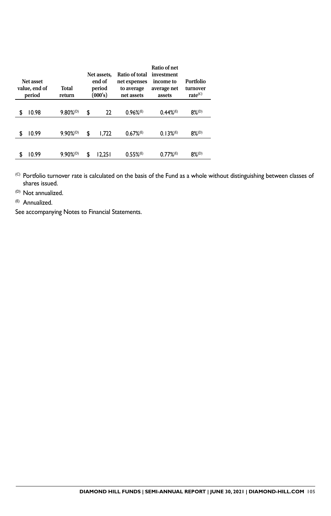|               |                         |             |                         | Ratio of net              |                      |  |
|---------------|-------------------------|-------------|-------------------------|---------------------------|----------------------|--|
|               |                         | Net assets, |                         | Ratio of total investment |                      |  |
| Net asset     |                         | end of      | net expenses            | income to                 | Portfolio            |  |
| value, end of | <b>Total</b>            | period      | to average              | average net               | turnover             |  |
| period        | return                  | (000's)     | net assets              | assets                    | rate <sup>(C)</sup>  |  |
|               |                         |             |                         |                           |                      |  |
| 10.98         | $9.80\%$ <sup>(D)</sup> | 22          | $0.96%$ <sup>(E)</sup>  | $0.44\%$ <sup>(E)</sup>   | $8\%$ <sup>(D)</sup> |  |
|               |                         |             |                         |                           |                      |  |
|               |                         |             |                         |                           |                      |  |
| 10.99         | 9.90%(D)                | 1,722       | $0.67\%$ <sup>(E)</sup> | $0.13%$ <sup>(E)</sup>    | $8\%$ <sup>(D)</sup> |  |
|               |                         |             |                         |                           |                      |  |
|               |                         |             |                         |                           |                      |  |
| 10.99         | $9.90\%$ <sup>(D)</sup> | 12,251      | $0.55\%$ <sup>(E)</sup> | $0.77\%$ <sup>(E)</sup>   | $8\%^{(D)}$          |  |

(C) Portfolio turnover rate is calculated on the basis of the Fund as a whole without distinguishing between classes of shares issued.

(D) Not annualized.

(E) Annualized.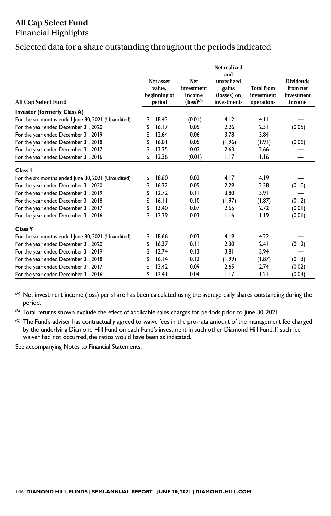# **All Cap Select Fund**

# Financial Highlights

### Selected data for a share outstanding throughout the periods indicated

|                                                    |                                     |                             | Net realized                              |                                 |                                            |
|----------------------------------------------------|-------------------------------------|-----------------------------|-------------------------------------------|---------------------------------|--------------------------------------------|
|                                                    | Net asset<br>value,<br>beginning of | Net<br>investment<br>income | and<br>unrealized<br>gains<br>(losses) on | <b>Total from</b><br>investment | <b>Dividends</b><br>from net<br>investment |
| All Cap Select Fund                                | period                              | $(logs)$ <sup>(A)</sup>     | investments                               | operations                      | income                                     |
| <b>Investor (formerly Class A)</b>                 |                                     |                             |                                           |                                 |                                            |
| For the six months ended June 30, 2021 (Unaudited) | \$18.43                             | (0.01)                      | 4.12                                      | 4.11                            | –                                          |
| For the year ended December 31, 2020               | 16.17                               | 0.05                        | 2.26                                      | 2.31                            | (0.05)                                     |
| For the year ended December 31, 2019               | 12.64                               | 0.06                        | 3.78                                      | 3.84                            | $\overline{\phantom{m}}$                   |
| For the year ended December 31, 2018               | 16.01                               | 0.05                        | (1.96)                                    | (1.91)                          | (0.06)                                     |
| For the year ended December 31, 2017               | 13.35                               | 0.03                        | 2.63                                      | 2.66                            | $\overline{\phantom{0}}$                   |
| For the year ended December 31, 2016               | 12.36                               | (0.01)                      | 1.17                                      | 1.16                            | $\overline{\phantom{0}}$                   |
| Class I                                            |                                     |                             |                                           |                                 |                                            |
|                                                    |                                     |                             |                                           |                                 |                                            |
| For the six months ended June 30, 2021 (Unaudited) | 18.60                               | 0.02                        | 4.17                                      | 4.19                            |                                            |
| For the year ended December 31, 2020               | 16.32                               | 0.09                        | 2.29                                      | 2.38                            | (0.10)                                     |
| For the year ended December 31, 2019               | 12.72                               | 0.11                        | 3.80                                      | 3.91                            |                                            |
| For the year ended December 31, 2018               | 16.11                               | 0.10                        | (1.97)                                    | (1.87)                          | (0.12)                                     |
| For the year ended December 31, 2017               | 13.40                               | 0.07                        | 2.65                                      | 2.72                            | (0.01)                                     |
| For the year ended December 31, 2016               | 12.39                               | 0.03                        | 1.16                                      | 1.19                            | (0.01)                                     |
| Class Y                                            |                                     |                             |                                           |                                 |                                            |
| For the six months ended June 30, 2021 (Unaudited) | \$18.66                             | 0.03                        | 4.19                                      | 4.22                            |                                            |
| For the year ended December 31, 2020               | 16.37                               | 0.11                        | 2.30                                      | 2.41                            | (0.12)                                     |
| For the year ended December 31, 2019               | 12.74                               | 0.13                        | 3.81                                      | 3.94                            | $\overline{\phantom{0}}$                   |
| For the year ended December 31, 2018               | 16.14                               | 0.12                        | (1.99)                                    | (1.87)                          | (0.13)                                     |
| For the year ended December 31, 2017               | 13.42                               | 0.09                        | 2.65                                      | 2.74                            | (0.02)                                     |
| For the year ended December 31, 2016               | 12.41                               | 0.04                        | 1.17                                      | 1.21                            | (0.03)                                     |

(A) Net investment income (loss) per share has been calculated using the average daily shares outstanding during the period.

(B) Total returns shown exclude the effect of applicable sales charges for periods prior to June 30, 2021.

(C) The Fund's adviser has contractually agreed to waive fees in the pro-rata amount of the management fee charged by the underlying Diamond Hill Fund on each Fund's investment in such other Diamond Hill Fund. If such fee waiver had not occurred, the ratios would have been as indicated.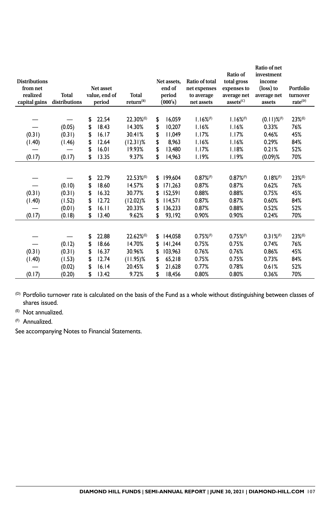| Ratio of<br>investment<br>total gross<br><b>Ratio of total</b><br>income<br>(loss) to<br>Portfolio<br>net expenses<br>expenses to<br>to average<br>average net<br>average net<br>turnover<br>assets $(C)$<br>rate <sup>(D)</sup><br>net assets<br>assets | Net assets,<br>end of<br>period<br>(000's) | <b>Total</b><br>return <sup>(B)</sup> | Net asset<br>value, end of<br>period | Total  | <b>Distributions</b><br>from net<br>realized<br>capital gains distributions |
|----------------------------------------------------------------------------------------------------------------------------------------------------------------------------------------------------------------------------------------------------------|--------------------------------------------|---------------------------------------|--------------------------------------|--------|-----------------------------------------------------------------------------|
| $1.16%$ <sup>(F)</sup><br>$1.16%$ <sup>(F)</sup><br>$(0.11)\%$ <sup>(F)</sup><br>$23%$ <sup>(E)</sup>                                                                                                                                                    | 16,059<br>£.                               | 22.30%(E)                             | 22.54                                |        |                                                                             |
| 1.16%<br>0.33%<br>76%<br>1.16%                                                                                                                                                                                                                           |                                            | 14.30%                                | 18.43                                | –      |                                                                             |
| 45%<br>1.17%<br>1.17%<br>0.46%                                                                                                                                                                                                                           | 10,207                                     | 30.41%                                | 16.17                                | (0.05) | $\overline{\phantom{m}}$                                                    |
|                                                                                                                                                                                                                                                          | 11,049                                     |                                       |                                      | (0.31) | (0.31)                                                                      |
| 1.16%<br>1.16%<br>0.29%<br>84%                                                                                                                                                                                                                           | 8,963                                      | $(12.31)\%$                           | 12.64                                | (1.46) | (1.40)                                                                      |
| 1.18%<br>0.21%<br>52%<br>1.17%                                                                                                                                                                                                                           | 13,480                                     | 19.93%                                | 16.01                                | —      |                                                                             |
| 70%<br>1.19%<br>1.19%<br>$(0.09)$ %                                                                                                                                                                                                                      | 14,963                                     | 9.37%                                 | 13.35                                | (0.17) | (0.17)                                                                      |
|                                                                                                                                                                                                                                                          |                                            |                                       |                                      |        |                                                                             |
| $0.87\%$ <sup>(F)</sup><br>$0.18%$ <sup>(F)</sup><br>$23%^{(E)}$<br>$0.87\%$ <sup>(F)</sup>                                                                                                                                                              | \$199,604                                  | 22.53% <sup>(E)</sup>                 | 22.79                                | —      |                                                                             |
| 0.62%<br>0.87%<br>0.87%<br>76%                                                                                                                                                                                                                           | \$171,263                                  | 14.57%                                | 18.60                                | (0.10) |                                                                             |
| 0.88%<br>0.75%<br>45%<br>0.88%                                                                                                                                                                                                                           | \$152,591                                  | 30.77%                                | 16.32                                | (0.31) | (0.31)                                                                      |
| 0.87%<br>0.87%<br>0.60%<br>84%                                                                                                                                                                                                                           | \$114,571                                  | $(12.02)\%$                           | 12.72                                | (1.52) | (1.40)                                                                      |
| 0.87%<br>0.88%<br>0.52%<br>52%                                                                                                                                                                                                                           | \$136,233                                  | 20.33%                                | 16.11                                | (0.01) |                                                                             |
| 0.90%<br>0.90%<br>0.24%<br>70%                                                                                                                                                                                                                           | 93,192                                     | 9.62%                                 | 13.40<br>\$                          | (0.18) | (0.17)                                                                      |
|                                                                                                                                                                                                                                                          |                                            |                                       |                                      |        |                                                                             |
| $0.75%$ <sup>(F)</sup><br>$0.31\%$ <sup>(F)</sup><br>$0.75%$ <sup>(F)</sup><br>$23%$ <sup>(E)</sup>                                                                                                                                                      | \$144,058                                  | 22.62%(E)                             | 22.88<br>\$                          | —      |                                                                             |
| 0.75%<br>0.74%<br>76%<br>0.75%                                                                                                                                                                                                                           | \$141,244                                  | 14.70%                                | 18.66                                | (0.12) | $\overline{\phantom{m}}$                                                    |
| 45%<br>0.76%<br>0.76%<br>0.86%                                                                                                                                                                                                                           | \$103,963                                  | 30.96%                                | 16.37                                | (0.31) | (0.31)                                                                      |
| 0.75%<br>0.73%<br>0.75%<br>84%                                                                                                                                                                                                                           | 65,218                                     | $(11.95)\%$                           | 12.74<br>\$                          | (1.53) | (1.40)                                                                      |
| 0.78%<br>0.61%<br>52%<br>0.77%                                                                                                                                                                                                                           | 21,628                                     | 20.45%                                | 16.14                                | (0.02) |                                                                             |
| 70%<br>0.80%<br>0.80%<br>0.36%                                                                                                                                                                                                                           | 18,456                                     | 9.72%                                 | 13.42                                | (0.20) | (0.17)                                                                      |

(D) Portfolio turnover rate is calculated on the basis of the Fund as a whole without distinguishing between classes of shares issued.

(E) Not annualized.

(F) Annualized.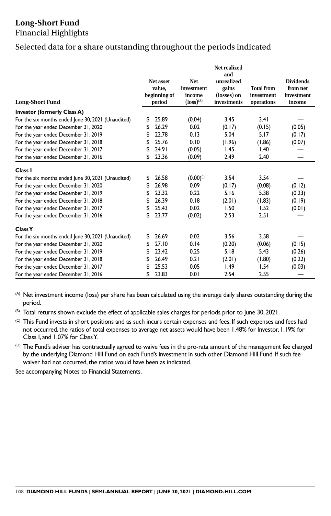# **Long-Short Fund**

#### Financial Highlights

#### Selected data for a share outstanding throughout the periods indicated

|                                                    |                                            |                             | Net realized                              |                                 |                                            |
|----------------------------------------------------|--------------------------------------------|-----------------------------|-------------------------------------------|---------------------------------|--------------------------------------------|
|                                                    | <b>Net asset</b><br>value,<br>beginning of | Net<br>investment<br>income | and<br>unrealized<br>gains<br>(losses) on | <b>Total from</b><br>investment | <b>Dividends</b><br>from net<br>investment |
| <b>Long-Short Fund</b>                             | period                                     | $(logs)^{(A)}$              | investments                               | operations                      | income                                     |
| <b>Investor (formerly Class A)</b>                 |                                            |                             |                                           |                                 |                                            |
| For the six months ended June 30, 2021 (Unaudited) | \$25.89                                    | (0.04)                      | 3.45                                      | 3.41                            |                                            |
| For the year ended December 31, 2020               | 26.29                                      | 0.02                        | (0.17)                                    | (0.15)                          | (0.05)                                     |
| For the year ended December 31, 2019               | 22.78                                      | 0.13                        | 5.04                                      | 5.17                            | (0.17)                                     |
| For the year ended December 31, 2018               | 25.76                                      | 0.10                        | (1.96)                                    | (1.86)                          | (0.07)                                     |
| For the year ended December 31, 2017               | 24.91                                      | (0.05)                      | 1.45                                      | 1.40                            | $\overline{\phantom{0}}$                   |
| For the year ended December 31, 2016               | 23.36                                      | (0.09)                      | 2.49                                      | 2.40                            | —                                          |
| Class I                                            |                                            |                             |                                           |                                 |                                            |
|                                                    |                                            |                             |                                           |                                 |                                            |
| For the six months ended June 30, 2021 (Unaudited) | \$26.58                                    | $(0.00)^{(1)}$              | 3.54                                      | 3.54                            |                                            |
| For the year ended December 31, 2020               | 26.98                                      | 0.09                        | (0.17)                                    | (0.08)                          | (0.12)                                     |
| For the year ended December 31, 2019               | 23.32                                      | 0.22                        | 5.16                                      | 5.38                            | (0.23)                                     |
| For the year ended December 31, 2018               | 26.39                                      | 0.18                        | (2.01)                                    | (1.83)                          | (0.19)                                     |
| For the year ended December 31, 2017               | 25.43                                      | 0.02                        | 1.50                                      | 1.52                            | (0.01)                                     |
| For the year ended December 31, 2016               | 23.77                                      | (0.02)                      | 2.53                                      | 2.51                            | $\overline{\phantom{m}}$                   |
| Class Y                                            |                                            |                             |                                           |                                 |                                            |
| For the six months ended June 30, 2021 (Unaudited) | \$26.69                                    | 0.02                        | 3.56                                      | 3.58                            |                                            |
| For the year ended December 31, 2020               | 27.10                                      | 0.14                        | (0.20)                                    | (0.06)                          | (0.15)                                     |
| For the year ended December 31, 2019               | 23.42                                      | 0.25                        | 5.18                                      | 5.43                            | (0.26)                                     |
| For the year ended December 31, 2018               | 26.49                                      | 0.21                        | (2.01)                                    | (1.80)                          | (0.22)                                     |
| For the year ended December 31, 2017               | 25.53                                      | 0.05                        | 1.49                                      | 1.54                            | (0.03)                                     |
| For the year ended December 31, 2016               | 23.83                                      | 0.01                        | 2.54                                      | 2.55                            |                                            |

(A) Net investment income (loss) per share has been calculated using the average daily shares outstanding during the period.

(B) Total returns shown exclude the effect of applicable sales charges for periods prior to June 30, 2021.

- <sup>(C)</sup> This Fund invests in short positions and as such incurs certain expenses and fees. If such expenses and fees had not occurred, the ratios of total expenses to average net assets would have been 1.48% for Investor, 1.19% for Class I, and 1.07% for Class Y.
- <sup>(D)</sup> The Fund's adviser has contractually agreed to waive fees in the pro-rata amount of the management fee charged by the underlying Diamond Hill Fund on each Fund's investment in such other Diamond Hill Fund. If such fee waiver had not occurred, the ratios would have been as indicated.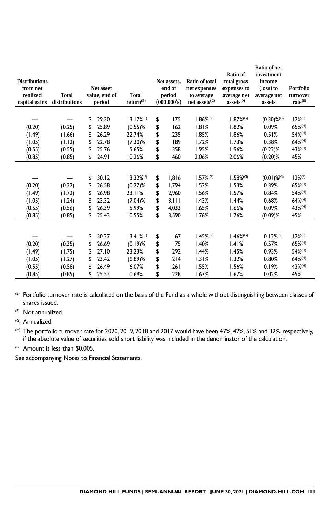| <b>Distributions</b><br>from net<br>Net asset<br>realized<br><b>Total</b><br>value, end of<br><b>Total</b><br>distributions<br>return <sup>(B)</sup><br>capital gains<br>period                                                                      | Net assets,<br>end of<br>period<br>(000,000's)     | Ratio of total<br>net expenses<br>to average<br>net assets <sup>(C)</sup> | Ratio of<br>total gross<br>expenses to<br>average net<br>assets $(D)$ | Ratio of net<br>investment<br>income<br>(loss) to<br>average net<br>assets  | Portfolio<br>turnover<br>rate <sup>(E)</sup>                                                             |
|------------------------------------------------------------------------------------------------------------------------------------------------------------------------------------------------------------------------------------------------------|----------------------------------------------------|---------------------------------------------------------------------------|-----------------------------------------------------------------------|-----------------------------------------------------------------------------|----------------------------------------------------------------------------------------------------------|
| $13.17%$ <sup>(F)</sup><br>29.30<br>—                                                                                                                                                                                                                | 175<br>-\$                                         | $1.86\%$ <sup>(G)</sup>                                                   | $1.87\%$ <sup>(G)</sup>                                               | $(0.30)\%$ <sup>(G)</sup>                                                   | 12% <sup>(F)</sup>                                                                                       |
| (0.20)<br>(0.25)<br>25.89<br>$(0.55)$ %                                                                                                                                                                                                              | 162                                                | 1.81%                                                                     | 1.82%                                                                 | 0.09%                                                                       | 65% <sup>(H)</sup>                                                                                       |
| 26.29<br>(1.49)<br>(1.66)<br>22.74%                                                                                                                                                                                                                  | 235                                                | 1.85%                                                                     | 1.86%                                                                 | 0.51%                                                                       | 54%(H)                                                                                                   |
| 22.78<br>$(7.30)\%$<br>(1.12)<br>(1.05)                                                                                                                                                                                                              | 189                                                | 1.72%                                                                     | 1.73%                                                                 | 0.38%                                                                       | 64%(H)                                                                                                   |
| 5.65%<br>(0.55)<br>(0.55)<br>25.76                                                                                                                                                                                                                   | 358                                                | 1.95%                                                                     | 1.96%                                                                 | $(0.22)$ %                                                                  | 43% <sup>(H)</sup>                                                                                       |
| 10.26%<br>(0.85)<br>(0.85)<br>24.91<br>\$                                                                                                                                                                                                            | 460                                                | 2.06%                                                                     | 2.06%                                                                 | $(0.20)$ %                                                                  | 45%                                                                                                      |
| $13.32%$ <sup>(F)</sup><br>30.12<br>S<br>—<br>26.58<br>$(0.27)$ %<br>(0.20)<br>(0.32)<br>26.98<br>23.11%<br>(1.49)<br>(1.72)<br>23.32<br>$(7.04)$ %<br>(1.05)<br>(1.24)<br>5.99%<br>(0.55)<br>(0.56)<br>26.39<br>10.55%<br>(0.85)<br>(0.85)<br>25.43 | 1,816<br>1,794<br>2,960<br>3,111<br>4,033<br>3,590 | $1.57\%$ <sup>(G)</sup><br>1.52%<br>1.56%<br>1.43%<br>1.65%<br>1.76%      | $1.58%$ <sup>(G)</sup><br>1.53%<br>1.57%<br>1.44%<br>1.66%<br>1.76%   | $(0.01)\%$ <sup>(G)</sup><br>0.39%<br>0.84%<br>0.68%<br>0.09%<br>$(0.09)$ % | $12\%$ <sup>(F)</sup><br>65% <sup>(H)</sup><br>54% <sup>(H)</sup><br>64% <sup>(H)</sup><br>43%(H)<br>45% |
| 30.27<br>$13.41\%$ <sup>(F)</sup><br>—<br>(0.20)<br>(0.35)<br>26.69<br>$(0.19)$ %<br>23.23%<br>(1.49)<br>27.10<br>(1.75)<br>(1.27)<br>$(6.89)$ %<br>23.42<br>(1.05)<br>(0.55)<br>(0.58)<br>6.07%<br>26.49                                            | 67<br>\$<br>75<br>292<br>214<br>261                | $1.45\%$ <sup>(G)</sup><br>1.40%<br>1.44%<br>1.31%<br>1.55%               | $1.46\%$ <sup>(G)</sup><br>1.41%<br>1.45%<br>1.32%<br>1.56%           | $0.12\%$ <sup>(G)</sup><br>0.57%<br>0.93%<br>0.80%<br>0.19%                 | $12%$ <sup>(F)</sup><br>$65\%$ <sup>(H)</sup><br>54%(H)<br>64% <sup>(H)</sup><br>$43\%$ <sup>(H)</sup>   |
| (0.85)<br>25.53<br>10.69%<br>(0.85)                                                                                                                                                                                                                  | 228                                                | 1.67%                                                                     | 1.67%                                                                 | 0.02%                                                                       | 45%                                                                                                      |

(E) Portfolio turnover rate is calculated on the basis of the Fund as a whole without distinguishing between classes of shares issued.

(F) Not annualized.

(G) Annualized.

 $(H)$  The portfolio turnover rate for 2020, 2019, 2018 and 2017 would have been 47%, 42%, 51% and 32%, respectively, if the absolute value of securities sold short liability was included in the denominator of the calculation.

 $(1)$  Amount is less than \$0.005.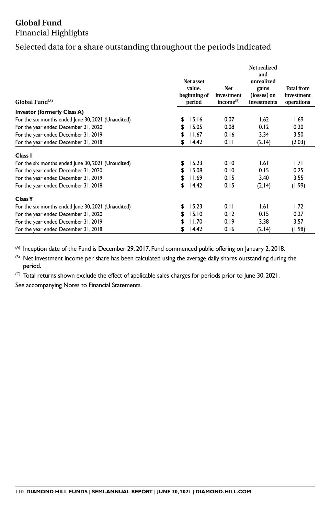## **Global Fund** Financial Highlights

#### Selected data for a share outstanding throughout the periods indicated

| Global Fund <sup>(A)</sup>                         | Net asset<br>value,<br>beginning of<br>period | Net<br>investment<br>income <sup>(B)</sup> | Net realized<br>and<br>unrealized<br>gains<br>(losses) on<br>investments | <b>Total from</b><br>investment<br>operations |
|----------------------------------------------------|-----------------------------------------------|--------------------------------------------|--------------------------------------------------------------------------|-----------------------------------------------|
| <b>Investor (formerly Class A)</b>                 |                                               |                                            |                                                                          |                                               |
| For the six months ended June 30, 2021 (Unaudited) | 15.16                                         | 0.07                                       | .62                                                                      | 1.69                                          |
| For the year ended December 31, 2020               | 15.05                                         | 0.08                                       | 0.12                                                                     | 0.20                                          |
| For the year ended December 31, 2019               | 11.67                                         | 0.16                                       | 3.34                                                                     | 3.50                                          |
| For the year ended December 31, 2018               | \$14.42                                       | 0.11                                       | (2.14)                                                                   | (2.03)                                        |
| Class I                                            |                                               |                                            |                                                                          |                                               |
| For the six months ended June 30, 2021 (Unaudited) | 15.23                                         | 0.10                                       | 1.61                                                                     | 1.71                                          |
| For the year ended December 31, 2020               | 15.08                                         | 0.10                                       | 0.15                                                                     | 0.25                                          |
| For the year ended December 31, 2019               | 11.69                                         | 0.15                                       | 3.40                                                                     | 3.55                                          |
| For the year ended December 31, 2018               | \$14.42                                       | 0.15                                       | (2.14)                                                                   | (1.99)                                        |
| <b>Class Y</b>                                     |                                               |                                            |                                                                          |                                               |
| For the six months ended June 30, 2021 (Unaudited) | \$15.23                                       | 0.11                                       | 1.61                                                                     | 1.72                                          |
| For the year ended December 31, 2020               | \$15.10                                       | 0.12                                       | 0.15                                                                     | 0.27                                          |
| For the year ended December 31, 2019               | 11.70                                         | 0.19                                       | 3.38                                                                     | 3.57                                          |
| For the year ended December 31, 2018               | \$14.42                                       | 0.16                                       | (2.14)                                                                   | (1.98)                                        |

(A) Inception date of the Fund is December 29, 2017. Fund commenced public offering on January 2, 2018.

(B) Net investment income per share has been calculated using the average daily shares outstanding during the period.

(C) Total returns shown exclude the effect of applicable sales charges for periods prior to June 30, 2021.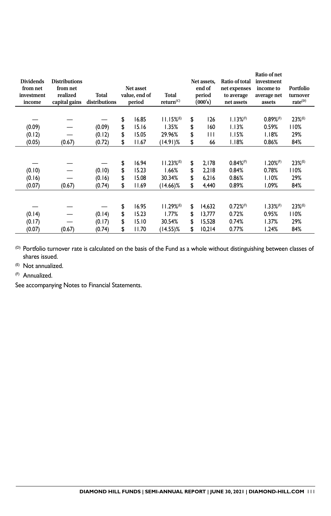| Dividends<br>from net<br>investment<br>income | <b>Distributions</b><br>from net<br>realized | Total<br>capital gains distributions | Net asset<br>value, end of<br>period | Total<br>return <sup>(C)</sup> |      | Net assets,<br>end of<br>period<br>(000's) | Ratio of total investment<br>net expenses income to<br>to average<br>net assets | Ratio of net<br>average net<br>assets | Portfolio<br>turnover<br>$rate^{(D)}$ |
|-----------------------------------------------|----------------------------------------------|--------------------------------------|--------------------------------------|--------------------------------|------|--------------------------------------------|---------------------------------------------------------------------------------|---------------------------------------|---------------------------------------|
|                                               |                                              |                                      |                                      |                                |      |                                            |                                                                                 |                                       |                                       |
| –                                             | –                                            |                                      | 16.85                                | $11.15%$ <sup>(E)</sup>        | - \$ | 126                                        | $1.13%$ <sup>(F)</sup>                                                          | $0.89\%$ <sup>(F)</sup>               | $23%$ <sup>(E)</sup>                  |
| (0.09)                                        | $\overline{\phantom{m}}$                     | (0.09)                               | 15.16                                | 1.35%                          |      | 160                                        | I.I3%                                                                           | 0.59%                                 | 110%                                  |
| (0.12)                                        |                                              | (0.12)                               | 15.05                                | 29.96%                         |      | 111                                        | I.I5%                                                                           | 1.18%                                 | 29%                                   |
| (0.05)                                        | (0.67)                                       | (0.72)                               | l I.67                               | $(14.91)\%$                    |      | 66                                         | I.I8%                                                                           | 0.86%                                 | 84%                                   |
|                                               |                                              |                                      | 16.94                                | $11.23%$ <sup>(E)</sup>        |      | 2,178                                      | $0.84\%$ <sup>(F)</sup>                                                         | $1.20%$ <sup>(F)</sup>                | $23%$ <sup>(E)</sup>                  |
| (0.10)                                        |                                              | (0.10)                               | 15.23                                | 1.66%                          |      | 2,218                                      | 0.84%                                                                           | 0.78%                                 | 110%                                  |
|                                               |                                              |                                      | 15.08                                | 30.34%                         |      | 6,216                                      | 0.86%                                                                           | 1.10%                                 | 29%                                   |
| (0.16)                                        | $\overline{\phantom{0}}$                     | (0.16)                               |                                      |                                |      |                                            |                                                                                 |                                       |                                       |
| (0.07)                                        | (0.67)                                       | (0.74)                               | 11.69                                | $(14.66)\%$                    |      | 4,440                                      | 0.89%                                                                           | 1.09%                                 | 84%                                   |
|                                               |                                              |                                      |                                      |                                |      |                                            |                                                                                 |                                       |                                       |
|                                               |                                              |                                      | 16.95                                | $11.29%$ <sup>(E)</sup>        |      | 14,632                                     | $0.72%$ <sup>(F)</sup>                                                          | $1.33%$ <sup>(F)</sup>                | $23%$ <sup>(E)</sup>                  |
| (0.14)                                        |                                              | (0.14)                               | 15.23                                | 1.77%                          |      | 13,777                                     | 0.72%                                                                           | 0.95%                                 | 110%                                  |
| (0.17)                                        | $\overline{\phantom{m}}$                     | (0.17)                               | 15.10                                | 30.54%                         |      | 15,528                                     | 0.74%                                                                           | 1.37%                                 | 29%                                   |
| (0.07)                                        | (0.67)                                       | (0.74)                               | 11.70                                | $(14.55)\%$                    |      | 10,214                                     | 0.77%                                                                           | 1.24%                                 | 84%                                   |
|                                               |                                              |                                      |                                      |                                |      |                                            |                                                                                 |                                       |                                       |

 $^{(D)}$  Portfolio turnover rate is calculated on the basis of the Fund as a whole without distinguishing between classes of shares issued.

(E) Not annualized.

(F) Annualized.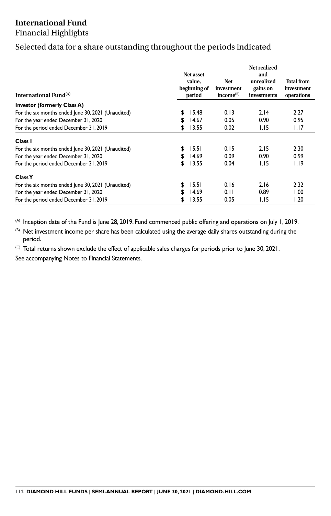## **International Fund**

## Financial Highlights

#### Selected data for a share outstanding throughout the periods indicated

| International Fund <sup>(A)</sup>                  | Net asset<br>value,<br>beginning of<br>period | <b>Net</b><br>investment<br>income <sup>(B)</sup> | Net realized<br>and<br>unrealized<br>gains on<br>investments | <b>Total from</b><br>investment<br>operations |
|----------------------------------------------------|-----------------------------------------------|---------------------------------------------------|--------------------------------------------------------------|-----------------------------------------------|
| <b>Investor (formerly Class A)</b>                 |                                               |                                                   |                                                              |                                               |
| For the six months ended June 30, 2021 (Unaudited) | \$15.48                                       | 0.13                                              | 2.14                                                         | 2.27                                          |
| For the year ended December 31, 2020               | 14.67                                         | 0.05                                              | 0.90                                                         | 0.95                                          |
| For the period ended December 31, 2019             | \$13.55                                       | 0.02                                              | 1.15                                                         | 1.17                                          |
| Class I                                            |                                               |                                                   |                                                              |                                               |
| For the six months ended June 30, 2021 (Unaudited) | \$15.51                                       | 0.15                                              | 2.15                                                         | 2.30                                          |
| For the year ended December 31, 2020               | 14.69                                         | 0.09                                              | 0.90                                                         | 0.99                                          |
| For the period ended December 31, 2019             | 13.55                                         | 0.04                                              | 1.15                                                         | 1.19                                          |
| Class Y                                            |                                               |                                                   |                                                              |                                               |
| For the six months ended June 30, 2021 (Unaudited) | \$15.51                                       | 0.16                                              | 2.16                                                         | 2.32                                          |
| For the year ended December 31, 2020               | 14.69                                         | 0.11                                              | 0.89                                                         | 1.00                                          |
| For the period ended December 31, 2019             | 13.55                                         | 0.05                                              | 1.15                                                         | 1.20                                          |

(A) Inception date of the Fund is June 28, 2019. Fund commenced public offering and operations on July 1, 2019.

(B) Net investment income per share has been calculated using the average daily shares outstanding during the period.

(C) Total returns shown exclude the effect of applicable sales charges for periods prior to June 30, 2021.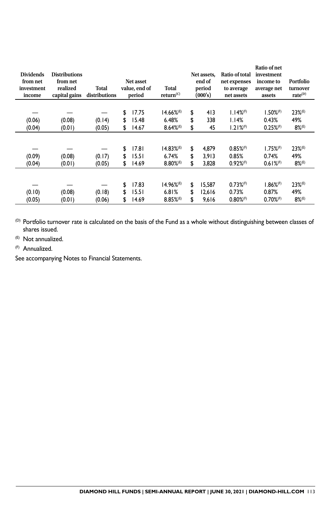| $1.50\%$ <sup>(F)</sup><br>$14.66\%$ <sup>(E)</sup><br>413<br>$1.14%$ <sup>(F)</sup><br>$23%$ <sup>(E)</sup><br>\$17.75<br>6.48%<br>338<br>1.14%<br>0.43%<br>(0.06)<br>\$15.48<br>49%<br>(0.08)<br>(0.14)<br>$8.64\%$ <sup>(E)</sup><br>$1.21\%$ <sup>(F)</sup><br>$0.25%$ <sup>(F)</sup><br>$8%^{(E)}$<br>(0.04)<br>(0.05)<br>(0.01)<br>\$14.67<br>45<br>17.81<br>$14.83\%$ <sup>(E)</sup><br>4.879<br>$0.85\%$ <sup>(F)</sup><br>$1.75%$ <sup>(F)</sup><br>$23%$ <sup>(E)</sup><br>\$15.51<br>3,913<br>0.85%<br>0.74%<br>49%<br>(0.09)<br>(0.08)<br>(0.17)<br>6.74%<br>3,828<br>$0.61\%$ <sup>(F)</sup><br>$8.80\%$ <sup>(E)</sup><br>$0.92\%$ <sup>(F)</sup><br>$8%^{(E)}$<br>(0.04)<br>\$14.69<br>(0.01)<br>(0.05)<br>$1.86\%$ <sup>(F)</sup><br>\$17.83<br>\$15,587<br>$0.73%$ <sup>(F)</sup><br>$23%$ <sup>(E)</sup><br>$14.96\%$ <sup>(E)</sup><br>0.87%<br>\$15.51<br>6.81%<br>0.73%<br>49%<br>(0.10)<br>(0.08)<br>(0.18)<br>12,616 | Dividends<br><b>Distributions</b><br>from net<br>from net<br>realized<br>investment<br>capital gains distributions<br>income | Total  | Net asset<br>value, end of<br>period | Total<br>return <sup>(C)</sup> | Net assets,<br>end of<br>period<br>(000's) | Ratio of total<br>net expenses income to<br>to average<br>net assets | Ratio of net<br>investment<br>average net<br>assets | Portfolio<br>turnover<br>rate <sup>(D)</sup> |
|---------------------------------------------------------------------------------------------------------------------------------------------------------------------------------------------------------------------------------------------------------------------------------------------------------------------------------------------------------------------------------------------------------------------------------------------------------------------------------------------------------------------------------------------------------------------------------------------------------------------------------------------------------------------------------------------------------------------------------------------------------------------------------------------------------------------------------------------------------------------------------------------------------------------------------------------|------------------------------------------------------------------------------------------------------------------------------|--------|--------------------------------------|--------------------------------|--------------------------------------------|----------------------------------------------------------------------|-----------------------------------------------------|----------------------------------------------|
|                                                                                                                                                                                                                                                                                                                                                                                                                                                                                                                                                                                                                                                                                                                                                                                                                                                                                                                                             |                                                                                                                              |        |                                      |                                |                                            |                                                                      |                                                     |                                              |
|                                                                                                                                                                                                                                                                                                                                                                                                                                                                                                                                                                                                                                                                                                                                                                                                                                                                                                                                             |                                                                                                                              |        |                                      |                                |                                            |                                                                      |                                                     |                                              |
|                                                                                                                                                                                                                                                                                                                                                                                                                                                                                                                                                                                                                                                                                                                                                                                                                                                                                                                                             |                                                                                                                              |        |                                      |                                |                                            |                                                                      |                                                     |                                              |
|                                                                                                                                                                                                                                                                                                                                                                                                                                                                                                                                                                                                                                                                                                                                                                                                                                                                                                                                             |                                                                                                                              |        |                                      |                                |                                            |                                                                      |                                                     |                                              |
|                                                                                                                                                                                                                                                                                                                                                                                                                                                                                                                                                                                                                                                                                                                                                                                                                                                                                                                                             |                                                                                                                              |        |                                      |                                |                                            |                                                                      |                                                     |                                              |
|                                                                                                                                                                                                                                                                                                                                                                                                                                                                                                                                                                                                                                                                                                                                                                                                                                                                                                                                             |                                                                                                                              |        |                                      |                                |                                            |                                                                      |                                                     |                                              |
|                                                                                                                                                                                                                                                                                                                                                                                                                                                                                                                                                                                                                                                                                                                                                                                                                                                                                                                                             |                                                                                                                              |        |                                      |                                |                                            |                                                                      |                                                     |                                              |
|                                                                                                                                                                                                                                                                                                                                                                                                                                                                                                                                                                                                                                                                                                                                                                                                                                                                                                                                             |                                                                                                                              |        |                                      |                                |                                            |                                                                      |                                                     |                                              |
|                                                                                                                                                                                                                                                                                                                                                                                                                                                                                                                                                                                                                                                                                                                                                                                                                                                                                                                                             |                                                                                                                              |        |                                      |                                |                                            |                                                                      |                                                     |                                              |
|                                                                                                                                                                                                                                                                                                                                                                                                                                                                                                                                                                                                                                                                                                                                                                                                                                                                                                                                             |                                                                                                                              |        |                                      |                                |                                            |                                                                      |                                                     |                                              |
|                                                                                                                                                                                                                                                                                                                                                                                                                                                                                                                                                                                                                                                                                                                                                                                                                                                                                                                                             |                                                                                                                              |        |                                      |                                |                                            |                                                                      |                                                     |                                              |
|                                                                                                                                                                                                                                                                                                                                                                                                                                                                                                                                                                                                                                                                                                                                                                                                                                                                                                                                             | (0.05)<br>(0.01)                                                                                                             | (0.06) | \$14.69                              | $8.85\%$ <sup>(E)</sup>        | 9,616                                      | $0.80\%$ <sup>(F)</sup>                                              | $0.70\%$ <sup>(F)</sup>                             | $8%^{(E)}$                                   |

 $^{(D)}$  Portfolio turnover rate is calculated on the basis of the Fund as a whole without distinguishing between classes of shares issued.

(E) Not annualized.

(F) Annualized.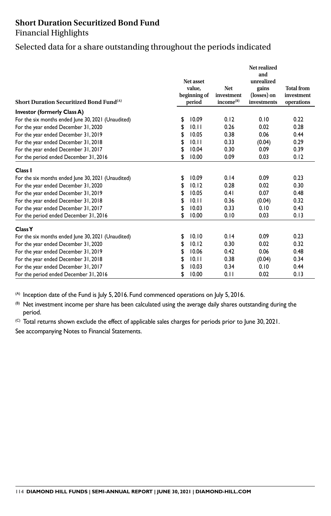#### **Short Duration Securitized Bond Fund**

## Financial Highlights

#### Selected data for a share outstanding throughout the periods indicated

| Short Duration Securitized Bond Fund <sup>(A)</sup> |     | Net asset<br>value,<br>beginning of<br>period | <b>Net</b><br>investment<br>income <sup>(B)</sup> | Net realized<br>and<br>unrealized<br>gains<br>(losses) on<br>investments | <b>Total from</b><br>investment<br>operations |
|-----------------------------------------------------|-----|-----------------------------------------------|---------------------------------------------------|--------------------------------------------------------------------------|-----------------------------------------------|
| <b>Investor (formerly Class A)</b>                  |     |                                               |                                                   |                                                                          |                                               |
| For the six months ended June 30, 2021 (Unaudited)  |     | 10.09                                         | 0.12                                              | 0.10                                                                     | 0.22                                          |
| For the year ended December 31, 2020                |     | 10.11                                         | 0.26                                              | 0.02                                                                     | 0.28                                          |
| For the year ended December 31, 2019                |     | 10.05                                         | 0.38                                              | 0.06                                                                     | 0.44                                          |
| For the year ended December 31, 2018                |     | 10.11                                         | 0.33                                              | (0.04)                                                                   | 0.29                                          |
| For the year ended December 31, 2017                |     | 10.04                                         | 0.30                                              | 0.09                                                                     | 0.39                                          |
| For the period ended December 31, 2016              | \$. | 10.00                                         | 0.09                                              | 0.03                                                                     | 0.12                                          |
|                                                     |     |                                               |                                                   |                                                                          |                                               |
| Class I                                             |     |                                               |                                                   |                                                                          |                                               |
| For the six months ended June 30, 2021 (Unaudited)  |     | 10.09                                         | 0.14                                              | 0.09                                                                     | 0.23                                          |
| For the year ended December 31, 2020                |     | 10.12                                         | 0.28                                              | 0.02                                                                     | 0.30                                          |
| For the year ended December 31, 2019                |     | 10.05                                         | 0.41                                              | 0.07                                                                     | 0.48                                          |
| For the year ended December 31, 2018                |     | 10.11                                         | 0.36                                              | (0.04)                                                                   | 0.32                                          |
| For the year ended December 31, 2017                |     | 10.03                                         | 0.33                                              | 0.10                                                                     | 0.43                                          |
| For the period ended December 31, 2016              | S.  | 10.00                                         | 0.10                                              | 0.03                                                                     | 0.13                                          |
| Class Y                                             |     |                                               |                                                   |                                                                          |                                               |
| For the six months ended June 30, 2021 (Unaudited)  |     | 10.10                                         | 0.14                                              | 0.09                                                                     | 0.23                                          |
| For the year ended December 31, 2020                |     | 10.12                                         | 0.30                                              | 0.02                                                                     | 0.32                                          |
| For the year ended December 31, 2019                |     | 10.06                                         | 0.42                                              | 0.06                                                                     | 0.48                                          |
| For the year ended December 31, 2018                |     | 10.11                                         | 0.38                                              | (0.04)                                                                   | 0.34                                          |
| For the year ended December 31, 2017                |     | 10.03                                         | 0.34                                              | 0.10                                                                     | 0.44                                          |
| For the period ended December 31, 2016              |     | 10.00                                         | 0.11                                              | 0.02                                                                     | 0.13                                          |

(A) Inception date of the Fund is July 5, 2016. Fund commenced operations on July 5, 2016.

(B) Net investment income per share has been calculated using the average daily shares outstanding during the period.

(C) Total returns shown exclude the effect of applicable sales charges for periods prior to June 30, 2021. See accompanying Notes to Financial Statements.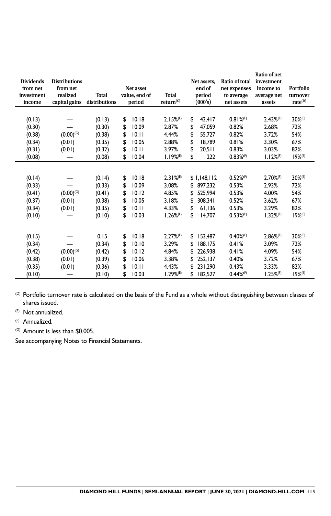| Ratio of net                                                                                            |           |                                           |                             |                  |
|---------------------------------------------------------------------------------------------------------|-----------|-------------------------------------------|-----------------------------|------------------|
| Ratio of total<br>investment<br>Net assets,                                                             |           |                                           | <b>Distributions</b>        | <b>Dividends</b> |
| Net asset<br>end of<br>income to<br>net expenses                                                        |           |                                           | from net                    | from net         |
| value, end of<br><b>Total</b><br>period<br>average net<br>to average                                    | Total     |                                           | realized                    | investment       |
| return <sup>(C)</sup><br>(000's)<br>period<br>net assets<br>assets                                      |           |                                           | capital gains distributions | income           |
|                                                                                                         |           |                                           |                             |                  |
| $2.43%$ <sup>(F)</sup><br>$2.15%$ <sup>(E)</sup><br>$0.81\%$ <sup>(F)</sup><br>\$10.18<br>43,417<br>-SS | (0.13)    |                                           |                             | (0.13)           |
| 2.87%<br>2.68%<br>10.09<br>47,059<br>0.82%                                                              | (0.30)    |                                           | —                           | (0.30)           |
| 4.44%<br>55,727<br>0.82%<br>3.72%<br>\$10.11                                                            | (0.38)    |                                           | $(0.00)^{(G)}$              | (0.38)           |
| 2.88%<br>18,789<br>3.30%<br>10.05<br>0.81%                                                              | (0.35)    |                                           | (0.01)                      | (0.34)           |
| 3.97%<br>0.83%<br>3.03%<br>10.11<br>20,511                                                              | (0.32)    |                                           | (0.01)                      | (0.31)           |
| $1.19%$ <sup>(E)</sup><br>222<br>$1.12%$ <sup>(F)</sup><br>$0.83\%$ <sup>(F)</sup><br>10.04             | (0.08)    |                                           |                             | (0.08)           |
|                                                                                                         |           |                                           |                             |                  |
|                                                                                                         |           |                                           |                             |                  |
| 2.70%(F)<br>$2.31\%$ <sup>(E)</sup><br>$0.52%$ <sup>(F)</sup><br>\$1,148,112<br>10.18<br>s.             | (0.14)    |                                           | —                           | (0.14)           |
| 3.08%<br>\$897,232<br>0.53%<br>2.93%<br>10.09                                                           | (0.33)    |                                           | —                           | (0.33)           |
| 4.85%<br>\$525,994<br>0.53%<br>4.00%<br>10.12                                                           | (0.41)    |                                           | $(0.00)^{(G)}$              | (0.41)           |
| 3.18%<br>3.62%<br>10.05<br>\$ 308,341<br>0.52%                                                          | (0.38)    |                                           | (0.01)                      | (0.37)           |
| 4.33%<br>3.29%<br>10.11<br>61,136<br>0.53%                                                              | (0.35)    |                                           | (0.01)                      | (0.34)           |
| $1.32%$ <sup>(F)</sup><br>$1.26%$ <sup>(E)</sup><br>14,707<br>$0.53\%$ <sup>(F)</sup><br>10.03<br>\$    | (0.10)    |                                           | —                           | (0.10)           |
|                                                                                                         |           |                                           |                             |                  |
|                                                                                                         |           |                                           |                             |                  |
| $2.27%$ <sup>(E)</sup><br>$0.40\%$ <sup>(F)</sup><br>2.86%(F)<br>\$153,487<br>\$10.18                   | 0.15      |                                           | —                           | (0.15)           |
| 3.29%<br>10.10<br>\$188,175<br>0.41%<br>3.09%                                                           | (0.34)    |                                           |                             | (0.34)           |
| 4.84%<br>10.12<br>226,938<br>0.41%<br>4.09%                                                             | (0.42)    |                                           | $(0.00)^{(G)}$              | (0.42)           |
| 3.38%<br>3.72%<br>10.06<br>\$252,137<br>0.40%                                                           | (0.39)    |                                           | (0.01)                      | (0.38)           |
| 4.43%<br>0.43%<br>3.33%<br>10.11<br>231,290                                                             | (0.36)    |                                           | (0.01)                      | (0.35)           |
| $0.44\%$ <sup>(F)</sup><br>$1.25%$ <sup>(F)</sup>                                                       | \$182,527 | $1.29%$ <sup>(E)</sup><br>(0.10)<br>10.03 |                             | (0.10)           |

 $^{(D)}$  Portfolio turnover rate is calculated on the basis of the Fund as a whole without distinguishing between classes of shares issued.

(E) Not annualized.

(F) Annualized.

(G) Amount is less than \$0.005.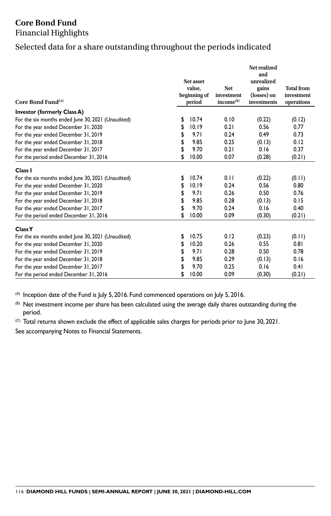#### **Core Bond Fund** Financial Highlights

#### Selected data for a share outstanding throughout the periods indicated

| Core Bond Fund <sup>(A)</sup>                                                              | Net asset<br>value,<br>beginning of<br>period | <b>Net</b><br>investment<br>income <sup>(B)</sup> | Net realized<br>and<br>unrealized<br>gains<br>(losses) on<br>investments | <b>Total from</b><br>investment<br>operations |
|--------------------------------------------------------------------------------------------|-----------------------------------------------|---------------------------------------------------|--------------------------------------------------------------------------|-----------------------------------------------|
| <b>Investor (formerly Class A)</b>                                                         |                                               |                                                   |                                                                          |                                               |
| For the six months ended June 30, 2021 (Unaudited)                                         | 10.74                                         | 0.10                                              | (0.22)                                                                   | (0.12)                                        |
| For the year ended December 31, 2020                                                       | 10.19                                         | 0.21                                              | 0.56                                                                     | 0.77                                          |
| For the year ended December 31, 2019                                                       | 9.71                                          | 0.24                                              | 0.49                                                                     | 0.73                                          |
| For the year ended December 31, 2018                                                       | 9.85                                          | 0.25                                              | (0.13)                                                                   | 0.12                                          |
| For the year ended December 31, 2017                                                       | 9.70                                          | 0.21                                              | 0.16                                                                     | 0.37                                          |
| For the period ended December 31, 2016                                                     | 10.00                                         | 0.07                                              | (0.28)                                                                   | (0.21)                                        |
| Class I                                                                                    |                                               |                                                   |                                                                          |                                               |
|                                                                                            | 10.74                                         | 0.11                                              |                                                                          | (0.11)                                        |
| For the six months ended June 30, 2021 (Unaudited)<br>For the year ended December 31, 2020 | 10.19                                         | 0.24                                              | (0.22)<br>0.56                                                           | 0.80                                          |
|                                                                                            | 9.71                                          | 0.26                                              | 0.50                                                                     | 0.76                                          |
| For the year ended December 31, 2019                                                       | 9.85                                          | 0.28                                              |                                                                          | 0.15                                          |
| For the year ended December 31, 2018                                                       | 9.70                                          | 0.24                                              | (0.13)                                                                   | 0.40                                          |
| For the year ended December 31, 2017                                                       |                                               |                                                   | 0.16                                                                     |                                               |
| For the period ended December 31, 2016                                                     | 10.00                                         | 0.09                                              | (0.30)                                                                   | (0.21)                                        |
| <b>Class Y</b>                                                                             |                                               |                                                   |                                                                          |                                               |
| For the six months ended June 30, 2021 (Unaudited)                                         | 10.75                                         | 0.12                                              | (0.23)                                                                   | (0.11)                                        |
| For the year ended December 31, 2020                                                       | 10.20                                         | 0.26                                              | 0.55                                                                     | 0.81                                          |
| For the year ended December 31, 2019                                                       | 9.71                                          | 0.28                                              | 0.50                                                                     | 0.78                                          |
| For the year ended December 31, 2018                                                       | 9.85                                          | 0.29                                              | (0.13)                                                                   | 0.16                                          |
| For the year ended December 31, 2017                                                       | 9.70                                          | 0.25                                              | 0.16                                                                     | 0.41                                          |
| For the period ended December 31, 2016                                                     | 10.00                                         | 0.09                                              | (0.30)                                                                   | (0.21)                                        |

(A) Inception date of the Fund is July 5, 2016. Fund commenced operations on July 5, 2016.

(B) Net investment income per share has been calculated using the average daily shares outstanding during the period.

(C) Total returns shown exclude the effect of applicable sales charges for periods prior to June 30, 2021. See accompanying Notes to Financial Statements.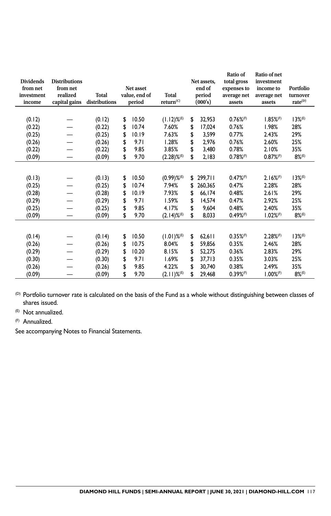|                        |                                  |                             |               |                           |      |                       | Ratio of                   | Ratio of net             |                             |
|------------------------|----------------------------------|-----------------------------|---------------|---------------------------|------|-----------------------|----------------------------|--------------------------|-----------------------------|
| Dividends              | <b>Distributions</b><br>from net |                             | Net asset     |                           |      | Net assets,<br>end of | total gross                | investment               | Portfolio                   |
| from net<br>investment | realized                         | Total                       | value, end of | <b>Total</b>              |      | period                | expenses to<br>average net | income to<br>average net | turnover                    |
| income                 |                                  | capital gains distributions | period        | return <sup>(C)</sup>     |      | (000's)               | assets                     | assets                   | rate <sup>(D)</sup>         |
|                        |                                  |                             |               |                           |      |                       |                            |                          |                             |
| (0.12)                 | —                                | (0.12)                      | \$<br>10.50   | $(1.12)\%$ <sup>(E)</sup> | £    | 32,953                | $0.76\%$ <sup>(F)</sup>    | $1.85%$ <sup>(F)</sup>   | $13%$ <sup>(E)</sup>        |
| (0.22)                 | —                                | (0.22)                      | \$10.74       | 7.60%                     |      | 17,024                | 0.76%                      | 1.98%                    | 28%                         |
| (0.25)                 | —                                | (0.25)                      | \$10.19       | 7.63%                     |      | 3,599                 | 0.77%                      | 2.43%                    | 29%                         |
| (0.26)                 | $\overline{\phantom{0}}$         | (0.26)                      | 9.71          | 1.28%                     |      | 2,976                 | 0.76%                      | 2.60%                    | 25%                         |
| (0.22)                 | —                                | (0.22)                      | 9.85          | 3.85%                     |      | 3,480                 | 0.78%                      | 2.10%                    | 35%                         |
| (0.09)                 | $\overline{\phantom{0}}$         | (0.09)                      | 9.70          | $(2.28) \%^{(E)}$         | ж    | 2,183                 | $0.78%$ <sup>(F)</sup>     | $0.87\%$ <sup>(F)</sup>  | $8\%$ <sup>(E)</sup>        |
|                        |                                  |                             |               |                           |      |                       |                            |                          |                             |
| (0.13)                 | $\overline{\phantom{0}}$         | (0.13)                      | \$<br>10.50   | $(0.99) \%^{(E)}$         |      | \$299,711             | $0.47\%$ <sup>(F)</sup>    | $2.16%$ <sup>(F)</sup>   | $13%$ <sup>(E)</sup>        |
| (0.25)                 | —                                | (0.25)                      | 10.74         | 7.94%                     |      | 260,365               | 0.47%                      | 2.28%                    | 28%                         |
| (0.28)                 | —                                | (0.28)                      | \$10.19       | 7.93%                     | \$.  | 66,174                | 0.48%                      | 2.61%                    | 29%                         |
| (0.29)                 | —                                | (0.29)                      | 9.71          | 1.59%                     |      | 14,574                | 0.47%                      | 2.92%                    | 25%                         |
| (0.25)                 | —                                | (0.25)                      | 9.85          | 4.17%                     |      | 9,604                 | 0.48%                      | 2.40%                    | 35%                         |
| (0.09)                 | —                                | (0.09)                      | 9.70          | $(2.14)\%$ <sup>(E)</sup> | \$   | 8,033                 | $0.49%$ <sup>(F)</sup>     | $1.02%$ <sup>(F)</sup>   | $8\%^{(E)}$                 |
|                        |                                  |                             |               |                           |      |                       |                            |                          |                             |
|                        |                                  |                             |               |                           |      |                       |                            |                          |                             |
| (0.14)                 | —                                | (0.14)                      | \$<br>10.50   | $(1.01)\%$ <sup>(E)</sup> | -\$  | 62,611                | $0.35\%$ <sup>(F)</sup>    | 2.28%(F)                 | $13%$ <sup>(E)</sup>        |
| (0.26)                 | —                                | (0.26)                      | 10.75         | 8.04%                     |      | 59,856                | 0.35%                      | 2.46%                    | 28%                         |
| (0.29)                 | —                                | (0.29)                      | 10.20         | 8.15%                     |      | 52,275                | 0.36%                      | 2.83%                    | 29%                         |
| (0.30)                 | —                                | (0.30)                      | 9.71          | 1.69%                     |      | 37,713                | 0.35%                      | 3.03%                    | 25%                         |
| (0.26)                 | —                                | (0.26)                      | 9.85          | 4.22%                     |      | 30,740                | 0.38%                      | 2.49%                    | 35%<br>$8\%$ <sup>(E)</sup> |
| (0.09)                 | —                                | (0.09)                      | 9.70          | $(2.11)\%$ <sup>(E)</sup> | - \$ | 29,468                | $0.39%$ <sup>(F)</sup>     | $1.00\%$ <sup>(F)</sup>  |                             |

(D) Portfolio turnover rate is calculated on the basis of the Fund as a whole without distinguishing between classes of shares issued.

(E) Not annualized.

(F) Annualized.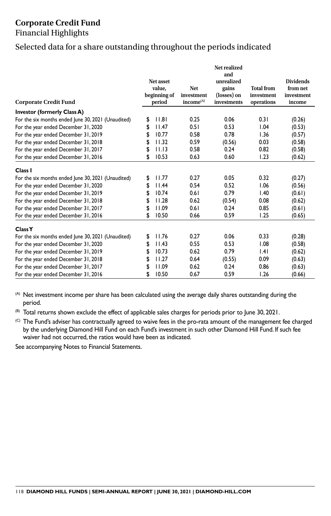#### **Corporate Credit Fund**

#### Financial Highlights

#### Selected data for a share outstanding throughout the periods indicated

|                                                    |              |                       | Net realized      |                   |                  |
|----------------------------------------------------|--------------|-----------------------|-------------------|-------------------|------------------|
|                                                    | Net asset    |                       | and<br>unrealized |                   | <b>Dividends</b> |
|                                                    | value.       | Net                   | gains             | <b>Total from</b> | from net         |
|                                                    | beginning of | investment            | (losses) on       | investment        | investment       |
| <b>Corporate Credit Fund</b>                       | period       | income <sup>(A)</sup> | investments       | operations        | income           |
| <b>Investor (formerly Class A)</b>                 |              |                       |                   |                   |                  |
| For the six months ended June 30, 2021 (Unaudited) | \$11.81      | 0.25                  | 0.06              | 0.31              | (0.26)           |
| For the year ended December 31, 2020               | 11.47        | 0.51                  | 0.53              | 1.04              | (0.53)           |
| For the year ended December 31, 2019               | 10.77        | 0.58                  | 0.78              | 1.36              | (0.57)           |
| For the year ended December 31, 2018               | 11.32        | 0.59                  | (0.56)            | 0.03              | (0.58)           |
| For the year ended December 31, 2017               | 11.13        | 0.58                  | 0.24              | 0.82              | (0.58)           |
| For the year ended December 31, 2016               | 10.53        | 0.63                  | 0.60              | 1.23              | (0.62)           |
| Class I                                            |              |                       |                   |                   |                  |
| For the six months ended June 30, 2021 (Unaudited) | \$11.77      | 0.27                  | 0.05              | 0.32              | (0.27)           |
| For the year ended December 31, 2020               | \$11.44      | 0.54                  | 0.52              | 1.06              | (0.56)           |
| For the year ended December 31, 2019               | 10.74        | 0.61                  | 0.79              | 1.40              | (0.61)           |
| For the year ended December 31, 2018               | 11.28        | 0.62                  | (0.54)            | 0.08              | (0.62)           |
| For the year ended December 31, 2017               | 11.09        | 0.61                  | 0.24              | 0.85              | (0.61)           |
| For the year ended December 31, 2016               | 10.50        | 0.66                  | 0.59              | 1.25              | (0.65)           |
| Class Y                                            |              |                       |                   |                   |                  |
| For the six months ended June 30, 2021 (Unaudited) | \$11.76      | 0.27                  | 0.06              | 0.33              | (0.28)           |
| For the year ended December 31, 2020               | \$11.43      | 0.55                  | 0.53              | 1.08              | (0.58)           |
| For the year ended December 31, 2019               | 10.73        | 0.62                  | 0.79              | .4                | (0.62)           |
| For the year ended December 31, 2018               | 11.27        | 0.64                  | (0.55)            | 0.09              | (0.63)           |
| For the year ended December 31, 2017               |              | 0.62                  | 0.24              | 0.86              | (0.63)           |
|                                                    | 11.09        |                       |                   |                   |                  |

(A) Net investment income per share has been calculated using the average daily shares outstanding during the period.

(B) Total returns shown exclude the effect of applicable sales charges for periods prior to June 30, 2021.

 $<sup>(C)</sup>$  The Fund's adviser has contractually agreed to waive fees in the pro-rata amount of the management fee charged</sup> by the underlying Diamond Hill Fund on each Fund's investment in such other Diamond Hill Fund. If such fee waiver had not occurred, the ratios would have been as indicated.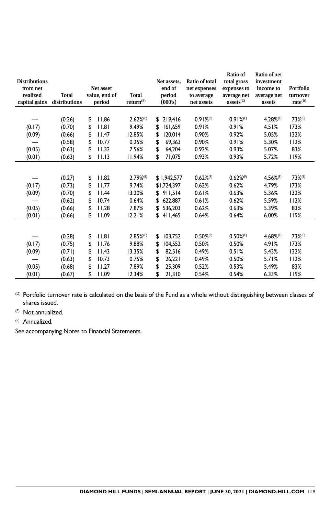|                                |               |               |                         |               |                         | Ratio of                | Ratio of net |                     |
|--------------------------------|---------------|---------------|-------------------------|---------------|-------------------------|-------------------------|--------------|---------------------|
| <b>Distributions</b>           |               |               |                         | Net assets,   | Ratio of total          | total gross             | investment   |                     |
| from net                       |               | Net asset     |                         | end of        | net expenses            | expenses to             | income to    | Portfolio           |
| realized                       | <b>Total</b>  | value, end of | Total                   | period        | to average              | average net             | average net  | turnover            |
| capital gains                  | distributions | period        | return <sup>(B)</sup>   | (000's)       | net assets              | assets ${}^{(C)}$       | assets       | rate <sup>(D)</sup> |
|                                |               |               |                         |               |                         |                         |              |                     |
| —                              | (0.26)        | \$11.86       | $2.62%$ <sup>(E)</sup>  | 219,416       | $0.91\%$ <sup>(F)</sup> | $0.91\%$ <sup>(F)</sup> | 4.28%(F)     | 73%(E)              |
| (0.17)                         | (0.70)        | \$11.81       | 9.49%                   | \$161,659     | 0.91%                   | 0.91%                   | 4.51%        | 173%                |
| (0.09)                         | (0.66)        | 11.47         | 12.85%                  | 120,014       | 0.90%                   | 0.92%                   | 5.05%        | 132%                |
|                                | (0.58)        | 10.77         | 0.25%                   | 69,363        | 0.90%                   | 0.91%                   | 5.30%        | 112%                |
| (0.05)                         | (0.63)        | \$11.32       | 7.56%                   | 64,204        | 0.92%                   | 0.93%                   | 5.07%        | 83%                 |
| (0.01)                         | (0.63)        | \$11.13       | 11.94%                  | 71,075        | 0.93%                   | 0.93%                   | 5.72%        | 119%                |
|                                |               |               |                         |               |                         |                         |              |                     |
|                                |               |               |                         |               |                         |                         |              |                     |
|                                | (0.27)        | \$11.82       | 2.79% <sup>(E)</sup>    | \$1,942,577   | $0.62%$ <sup>(F)</sup>  | $0.62%$ <sup>(F)</sup>  | 4.56%(F)     | 73% <sup>(E)</sup>  |
| (0.17)                         | (0.73)        | 11.77<br>\$   | 9.74%                   | \$1,724,397   | 0.62%                   | 0.62%                   | 4.79%        | 173%                |
| (0.09)                         | (0.70)        | \$11.44       | 13.20%                  | \$911,514     | 0.61%                   | 0.63%                   | 5.36%        | 132%                |
| $\qquad \qquad \longleftarrow$ | (0.62)        | 10.74         | 0.64%                   | 622,887       | 0.61%                   | 0.62%                   | 5.59%        | 112%                |
| (0.05)                         | (0.66)        | 11.28         | 7.87%                   | 536,203       | 0.62%                   | 0.63%                   | 5.39%        | 83%                 |
|                                |               |               |                         |               |                         |                         |              | 119%                |
| (0.01)                         | (0.66)        | 11.09         | 12.21%                  | \$411,465     | 0.64%                   | 0.64%                   | 6.00%        |                     |
|                                |               |               |                         |               |                         |                         |              |                     |
|                                | (0.28)        | $$$ $11.81$   | $2.85\%$ <sup>(E)</sup> | 103,752<br>\$ | $0.50\%$ <sup>(F)</sup> | $0.50\%$ <sup>(F)</sup> | 4.68%(F)     | 73% <sup>(E)</sup>  |
| (0.17)                         | (0.75)        | \$11.76       | 9.88%                   | 104,552       | 0.50%                   | 0.50%                   | 4.91%        | 173%                |
| (0.09)                         | (0.71)        | \$11.43       | 13.35%                  | 82,516        | 0.49%                   | 0.51%                   | 5.43%        | 132%                |
|                                | (0.63)        | 10.73         | 0.75%                   | 26,221        | 0.49%                   | 0.50%                   | 5.71%        | 112%                |
| (0.05)                         | (0.68)        | \$11.27       | 7.89%                   | 25,309        | 0.52%                   | 0.53%                   | 5.49%        | 83%                 |
| (0.01)                         | (0.67)        | 11.09         | 12.34%                  | 21,310        | 0.54%                   | 0.54%                   | 6.33%        | 119%                |
|                                |               |               |                         |               |                         |                         |              |                     |

(D) Portfolio turnover rate is calculated on the basis of the Fund as a whole without distinguishing between classes of shares issued.

(E) Not annualized.

(F) Annualized.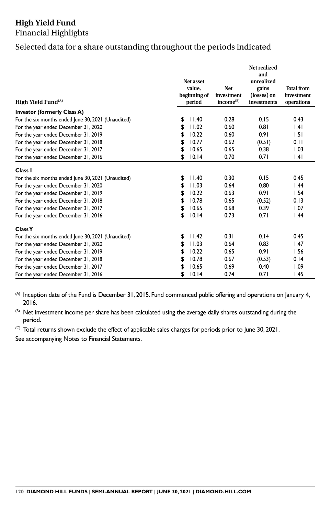# **High Yield Fund**

## Financial Highlights

#### Selected data for a share outstanding throughout the periods indicated

| High Yield Fund <sup>(A)</sup>                     | Net asset<br>value,<br>beginning of<br>period | <b>Net</b><br>investment<br>income <sup>(B)</sup> | Net realized<br>and<br>unrealized<br>gains<br>(losses) on<br>investments | <b>Total from</b><br>investment<br>operations |
|----------------------------------------------------|-----------------------------------------------|---------------------------------------------------|--------------------------------------------------------------------------|-----------------------------------------------|
| <b>Investor (formerly Class A)</b>                 |                                               |                                                   |                                                                          |                                               |
| For the six months ended June 30, 2021 (Unaudited) | 11.40                                         | 0.28                                              | 0.15                                                                     | 0.43                                          |
| For the year ended December 31, 2020               | 11.02                                         | 0.60                                              | 0.81                                                                     | .4                                            |
| For the year ended December 31, 2019               | 10.22                                         | 0.60                                              | 0.91                                                                     | 1.51                                          |
| For the year ended December 31, 2018               | 10.77                                         | 0.62                                              | (0.51)                                                                   | 0.11                                          |
| For the year ended December 31, 2017               | 10.65                                         | 0.65                                              | 0.38                                                                     | 1.03                                          |
| For the year ended December 31, 2016               | 10.14                                         | 0.70                                              | 0.71                                                                     | .4                                            |
| Class I                                            |                                               |                                                   |                                                                          |                                               |
|                                                    |                                               |                                                   |                                                                          |                                               |
| For the six months ended June 30, 2021 (Unaudited) | 11.40                                         | 0.30                                              | 0.15                                                                     | 0.45                                          |
| For the year ended December 31, 2020               | 11.03                                         | 0.64                                              | 0.80                                                                     | 1.44                                          |
| For the year ended December 31, 2019               | 10.22                                         | 0.63                                              | 0.91                                                                     | 1.54                                          |
| For the year ended December 31, 2018               | 10.78                                         | 0.65                                              | (0.52)                                                                   | 0.13                                          |
| For the year ended December 31, 2017               | 10.65                                         | 0.68                                              | 0.39                                                                     | 1.07                                          |
| For the year ended December 31, 2016               | \$10.14                                       | 0.73                                              | 0.71                                                                     | 1.44                                          |
| <b>Class Y</b>                                     |                                               |                                                   |                                                                          |                                               |
| For the six months ended June 30, 2021 (Unaudited) | 11.42                                         | 0.31                                              | 0.14                                                                     | 0.45                                          |
| For the year ended December 31, 2020               | 11.03                                         | 0.64                                              | 0.83                                                                     | 1.47                                          |
| For the year ended December 31, 2019               | 10.22                                         | 0.65                                              | 0.91                                                                     | 1.56                                          |
| For the year ended December 31, 2018               | 10.78                                         | 0.67                                              | (0.53)                                                                   | 0.14                                          |
| For the year ended December 31, 2017               | 10.65                                         | 0.69                                              | 0.40                                                                     | 1.09                                          |
| For the year ended December 31, 2016               | 10.14                                         | 0.74                                              | 0.71                                                                     | 1.45                                          |

 $(A)$  Inception date of the Fund is December 31, 2015. Fund commenced public offering and operations on January 4, 2016.

(B) Net investment income per share has been calculated using the average daily shares outstanding during the period.

(C) Total returns shown exclude the effect of applicable sales charges for periods prior to June 30, 2021.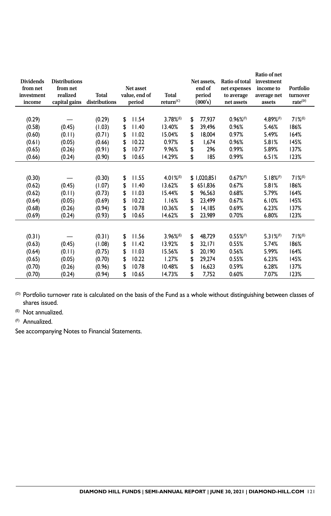|                  |                             |        |               |                        |              |                         | Ratio of net            |                       |
|------------------|-----------------------------|--------|---------------|------------------------|--------------|-------------------------|-------------------------|-----------------------|
| <b>Dividends</b> | <b>Distributions</b>        |        |               |                        | Net assets,  | Ratio of total          | investment              |                       |
| from net         | from net                    |        | Net asset     |                        | end of       | net expenses            | income to               | Portfolio             |
| investment       | realized                    | Total  | value, end of | <b>Total</b>           | period       | to average              | average net             | turnover              |
| income           | capital gains distributions |        | period        | return <sup>(C)</sup>  | (000's)      | net assets              | assets                  | rate <sup>(D)</sup>   |
|                  |                             |        |               |                        |              |                         |                         |                       |
| (0.29)           |                             | (0.29) | \$11.54       | $3.78%$ <sup>(E)</sup> | 77,937<br>S  | $0.96\%$ <sup>(F)</sup> | 4.89%(F)                | $71\%$ <sup>(E)</sup> |
| (0.58)           | (0.45)                      | (1.03) | \$11.40       | 13.40%                 | 39,496       | 0.96%                   | 5.46%                   | 186%                  |
| (0.60)           | (0.11)                      | (0.71) | \$11.02       | 15.04%                 | 18,004       | 0.97%                   | 5.49%                   | 164%                  |
| (0.61)           | (0.05)                      | (0.66) | 10.22         | 0.97%                  | 1,674        | 0.96%                   | 5.81%                   | 145%                  |
| (0.65)           | (0.26)                      | (0.91) | 10.77         | 9.96%                  | 296          | 0.99%                   | 5.89%                   | 137%                  |
| (0.66)           | (0.24)                      | (0.90) | 10.65         | 14.29%                 | 185          | 0.99%                   | 6.51%                   | 123%                  |
|                  |                             |        |               |                        |              |                         |                         |                       |
|                  |                             |        |               |                        |              |                         |                         |                       |
| (0.30)           |                             | (0.30) | \$11.55       | 4.01% <sup>(E)</sup>   | \$1,020,851  | $0.67\%$ <sup>(F)</sup> | $5.18%$ <sup>(F)</sup>  | $71\%$ <sup>(E)</sup> |
| (0.62)           | (0.45)                      | (1.07) | \$11.40       | 13.62%                 | 651,836      | 0.67%                   | 5.81%                   | 186%                  |
| (0.62)           | (0.11)                      | (0.73) | \$11.03       | 15.44%                 | 96,563       | 0.68%                   | 5.79%                   | 164%                  |
| (0.64)           | (0.05)                      | (0.69) | 10.22         | 1.16%                  | 23,499       | 0.67%                   | 6.10%                   | 145%                  |
| (0.68)           | (0.26)                      | (0.94) | 10.78         | 10.36%                 | 14,185       | 0.69%                   | 6.23%                   | 137%                  |
| (0.69)           | (0.24)                      | (0.93) | 10.65         | 14.62%                 | 23,989       | 0.70%                   | 6.80%                   | 123%                  |
|                  |                             |        |               |                        |              |                         |                         |                       |
|                  |                             |        |               |                        |              |                         |                         |                       |
| (0.31)           | —                           | (0.31) | \$11.56       | 3.96%(E)               | 48,729<br>\$ | $0.55\%$ <sup>(F)</sup> | $5.31\%$ <sup>(F)</sup> | $71\%$ <sup>(E)</sup> |
| (0.63)           | (0.45)                      | (1.08) | \$11.42       | 13.92%                 | 32,171       | 0.55%                   | 5.74%                   | 186%                  |
| (0.64)           | (0.11)                      | (0.75) | 11.03         | 15.56%                 | 20,190       | 0.56%                   | 5.99%                   | 164%                  |
| (0.65)           | (0.05)                      | (0.70) | 10.22         | 1.27%                  | 29,274       | 0.55%                   | 6.23%                   | 145%                  |
| (0.70)           | (0.26)                      | (0.96) | 10.78         | 10.48%                 | 16,623       | 0.59%                   | 6.28%                   | 137%                  |
| (0.70)           | (0.24)                      | (0.94) | 10.65         | 14.73%                 | 7,752        | 0.60%                   | 7.07%                   | 123%                  |

(D) Portfolio turnover rate is calculated on the basis of the Fund as a whole without distinguishing between classes of shares issued.

(E) Not annualized.

(F) Annualized.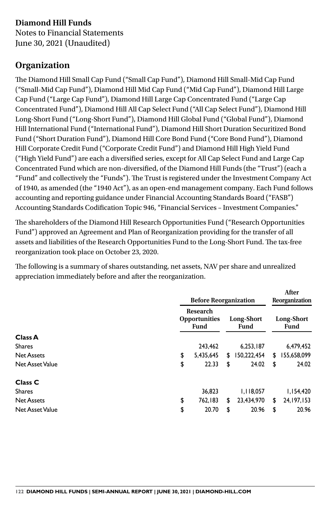Notes to Financial Statements June 30, 2021 (Unaudited)

### **Organization**

The Diamond Hill Small Cap Fund ("Small Cap Fund"), Diamond Hill Small-Mid Cap Fund ("Small-Mid Cap Fund"), Diamond Hill Mid Cap Fund ("Mid Cap Fund"), Diamond Hill Large Cap Fund ("Large Cap Fund"), Diamond Hill Large Cap Concentrated Fund ("Large Cap Concentrated Fund"), Diamond Hill All Cap Select Fund ("All Cap Select Fund"), Diamond Hill Long-Short Fund ("Long-Short Fund"), Diamond Hill Global Fund ("Global Fund"), Diamond Hill International Fund ("International Fund"), Diamond Hill Short Duration Securitized Bond Fund ("Short Duration Fund"), Diamond Hill Core Bond Fund ("Core Bond Fund"), Diamond Hill Corporate Credit Fund ("Corporate Credit Fund") and Diamond Hill High Yield Fund ("High Yield Fund") are each a diversified series, except for All Cap Select Fund and Large Cap Concentrated Fund which are non-diversified, of the Diamond Hill Funds (the "Trust") (each a "Fund" and collectively the "Funds"). The Trust is registered under the Investment Company Act of 1940, as amended (the "1940 Act"), as an open-end management company. Each Fund follows accounting and reporting guidance under Financial Accounting Standards Board ("FASB") Accounting Standards Codification Topic 946, "Financial Services – Investment Companies."

The shareholders of the Diamond Hill Research Opportunities Fund ("Research Opportunities Fund") approved an Agreement and Plan of Reorganization providing for the transfer of all assets and liabilities of the Research Opportunities Fund to the Long-Short Fund. The tax-free reorganization took place on October 23, 2020.

The following is a summary of shares outstanding, net assets, NAV per share and unrealized appreciation immediately before and after the reorganization.

|                   | <b>Before Reorganization</b>             |                    | After<br>Reorganization |
|-------------------|------------------------------------------|--------------------|-------------------------|
|                   | Research<br><b>Opportunities</b><br>Fund | Long-Short<br>Fund | Long-Short<br>Fund      |
| Class A           |                                          |                    |                         |
| <b>Shares</b>     | 243.462                                  | 6,253,187          | 6,479,452               |
| <b>Net Assets</b> | \$<br>5,435,645                          | \$<br>150,222,454  | \$<br>155,658,099       |
| Net Asset Value   | \$<br>22.33                              | \$<br>24.02        | \$<br>24.02             |
| Class C           |                                          |                    |                         |
| <b>Shares</b>     | 36.823                                   | 1,118,057          | 1,154,420               |
| <b>Net Assets</b> | \$<br>762.183                            | \$<br>23,434,970   | \$<br>24, 197, 153      |
| Net Asset Value   | \$<br>20.70                              | \$<br>20.96        | \$<br>20.96             |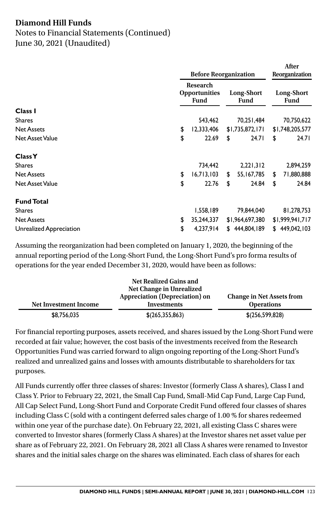# Notes to Financial Statements (Continued)

June 30, 2021 (Unaudited)

|                         |                              |                                          |    |                    |    | After              |
|-------------------------|------------------------------|------------------------------------------|----|--------------------|----|--------------------|
|                         | <b>Before Reorganization</b> |                                          |    |                    |    | Reorganization     |
|                         |                              | Research<br><b>Opportunities</b><br>Fund |    | Long-Short<br>Fund |    | Long-Short<br>Fund |
| Class I                 |                              |                                          |    |                    |    |                    |
| <b>Shares</b>           |                              | 543,462                                  |    | 70,251,484         |    | 70,750,622         |
| <b>Net Assets</b>       | \$                           | 12,333,406                               |    | \$1,735,872,171    |    | \$1,748,205,577    |
| Net Asset Value         | \$                           | 22.69                                    | \$ | 24.71              | \$ | 24.71              |
| <b>Class Y</b>          |                              |                                          |    |                    |    |                    |
| <b>Shares</b>           |                              | 734,442                                  |    | 2,221,312          |    | 2,894,259          |
| <b>Net Assets</b>       | \$                           | 16,713,103                               | \$ | 55,167,785         | \$ | 71,880,888         |
| <b>Net Asset Value</b>  | \$                           | 22.76                                    | \$ | 24.84              | \$ | 24.84              |
| <b>Fund Total</b>       |                              |                                          |    |                    |    |                    |
| <b>Shares</b>           |                              | 1,558,189                                |    | 79,844,040         |    | 81,278,753         |
| <b>Net Assets</b>       | \$                           | 35,244,337                               |    | \$1,964,697,380    |    | \$1,999,941,717    |
| Unrealized Appreciation | \$                           | 4,237,914                                |    | \$444,804,189      |    | \$449,042,103      |

Assuming the reorganization had been completed on January 1, 2020, the beginning of the annual reporting period of the Long-Short Fund, the Long-Short Fund's pro forma results of operations for the year ended December 31, 2020, would have been as follows:

|                       | <b>Net Realized Gains and</b><br>Net Change in Unrealized |                                                       |
|-----------------------|-----------------------------------------------------------|-------------------------------------------------------|
| Net Investment Income | Appreciation (Depreciation) on<br><b>Investments</b>      | <b>Change in Net Assets from</b><br><b>Operations</b> |
| \$8,756,035           | $$$ (265,355,863)                                         | $$$ (256,599,828)                                     |

For financial reporting purposes, assets received, and shares issued by the Long-Short Fund were recorded at fair value; however, the cost basis of the investments received from the Research Opportunities Fund was carried forward to align ongoing reporting of the Long-Short Fund's realized and unrealized gains and losses with amounts distributable to shareholders for tax purposes.

All Funds currently offer three classes of shares: Investor (formerly Class A shares), Class I and Class Y. Prior to February 22, 2021, the Small Cap Fund, Small-Mid Cap Fund, Large Cap Fund, All Cap Select Fund, Long-Short Fund and Corporate Credit Fund offered four classes of shares including Class C (sold with a contingent deferred sales charge of 1.00 % for shares redeemed within one year of the purchase date). On February 22, 2021, all existing Class C shares were converted to Investor shares (formerly Class A shares) at the Investor shares net asset value per share as of February 22, 2021. On February 28, 2021 all Class A shares were renamed to Investor shares and the initial sales charge on the shares was eliminated. Each class of shares for each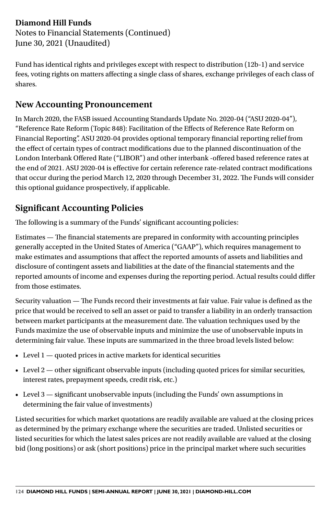Notes to Financial Statements (Continued) June 30, 2021 (Unaudited)

Fund has identical rights and privileges except with respect to distribution (12b-1) and service fees, voting rights on matters affecting a single class of shares, exchange privileges of each class of shares.

### **New Accounting Pronouncement**

In March 2020, the FASB issued Accounting Standards Update No. 2020-04 ("ASU 2020-04"), "Reference Rate Reform (Topic 848): Facilitation of the Effects of Reference Rate Reform on Financial Reporting". ASU 2020-04 provides optional temporary financial reporting relief from the effect of certain types of contract modifications due to the planned discontinuation of the London Interbank Offered Rate ("LIBOR") and other interbank -offered based reference rates at the end of 2021. ASU 2020-04 is effective for certain reference rate-related contract modifications that occur during the period March 12, 2020 through December 31, 2022. The Funds will consider this optional guidance prospectively, if applicable.

## **Significant Accounting Policies**

The following is a summary of the Funds' significant accounting policies:

Estimates — The financial statements are prepared in conformity with accounting principles generally accepted in the United States of America ("GAAP"), which requires management to make estimates and assumptions that affect the reported amounts of assets and liabilities and disclosure of contingent assets and liabilities at the date of the financial statements and the reported amounts of income and expenses during the reporting period. Actual results could differ from those estimates.

Security valuation — The Funds record their investments at fair value. Fair value is defined as the price that would be received to sell an asset or paid to transfer a liability in an orderly transaction between market participants at the measurement date. The valuation techniques used by the Funds maximize the use of observable inputs and minimize the use of unobservable inputs in determining fair value. These inputs are summarized in the three broad levels listed below:

- $\bullet$  Level  $1$  quoted prices in active markets for identical securities
- Level 2 other significant observable inputs (including quoted prices for similar securities, interest rates, prepayment speeds, credit risk, etc.)
- Level 3 significant unobservable inputs (including the Funds' own assumptions in determining the fair value of investments)

Listed securities for which market quotations are readily available are valued at the closing prices as determined by the primary exchange where the securities are traded. Unlisted securities or listed securities for which the latest sales prices are not readily available are valued at the closing bid (long positions) or ask (short positions) price in the principal market where such securities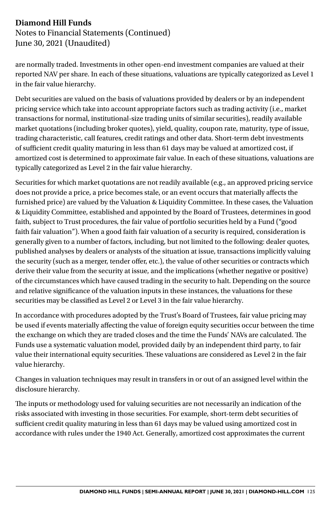Notes to Financial Statements (Continued) June 30, 2021 (Unaudited)

are normally traded. Investments in other open-end investment companies are valued at their reported NAV per share. In each of these situations, valuations are typically categorized as Level 1 in the fair value hierarchy.

Debt securities are valued on the basis of valuations provided by dealers or by an independent pricing service which take into account appropriate factors such as trading activity (i.e., market transactions for normal, institutional-size trading units of similar securities), readily available market quotations (including broker quotes), yield, quality, coupon rate, maturity, type of issue, trading characteristic, call features, credit ratings and other data. Short-term debt investments of sufficient credit quality maturing in less than 61 days may be valued at amortized cost, if amortized cost is determined to approximate fair value. In each of these situations, valuations are typically categorized as Level 2 in the fair value hierarchy.

Securities for which market quotations are not readily available (e.g., an approved pricing service does not provide a price, a price becomes stale, or an event occurs that materially affects the furnished price) are valued by the Valuation & Liquidity Committee. In these cases, the Valuation & Liquidity Committee, established and appointed by the Board of Trustees, determines in good faith, subject to Trust procedures, the fair value of portfolio securities held by a Fund ("good faith fair valuation"). When a good faith fair valuation of a security is required, consideration is generally given to a number of factors, including, but not limited to the following: dealer quotes, published analyses by dealers or analysts of the situation at issue, transactions implicitly valuing the security (such as a merger, tender offer, etc.), the value of other securities or contracts which derive their value from the security at issue, and the implications (whether negative or positive) of the circumstances which have caused trading in the security to halt. Depending on the source and relative significance of the valuation inputs in these instances, the valuations for these securities may be classified as Level 2 or Level 3 in the fair value hierarchy.

In accordance with procedures adopted by the Trust's Board of Trustees, fair value pricing may be used if events materially affecting the value of foreign equity securities occur between the time the exchange on which they are traded closes and the time the Funds' NAVs are calculated. The Funds use a systematic valuation model, provided daily by an independent third party, to fair value their international equity securities. These valuations are considered as Level 2 in the fair value hierarchy.

Changes in valuation techniques may result in transfers in or out of an assigned level within the disclosure hierarchy.

The inputs or methodology used for valuing securities are not necessarily an indication of the risks associated with investing in those securities. For example, short-term debt securities of sufficient credit quality maturing in less than 61 days may be valued using amortized cost in accordance with rules under the 1940 Act. Generally, amortized cost approximates the current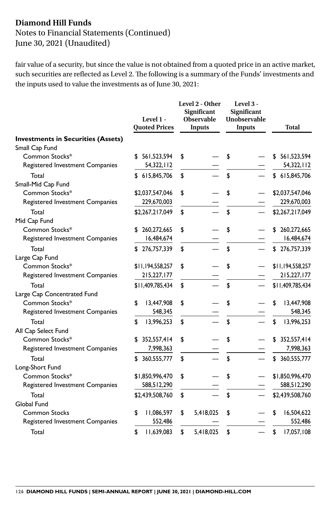#### Notes to Financial Statements (Continued) June 30, 2021 (Unaudited)

fair value of a security, but since the value is not obtained from a quoted price in an active market, such securities are reflected as Level 2. The following is a summary of the Funds' investments and the inputs used to value the investments as of June 30, 2021:

|                                           | Level 1 -<br><b>Quoted Prices</b> | Level 2 - Other<br>Significant<br><b>Observable</b><br><b>Inputs</b> | Level 3 -<br>Significant<br>Unobservable<br>Inputs | <b>Total</b>      |
|-------------------------------------------|-----------------------------------|----------------------------------------------------------------------|----------------------------------------------------|-------------------|
| <b>Investments in Securities (Assets)</b> |                                   |                                                                      |                                                    |                   |
| Small Cap Fund                            |                                   |                                                                      |                                                    |                   |
| Common Stocks*                            | \$561,523,594                     | \$                                                                   | \$                                                 | \$561,523,594     |
| Registered Investment Companies           | 54,322,112                        |                                                                      |                                                    | 54,322,112        |
| Total                                     | \$615,845,706                     | \$                                                                   | \$                                                 | \$615,845,706     |
| Small-Mid Cap Fund                        |                                   |                                                                      |                                                    |                   |
| Common Stocks*                            | \$2,037,547,046                   | \$                                                                   | \$                                                 | \$2,037,547,046   |
| Registered Investment Companies           | 229,670,003                       |                                                                      |                                                    | 229,670,003       |
| Total                                     | \$2,267,217,049                   | \$                                                                   | \$                                                 | \$2,267,217,049   |
| Mid Cap Fund                              |                                   |                                                                      |                                                    |                   |
| Common Stocks*                            | 260,272,665<br>\$                 | \$                                                                   | \$                                                 | 260,272,665<br>\$ |
| Registered Investment Companies           | 16,484,674                        |                                                                      |                                                    | 16,484,674        |
| Total                                     | \$276,757,339                     | \$                                                                   | \$                                                 | \$276,757,339     |
| Large Cap Fund                            |                                   |                                                                      |                                                    |                   |
| Common Stocks*                            | \$11,194,558,257                  | \$                                                                   | \$                                                 | \$11,194,558,257  |
| Registered Investment Companies           | 215,227,177                       |                                                                      |                                                    | 215,227,177       |
| Total                                     | \$11,409,785,434                  | \$                                                                   | \$                                                 | \$11,409,785,434  |
| Large Cap Concentrated Fund               |                                   |                                                                      |                                                    |                   |
| Common Stocks*                            | 13,447,908<br>\$                  | \$                                                                   | \$                                                 | 13,447,908<br>\$  |
| Registered Investment Companies           | 548,345                           |                                                                      |                                                    | 548,345           |
| Total                                     | 13,996,253<br>\$                  | \$                                                                   | \$                                                 | 13,996,253<br>\$  |
| All Cap Select Fund                       |                                   |                                                                      |                                                    |                   |
| Common Stocks*                            | 352,557,414                       | \$                                                                   | \$                                                 | 352,557,414<br>\$ |
| Registered Investment Companies           | 7,998,363                         |                                                                      |                                                    | 7,998,363         |
| Total                                     | 360,555,777<br>\$                 | \$                                                                   | \$                                                 | 360,555,777<br>\$ |
| Long-Short Fund                           |                                   |                                                                      |                                                    |                   |
| Common Stocks*                            | \$1,850,996,470                   | \$                                                                   | \$                                                 | \$1,850,996,470   |
| Registered Investment Companies           | 588,512,290                       |                                                                      |                                                    | 588,512,290       |
| Total                                     | \$2,439,508,760                   | \$                                                                   | \$                                                 | \$2,439,508,760   |
| Global Fund                               |                                   |                                                                      |                                                    |                   |
| <b>Common Stocks</b>                      | 11,086,597<br>\$                  | 5,418,025<br>\$                                                      | \$                                                 | 16,504,622<br>\$  |
| Registered Investment Companies           | 552,486                           |                                                                      |                                                    | 552,486           |
| Total                                     | \$<br>11,639,083                  | 5,418,025<br>\$                                                      | \$                                                 | 17,057,108<br>\$  |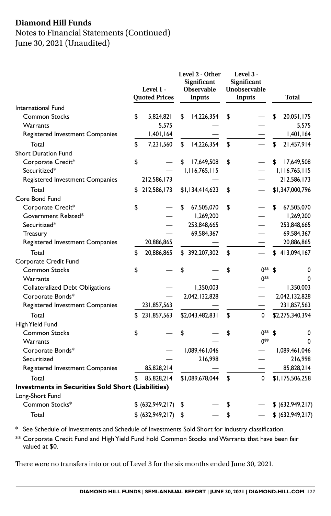# Notes to Financial Statements (Continued)

June 30, 2021 (Unaudited)

|                                                           | Level 1 -<br><b>Quoted Prices</b> | Level 2 - Other<br>Significant<br><b>Observable</b><br><b>Inputs</b> |    | Level 3 -<br>Significant<br><b>Unobservable</b><br><b>Inputs</b> | <b>Total</b>       |
|-----------------------------------------------------------|-----------------------------------|----------------------------------------------------------------------|----|------------------------------------------------------------------|--------------------|
| International Fund                                        |                                   |                                                                      |    |                                                                  |                    |
| <b>Common Stocks</b>                                      | \$<br>5,824,821                   | \$<br>14,226,354                                                     | \$ |                                                                  | \$<br>20,051,175   |
| Warrants                                                  | 5,575                             |                                                                      |    |                                                                  | 5,575              |
| Registered Investment Companies                           | 1,401,164                         |                                                                      |    |                                                                  | 1,401,164          |
| Total                                                     | \$<br>7,231,560                   | \$<br>14,226,354                                                     | \$ |                                                                  | \$<br>21,457,914   |
| <b>Short Duration Fund</b>                                |                                   |                                                                      |    |                                                                  |                    |
| Corporate Credit*                                         | \$                                | \$<br>17,649,508                                                     | \$ |                                                                  | \$<br>17,649,508   |
| Securitized*                                              |                                   | 1,116,765,115                                                        |    |                                                                  | 1,116,765,115      |
| Registered Investment Companies                           | 212,586,173                       |                                                                      |    |                                                                  | 212,586,173        |
| Total                                                     | \$212,586,173                     | \$1,134,414,623                                                      | \$ |                                                                  | \$1,347,000,796    |
| Core Bond Fund                                            |                                   |                                                                      |    |                                                                  |                    |
| Corporate Credit*                                         | \$                                | \$<br>67,505,070                                                     | \$ |                                                                  | \$<br>67,505,070   |
| Government Related*                                       |                                   | 1,269,200                                                            |    |                                                                  | 1,269,200          |
| Securitized*                                              |                                   | 253,848,665                                                          |    |                                                                  | 253,848,665        |
| <b>Treasury</b>                                           |                                   | 69,584,367                                                           |    |                                                                  | 69,584,367         |
| Registered Investment Companies                           | 20,886,865                        |                                                                      |    |                                                                  | 20,886,865         |
| Total                                                     | \$<br>20,886,865                  | \$392,207,302                                                        | \$ |                                                                  | \$413,094,167      |
| Corporate Credit Fund                                     |                                   |                                                                      |    |                                                                  |                    |
| <b>Common Stocks</b>                                      | \$                                | \$                                                                   | \$ | $0**$ \$                                                         | 0                  |
| Warrants                                                  |                                   |                                                                      |    | 0**                                                              | 0                  |
| <b>Collateralized Debt Obligations</b>                    |                                   | 1,350,003                                                            |    |                                                                  | 1,350,003          |
| Corporate Bonds*                                          |                                   | 2,042,132,828                                                        |    |                                                                  | 2,042,132,828      |
| Registered Investment Companies                           | 231,857,563                       |                                                                      |    |                                                                  | 231,857,563        |
| Total                                                     | \$231,857,563                     | \$2,043,482,831                                                      | \$ | $\Omega$                                                         | \$2,275,340,394    |
| High Yield Fund                                           |                                   |                                                                      |    |                                                                  |                    |
| Common Stocks                                             | \$                                | \$                                                                   | \$ | 0**                                                              | \$<br>0            |
| Warrants                                                  |                                   |                                                                      |    | 0 <sup>*</sup>                                                   | 0                  |
| Corporate Bonds*                                          |                                   | 1,089,461,046                                                        |    |                                                                  | 1,089,461,046      |
| Securitized                                               |                                   | 216,998                                                              |    |                                                                  | 216,998            |
| Registered Investment Companies                           | 85,828,214                        |                                                                      |    |                                                                  | 85,828,214         |
| Total                                                     | \$<br>85,828,214                  | \$1,089,678,044                                                      | \$ | $\mathbf 0$                                                      | \$1,175,506,258    |
| <b>Investments in Securities Sold Short (Liabilities)</b> |                                   |                                                                      |    |                                                                  |                    |
| Long-Short Fund                                           |                                   |                                                                      |    |                                                                  |                    |
| Common Stocks*                                            | \$ (632, 949, 217)                | \$                                                                   | ₹  |                                                                  | \$ (632, 949, 217) |
| Total                                                     | \$ (632, 949, 217)                | \$                                                                   | \$ |                                                                  | \$ (632, 949, 217) |

\* See Schedule of Investments and Schedule of Investments Sold Short for industry classification.

\*\* Corporate Credit Fund and High Yield Fund hold Common Stocks and Warrants that have been fair valued at \$0.

There were no transfers into or out of Level 3 for the six months ended June 30, 2021.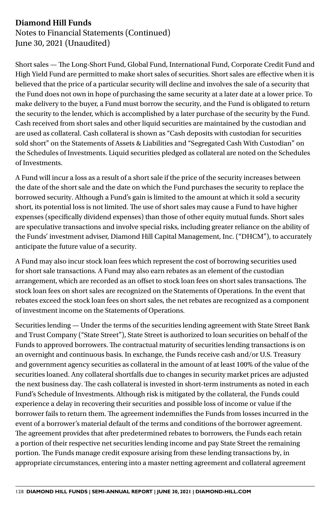Notes to Financial Statements (Continued) June 30, 2021 (Unaudited)

Short sales — The Long-Short Fund, Global Fund, International Fund, Corporate Credit Fund and High Yield Fund are permitted to make short sales of securities. Short sales are effective when it is believed that the price of a particular security will decline and involves the sale of a security that the Fund does not own in hope of purchasing the same security at a later date at a lower price. To make delivery to the buyer, a Fund must borrow the security, and the Fund is obligated to return the security to the lender, which is accomplished by a later purchase of the security by the Fund. Cash received from short sales and other liquid securities are maintained by the custodian and are used as collateral. Cash collateral is shown as "Cash deposits with custodian for securities sold short" on the Statements of Assets & Liabilities and "Segregated Cash With Custodian" on the Schedules of Investments. Liquid securities pledged as collateral are noted on the Schedules of Investments.

A Fund will incur a loss as a result of a short sale if the price of the security increases between the date of the short sale and the date on which the Fund purchases the security to replace the borrowed security. Although a Fund's gain is limited to the amount at which it sold a security short, its potential loss is not limited. The use of short sales may cause a Fund to have higher expenses (specifically dividend expenses) than those of other equity mutual funds. Short sales are speculative transactions and involve special risks, including greater reliance on the ability of the Funds' investment adviser, Diamond Hill Capital Management, Inc. ("DHCM"), to accurately anticipate the future value of a security.

A Fund may also incur stock loan fees which represent the cost of borrowing securities used for short sale transactions. A Fund may also earn rebates as an element of the custodian arrangement, which are recorded as an offset to stock loan fees on short sales transactions. The stock loan fees on short sales are recognized on the Statements of Operations. In the event that rebates exceed the stock loan fees on short sales, the net rebates are recognized as a component of investment income on the Statements of Operations.

Securities lending — Under the terms of the securities lending agreement with State Street Bank and Trust Company ("State Street"), State Street is authorized to loan securities on behalf of the Funds to approved borrowers. The contractual maturity of securities lending transactions is on an overnight and continuous basis. In exchange, the Funds receive cash and/or U.S. Treasury and government agency securities as collateral in the amount of at least 100% of the value of the securities loaned. Any collateral shortfalls due to changes in security market prices are adjusted the next business day. The cash collateral is invested in short-term instruments as noted in each Fund's Schedule of Investments. Although risk is mitigated by the collateral, the Funds could experience a delay in recovering their securities and possible loss of income or value if the borrower fails to return them. The agreement indemnifies the Funds from losses incurred in the event of a borrower's material default of the terms and conditions of the borrower agreement. The agreement provides that after predetermined rebates to borrowers, the Funds each retain a portion of their respective net securities lending income and pay State Street the remaining portion. The Funds manage credit exposure arising from these lending transactions by, in appropriate circumstances, entering into a master netting agreement and collateral agreement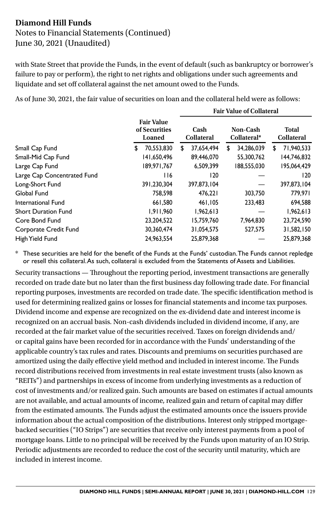#### **Diamond Hill Funds** Notes to Financial Statements (Continued) June 30, 2021 (Unaudited)

with State Street that provide the Funds, in the event of default (such as bankruptcy or borrower's failure to pay or perform), the right to net rights and obligations under such agreements and liquidate and set off collateral against the net amount owed to the Funds.

As of Iune 30, 2021, the fair value of securities on loan and the collateral held were as follows:

|                             | <b>Fair Value of Collateral</b>              |             |                    |             |                         |             |                     |             |
|-----------------------------|----------------------------------------------|-------------|--------------------|-------------|-------------------------|-------------|---------------------|-------------|
|                             | <b>Fair Value</b><br>of Securities<br>Loaned |             | Cash<br>Collateral |             | Non-Cash<br>Collateral* |             | Total<br>Collateral |             |
| Small Cap Fund              | \$                                           | 70,553,830  | \$                 | 37.654.494  | \$                      | 34,286,039  | £.                  | 71,940,533  |
| Small-Mid Cap Fund          |                                              | 141,650,496 |                    | 89,446,070  |                         | 55,300,762  |                     | 144,746,832 |
| Large Cap Fund              |                                              | 189,971,767 |                    | 6,509,399   |                         | 188,555,030 |                     | 195,064,429 |
| Large Cap Concentrated Fund |                                              | 116         |                    | 120         |                         |             |                     | 120         |
| Long-Short Fund             |                                              | 391,230,304 |                    | 397,873,104 |                         |             |                     | 397,873,104 |
| Global Fund                 |                                              | 758,598     |                    | 476.221     |                         | 303,750     |                     | 779,971     |
| International Fund          |                                              | 661.580     |                    | 461.105     |                         | 233,483     |                     | 694,588     |
| <b>Short Duration Fund</b>  |                                              | 1,911,960   |                    | 1.962.613   |                         |             |                     | 1,962,613   |
| Core Bond Fund              |                                              | 23.204.522  |                    | 15.759.760  |                         | 7.964.830   |                     | 23.724.590  |
| Corporate Credit Fund       |                                              | 30,360,474  |                    | 31,054,575  |                         | 527,575     |                     | 31,582,150  |
| High Yield Fund             |                                              | 24,963,554  |                    | 25,879,368  |                         |             |                     | 25,879,368  |

\* These securities are held for the benefit of the Funds at the Funds' custodian.The Funds cannot repledge or resell this collateral. As such, collateral is excluded from the Statements of Assets and Liabilities.

Security transactions — Throughout the reporting period, investment transactions are generally recorded on trade date but no later than the first business day following trade date. For financial reporting purposes, investments are recorded on trade date. The specific identification method is used for determining realized gains or losses for financial statements and income tax purposes. Dividend income and expense are recognized on the ex-dividend date and interest income is recognized on an accrual basis. Non-cash dividends included in dividend income, if any, are recorded at the fair market value of the securities received. Taxes on foreign dividends and/ or capital gains have been recorded for in accordance with the Funds' understanding of the applicable country's tax rules and rates. Discounts and premiums on securities purchased are amortized using the daily effective yield method and included in interest income. The Funds record distributions received from investments in real estate investment trusts (also known as "REITs") and partnerships in excess of income from underlying investments as a reduction of cost of investments and/or realized gain. Such amounts are based on estimates if actual amounts are not available, and actual amounts of income, realized gain and return of capital may differ from the estimated amounts. The Funds adjust the estimated amounts once the issuers provide information about the actual composition of the distributions. Interest only stripped mortgagebacked securities ("IO Strips") are securities that receive only interest payments from a pool of mortgage loans. Little to no principal will be received by the Funds upon maturity of an IO Strip. Periodic adjustments are recorded to reduce the cost of the security until maturity, which are included in interest income.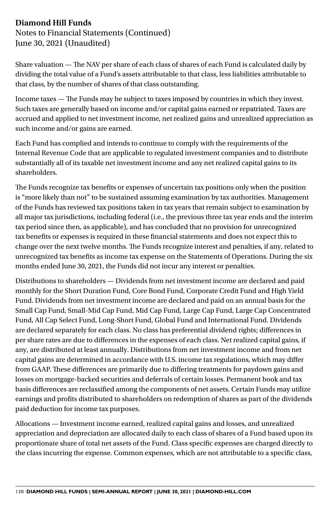Notes to Financial Statements (Continued) June 30, 2021 (Unaudited)

Share valuation — The NAV per share of each class of shares of each Fund is calculated daily by dividing the total value of a Fund's assets attributable to that class, less liabilities attributable to that class, by the number of shares of that class outstanding.

Income taxes — The Funds may be subject to taxes imposed by countries in which they invest. Such taxes are generally based on income and/or capital gains earned or repatriated. Taxes are accrued and applied to net investment income, net realized gains and unrealized appreciation as such income and/or gains are earned.

Each Fund has complied and intends to continue to comply with the requirements of the Internal Revenue Code that are applicable to regulated investment companies and to distribute substantially all of its taxable net investment income and any net realized capital gains to its shareholders.

The Funds recognize tax benefits or expenses of uncertain tax positions only when the position is "more likely than not" to be sustained assuming examination by tax authorities. Management of the Funds has reviewed tax positions taken in tax years that remain subject to examination by all major tax jurisdictions, including federal (i.e., the previous three tax year ends and the interim tax period since then, as applicable), and has concluded that no provision for unrecognized tax benefits or expenses is required in these financial statements and does not expect this to change over the next twelve months. The Funds recognize interest and penalties, if any, related to unrecognized tax benefits as income tax expense on the Statements of Operations. During the six months ended June 30, 2021, the Funds did not incur any interest or penalties.

Distributions to shareholders — Dividends from net investment income are declared and paid monthly for the Short Duration Fund, Core Bond Fund, Corporate Credit Fund and High Yield Fund. Dividends from net investment income are declared and paid on an annual basis for the Small Cap Fund, Small-Mid Cap Fund, Mid Cap Fund, Large Cap Fund, Large Cap Concentrated Fund, All Cap Select Fund, Long-Short Fund, Global Fund and International Fund. Dividends are declared separately for each class. No class has preferential dividend rights; differences in per share rates are due to differences in the expenses of each class. Net realized capital gains, if any, are distributed at least annually. Distributions from net investment income and from net capital gains are determined in accordance with U.S. income tax regulations, which may differ from GAAP. These differences are primarily due to differing treatments for paydown gains and losses on mortgage-backed securities and deferrals of certain losses. Permanent book and tax basis differences are reclassified among the components of net assets. Certain Funds may utilize earnings and profits distributed to shareholders on redemption of shares as part of the dividends paid deduction for income tax purposes.

Allocations — Investment income earned, realized capital gains and losses, and unrealized appreciation and depreciation are allocated daily to each class of shares of a Fund based upon its proportionate share of total net assets of the Fund. Class specific expenses are charged directly to the class incurring the expense. Common expenses, which are not attributable to a specific class,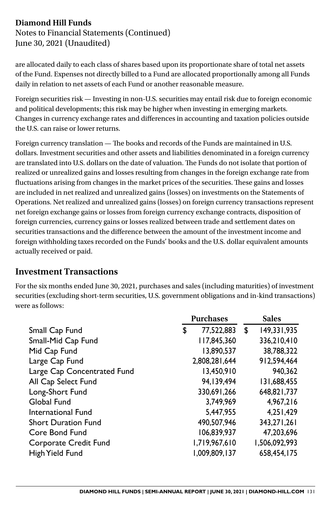Notes to Financial Statements (Continued) June 30, 2021 (Unaudited)

are allocated daily to each class of shares based upon its proportionate share of total net assets of the Fund. Expenses not directly billed to a Fund are allocated proportionally among all Funds daily in relation to net assets of each Fund or another reasonable measure.

Foreign securities risk — Investing in non-U.S. securities may entail risk due to foreign economic and political developments; this risk may be higher when investing in emerging markets. Changes in currency exchange rates and differences in accounting and taxation policies outside the U.S. can raise or lower returns.

Foreign currency translation — The books and records of the Funds are maintained in U.S. dollars. Investment securities and other assets and liabilities denominated in a foreign currency are translated into U.S. dollars on the date of valuation. The Funds do not isolate that portion of realized or unrealized gains and losses resulting from changes in the foreign exchange rate from fluctuations arising from changes in the market prices of the securities. These gains and losses are included in net realized and unrealized gains (losses) on investments on the Statements of Operations. Net realized and unrealized gains (losses) on foreign currency transactions represent net foreign exchange gains or losses from foreign currency exchange contracts, disposition of foreign currencies, currency gains or losses realized between trade and settlement dates on securities transactions and the difference between the amount of the investment income and foreign withholding taxes recorded on the Funds' books and the U.S. dollar equivalent amounts actually received or paid.

### **Investment Transactions**

For the six months ended June 30, 2021, purchases and sales (including maturities) of investment securities (excluding short-term securities, U.S. government obligations and in-kind transactions) were as follows:

|                             | <b>Purchases</b> | <b>Sales</b>      |
|-----------------------------|------------------|-------------------|
| Small Cap Fund              | \$<br>77.522.883 | \$<br>149,331,935 |
| Small-Mid Cap Fund          | 117.845.360      | 336,210,410       |
| Mid Cap Fund                | 13.890.537       | 38.788.322        |
| Large Cap Fund              | 2,808,281,644    | 912,594,464       |
| Large Cap Concentrated Fund | 13,450,910       | 940.362           |
| All Cap Select Fund         | 94,139,494       | 131,688,455       |
| Long-Short Fund             | 330,691,266      | 648.821.737       |
| Global Fund                 | 3.749.969        | 4,967,216         |
| International Fund          | 5.447.955        | 4.251.429         |
| <b>Short Duration Fund</b>  | 490.507.946      | 343.271.261       |
| Core Bond Fund              | 106.839.937      | 47.203.696        |
| Corporate Credit Fund       | 1.719.967.610    | 1,506,092,993     |
| High Yield Fund             | 1.009.809.137    | 658.454.175       |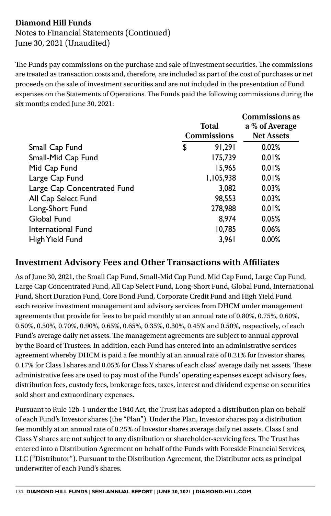Notes to Financial Statements (Continued) June 30, 2021 (Unaudited)

The Funds pay commissions on the purchase and sale of investment securities. The commissions are treated as transaction costs and, therefore, are included as part of the cost of purchases or net proceeds on the sale of investment securities and are not included in the presentation of Fund expenses on the Statements of Operations. The Funds paid the following commissions during the six months ended June 30, 2021:

|                    | Commissions as    |
|--------------------|-------------------|
| <b>Total</b>       | a % of Average    |
| <b>Commissions</b> | <b>Net Assets</b> |
| 91.291<br>\$       | 0.02%             |
| 175,739            | 0.01%             |
| 15.965             | 0.01%             |
| 1,105,938          | 0.01%             |
| 3.082              | 0.03%             |
| 98,553             | 0.03%             |
| 278,988            | 0.01%             |
| 8.974              | 0.05%             |
| 10,785             | 0.06%             |
| 3,961              | 0.00%             |
|                    |                   |

### **Investment Advisory Fees and Other Transactions with Affiliates**

As of June 30, 2021, the Small Cap Fund, Small-Mid Cap Fund, Mid Cap Fund, Large Cap Fund, Large Cap Concentrated Fund, All Cap Select Fund, Long-Short Fund, Global Fund, International Fund, Short Duration Fund, Core Bond Fund, Corporate Credit Fund and High Yield Fund each receive investment management and advisory services from DHCM under management agreements that provide for fees to be paid monthly at an annual rate of 0.80%, 0.75%, 0.60%, 0.50%, 0.50%, 0.70%, 0.90%, 0.65%, 0.65%, 0.35%, 0.30%, 0.45% and 0.50%, respectively, of each Fund's average daily net assets. The management agreements are subject to annual approval by the Board of Trustees. In addition, each Fund has entered into an administrative services agreement whereby DHCM is paid a fee monthly at an annual rate of 0.21% for Investor shares, 0.17% for Class I shares and 0.05% for Class Y shares of each class' average daily net assets. These administrative fees are used to pay most of the Funds' operating expenses except advisory fees, distribution fees, custody fees, brokerage fees, taxes, interest and dividend expense on securities sold short and extraordinary expenses.

Pursuant to Rule 12b-1 under the 1940 Act, the Trust has adopted a distribution plan on behalf of each Fund's Investor shares (the "Plan"). Under the Plan, Investor shares pay a distribution fee monthly at an annual rate of 0.25% of Investor shares average daily net assets. Class I and Class Y shares are not subject to any distribution or shareholder-servicing fees. The Trust has entered into a Distribution Agreement on behalf of the Funds with Foreside Financial Services, LLC ("Distributor"). Pursuant to the Distribution Agreement, the Distributor acts as principal underwriter of each Fund's shares.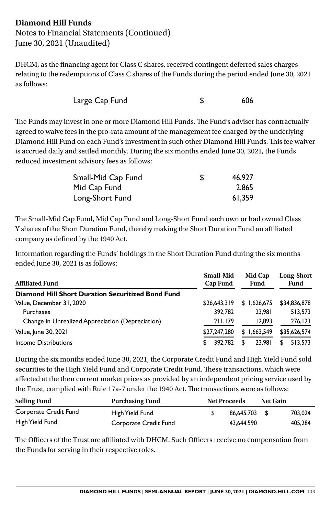Notes to Financial Statements (Continued) June 30, 2021 (Unaudited)

DHCM, as the financing agent for Class C shares, received contingent deferred sales charges relating to the redemptions of Class C shares of the Funds during the period ended June 30, 2021 as follows:

Large Cap Fund \$ 606

The Funds may invest in one or more Diamond Hill Funds. The Fund's adviser has contractually agreed to waive fees in the pro-rata amount of the management fee charged by the underlying Diamond Hill Fund on each Fund's investment in such other Diamond Hill Funds. This fee waiver is accrued daily and settled monthly. During the six months ended June 30, 2021, the Funds reduced investment advisory fees as follows:

| Small-Mid Cap Fund | S | 46,927 |
|--------------------|---|--------|
| Mid Cap Fund       |   | 2,865  |
| Long-Short Fund    |   | 61,359 |

The Small-Mid Cap Fund, Mid Cap Fund and Long-Short Fund each own or had owned Class Y shares of the Short Duration Fund, thereby making the Short Duration Fund an affiliated company as defined by the 1940 Act.

Information regarding the Funds' holdings in the Short Duration Fund during the six months ended June 30, 2021 is as follows:

| <b>Affiliated Fund</b>                                   | <b>Small-Mid</b><br>Cap Fund | Mid Cap<br>Fund  | Long-Short<br>Fund |
|----------------------------------------------------------|------------------------------|------------------|--------------------|
| <b>Diamond Hill Short Duration Securitized Bond Fund</b> |                              |                  |                    |
| Value, December 31, 2020                                 | \$26,643,319                 | \$1,626,675      | \$34,836,878       |
| <b>Purchases</b>                                         | 392.782                      | 23.981           | 513,573            |
| Change in Unrealized Appreciation (Depreciation)         | 211.179                      | 12.893           | 276,123            |
| Value, June 30, 2021                                     | \$27,247,280                 | 1,663,549<br>SS. | \$35,626,574       |
| Income Distributions                                     | 392.782                      | 23.981           | 513,573<br>\$.     |

During the six months ended June 30, 2021, the Corporate Credit Fund and High Yield Fund sold securities to the High Yield Fund and Corporate Credit Fund. These transactions, which were affected at the then current market prices as provided by an independent pricing service used by the Trust, complied with Rule 17a-7 under the 1940 Act. The transactions were as follows:

| <b>Selling Fund</b>   | <b>Purchasing Fund</b> | <b>Net Proceeds</b> |            | <b>Net Gain</b> |         |
|-----------------------|------------------------|---------------------|------------|-----------------|---------|
| Corporate Credit Fund | High Yield Fund        |                     | 86.645.703 |                 | 703.024 |
| High Yield Fund       | Corporate Credit Fund  |                     | 43.644.590 |                 | 405.284 |

The Officers of the Trust are affiliated with DHCM. Such Officers receive no compensation from the Funds for serving in their respective roles.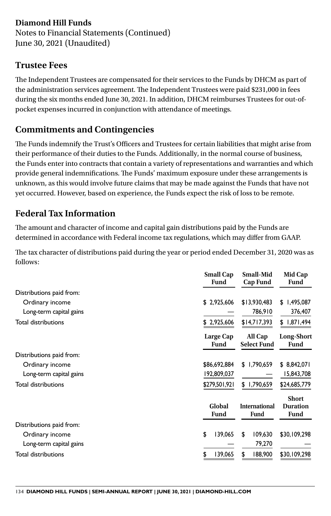Notes to Financial Statements (Continued) June 30, 2021 (Unaudited)

## **Trustee Fees**

The Independent Trustees are compensated for their services to the Funds by DHCM as part of the administration services agreement. The Independent Trustees were paid \$231,000 in fees during the six months ended June 30, 2021. In addition, DHCM reimburses Trustees for out-ofpocket expenses incurred in conjunction with attendance of meetings.

## **Commitments and Contingencies**

The Funds indemnify the Trust's Officers and Trustees for certain liabilities that might arise from their performance of their duties to the Funds. Additionally, in the normal course of business, the Funds enter into contracts that contain a variety of representations and warranties and which provide general indemnifications. The Funds' maximum exposure under these arrangements is unknown, as this would involve future claims that may be made against the Funds that have not yet occurred. However, based on experience, the Funds expect the risk of loss to be remote.

## **Federal Tax Information**

The amount and character of income and capital gain distributions paid by the Funds are determined in accordance with Federal income tax regulations, which may differ from GAAP.

The tax character of distributions paid during the year or period ended December 31, 2020 was as follows:

|                            | <b>Small Cap</b><br>Fund | Small-Mid<br><b>Cap Fund</b>  | Mid Cap<br>Fund                         |
|----------------------------|--------------------------|-------------------------------|-----------------------------------------|
| Distributions paid from:   |                          |                               |                                         |
| Ordinary income            | \$2,925,606              | \$13,930,483                  | 1,495,087<br>\$                         |
| Long-term capital gains    |                          | 786,910                       | 376,407                                 |
| <b>Total distributions</b> | \$2,925,606              | \$14,717,393                  | 1,871,494<br>\$                         |
|                            | Large Cap<br>Fund        | All Cap<br><b>Select Fund</b> | Long-Short<br>Fund                      |
| Distributions paid from:   |                          |                               |                                         |
| Ordinary income            | \$86,692,884             | \$1,790,659                   | \$8,842,071                             |
| Long-term capital gains    | 192,809,037              |                               | 15,843,708                              |
| Total distributions        | \$279,501,921            | \$1,790,659                   | \$24,685,779                            |
|                            | Global<br>Fund           | <b>International</b><br>Fund  | <b>Short</b><br><b>Duration</b><br>Fund |
| Distributions paid from:   |                          |                               |                                         |
| Ordinary income            | 139,065<br>\$            | 109,630<br>\$                 | \$30,109,298                            |
| Long-term capital gains    |                          | 79,270                        |                                         |
| <b>Total distributions</b> | 139,065                  | 188,900<br>S                  | \$30,109,298                            |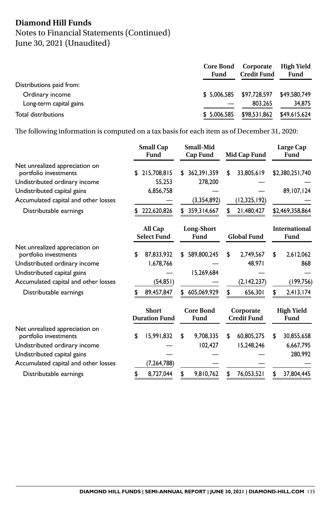# Notes to Financial Statements (Continued)

June 30, 2021 (Unaudited)

|                          | <b>Core Bond</b><br>Fund | Corporate<br><b>Credit Fund</b> | High Yield<br>Fund |
|--------------------------|--------------------------|---------------------------------|--------------------|
| Distributions paid from: |                          |                                 |                    |
| Ordinary income          | \$ 5,006,585             | \$97,728,597                    | \$49,580,749       |
| Long-term capital gains  |                          | 803.265                         | 34.875             |
| Total distributions      | \$ 5,006,585             | \$98,531,862                    | \$49,615,624       |

The following information is computed on a tax basis for each item as of December 31, 2020:

|                                                         | <b>Small Cap</b><br>Fund             | Small-Mid<br>Cap Fund    | Mid Cap Fund                    |    | Large Cap<br>Fund            |
|---------------------------------------------------------|--------------------------------------|--------------------------|---------------------------------|----|------------------------------|
| Net unrealized appreciation on                          |                                      |                          | \$                              |    |                              |
| portfolio investments                                   | \$<br>215,708,815                    | \$<br>362,391,359        | 33,805,619                      |    | \$2,380,251,740              |
| Undistributed ordinary income                           | 55,253                               | 278,200                  |                                 |    |                              |
| Undistributed capital gains                             | 6,856,758                            |                          |                                 |    | 89, 107, 124                 |
| Accumulated capital and other losses                    |                                      | (3,354,892)              | (12,325,192)                    |    |                              |
| Distributable earnings                                  | 222,620,826                          | \$<br>359,314,667        | \$<br>21,480,427                |    | \$2,469,358,864              |
|                                                         | All Cap<br><b>Select Fund</b>        | Long-Short<br>Fund       | <b>Global Fund</b>              |    | <b>International</b><br>Fund |
| Net unrealized appreciation on<br>portfolio investments | \$<br>87,833,932                     | \$<br>589,800,245        | \$<br>2,749,567                 | \$ | 2.612.062                    |
| Undistributed ordinary income                           | 1,678,766                            |                          | 48,971                          |    | 868                          |
| Undistributed capital gains                             |                                      | 15,269,684               |                                 |    |                              |
| Accumulated capital and other losses                    | (54, 851)                            |                          | (2,142,237)                     |    | (199, 756)                   |
| Distributable earnings                                  | \$<br>89,457,847                     | \$<br>605,069,929        | \$<br>656,301                   |    | 2,413,174                    |
|                                                         | <b>Short</b><br><b>Duration Fund</b> | <b>Core Bond</b><br>Fund | Corporate<br><b>Credit Fund</b> |    | <b>High Yield</b><br>Fund    |
| Net unrealized appreciation on<br>portfolio investments | \$<br>15,991,832                     | \$<br>9,708,335          | \$<br>60,805,275                | S  | 30,855,658                   |
| Undistributed ordinary income                           |                                      | 102,427                  | 15,248,246                      |    | 6,667,795                    |
| Undistributed capital gains                             |                                      |                          |                                 |    | 280,992                      |
| Accumulated capital and other losses                    | (7,264,788)                          |                          |                                 |    |                              |
| Distributable earnings                                  | \$<br>8,727,044                      | \$<br>9,810,762          | 76,053,521                      |    | 37,804,445                   |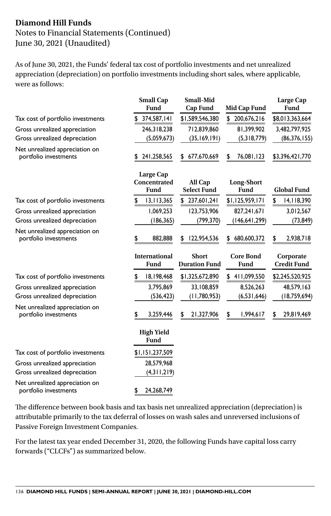Notes to Financial Statements (Continued) June 30, 2021 (Unaudited)

As of June 30, 2021, the Funds' federal tax cost of portfolio investments and net unrealized appreciation (depreciation) on portfolio investments including short sales, where applicable, were as follows:

|                                                                | <b>Small Cap</b><br>Fund          | Small-Mid<br><b>Cap Fund</b>         | Mid Cap Fund                 | Large Cap<br>Fund               |
|----------------------------------------------------------------|-----------------------------------|--------------------------------------|------------------------------|---------------------------------|
| Tax cost of portfolio investments                              | 374,587,141                       | \$1,589,546,380                      | \$200,676,216                | \$8,013,363,664                 |
| Gross unrealized appreciation                                  | 246,318,238                       | 712,839,860                          | 81,399,902                   | 3,482,797,925                   |
| Gross unrealized depreciation                                  | (5,059,673)                       | (35, 169, 191)                       | (5,318,779)                  | (86, 376, 155)                  |
| Net unrealized appreciation on<br>portfolio investments        | \$<br>241,258,565                 | 677,670,669<br>\$                    | \$<br>76,081,123             | \$3,396,421,770                 |
|                                                                | Large Cap<br>Concentrated<br>Fund | All Cap<br><b>Select Fund</b>        | Long-Short<br>Fund           | <b>Global Fund</b>              |
| Tax cost of portfolio investments                              | \$<br>13,113,365                  | 237,601,241<br>\$                    | \$1,125,959,171              | \$<br>14,118,390                |
| Gross unrealized appreciation<br>Gross unrealized depreciation | 1,069,253<br>(186, 365)           | 123,753,906<br>(799, 370)            | 827,241,671<br>(146,641,299) | 3,012,567<br>(73, 849)          |
| Net unrealized appreciation on<br>portfolio investments        | \$<br>882,888                     | 122,954,536<br>\$                    | \$680,600,372                | 2,938,718<br>\$                 |
|                                                                | <b>International</b><br>Fund      | <b>Short</b><br><b>Duration Fund</b> | <b>Core Bond</b><br>Fund     | Corporate<br><b>Credit Fund</b> |
| Tax cost of portfolio investments                              | \$<br>18,198,468                  | \$1,325,672,890                      | 411,099,550                  | \$2,245,520,925                 |
| Gross unrealized appreciation<br>Gross unrealized depreciation | 3,795,869<br>(536,423)            | 33,108,859<br>(11,780,953)           | 8,526,263<br>(6,531,646)     | 48,579,163<br>(18,759,694)      |
| Net unrealized appreciation on<br>portfolio investments        | \$<br>3,259,446                   | 21,327,906<br>\$                     | \$<br>1,994,617              | 29,819,469<br>\$                |
|                                                                | <b>High Yield</b><br>Fund         |                                      |                              |                                 |
| Tax cost of portfolio investments                              | \$1,151,237,509                   |                                      |                              |                                 |
| Gross unrealized appreciation<br>Gross unrealized depreciation | 28,579,968<br>(4,311,219)         |                                      |                              |                                 |
| Net unrealized appreciation on<br>portfolio investments        | 24,268,749<br>\$                  |                                      |                              |                                 |

The difference between book basis and tax basis net unrealized appreciation (depreciation) is attributable primarily to the tax deferral of losses on wash sales and unreversed inclusions of Passive Foreign Investment Companies.

For the latest tax year ended December 31, 2020, the following Funds have capital loss carry forwards ("CLCFs") as summarized below.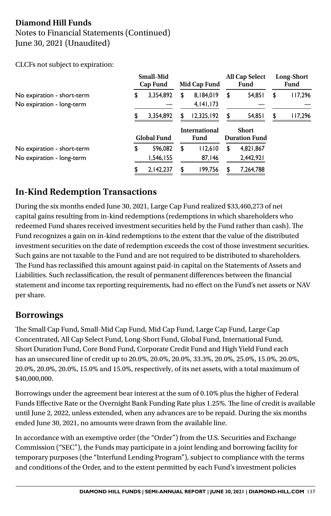#### Notes to Financial Statements (Continued) June 30, 2021 (Unaudited)

CLCFs not subject to expiration:

|                                                         | <b>Small-Mid</b><br>Cap Fund | Mid Cap Fund                 | All Cap Select<br>Fund        | Long-Short<br>Fund |
|---------------------------------------------------------|------------------------------|------------------------------|-------------------------------|--------------------|
| No expiration - short-term<br>No expiration - long-term | 3,354,892<br>\$              | 8,184,019<br>\$<br>4,141,173 | 54,851<br>\$                  | 117,296<br>\$      |
|                                                         | 3,354,892<br>\$              | 12,325,192<br>\$             | 54,851<br>\$                  | 117,296<br>\$      |
|                                                         | <b>Global Fund</b>           | <b>International</b><br>Fund | Short<br><b>Duration Fund</b> |                    |
| No expiration - short-term<br>No expiration - long-term | \$<br>596.082<br>1,546,155   | 112.610<br>\$<br>87,146      | 4,821,867<br>\$<br>2,442,921  |                    |
|                                                         | 2,142,237<br>\$              | 199,756<br>\$                | 7,264,788<br>\$               |                    |

## **In-Kind Redemption Transactions**

During the six months ended June 30, 2021, Large Cap Fund realized \$33,460,273 of net capital gains resulting from in-kind redemptions (redemptions in which shareholders who redeemed Fund shares received investment securities held by the Fund rather than cash). The Fund recognizes a gain on in-kind redemptions to the extent that the value of the distributed investment securities on the date of redemption exceeds the cost of those investment securities. Such gains are not taxable to the Fund and are not required to be distributed to shareholders. The Fund has reclassified this amount against paid-in capital on the Statements of Assets and Liabilities. Such reclassification, the result of permanent differences between the financial statement and income tax reporting requirements, had no effect on the Fund's net assets or NAV per share.

### **Borrowings**

The Small Cap Fund, Small-Mid Cap Fund, Mid Cap Fund, Large Cap Fund, Large Cap Concentrated, All Cap Select Fund, Long-Short Fund, Global Fund, International Fund, Short Duration Fund, Core Bond Fund, Corporate Credit Fund and High Yield Fund each has an unsecured line of credit up to 20.0%, 20.0%, 20.0%, 33.3%, 20.0%, 25.0%, 15.0%, 20.0%, 20.0%, 20.0%, 20.0%, 15.0% and 15.0%, respectively, of its net assets, with a total maximum of \$40,000,000.

Borrowings under the agreement bear interest at the sum of 0.10% plus the higher of Federal Funds Effective Rate or the Overnight Bank Funding Rate plus 1.25%. The line of credit is available until June 2, 2022, unless extended, when any advances are to be repaid. During the six months ended June 30, 2021, no amounts were drawn from the available line.

In accordance with an exemptive order (the "Order") from the U.S. Securities and Exchange Commission ("SEC"), the Funds may participate in a joint lending and borrowing facility for temporary purposes (the "Interfund Lending Program"), subject to compliance with the terms and conditions of the Order, and to the extent permitted by each Fund's investment policies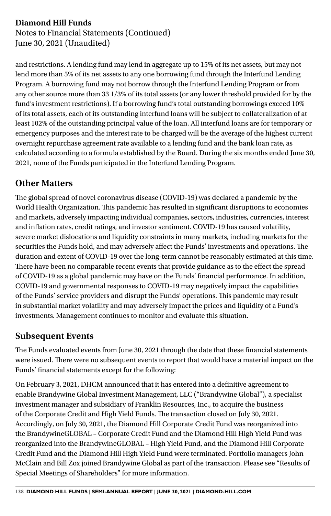Notes to Financial Statements (Continued) June 30, 2021 (Unaudited)

and restrictions. A lending fund may lend in aggregate up to 15% of its net assets, but may not lend more than 5% of its net assets to any one borrowing fund through the Interfund Lending Program. A borrowing fund may not borrow through the Interfund Lending Program or from any other source more than 33 1/3% of its total assets (or any lower threshold provided for by the fund's investment restrictions). If a borrowing fund's total outstanding borrowings exceed 10% of its total assets, each of its outstanding interfund loans will be subject to collateralization of at least 102% of the outstanding principal value of the loan. All interfund loans are for temporary or emergency purposes and the interest rate to be charged will be the average of the highest current overnight repurchase agreement rate available to a lending fund and the bank loan rate, as calculated according to a formula established by the Board. During the six months ended June 30, 2021, none of the Funds participated in the Interfund Lending Program.

# **Other Matters**

The global spread of novel coronavirus disease (COVID-19) was declared a pandemic by the World Health Organization. This pandemic has resulted in significant disruptions to economies and markets, adversely impacting individual companies, sectors, industries, currencies, interest and inflation rates, credit ratings, and investor sentiment. COVID-19 has caused volatility, severe market dislocations and liquidity constraints in many markets, including markets for the securities the Funds hold, and may adversely affect the Funds' investments and operations. The duration and extent of COVID-19 over the long-term cannot be reasonably estimated at this time. There have been no comparable recent events that provide guidance as to the effect the spread of COVID-19 as a global pandemic may have on the Funds' financial performance. In addition, COVID-19 and governmental responses to COVID-19 may negatively impact the capabilities of the Funds' service providers and disrupt the Funds' operations. This pandemic may result in substantial market volatility and may adversely impact the prices and liquidity of a Fund's investments. Management continues to monitor and evaluate this situation.

# **Subsequent Events**

The Funds evaluated events from June 30, 2021 through the date that these financial statements were issued. There were no subsequent events to report that would have a material impact on the Funds' financial statements except for the following:

On February 3, 2021, DHCM announced that it has entered into a definitive agreement to enable Brandywine Global Investment Management, LLC ("Brandywine Global"), a specialist investment manager and subsidiary of Franklin Resources, Inc., to acquire the business of the Corporate Credit and High Yield Funds. The transaction closed on July 30, 2021. Accordingly, on July 30, 2021, the Diamond Hill Corporate Credit Fund was reorganized into the BrandywineGLOBAL – Corporate Credit Fund and the Diamond Hill High Yield Fund was reorganized into the BrandywineGLOBAL – High Yield Fund, and the Diamond Hill Corporate Credit Fund and the Diamond Hill High Yield Fund were terminated. Portfolio managers John McClain and Bill Zox joined Brandywine Global as part of the transaction. Please see "Results of Special Meetings of Shareholders" for more information.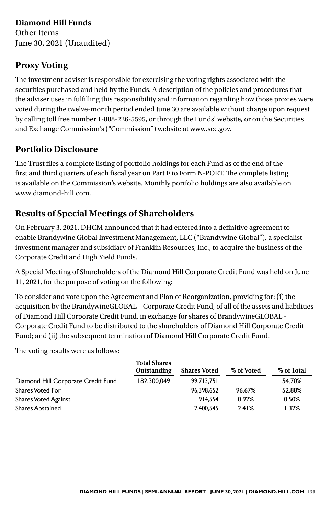## **Diamond Hill Funds** Other Items June 30, 2021 (Unaudited)

# **Proxy Voting**

The investment adviser is responsible for exercising the voting rights associated with the securities purchased and held by the Funds. A description of the policies and procedures that the adviser uses in fulfilling this responsibility and information regarding how those proxies were voted during the twelve-month period ended June 30 are available without charge upon request by calling toll free number 1-888-226-5595, or through the Funds' website, or on the Securities and Exchange Commission's ("Commission") website at www.sec.gov.

## **Portfolio Disclosure**

The Trust files a complete listing of portfolio holdings for each Fund as of the end of the first and third quarters of each fiscal year on Part F to Form N-PORT. The complete listing is available on the Commission's website. Monthly portfolio holdings are also available on www.diamond-hill.com.

# **Results of Special Meetings of Shareholders**

On February 3, 2021, DHCM announced that it had entered into a definitive agreement to enable Brandywine Global Investment Management, LLC ("Brandywine Global"), a specialist investment manager and subsidiary of Franklin Resources, Inc., to acquire the business of the Corporate Credit and High Yield Funds.

A Special Meeting of Shareholders of the Diamond Hill Corporate Credit Fund was held on June 11, 2021, for the purpose of voting on the following:

To consider and vote upon the Agreement and Plan of Reorganization, providing for: (i) the acquisition by the BrandywineGLOBAL – Corporate Credit Fund, of all of the assets and liabilities of Diamond Hill Corporate Credit Fund, in exchange for shares of BrandywineGLOBAL - Corporate Credit Fund to be distributed to the shareholders of Diamond Hill Corporate Credit Fund; and (ii) the subsequent termination of Diamond Hill Corporate Credit Fund.

The voting results were as follows:

|                                    | <b>Total Shares</b><br>Outstanding | <b>Shares Voted</b> | % of Voted | % of Total |
|------------------------------------|------------------------------------|---------------------|------------|------------|
| Diamond Hill Corporate Credit Fund | 182,300,049                        | 99.713.751          |            | 54.70%     |
| Shares Voted For                   |                                    | 96.398.652          | 96.67%     | 52.88%     |
| <b>Shares Voted Against</b>        |                                    | 914.554             | 0.92%      | 0.50%      |
| <b>Shares Abstained</b>            |                                    | 2.400.545           | 2.41%      | 1.32%      |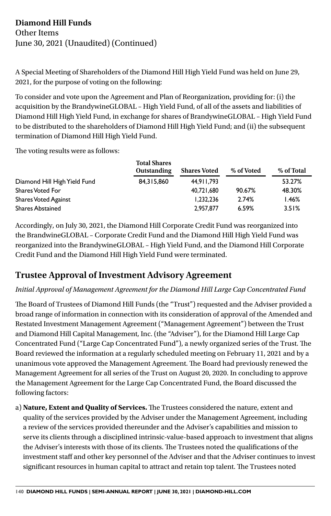## **Diamond Hill Funds** Other Items June 30, 2021 (Unaudited) (Continued)

A Special Meeting of Shareholders of the Diamond Hill High Yield Fund was held on June 29, 2021, for the purpose of voting on the following:

To consider and vote upon the Agreement and Plan of Reorganization, providing for: (i) the acquisition by the BrandywineGLOBAL – High Yield Fund, of all of the assets and liabilities of Diamond Hill High Yield Fund, in exchange for shares of BrandywineGLOBAL – High Yield Fund to be distributed to the shareholders of Diamond Hill High Yield Fund; and (ii) the subsequent termination of Diamond Hill High Yield Fund.

The voting results were as follows:

|                              | <b>Total Shares</b><br><b>Outstanding</b> | <b>Shares Voted</b> | % of Voted | % of Total |
|------------------------------|-------------------------------------------|---------------------|------------|------------|
| Diamond Hill High Yield Fund | 84.315.860                                | 44.911.793          |            | 53.27%     |
| Shares Voted For             |                                           | 40.721.680          | 90.67%     | 48.30%     |
| <b>Shares Voted Against</b>  |                                           | 1.232.236           | 2.74%      | 1.46%      |
| <b>Shares Abstained</b>      |                                           | 2.957.877           | 6.59%      | 3.51%      |

Accordingly, on July 30, 2021, the Diamond Hill Corporate Credit Fund was reorganized into the BrandwineGLOBAL – Corporate Credit Fund and the Diamond Hill High Yield Fund was reorganized into the BrandywineGLOBAL – High Yield Fund, and the Diamond Hill Corporate Credit Fund and the Diamond Hill High Yield Fund were terminated.

# **Trustee Approval of Investment Advisory Agreement**

#### *Initial Approval of Management Agreement for the Diamond Hill Large Cap Concentrated Fund*

The Board of Trustees of Diamond Hill Funds (the "Trust") requested and the Adviser provided a broad range of information in connection with its consideration of approval of the Amended and Restated Investment Management Agreement ("Management Agreement") between the Trust and Diamond Hill Capital Management, Inc. (the "Adviser"), for the Diamond Hill Large Cap Concentrated Fund ("Large Cap Concentrated Fund"), a newly organized series of the Trust. The Board reviewed the information at a regularly scheduled meeting on February 11, 2021 and by a unanimous vote approved the Management Agreement. The Board had previously renewed the Management Agreement for all series of the Trust on August 20, 2020. In concluding to approve the Management Agreement for the Large Cap Concentrated Fund, the Board discussed the following factors:

a) **Nature, Extent and Quality of Services.** The Trustees considered the nature, extent and quality of the services provided by the Adviser under the Management Agreement, including a review of the services provided thereunder and the Adviser's capabilities and mission to serve its clients through a disciplined intrinsic-value-based approach to investment that aligns the Adviser's interests with those of its clients. The Trustees noted the qualifications of the investment staff and other key personnel of the Adviser and that the Adviser continues to invest significant resources in human capital to attract and retain top talent. The Trustees noted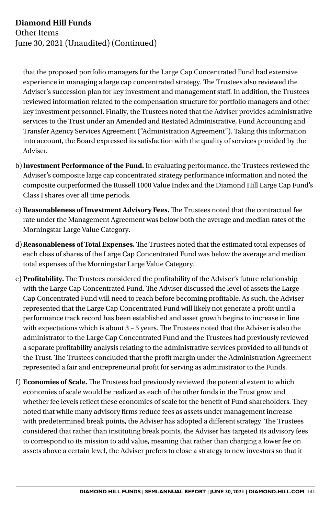#### **Diamond Hill Funds** Other Items June 30, 2021 (Unaudited) (Continued)

that the proposed portfolio managers for the Large Cap Concentrated Fund had extensive experience in managing a large cap concentrated strategy. The Trustees also reviewed the Adviser's succession plan for key investment and management staff. In addition, the Trustees reviewed information related to the compensation structure for portfolio managers and other key investment personnel. Finally, the Trustees noted that the Adviser provides administrative services to the Trust under an Amended and Restated Administrative, Fund Accounting and Transfer Agency Services Agreement ("Administration Agreement"). Taking this information into account, the Board expressed its satisfaction with the quality of services provided by the Adviser.

- b)**Investment Performance of the Fund.** In evaluating performance, the Trustees reviewed the Adviser's composite large cap concentrated strategy performance information and noted the composite outperformed the Russell 1000 Value Index and the Diamond Hill Large Cap Fund's Class I shares over all time periods.
- c) **Reasonableness of Investment Advisory Fees.** The Trustees noted that the contractual fee rate under the Management Agreement was below both the average and median rates of the Morningstar Large Value Category.
- d)**Reasonableness of Total Expenses.** The Trustees noted that the estimated total expenses of each class of shares of the Large Cap Concentrated Fund was below the average and median total expenses of the Morningstar Large Value Category.
- e) **Profitability.** The Trustees considered the profitability of the Adviser's future relationship with the Large Cap Concentrated Fund. The Adviser discussed the level of assets the Large Cap Concentrated Fund will need to reach before becoming profitable. As such, the Adviser represented that the Large Cap Concentrated Fund will likely not generate a profit until a performance track record has been established and asset growth begins to increase in line with expectations which is about 3 – 5 years. The Trustees noted that the Adviser is also the administrator to the Large Cap Concentrated Fund and the Trustees had previously reviewed a separate profitability analysis relating to the administrative services provided to all funds of the Trust. The Trustees concluded that the profit margin under the Administration Agreement represented a fair and entrepreneurial profit for serving as administrator to the Funds.
- f) **Economies of Scale.** The Trustees had previously reviewed the potential extent to which economies of scale would be realized as each of the other funds in the Trust grow and whether fee levels reflect these economies of scale for the benefit of Fund shareholders. They noted that while many advisory firms reduce fees as assets under management increase with predetermined break points, the Adviser has adopted a different strategy. The Trustees considered that rather than instituting break points, the Adviser has targeted its advisory fees to correspond to its mission to add value, meaning that rather than charging a lower fee on assets above a certain level, the Adviser prefers to close a strategy to new investors so that it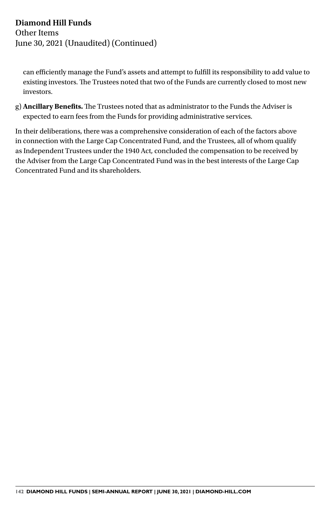#### **Diamond Hill Funds** Other Items June 30, 2021 (Unaudited) (Continued)

can efficiently manage the Fund's assets and attempt to fulfill its responsibility to add value to existing investors. The Trustees noted that two of the Funds are currently closed to most new investors.

g) **Ancillary Benefits.** The Trustees noted that as administrator to the Funds the Adviser is expected to earn fees from the Funds for providing administrative services.

In their deliberations, there was a comprehensive consideration of each of the factors above in connection with the Large Cap Concentrated Fund, and the Trustees, all of whom qualify as Independent Trustees under the 1940 Act, concluded the compensation to be received by the Adviser from the Large Cap Concentrated Fund was in the best interests of the Large Cap Concentrated Fund and its shareholders.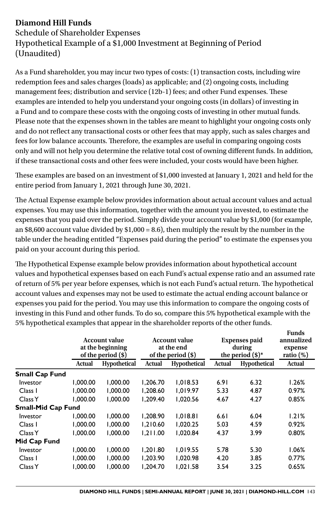# **Diamond Hill Funds** Schedule of Shareholder Expenses Hypothetical Example of a \$1,000 Investment at Beginning of Period (Unaudited)

As a Fund shareholder, you may incur two types of costs: (1) transaction costs, including wire redemption fees and sales charges (loads) as applicable; and (2) ongoing costs, including management fees; distribution and service (12b-1) fees; and other Fund expenses. These examples are intended to help you understand your ongoing costs (in dollars) of investing in a Fund and to compare these costs with the ongoing costs of investing in other mutual funds. Please note that the expenses shown in the tables are meant to highlight your ongoing costs only and do not reflect any transactional costs or other fees that may apply, such as sales charges and fees for low balance accounts. Therefore, the examples are useful in comparing ongoing costs only and will not help you determine the relative total cost of owning different funds. In addition, if these transactional costs and other fees were included, your costs would have been higher.

These examples are based on an investment of \$1,000 invested at January 1, 2021 and held for the entire period from January 1, 2021 through June 30, 2021.

The Actual Expense example below provides information about actual account values and actual expenses. You may use this information, together with the amount you invested, to estimate the expenses that you paid over the period. Simply divide your account value by \$1,000 (for example, an \$8,600 account value divided by  $$1,000 = 8.6$ ), then multiply the result by the number in the table under the heading entitled "Expenses paid during the period" to estimate the expenses you paid on your account during this period.

The Hypothetical Expense example below provides information about hypothetical account values and hypothetical expenses based on each Fund's actual expense ratio and an assumed rate of return of 5% per year before expenses, which is not each Fund's actual return. The hypothetical account values and expenses may not be used to estimate the actual ending account balance or expenses you paid for the period. You may use this information to compare the ongoing costs of investing in this Fund and other funds. To do so, compare this 5% hypothetical example with the 5% hypothetical examples that appear in the shareholder reports of the other funds.

|                           | <b>Account value</b><br>at the beginning<br>of the period (\$) |              | <b>Account value</b><br>at the end<br>of the period $(\$)$ |              | <b>Expenses paid</b><br>during<br>the period $(\$)^*$ |              | Funds<br>annualized<br>expense<br>ratio $(\%)$ |
|---------------------------|----------------------------------------------------------------|--------------|------------------------------------------------------------|--------------|-------------------------------------------------------|--------------|------------------------------------------------|
|                           | Actual                                                         | Hypothetical | Actual                                                     | Hypothetical | Actual                                                | Hypothetical | Actual                                         |
| <b>Small Cap Fund</b>     |                                                                |              |                                                            |              |                                                       |              |                                                |
| Investor                  | 1.000.00                                                       | 1.000.00     | 1.206.70                                                   | 1,018.53     | 6.91                                                  | 6.32         | 1.26%                                          |
| Class I                   | 1.000.00                                                       | 1.000.00     | 1.208.60                                                   | 1.019.97     | 5.33                                                  | 4.87         | 0.97%                                          |
| Class Y                   | 1.000.00                                                       | 1.000.00     | 1.209.40                                                   | 1.020.56     | 4.67                                                  | 4.27         | 0.85%                                          |
| <b>Small-Mid Cap Fund</b> |                                                                |              |                                                            |              |                                                       |              |                                                |
| Investor                  | 1.000.00                                                       | 1.000.00     | 1.208.90                                                   | 1.018.81     | 6.61                                                  | 6.04         | 1.21%                                          |
| Class I                   | 1.000.00                                                       | 1.000.00     | 1.210.60                                                   | 1.020.25     | 5.03                                                  | 4.59         | 0.92%                                          |
| Class Y                   | 1.000.00                                                       | 1.000.00     | 1,211.00                                                   | 1.020.84     | 4.37                                                  | 3.99         | 0.80%                                          |
| Mid Cap Fund              |                                                                |              |                                                            |              |                                                       |              |                                                |
| Investor                  | 1.000.00                                                       | 1.000.00     | 1.201.80                                                   | 1.019.55     | 5.78                                                  | 5.30         | 1.06%                                          |
| Class I                   | 1.000.00                                                       | 1.000.00     | 1.203.90                                                   | 1.020.98     | 4.20                                                  | 3.85         | 0.77%                                          |
| Class Y                   | 1.000.00                                                       | 1.000.00     | 1.204.70                                                   | 1.021.58     | 3.54                                                  | 3.25         | 0.65%                                          |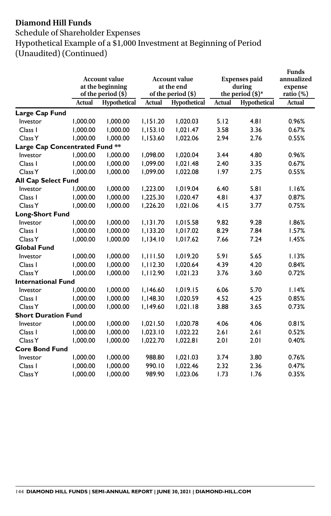#### Schedule of Shareholder Expenses Hypothetical Example of a \$1,000 Investment at Beginning of Period (Unaudited) (Continued)

|                                |                                                                |              |                                                          |              |                                                       |              | <b>Funds</b>            |  |
|--------------------------------|----------------------------------------------------------------|--------------|----------------------------------------------------------|--------------|-------------------------------------------------------|--------------|-------------------------|--|
|                                | <b>Account value</b><br>at the beginning<br>of the period (\$) |              | <b>Account value</b><br>at the end<br>of the period (\$) |              | <b>Expenses paid</b><br>during<br>the period $(\$)^*$ |              | annualized              |  |
|                                |                                                                |              |                                                          |              |                                                       |              | expense<br>ratio $(\%)$ |  |
|                                |                                                                |              |                                                          |              |                                                       |              |                         |  |
|                                | Actual                                                         | Hypothetical | <b>Actual</b>                                            | Hypothetical | <b>Actual</b>                                         | Hypothetical | Actual                  |  |
| Large Cap Fund                 |                                                                |              |                                                          |              |                                                       |              |                         |  |
| Investor                       | 1,000.00                                                       | 1,000.00     | 1,151.20                                                 | 1,020.03     | 5.12                                                  | 4.81         | 0.96%                   |  |
| Class I                        | 1,000.00                                                       | 1,000.00     | 1,153.10                                                 | 1,021.47     | 3.58                                                  | 3.36         | 0.67%                   |  |
| Class Y                        | 1,000.00                                                       | 1,000.00     | 1,153.60                                                 | 1,022.06     | 2.94                                                  | 2.76         | 0.55%                   |  |
| Large Cap Concentrated Fund ** |                                                                |              |                                                          |              |                                                       |              |                         |  |
| Investor                       | 1.000.00                                                       | 1.000.00     | 1.098.00                                                 | 1.020.04     | 3.44                                                  | 4.80         | 0.96%                   |  |
| Class I                        | 1.000.00                                                       | 1.000.00     | 1.099.00                                                 | 1,021.48     | 2.40                                                  | 3.35         | 0.67%                   |  |
| Class Y                        | 1,000.00                                                       | 1,000.00     | 1,099.00                                                 | 1,022.08     | 1.97                                                  | 2.75         | 0.55%                   |  |
| <b>All Cap Select Fund</b>     |                                                                |              |                                                          |              |                                                       |              |                         |  |
| Investor                       | 1.000.00                                                       | 1.000.00     | 1.223.00                                                 | 1.019.04     | 6.40                                                  | 5.81         | 1.16%                   |  |
| Class I                        | 1.000.00                                                       | 1.000.00     | 1,225.30                                                 | 1.020.47     | 4.81                                                  | 4.37         | 0.87%                   |  |
| Class Y                        | 1,000.00                                                       | 1,000.00     | 1,226.20                                                 | 1,021.06     | 4.15                                                  | 3.77         | 0.75%                   |  |
| <b>Long-Short Fund</b>         |                                                                |              |                                                          |              |                                                       |              |                         |  |
| Investor                       | 1,000.00                                                       | 1,000.00     | 1,131.70                                                 | 1,015.58     | 9.82                                                  | 9.28         | 1.86%                   |  |
| Class I                        | 1,000.00                                                       | 1,000.00     | 1,133.20                                                 | 1,017.02     | 8.29                                                  | 7.84         | 1.57%                   |  |
| Class Y                        | 1.000.00                                                       | 1,000.00     | 1.134.10                                                 | 1,017.62     | 7.66                                                  | 7.24         | 1.45%                   |  |
| <b>Global Fund</b>             |                                                                |              |                                                          |              |                                                       |              |                         |  |
| Investor                       | 1,000.00                                                       | 1,000.00     | 1,111.50                                                 | 1,019.20     | 5.91                                                  | 5.65         | 1.13%                   |  |
| Class I                        | 1,000.00                                                       | 1,000.00     | 1,112.30                                                 | 1,020.64     | 4.39                                                  | 4.20         | 0.84%                   |  |
| Class Y                        | 1.000.00                                                       | 1,000.00     | 1,112.90                                                 | 1,021.23     | 3.76                                                  | 3.60         | 0.72%                   |  |
| <b>International Fund</b>      |                                                                |              |                                                          |              |                                                       |              |                         |  |
| Investor                       | 1,000.00                                                       | 1,000.00     | I, 146.60                                                | 1,019.15     | 6.06                                                  | 5.70         | 1.14%                   |  |
| Class I                        | 1.000.00                                                       | 1,000.00     | 1,148.30                                                 | 1,020.59     | 4.52                                                  | 4.25         | 0.85%                   |  |
| Class Y                        | 1.000.00                                                       | 1,000.00     | I, 149.60                                                | 1,021.18     | 3.88                                                  | 3.65         | 0.73%                   |  |
| <b>Short Duration Fund</b>     |                                                                |              |                                                          |              |                                                       |              |                         |  |
| Investor                       | 1.000.00                                                       | 1,000.00     | 1,021.50                                                 | 1,020.78     | 4.06                                                  | 4.06         | 0.81%                   |  |
| Class I                        | 1.000.00                                                       | 1,000.00     | 1,023.10                                                 | 1,022.22     | 2.61                                                  | 2.61         | 0.52%                   |  |
| Class Y                        | 1,000.00                                                       | 1,000.00     | 1,022.70                                                 | 1,022.81     | 2.01                                                  | 2.01         | 0.40%                   |  |
| <b>Core Bond Fund</b>          |                                                                |              |                                                          |              |                                                       |              |                         |  |
| Investor                       | 1.000.00                                                       | 1,000.00     | 988.80                                                   | 1,021.03     | 3.74                                                  | 3.80         | 0.76%                   |  |
| Class I                        | 1.000.00                                                       | 1.000.00     | 990.10                                                   | 1.022.46     | 2.32                                                  | 2.36         | 0.47%                   |  |
| Class Y                        | 1,000.00                                                       | 1,000.00     | 989.90                                                   | 1,023.06     | 1.73                                                  | 1.76         | 0.35%                   |  |
|                                |                                                                |              |                                                          |              |                                                       |              |                         |  |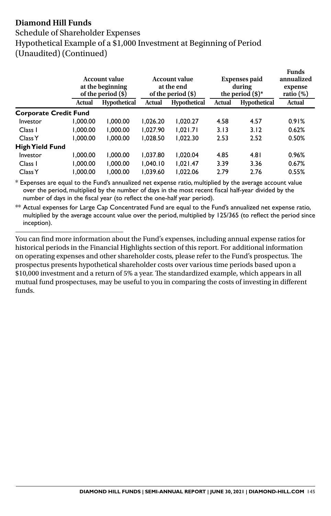#### Schedule of Shareholder Expenses Hypothetical Example of a \$1,000 Investment at Beginning of Period (Unaudited) (Continued)

|                              | <b>Account value</b><br>at the beginning<br>of the period $(\$)$ |                     | <b>Account value</b><br>at the end<br>of the period $(\$)$ |              | <b>Expenses paid</b><br>during<br>the period $(\$)^*$ |              | Funds<br>annualized<br>expense<br>ratio $(\%)$ |
|------------------------------|------------------------------------------------------------------|---------------------|------------------------------------------------------------|--------------|-------------------------------------------------------|--------------|------------------------------------------------|
|                              | Actual                                                           | <b>Hypothetical</b> | Actual                                                     | Hypothetical | Actual                                                | Hypothetical | Actual                                         |
| <b>Corporate Credit Fund</b> |                                                                  |                     |                                                            |              |                                                       |              |                                                |
| Investor                     | 1.000.00                                                         | 1.000.00            | 1.026.20                                                   | 1.020.27     | 4.58                                                  | 4.57         | 0.91%                                          |
| Class I                      | 1.000.00                                                         | 1.000.00            | 1.027.90                                                   | 1.021.71     | 3.13                                                  | 3.12         | 0.62%                                          |
| Class Y                      | 1.000.00                                                         | 1.000.00            | 1.028.50                                                   | 1.022.30     | 2.53                                                  | 2.52         | 0.50%                                          |
| <b>High Yield Fund</b>       |                                                                  |                     |                                                            |              |                                                       |              |                                                |
| Investor                     | 1.000.00                                                         | 1.000.00            | 1.037.80                                                   | 1.020.04     | 4.85                                                  | 4.81         | 0.96%                                          |
| Class I                      | 1.000.00                                                         | 1.000.00            | 1.040.10                                                   | 1.021.47     | 3.39                                                  | 3.36         | 0.67%                                          |
| Class Y                      | 1.000.00                                                         | 1.000.00            | 1.039.60                                                   | 1.022.06     | 2.79                                                  | 2.76         | 0.55%                                          |

\* Expenses are equal to the Fund's annualized net expense ratio, multiplied by the average account value over the period, multiplied by the number of days in the most recent fiscal half-year divided by the number of days in the fiscal year (to reflect the one-half year period).

\*\* Actual expenses for Large Cap Concentrated Fund are equal to the Fund's annualized net expense ratio, multiplied by the average account value over the period, multiplied by 125/365 (to reflect the period since inception).

You can find more information about the Fund's expenses, including annual expense ratios for historical periods in the Financial Highlights section of this report. For additional information on operating expenses and other shareholder costs, please refer to the Fund's prospectus. The prospectus presents hypothetical shareholder costs over various time periods based upon a \$10,000 investment and a return of 5% a year. The standardized example, which appears in all mutual fund prospectuses, may be useful to you in comparing the costs of investing in different funds.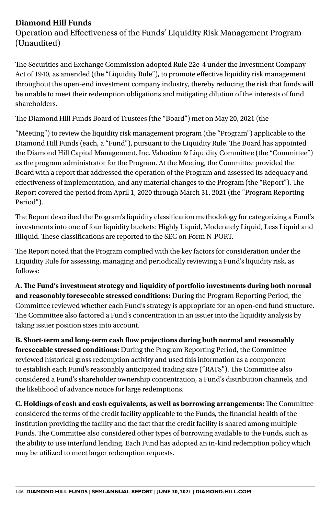Operation and Effectiveness of the Funds' Liquidity Risk Management Program (Unaudited)

The Securities and Exchange Commission adopted Rule 22e-4 under the Investment Company Act of 1940, as amended (the "Liquidity Rule"), to promote effective liquidity risk management throughout the open-end investment company industry, thereby reducing the risk that funds will be unable to meet their redemption obligations and mitigating dilution of the interests of fund shareholders.

The Diamond Hill Funds Board of Trustees (the "Board") met on May 20, 2021 (the

"Meeting") to review the liquidity risk management program (the "Program") applicable to the Diamond Hill Funds (each, a "Fund"), pursuant to the Liquidity Rule. The Board has appointed the Diamond Hill Capital Management, Inc. Valuation & Liquidity Committee (the "Committee") as the program administrator for the Program. At the Meeting, the Committee provided the Board with a report that addressed the operation of the Program and assessed its adequacy and effectiveness of implementation, and any material changes to the Program (the "Report"). The Report covered the period from April 1, 2020 through March 31, 2021 (the "Program Reporting Period").

The Report described the Program's liquidity classification methodology for categorizing a Fund's investments into one of four liquidity buckets: Highly Liquid, Moderately Liquid, Less Liquid and Illiquid. These classifications are reported to the SEC on Form N-PORT.

The Report noted that the Program complied with the key factors for consideration under the Liquidity Rule for assessing, managing and periodically reviewing a Fund's liquidity risk, as follows:

**A. The Fund's investment strategy and liquidity of portfolio investments during both normal and reasonably foreseeable stressed conditions:** During the Program Reporting Period, the Committee reviewed whether each Fund's strategy is appropriate for an open-end fund structure. The Committee also factored a Fund's concentration in an issuer into the liquidity analysis by taking issuer position sizes into account.

**B. Short-term and long-term cash flow projections during both normal and reasonably foreseeable stressed conditions:** During the Program Reporting Period, the Committee reviewed historical gross redemption activity and used this information as a component to establish each Fund's reasonably anticipated trading size ("RATS"). The Committee also considered a Fund's shareholder ownership concentration, a Fund's distribution channels, and the likelihood of advance notice for large redemptions.

**C. Holdings of cash and cash equivalents, as well as borrowing arrangements:** The Committee considered the terms of the credit facility applicable to the Funds, the financial health of the institution providing the facility and the fact that the credit facility is shared among multiple Funds. The Committee also considered other types of borrowing available to the Funds, such as the ability to use interfund lending. Each Fund has adopted an in-kind redemption policy which may be utilized to meet larger redemption requests.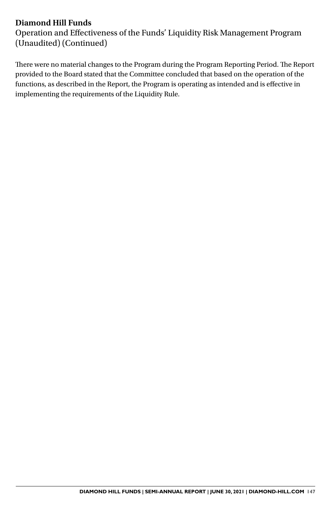Operation and Effectiveness of the Funds' Liquidity Risk Management Program (Unaudited) (Continued)

There were no material changes to the Program during the Program Reporting Period. The Report provided to the Board stated that the Committee concluded that based on the operation of the functions, as described in the Report, the Program is operating as intended and is effective in implementing the requirements of the Liquidity Rule.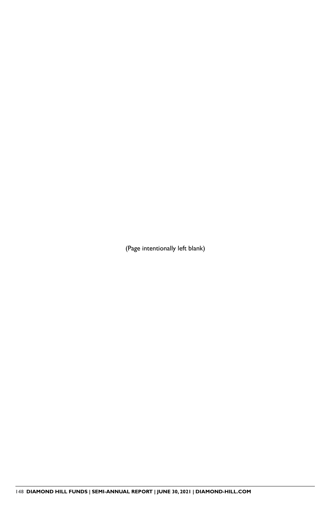(Page intentionally left blank)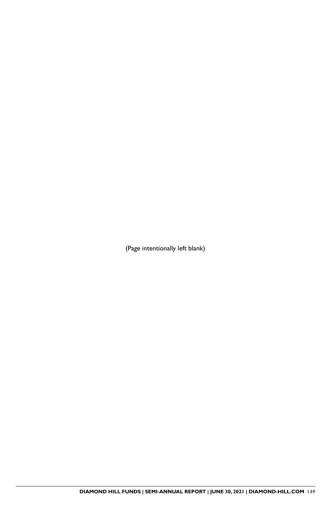(Page intentionally left blank)